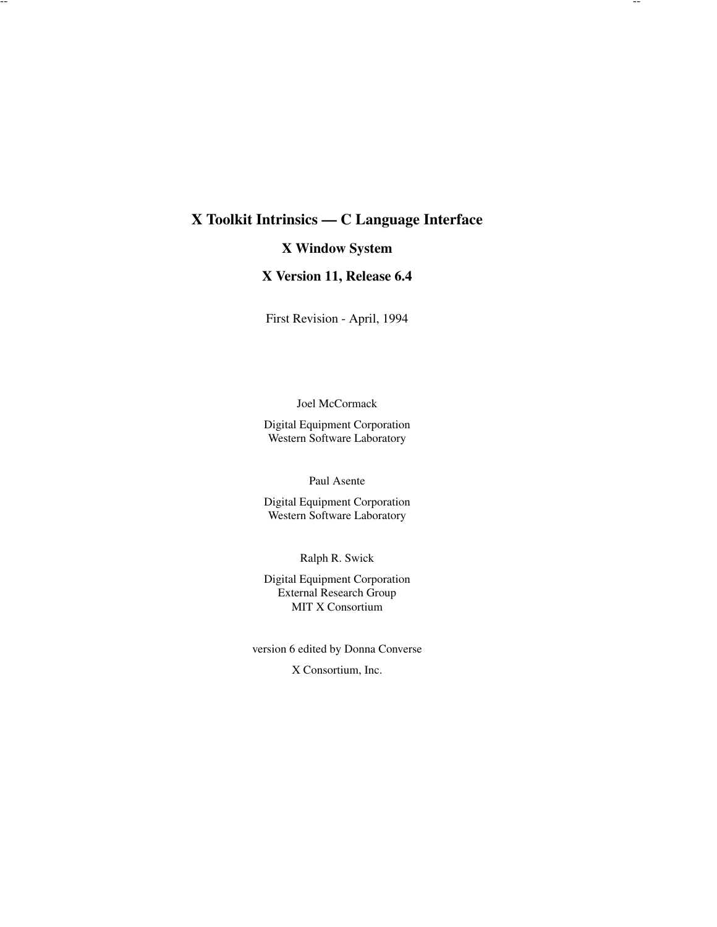# **X Toolkit Intrinsics — C Language Interface**

-- --

# **X Window System**

## **X Version 11, Release 6.4**

First Revision - April, 1994

Joel McCormack

Digital Equipment Corporation Western Software Laboratory

Paul Asente

Digital Equipment Corporation Western Software Laboratory

Ralph R. Swick

Digital Equipment Corporation External Research Group MIT X Consortium

version 6 edited by Donna Converse

X Consortium, Inc.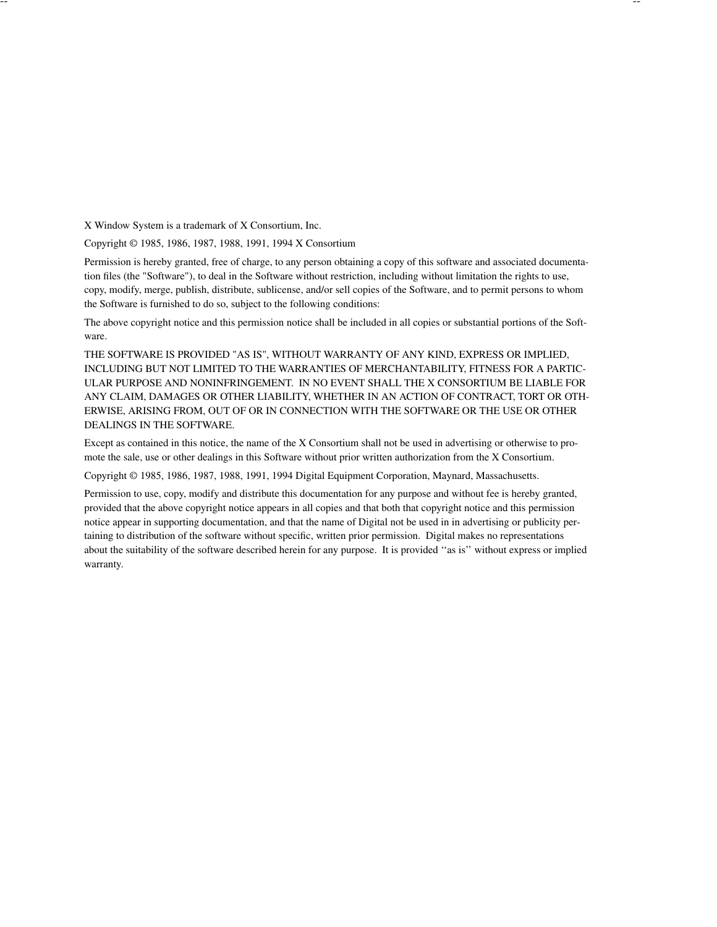X Window System is a trademark of X Consortium, Inc.

Copyright © 1985, 1986, 1987, 1988, 1991, 1994 X Consortium

Permission is hereby granted, free of charge, to any person obtaining a copy of this software and associated documentation files (the "Software"), to deal in the Software without restriction, including without limitation the rights to use, copy, modify, merge, publish, distribute, sublicense, and/or sell copies of the Software, and to permit persons to whom the Software is furnished to do so, subject to the following conditions:

-- --

The above copyright notice and this permission notice shall be included in all copies or substantial portions of the Software.

THE SOFTWARE IS PROVIDED "AS IS", WITHOUT WARRANTY OF ANY KIND, EXPRESS OR IMPLIED, INCLUDING BUT NOT LIMITED TO THE WARRANTIES OF MERCHANTABILITY, FITNESS FOR A PARTIC-ULAR PURPOSE AND NONINFRINGEMENT. IN NO EVENT SHALL THE X CONSORTIUM BE LIABLE FOR ANY CLAIM, DAMAGES OR OTHER LIABILITY, WHETHER IN AN ACTION OF CONTRACT, TORT OR OTH-ERWISE, ARISING FROM, OUT OF OR IN CONNECTION WITH THE SOFTWARE OR THE USE OR OTHER DEALINGS IN THE SOFTWARE.

Except as contained in this notice, the name of the X Consortium shall not be used in advertising or otherwise to promote the sale, use or other dealings in this Software without prior written authorization from the X Consortium.

Copyright © 1985, 1986, 1987, 1988, 1991, 1994 Digital Equipment Corporation, Maynard, Massachusetts.

Permission to use, copy, modify and distribute this documentation for any purpose and without fee is hereby granted, provided that the above copyright notice appears in all copies and that both that copyright notice and this permission notice appear in supporting documentation, and that the name of Digital not be used in in advertising or publicity pertaining to distribution of the software without specific, written prior permission. Digital makes no representations about the suitability of the software described herein for any purpose. It is provided ''as is'' without express or implied warranty.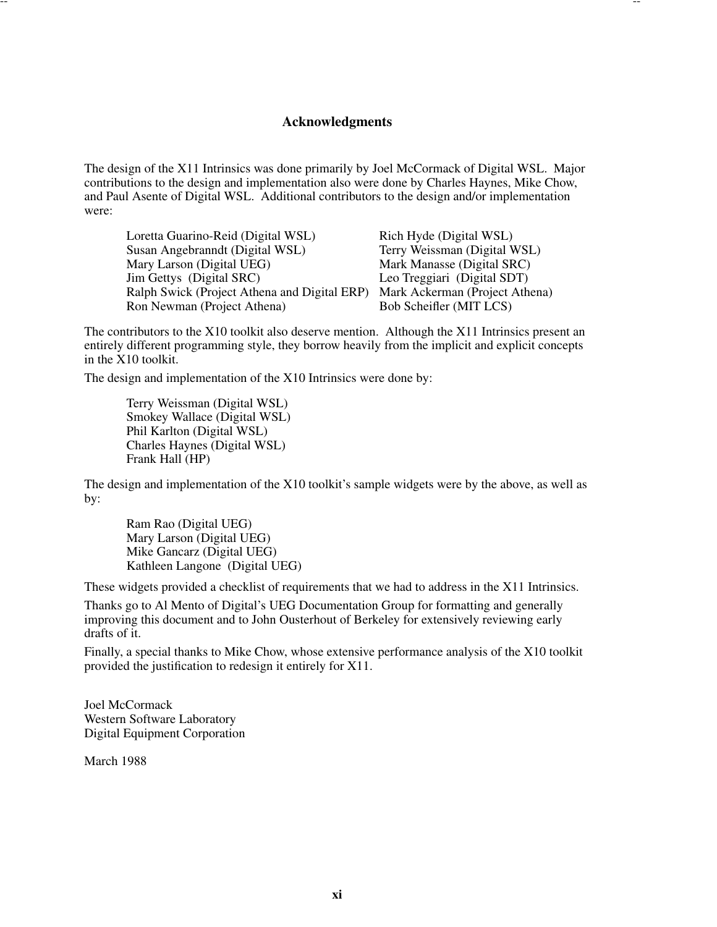## **Acknowledgments**

-- --

The design of the X11 Intrinsics was done primarily by Joel McCormack of Digital WSL. Major contributions to the design and implementation also were done by Charles Haynes, Mike Chow, and Paul Asente of Digital WSL. Additional contributors to the design and/or implementation were:

Loretta Guarino-Reid (Digital WSL) Rich Hyde (Digital WSL) Susan Angebranndt (Digital WSL) Terry Weissman (Digital WSL) Mary Larson (Digital UEG) Mark Manasse (Digital SRC) Jim Gettys (Digital SRC) Leo Treggiari (Digital SDT) Ralph Swick (Project Athena and Digital ERP) Mark Ackerman (Project Athena) Ron Newman (Project Athena) Bob Scheifler (MIT LCS)

The contributors to the X10 toolkit also deserve mention. Although the X11 Intrinsics present an entirely different programming style, they borrow heavily from the implicit and explicit concepts in the X10 toolkit.

The design and implementation of the X10 Intrinsics were done by:

Terry Weissman (Digital WSL) Smokey Wallace (Digital WSL) Phil Karlton (Digital WSL) Charles Haynes (Digital WSL) Frank Hall (HP)

The design and implementation of the X10 toolkit's sample widgets were by the above, as well as by:

Ram Rao (Digital UEG) Mary Larson (Digital UEG) Mike Gancarz (Digital UEG) Kathleen Langone (Digital UEG)

These widgets provided a checklist of requirements that we had to address in the X11 Intrinsics.

Thanks go to Al Mento of Digital's UEG Documentation Group for formatting and generally improving this document and to John Ousterhout of Berkeley for extensively reviewing early drafts of it.

Finally, a special thanks to Mike Chow, whose extensive performance analysis of the X10 toolkit provided the justification to redesign it entirely for X11.

Joel McCormack Western Software Laboratory Digital Equipment Corporation

March 1988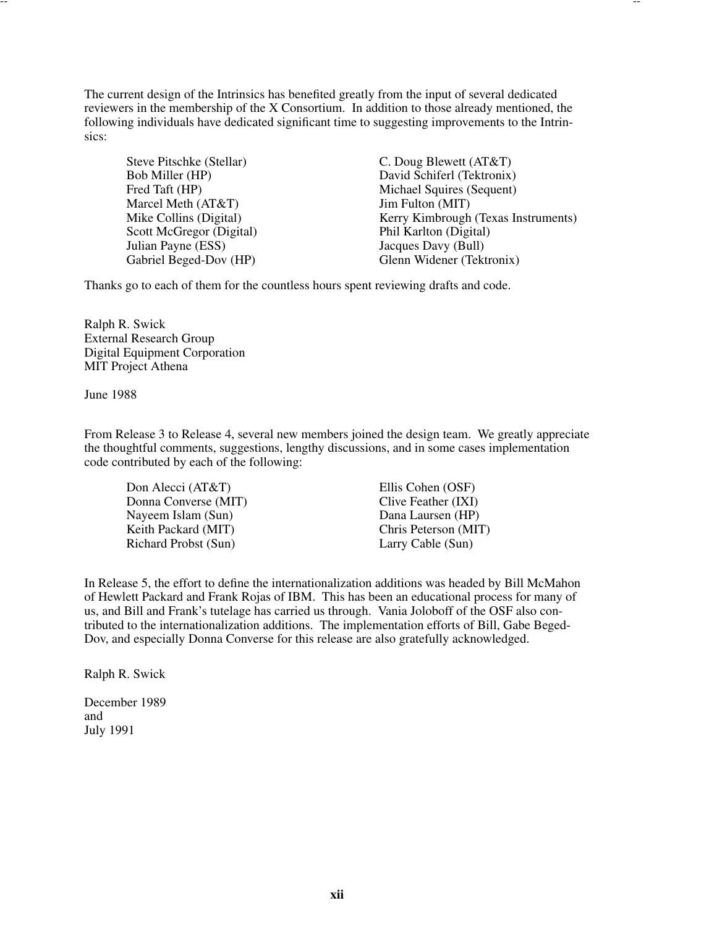The current design of the Intrinsics has benefited greatly from the input of several dedicated reviewers in the membership of the X Consortium. In addition to those already mentioned, the following individuals have dedicated significant time to suggesting improvements to the Intrinsics:

-- --

Marcel Meth (AT&T) Jim Fulton (MIT) Scott McGregor (Digital)<br>Julian Payne (ESS)

Steve Pitschke (Stellar) C. Doug Blewett (AT&T) Bob Miller (HP) David Schiferl (Tektronix)<br>Fred Taft (HP) Michael Squires (Sequent) Michael Squires (Sequent) Mike Collins (Digital)<br>
Scott McGregor (Digital)<br>
Phil Karlton (Digital) Jacques Davy (Bull) Gabriel Beged-Dov (HP) Glenn Widener (Tektronix)

Thanks go to each of them for the countless hours spent reviewing drafts and code.

Ralph R. Swick External Research Group Digital Equipment Corporation MIT Project Athena

June 1988

From Release 3 to Release 4, several new members joined the design team. We greatly appreciate the thoughtful comments, suggestions, lengthy discussions, and in some cases implementation code contributed by each of the following:

Don Alecci (AT&T) Ellis Cohen (OSF)<br>Donna Converse (MIT) Clive Feather (IXI) Donna Converse (MIT) Clive Feather (IXI)<br>Nayeem Islam (Sun) Dana Laursen (HP) Nayeem Islam (Sun)<br>Keith Packard (MIT) Richard Probst (Sun) Larry Cable (Sun)

Chris Peterson (MIT)

In Release 5, the effort to define the internationalization additions was headed by Bill McMahon of Hewlett Packard and Frank Rojas of IBM. This has been an educational process for many of us, and Bill and Frank's tutelage has carried us through. Vania Joloboff of the OSF also contributed to the internationalization additions. The implementation efforts of Bill, Gabe Beged-Dov, and especially Donna Converse for this release are also gratefully acknowledged.

Ralph R. Swick

December 1989 and July 1991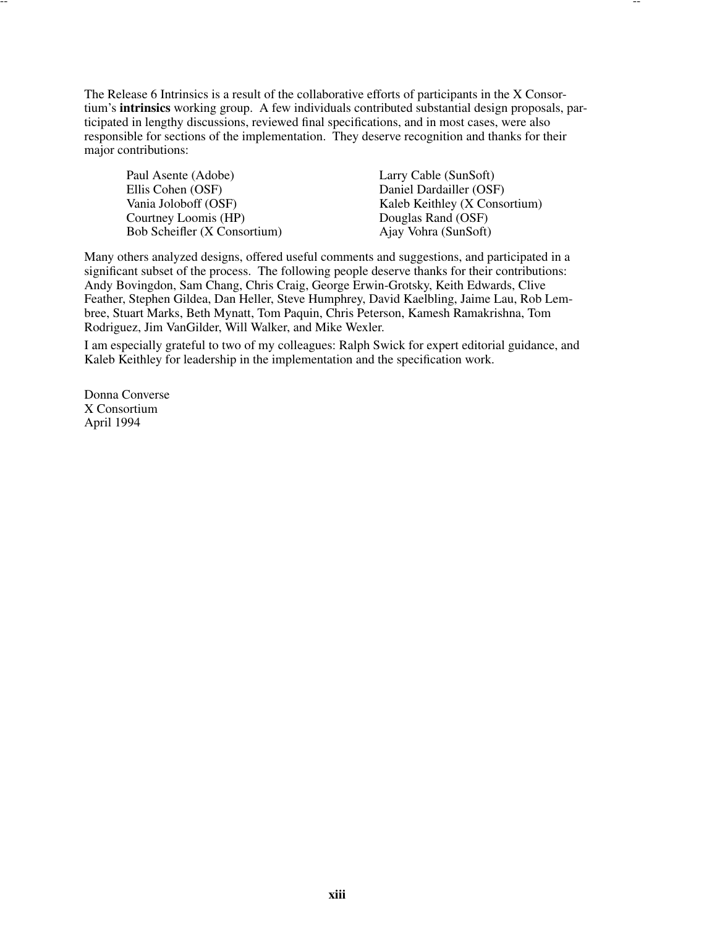The Release 6 Intrinsics is a result of the collaborative efforts of participants in the X Consortium's **intrinsics** working group. A few individuals contributed substantial design proposals, participated in lengthy discussions, reviewed final specifications, and in most cases, were also responsible for sections of the implementation. They deserve recognition and thanks for their major contributions:

-- --

Paul Asente (Adobe) Larry Cable (SunSoft) Ellis Cohen (OSF) Daniel Dardailler (OSF) Courtney Loomis (HP) Douglas Rand (OSF) Bob Scheifler (X Consortium) Ajay Vohra (SunSoft)

Vania Joloboff (OSF) Kaleb Keithley (X Consortium)

Many others analyzed designs, offered useful comments and suggestions, and participated in a significant subset of the process. The following people deserve thanks for their contributions: Andy Bovingdon, Sam Chang, Chris Craig, George Erwin-Grotsky, Keith Edwards, Clive Feather, Stephen Gildea, Dan Heller, Steve Humphrey, David Kaelbling, Jaime Lau, Rob Lembree, Stuart Marks, Beth Mynatt, Tom Paquin, Chris Peterson, Kamesh Ramakrishna, Tom Rodriguez, Jim VanGilder, Will Walker, and Mike Wexler.

I am especially grateful to two of my colleagues: Ralph Swick for expert editorial guidance, and Kaleb Keithley for leadership in the implementation and the specification work.

Donna Converse X Consortium April 1994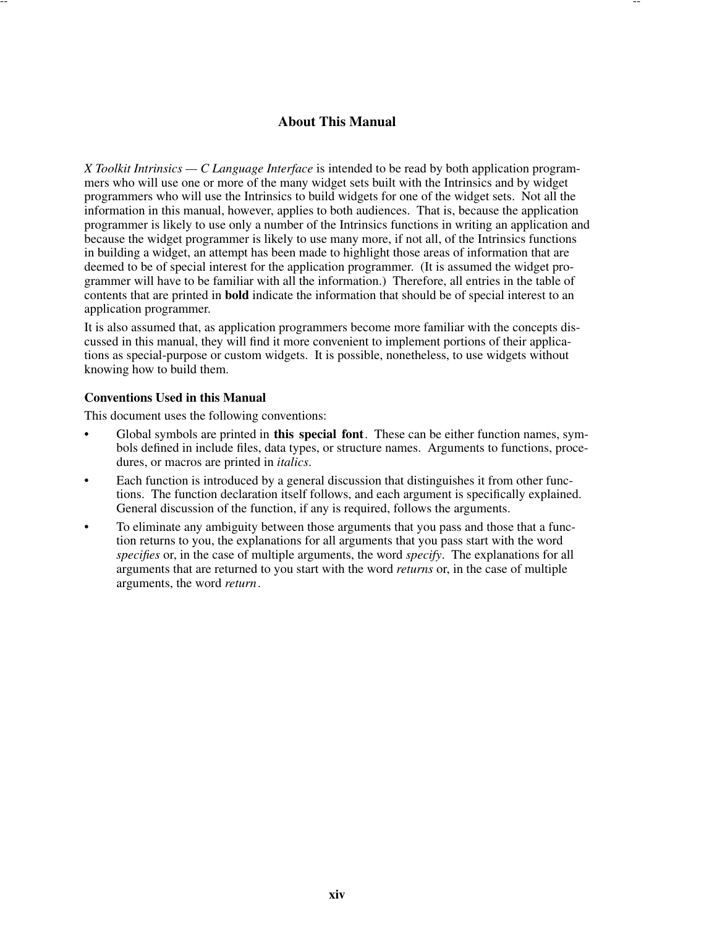## **About This Manual**

-- --

*X Toolkit Intrinsics — C Language Interface* is intended to be read by both application programmers who will use one or more of the many widget sets built with the Intrinsics and by widget programmers who will use the Intrinsics to build widgets for one of the widget sets. Not all the information in this manual, however, applies to both audiences. That is, because the application programmer is likely to use only a number of the Intrinsics functions in writing an application and because the widget programmer is likely to use many more, if not all, of the Intrinsics functions in building a widget, an attempt has been made to highlight those areas of information that are deemed to be of special interest for the application programmer. (It is assumed the widget programmer will have to be familiar with all the information.) Therefore, all entries in the table of contents that are printed in **bold** indicate the information that should be of special interest to an application programmer.

It is also assumed that, as application programmers become more familiar with the concepts discussed in this manual, they will find it more convenient to implement portions of their applications as special-purpose or custom widgets. It is possible, nonetheless, to use widgets without knowing how to build them.

## **Conventions Used in this Manual**

This document uses the following conventions:

- Global symbols are printed in **this special font**. These can be either function names, symbols defined in include files, data types, or structure names. Arguments to functions, procedures, or macros are printed in *italics*.
- Each function is introduced by a general discussion that distinguishes it from other functions. The function declaration itself follows, and each argument is specifically explained. General discussion of the function, if any is required, follows the arguments.
- To eliminate any ambiguity between those arguments that you pass and those that a function returns to you, the explanations for all arguments that you pass start with the word *specifies* or, in the case of multiple arguments, the word *specify*. The explanations for all arguments that are returned to you start with the word *returns* or, in the case of multiple arguments, the word *return*.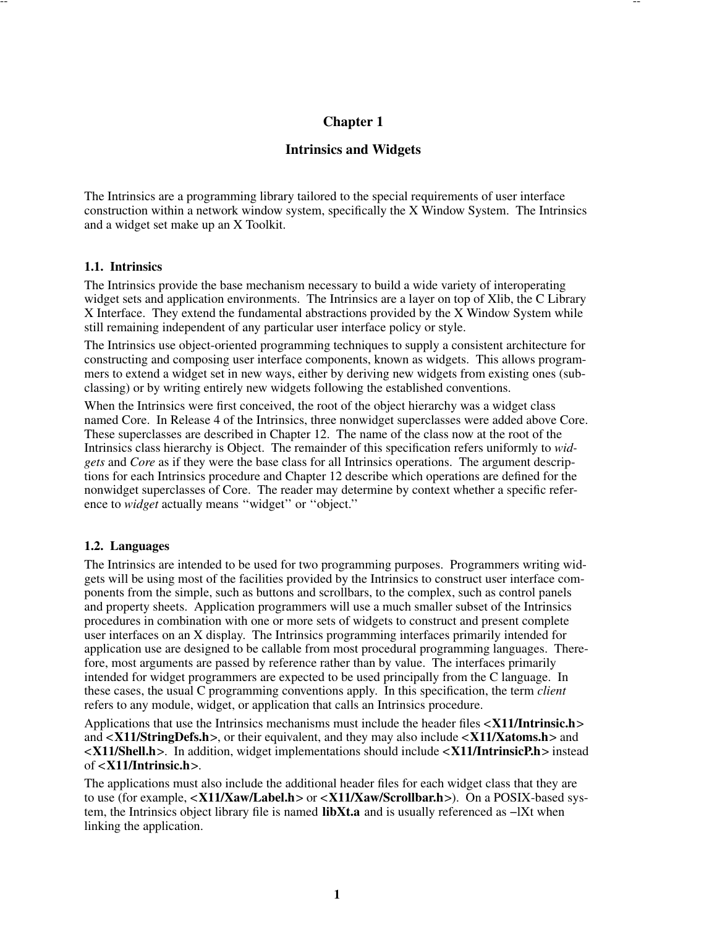## **Chapter 1**

-- --

## **Intrinsics and Widgets**

The Intrinsics are a programming library tailored to the special requirements of user interface construction within a network window system, specifically the X Window System. The Intrinsics and a widget set make up an X Toolkit.

## **1.1. Intrinsics**

The Intrinsics provide the base mechanism necessary to build a wide variety of interoperating widget sets and application environments. The Intrinsics are a layer on top of Xlib, the C Library X Interface. They extend the fundamental abstractions provided by the X Window System while still remaining independent of any particular user interface policy or style.

The Intrinsics use object-oriented programming techniques to supply a consistent architecture for constructing and composing user interface components, known as widgets. This allows programmers to extend a widget set in new ways, either by deriving new widgets from existing ones (subclassing) or by writing entirely new widgets following the established conventions.

When the Intrinsics were first conceived, the root of the object hierarchy was a widget class named Core. In Release 4 of the Intrinsics, three nonwidget superclasses were added above Core. These superclasses are described in Chapter 12. The name of the class now at the root of the Intrinsics class hierarchy is Object. The remainder of this specification refers uniformly to *widgets* and *Core* as if they were the base class for all Intrinsics operations. The argument descriptions for each Intrinsics procedure and Chapter 12 describe which operations are defined for the nonwidget superclasses of Core. The reader may determine by context whether a specific reference to *widget* actually means ''widget'' or ''object.''

#### **1.2. Languages**

The Intrinsics are intended to be used for two programming purposes. Programmers writing widgets will be using most of the facilities provided by the Intrinsics to construct user interface components from the simple, such as buttons and scrollbars, to the complex, such as control panels and property sheets. Application programmers will use a much smaller subset of the Intrinsics procedures in combination with one or more sets of widgets to construct and present complete user interfaces on an X display. The Intrinsics programming interfaces primarily intended for application use are designed to be callable from most procedural programming languages. Therefore, most arguments are passed by reference rather than by value. The interfaces primarily intended for widget programmers are expected to be used principally from the C language. In these cases, the usual C programming conventions apply. In this specification, the term *client* refers to any module, widget, or application that calls an Intrinsics procedure.

Applications that use the Intrinsics mechanisms must include the header files <**X11/Intrinsic.h**> and <**X11/StringDefs.h**>, or their equivalent, and they may also include <**X11/Xatoms.h**> and <**X11/Shell.h**>. In addition, widget implementations should include <**X11/IntrinsicP.h**> instead of <**X11/Intrinsic.h**>.

The applications must also include the additional header files for each widget class that they are to use (for example, <**X11/Xaw/Label.h**> or <**X11/Xaw/Scrollbar.h**>). On a POSIX-based system, the Intrinsics object library file is named **libXt.a** and is usually referenced as −lXt when linking the application.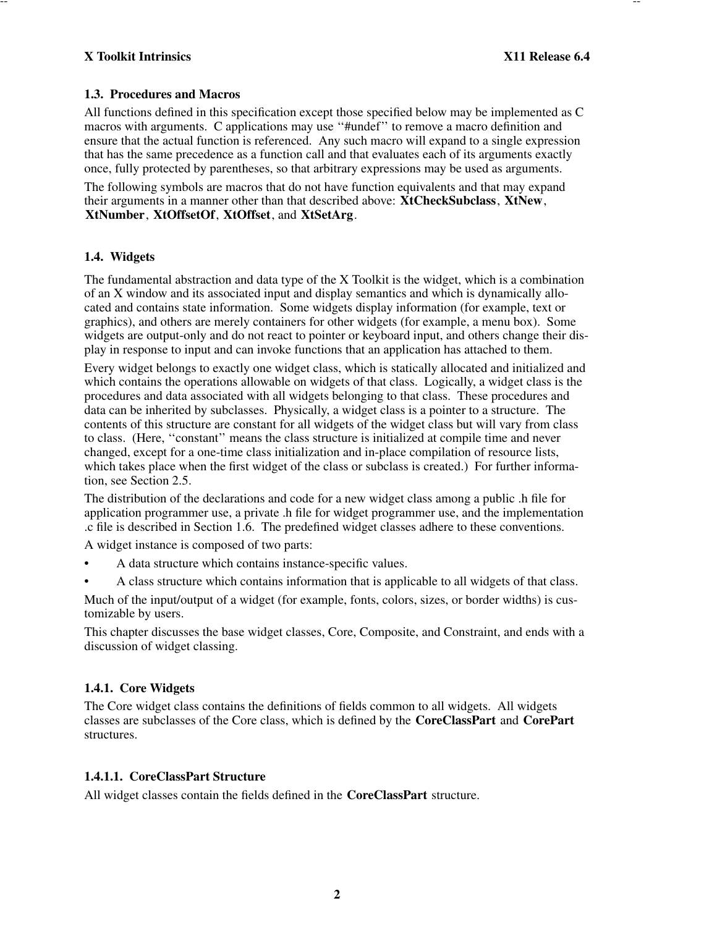## **1.3. Procedures and Macros**

All functions defined in this specification except those specified below may be implemented as C macros with arguments. C applications may use ''#undef '' to remove a macro definition and ensure that the actual function is referenced. Any such macro will expand to a single expression that has the same precedence as a function call and that evaluates each of its arguments exactly once, fully protected by parentheses, so that arbitrary expressions may be used as arguments.

-- --

The following symbols are macros that do not have function equivalents and that may expand their arguments in a manner other than that described above: **XtCheckSubclass**, **XtNew**, **XtNumber**, **XtOffsetOf**, **XtOffset**, and **XtSetArg**.

## **1.4. Widgets**

The fundamental abstraction and data type of the X Toolkit is the widget, which is a combination of an X window and its associated input and display semantics and which is dynamically allocated and contains state information. Some widgets display information (for example, text or graphics), and others are merely containers for other widgets (for example, a menu box). Some widgets are output-only and do not react to pointer or keyboard input, and others change their display in response to input and can invoke functions that an application has attached to them.

Every widget belongs to exactly one widget class, which is statically allocated and initialized and which contains the operations allowable on widgets of that class. Logically, a widget class is the procedures and data associated with all widgets belonging to that class. These procedures and data can be inherited by subclasses. Physically, a widget class is a pointer to a structure. The contents of this structure are constant for all widgets of the widget class but will vary from class to class. (Here, ''constant'' means the class structure is initialized at compile time and never changed, except for a one-time class initialization and in-place compilation of resource lists, which takes place when the first widget of the class or subclass is created.) For further information, see Section 2.5.

The distribution of the declarations and code for a new widget class among a public .h file for application programmer use, a private .h file for widget programmer use, and the implementation .c file is described in Section 1.6. The predefined widget classes adhere to these conventions.

A widget instance is composed of two parts:

- A data structure which contains instance-specific values.
- A class structure which contains information that is applicable to all widgets of that class.

Much of the input/output of a widget (for example, fonts, colors, sizes, or border widths) is customizable by users.

This chapter discusses the base widget classes, Core, Composite, and Constraint, and ends with a discussion of widget classing.

#### **1.4.1. Core Widgets**

The Core widget class contains the definitions of fields common to all widgets. All widgets classes are subclasses of the Core class, which is defined by the **CoreClassPart** and **CorePart** structures.

#### **1.4.1.1. CoreClassPart Structure**

All widget classes contain the fields defined in the **CoreClassPart** structure.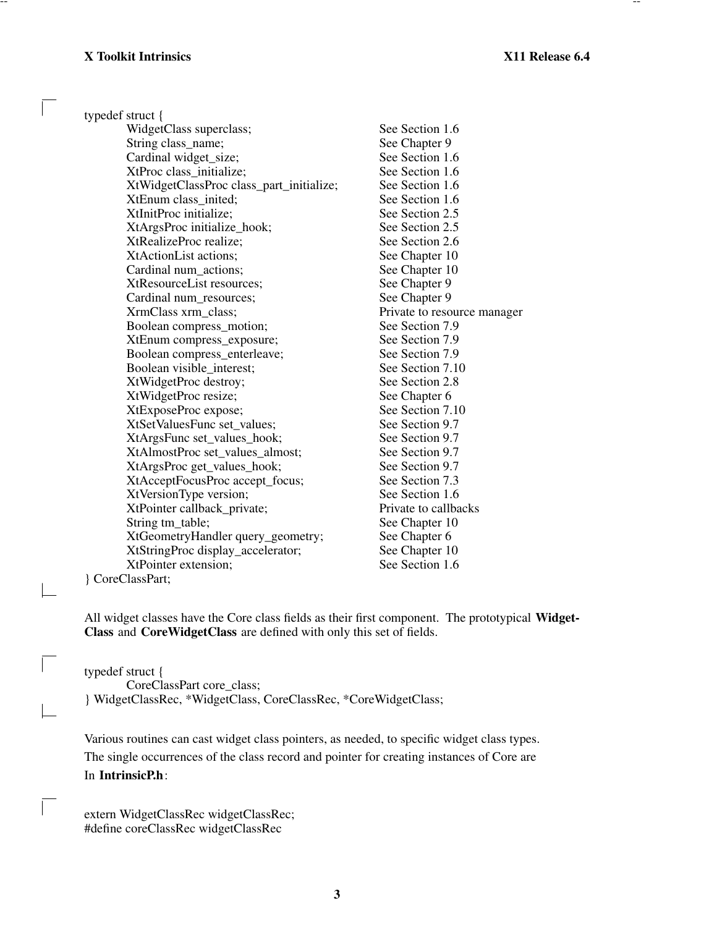$\mathbf{I}$ 

typedef struct { WidgetClass superclass; See Section 1.6 String class name; See Chapter 9 Cardinal widget size; See Section 1.6 XtProc class\_initialize; See Section 1.6 XtWidgetClassProc class\_part\_initialize; See Section 1.6 XtEnum class\_inited; See Section 1.6 XtInitProc initialize; See Section 2.5 XtArgsProc initialize hook; See Section 2.5 XtRealizeProc realize; See Section 2.6 XtActionList actions; See Chapter 10 Cardinal num\_actions; See Chapter 10 XtResourceList resources; See Chapter 9 Cardinal num resources; See Chapter 9 XrmClass xrm class; Private to resource manager Boolean compress\_motion; See Section 7.9 XtEnum compress\_exposure; See Section 7.9 Boolean compress\_enterleave; See Section 7.9 Boolean visible interest; See Section 7.10 XtWidgetProc destroy; See Section 2.8 XtWidgetProc resize; See Chapter 6 XtExposeProc expose; See Section 7.10 XtSetValuesFunc set\_values; See Section 9.7 XtArgsFunc set values hook; See Section 9.7 XtAlmostProc set\_values\_almost; See Section 9.7 XtArgsProc get values hook; See Section 9.7 XtAcceptFocusProc accept\_focus; See Section 7.3 XtVersionType version; See Section 1.6 XtPointer callback\_private; Private to callbacks String tm\_table; See Chapter 10 XtGeometryHandler query geometry; See Chapter 6 XtStringProc display\_accelerator; See Chapter 10 XtPointer extension; See Section 1.6

} CoreClassPart;

All widget classes have the Core class fields as their first component. The prototypical **Widget-Class** and **CoreWidgetClass** are defined with only this set of fields.

-- --

typedef struct { CoreClassPart core\_class; } WidgetClassRec, \*WidgetClass, CoreClassRec, \*CoreWidgetClass;

Various routines can cast widget class pointers, as needed, to specific widget class types. The single occurrences of the class record and pointer for creating instances of Core are In **IntrinsicP.h**:

extern WidgetClassRec widgetClassRec; #define coreClassRec widgetClassRec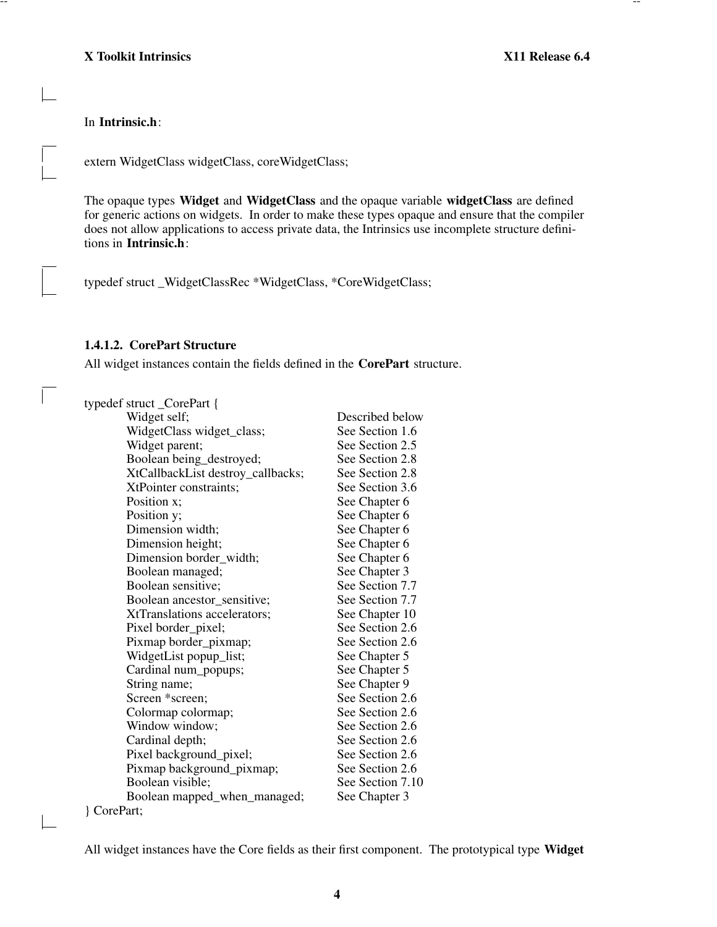In **Intrinsic.h**:

extern WidgetClass widgetClass, coreWidgetClass;

The opaque types **Widget** and **WidgetClass** and the opaque variable **widgetClass** are defined for generic actions on widgets. In order to make these types opaque and ensure that the compiler does not allow applications to access private data, the Intrinsics use incomplete structure definitions in **Intrinsic.h**:

-- --

typedef struct \_WidgetClassRec \*WidgetClass, \*CoreWidgetClass;

## **1.4.1.2. CorePart Structure**

 $\overline{\Gamma}$ 

All widget instances contain the fields defined in the **CorePart** structure.

| typedef struct _CorePart {        |                  |
|-----------------------------------|------------------|
| Widget self;                      | Described below  |
| WidgetClass widget_class;         | See Section 1.6  |
| Widget parent;                    | See Section 2.5  |
| Boolean being_destroyed;          | See Section 2.8  |
| XtCallbackList destroy_callbacks; | See Section 2.8  |
| XtPointer constraints;            | See Section 3.6  |
| Position x;                       | See Chapter 6    |
| Position y;                       | See Chapter 6    |
| Dimension width;                  | See Chapter 6    |
| Dimension height;                 | See Chapter 6    |
| Dimension border_width;           | See Chapter 6    |
| Boolean managed;                  | See Chapter 3    |
| Boolean sensitive;                | See Section 7.7  |
| Boolean ancestor_sensitive;       | See Section 7.7  |
| XtTranslations accelerators;      | See Chapter 10   |
| Pixel border_pixel;               | See Section 2.6  |
| Pixmap border_pixmap;             | See Section 2.6  |
| WidgetList popup_list;            | See Chapter 5    |
| Cardinal num_popups;              | See Chapter 5    |
| String name;                      | See Chapter 9    |
| Screen *screen;                   | See Section 2.6  |
| Colormap colormap;                | See Section 2.6  |
| Window window;                    | See Section 2.6  |
| Cardinal depth;                   | See Section 2.6  |
| Pixel background_pixel;           | See Section 2.6  |
| Pixmap background_pixmap;         | See Section 2.6  |
| Boolean visible;                  | See Section 7.10 |
| Boolean mapped_when_managed;      | See Chapter 3    |
| $\int$ CorePart                   |                  |

} CorePart;

All widget instances have the Core fields as their first component. The prototypical type **Widget**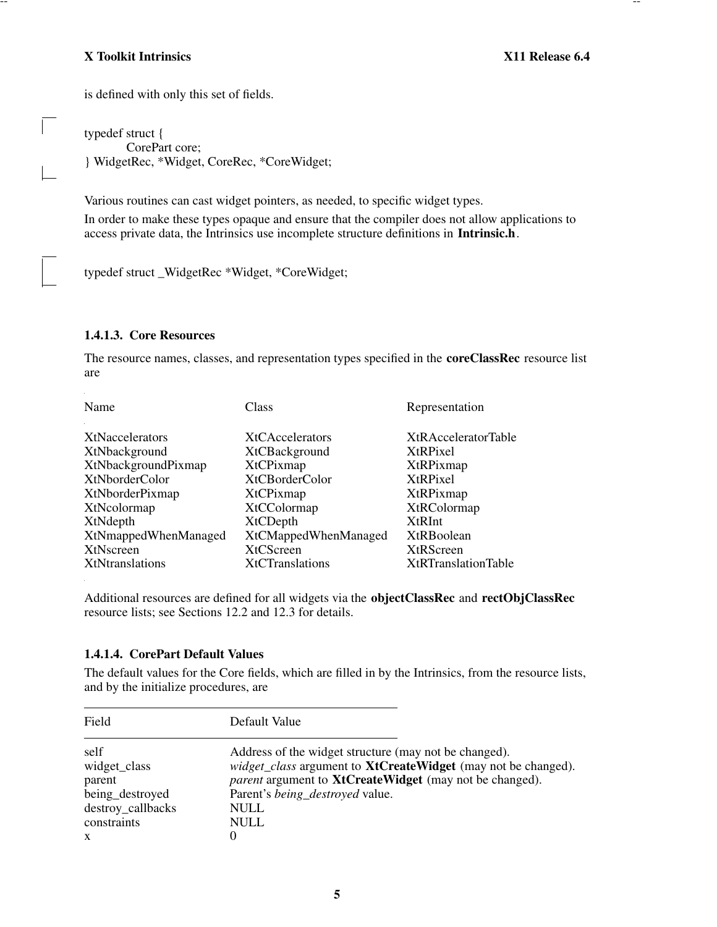L

is defined with only this set of fields.

typedef struct { CorePart core; } WidgetRec, \*Widget, CoreRec, \*CoreWidget;

Various routines can cast widget pointers, as needed, to specific widget types. In order to make these types opaque and ensure that the compiler does not allow applications to access private data, the Intrinsics use incomplete structure definitions in **Intrinsic.h**.

-- --

typedef struct \_WidgetRec \*Widget, \*CoreWidget;

## **1.4.1.3. Core Resources**

The resource names, classes, and representation types specified in the **coreClassRec** resource list are

| Name                   | Class                  | Representation             |
|------------------------|------------------------|----------------------------|
| <b>XtNaccelerators</b> | <b>XtCAccelerators</b> | <b>XtRAcceleratorTable</b> |
| XtNbackground          | XtCBackground          | <b>XtRPixel</b>            |
| XtNbackgroundPixmap    | XtCPixmap              | XtRPixmap                  |
| <b>XtNborderColor</b>  | XtCBorderColor         | <b>XtRPixel</b>            |
| XtNborderPixmap        | XtCPixmap              | XtRPixmap                  |
| XtNcolormap            | XtCColormap            | XtRColormap                |
| XtNdepth               | XtCDepth               | <b>XtRInt</b>              |
| XtNmappedWhenManaged   | XtCMappedWhenManaged   | XtRBoolean                 |
| <b>XtNscreen</b>       | <b>XtCScreen</b>       | <b>XtRScreen</b>           |
| <b>XtNtranslations</b> | XtCTranslations        | <b>XtRTranslationTable</b> |

Additional resources are defined for all widgets via the **objectClassRec** and **rectObjClassRec** resource lists; see Sections 12.2 and 12.3 for details.

## **1.4.1.4. CorePart Default Values**

The default values for the Core fields, which are filled in by the Intrinsics, from the resource lists, and by the initialize procedures, are

| Field             | Default Value                                                               |
|-------------------|-----------------------------------------------------------------------------|
| self              | Address of the widget structure (may not be changed).                       |
| widget_class      | <i>widget_class</i> argument to <b>XtCreateWidget</b> (may not be changed). |
| parent            | <i>parent</i> argument to <b>XtCreateWidget</b> (may not be changed).       |
| being_destroyed   | Parent's <i>being_destroyed</i> value.                                      |
| destroy_callbacks | <b>NULL</b>                                                                 |
| constraints       | <b>NULL</b>                                                                 |
| X                 | $\theta$                                                                    |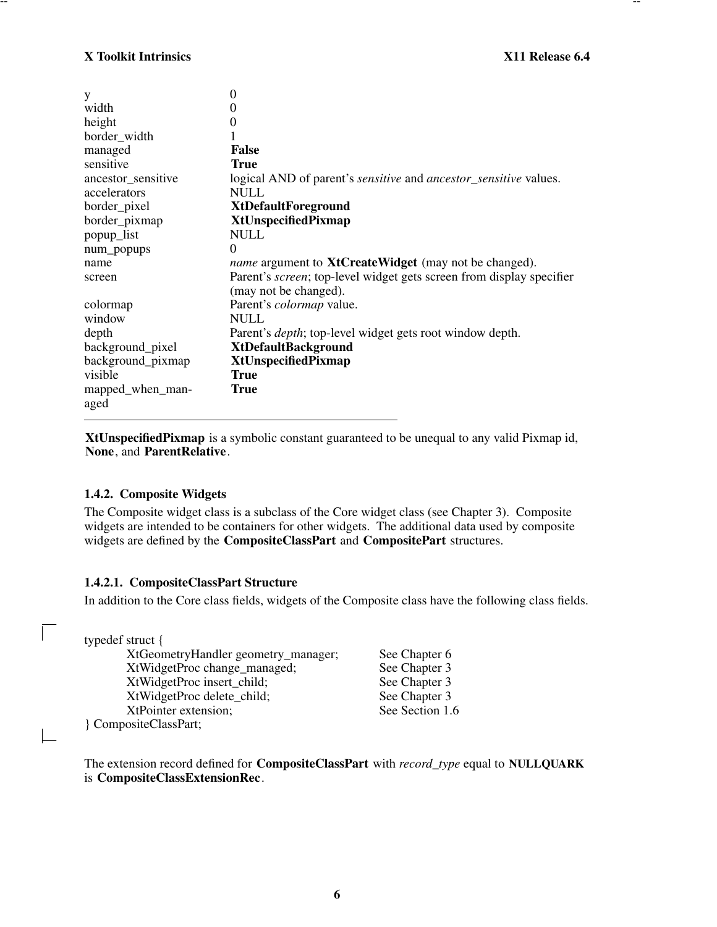| y                  | $\theta$                                                                       |
|--------------------|--------------------------------------------------------------------------------|
| width              | 0                                                                              |
| height             | $\theta$                                                                       |
| border_width       |                                                                                |
| managed            | <b>False</b>                                                                   |
| sensitive          | <b>True</b>                                                                    |
| ancestor_sensitive | logical AND of parent's <i>sensitive</i> and <i>ancestor_sensitive</i> values. |
| accelerators       | <b>NULL</b>                                                                    |
| border_pixel       | <b>XtDefaultForeground</b>                                                     |
| border_pixmap      | <b>XtUnspecifiedPixmap</b>                                                     |
| popup_list         | <b>NULL</b>                                                                    |
| num_popups         | $\Omega$                                                                       |
| name               | <i>name</i> argument to <b>XtCreateWidget</b> (may not be changed).            |
| screen             | Parent's <i>screen</i> ; top-level widget gets screen from display specifier   |
|                    | (may not be changed).                                                          |
| colormap           | Parent's <i>colormap</i> value.                                                |
| window             | <b>NULL</b>                                                                    |
| depth              | Parent's <i>depth</i> ; top-level widget gets root window depth.               |
| background_pixel   | <b>XtDefaultBackground</b>                                                     |
| background_pixmap  | <b>XtUnspecifiedPixmap</b>                                                     |
| visible            | <b>True</b>                                                                    |
| mapped_when_man-   | <b>True</b>                                                                    |
| aged               |                                                                                |

-- --

**XtUnspecifiedPixmap** is a symbolic constant guaranteed to be unequal to any valid Pixmap id, **None**, and **ParentRelative**.

## **1.4.2. Composite Widgets**

 $\mathbf{L}$ 

 $\overline{\phantom{a}}$ 

The Composite widget class is a subclass of the Core widget class (see Chapter 3). Composite widgets are intended to be containers for other widgets. The additional data used by composite widgets are defined by the **CompositeClassPart** and **CompositePart** structures.

## **1.4.2.1. CompositeClassPart Structure**

In addition to the Core class fields, widgets of the Composite class have the following class fields.

| typedef struct {                    |                 |
|-------------------------------------|-----------------|
| XtGeometryHandler geometry_manager; | See Chapter 6   |
| XtWidgetProc change_managed;        | See Chapter 3   |
| XtWidgetProc insert_child;          | See Chapter 3   |
| XtWidgetProc delete_child;          | See Chapter 3   |
| XtPointer extension;                | See Section 1.6 |
| CompositeClassPart;                 |                 |

The extension record defined for **CompositeClassPart** with *record\_type* equal to **NULLQUARK** is **CompositeClassExtensionRec**.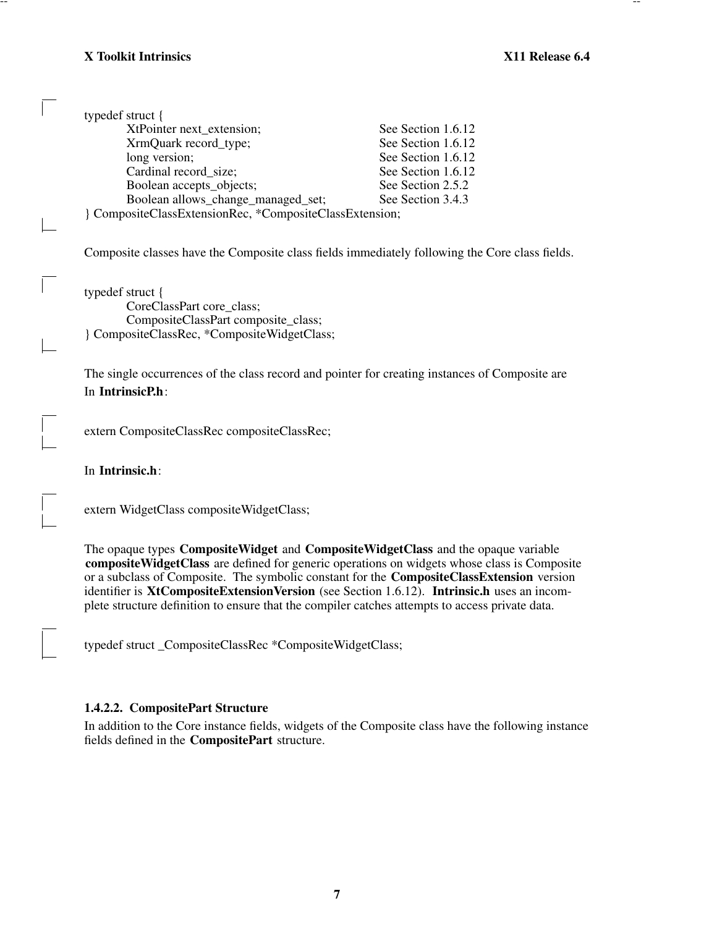$\overline{\Box}$ 

 $\overline{\phantom{a}}$ 

 $\overline{\Gamma}$ 

 $\boxed{\phantom{1}}$ 

 $\overline{\mathbb{L}}$ 

 $\overline{\overline{L}}$ 

 $\Box$ 

| typedef struct {                                                                                |                    |
|-------------------------------------------------------------------------------------------------|--------------------|
| XtPointer next_extension;                                                                       | See Section 1.6.12 |
| XrmQuark record_type;                                                                           | See Section 1.6.12 |
| long version;                                                                                   | See Section 1.6.12 |
| Cardinal record_size;                                                                           | See Section 1.6.12 |
| Boolean accepts_objects;                                                                        | See Section 2.5.2  |
| Boolean allows_change_managed_set;                                                              | See Section 3.4.3  |
| } CompositeClassExtensionRec, *CompositeClassExtension;                                         |                    |
| Composite classes have the Composite class fields immediately following the Core class fields.  |                    |
| typedef struct {                                                                                |                    |
| CoreClassPart core_class;                                                                       |                    |
| CompositeClassPart composite_class;                                                             |                    |
| } CompositeClassRec, *CompositeWidgetClass;                                                     |                    |
|                                                                                                 |                    |
| The single occurrences of the class record and pointer for creating instances of Composite are  |                    |
| In IntrinsicP.h:                                                                                |                    |
| extern CompositeClassRec compositeClassRec;                                                     |                    |
|                                                                                                 |                    |
| In Intrinsic.h:                                                                                 |                    |
|                                                                                                 |                    |
| extern WidgetClass compositeWidgetClass;                                                        |                    |
|                                                                                                 |                    |
| The opaque types Composite Widget and Composite Widget Class and the opaque variable            |                    |
| composite WidgetClass are defined for generic operations on widgets whose class is Composite    |                    |
| or a subclass of Composite. The symbolic constant for the CompositeClassExtension version       |                    |
| identifier is XtCompositeExtensionVersion (see Section 1.6.12). Intrinsic.h uses an incom-      |                    |
| plete structure definition to ensure that the compiler catches attempts to access private data. |                    |
|                                                                                                 |                    |
| typedef struct_CompositeClassRec *CompositeWidgetClass;                                         |                    |
|                                                                                                 |                    |

-- --

## **1.4.2.2. CompositePart Structure**

In addition to the Core instance fields, widgets of the Composite class have the following instance fields defined in the **CompositePart** structure.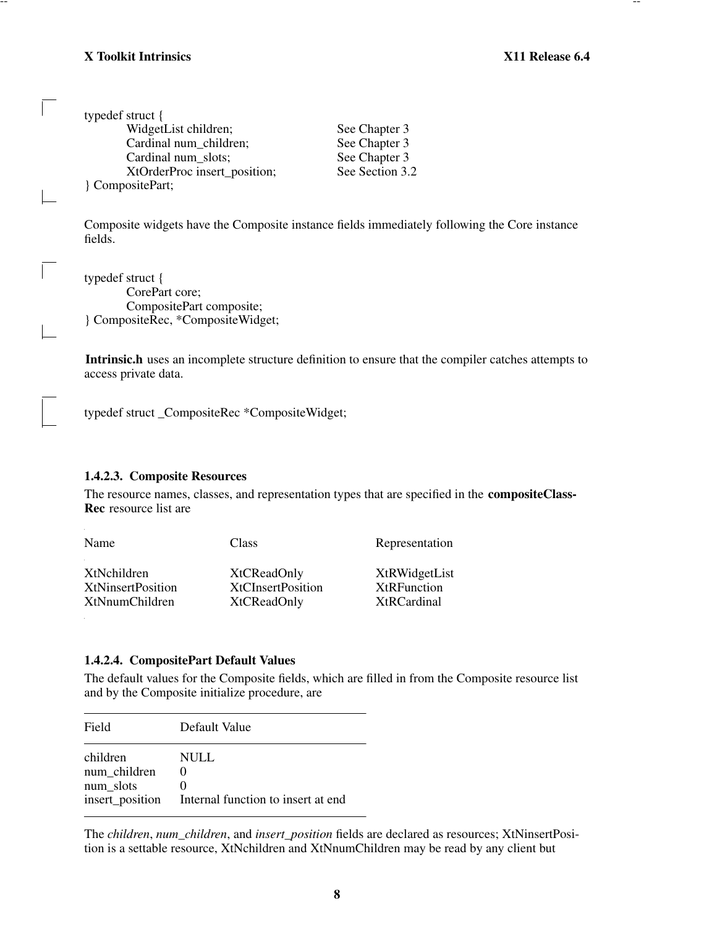$\mathbf{L}$ 

| typedef struct {             |                 |
|------------------------------|-----------------|
| WidgetList children;         | See Chapter 3   |
| Cardinal num children;       | See Chapter 3   |
| Cardinal num slots;          | See Chapter 3   |
| XtOrderProc insert_position; | See Section 3.2 |
| CompositePart;               |                 |

Composite widgets have the Composite instance fields immediately following the Core instance fields.

-- --

typedef struct { CorePart core; CompositePart composite; } CompositeRec, \*CompositeWidget;

**Intrinsic.h** uses an incomplete structure definition to ensure that the compiler catches attempts to access private data.

typedef struct \_CompositeRec \*CompositeWidget;

## **1.4.2.3. Composite Resources**

The resource names, classes, and representation types that are specified in the **compositeClass-Rec** resource list are

| Name                     | Class                    | Representation     |
|--------------------------|--------------------------|--------------------|
| <b>XtNchildren</b>       | <b>XtCReadOnly</b>       | XtRWidgetList      |
| <b>XtNinsertPosition</b> | <b>XtCInsertPosition</b> | <b>XtRFunction</b> |
| XtNnumChildren           | <b>XtCReadOnly</b>       | XtRCardinal        |

#### **1.4.2.4. CompositePart Default Values**

The default values for the Composite fields, which are filled in from the Composite resource list and by the Composite initialize procedure, are

| Field                                 | Default Value                                                                      |
|---------------------------------------|------------------------------------------------------------------------------------|
| children<br>num children<br>num slots | <b>NULL</b><br>$\theta$<br>0<br>insert_position Internal function to insert at end |

The *children*, *num\_children*, and *insert\_position* fields are declared as resources; XtNinsertPosition is a settable resource, XtNchildren and XtNnumChildren may be read by any client but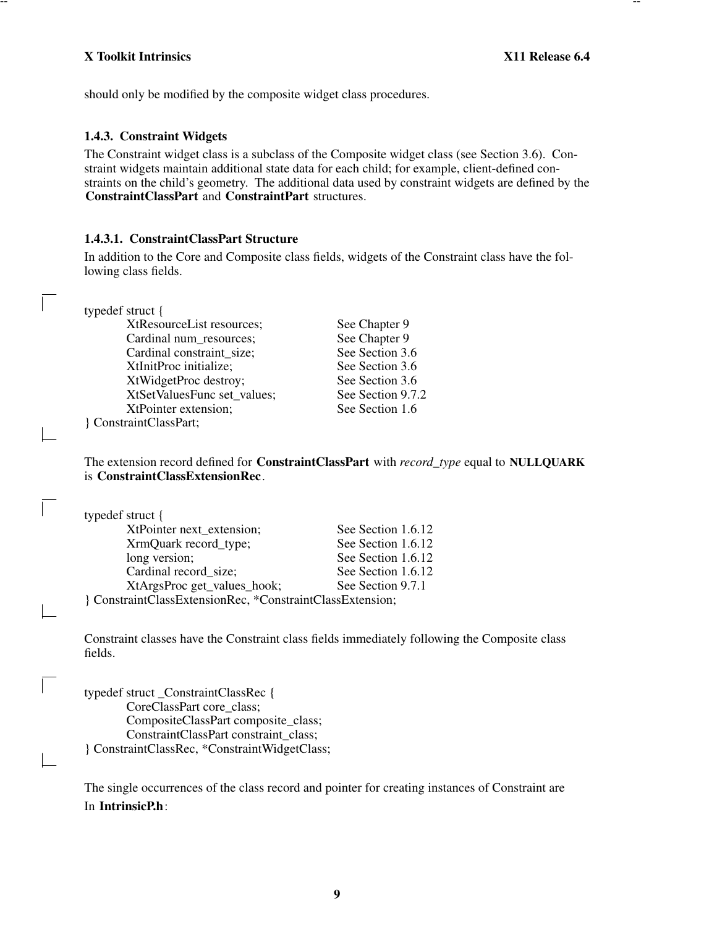should only be modified by the composite widget class procedures.

#### **1.4.3. Constraint Widgets**

The Constraint widget class is a subclass of the Composite widget class (see Section 3.6). Constraint widgets maintain additional state data for each child; for example, client-defined constraints on the child's geometry. The additional data used by constraint widgets are defined by the **ConstraintClassPart** and **ConstraintPart** structures.

-- --

## **1.4.3.1. ConstraintClassPart Structure**

In addition to the Core and Composite class fields, widgets of the Constraint class have the following class fields.

| typedef struct {            |                   |
|-----------------------------|-------------------|
| XtResourceList resources;   | See Chapter 9     |
| Cardinal num resources;     | See Chapter 9     |
| Cardinal constraint_size;   | See Section 3.6   |
| XtInitProc initialize;      | See Section 3.6   |
| XtWidgetProc destroy;       | See Section 3.6   |
| XtSetValuesFunc set_values; | See Section 9.7.2 |
| XtPointer extension;        | See Section 1.6   |
| { ConstraintClassPart;      |                   |

The extension record defined for **ConstraintClassPart** with *record\_type* equal to **NULLQUARK** is **ConstraintClassExtensionRec**.

| typedef struct {                                          |                    |
|-----------------------------------------------------------|--------------------|
| XtPointer next_extension;                                 | See Section 1.6.12 |
| XrmQuark record_type;                                     | See Section 1.6.12 |
| long version;                                             | See Section 1.6.12 |
| Cardinal record_size;                                     | See Section 1.6.12 |
| XtArgsProc get_values_hook;                               | See Section 9.7.1  |
| } ConstraintClassExtensionRec, *ConstraintClassExtension; |                    |

Constraint classes have the Constraint class fields immediately following the Composite class fields.

typedef struct \_ConstraintClassRec { CoreClassPart core\_class; CompositeClassPart composite\_class; ConstraintClassPart constraint\_class; } ConstraintClassRec, \*ConstraintWidgetClass;

The single occurrences of the class record and pointer for creating instances of Constraint are In **IntrinsicP.h**: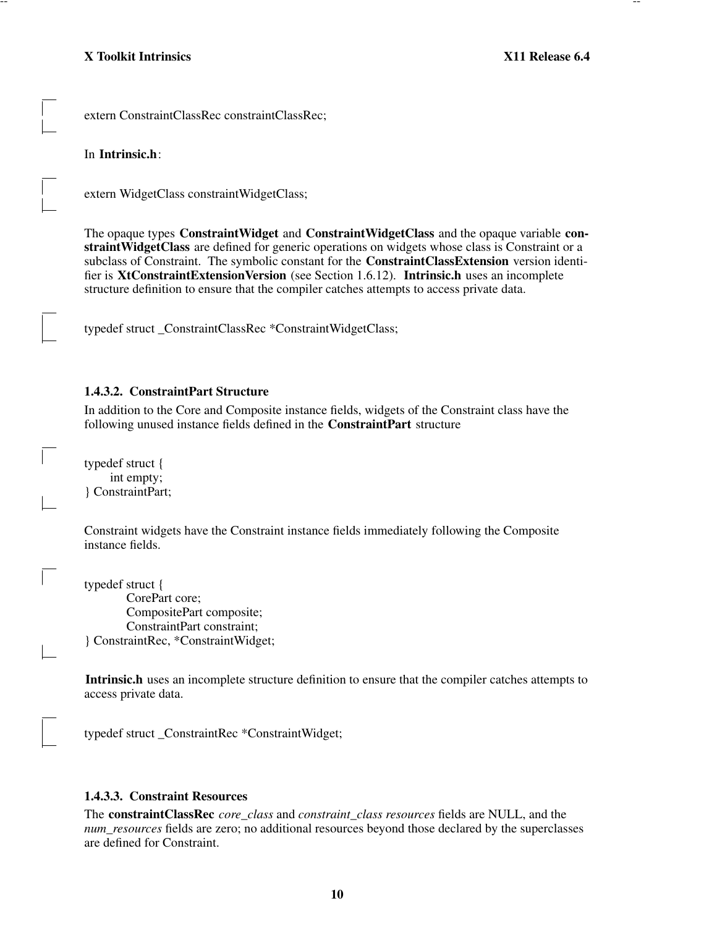In **Intrinsic.h**:

extern WidgetClass constraintWidgetClass;

The opaque types **ConstraintWidget** and **ConstraintWidgetClass** and the opaque variable **constraintWidgetClass** are defined for generic operations on widgets whose class is Constraint or a subclass of Constraint. The symbolic constant for the **ConstraintClassExtension** version identifier is **XtConstraintExtensionVersion** (see Section 1.6.12). **Intrinsic.h** uses an incomplete structure definition to ensure that the compiler catches attempts to access private data.

-- --

typedef struct \_ConstraintClassRec \*ConstraintWidgetClass;

## **1.4.3.2. ConstraintPart Structure**

In addition to the Core and Composite instance fields, widgets of the Constraint class have the following unused instance fields defined in the **ConstraintPart** structure

typedef struct { int empty; } ConstraintPart;

Constraint widgets have the Constraint instance fields immediately following the Composite instance fields.

typedef struct { CorePart core; CompositePart composite; ConstraintPart constraint; } ConstraintRec, \*ConstraintWidget;

**Intrinsic.h** uses an incomplete structure definition to ensure that the compiler catches attempts to access private data.

typedef struct \_ConstraintRec \*ConstraintWidget;

#### **1.4.3.3. Constraint Resources**

The **constraintClassRec** *core\_class* and *constraint\_class resources* fields are NULL, and the *num\_resources* fields are zero; no additional resources beyond those declared by the superclasses are defined for Constraint.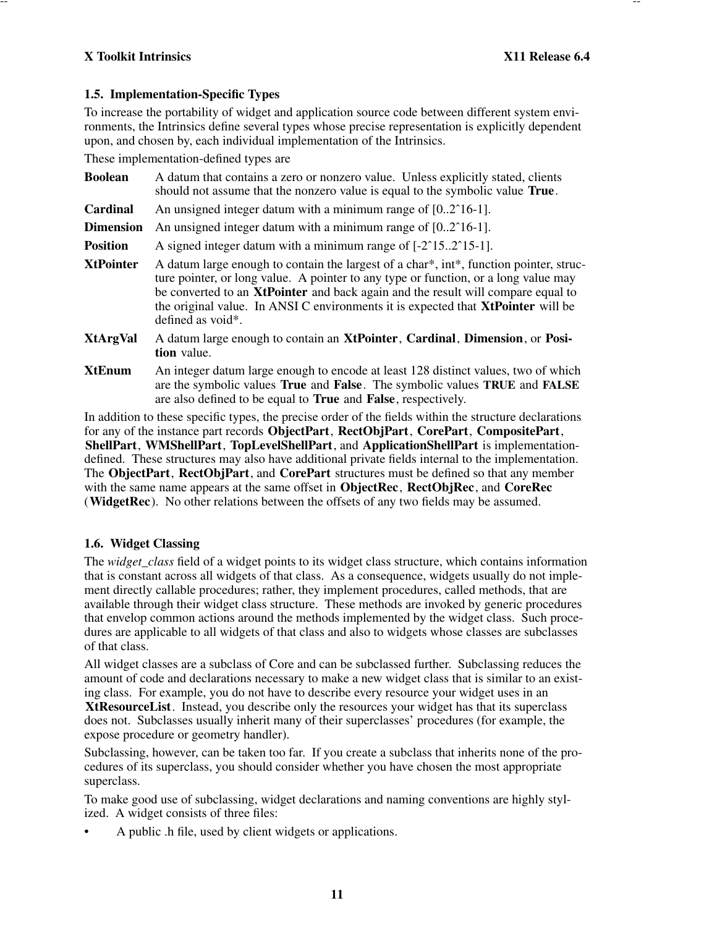## **1.5. Implementation-Specific Types**

To increase the portability of widget and application source code between different system environments, the Intrinsics define several types whose precise representation is explicitly dependent upon, and chosen by, each individual implementation of the Intrinsics.

-- --

These implementation-defined types are

| <b>Boolean</b>   | A datum that contains a zero or nonzero value. Unless explicitly stated, clients<br>should not assume that the nonzero value is equal to the symbolic value True.                                                                                                                                                                                                                                                  |
|------------------|--------------------------------------------------------------------------------------------------------------------------------------------------------------------------------------------------------------------------------------------------------------------------------------------------------------------------------------------------------------------------------------------------------------------|
| <b>Cardinal</b>  | An unsigned integer datum with a minimum range of $[02^16-1]$ .                                                                                                                                                                                                                                                                                                                                                    |
| <b>Dimension</b> | An unsigned integer datum with a minimum range of $[02^16-1]$ .                                                                                                                                                                                                                                                                                                                                                    |
| <b>Position</b>  | A signed integer datum with a minimum range of $[-2^152^15-1]$ .                                                                                                                                                                                                                                                                                                                                                   |
| <b>XtPointer</b> | A datum large enough to contain the largest of a char <sup>*</sup> , int <sup>*</sup> , function pointer, struc-<br>ture pointer, or long value. A pointer to any type or function, or a long value may<br>be converted to an <b>XtPointer</b> and back again and the result will compare equal to<br>the original value. In ANSI C environments it is expected that <b>XtPointer</b> will be<br>defined as void*. |
| <b>XtArgVal</b>  | A datum large enough to contain an <b>XtPointer</b> , <b>Cardinal</b> , <b>Dimension</b> , or <b>Posi-</b><br>tion value.                                                                                                                                                                                                                                                                                          |
| <b>XtEnum</b>    | An integer datum large enough to encode at least 128 distinct values, two of which                                                                                                                                                                                                                                                                                                                                 |

are the symbolic values **True** and **False**. The symbolic values **TRUE** and **FALSE** are also defined to be equal to **True** and **False**, respectively.

In addition to these specific types, the precise order of the fields within the structure declarations for any of the instance part records **ObjectPart**, **RectObjPart**, **CorePart**, **CompositePart**, **ShellPart**, **WMShellPart**, **TopLevelShellPart**, and **ApplicationShellPart** is implementationdefined. These structures may also have additional private fields internal to the implementation. The **ObjectPart**, **RectObjPart**, and **CorePart** structures must be defined so that any member with the same name appears at the same offset in **ObjectRec**, **RectObjRec**, and **CoreRec** (**WidgetRec**). No other relations between the offsets of any two fields may be assumed.

## **1.6. Widget Classing**

The *widget* class field of a widget points to its widget class structure, which contains information that is constant across all widgets of that class. As a consequence, widgets usually do not implement directly callable procedures; rather, they implement procedures, called methods, that are available through their widget class structure. These methods are invoked by generic procedures that envelop common actions around the methods implemented by the widget class. Such procedures are applicable to all widgets of that class and also to widgets whose classes are subclasses of that class.

All widget classes are a subclass of Core and can be subclassed further. Subclassing reduces the amount of code and declarations necessary to make a new widget class that is similar to an existing class. For example, you do not have to describe every resource your widget uses in an **XtResourceList**. Instead, you describe only the resources your widget has that its superclass

does not. Subclasses usually inherit many of their superclasses' procedures (for example, the expose procedure or geometry handler).

Subclassing, however, can be taken too far. If you create a subclass that inherits none of the procedures of its superclass, you should consider whether you have chosen the most appropriate superclass.

To make good use of subclassing, widget declarations and naming conventions are highly stylized. A widget consists of three files:

• A public .h file, used by client widgets or applications.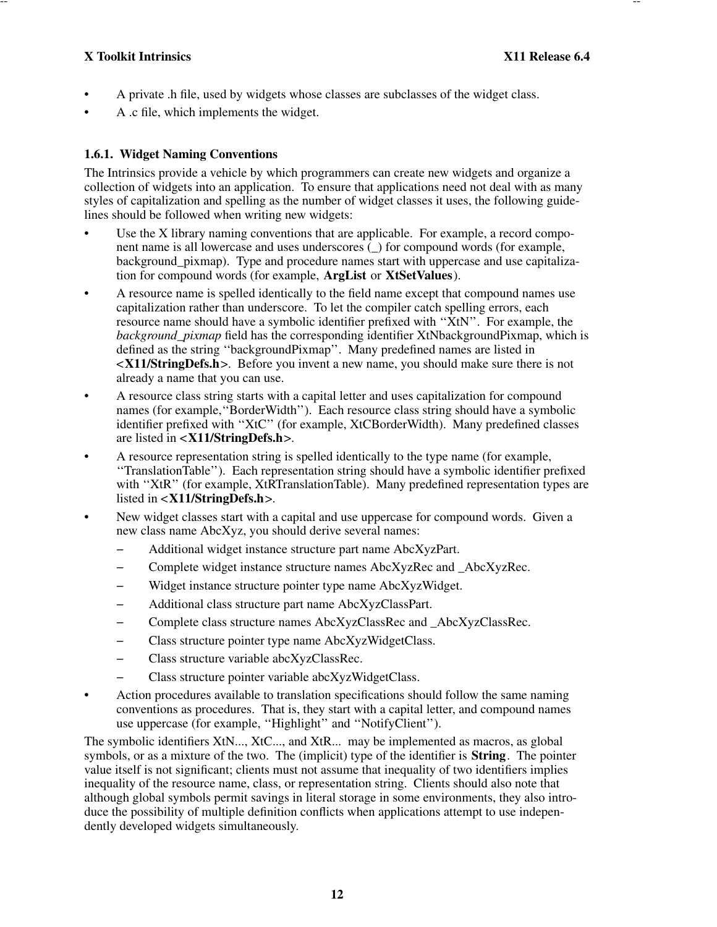• A private .h file, used by widgets whose classes are subclasses of the widget class.

-- --

• A .c file, which implements the widget.

## **1.6.1. Widget Naming Conventions**

The Intrinsics provide a vehicle by which programmers can create new widgets and organize a collection of widgets into an application. To ensure that applications need not deal with as many styles of capitalization and spelling as the number of widget classes it uses, the following guidelines should be followed when writing new widgets:

- Use the X library naming conventions that are applicable. For example, a record component name is all lowercase and uses underscores (\_) for compound words (for example, background\_pixmap). Type and procedure names start with uppercase and use capitalization for compound words (for example, **ArgList** or **XtSetValues**).
- A resource name is spelled identically to the field name except that compound names use capitalization rather than underscore. To let the compiler catch spelling errors, each resource name should have a symbolic identifier prefixed with ''XtN''. For example, the *background\_pixmap* field has the corresponding identifier XtNbackgroundPixmap, which is defined as the string ''backgroundPixmap''. Many predefined names are listed in <**X11/StringDefs.h**>. Before you invent a new name, you should make sure there is not already a name that you can use.
- A resource class string starts with a capital letter and uses capitalization for compound names (for example,''BorderWidth''). Each resource class string should have a symbolic identifier prefixed with ''XtC'' (for example, XtCBorderWidth). Many predefined classes are listed in <**X11/StringDefs.h**>.
- A resource representation string is spelled identically to the type name (for example, ''TranslationTable''). Each representation string should have a symbolic identifier prefixed with "XtR" (for example, XtRTranslationTable). Many predefined representation types are listed in <**X11/StringDefs.h**>.
- New widget classes start with a capital and use uppercase for compound words. Given a new class name AbcXyz, you should derive several names:
	- − Additional widget instance structure part name AbcXyzPart.
	- − Complete widget instance structure names AbcXyzRec and \_AbcXyzRec.
	- Widget instance structure pointer type name AbcXyzWidget.
	- − Additional class structure part name AbcXyzClassPart.
	- − Complete class structure names AbcXyzClassRec and \_AbcXyzClassRec.
	- Class structure pointer type name AbcXyzWidgetClass.
	- − Class structure variable abcXyzClassRec.
	- − Class structure pointer variable abcXyzWidgetClass.
- Action procedures available to translation specifications should follow the same naming conventions as procedures. That is, they start with a capital letter, and compound names use uppercase (for example, ''Highlight'' and ''NotifyClient'').

The symbolic identifiers XtN..., XtC..., and XtR... may be implemented as macros, as global symbols, or as a mixture of the two. The (implicit) type of the identifier is **String**. The pointer value itself is not significant; clients must not assume that inequality of two identifiers implies inequality of the resource name, class, or representation string. Clients should also note that although global symbols permit savings in literal storage in some environments, they also introduce the possibility of multiple definition conflicts when applications attempt to use independently developed widgets simultaneously.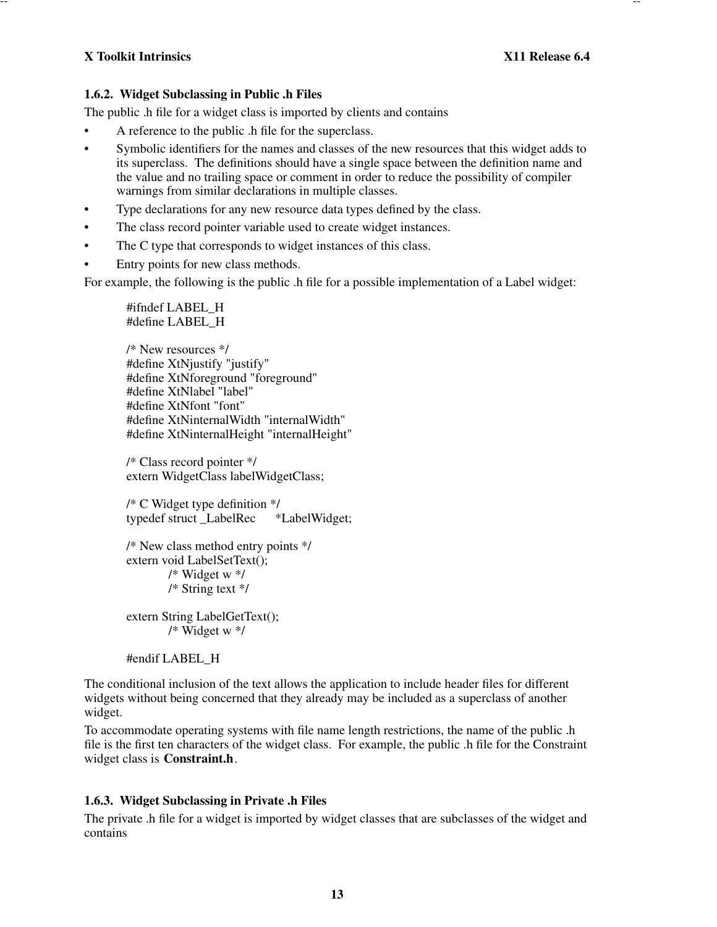## **1.6.2. Widget Subclassing in Public .h Files**

The public .h file for a widget class is imported by clients and contains

- A reference to the public .h file for the superclass.
- Symbolic identifiers for the names and classes of the new resources that this widget adds to its superclass. The definitions should have a single space between the definition name and the value and no trailing space or comment in order to reduce the possibility of compiler warnings from similar declarations in multiple classes.

-- --

- Type declarations for any new resource data types defined by the class.
- The class record pointer variable used to create widget instances.
- The C type that corresponds to widget instances of this class.
- Entry points for new class methods.

For example, the following is the public .h file for a possible implementation of a Label widget:

#ifndef LABEL\_H #define LABEL\_H

/\* New resources \*/ #define XtNjustify "justify" #define XtNforeground "foreground" #define XtNlabel "label" #define XtNfont "font" #define XtNinternalWidth "internalWidth" #define XtNinternalHeight "internalHeight"

/\* Class record pointer \*/ extern WidgetClass labelWidgetClass;

/\* C Widget type definition \*/ typedef struct LabelRec \*LabelWidget;

```
/* New class method entry points */
extern void LabelSetText();
       /* Widget w */
       /* String text */
```
extern String LabelGetText(); /\* Widget w \*/

#endif LABEL\_H

The conditional inclusion of the text allows the application to include header files for different widgets without being concerned that they already may be included as a superclass of another widget.

To accommodate operating systems with file name length restrictions, the name of the public .h file is the first ten characters of the widget class. For example, the public .h file for the Constraint widget class is **Constraint.h**.

## **1.6.3. Widget Subclassing in Private .h Files**

The private .h file for a widget is imported by widget classes that are subclasses of the widget and contains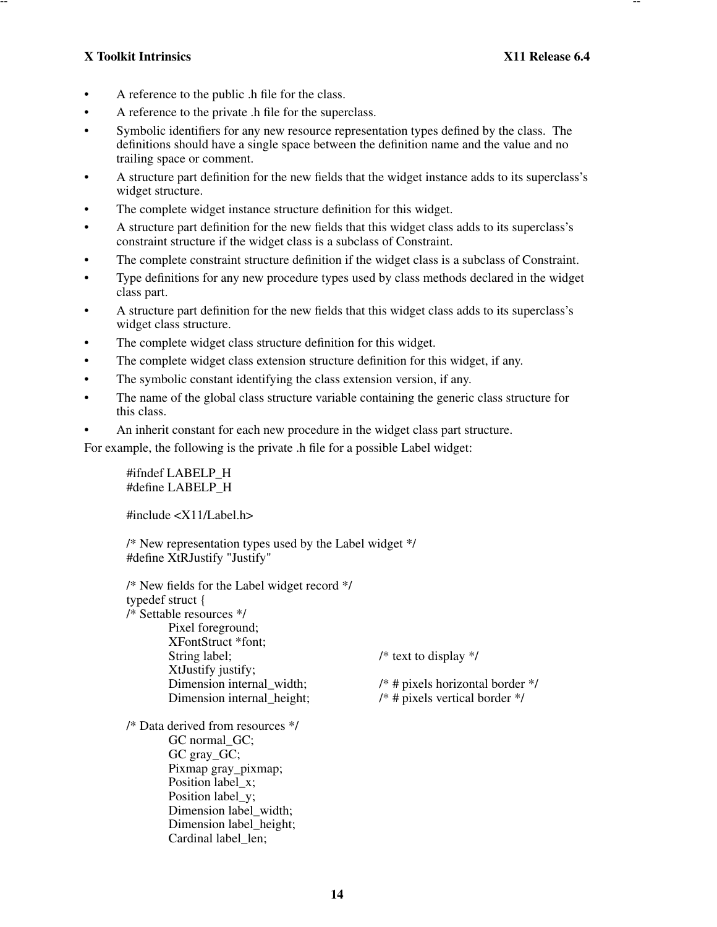- A reference to the public .h file for the class.
- A reference to the private .h file for the superclass.
- Symbolic identifiers for any new resource representation types defined by the class. The definitions should have a single space between the definition name and the value and no trailing space or comment.

-- --

- A structure part definition for the new fields that the widget instance adds to its superclass's widget structure.
- The complete widget instance structure definition for this widget.
- A structure part definition for the new fields that this widget class adds to its superclass's constraint structure if the widget class is a subclass of Constraint.
- The complete constraint structure definition if the widget class is a subclass of Constraint.
- Type definitions for any new procedure types used by class methods declared in the widget class part.
- A structure part definition for the new fields that this widget class adds to its superclass's widget class structure.
- The complete widget class structure definition for this widget.
- The complete widget class extension structure definition for this widget, if any.
- The symbolic constant identifying the class extension version, if any.
- The name of the global class structure variable containing the generic class structure for this class.
- An inherit constant for each new procedure in the widget class part structure.

For example, the following is the private .h file for a possible Label widget:

#ifndef LABELP\_H #define LABELP\_H

#include <X11/Label.h>

GC normal\_GC; GC gray GC;

Pixmap gray pixmap; Position label x; Position label y;

Dimension label\_width; Dimension label height;

/\* New representation types used by the Label widget \*/ #define XtRJustify "Justify"

| /* New fields for the Label widget record */ |                                      |
|----------------------------------------------|--------------------------------------|
| typedef struct {                             |                                      |
| /* Settable resources $*/$                   |                                      |
| Pixel foreground;                            |                                      |
| XFontStruct *font;                           |                                      |
| String label;                                | /* text to display $*/$              |
| XtJustify justify;                           |                                      |
| Dimension internal_width;                    | $/*$ # pixels horizontal border $*/$ |
| Dimension internal_height;                   | $/*$ # pixels vertical border $*/$   |
| /* Data derived from resources */            |                                      |

**14**

Cardinal label len;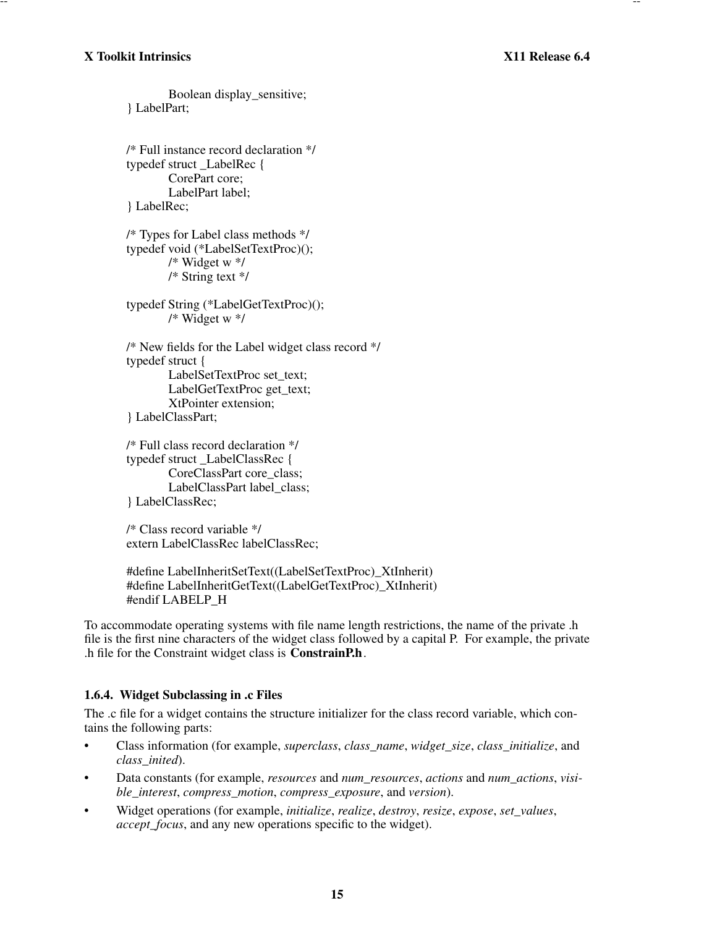Boolean display\_sensitive; } LabelPart; /\* Full instance record declaration \*/ typedef struct \_LabelRec { CorePart core; LabelPart label; } LabelRec; /\* Types for Label class methods \*/ typedef void (\*LabelSetTextProc)(); /\* Widget w \*/ /\* String text \*/ typedef String (\*LabelGetTextProc)(); /\* Widget w \*/ /\* New fields for the Label widget class record \*/ typedef struct { LabelSetTextProc set\_text; LabelGetTextProc get text; XtPointer extension; } LabelClassPart; /\* Full class record declaration \*/ typedef struct \_LabelClassRec { CoreClassPart core\_class; LabelClassPart label\_class; } LabelClassRec; /\* Class record variable \*/ extern LabelClassRec labelClassRec;

-- --

#define LabelInheritSetText((LabelSetTextProc)\_XtInherit) #define LabelInheritGetText((LabelGetTextProc)\_XtInherit) #endif LABELP\_H

To accommodate operating systems with file name length restrictions, the name of the private .h file is the first nine characters of the widget class followed by a capital P. For example, the private .h file for the Constraint widget class is **ConstrainP.h**.

## **1.6.4. Widget Subclassing in .c Files**

The .c file for a widget contains the structure initializer for the class record variable, which contains the following parts:

- Class information (for example, *superclass*, *class\_name*, *widget\_size*, *class\_initialize*, and *class\_inited*).
- Data constants (for example, *resources* and *num\_resources*, *actions* and *num\_actions*, *visible\_interest*, *compress\_motion*, *compress\_exposure*, and *version*).
- Widget operations (for example, *initialize*, *realize*, *destroy*, *resize*, *expose*, *set\_values*, *accept\_focus*, and any new operations specific to the widget).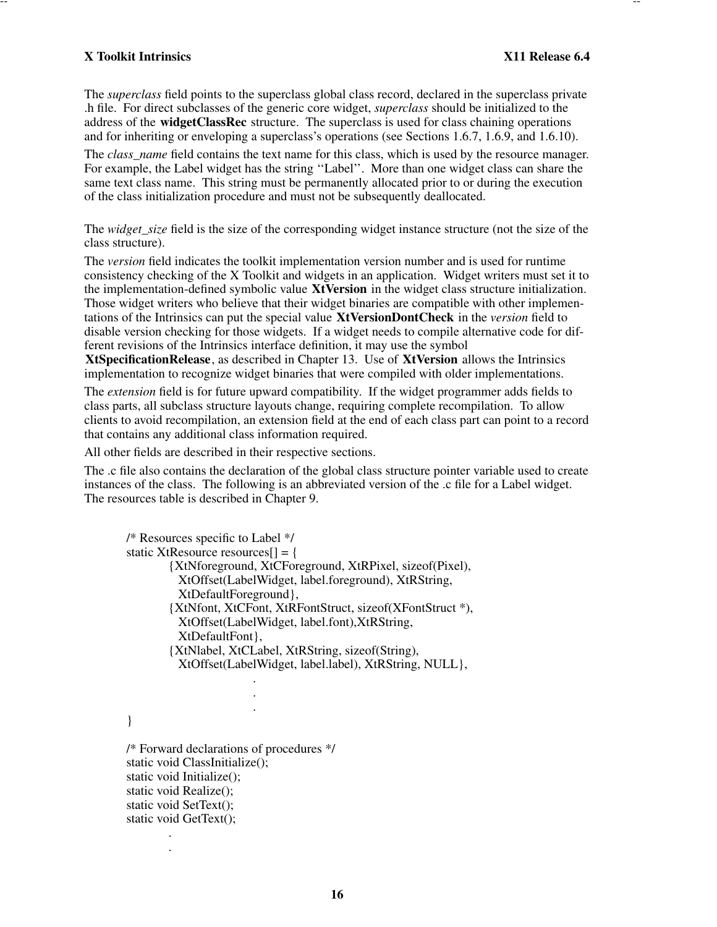The *superclass* field points to the superclass global class record, declared in the superclass private .h file. For direct subclasses of the generic core widget, *superclass* should be initialized to the address of the **widgetClassRec** structure. The superclass is used for class chaining operations and for inheriting or enveloping a superclass's operations (see Sections 1.6.7, 1.6.9, and 1.6.10).

-- --

The *class\_name* field contains the text name for this class, which is used by the resource manager. For example, the Label widget has the string ''Label''. More than one widget class can share the same text class name. This string must be permanently allocated prior to or during the execution of the class initialization procedure and must not be subsequently deallocated.

The *widget\_size* field is the size of the corresponding widget instance structure (not the size of the class structure).

The *version* field indicates the toolkit implementation version number and is used for runtime consistency checking of the X Toolkit and widgets in an application. Widget writers must set it to the implementation-defined symbolic value **XtVersion** in the widget class structure initialization. Those widget writers who believe that their widget binaries are compatible with other implementations of the Intrinsics can put the special value **XtVersionDontCheck** in the *version* field to disable version checking for those widgets. If a widget needs to compile alternative code for different revisions of the Intrinsics interface definition, it may use the symbol

**XtSpecificationRelease**, as described in Chapter 13. Use of **XtVersion** allows the Intrinsics implementation to recognize widget binaries that were compiled with older implementations.

The *extension* field is for future upward compatibility. If the widget programmer adds fields to class parts, all subclass structure layouts change, requiring complete recompilation. To allow clients to avoid recompilation, an extension field at the end of each class part can point to a record that contains any additional class information required.

All other fields are described in their respective sections.

The .c file also contains the declaration of the global class structure pointer variable used to create instances of the class. The following is an abbreviated version of the .c file for a Label widget. The resources table is described in Chapter 9.

| /* Resources specific to Label */                                                           |
|---------------------------------------------------------------------------------------------|
| static XtResource resources $\begin{bmatrix} \end{bmatrix} = \begin{bmatrix} \end{bmatrix}$ |
| {XtNforeground, XtCForeground, XtRPixel, sizeof(Pixel),                                     |
| XtOffset(LabelWidget, label.foreground), XtRString,                                         |
| XtDefaultForeground,                                                                        |
| {XtNfont, XtCFont, XtRFontStruct, sizeof(XFontStruct *),                                    |
| XtOffset(LabelWidget, label.font), XtRString,                                               |
| XtDefaultFont},                                                                             |
| {XtNlabel, XtCLabel, XtRString, sizeof(String),                                             |
| XtOffset(LabelWidget, label.label), XtRString, NULL},                                       |
|                                                                                             |
|                                                                                             |
|                                                                                             |

}

.

/\* Forward declarations of procedures \*/ static void ClassInitialize(); static void Initialize(); static void Realize(); static void SetText(); static void GetText(); .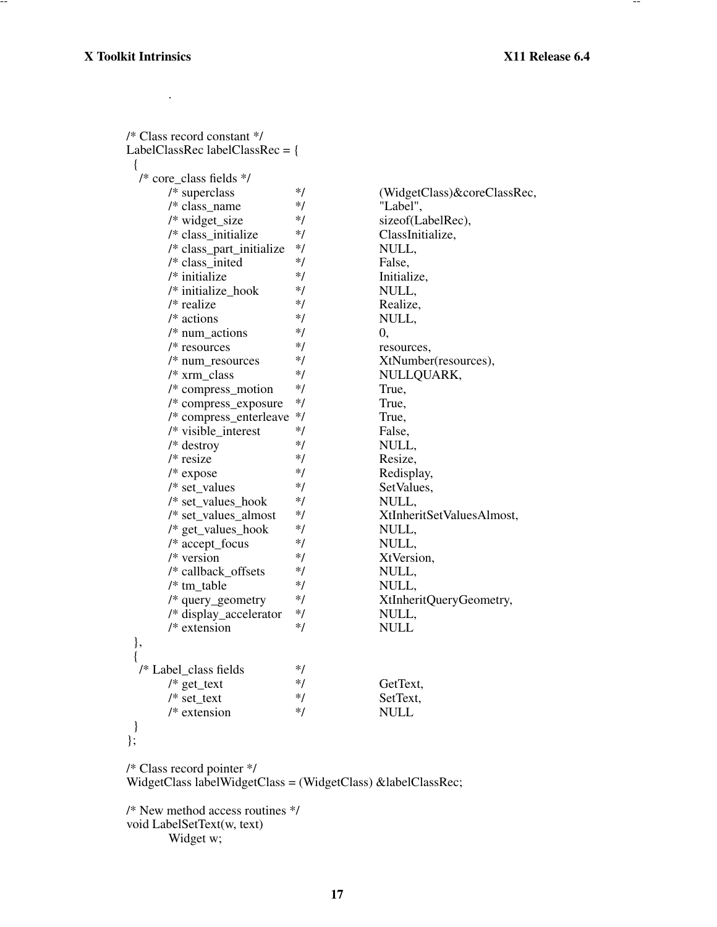.

```
/* Class record constant */
LabelClassRec labelClassRec = {
  {
   /* core_class fields */
                                             */ (WidgetClass)&coreClassRec,<br>*/ "Label".
           \frac{1}{2} /* class_name \frac{1}{2} /* widget size \frac{1}{2} /* widget size \frac{1}{2} /* size of (Label)
                                             */ sizeof(LabelRec),<br>*/ ClassInitialize.
           /* class initialize */ ClassInitialize,
           /* class_part_initialize */ NULL,
           /* class_inited * False,<br>/* initialize * False,
           /* initialize */ Initialize,<br>/* initialize hook */ NULL.
           /* initialize_hook */ NULL,<br>/* realize */ Realize
           /* realize * Realize,
           /* actions \begin{array}{ccc} \n\ast/ & & & \text{NULL}, \\
\ast/ & & & \n\end{array}\frac{1}{*} num_actions \frac{1}{*} 0,<br>
\frac{1}{*} resources \frac{1}{*} res
           /* resources */ resources,<br>/* num resources */ XtNumber
           /* num_resources */ XtNumber(resources),<br>/* xrm class */ NULLOUARK.
           \frac{1}{2} \frac{1}{2} \frac{1}{2} \frac{1}{2} \frac{1}{2} \frac{1}{2} \frac{1}{2} \frac{1}{2} \frac{1}{2} \frac{1}{2} \frac{1}{2} \frac{1}{2} \frac{1}{2} \frac{1}{2} \frac{1}{2} \frac{1}{2} \frac{1}{2} \frac{1}{2} \frac{1}{2} \frac{1}{2} \frac{1}{2} \frac{1}{2} /* compress motion */ True,
           /* compress_exposure */ True,
           /* compress_enterleave */ True,<br>/* visible interest */ False.
           /* visible_interest */ False,<br>/* destroy */ NULL
           \frac{1}{2} /* destroy \frac{1}{2} /* destroy \frac{1}{2} /* Resize.
           /* resize */ Resize,
           \frac{1}{2} expose \frac{1}{2} expose \frac{1}{2} expose \frac{1}{2} expose \frac{1}{2} expose \frac{1}{2} exposed \frac{1}{2} exponential exponential exponential exponential exponential exponential exponential exponential exponential 
           /* set_values ** SetValues,<br>/* set values hook ** NULL.
           /* set_values_hook */ NULL,<br>/* set values almost */ XtInher
           /* set_values_almost */ XtInheritSetValuesAlmost,<br>/* get_values_hook */ NULL
           \frac{1}{2} /* get_values_hook \frac{\frac{1}{2}}{2} NULL, \frac{1}{2} NULL,
           \frac{1}{*} accept_focus \frac{1}{*} NULL,<br>
\frac{1}{*} version \frac{1}{*} XtVersi
           /* version */ XtVersion,
           /* callback_offsets */ NULL,<br>/* tm table */ NULL,
           \frac{1}{*} tm_table \frac{*}{*} NULL,<br>
\frac{1}{*} auery geometry \frac{*}{*} XtInher
           /* query_geometry */ XtInheritQueryGeometry,<br>/* display accelerator */ NULL.
           /* display_accelerator */ NULL,
           /* extension */ NULL
 },
  {
   /* Label_class fields */<br>/* get text */
           /* get_text */ GetText,
           \frac{1}{2} /* set_text \frac{1}{2} \frac{1}{2} \frac{1}{2} \frac{1}{2} \frac{1}{2} \frac{1}{2} \frac{1}{2} \frac{1}{2} \frac{1}{2} \frac{1}{2} \frac{1}{2} \frac{1}{2} \frac{1}{2} \frac{1}{2} \frac{1}{2} \frac{1}{2} \frac{1}{2} \frac{1}{2} \frac{1}{2} \frac{1}{2}/* extension */ NULL
 }
```
-- --

};

/\* Class record pointer \*/

WidgetClass labelWidgetClass = (WidgetClass) &labelClassRec;

/\* New method access routines \*/ void LabelSetText(w, text) Widget w;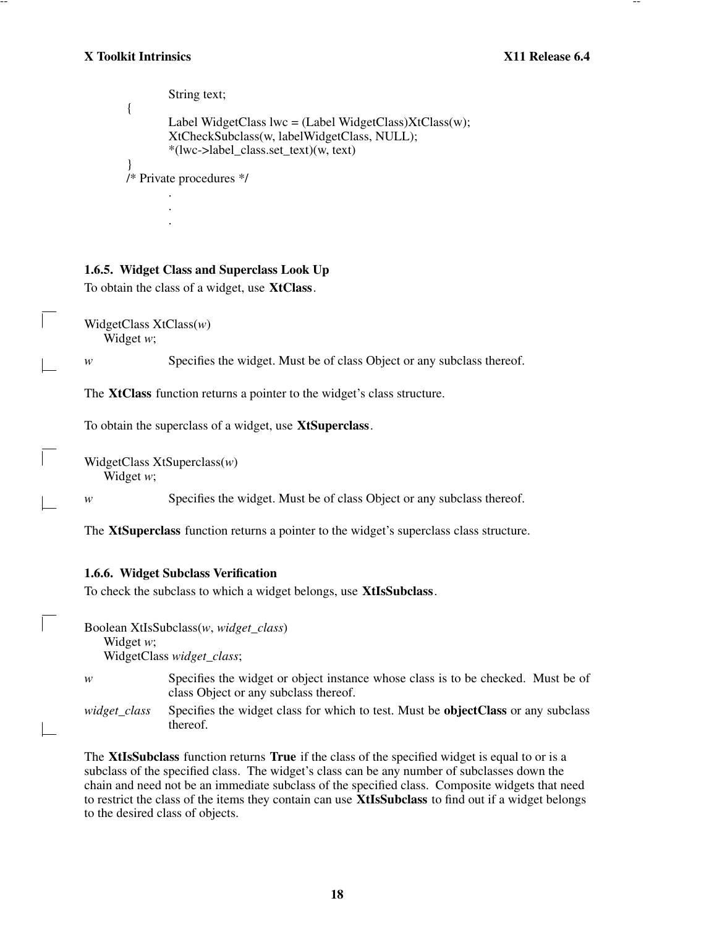| String text;                                                                                                                                        |  |
|-----------------------------------------------------------------------------------------------------------------------------------------------------|--|
| Label WidgetClass lwc = $(Label$ WidgetClass $)XtClass(w);$<br>XtCheckSubclass(w, labelWidgetClass, NULL);<br>*(lwc->label_class.set_text)(w, text) |  |
|                                                                                                                                                     |  |
| /* Private procedures */                                                                                                                            |  |
|                                                                                                                                                     |  |
|                                                                                                                                                     |  |

-- --

## **1.6.5. Widget Class and Superclass Look Up**

To obtain the class of a widget, use **XtClass**.

WidgetClass XtClass(*w*) Widget *w*;

.

*w* Specifies the widget. Must be of class Object or any subclass thereof.

The **XtClass** function returns a pointer to the widget's class structure.

To obtain the superclass of a widget, use **XtSuperclass**.

WidgetClass XtSuperclass(*w*) Widget *w*;

*w* Specifies the widget. Must be of class Object or any subclass thereof.

The **XtSuperclass** function returns a pointer to the widget's superclass class structure.

#### **1.6.6. Widget Subclass Verification**

To check the subclass to which a widget belongs, use **XtIsSubclass**.

Boolean XtIsSubclass(*w*, *widget\_class*) Widget *w*; WidgetClass *widget\_class*;

*w* Specifies the widget or object instance whose class is to be checked. Must be of class Object or any subclass thereof.

*widget\_class* Specifies the widget class for which to test. Must be **objectClass** or any subclass thereof.

The **XtIsSubclass** function returns **True** if the class of the specified widget is equal to or is a subclass of the specified class. The widget's class can be any number of subclasses down the chain and need not be an immediate subclass of the specified class. Composite widgets that need to restrict the class of the items they contain can use **XtIsSubclass** to find out if a widget belongs to the desired class of objects.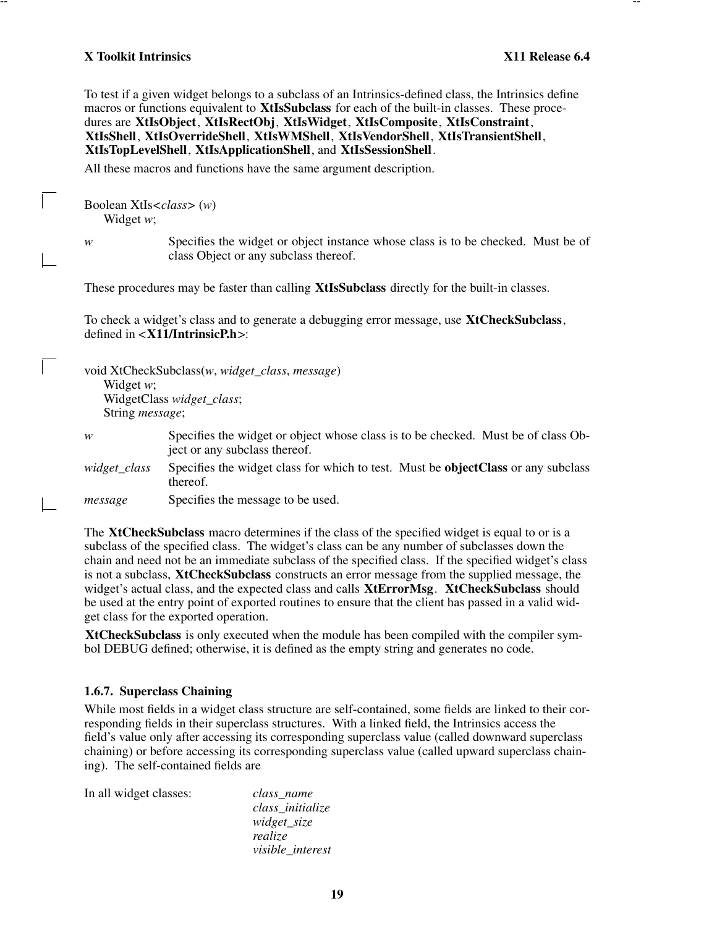To test if a given widget belongs to a subclass of an Intrinsics-defined class, the Intrinsics define macros or functions equivalent to **XtIsSubclass** for each of the built-in classes. These procedures are **XtIsObject**, **XtIsRectObj**, **XtIsWidget**, **XtIsComposite**, **XtIsConstraint**, **XtIsShell**, **XtIsOverrideShell**, **XtIsWMShell**, **XtIsVendorShell**, **XtIsTransientShell**, **XtIsTopLevelShell**, **XtIsApplicationShell**, and **XtIsSessionShell**.

-- --

All these macros and functions have the same argument description.

Boolean XtIs*<class>* (*w*) Widget *w*;

*w* Specifies the widget or object instance whose class is to be checked. Must be of class Object or any subclass thereof.

These procedures may be faster than calling **XtIsSubclass** directly for the built-in classes.

To check a widget's class and to generate a debugging error message, use **XtCheckSubclass**, defined in <**X11/IntrinsicP.h**>:

void XtCheckSubclass(*w*, *widget\_class*, *message*) Widget *w*; WidgetClass *widget\_class*; String *message*;

- *w* Specifies the widget or object whose class is to be checked. Must be of class Object or any subclass thereof.
- *widget\_class* Specifies the widget class for which to test. Must be **objectClass** or any subclass thereof.

*message* Specifies the message to be used.

The **XtCheckSubclass** macro determines if the class of the specified widget is equal to or is a subclass of the specified class. The widget's class can be any number of subclasses down the chain and need not be an immediate subclass of the specified class. If the specified widget's class is not a subclass, **XtCheckSubclass** constructs an error message from the supplied message, the widget's actual class, and the expected class and calls **XtErrorMsg**. **XtCheckSubclass** should be used at the entry point of exported routines to ensure that the client has passed in a valid widget class for the exported operation.

**XtCheckSubclass** is only executed when the module has been compiled with the compiler symbol DEBUG defined; otherwise, it is defined as the empty string and generates no code.

#### **1.6.7. Superclass Chaining**

While most fields in a widget class structure are self-contained, some fields are linked to their corresponding fields in their superclass structures. With a linked field, the Intrinsics access the field's value only after accessing its corresponding superclass value (called downward superclass chaining) or before accessing its corresponding superclass value (called upward superclass chaining). The self-contained fields are

In all widget classes: *class\_name*

*class\_initialize widget\_size realize visible\_interest*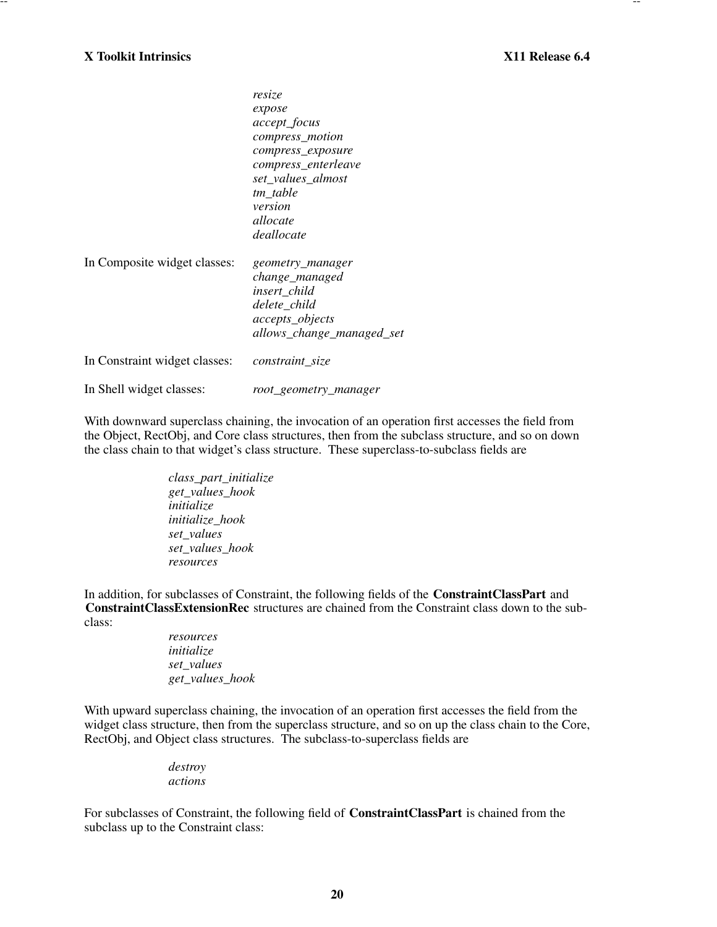|                               | resize                    |
|-------------------------------|---------------------------|
|                               | expose                    |
|                               | accept_focus              |
|                               | compress_motion           |
|                               | compress_exposure         |
|                               | compress_enterleave       |
|                               | set_values_almost         |
|                               | tm_table                  |
|                               | version                   |
|                               | allocate                  |
|                               | deallocate                |
| In Composite widget classes:  | geometry_manager          |
|                               | change_managed            |
|                               | insert_child              |
|                               | delete_child              |
|                               | accepts_objects           |
|                               | allows_change_managed_set |
| In Constraint widget classes: | constraint_size           |
| In Shell widget classes:      | root_geometry_manager     |

With downward superclass chaining, the invocation of an operation first accesses the field from the Object, RectObj, and Core class structures, then from the subclass structure, and so on down the class chain to that widget's class structure. These superclass-to-subclass fields are

-- --

*class\_part\_initialize get\_values\_hook initialize initialize\_hook set\_values set\_values\_hook resources*

In addition, for subclasses of Constraint, the following fields of the **ConstraintClassPart** and **ConstraintClassExtensionRec** structures are chained from the Constraint class down to the subclass:

> *resources initialize set\_values get\_values\_hook*

With upward superclass chaining, the invocation of an operation first accesses the field from the widget class structure, then from the superclass structure, and so on up the class chain to the Core, RectObj, and Object class structures. The subclass-to-superclass fields are

> *destroy actions*

For subclasses of Constraint, the following field of **ConstraintClassPart** is chained from the subclass up to the Constraint class: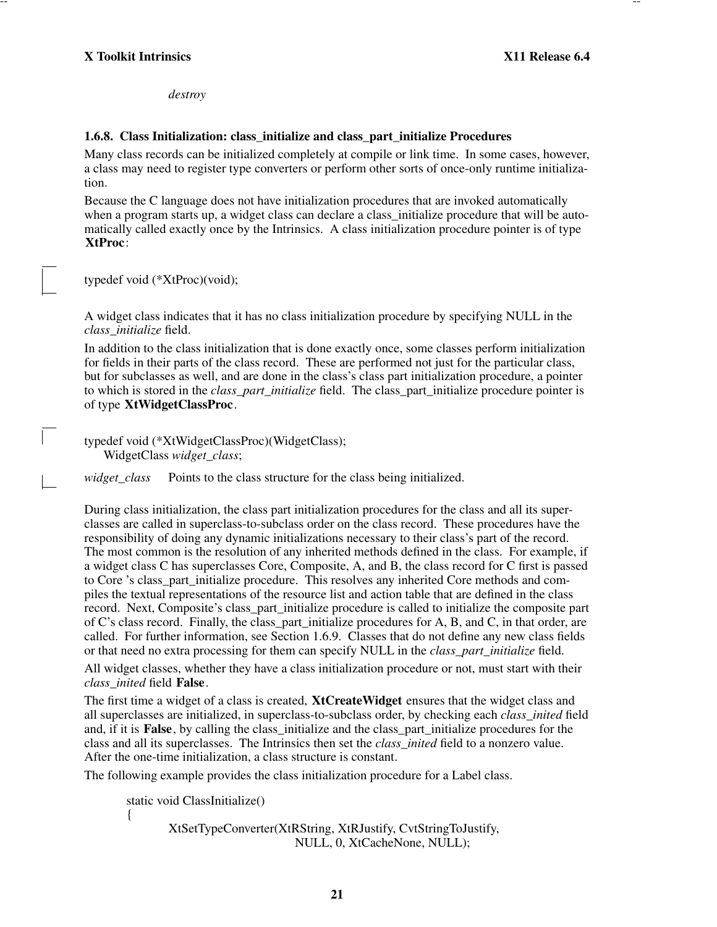*destroy*

#### **1.6.8. Class Initialization: class\_initialize and class\_part\_initialize Procedures**

-- --

Many class records can be initialized completely at compile or link time. In some cases, however, a class may need to register type converters or perform other sorts of once-only runtime initialization.

Because the C language does not have initialization procedures that are invoked automatically when a program starts up, a widget class can declare a class\_initialize procedure that will be automatically called exactly once by the Intrinsics. A class initialization procedure pointer is of type **XtProc**:

typedef void (\*XtProc)(void);

A widget class indicates that it has no class initialization procedure by specifying NULL in the *class\_initialize* field.

In addition to the class initialization that is done exactly once, some classes perform initialization for fields in their parts of the class record. These are performed not just for the particular class, but for subclasses as well, and are done in the class's class part initialization procedure, a pointer to which is stored in the *class\_part\_initialize* field. The class\_part\_initialize procedure pointer is of type **XtWidgetClassProc**.

typedef void (\*XtWidgetClassProc)(WidgetClass); WidgetClass *widget\_class*;

*widget\_class* Points to the class structure for the class being initialized.

During class initialization, the class part initialization procedures for the class and all its superclasses are called in superclass-to-subclass order on the class record. These procedures have the responsibility of doing any dynamic initializations necessary to their class's part of the record. The most common is the resolution of any inherited methods defined in the class. For example, if a widget class C has superclasses Core, Composite, A, and B, the class record for C first is passed to Core 's class\_part\_initialize procedure. This resolves any inherited Core methods and compiles the textual representations of the resource list and action table that are defined in the class record. Next, Composite's class\_part\_initialize procedure is called to initialize the composite part of C's class record. Finally, the class\_part\_initialize procedures for A, B, and C, in that order, are called. For further information, see Section 1.6.9. Classes that do not define any new class fields or that need no extra processing for them can specify NULL in the *class\_part\_initialize* field.

All widget classes, whether they have a class initialization procedure or not, must start with their *class\_inited* field **False**.

The first time a widget of a class is created, **XtCreateWidget** ensures that the widget class and all superclasses are initialized, in superclass-to-subclass order, by checking each *class\_inited* field and, if it is **False**, by calling the class\_initialize and the class\_part\_initialize procedures for the class and all its superclasses. The Intrinsics then set the *class\_inited* field to a nonzero value. After the one-time initialization, a class structure is constant.

The following example provides the class initialization procedure for a Label class.

static void ClassInitialize() {

> XtSetTypeConverter(XtRString, XtRJustify, CvtStringToJustify, NULL, 0, XtCacheNone, NULL);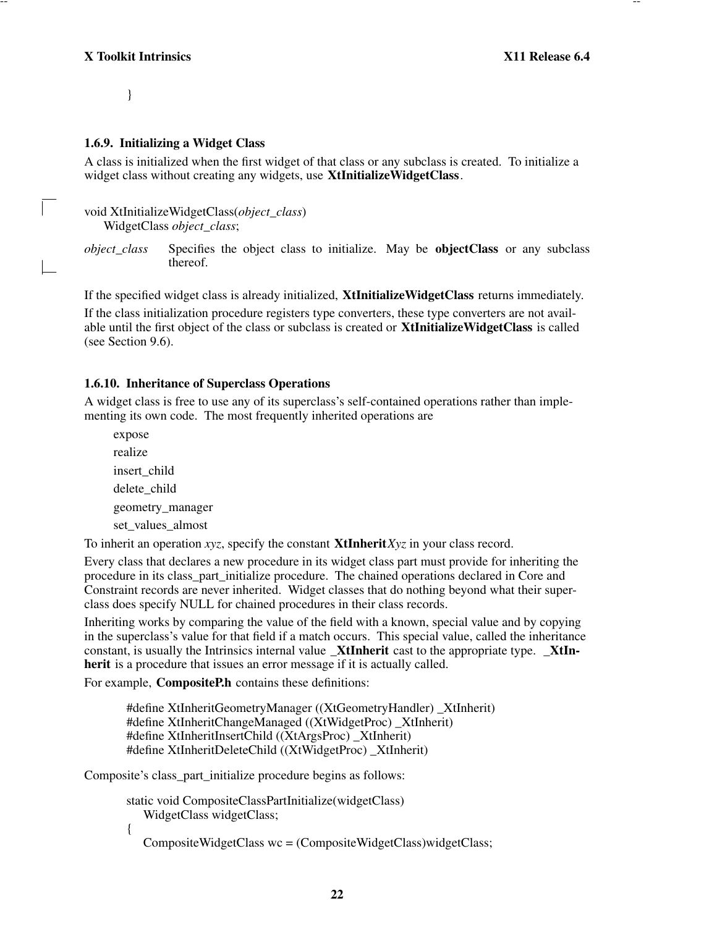}

#### **1.6.9. Initializing a Widget Class**

A class is initialized when the first widget of that class or any subclass is created. To initialize a widget class without creating any widgets, use **XtInitializeWidgetClass**.

-- --

void XtInitializeWidgetClass(*object\_class*) WidgetClass *object\_class*;

*object\_class* Specifies the object class to initialize. May be **objectClass** or any subclass thereof.

If the specified widget class is already initialized, **XtInitializeWidgetClass** returns immediately.

If the class initialization procedure registers type converters, these type converters are not available until the first object of the class or subclass is created or **XtInitializeWidgetClass** is called (see Section 9.6).

## **1.6.10. Inheritance of Superclass Operations**

A widget class is free to use any of its superclass's self-contained operations rather than implementing its own code. The most frequently inherited operations are

expose realize insert\_child delete\_child geometry\_manager set values almost

To inherit an operation *xyz*, specify the constant **XtInherit***Xyz* in your class record.

Every class that declares a new procedure in its widget class part must provide for inheriting the procedure in its class\_part\_initialize procedure. The chained operations declared in Core and Constraint records are never inherited. Widget classes that do nothing beyond what their superclass does specify NULL for chained procedures in their class records.

Inheriting works by comparing the value of the field with a known, special value and by copying in the superclass's value for that field if a match occurs. This special value, called the inheritance constant, is usually the Intrinsics internal value **\_XtInherit** cast to the appropriate type. **\_XtInherit** is a procedure that issues an error message if it is actually called.

For example, **CompositeP.h** contains these definitions:

#define XtInheritGeometryManager ((XtGeometryHandler) \_XtInherit) #define XtInheritChangeManaged ((XtWidgetProc) \_XtInherit) #define XtInheritInsertChild ((XtArgsProc) \_XtInherit) #define XtInheritDeleteChild ((XtWidgetProc) \_XtInherit)

Composite's class\_part\_initialize procedure begins as follows:

static void CompositeClassPartInitialize(widgetClass) WidgetClass widgetClass;

{

CompositeWidgetClass wc = (CompositeWidgetClass)widgetClass;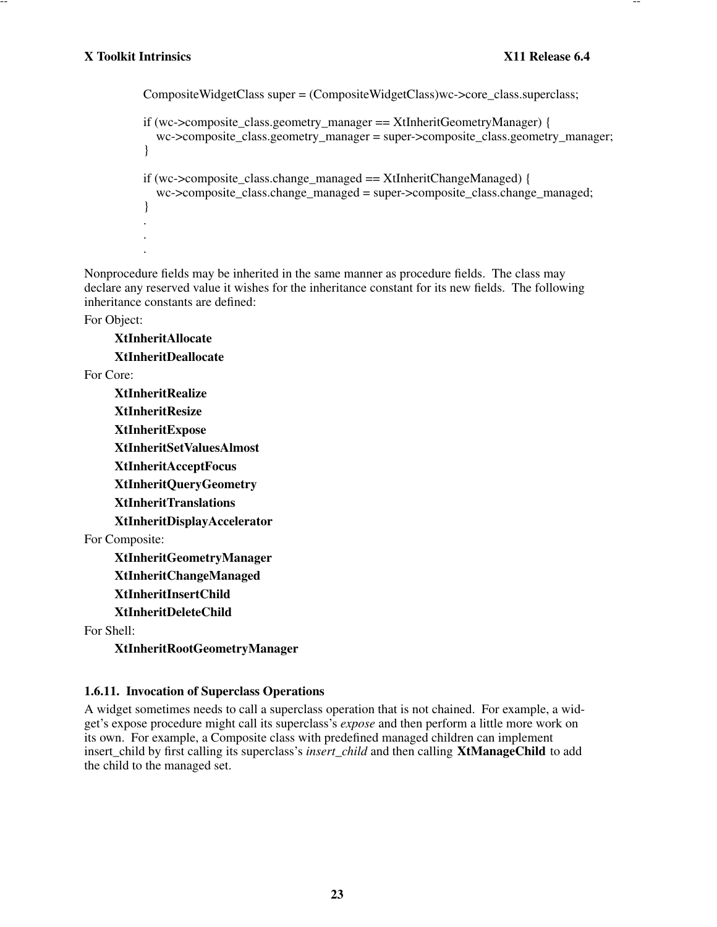CompositeWidgetClass super = (CompositeWidgetClass)wc->core\_class.superclass;

-- --

```
if (wc->composite_class.geometry_manager == XtInheritGeometryManager) {
  wc-\geqcomposite class.geometry manager = super-\geqcomposite class.geometry manager;
}
if (wc->composite class.change managed = XtInheritChangeManaged) {
  wc->composite_class.change_managed = super->composite_class.change_managed;
}
.
.
.
```
Nonprocedure fields may be inherited in the same manner as procedure fields. The class may declare any reserved value it wishes for the inheritance constant for its new fields. The following inheritance constants are defined:

For Object:

### **XtInheritAllocate**

## **XtInheritDeallocate**

For Core:

```
XtInheritRealize
     XtInheritResize
     XtInheritExpose
     XtInheritSetValuesAlmost
     XtInheritAcceptFocus
     XtInheritQueryGeometry
     XtInheritTranslations
     XtInheritDisplayAccelerator
For Composite:
     XtInheritGeometryManager
     XtInheritChangeManaged
     XtInheritInsertChild
```
**XtInheritDeleteChild**

For Shell:

**XtInheritRootGeometryManager**

## **1.6.11. Invocation of Superclass Operations**

A widget sometimes needs to call a superclass operation that is not chained. For example, a widget's expose procedure might call its superclass's *expose* and then perform a little more work on its own. For example, a Composite class with predefined managed children can implement insert\_child by first calling its superclass's *insert\_child* and then calling **XtManageChild** to add the child to the managed set.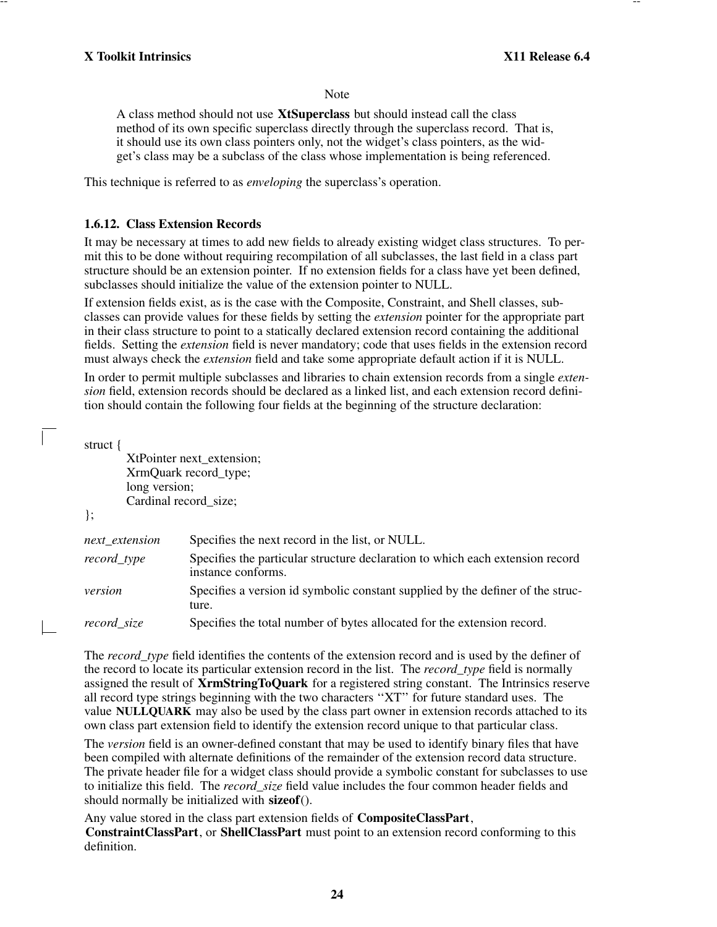#### Note

-- --

A class method should not use **XtSuperclass** but should instead call the class method of its own specific superclass directly through the superclass record. That is, it should use its own class pointers only, not the widget's class pointers, as the widget's class may be a subclass of the class whose implementation is being referenced.

This technique is referred to as *enveloping* the superclass's operation.

## **1.6.12. Class Extension Records**

It may be necessary at times to add new fields to already existing widget class structures. To permit this to be done without requiring recompilation of all subclasses, the last field in a class part structure should be an extension pointer. If no extension fields for a class have yet been defined, subclasses should initialize the value of the extension pointer to NULL.

If extension fields exist, as is the case with the Composite, Constraint, and Shell classes, subclasses can provide values for these fields by setting the *extension* pointer for the appropriate part in their class structure to point to a statically declared extension record containing the additional fields. Setting the *extension* field is never mandatory; code that uses fields in the extension record must always check the *extension* field and take some appropriate default action if it is NULL.

In order to permit multiple subclasses and libraries to chain extension records from a single *extension* field, extension records should be declared as a linked list, and each extension record definition should contain the following four fields at the beginning of the structure declaration:

struct {

XtPointer next\_extension; XrmQuark record\_type; long version; Cardinal record\_size;

};

| next_extension | Specifies the next record in the list, or NULL.                                                     |
|----------------|-----------------------------------------------------------------------------------------------------|
| record_type    | Specifies the particular structure declaration to which each extension record<br>instance conforms. |
| version        | Specifies a version id symbolic constant supplied by the definer of the struc-<br>ture.             |
| record size    | Specifies the total number of bytes allocated for the extension record.                             |

The *record\_type* field identifies the contents of the extension record and is used by the definer of the record to locate its particular extension record in the list. The *record\_type* field is normally assigned the result of **XrmStringToQuark** for a registered string constant. The Intrinsics reserve all record type strings beginning with the two characters ''XT'' for future standard uses. The value **NULLQUARK** may also be used by the class part owner in extension records attached to its own class part extension field to identify the extension record unique to that particular class.

The *version* field is an owner-defined constant that may be used to identify binary files that have been compiled with alternate definitions of the remainder of the extension record data structure. The private header file for a widget class should provide a symbolic constant for subclasses to use to initialize this field. The *record\_size* field value includes the four common header fields and should normally be initialized with **sizeof**().

Any value stored in the class part extension fields of **CompositeClassPart**, **ConstraintClassPart**, or **ShellClassPart** must point to an extension record conforming to this definition.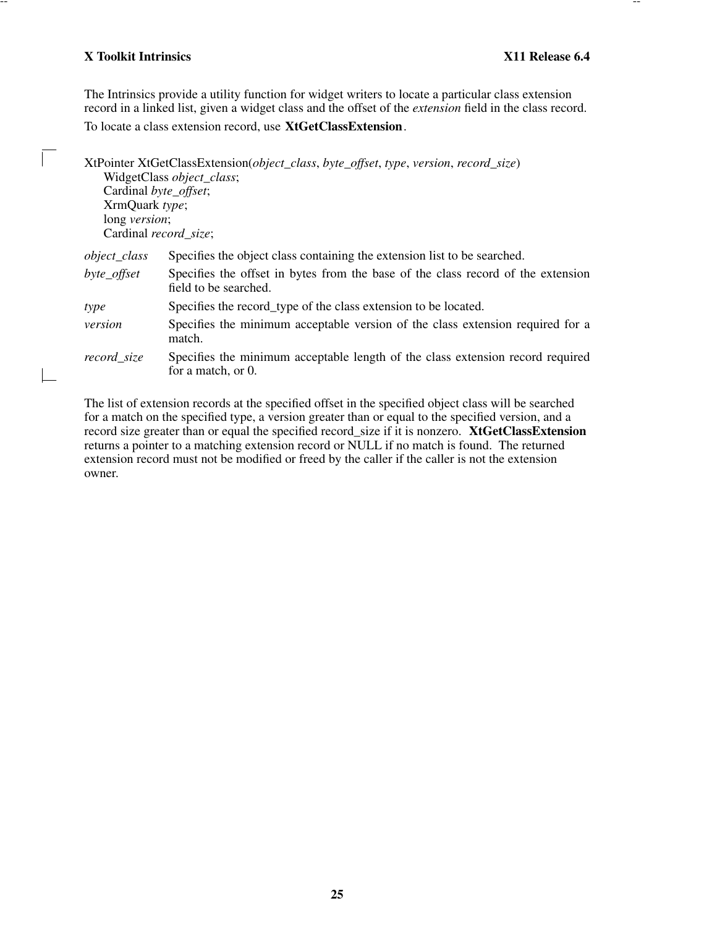$\Box$ 

The Intrinsics provide a utility function for widget writers to locate a particular class extension record in a linked list, given a widget class and the offset of the *extension* field in the class record.

-- --

To locate a class extension record, use **XtGetClassExtension**.

XtPointer XtGetClassExtension(*object\_class*, *byte\_offset*, *type*, *version*, *record\_size*) WidgetClass *object\_class*; Cardinal *byte\_offset*; XrmQuark *type*; long *version*; Cardinal *record\_size*; *object\_class* Specifies the object class containing the extension list to be searched. *byte\_offset* Specifies the offset in bytes from the base of the class record of the extension

field to be searched. *type* Specifies the record\_type of the class extension to be located. *version* Specifies the minimum acceptable version of the class extension required for a match.

*record\_size* Specifies the minimum acceptable length of the class extension record required for a match, or 0.

The list of extension records at the specified offset in the specified object class will be searched for a match on the specified type, a version greater than or equal to the specified version, and a record size greater than or equal the specified record\_size if it is nonzero. **XtGetClassExtension** returns a pointer to a matching extension record or NULL if no match is found. The returned extension record must not be modified or freed by the caller if the caller is not the extension owner.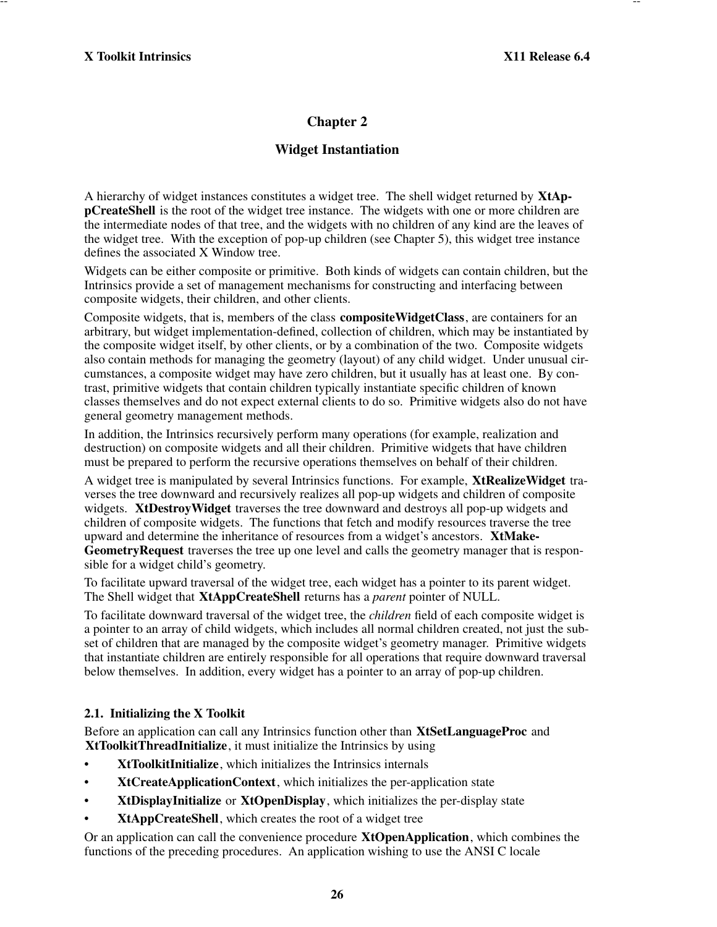## **Chapter 2**

-- --

## **Widget Instantiation**

A hierarchy of widget instances constitutes a widget tree. The shell widget returned by **XtAppCreateShell** is the root of the widget tree instance. The widgets with one or more children are the intermediate nodes of that tree, and the widgets with no children of any kind are the leaves of the widget tree. With the exception of pop-up children (see Chapter 5), this widget tree instance defines the associated X Window tree.

Widgets can be either composite or primitive. Both kinds of widgets can contain children, but the Intrinsics provide a set of management mechanisms for constructing and interfacing between composite widgets, their children, and other clients.

Composite widgets, that is, members of the class **compositeWidgetClass**, are containers for an arbitrary, but widget implementation-defined, collection of children, which may be instantiated by the composite widget itself, by other clients, or by a combination of the two. Composite widgets also contain methods for managing the geometry (layout) of any child widget. Under unusual circumstances, a composite widget may have zero children, but it usually has at least one. By contrast, primitive widgets that contain children typically instantiate specific children of known classes themselves and do not expect external clients to do so. Primitive widgets also do not have general geometry management methods.

In addition, the Intrinsics recursively perform many operations (for example, realization and destruction) on composite widgets and all their children. Primitive widgets that have children must be prepared to perform the recursive operations themselves on behalf of their children.

A widget tree is manipulated by several Intrinsics functions. For example, **XtRealizeWidget** traverses the tree downward and recursively realizes all pop-up widgets and children of composite widgets. **XtDestroyWidget** traverses the tree downward and destroys all pop-up widgets and children of composite widgets. The functions that fetch and modify resources traverse the tree upward and determine the inheritance of resources from a widget's ancestors. **XtMake-GeometryRequest** traverses the tree up one level and calls the geometry manager that is responsible for a widget child's geometry.

To facilitate upward traversal of the widget tree, each widget has a pointer to its parent widget. The Shell widget that **XtAppCreateShell** returns has a *parent* pointer of NULL.

To facilitate downward traversal of the widget tree, the *children* field of each composite widget is a pointer to an array of child widgets, which includes all normal children created, not just the subset of children that are managed by the composite widget's geometry manager. Primitive widgets that instantiate children are entirely responsible for all operations that require downward traversal below themselves. In addition, every widget has a pointer to an array of pop-up children.

## **2.1. Initializing the X Toolkit**

Before an application can call any Intrinsics function other than **XtSetLanguageProc** and **XtToolkitThreadInitialize**, it must initialize the Intrinsics by using

- **XtToolkitInitialize**, which initializes the Intrinsics internals
- **XtCreateApplicationContext**, which initializes the per-application state
- **XtDisplayInitialize** or **XtOpenDisplay**, which initializes the per-display state
- **XtAppCreateShell**, which creates the root of a widget tree

Or an application can call the convenience procedure **XtOpenApplication**, which combines the functions of the preceding procedures. An application wishing to use the ANSI C locale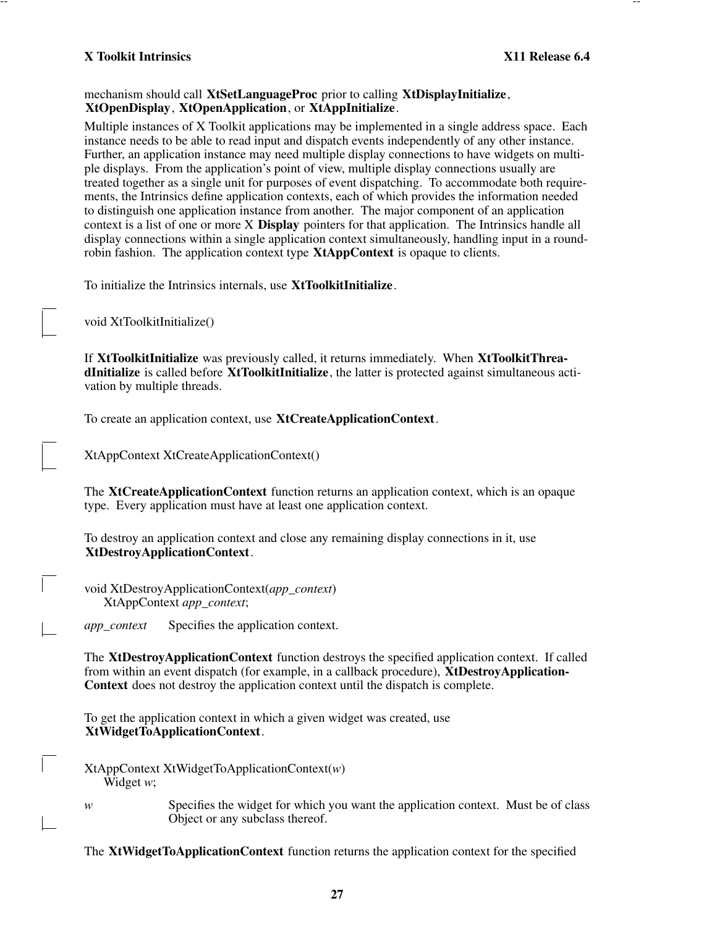## mechanism should call **XtSetLanguageProc** prior to calling **XtDisplayInitialize**, **XtOpenDisplay**, **XtOpenApplication**, or **XtAppInitialize**.

-- --

Multiple instances of X Toolkit applications may be implemented in a single address space. Each instance needs to be able to read input and dispatch events independently of any other instance. Further, an application instance may need multiple display connections to have widgets on multiple displays. From the application's point of view, multiple display connections usually are treated together as a single unit for purposes of event dispatching. To accommodate both requirements, the Intrinsics define application contexts, each of which provides the information needed to distinguish one application instance from another. The major component of an application context is a list of one or more X **Display** pointers for that application. The Intrinsics handle all display connections within a single application context simultaneously, handling input in a roundrobin fashion. The application context type **XtAppContext** is opaque to clients.

To initialize the Intrinsics internals, use **XtToolkitInitialize**.

void XtToolkitInitialize()

If **XtToolkitInitialize** was previously called, it returns immediately. When **XtToolkitThreadInitialize** is called before **XtToolkitInitialize**, the latter is protected against simultaneous activation by multiple threads.

To create an application context, use **XtCreateApplicationContext**.

XtAppContext XtCreateApplicationContext()

The **XtCreateApplicationContext** function returns an application context, which is an opaque type. Every application must have at least one application context.

To destroy an application context and close any remaining display connections in it, use **XtDestroyApplicationContext**.

void XtDestroyApplicationContext(*app\_context*) XtAppContext *app\_context*;

*app\_context* Specifies the application context.

The **XtDestroyApplicationContext** function destroys the specified application context. If called from within an event dispatch (for example, in a callback procedure), **XtDestroyApplication-Context** does not destroy the application context until the dispatch is complete.

To get the application context in which a given widget was created, use **XtWidgetToApplicationContext**.

- XtAppContext XtWidgetToApplicationContext(*w*) Widget *w*;
- *w* Specifies the widget for which you want the application context. Must be of class Object or any subclass thereof.

The **XtWidgetToApplicationContext** function returns the application context for the specified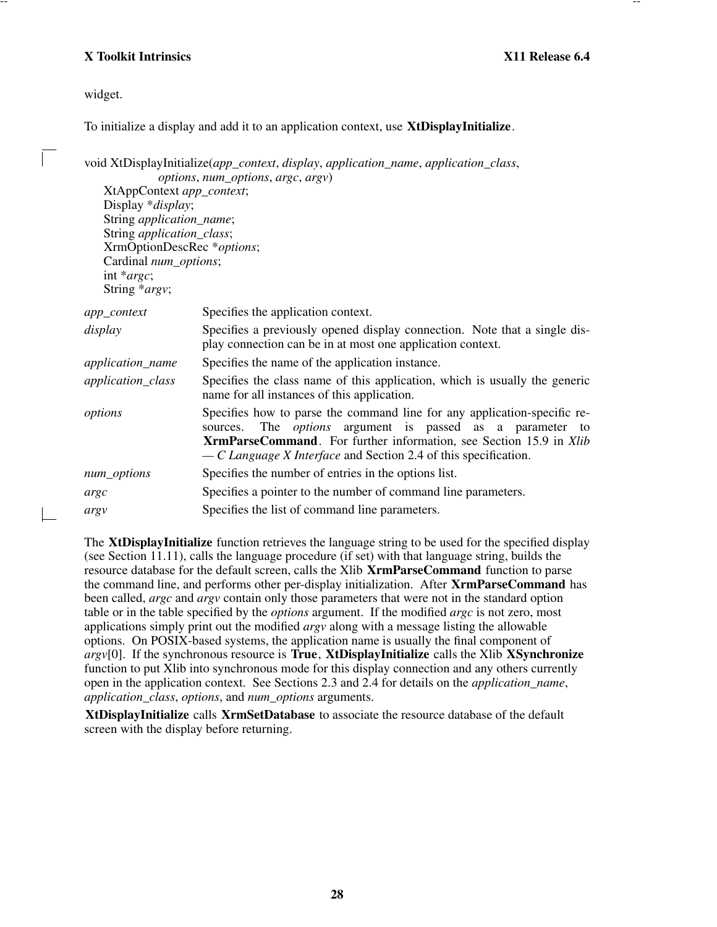widget.

To initialize a display and add it to an application context, use **XtDisplayInitialize**.

-- --

void XtDisplayInitialize(*app\_context*, *display*, *application\_name*, *application\_class*, *options*, *num\_options*, *argc*, *argv*) XtAppContext *app\_context*; Display \**display*; String *application\_name*; String *application\_class*; XrmOptionDescRec \**options*; Cardinal *num\_options*; int \**argc*; String \**argv*; *app\_context* Specifies the application context. *display* Specifies a previously opened display connection. Note that a single display connection can be in at most one application context. *application\_name* Specifies the name of the application instance. *application\_class* Specifies the class name of this application, which is usually the generic name for all instances of this application. *options* Specifies how to parse the command line for any application-specific resources. The *options* argument is passed as a parameter to **XrmParseCommand**. For further information, see Section 15.9 in *Xlib —CLanguage X Interface* and Section 2.4 of this specification. *num\_options* Specifies the number of entries in the options list. *argc* Specifies a pointer to the number of command line parameters. *argv* Specifies the list of command line parameters.

The **XtDisplayInitialize** function retrieves the language string to be used for the specified display (see Section 11.11), calls the language procedure (if set) with that language string, builds the resource database for the default screen, calls the Xlib **XrmParseCommand** function to parse the command line, and performs other per-display initialization. After **XrmParseCommand** has been called, *argc* and *argv* contain only those parameters that were not in the standard option table or in the table specified by the *options* argument. If the modified *argc* is not zero, most applications simply print out the modified *argv* along with a message listing the allowable options. On POSIX-based systems, the application name is usually the final component of *argv*[0]. If the synchronous resource is **True**, **XtDisplayInitialize** calls the Xlib **XSynchronize** function to put Xlib into synchronous mode for this display connection and any others currently open in the application context. See Sections 2.3 and 2.4 for details on the *application\_name*, *application\_class*, *options*, and *num\_options* arguments.

**XtDisplayInitialize** calls **XrmSetDatabase** to associate the resource database of the default screen with the display before returning.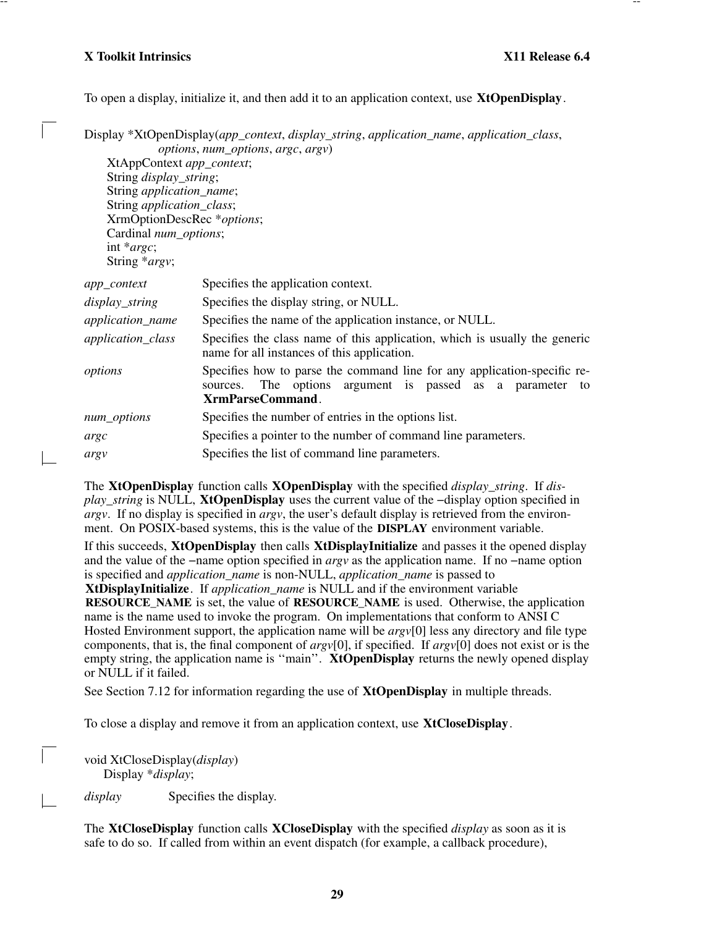To open a display, initialize it, and then add it to an application context, use **XtOpenDisplay**.

-- --

Display \*XtOpenDisplay(*app\_context*, *display\_string*, *application\_name*, *application\_class*, *options*, *num\_options*, *argc*, *argv*)

XtAppContext *app\_context*; String *display\_string*; String *application\_name*; String *application\_class*; XrmOptionDescRec \**options*; Cardinal *num\_options*; int \**argc*; String \**argv*;

| app_context       | Specifies the application context.                                                                                                                           |  |
|-------------------|--------------------------------------------------------------------------------------------------------------------------------------------------------------|--|
| display_string    | Specifies the display string, or NULL.                                                                                                                       |  |
| application_name  | Specifies the name of the application instance, or NULL.                                                                                                     |  |
| application_class | Specifies the class name of this application, which is usually the generic<br>name for all instances of this application.                                    |  |
| options           | Specifies how to parse the command line for any application-specific re-<br>The options argument is passed as a parameter to<br>sources.<br>XrmParseCommand. |  |
| num_options       | Specifies the number of entries in the options list.                                                                                                         |  |
| argc              | Specifies a pointer to the number of command line parameters.                                                                                                |  |
| argy              | Specifies the list of command line parameters.                                                                                                               |  |

The **XtOpenDisplay** function calls **XOpenDisplay** with the specified *display\_string*. If *display\_string* is NULL, **XtOpenDisplay** uses the current value of the −display option specified in *argv*. If no display is specified in *argv*, the user's default display is retrieved from the environment. On POSIX-based systems, this is the value of the **DISPLAY** environment variable.

If this succeeds, **XtOpenDisplay** then calls **XtDisplayInitialize** and passes it the opened display and the value of the −name option specified in *argv* as the application name. If no −name option is specified and *application\_name* is non-NULL, *application\_name* is passed to

**XtDisplayInitialize**. If *application\_name* is NULL and if the environment variable **RESOURCE** NAME is set, the value of **RESOURCE** NAME is used. Otherwise, the application name is the name used to invoke the program. On implementations that conform to ANSI C Hosted Environment support, the application name will be *argv*[0] less any directory and file type components, that is, the final component of *argv*[0], if specified. If *argv*[0] does not exist or is the empty string, the application name is ''main''. **XtOpenDisplay** returns the newly opened display or NULL if it failed.

See Section 7.12 for information regarding the use of **XtOpenDisplay** in multiple threads.

To close a display and remove it from an application context, use **XtCloseDisplay**.

void XtCloseDisplay(*display*) Display \**display*;

*display* Specifies the display.

The **XtCloseDisplay** function calls **XCloseDisplay** with the specified *display* as soon as it is safe to do so. If called from within an event dispatch (for example, a callback procedure),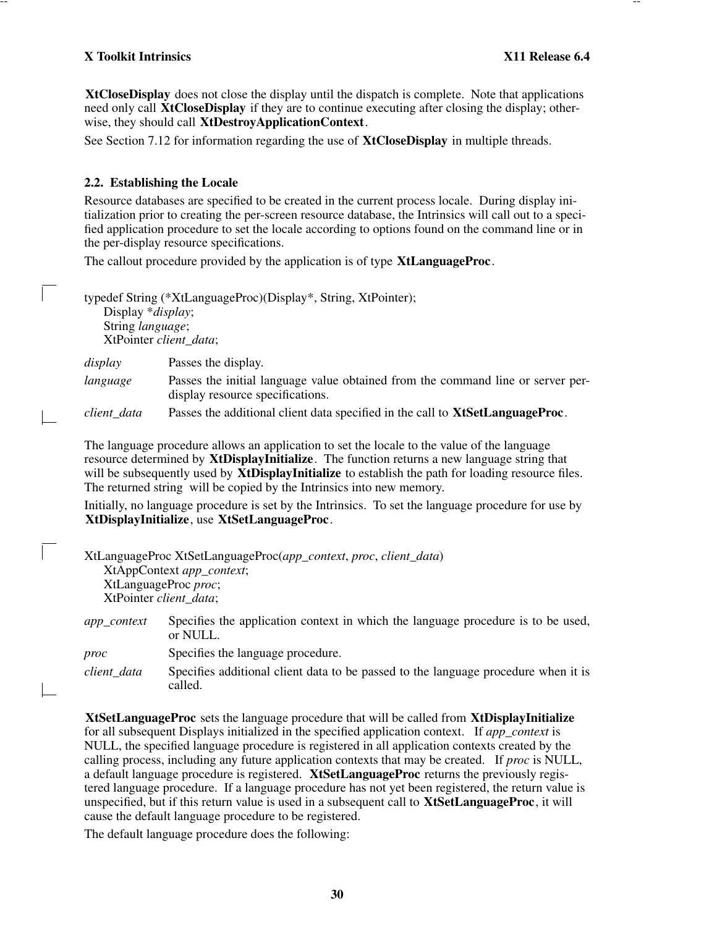**XtCloseDisplay** does not close the display until the dispatch is complete. Note that applications need only call **XtCloseDisplay** if they are to continue executing after closing the display; otherwise, they should call **XtDestroyApplicationContext**.

See Section 7.12 for information regarding the use of **XtCloseDisplay** in multiple threads.

-- --

## **2.2. Establishing the Locale**

Resource databases are specified to be created in the current process locale. During display initialization prior to creating the per-screen resource database, the Intrinsics will call out to a specified application procedure to set the locale according to options found on the command line or in the per-display resource specifications.

The callout procedure provided by the application is of type **XtLanguageProc**.

typedef String (\*XtLanguageProc)(Display\*, String, XtPointer); Display \**display*; String *language*; XtPointer *client\_data*;

| display  | Passes the display.                                                                                                 |
|----------|---------------------------------------------------------------------------------------------------------------------|
| language | Passes the initial language value obtained from the command line or server per-<br>display resource specifications. |
|          |                                                                                                                     |

*client\_data* Passes the additional client data specified in the call to **XtSetLanguageProc**.

The language procedure allows an application to set the locale to the value of the language resource determined by **XtDisplayInitialize**. The function returns a new language string that will be subsequently used by **XtDisplayInitialize** to establish the path for loading resource files. The returned string will be copied by the Intrinsics into new memory.

Initially, no language procedure is set by the Intrinsics. To set the language procedure for use by **XtDisplayInitialize**, use **XtSetLanguageProc**.

|             | XtLanguageProc XtSetLanguageProc(app_context, proc, client_data)                 |
|-------------|----------------------------------------------------------------------------------|
|             | XtAppContext app_context;                                                        |
|             | XtLanguageProc <i>proc</i> ;                                                     |
|             | XtPointer client data;                                                           |
| app_context | Specifies the application context in which the language procedure is to be used, |

or NULL. *proc* Specifies the language procedure. *client\_data* Specifies additional client data to be passed to the language procedure when it is

**XtSetLanguageProc** sets the language procedure that will be called from **XtDisplayInitialize** for all subsequent Displays initialized in the specified application context. If *app\_context* is NULL, the specified language procedure is registered in all application contexts created by the calling process, including any future application contexts that may be created. If *proc* is NULL, a default language procedure is registered. **XtSetLanguageProc** returns the previously registered language procedure. If a language procedure has not yet been registered, the return value is unspecified, but if this return value is used in a subsequent call to **XtSetLanguageProc**, it will cause the default language procedure to be registered.

The default language procedure does the following:

called.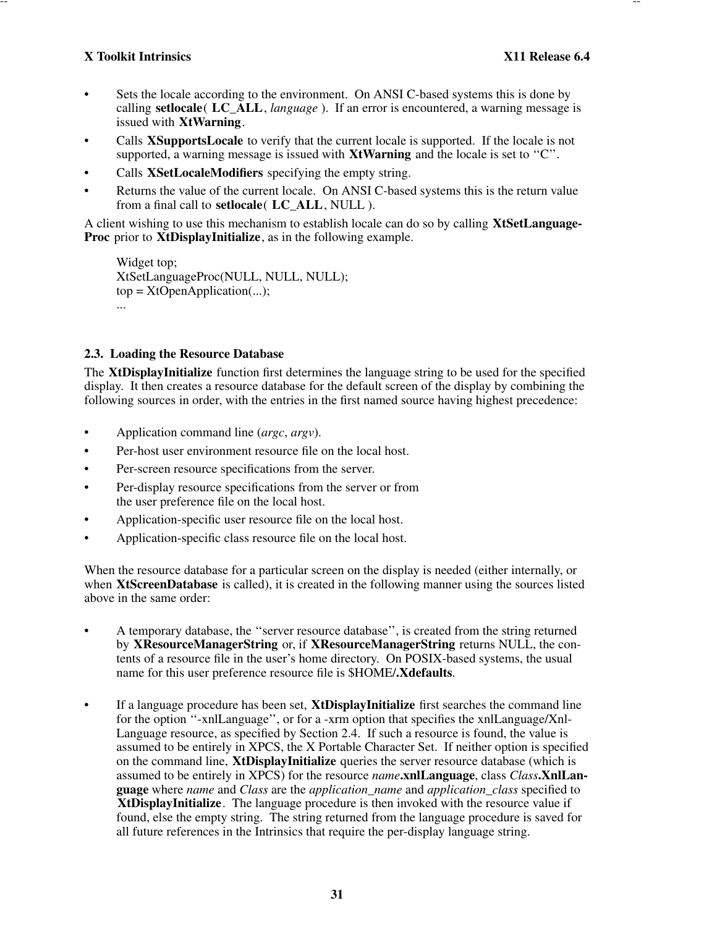• Sets the locale according to the environment. On ANSI C-based systems this is done by calling **setlocale**( **LC\_ALL**, *language* ). If an error is encountered, a warning message is issued with **XtWarning**.

-- --

- Calls **XSupportsLocale** to verify that the current locale is supported. If the locale is not supported, a warning message is issued with **XtWarning** and the locale is set to ''C''.
- Calls **XSetLocaleModifiers** specifying the empty string.
- Returns the value of the current locale. On ANSI C-based systems this is the return value from a final call to **setlocale**( **LC\_ALL**, NULL ).

A client wishing to use this mechanism to establish locale can do so by calling **XtSetLanguage-Proc** prior to **XtDisplayInitialize**, as in the following example.

Widget top; XtSetLanguageProc(NULL, NULL, NULL);  $top = XtOpenApplication(...);$ ...

# **2.3. Loading the Resource Database**

The **XtDisplayInitialize** function first determines the language string to be used for the specified display. It then creates a resource database for the default screen of the display by combining the following sources in order, with the entries in the first named source having highest precedence:

- Application command line (*argc*, *argv*).
- Per-host user environment resource file on the local host.
- Per-screen resource specifications from the server.
- Per-display resource specifications from the server or from the user preference file on the local host.
- Application-specific user resource file on the local host.
- Application-specific class resource file on the local host.

When the resource database for a particular screen on the display is needed (either internally, or when **XtScreenDatabase** is called), it is created in the following manner using the sources listed above in the same order:

- A temporary database, the ''server resource database'', is created from the string returned by **XResourceManagerString** or, if **XResourceManagerString** returns NULL, the contents of a resource file in the user's home directory. On POSIX-based systems, the usual name for this user preference resource file is \$HOME/**.Xdefaults**.
- If a language procedure has been set, **XtDisplayInitialize** first searches the command line for the option ''-xnlLanguage'', or for a -xrm option that specifies the xnlLanguage/Xnl-Language resource, as specified by Section 2.4. If such a resource is found, the value is assumed to be entirely in XPCS, the X Portable Character Set. If neither option is specified on the command line, **XtDisplayInitialize** queries the server resource database (which is assumed to be entirely in XPCS) for the resource *name***.xnlLanguage**, class *Class***.XnlLanguage** where *name* and *Class* are the *application\_name* and *application\_class* specified to **XtDisplayInitialize**. The language procedure is then invoked with the resource value if found, else the empty string. The string returned from the language procedure is saved for all future references in the Intrinsics that require the per-display language string.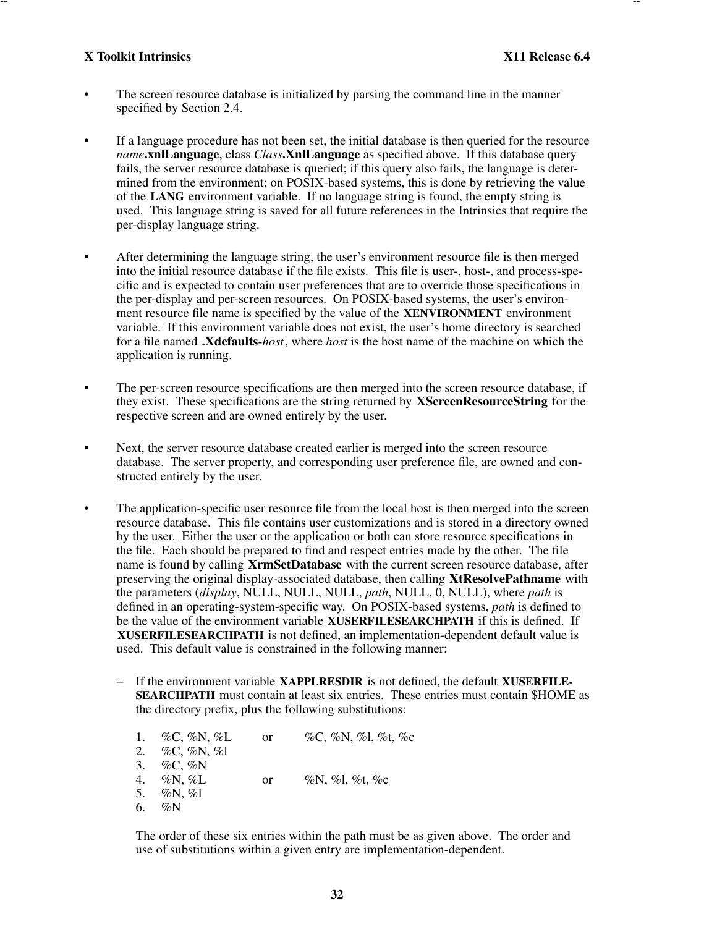The screen resource database is initialized by parsing the command line in the manner specified by Section 2.4.

-- --

- If a language procedure has not been set, the initial database is then queried for the resource *name***.xnlLanguage**, class *Class***.XnlLanguage** as specified above. If this database query fails, the server resource database is queried; if this query also fails, the language is determined from the environment; on POSIX-based systems, this is done by retrieving the value of the **LANG** environment variable. If no language string is found, the empty string is used. This language string is saved for all future references in the Intrinsics that require the per-display language string.
- After determining the language string, the user's environment resource file is then merged into the initial resource database if the file exists. This file is user-, host-, and process-specific and is expected to contain user preferences that are to override those specifications in the per-display and per-screen resources. On POSIX-based systems, the user's environment resource file name is specified by the value of the **XENVIRONMENT** environment variable. If this environment variable does not exist, the user's home directory is searched for a file named **.Xdefaults-***host*, where *host* is the host name of the machine on which the application is running.
- The per-screen resource specifications are then merged into the screen resource database, if they exist. These specifications are the string returned by **XScreenResourceString** for the respective screen and are owned entirely by the user.
- Next, the server resource database created earlier is merged into the screen resource database. The server property, and corresponding user preference file, are owned and constructed entirely by the user.
- The application-specific user resource file from the local host is then merged into the screen resource database. This file contains user customizations and is stored in a directory owned by the user. Either the user or the application or both can store resource specifications in the file. Each should be prepared to find and respect entries made by the other. The file name is found by calling **XrmSetDatabase** with the current screen resource database, after preserving the original display-associated database, then calling **XtResolvePathname** with the parameters (*display*, NULL, NULL, NULL, *path*, NULL, 0, NULL), where *path* is defined in an operating-system-specific way. On POSIX-based systems, *path* is defined to be the value of the environment variable **XUSERFILESEARCHPATH** if this is defined. If **XUSERFILESEARCHPATH** is not defined, an implementation-dependent default value is used. This default value is constrained in the following manner:
	- − If the environment variable **XAPPLRESDIR** is not defined, the default **XUSERFILE-SEARCHPATH** must contain at least six entries. These entries must contain \$HOME as the directory prefix, plus the following substitutions:
		- 1. %C, %N, %L or %C, %N, %l, %t, %c 2. %C, %N, %l 3. %C, %N<br>4. %N, %L or %N, %l, %t, %c 5. %N, %l 6.  $\%N$

The order of these six entries within the path must be as given above. The order and use of substitutions within a given entry are implementation-dependent.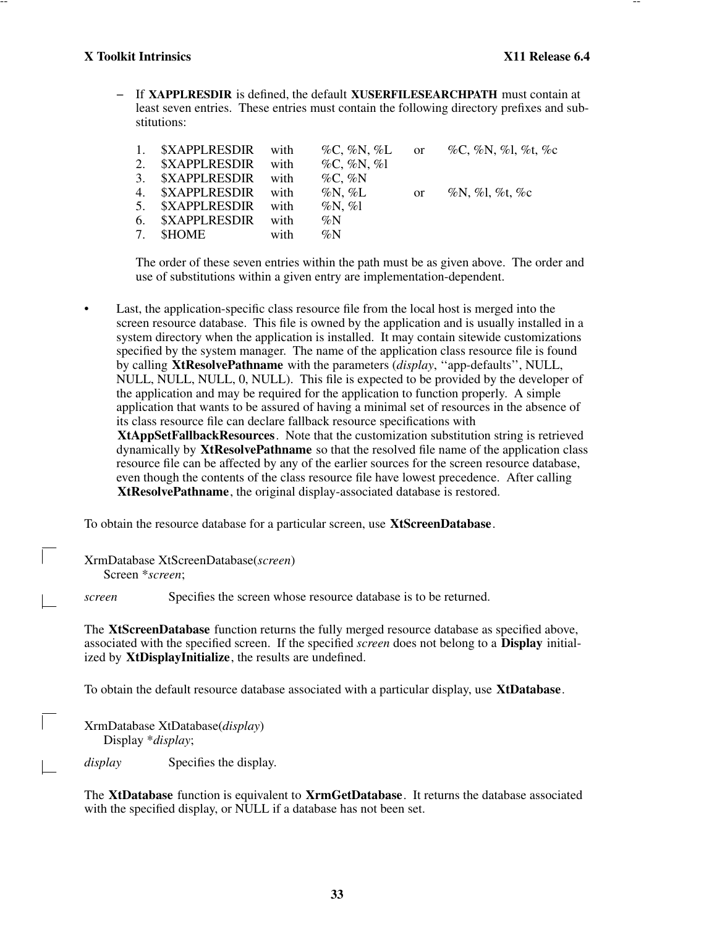− If **XAPPLRESDIR** is defined, the default **XUSERFILESEARCHPATH** must contain at least seven entries. These entries must contain the following directory prefixes and substitutions:

-- --

| $\overline{1}$ . | <b>\$XAPPLRESDIR</b> | with | %C, %N, %L      | $\alpha$ | %C, %N, %l, %t, %c |
|------------------|----------------------|------|-----------------|----------|--------------------|
| 2.               | <b>\$XAPPLRESDIR</b> | with | $\%C, \%N, \%I$ |          |                    |
| 3.               | <b>\$XAPPLRESDIR</b> | with | %C, %N          |          |                    |
| 4.               | <b>\$XAPPLRESDIR</b> | with | %N, %L          | $\alpha$ | %N, %l, %t, %c     |
| 5 <sub>1</sub>   | <b>\$XAPPLRESDIR</b> | with | $\%N, \%1$      |          |                    |
| 6.               | <b>\$XAPPLRESDIR</b> | with | $\%N$           |          |                    |
| 7.               | <b>SHOME</b>         | with | $\%N$           |          |                    |

The order of these seven entries within the path must be as given above. The order and use of substitutions within a given entry are implementation-dependent.

Last, the application-specific class resource file from the local host is merged into the screen resource database. This file is owned by the application and is usually installed in a system directory when the application is installed. It may contain sitewide customizations specified by the system manager. The name of the application class resource file is found by calling **XtResolvePathname** with the parameters (*display*, ''app-defaults'', NULL, NULL, NULL, NULL, 0, NULL). This file is expected to be provided by the developer of the application and may be required for the application to function properly. A simple application that wants to be assured of having a minimal set of resources in the absence of its class resource file can declare fallback resource specifications with **XtAppSetFallbackResources**. Note that the customization substitution string is retrieved dynamically by **XtResolvePathname** so that the resolved file name of the application class resource file can be affected by any of the earlier sources for the screen resource database, even though the contents of the class resource file have lowest precedence. After calling **XtResolvePathname**, the original display-associated database is restored.

To obtain the resource database for a particular screen, use **XtScreenDatabase**.

XrmDatabase XtScreenDatabase(*screen*) Screen \**screen*;

*screen* Specifies the screen whose resource database is to be returned.

The **XtScreenDatabase** function returns the fully merged resource database as specified above, associated with the specified screen. If the specified *screen* does not belong to a **Display** initialized by **XtDisplayInitialize**, the results are undefined.

To obtain the default resource database associated with a particular display, use **XtDatabase**.

XrmDatabase XtDatabase(*display*) Display \**display*;

*display* Specifies the display.

The **XtDatabase** function is equivalent to **XrmGetDatabase**. It returns the database associated with the specified display, or NULL if a database has not been set.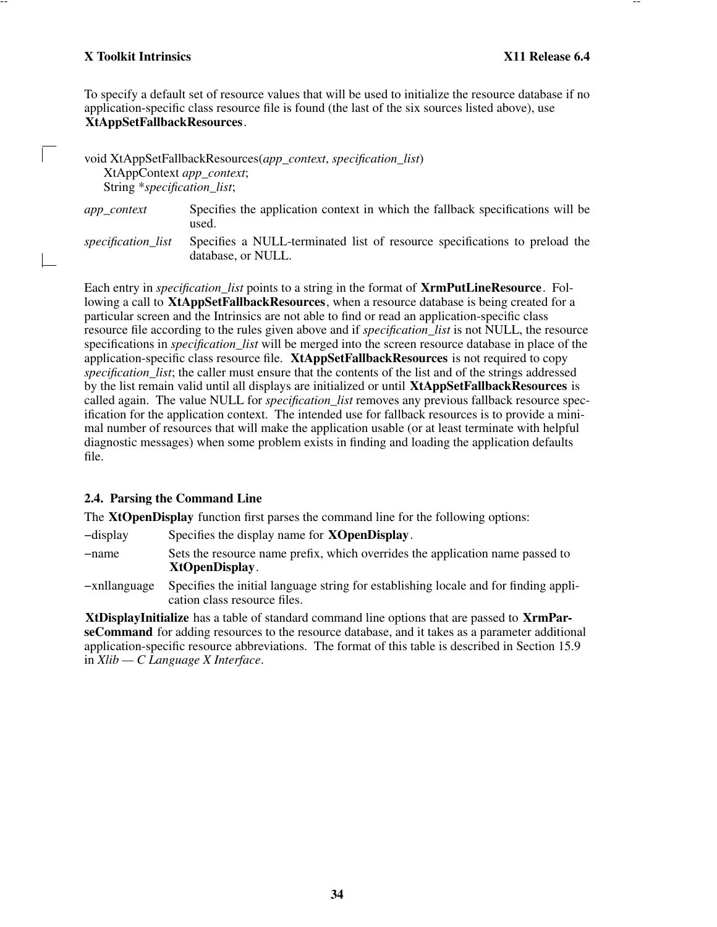To specify a default set of resource values that will be used to initialize the resource database if no application-specific class resource file is found (the last of the six sources listed above), use **XtAppSetFallbackResources**.

-- --

void XtAppSetFallbackResources(*app\_context*, *specification\_list*) XtAppContext *app\_context*; String \**specification\_list*; *app\_context* Specifies the application context in which the fallback specifications will be used. *specification\_list* Specifies a NULL-terminated list of resource specifications to preload the

Each entry in *specification\_list* points to a string in the format of **XrmPutLineResource**. Following a call to **XtAppSetFallbackResources**, when a resource database is being created for a particular screen and the Intrinsics are not able to find or read an application-specific class resource file according to the rules given above and if *specification\_list* is not NULL, the resource specifications in *specification\_list* will be merged into the screen resource database in place of the application-specific class resource file. **XtAppSetFallbackResources** is not required to copy *specification\_list*; the caller must ensure that the contents of the list and of the strings addressed by the list remain valid until all displays are initialized or until **XtAppSetFallbackResources** is called again. The value NULL for *specification list* removes any previous fallback resource specification for the application context. The intended use for fallback resources is to provide a minimal number of resources that will make the application usable (or at least terminate with helpful diagnostic messages) when some problem exists in finding and loading the application defaults file.

# **2.4. Parsing the Command Line**

The **XtOpenDisplay** function first parses the command line for the following options:

−display Specifies the display name for **XOpenDisplay**.

database, or NULL.

- −name Sets the resource name prefix, which overrides the application name passed to **XtOpenDisplay**.
- −xnllanguage Specifies the initial language string for establishing locale and for finding application class resource files.

**XtDisplayInitialize** has a table of standard command line options that are passed to **XrmParseCommand** for adding resources to the resource database, and it takes as a parameter additional application-specific resource abbreviations. The format of this table is described in Section 15.9 in *Xlib — C Language X Interface*.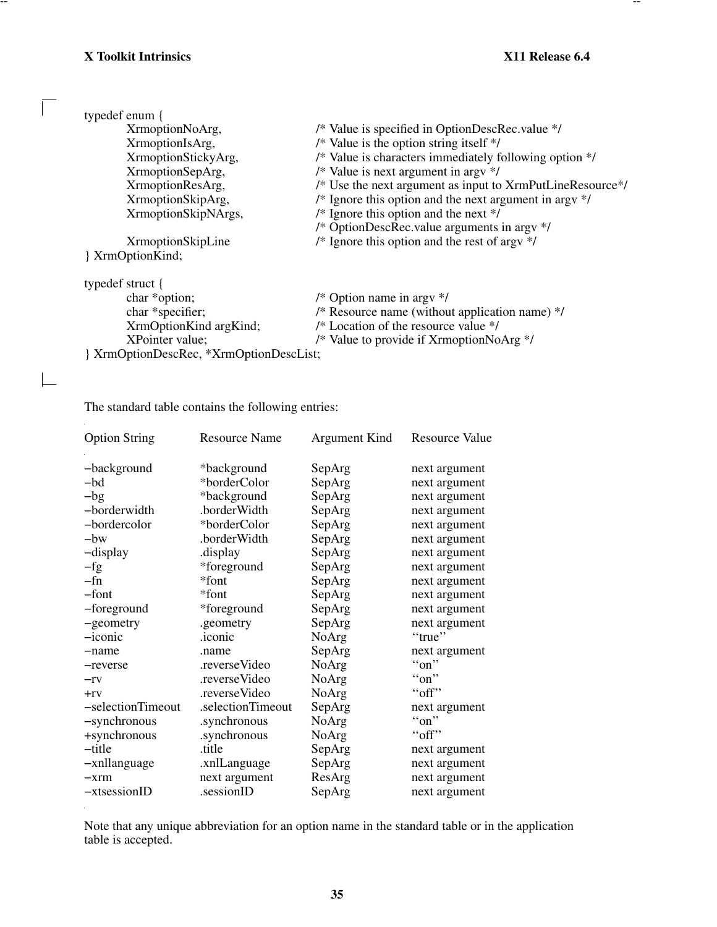$\overline{\Gamma}$ 

 $\boxed{\phantom{1}}$ 

 $\hat{\mathcal{L}}$ 

| typedef enum {                        |                                                                   |
|---------------------------------------|-------------------------------------------------------------------|
| XrmoptionNoArg,                       | /* Value is specified in OptionDescRec.value */                   |
| XrmoptionIsArg,                       | /* Value is the option string itself $*/$                         |
| XrmoptionStickyArg,                   | /* Value is characters immediately following option */            |
| XrmoptionSepArg,                      | /* Value is next argument in argv $*/$                            |
| XrmoptionResArg,                      | /* Use the next argument as input to XrmPutLineResource*/         |
| XrmoptionSkipArg,                     | /* Ignore this option and the next argument in argv $\frac{k}{r}$ |
| XrmoptionSkipNArgs,                   | /* Ignore this option and the next $*/$                           |
|                                       | /* OptionDescRec.value arguments in argv */                       |
| XrmoptionSkipLine                     | /* Ignore this option and the rest of argv $*/$                   |
| <i>KrmOptionKind</i> ;                |                                                                   |
| typedef struct {                      |                                                                   |
| char *option;                         | /* Option name in argy $*/$                                       |
| char *specifier;                      | /* Resource name (without application name) */                    |
| XrmOptionKind argKind;                | /* Location of the resource value $*/$                            |
| XPointer value;                       | /* Value to provide if XrmoptionNoArg */                          |
| XrmOptionDescRec, *XrmOptionDescList; |                                                                   |

-- --

The standard table contains the following entries:

| <b>Option String</b><br><b>Resource Name</b> |                   | <b>Argument Kind</b> | <b>Resource Value</b> |  |
|----------------------------------------------|-------------------|----------------------|-----------------------|--|
|                                              |                   |                      |                       |  |
| -background                                  | *background       | SepArg               | next argument         |  |
| $-bd$                                        | *borderColor      | SepArg               | next argument         |  |
| $-bg$                                        | *background       | SepArg               | next argument         |  |
| -borderwidth                                 | .borderWidth      | SepArg               | next argument         |  |
| -bordercolor                                 | *borderColor      | SepArg               | next argument         |  |
| $-bw$                                        | .borderWidth      | SepArg               | next argument         |  |
| -display                                     | display.          | SepArg               | next argument         |  |
| $-fg$                                        | *foreground       | SepArg               | next argument         |  |
| $-\text{fn}$                                 | *font             | SepArg               | next argument         |  |
| $-font$                                      | *font             | SepArg               | next argument         |  |
| -foreground                                  | *foreground       | SepArg               | next argument         |  |
| -geometry                                    | .geometry         | SepArg               | next argument         |  |
| -iconic                                      | .iconic           | NoArg                | "true"                |  |
| -name                                        | .name             | SepArg               | next argument         |  |
| -reverse                                     | .reverseVideo     | NoArg                | "on"                  |  |
| $-rv$                                        | .reverseVideo     | NoArg                | " $on$ "              |  |
| $+rv$                                        | .reverseVideo     | NoArg                | "off"                 |  |
| -selectionTimeout                            | .selectionTimeout | SepArg               | next argument         |  |
| -synchronous                                 | .synchronous      | NoArg                | "on"                  |  |
| +synchronous                                 | .synchronous      | NoArg                | "off"                 |  |
| -title                                       | .title            | SepArg               | next argument         |  |
| -xnllanguage                                 | .xnlLanguage      | SepArg               | next argument         |  |
| $-xrm$                                       | next argument     | ResArg               | next argument         |  |
| $-x$ tsessionID                              | .sessionID        | SepArg               | next argument         |  |
|                                              |                   |                      |                       |  |

Note that any unique abbreviation for an option name in the standard table or in the application table is accepted.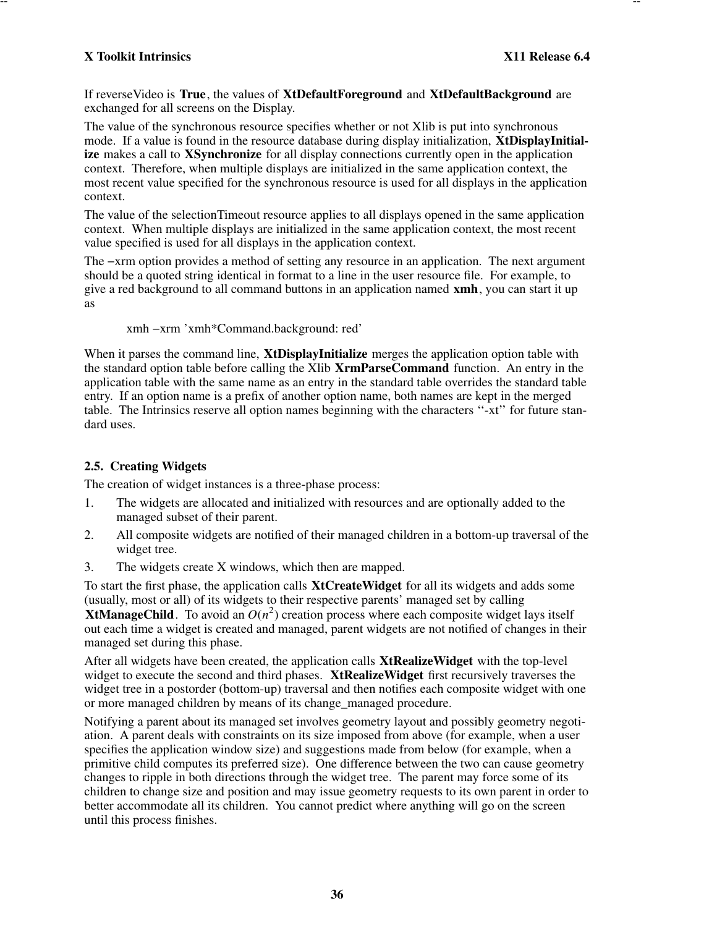If reverseVideo is **True**, the values of **XtDefaultForeground** and **XtDefaultBackground** are exchanged for all screens on the Display.

-- --

The value of the synchronous resource specifies whether or not Xlib is put into synchronous mode. If a value is found in the resource database during display initialization, **XtDisplayInitialize** makes a call to **XSynchronize** for all display connections currently open in the application context. Therefore, when multiple displays are initialized in the same application context, the most recent value specified for the synchronous resource is used for all displays in the application context.

The value of the selectionTimeout resource applies to all displays opened in the same application context. When multiple displays are initialized in the same application context, the most recent value specified is used for all displays in the application context.

The −xrm option provides a method of setting any resource in an application. The next argument should be a quoted string identical in format to a line in the user resource file. For example, to give a red background to all command buttons in an application named **xmh**, you can start it up as

#### xmh −xrm 'xmh\*Command.background: red'

When it parses the command line, **XtDisplayInitialize** merges the application option table with the standard option table before calling the Xlib **XrmParseCommand** function. An entry in the application table with the same name as an entry in the standard table overrides the standard table entry. If an option name is a prefix of another option name, both names are kept in the merged table. The Intrinsics reserve all option names beginning with the characters ''-xt'' for future standard uses.

## **2.5. Creating Widgets**

The creation of widget instances is a three-phase process:

- 1. The widgets are allocated and initialized with resources and are optionally added to the managed subset of their parent.
- 2. All composite widgets are notified of their managed children in a bottom-up traversal of the widget tree.
- 3. The widgets create X windows, which then are mapped.

To start the first phase, the application calls **XtCreateWidget** for all its widgets and adds some (usually, most or all) of its widgets to their respective parents' managed set by calling **XtManageChild**. To avoid an  $O(n^2)$  creation process where each composite widget lays itself out each time a widget is created and managed, parent widgets are not notified of changes in their managed set during this phase.

After all widgets have been created, the application calls **XtRealizeWidget** with the top-level widget to execute the second and third phases. **XtRealizeWidget** first recursively traverses the widget tree in a postorder (bottom-up) traversal and then notifies each composite widget with one or more managed children by means of its change\_managed procedure.

Notifying a parent about its managed set involves geometry layout and possibly geometry negotiation. A parent deals with constraints on its size imposed from above (for example, when a user specifies the application window size) and suggestions made from below (for example, when a primitive child computes its preferred size). One difference between the two can cause geometry changes to ripple in both directions through the widget tree. The parent may force some of its children to change size and position and may issue geometry requests to its own parent in order to better accommodate all its children. You cannot predict where anything will go on the screen until this process finishes.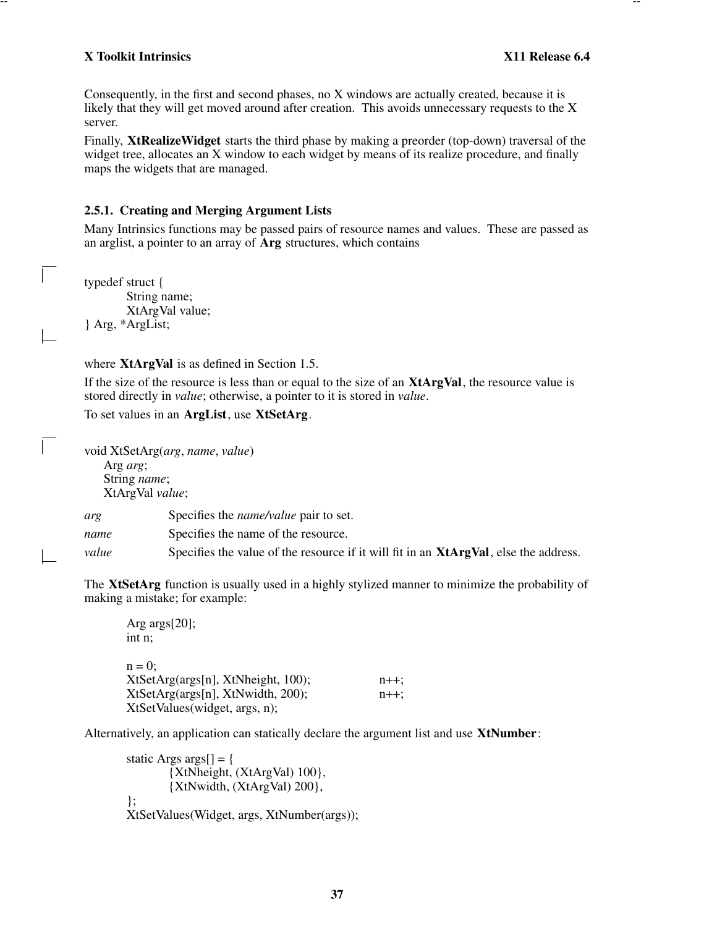Consequently, in the first and second phases, no X windows are actually created, because it is likely that they will get moved around after creation. This avoids unnecessary requests to the X server.

-- --

Finally, **XtRealizeWidget** starts the third phase by making a preorder (top-down) traversal of the widget tree, allocates an X window to each widget by means of its realize procedure, and finally maps the widgets that are managed.

# **2.5.1. Creating and Merging Argument Lists**

Many Intrinsics functions may be passed pairs of resource names and values. These are passed as an arglist, a pointer to an array of **Arg** structures, which contains

typedef struct { String name; XtArgVal value; } Arg, \*ArgList;

where **XtArgVal** is as defined in Section 1.5.

If the size of the resource is less than or equal to the size of an **XtArgVal**, the resource value is stored directly in *value*; otherwise, a pointer to it is stored in *value*.

To set values in an **ArgList**, use **XtSetArg**.

void XtSetArg(*arg*, *name*, *value*) Arg *arg*; String *name*; XtArgVal *value*; *arg* Specifies the *name/value* pair to set. *name* Specifies the name of the resource. *value* Specifies the value of the resource if it will fit in an **XtArgVal**, else the address.

The **XtSetArg** function is usually used in a highly stylized manner to minimize the probability of making a mistake; for example:

```
Arg args[20];
int n;
n=0:
XtSetArg(args[n], XtNheight, 100); n++;
XtSetArg(args[n], XtNwidth, 200); n++;
XtSetValues(widget, args, n);
```
Alternatively, an application can statically declare the argument list and use **XtNumber**:

```
static Args args[] = {
        {XtNheight, (XtArgVal) 100},
        {XtNwidth, (XtArgVal) 200},
};
XtSetValues(Widget, args, XtNumber(args));
```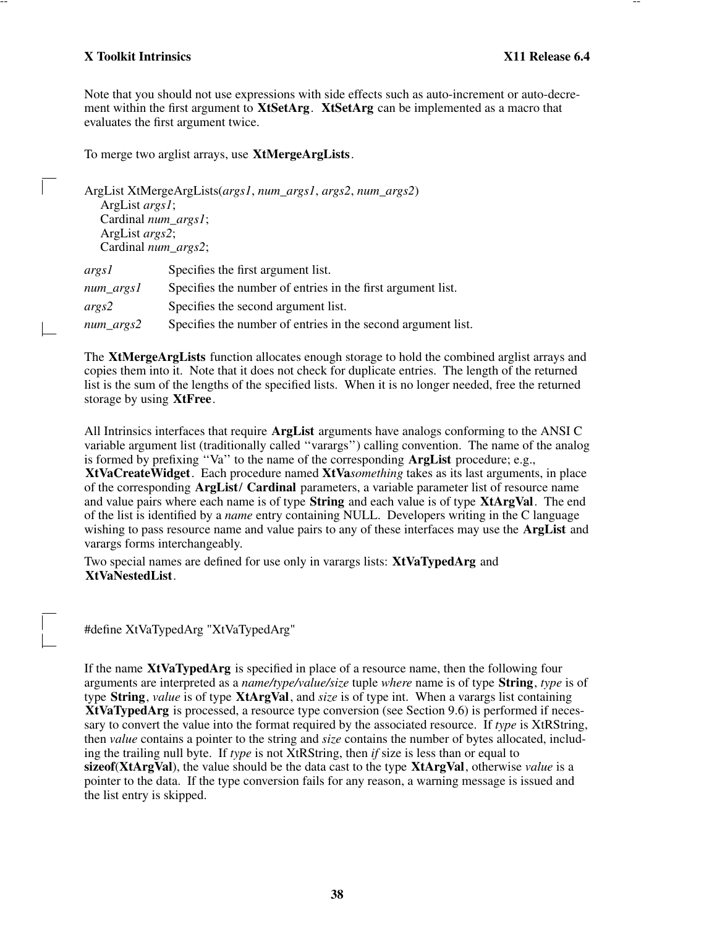Note that you should not use expressions with side effects such as auto-increment or auto-decrement within the first argument to **XtSetArg**. **XtSetArg** can be implemented as a macro that evaluates the first argument twice.

-- --

To merge two arglist arrays, use **XtMergeArgLists**.

ArgList XtMergeArgLists(*args1*, *num\_args1*, *args2*, *num\_args2*) ArgList *args1*; Cardinal *num\_args1*; ArgList *args2*; Cardinal *num\_args2*; *args1* Specifies the first argument list. *num\_args1* Specifies the number of entries in the first argument list.

*args2* Specifies the second argument list.

*num\_args2* Specifies the number of entries in the second argument list.

The **XtMergeArgLists** function allocates enough storage to hold the combined arglist arrays and copies them into it. Note that it does not check for duplicate entries. The length of the returned list is the sum of the lengths of the specified lists. When it is no longer needed, free the returned storage by using **XtFree**.

All Intrinsics interfaces that require **ArgList** arguments have analogs conforming to the ANSI C variable argument list (traditionally called ''varargs'') calling convention. The name of the analog is formed by prefixing ''Va'' to the name of the corresponding **ArgList** procedure; e.g., **XtVaCreateWidget**. Each procedure named **XtVa***something* takes as its last arguments, in place of the corresponding **ArgList**/ **Cardinal** parameters, a variable parameter list of resource name and value pairs where each name is of type **String** and each value is of type **XtArgVal**. The end of the list is identified by a *name* entry containing NULL. Developers writing in the C language wishing to pass resource name and value pairs to any of these interfaces may use the **ArgList** and varargs forms interchangeably.

Two special names are defined for use only in varargs lists: **XtVaTypedArg** and **XtVaNestedList**.

#define XtVaTypedArg "XtVaTypedArg"

If the name **XtVaTypedArg** is specified in place of a resource name, then the following four arguments are interpreted as a *name/type/value/size* tuple *where* name is of type **String**, *type* is of type **String**, *value* is of type **XtArgVal**, and *size* is of type int. When a varargs list containing **XtVaTypedArg** is processed, a resource type conversion (see Section 9.6) is performed if necessary to convert the value into the format required by the associated resource. If *type* is XtRString, then *value* contains a pointer to the string and *size* contains the number of bytes allocated, including the trailing null byte. If *type* is not XtRString, then *if* size is less than or equal to **sizeof**(**XtArgVal**), the value should be the data cast to the type **XtArgVal**, otherwise *value* is a pointer to the data. If the type conversion fails for any reason, a warning message is issued and the list entry is skipped.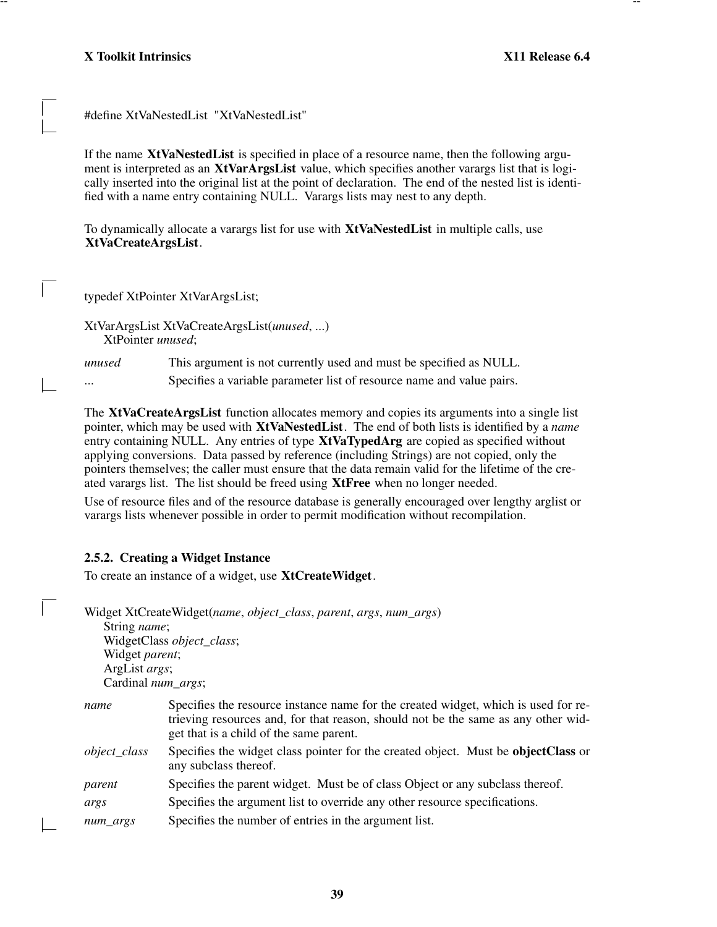#define XtVaNestedList "XtVaNestedList"

If the name **XtVaNestedList** is specified in place of a resource name, then the following argument is interpreted as an **XtVarArgsList** value, which specifies another varargs list that is logically inserted into the original list at the point of declaration. The end of the nested list is identified with a name entry containing NULL. Varargs lists may nest to any depth.

-- --

To dynamically allocate a varargs list for use with **XtVaNestedList** in multiple calls, use **XtVaCreateArgsList**.

typedef XtPointer XtVarArgsList;

XtVarArgsList XtVaCreateArgsList(*unused*, ...) XtPointer *unused*;

| unused |  | This argument is not currently used and must be specified as NULL. |  |  |  |
|--------|--|--------------------------------------------------------------------|--|--|--|
|        |  |                                                                    |  |  |  |

Specifies a variable parameter list of resource name and value pairs.

The **XtVaCreateArgsList** function allocates memory and copies its arguments into a single list pointer, which may be used with **XtVaNestedList**. The end of both lists is identified by a *name* entry containing NULL. Any entries of type **XtVaTypedArg** are copied as specified without applying conversions. Data passed by reference (including Strings) are not copied, only the pointers themselves; the caller must ensure that the data remain valid for the lifetime of the created varargs list. The list should be freed using **XtFree** when no longer needed.

Use of resource files and of the resource database is generally encouraged over lengthy arglist or varargs lists whenever possible in order to permit modification without recompilation.

#### **2.5.2. Creating a Widget Instance**

To create an instance of a widget, use **XtCreateWidget**.

Widget XtCreateWidget(*name*, *object\_class*, *parent*, *args*, *num\_args*) String *name*; WidgetClass *object\_class*; Widget *parent*; ArgList *args*; Cardinal *num\_args*; *name* Specifies the resource instance name for the created widget, which is used for re-

- trieving resources and, for that reason, should not be the same as any other widget that is a child of the same parent. *object\_class* Specifies the widget class pointer for the created object. Must be **objectClass** or any subclass thereof.
- *parent* Specifies the parent widget. Must be of class Object or any subclass thereof.
- *args* Specifies the argument list to override any other resource specifications.
- *num\_args* Specifies the number of entries in the argument list.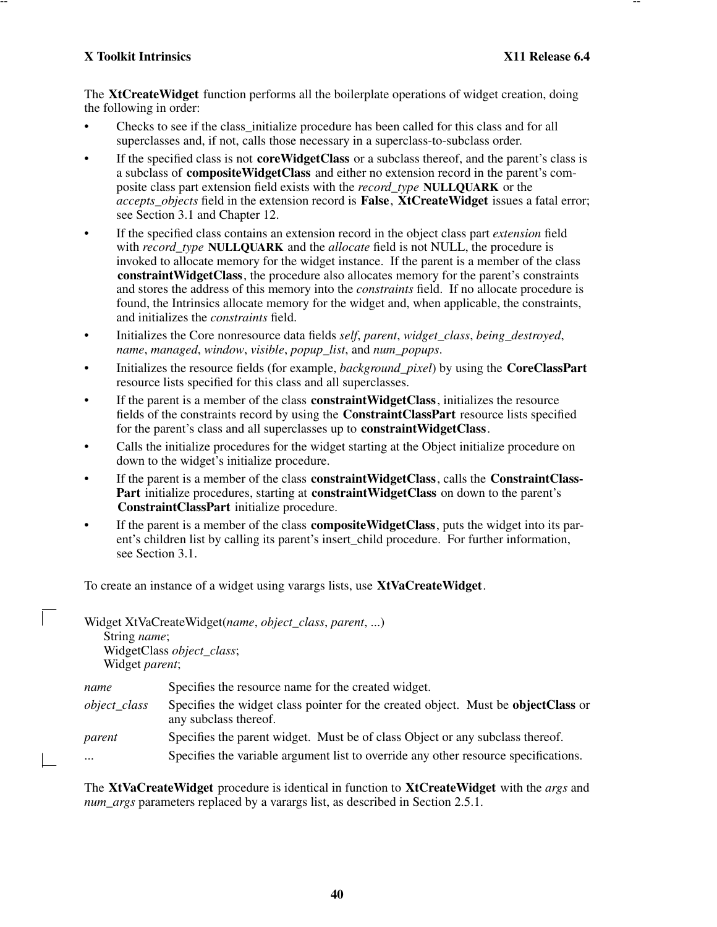The **XtCreateWidget** function performs all the boilerplate operations of widget creation, doing the following in order:

• Checks to see if the class initialize procedure has been called for this class and for all superclasses and, if not, calls those necessary in a superclass-to-subclass order.

-- --

- If the specified class is not **coreWidgetClass** or a subclass thereof, and the parent's class is a subclass of **compositeWidgetClass** and either no extension record in the parent's composite class part extension field exists with the *record\_type* **NULLQUARK** or the *accepts\_objects* field in the extension record is **False**, **XtCreateWidget** issues a fatal error; see Section 3.1 and Chapter 12.
- If the specified class contains an extension record in the object class part *extension* field with *record\_type* **NULLQUARK** and the *allocate* field is not NULL, the procedure is invoked to allocate memory for the widget instance. If the parent is a member of the class **constraintWidgetClass**, the procedure also allocates memory for the parent's constraints and stores the address of this memory into the *constraints* field. If no allocate procedure is found, the Intrinsics allocate memory for the widget and, when applicable, the constraints, and initializes the *constraints* field.
- Initializes the Core nonresource data fields *self*, *parent*, *widget\_class*, *being\_destroyed*, *name*, *managed*, *window*, *visible*, *popup\_list*, and *num\_popups*.
- Initializes the resource fields (for example, *background\_pixel*) by using the **CoreClassPart** resource lists specified for this class and all superclasses.
- If the parent is a member of the class **constraintWidgetClass**, initializes the resource fields of the constraints record by using the **ConstraintClassPart** resource lists specified for the parent's class and all superclasses up to **constraintWidgetClass**.
- Calls the initialize procedures for the widget starting at the Object initialize procedure on down to the widget's initialize procedure.
- If the parent is a member of the class **constraintWidgetClass**, calls the **ConstraintClass-Part** initialize procedures, starting at **constraintWidgetClass** on down to the parent's **ConstraintClassPart** initialize procedure.
- If the parent is a member of the class **compositeWidgetClass**, puts the widget into its parent's children list by calling its parent's insert\_child procedure. For further information, see Section 3.1.

To create an instance of a widget using varargs lists, use **XtVaCreateWidget**.

| String <i>name</i> ;<br>Widget parent; | Widget XtVaCreateWidget(name, object_class, parent, )<br>WidgetClass <i>object_class</i> ;                  |
|----------------------------------------|-------------------------------------------------------------------------------------------------------------|
| name                                   | Specifies the resource name for the created widget.                                                         |
| <i>object_class</i>                    | Specifies the widget class pointer for the created object. Must be object Class or<br>any subclass thereof. |
| parent                                 | Specifies the parent widget. Must be of class Object or any subclass thereof.                               |
| $\cdots$                               | Specifies the variable argument list to override any other resource specifications.                         |

The **XtVaCreateWidget** procedure is identical in function to **XtCreateWidget** with the *args* and *num\_args* parameters replaced by a varargs list, as described in Section 2.5.1.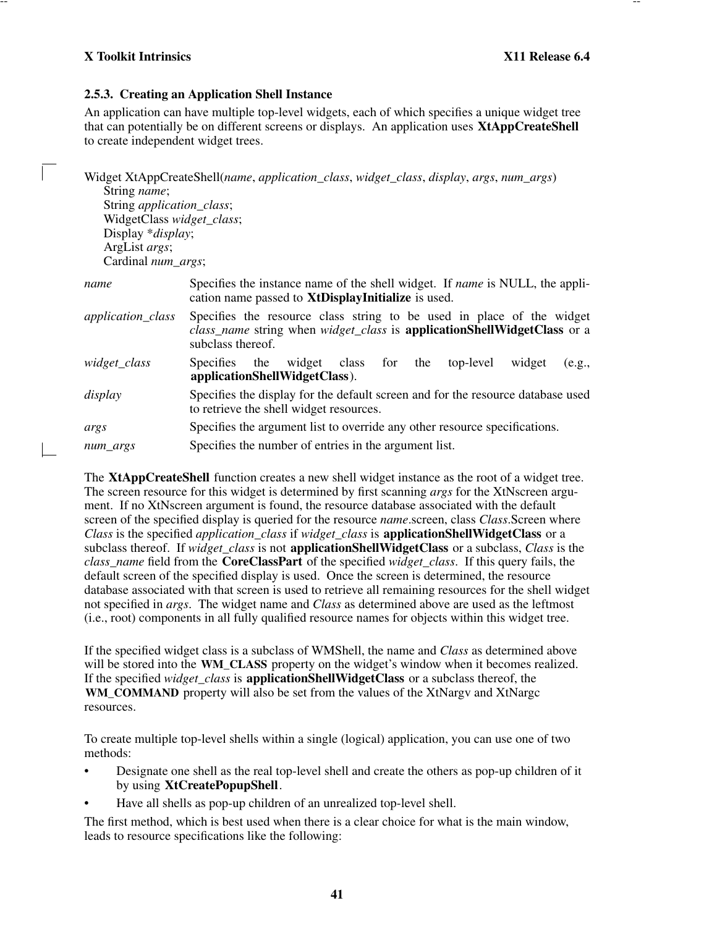#### **2.5.3. Creating an Application Shell Instance**

An application can have multiple top-level widgets, each of which specifies a unique widget tree that can potentially be on different screens or displays. An application uses **XtAppCreateShell** to create independent widget trees.

-- --

Widget XtAppCreateShell(*name*, *application\_class*, *widget\_class*, *display*, *args*, *num\_args*) String *name*; String *application\_class*; WidgetClass *widget\_class*; Display \**display*; ArgList *args*; Cardinal *num\_args*; *name* Specifies the instance name of the shell widget. If *name* is NULL, the application name passed to **XtDisplayInitialize** is used. *application\_class* Specifies the resource class string to be used in place of the widget *class\_name* string when *widget\_class* is **applicationShellWidgetClass** or a subclass thereof. *widget\_class* Specifies the widget class for the top-level widget (e.g., **applicationShellWidgetClass**). *display* Specifies the display for the default screen and for the resource database used to retrieve the shell widget resources.

*args* Specifies the argument list to override any other resource specifications.

*num\_args* Specifies the number of entries in the argument list.

The **XtAppCreateShell** function creates a new shell widget instance as the root of a widget tree. The screen resource for this widget is determined by first scanning *args* for the XtNscreen argument. If no XtNscreen argument is found, the resource database associated with the default screen of the specified display is queried for the resource *name*.screen, class *Class*.Screen where *Class* is the specified *application\_class* if *widget\_class* is **applicationShellWidgetClass** or a subclass thereof. If *widget\_class* is not **applicationShellWidgetClass** or a subclass, *Class* is the *class\_name* field from the **CoreClassPart** of the specified *widget\_class*. If this query fails, the default screen of the specified display is used. Once the screen is determined, the resource database associated with that screen is used to retrieve all remaining resources for the shell widget not specified in *args*. The widget name and *Class* as determined above are used as the leftmost (i.e., root) components in all fully qualified resource names for objects within this widget tree.

If the specified widget class is a subclass of WMShell, the name and *Class* as determined above will be stored into the **WM\_CLASS** property on the widget's window when it becomes realized. If the specified *widget\_class* is **applicationShellWidgetClass** or a subclass thereof, the **WM\_COMMAND** property will also be set from the values of the XtNargv and XtNargc resources.

To create multiple top-level shells within a single (logical) application, you can use one of two methods:

- Designate one shell as the real top-level shell and create the others as pop-up children of it by using **XtCreatePopupShell**.
- Have all shells as pop-up children of an unrealized top-level shell.

The first method, which is best used when there is a clear choice for what is the main window, leads to resource specifications like the following: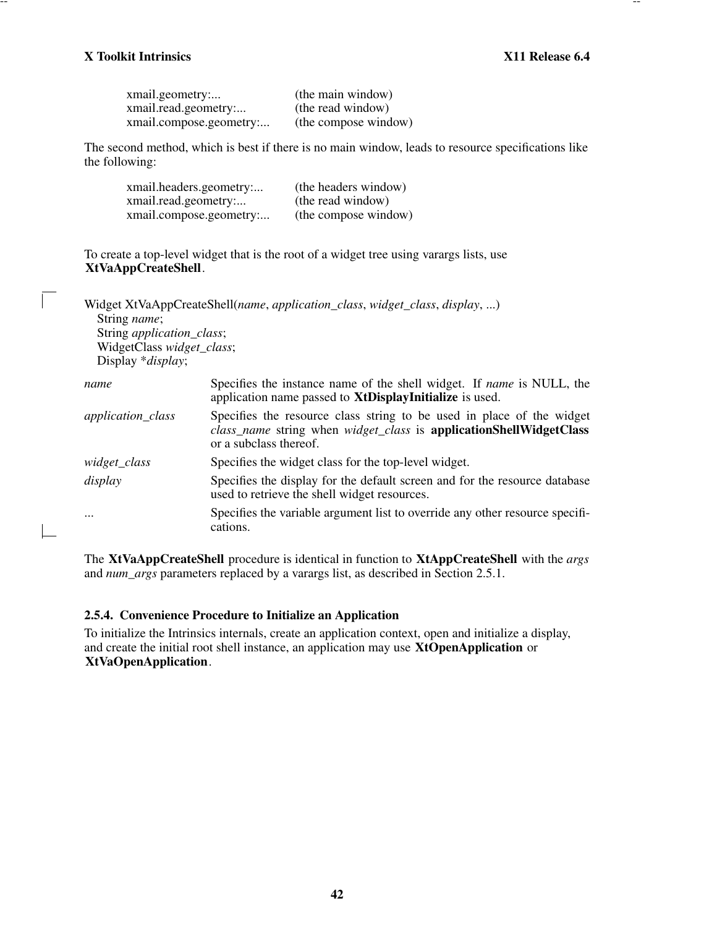| xmail.geometry:         | (the main window)    |
|-------------------------|----------------------|
| xmail.read.geometry:    | (the read window)    |
| xmail.compose.geometry: | (the compose window) |

The second method, which is best if there is no main window, leads to resource specifications like the following:

-- --

| xmail.headers.geometry: | (the headers window) |
|-------------------------|----------------------|
| xmail.read.geometry     | (the read window)    |
| xmail.compose.geometry: | (the compose window) |

To create a top-level widget that is the root of a widget tree using varargs lists, use **XtVaAppCreateShell**.

| Widget XtVaAppCreateShell(name, application_class, widget_class, display, )<br>String <i>name</i> ;<br>String <i>application_class</i> ;<br>WidgetClass widget_class;<br>Display *display; |                                                                                                                                                                       |  |  |
|--------------------------------------------------------------------------------------------------------------------------------------------------------------------------------------------|-----------------------------------------------------------------------------------------------------------------------------------------------------------------------|--|--|
| name                                                                                                                                                                                       | Specifies the instance name of the shell widget. If <i>name</i> is NULL, the<br>application name passed to <b>XtDisplayInitialize</b> is used.                        |  |  |
| <i>application_class</i>                                                                                                                                                                   | Specifies the resource class string to be used in place of the widget<br>class_name string when widget_class is applicationShellWidgetClass<br>or a subclass thereof. |  |  |
| widget_class                                                                                                                                                                               | Specifies the widget class for the top-level widget.                                                                                                                  |  |  |
| display                                                                                                                                                                                    | Specifies the display for the default screen and for the resource database<br>used to retrieve the shell widget resources.                                            |  |  |
| $\cdots$                                                                                                                                                                                   | Specifies the variable argument list to override any other resource specifi-<br>cations.                                                                              |  |  |

The **XtVaAppCreateShell** procedure is identical in function to **XtAppCreateShell** with the *args* and *num\_args* parameters replaced by a varargs list, as described in Section 2.5.1.

# **2.5.4. Convenience Procedure to Initialize an Application**

To initialize the Intrinsics internals, create an application context, open and initialize a display, and create the initial root shell instance, an application may use **XtOpenApplication** or **XtVaOpenApplication**.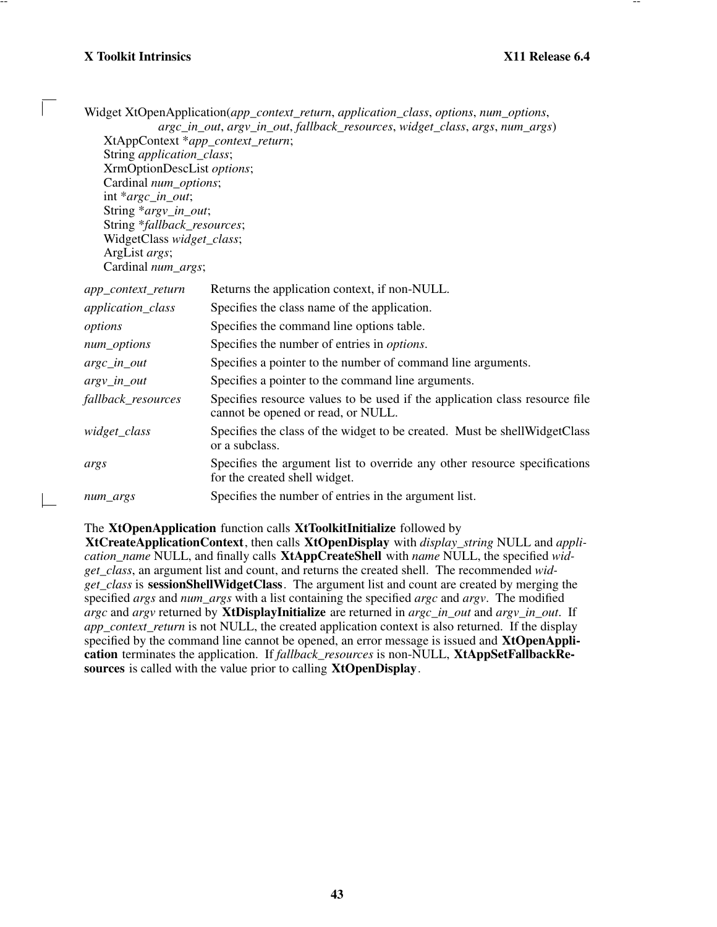$\Box$ 

Widget XtOpenApplication(*app\_context\_return*, *application\_class*, *options*, *num\_options*, *argc\_in\_out*, *argv\_in\_out*, *fallback\_resources*, *widget\_class*, *args*, *num\_args*) XtAppContext \**app\_context\_return*; String *application\_class*; XrmOptionDescList *options*; Cardinal *num\_options*; int \**argc\_in\_out*; String \**argv\_in\_out*; String \**fallback\_resources*; WidgetClass *widget\_class*; ArgList *args*; Cardinal *num\_args*; *app\_context\_return* Returns the application context, if non-NULL. *application\_class* Specifies the class name of the application. *options* Specifies the command line options table. *num\_options* Specifies the number of entries in *options*. *argc\_in\_out* Specifies a pointer to the number of command line arguments. *argv\_in\_out* Specifies a pointer to the command line arguments. *fallback\_resources* Specifies resource values to be used if the application class resource file cannot be opened or read, or NULL. *widget\_class* Specifies the class of the widget to be created. Must be shellWidgetClass or a subclass. *args* Specifies the argument list to override any other resource specifications for the created shell widget. *num\_args* Specifies the number of entries in the argument list.

-- --

The **XtOpenApplication** function calls **XtToolkitInitialize** followed by

**XtCreateApplicationContext**, then calls **XtOpenDisplay** with *display\_string* NULL and *application\_name* NULL, and finally calls **XtAppCreateShell** with *name* NULL, the specified *widget\_class*, an argument list and count, and returns the created shell. The recommended *widget\_class* is **sessionShellWidgetClass**. The argument list and count are created by merging the specified *args* and *num\_args* with a list containing the specified *argc* and *argv*. The modified *argc* and *argv* returned by **XtDisplayInitialize** are returned in *argc\_in\_out* and *argv\_in\_out*. If *app\_context\_return* is not NULL, the created application context is also returned. If the display specified by the command line cannot be opened, an error message is issued and **XtOpenApplication** terminates the application. If *fallback\_resources* is non-NULL, **XtAppSetFallbackResources** is called with the value prior to calling **XtOpenDisplay**.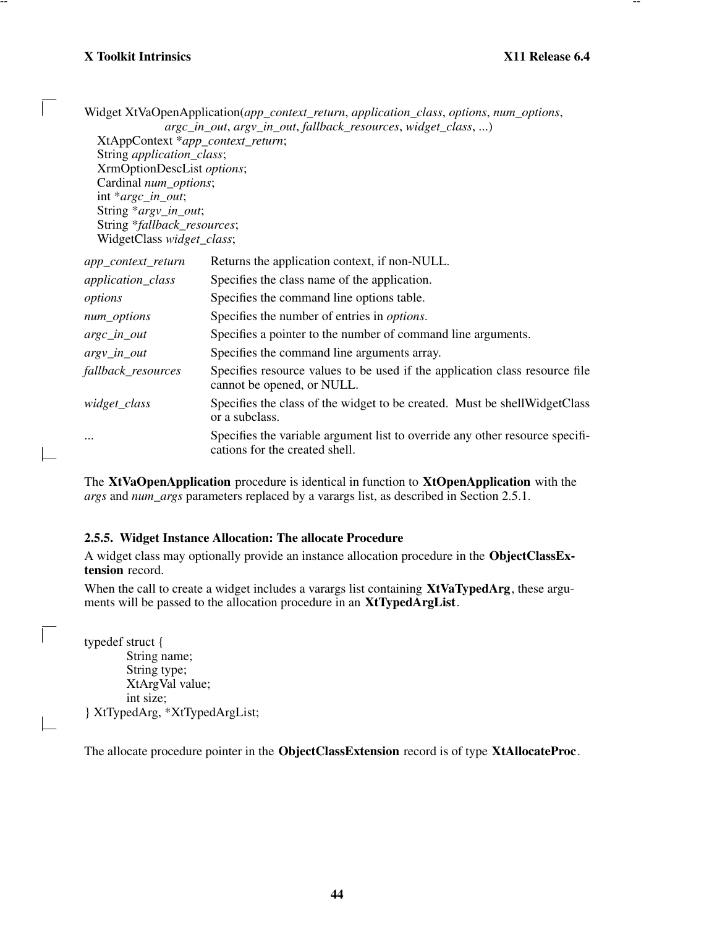$\Box$ 

Widget XtVaOpenApplication(*app\_context\_return*, *application\_class*, *options*, *num\_options*, *argc\_in\_out*, *argv\_in\_out*, *fallback\_resources*, *widget\_class*, ...) XtAppContext \**app\_context\_return*; String *application\_class*; XrmOptionDescList *options*; Cardinal *num\_options*; int \**argc\_in\_out*; String \**argv\_in\_out*; String \**fallback\_resources*; WidgetClass *widget\_class*;

-- --

| app_context_return       | Returns the application context, if non-NULL.                                                                  |
|--------------------------|----------------------------------------------------------------------------------------------------------------|
| <i>application_class</i> | Specifies the class name of the application.                                                                   |
| options                  | Specifies the command line options table.                                                                      |
| num_options              | Specifies the number of entries in <i>options</i> .                                                            |
| $argc_in_out$            | Specifies a pointer to the number of command line arguments.                                                   |
| argy in out              | Specifies the command line arguments array.                                                                    |
| fallback_resources       | Specifies resource values to be used if the application class resource file<br>cannot be opened, or NULL.      |
| widget_class             | Specifies the class of the widget to be created. Must be shell Widget Class<br>or a subclass.                  |
| $\cdots$                 | Specifies the variable argument list to override any other resource specifi-<br>cations for the created shell. |
|                          |                                                                                                                |

The **XtVaOpenApplication** procedure is identical in function to **XtOpenApplication** with the *args* and *num\_args* parameters replaced by a varargs list, as described in Section 2.5.1.

## **2.5.5. Widget Instance Allocation: The allocate Procedure**

A widget class may optionally provide an instance allocation procedure in the **ObjectClassExtension** record.

When the call to create a widget includes a varargs list containing **XtVaTypedArg**, these arguments will be passed to the allocation procedure in an **XtTypedArgList**.

typedef struct { String name; String type; XtArgVal value; int size; } XtTypedArg, \*XtTypedArgList;

The allocate procedure pointer in the **ObjectClassExtension** record is of type **XtAllocateProc**.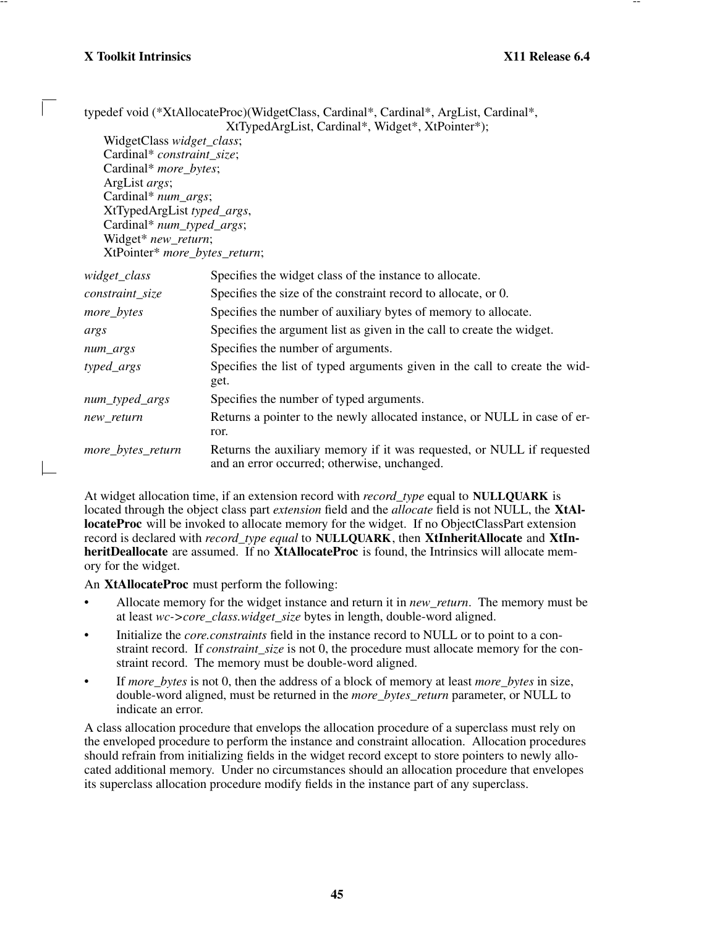| typedef void (*XtAllocateProc)(WidgetClass, Cardinal*, Cardinal*, ArgList, Cardinal*, |  |  |
|---------------------------------------------------------------------------------------|--|--|
| XtTypedArgList, Cardinal*, Widget*, XtPointer*);                                      |  |  |

-- --

WidgetClass *widget\_class*; Cardinal\* *constraint\_size*; Cardinal\* *more\_bytes*; ArgList *args*; Cardinal\* *num\_args*; XtTypedArgList *typed\_args*, Cardinal\* *num\_typed\_args*; Widget\* *new\_return*; XtPointer\* *more\_bytes\_return*;

| widget_class      | Specifies the widget class of the instance to allocate.                                                                |
|-------------------|------------------------------------------------------------------------------------------------------------------------|
| constraint_size   | Specifies the size of the constraint record to allocate, or 0.                                                         |
| more_bytes        | Specifies the number of auxiliary bytes of memory to allocate.                                                         |
| args              | Specifies the argument list as given in the call to create the widget.                                                 |
| num_args          | Specifies the number of arguments.                                                                                     |
| typed_args        | Specifies the list of typed arguments given in the call to create the wid-<br>get.                                     |
| num_typed_args    | Specifies the number of typed arguments.                                                                               |
| new return        | Returns a pointer to the newly allocated instance, or NULL in case of er-<br>ror.                                      |
| more_bytes_return | Returns the auxiliary memory if it was requested, or NULL if requested<br>and an error occurred; otherwise, unchanged. |

At widget allocation time, if an extension record with *record\_type* equal to **NULLQUARK** is located through the object class part *extension* field and the *allocate* field is not NULL, the **XtAllocateProc** will be invoked to allocate memory for the widget. If no ObjectClassPart extension record is declared with *record\_type equal* to **NULLQUARK**, then **XtInheritAllocate** and **XtInheritDeallocate** are assumed. If no **XtAllocateProc** is found, the Intrinsics will allocate memory for the widget.

An **XtAllocateProc** must perform the following:

- Allocate memory for the widget instance and return it in *new\_return*. The memory must be at least *wc->core\_class.widget\_size* bytes in length, double-word aligned.
- Initialize the *core.constraints* field in the instance record to NULL or to point to a constraint record. If *constraint\_size* is not 0, the procedure must allocate memory for the constraint record. The memory must be double-word aligned.
- If *more\_bytes* is not 0, then the address of a block of memory at least *more\_bytes* in size, double-word aligned, must be returned in the *more\_bytes\_return* parameter, or NULL to indicate an error.

A class allocation procedure that envelops the allocation procedure of a superclass must rely on the enveloped procedure to perform the instance and constraint allocation. Allocation procedures should refrain from initializing fields in the widget record except to store pointers to newly allocated additional memory. Under no circumstances should an allocation procedure that envelopes its superclass allocation procedure modify fields in the instance part of any superclass.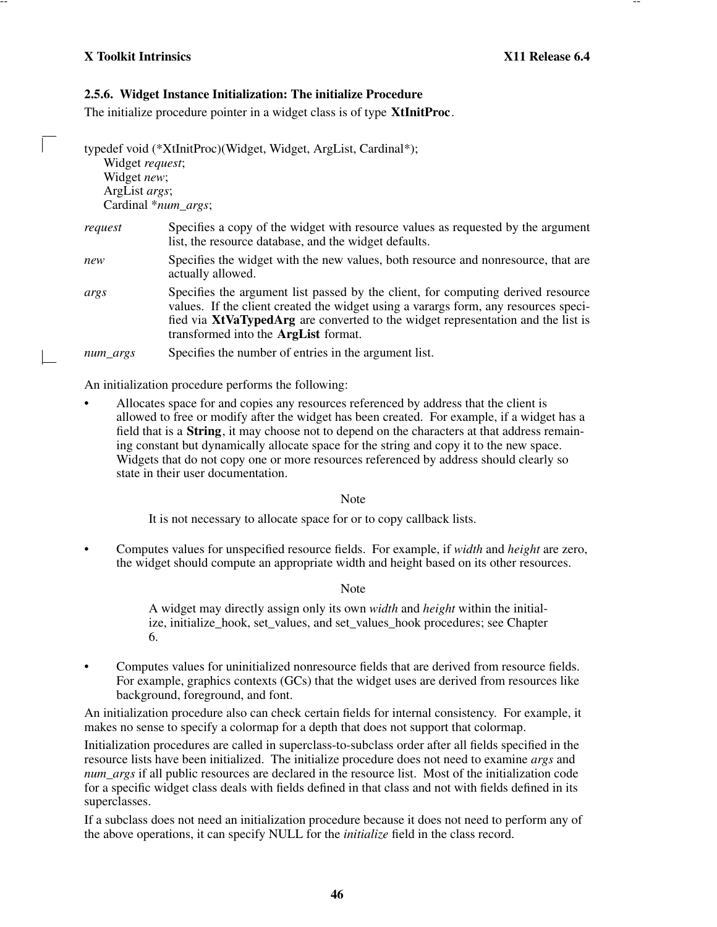#### **2.5.6. Widget Instance Initialization: The initialize Procedure**

The initialize procedure pointer in a widget class is of type **XtInitProc**.

typedef void (\*XtInitProc)(Widget, Widget, ArgList, Cardinal\*);

Widget *request*; Widget *new*; ArgList *args*; Cardinal \**num\_args*;

*request* Specifies a copy of the widget with resource values as requested by the argument list, the resource database, and the widget defaults.

-- --

- *new* Specifies the widget with the new values, both resource and nonresource, that are actually allowed.
- *args* Specifies the argument list passed by the client, for computing derived resource values. If the client created the widget using a varargs form, any resources specified via **XtVaTypedArg** are converted to the widget representation and the list is transformed into the **ArgList** format.
- *num\_args* Specifies the number of entries in the argument list.

An initialization procedure performs the following:

• Allocates space for and copies any resources referenced by address that the client is allowed to free or modify after the widget has been created. For example, if a widget has a field that is a **String**, it may choose not to depend on the characters at that address remaining constant but dynamically allocate space for the string and copy it to the new space. Widgets that do not copy one or more resources referenced by address should clearly so state in their user documentation.

Note

It is not necessary to allocate space for or to copy callback lists.

• Computes values for unspecified resource fields. For example, if *width* and *height* are zero, the widget should compute an appropriate width and height based on its other resources.

Note

A widget may directly assign only its own *width* and *height* within the initialize, initialize\_hook, set\_values, and set\_values\_hook procedures; see Chapter 6.

• Computes values for uninitialized nonresource fields that are derived from resource fields. For example, graphics contexts (GCs) that the widget uses are derived from resources like background, foreground, and font.

An initialization procedure also can check certain fields for internal consistency. For example, it makes no sense to specify a colormap for a depth that does not support that colormap.

Initialization procedures are called in superclass-to-subclass order after all fields specified in the resource lists have been initialized. The initialize procedure does not need to examine *args* and *num\_args* if all public resources are declared in the resource list. Most of the initialization code for a specific widget class deals with fields defined in that class and not with fields defined in its superclasses.

If a subclass does not need an initialization procedure because it does not need to perform any of the above operations, it can specify NULL for the *initialize* field in the class record.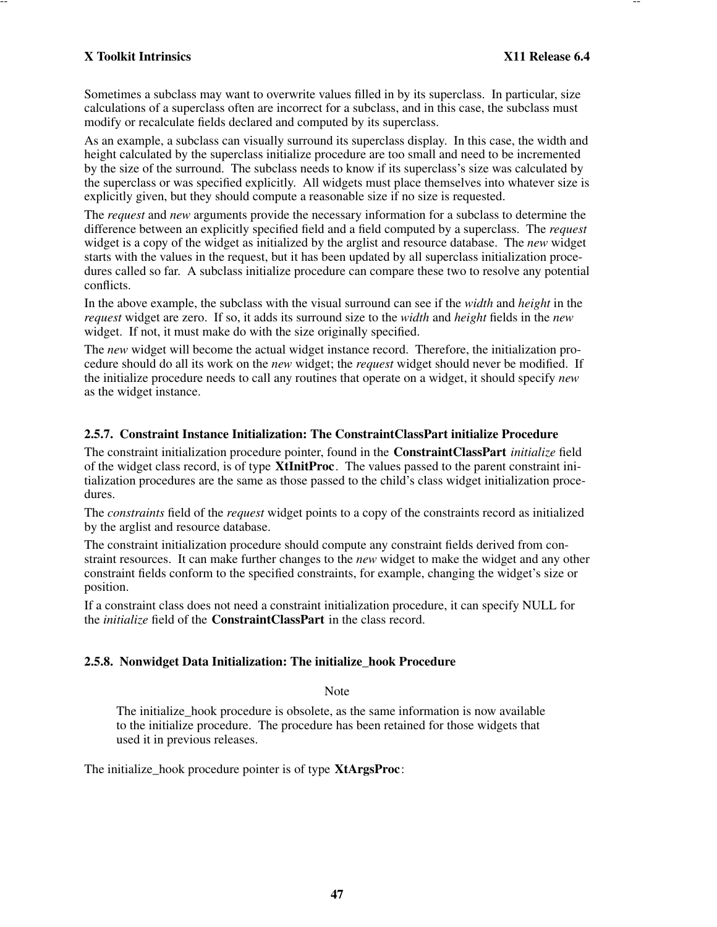Sometimes a subclass may want to overwrite values filled in by its superclass. In particular, size calculations of a superclass often are incorrect for a subclass, and in this case, the subclass must modify or recalculate fields declared and computed by its superclass.

-- --

As an example, a subclass can visually surround its superclass display. In this case, the width and height calculated by the superclass initialize procedure are too small and need to be incremented by the size of the surround. The subclass needs to know if its superclass's size was calculated by the superclass or was specified explicitly. All widgets must place themselves into whatever size is explicitly given, but they should compute a reasonable size if no size is requested.

The *request* and *new* arguments provide the necessary information for a subclass to determine the difference between an explicitly specified field and a field computed by a superclass. The *request* widget is a copy of the widget as initialized by the arglist and resource database. The *new* widget starts with the values in the request, but it has been updated by all superclass initialization procedures called so far. A subclass initialize procedure can compare these two to resolve any potential conflicts.

In the above example, the subclass with the visual surround can see if the *width* and *height* in the *request* widget are zero. If so, it adds its surround size to the *width* and *height* fields in the *new* widget. If not, it must make do with the size originally specified.

The *new* widget will become the actual widget instance record. Therefore, the initialization procedure should do all its work on the *new* widget; the *request* widget should never be modified. If the initialize procedure needs to call any routines that operate on a widget, it should specify *new* as the widget instance.

## **2.5.7. Constraint Instance Initialization: The ConstraintClassPart initialize Procedure**

The constraint initialization procedure pointer, found in the **ConstraintClassPart** *initialize* field of the widget class record, is of type **XtInitProc**. The values passed to the parent constraint initialization procedures are the same as those passed to the child's class widget initialization procedures.

The *constraints* field of the *request* widget points to a copy of the constraints record as initialized by the arglist and resource database.

The constraint initialization procedure should compute any constraint fields derived from constraint resources. It can make further changes to the *new* widget to make the widget and any other constraint fields conform to the specified constraints, for example, changing the widget's size or position.

If a constraint class does not need a constraint initialization procedure, it can specify NULL for the *initialize* field of the **ConstraintClassPart** in the class record.

#### **2.5.8. Nonwidget Data Initialization: The initialize\_hook Procedure**

#### Note

The initialize\_hook procedure is obsolete, as the same information is now available to the initialize procedure. The procedure has been retained for those widgets that used it in previous releases.

The initialize\_hook procedure pointer is of type **XtArgsProc**: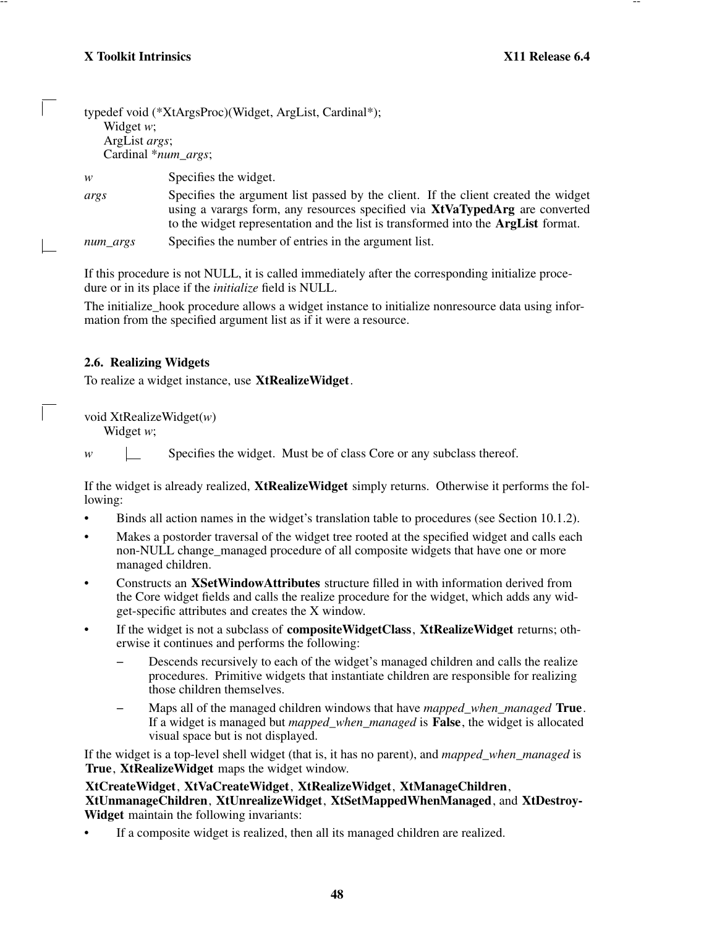typedef void (\*XtArgsProc)(Widget, ArgList, Cardinal\*); Widget *w*; ArgList *args*; Cardinal \**num\_args*; *w* Specifies the widget. *args* Specifies the argument list passed by the client. If the client created the widget using a varargs form, any resources specified via **XtVaTypedArg** are converted

-- --

*num\_args* Specifies the number of entries in the argument list.

If this procedure is not NULL, it is called immediately after the corresponding initialize procedure or in its place if the *initialize* field is NULL.

to the widget representation and the list is transformed into the **ArgList** format.

The initialize\_hook procedure allows a widget instance to initialize nonresource data using information from the specified argument list as if it were a resource.

## **2.6. Realizing Widgets**

To realize a widget instance, use **XtRealizeWidget**.

void XtRealizeWidget(*w*)

Widget *w*;

 $w \perp$  Specifies the widget. Must be of class Core or any subclass thereof.

If the widget is already realized, **XtRealizeWidget** simply returns. Otherwise it performs the following:

- Binds all action names in the widget's translation table to procedures (see Section 10.1.2).
- Makes a postorder traversal of the widget tree rooted at the specified widget and calls each non-NULL change\_managed procedure of all composite widgets that have one or more managed children.
- Constructs an **XSetWindowAttributes** structure filled in with information derived from the Core widget fields and calls the realize procedure for the widget, which adds any widget-specific attributes and creates the X window.
- If the widget is not a subclass of **compositeWidgetClass**, **XtRealizeWidget** returns; otherwise it continues and performs the following:
	- Descends recursively to each of the widget's managed children and calls the realize procedures. Primitive widgets that instantiate children are responsible for realizing those children themselves.
	- − Maps all of the managed children windows that have *mapped\_when\_managed* **True**. If a widget is managed but *mapped\_when\_managed* is **False**, the widget is allocated visual space but is not displayed.

If the widget is a top-level shell widget (that is, it has no parent), and *mapped\_when\_managed* is **True**, **XtRealizeWidget** maps the widget window.

## **XtCreateWidget**, **XtVaCreateWidget**, **XtRealizeWidget**, **XtManageChildren**, **XtUnmanageChildren**, **XtUnrealizeWidget**, **XtSetMappedWhenManaged**, and **XtDestroy-Widget** maintain the following invariants:

If a composite widget is realized, then all its managed children are realized.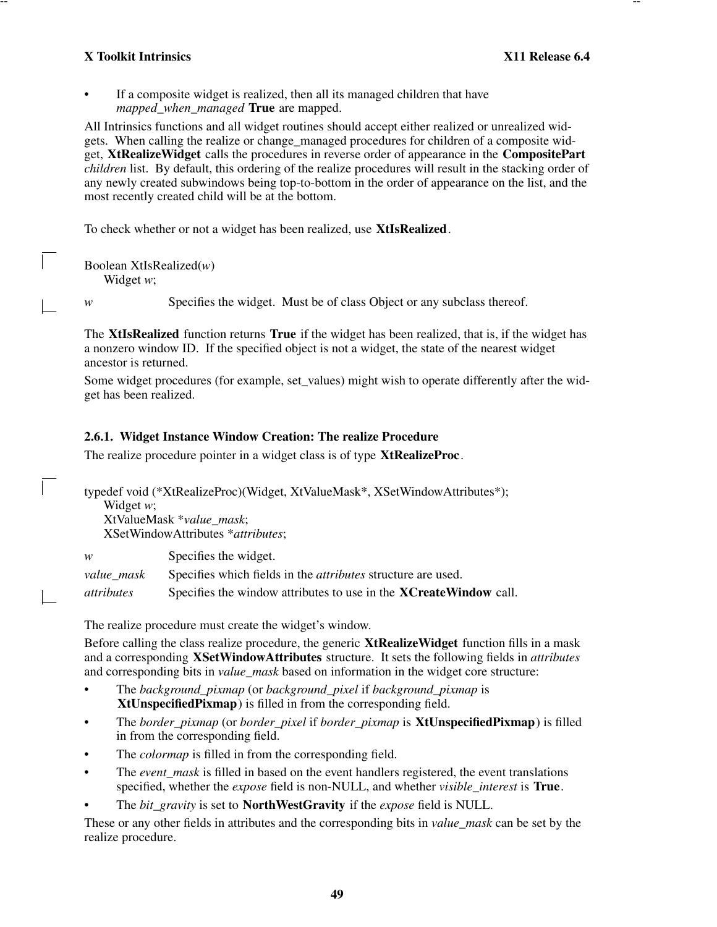If a composite widget is realized, then all its managed children that have *mapped\_when\_managed* **True** are mapped.

All Intrinsics functions and all widget routines should accept either realized or unrealized widgets. When calling the realize or change\_managed procedures for children of a composite widget, **XtRealizeWidget** calls the procedures in reverse order of appearance in the **CompositePart** *children* list. By default, this ordering of the realize procedures will result in the stacking order of any newly created subwindows being top-to-bottom in the order of appearance on the list, and the most recently created child will be at the bottom.

-- --

To check whether or not a widget has been realized, use **XtIsRealized**.

Boolean XtIsRealized(*w*) Widget *w*;

*w* Specifies the widget. Must be of class Object or any subclass thereof.

The **XtIsRealized** function returns **True** if the widget has been realized, that is, if the widget has a nonzero window ID. If the specified object is not a widget, the state of the nearest widget ancestor is returned.

Some widget procedures (for example, set\_values) might wish to operate differently after the widget has been realized.

# **2.6.1. Widget Instance Window Creation: The realize Procedure**

The realize procedure pointer in a widget class is of type **XtRealizeProc**.

typedef void (\*XtRealizeProc)(Widget, XtValueMask\*, XSetWindowAttributes\*); Widget *w*; XtValueMask \**value\_mask*; XSetWindowAttributes \**attributes*; *w* Specifies the widget.

*value\_mask* Specifies which fields in the *attributes* structure are used. *attributes* Specifies the window attributes to use in the **XCreateWindow** call.

The realize procedure must create the widget's window.

Before calling the class realize procedure, the generic **XtRealizeWidget** function fills in a mask and a corresponding **XSetWindowAttributes** structure. It sets the following fields in *attributes* and corresponding bits in *value\_mask* based on information in the widget core structure:

- The *background\_pixmap* (or *background\_pixel* if *background\_pixmap* is **XtUnspecifiedPixmap**) is filled in from the corresponding field.
- The *border\_pixmap* (or *border\_pixel* if *border\_pixmap* is **XtUnspecifiedPixmap**) is filled in from the corresponding field.
- The *colormap* is filled in from the corresponding field.
- The *event\_mask* is filled in based on the event handlers registered, the event translations specified, whether the *expose* field is non-NULL, and whether *visible\_interest* is **True**.
- The *bit\_gravity* is set to **NorthWestGravity** if the *expose* field is NULL.

These or any other fields in attributes and the corresponding bits in *value\_mask* can be set by the realize procedure.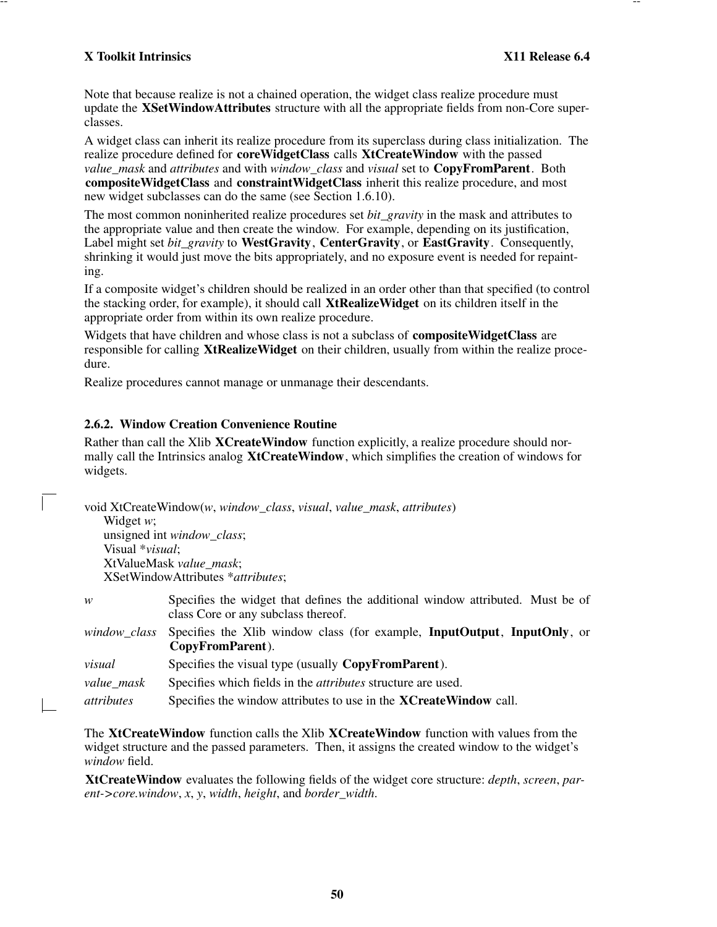Note that because realize is not a chained operation, the widget class realize procedure must update the **XSetWindowAttributes** structure with all the appropriate fields from non-Core superclasses.

-- --

A widget class can inherit its realize procedure from its superclass during class initialization. The realize procedure defined for **coreWidgetClass** calls **XtCreateWindow** with the passed *value\_mask* and *attributes* and with *window\_class* and *visual* set to **CopyFromParent**. Both **compositeWidgetClass** and **constraintWidgetClass** inherit this realize procedure, and most new widget subclasses can do the same (see Section 1.6.10).

The most common noninherited realize procedures set *bit\_gravity* in the mask and attributes to the appropriate value and then create the window. For example, depending on its justification, Label might set *bit\_gravity* to **WestGravity**, **CenterGravity**, or **EastGravity**. Consequently, shrinking it would just move the bits appropriately, and no exposure event is needed for repainting.

If a composite widget's children should be realized in an order other than that specified (to control the stacking order, for example), it should call **XtRealizeWidget** on its children itself in the appropriate order from within its own realize procedure.

Widgets that have children and whose class is not a subclass of **compositeWidgetClass** are responsible for calling **XtRealizeWidget** on their children, usually from within the realize procedure.

Realize procedures cannot manage or unmanage their descendants.

## **2.6.2. Window Creation Convenience Routine**

Rather than call the Xlib **XCreateWindow** function explicitly, a realize procedure should normally call the Intrinsics analog **XtCreateWindow**, which simplifies the creation of windows for widgets.

void XtCreateWindow(*w*, *window\_class*, *visual*, *value\_mask*, *attributes*) Widget *w*; unsigned int *window\_class*; Visual \**visual*; XtValueMask *value\_mask*; XSetWindowAttributes \**attributes*; *w* Specifies the widget that defines the additional window attributed. Must be of

class Core or any subclass thereof. *window\_class* Specifies the Xlib window class (for example, **InputOutput**, **InputOnly**, or **CopyFromParent**). *visual* Specifies the visual type (usually **CopyFromParent**). *value\_mask* Specifies which fields in the *attributes* structure are used. *attributes* Specifies the window attributes to use in the **XCreateWindow** call.

The **XtCreateWindow** function calls the Xlib **XCreateWindow** function with values from the widget structure and the passed parameters. Then, it assigns the created window to the widget's *window* field.

**XtCreateWindow** evaluates the following fields of the widget core structure: *depth*, *screen*, *parent->core.window*, *x*, *y*, *width*, *height*, and *border\_width*.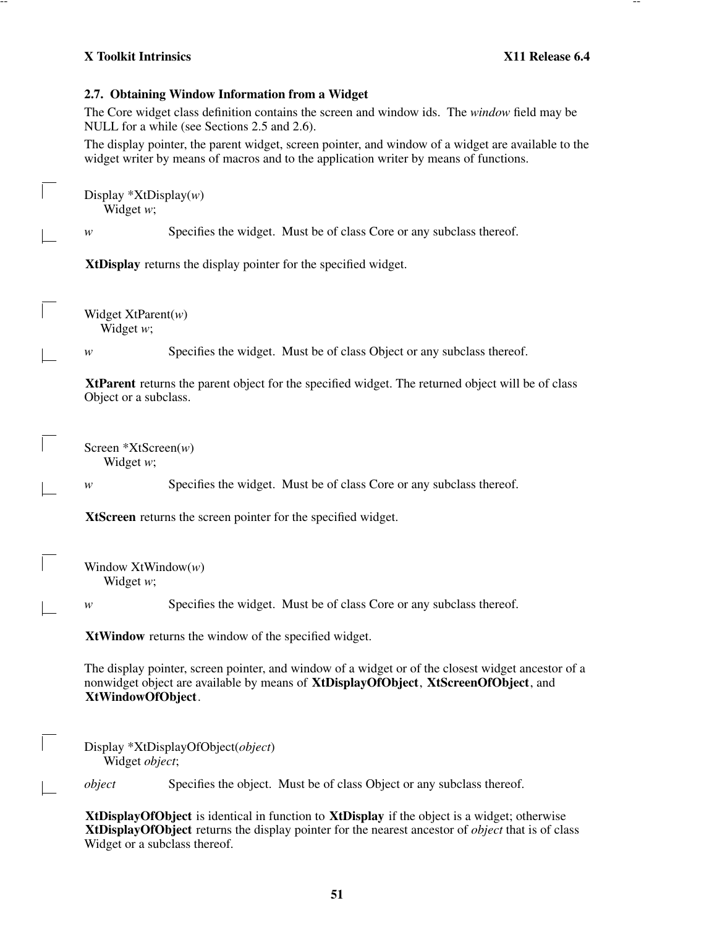## **2.7. Obtaining Window Information from a Widget**

The Core widget class definition contains the screen and window ids. The *window* field may be NULL for a while (see Sections 2.5 and 2.6).

-- --

The display pointer, the parent widget, screen pointer, and window of a widget are available to the widget writer by means of macros and to the application writer by means of functions.

Display \*XtDisplay(*w*) Widget *w*; *w* Specifies the widget. Must be of class Core or any subclass thereof. **XtDisplay** returns the display pointer for the specified widget. Widget XtParent(*w*) Widget *w*; *w* Specifies the widget. Must be of class Object or any subclass thereof. **XtParent** returns the parent object for the specified widget. The returned object will be of class Object or a subclass. Screen \*XtScreen(*w*) Widget *w*; *w* Specifies the widget. Must be of class Core or any subclass thereof. **XtScreen** returns the screen pointer for the specified widget. Window XtWindow(*w*) Widget *w*; *w* Specifies the widget. Must be of class Core or any subclass thereof.

**XtWindow** returns the window of the specified widget.

The display pointer, screen pointer, and window of a widget or of the closest widget ancestor of a nonwidget object are available by means of **XtDisplayOfObject**, **XtScreenOfObject**, and **XtWindowOfObject**.

Display \*XtDisplayOfObject(*object*) Widget *object*;

*object* Specifies the object. Must be of class Object or any subclass thereof.

**XtDisplayOfObject** is identical in function to **XtDisplay** if the object is a widget; otherwise **XtDisplayOfObject** returns the display pointer for the nearest ancestor of *object* that is of class Widget or a subclass thereof.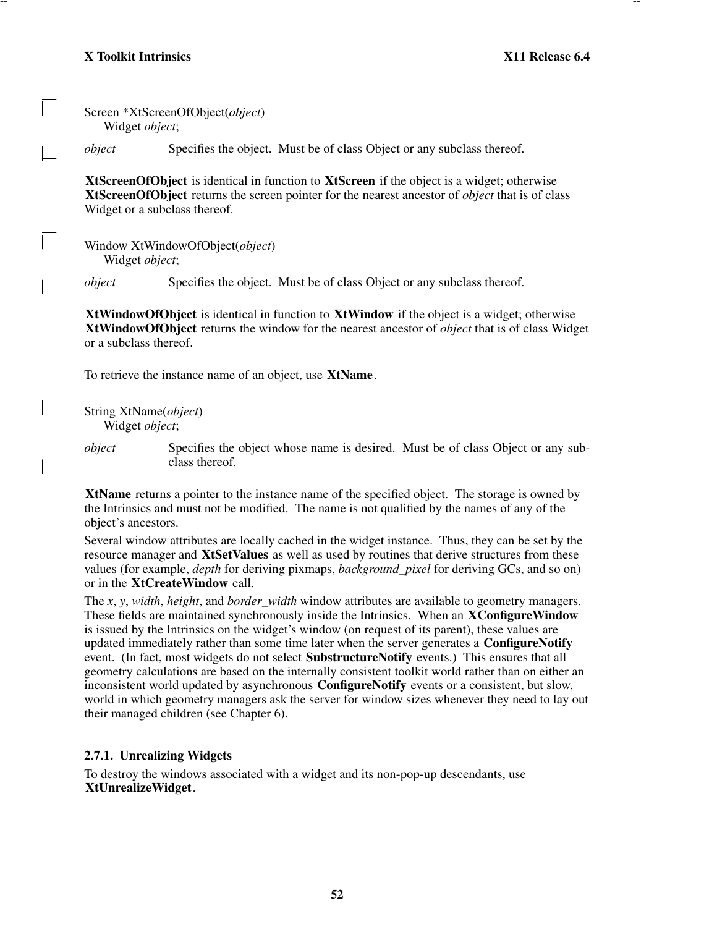Screen \*XtScreenOfObject(*object*) Widget *object*;

*object* Specifies the object. Must be of class Object or any subclass thereof.

-- --

**XtScreenOfObject** is identical in function to **XtScreen** if the object is a widget; otherwise **XtScreenOfObject** returns the screen pointer for the nearest ancestor of *object* that is of class Widget or a subclass thereof.

Window XtWindowOfObject(*object*) Widget *object*;

*object* Specifies the object. Must be of class Object or any subclass thereof.

**XtWindowOfObject** is identical in function to **XtWindow** if the object is a widget; otherwise **XtWindowOfObject** returns the window for the nearest ancestor of *object* that is of class Widget or a subclass thereof.

To retrieve the instance name of an object, use **XtName**.

String XtName(*object*) Widget *object*;

*object* Specifies the object whose name is desired. Must be of class Object or any subclass thereof.

**XtName** returns a pointer to the instance name of the specified object. The storage is owned by the Intrinsics and must not be modified. The name is not qualified by the names of any of the object's ancestors.

Several window attributes are locally cached in the widget instance. Thus, they can be set by the resource manager and **XtSetValues** as well as used by routines that derive structures from these values (for example, *depth* for deriving pixmaps, *background\_pixel* for deriving GCs, and so on) or in the **XtCreateWindow** call.

The *x*, *y*, *width*, *height*, and *border\_width* window attributes are available to geometry managers. These fields are maintained synchronously inside the Intrinsics. When an **XConfigureWindow** is issued by the Intrinsics on the widget's window (on request of its parent), these values are updated immediately rather than some time later when the server generates a **ConfigureNotify** event. (In fact, most widgets do not select **SubstructureNotify** events.) This ensures that all geometry calculations are based on the internally consistent toolkit world rather than on either an inconsistent world updated by asynchronous **ConfigureNotify** events or a consistent, but slow, world in which geometry managers ask the server for window sizes whenever they need to lay out their managed children (see Chapter 6).

#### **2.7.1. Unrealizing Widgets**

To destroy the windows associated with a widget and its non-pop-up descendants, use **XtUnrealizeWidget**.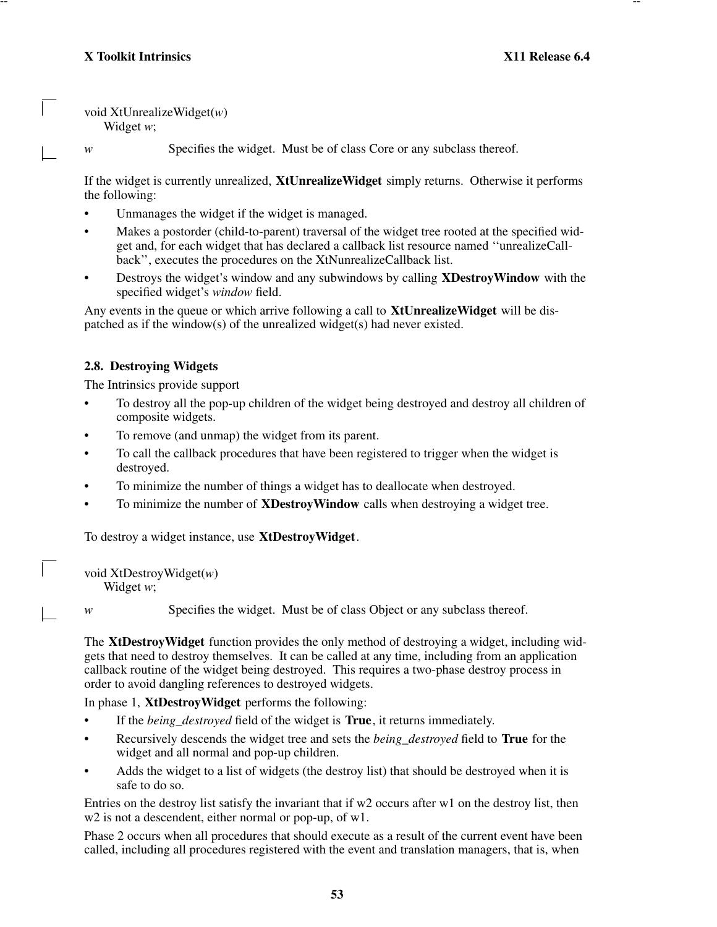void XtUnrealizeWidget(*w*)

Widget *w*;

*w* Specifies the widget. Must be of class Core or any subclass thereof.

-- --

If the widget is currently unrealized, **XtUnrealizeWidget** simply returns. Otherwise it performs the following:

- Unmanages the widget if the widget is managed.
- Makes a postorder (child-to-parent) traversal of the widget tree rooted at the specified widget and, for each widget that has declared a callback list resource named ''unrealizeCallback'', executes the procedures on the XtNunrealizeCallback list.
- Destroys the widget's window and any subwindows by calling **XDestroyWindow** with the specified widget's *window* field.

Any events in the queue or which arrive following a call to **XtUnrealizeWidget** will be dispatched as if the window(s) of the unrealized widget(s) had never existed.

# **2.8. Destroying Widgets**

The Intrinsics provide support

- To destroy all the pop-up children of the widget being destroyed and destroy all children of composite widgets.
- To remove (and unmap) the widget from its parent.
- To call the callback procedures that have been registered to trigger when the widget is destroyed.
- To minimize the number of things a widget has to deallocate when destroyed.
- To minimize the number of **XDestroyWindow** calls when destroying a widget tree.

To destroyawidget instance, use **XtDestroyWidget**.

void XtDestroyWidget(*w*) Widget *w*;

*w* Specifies the widget. Must be of class Object or any subclass thereof.

The **XtDestroyWidget** function provides the only method of destroying a widget, including widgets that need to destroy themselves. It can be called at any time, including from an application callback routine of the widget being destroyed. This requires a two-phase destroy process in order to avoid dangling references to destroyed widgets.

In phase 1, **XtDestroyWidget** performs the following:

- If the *being\_destroyed* field of the widget is **True**, it returns immediately.
- Recursively descends the widget tree and sets the *being\_destroyed* field to **True** for the widget and all normal and pop-up children.
- Adds the widget to a list of widgets (the destroy list) that should be destroyed when it is safe to do so.

Entries on the destroy list satisfy the invariant that if w2 occurs after w1 on the destroy list, then w2 is not a descendent, either normal or pop-up, of w1.

Phase 2 occurs when all procedures that should execute as a result of the current event have been called, including all procedures registered with the event and translation managers, that is, when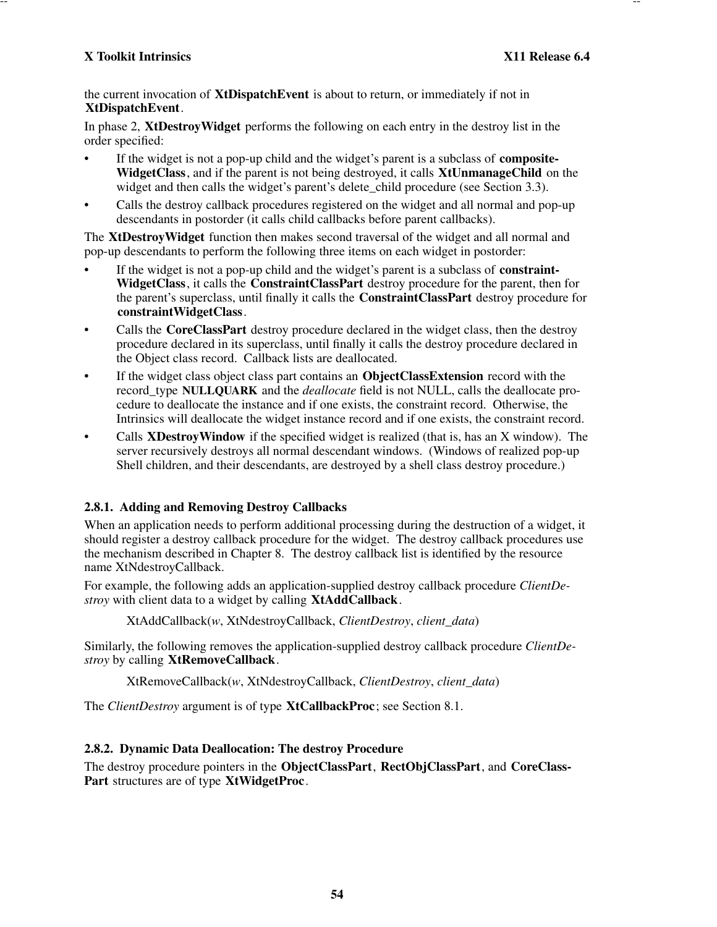the current invocation of **XtDispatchEvent** is about to return, or immediately if not in **XtDispatchEvent**.

In phase 2, **XtDestroyWidget** performs the following on each entry in the destroy list in the order specified:

-- --

- If the widget is not a pop-up child and the widget's parent is a subclass of **composite-WidgetClass**, and if the parent is not being destroyed, it calls **XtUnmanageChild** on the widget and then calls the widget's parent's delete\_child procedure (see Section 3.3).
- Calls the destroy callback procedures registered on the widget and all normal and pop-up descendants in postorder (it calls child callbacks before parent callbacks).

The **XtDestroyWidget** function then makes second traversal of the widget and all normal and pop-up descendants to perform the following three items on each widget in postorder:

- If the widget is not a pop-up child and the widget's parent is a subclass of **constraint-WidgetClass**, it calls the **ConstraintClassPart** destroy procedure for the parent, then for the parent's superclass, until finally it calls the **ConstraintClassPart** destroy procedure for **constraintWidgetClass**.
- Calls the **CoreClassPart** destroy procedure declared in the widget class, then the destroy procedure declared in its superclass, until finally it calls the destroy procedure declared in the Object class record. Callback lists are deallocated.
- If the widget class object class part contains an **ObjectClassExtension** record with the record\_type **NULLQUARK** and the *deallocate* field is not NULL, calls the deallocate procedure to deallocate the instance and if one exists, the constraint record. Otherwise, the Intrinsics will deallocate the widget instance record and if one exists, the constraint record.
- Calls **XDestroyWindow** if the specified widget is realized (that is, has an X window). The server recursively destroys all normal descendant windows. (Windows of realized pop-up Shell children, and their descendants, are destroyed by a shell class destroy procedure.)

# **2.8.1. Adding and Removing Destroy Callbacks**

When an application needs to perform additional processing during the destruction of a widget, it should register a destroy callback procedure for the widget. The destroy callback procedures use the mechanism described in Chapter 8. The destroy callback list is identified by the resource name XtNdestroyCallback.

For example, the following adds an application-supplied destroy callback procedure *ClientDestroy* with client data to a widget by calling **XtAddCallback**.

XtAddCallback(*w*, XtNdestroyCallback, *ClientDestroy*, *client\_data*)

Similarly, the following removes the application-supplied destroy callback procedure *ClientDestroy* by calling **XtRemoveCallback**.

XtRemoveCallback(*w*, XtNdestroyCallback, *ClientDestroy*, *client\_data*)

The *ClientDestroy* argument is of type **XtCallbackProc**; see Section 8.1.

## **2.8.2. Dynamic Data Deallocation: The destroy Procedure**

The destroy procedure pointers in the **ObjectClassPart**, **RectObjClassPart**, and **CoreClass-Part** structures are of type **XtWidgetProc**.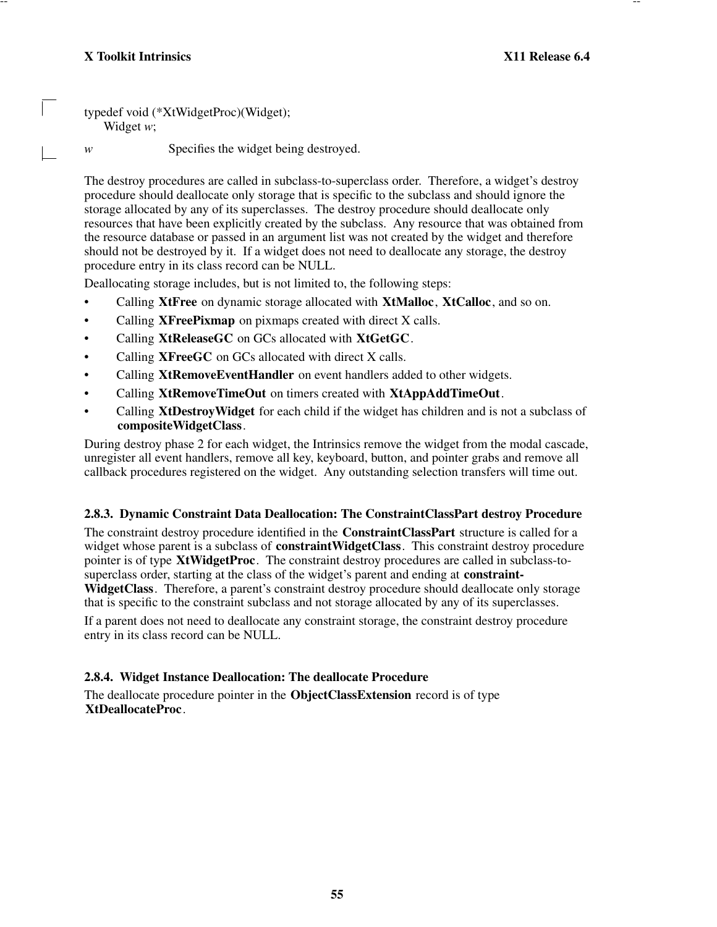typedef void (\*XtWidgetProc)(Widget); Widget *w*;

L

*w* Specifies the widget being destroyed.

The destroy procedures are called in subclass-to-superclass order. Therefore, a widget's destroy procedure should deallocate only storage that is specific to the subclass and should ignore the storage allocated by any of its superclasses. The destroy procedure should deallocate only resources that have been explicitly created by the subclass. Any resource that was obtained from the resource database or passed in an argument list was not created by the widget and therefore should not be destroyed by it. If a widget does not need to deallocate any storage, the destroy procedure entry in its class record can be NULL.

-- --

Deallocating storage includes, but is not limited to, the following steps:

- Calling **XtFree** on dynamic storage allocated with **XtMalloc**, **XtCalloc**, and so on.
- Calling **XFreePixmap** on pixmaps created with direct X calls.
- Calling **XtReleaseGC** on GCs allocated with **XtGetGC**.
- Calling **XFreeGC** on GCs allocated with direct X calls.
- Calling **XtRemoveEventHandler** on event handlers added to other widgets.
- Calling **XtRemoveTimeOut** on timers created with **XtAppAddTimeOut**.
- Calling **XtDestroyWidget** for each child if the widget has children and is not a subclass of **compositeWidgetClass**.

During destroy phase 2 for each widget, the Intrinsics remove the widget from the modal cascade, unregister all event handlers, remove all key, keyboard, button, and pointer grabs and remove all callback procedures registered on the widget. Any outstanding selection transfers will time out.

## **2.8.3. Dynamic Constraint Data Deallocation: The ConstraintClassPart destroy Procedure**

The constraint destroy procedure identified in the **ConstraintClassPart** structure is called for a widget whose parent is a subclass of **constraintWidgetClass**. This constraint destroy procedure pointer is of type **XtWidgetProc**. The constraint destroy procedures are called in subclass-tosuperclass order, starting at the class of the widget's parent and ending at **constraint-WidgetClass**. Therefore, a parent's constraint destroy procedure should deallocate only storage that is specific to the constraint subclass and not storage allocated by any of its superclasses.

If a parent does not need to deallocate any constraint storage, the constraint destroy procedure entry in its class record can be NULL.

## **2.8.4. Widget Instance Deallocation: The deallocate Procedure**

The deallocate procedure pointer in the **ObjectClassExtension** record is of type **XtDeallocateProc**.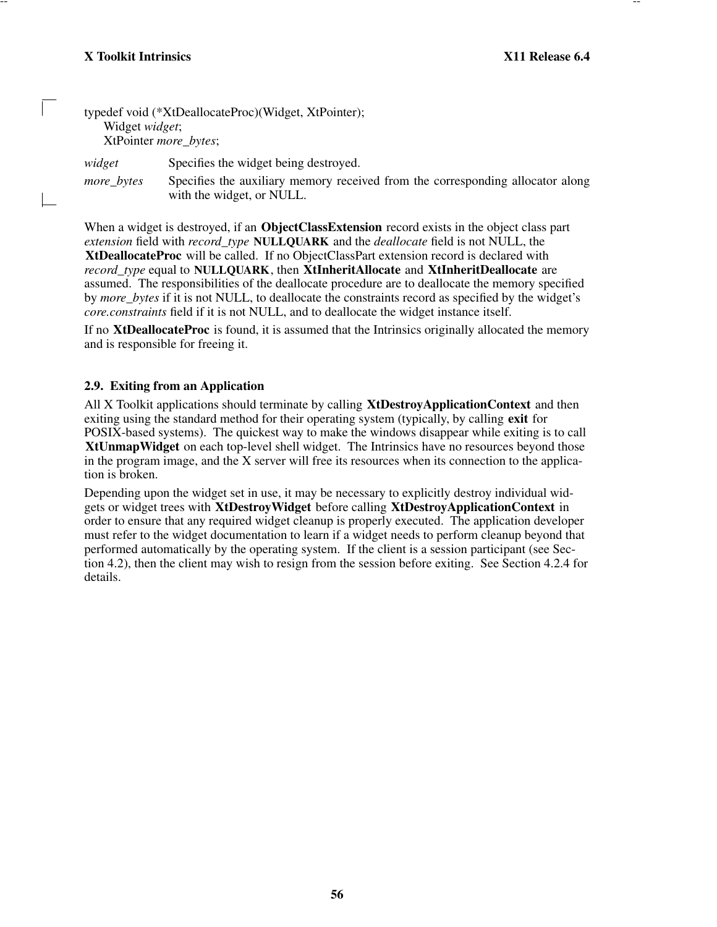$\mathbb{R}$ 

typedef void (\*XtDeallocateProc)(Widget, XtPointer); Widget *widget*; XtPointer *more\_bytes*; *widget* Specifies the widget being destroyed. *more* bytes Specifies the auxiliary memory received from the corresponding allocator along with the widget, or NULL.

-- --

When a widget is destroyed, if an **ObjectClassExtension** record exists in the object class part *extension* field with *record\_type* **NULLQUARK** and the *deallocate* field is not NULL, the **XtDeallocateProc** will be called. If no ObjectClassPart extension record is declared with *record\_type* equal to **NULLQUARK**, then **XtInheritAllocate** and **XtInheritDeallocate** are assumed. The responsibilities of the deallocate procedure are to deallocate the memory specified by *more\_bytes* if it is not NULL, to deallocate the constraints record as specified by the widget's *core.constraints* field if it is not NULL, and to deallocate the widget instance itself.

If no **XtDeallocateProc** is found, it is assumed that the Intrinsics originally allocated the memory and is responsible for freeing it.

#### **2.9. Exiting from an Application**

All X Toolkit applications should terminate by calling **XtDestroyApplicationContext** and then exiting using the standard method for their operating system (typically, by calling **exit** for POSIX-based systems). The quickest way to make the windows disappear while exiting is to call **XtUnmapWidget** on each top-level shell widget. The Intrinsics have no resources beyond those in the program image, and the X server will free its resources when its connection to the application is broken.

Depending upon the widget set in use, it may be necessary to explicitly destroy individual widgets or widget trees with **XtDestroyWidget** before calling **XtDestroyApplicationContext** in order to ensure that any required widget cleanup is properly executed. The application developer must refer to the widget documentation to learn if a widget needs to perform cleanup beyond that performed automatically by the operating system. If the client is a session participant (see Section 4.2), then the client may wish to resign from the session before exiting. See Section 4.2.4 for details.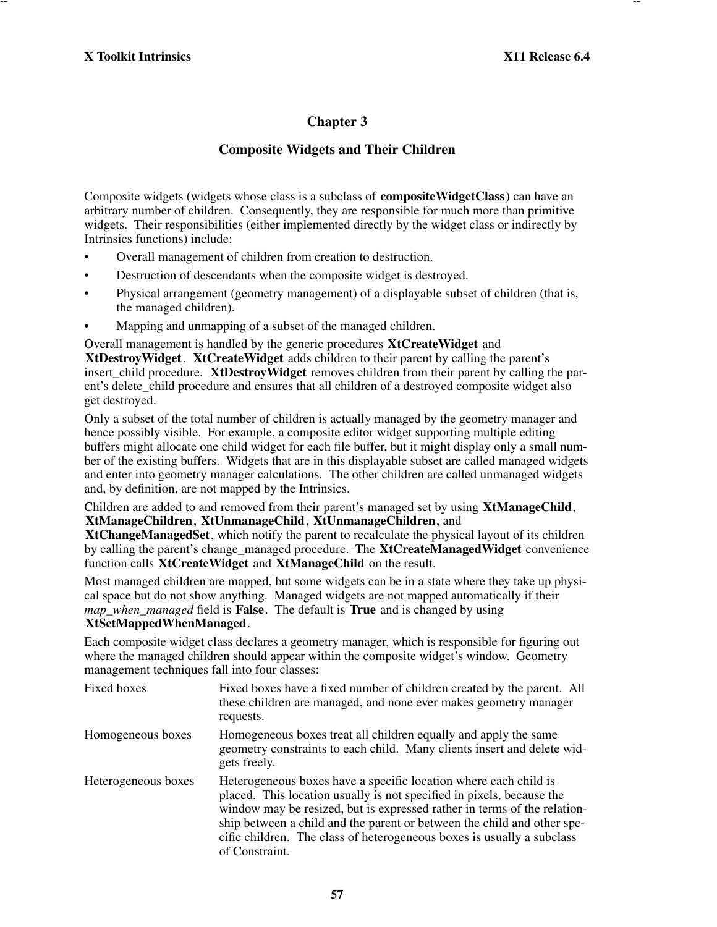# **Chapter 3**

-- --

# **Composite Widgets and Their Children**

Composite widgets (widgets whose class is a subclass of **compositeWidgetClass**) can have an arbitrary number of children. Consequently, they are responsible for much more than primitive widgets. Their responsibilities (either implemented directly by the widget class or indirectly by Intrinsics functions) include:

- Overall management of children from creation to destruction.
- Destruction of descendants when the composite widget is destroyed.
- Physical arrangement (geometry management) of a displayable subset of children (that is, the managed children).
- Mapping and unmapping of a subset of the managed children.

Overall management is handled by the generic procedures **XtCreateWidget** and **XtDestroyWidget**. **XtCreateWidget** adds children to their parent by calling the parent's insert\_child procedure. **XtDestroyWidget** removes children from their parent by calling the parent's delete\_child procedure and ensures that all children of a destroyed composite widget also get destroyed.

Only a subset of the total number of children is actually managed by the geometry manager and hence possibly visible. For example, a composite editor widget supporting multiple editing buffers might allocate one child widget for each file buffer, but it might display only a small number of the existing buffers. Widgets that are in this displayable subset are called managed widgets and enter into geometry manager calculations. The other children are called unmanaged widgets and, by definition, are not mapped by the Intrinsics.

Children are added to and removed from their parent's managed set by using **XtManageChild**, **XtManageChildren**, **XtUnmanageChild**, **XtUnmanageChildren**, and

**XtChangeManagedSet**, which notify the parent to recalculate the physical layout of its children by calling the parent's change\_managed procedure. The **XtCreateManagedWidget** convenience function calls **XtCreateWidget** and **XtManageChild** on the result.

Most managed children are mapped, but some widgets can be in a state where they take up physical space but do not show anything. Managed widgets are not mapped automatically if their *map\_when\_managed* field is **False**. The default is **True** and is changed by using **XtSetMappedWhenManaged**.

Each composite widget class declares a geometry manager, which is responsible for figuring out where the managed children should appear within the composite widget's window. Geometry management techniques fall into four classes:

| Fixed boxes         | Fixed boxes have a fixed number of children created by the parent. All<br>these children are managed, and none ever makes geometry manager<br>requests.                                                                                                                                                                                                                                      |
|---------------------|----------------------------------------------------------------------------------------------------------------------------------------------------------------------------------------------------------------------------------------------------------------------------------------------------------------------------------------------------------------------------------------------|
| Homogeneous boxes   | Homogeneous boxes treat all children equally and apply the same<br>geometry constraints to each child. Many clients insert and delete wid-<br>gets freely.                                                                                                                                                                                                                                   |
| Heterogeneous boxes | Heterogeneous boxes have a specific location where each child is<br>placed. This location usually is not specified in pixels, because the<br>window may be resized, but is expressed rather in terms of the relation-<br>ship between a child and the parent or between the child and other spe-<br>cific children. The class of heterogeneous boxes is usually a subclass<br>of Constraint. |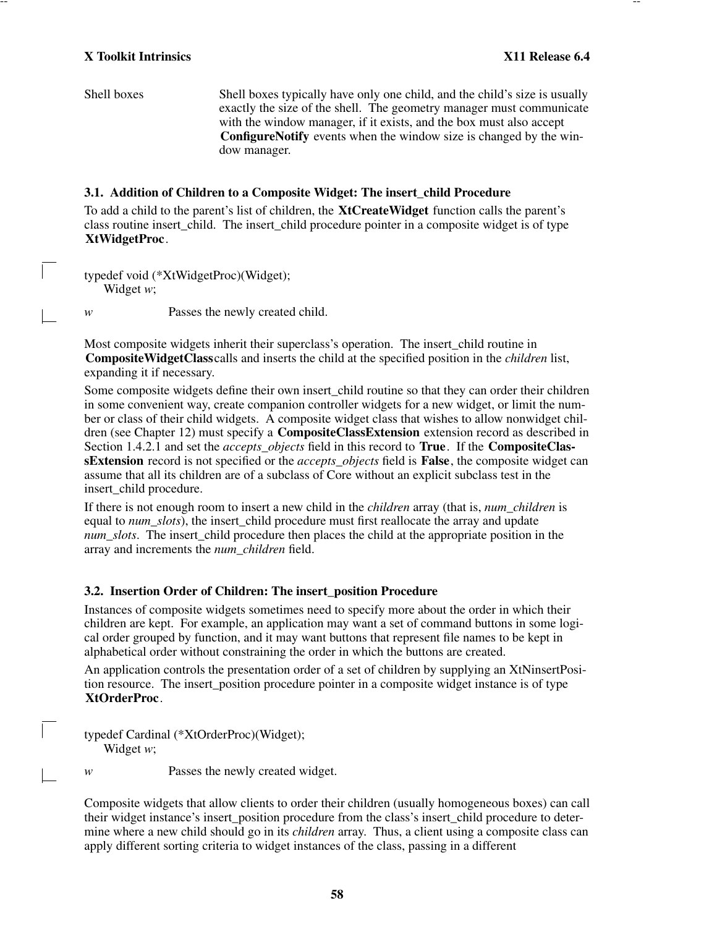Shell boxes Shell boxes typically have only one child, and the child's size is usually exactly the size of the shell. The geometry manager must communicate with the window manager, if it exists, and the box must also accept **ConfigureNotify** events when the window size is changed by the window manager.

-- --

# **3.1. Addition of Children to a Composite Widget: The insert\_child Procedure**

To add a child to the parent's list of children, the **XtCreateWidget** function calls the parent's class routine insert\_child. The insert\_child procedure pointer in a composite widget is of type **XtWidgetProc**.

typedef void (\*XtWidgetProc)(Widget); Widget *w*;

*w* Passes the newly created child.

Most composite widgets inherit their superclass's operation. The insert\_child routine in **CompositeWidgetClass**calls and inserts the child at the specified position in the *children* list, expanding it if necessary.

Some composite widgets define their own insert\_child routine so that they can order their children in some convenient way, create companion controller widgets for a new widget, or limit the number or class of their child widgets. A composite widget class that wishes to allow nonwidget children (see Chapter 12) must specify a **CompositeClassExtension** extension record as described in Section 1.4.2.1 and set the *accepts\_objects* field in this record to **True**. If the **CompositeClassExtension** record is not specified or the *accepts\_objects* field is **False**, the composite widget can assume that all its children are of a subclass of Core without an explicit subclass test in the insert\_child procedure.

If there is not enough room to insert a new child in the *children* array (that is, *num\_children* is equal to *num\_slots*), the insert\_child procedure must first reallocate the array and update *num\_slots*. The insert\_child procedure then places the child at the appropriate position in the array and increments the *num\_children* field.

# **3.2. Insertion Order of Children: The insert\_position Procedure**

Instances of composite widgets sometimes need to specify more about the order in which their children are kept. For example, an application may want a set of command buttons in some logical order grouped by function, and it may want buttons that represent file names to be kept in alphabetical order without constraining the order in which the buttons are created.

An application controls the presentation order of a set of children by supplying an XtNinsertPosition resource. The insert position procedure pointer in a composite widget instance is of type **XtOrderProc**.

typedef Cardinal (\*XtOrderProc)(Widget); Widget *w*;

*w* Passes the newly created widget.

Composite widgets that allow clients to order their children (usually homogeneous boxes) can call their widget instance's insert\_position procedure from the class's insert\_child procedure to determine where a new child should go in its *children* array. Thus, a client using a composite class can apply different sorting criteria to widget instances of the class, passing in a different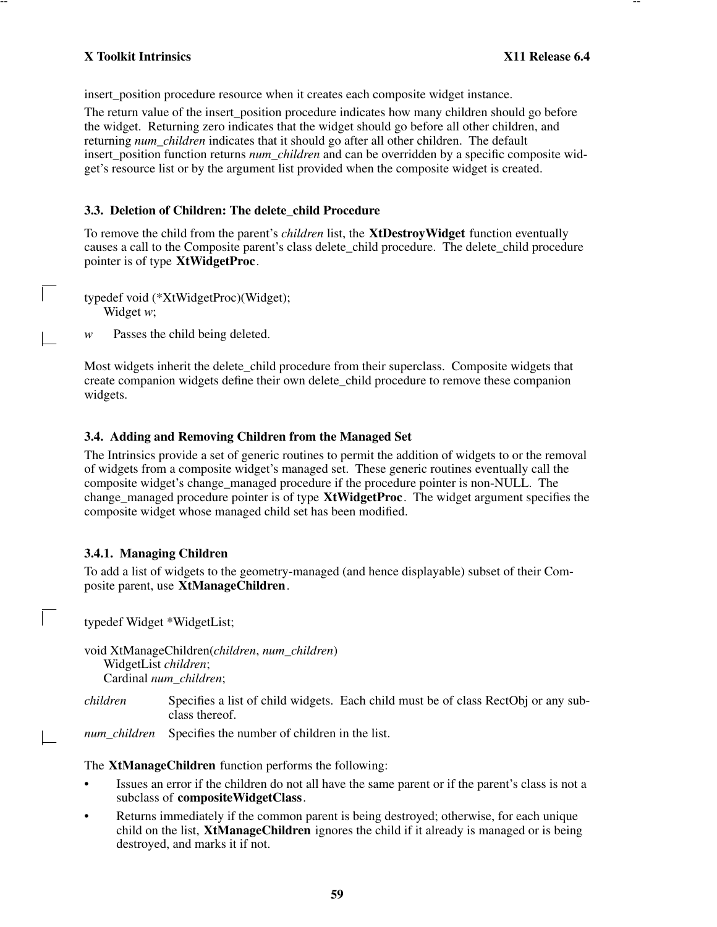insert\_position procedure resource when it creates each composite widget instance.

-- --

The return value of the insert\_position procedure indicates how many children should go before the widget. Returning zero indicates that the widget should go before all other children, and returning *num\_children* indicates that it should go after all other children. The default insert\_position function returns *num\_children* and can be overridden by a specific composite widget's resource list or by the argument list provided when the composite widget is created.

# **3.3. Deletion of Children: The delete\_child Procedure**

To remove the child from the parent's *children* list, the **XtDestroyWidget** function eventually causes a call to the Composite parent's class delete\_child procedure. The delete\_child procedure pointer is of type **XtWidgetProc**.

typedef void (\*XtWidgetProc)(Widget); Widget *w*;

*w* Passes the child being deleted.

Most widgets inherit the delete\_child procedure from their superclass. Composite widgets that create companion widgets define their own delete\_child procedure to remove these companion widgets.

## **3.4. Adding and Removing Children from the Managed Set**

The Intrinsics provide a set of generic routines to permit the addition of widgets to or the removal of widgets from a composite widget's managed set. These generic routines eventually call the composite widget's change\_managed procedure if the procedure pointer is non-NULL. The change\_managed procedure pointer is of type **XtWidgetProc**. The widget argument specifies the composite widget whose managed child set has been modified.

## **3.4.1. Managing Children**

To add a list of widgets to the geometry-managed (and hence displayable) subset of their Composite parent, use **XtManageChildren**.

typedef Widget \*WidgetList;

void XtManageChildren(*children*, *num\_children*) WidgetList *children*; Cardinal *num\_children*;

- *children* Specifies a list of child widgets. Each child must be of class RectObj or any subclass thereof.
- *num\_children* Specifies the number of children in the list.

The **XtManageChildren** function performs the following:

- Issues an error if the children do not all have the same parent or if the parent's class is not a subclass of **compositeWidgetClass**.
- Returns immediately if the common parent is being destroyed; otherwise, for each unique child on the list, **XtManageChildren** ignores the child if it already is managed or is being destroyed, and marks it if not.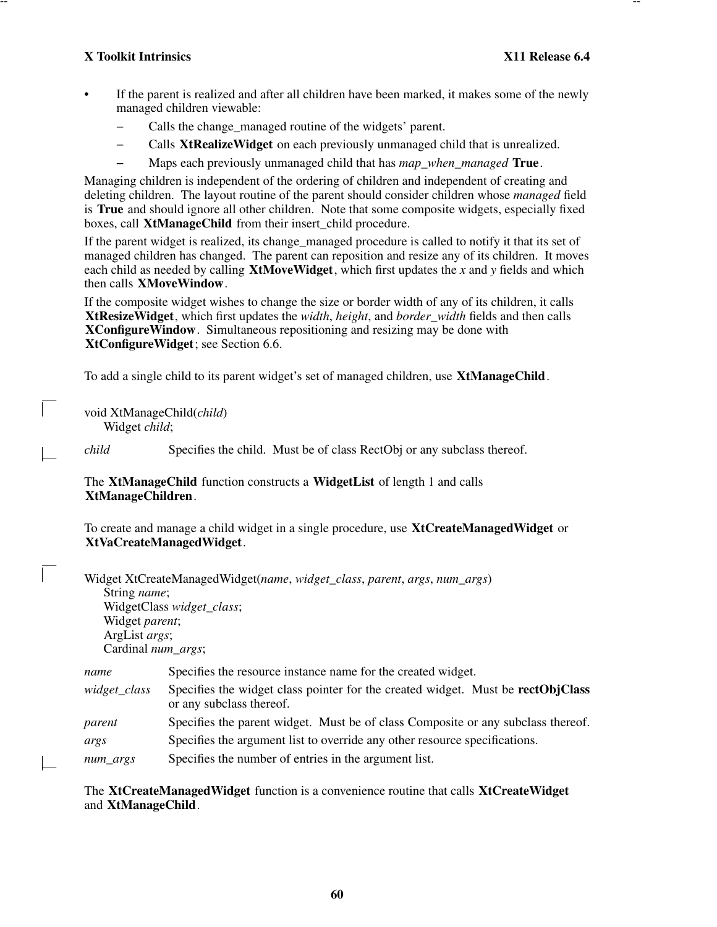If the parent is realized and after all children have been marked, it makes some of the newly managed children viewable:

-- --

- − Calls the change\_managed routine of the widgets' parent.
- − Calls **XtRealizeWidget** on each previously unmanaged child that is unrealized.
- − Maps each previously unmanaged child that has *map\_when\_managed* **True**.

Managing children is independent of the ordering of children and independent of creating and deleting children. The layout routine of the parent should consider children whose *managed* field is **True** and should ignore all other children. Note that some composite widgets, especially fixed boxes, call **XtManageChild** from their insert\_child procedure.

If the parent widget is realized, its change\_managed procedure is called to notify it that its set of managed children has changed. The parent can reposition and resize any of its children. It moves each child as needed by calling **XtMoveWidget**, which first updates the *x* and *y* fields and which then calls **XMoveWindow**.

If the composite widget wishes to change the size or border width of any of its children, it calls **XtResizeWidget**, which first updates the *width*, *height*, and *border\_width* fields and then calls **XConfigureWindow**. Simultaneous repositioning and resizing may be done with **XtConfigureWidget**; see Section 6.6.

To add a single child to its parent widget's set of managed children, use **XtManageChild**.

void XtManageChild(*child*) Widget *child*;

*child* Specifies the child. Must be of class RectObj or any subclass thereof.

The **XtManageChild** function constructs a **WidgetList** of length 1 and calls **XtManageChildren**.

To create and manage a child widget in a single procedure, use **XtCreateManagedWidget** or **XtVaCreateManagedWidget**.

Widget XtCreateManagedWidget(*name*, *widget\_class*, *parent*, *args*, *num\_args*) String *name*; WidgetClass *widget\_class*; Widget *parent*; ArgList *args*; Cardinal *num\_args*;

*name* Specifies the resource instance name for the created widget. *widget\_class* Specifies the widget class pointer for the created widget. Must be **rectObjClass** or any subclass thereof. *parent* Specifies the parent widget. Must be of class Composite or any subclass thereof. *args* Specifies the argument list to override any other resource specifications. *num\_args* Specifies the number of entries in the argument list.

The **XtCreateManagedWidget** function is a convenience routine that calls **XtCreateWidget** and **XtManageChild**.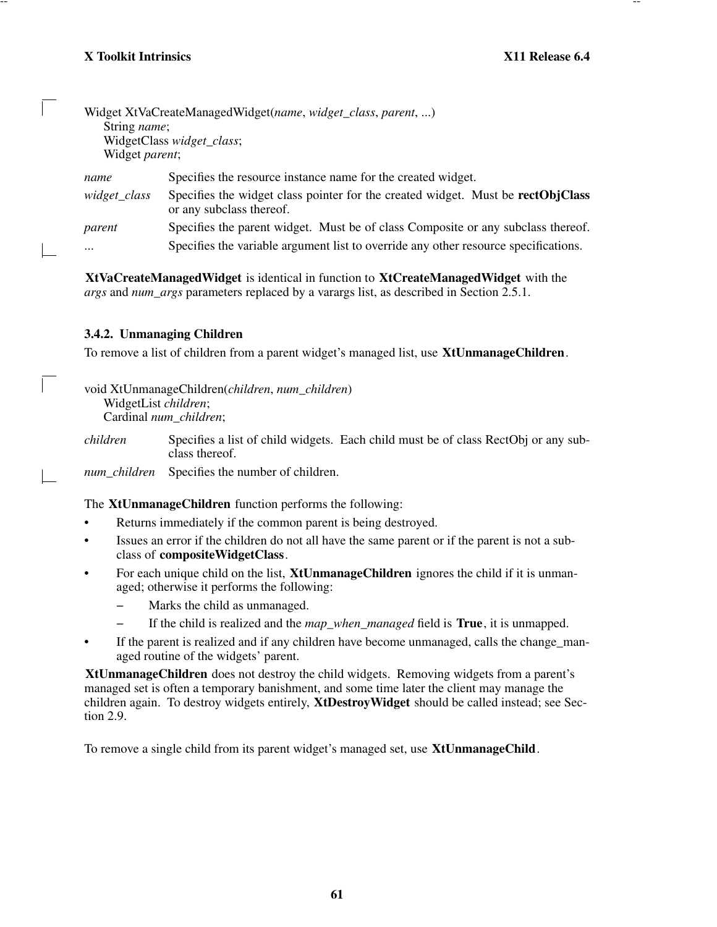| Widget XtVaCreateManagedWidget(name, widget_class, parent, )<br>String <i>name</i> ;<br>WidgetClass widget_class;<br>Widget parent; |                                                                                                             |  |  |
|-------------------------------------------------------------------------------------------------------------------------------------|-------------------------------------------------------------------------------------------------------------|--|--|
| name                                                                                                                                | Specifies the resource instance name for the created widget.                                                |  |  |
| widget_class                                                                                                                        | Specifies the widget class pointer for the created widget. Must be rectObjClass<br>or any subclass thereof. |  |  |
| parent                                                                                                                              | Specifies the parent widget. Must be of class Composite or any subclass thereof.                            |  |  |
| $\cdots$                                                                                                                            | Specifies the variable argument list to override any other resource specifications.                         |  |  |

-- --

**XtVaCreateManagedWidget** is identical in function to **XtCreateManagedWidget** with the *args* and *num\_args* parameters replaced by a varargs list, as described in Section 2.5.1.

#### **3.4.2. Unmanaging Children**

 $\overline{\Gamma}$ 

To remove a list of children from a parent widget's managed list, use **XtUnmanageChildren**.

void XtUnmanageChildren(*children*, *num\_children*) WidgetList *children*; Cardinal *num\_children*;

*children* Specifies a list of child widgets. Each child must be of class RectObj or any subclass thereof.

*num\_children* Specifies the number of children.

The **XtUnmanageChildren** function performs the following:

- Returns immediately if the common parent is being destroyed.
- Issues an error if the children do not all have the same parent or if the parent is not a subclass of **compositeWidgetClass**.
- For each unique child on the list, **XtUnmanageChildren** ignores the child if it is unmanaged; otherwise it performs the following:
	- Marks the child as unmanaged.
	- − If the child is realized and the *map\_when\_managed* field is **True**, it is unmapped.
- If the parent is realized and if any children have become unmanaged, calls the change\_managed routine of the widgets' parent.

**XtUnmanageChildren** does not destroy the child widgets. Removing widgets from a parent's managed set is often a temporary banishment, and some time later the client may manage the children again. To destroy widgets entirely, **XtDestroyWidget** should be called instead; see Section 2.9.

To remove a single child from its parent widget's managed set, use **XtUnmanageChild**.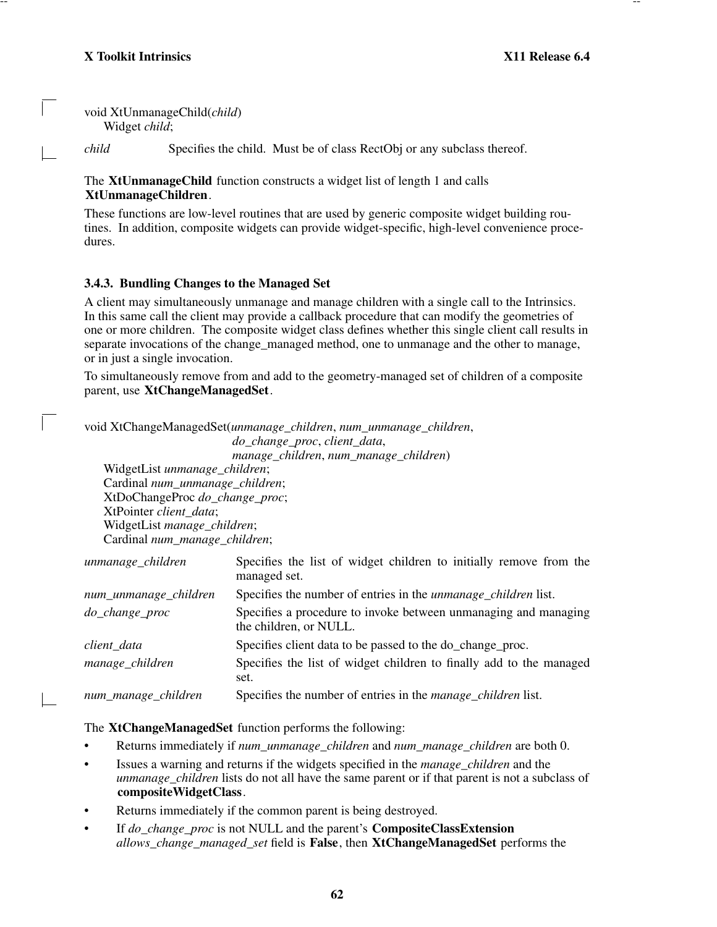void XtUnmanageChild(*child*) Widget *child*;

*child* Specifies the child. Must be of class RectObj or any subclass thereof.

-- --

The **XtUnmanageChild** function constructs a widget list of length 1 and calls **XtUnmanageChildren**.

These functions are low-level routines that are used by generic composite widget building routines. In addition, composite widgets can provide widget-specific, high-level convenience procedures.

#### **3.4.3. Bundling Changes to the Managed Set**

A client may simultaneously unmanage and manage children with a single call to the Intrinsics. In this same call the client may provide a callback procedure that can modify the geometries of one or more children. The composite widget class defines whether this single client call results in separate invocations of the change\_managed method, one to unmanage and the other to manage, or in just a single invocation.

To simultaneously remove from and add to the geometry-managed set of children of a composite parent, use **XtChangeManagedSet**.

void XtChangeManagedSet(*unmanage\_children*, *num\_unmanage\_children*, *do\_change\_proc*, *client\_data*, *manage\_children*, *num\_manage\_children*) WidgetList *unmanage\_children*; Cardinal *num\_unmanage\_children*; XtDoChangeProc *do\_change\_proc*; XtPointer *client\_data*; WidgetList *manage\_children*; Cardinal *num\_manage\_children*;

| unmanage_children     | Specifies the list of widget children to initially remove from the<br>managed set.        |
|-----------------------|-------------------------------------------------------------------------------------------|
| num_unmanage_children | Specifies the number of entries in the <i>unmanage_children</i> list.                     |
| $do\_change\_proc$    | Specifies a procedure to invoke between unmanaging and managing<br>the children, or NULL. |
| client_data           | Specifies client data to be passed to the do_change_proc.                                 |
| manage_children       | Specifies the list of widget children to finally add to the managed<br>set.               |
| num_manage_children   | Specifies the number of entries in the <i>manage_children</i> list.                       |

The **XtChangeManagedSet** function performs the following:

- Returns immediately if *num\_unmanage\_children* and *num\_manage\_children* are both 0.
- Issues a warning and returns if the widgets specified in the *manage\_children* and the *unmanage\_children* lists do not all have the same parent or if that parent is not a subclass of **compositeWidgetClass**.
- Returns immediately if the common parent is being destroyed.
- If *do\_change\_proc* is not NULL and the parent's **CompositeClassExtension** *allows\_change\_managed\_set* field is **False**, then **XtChangeManagedSet** performs the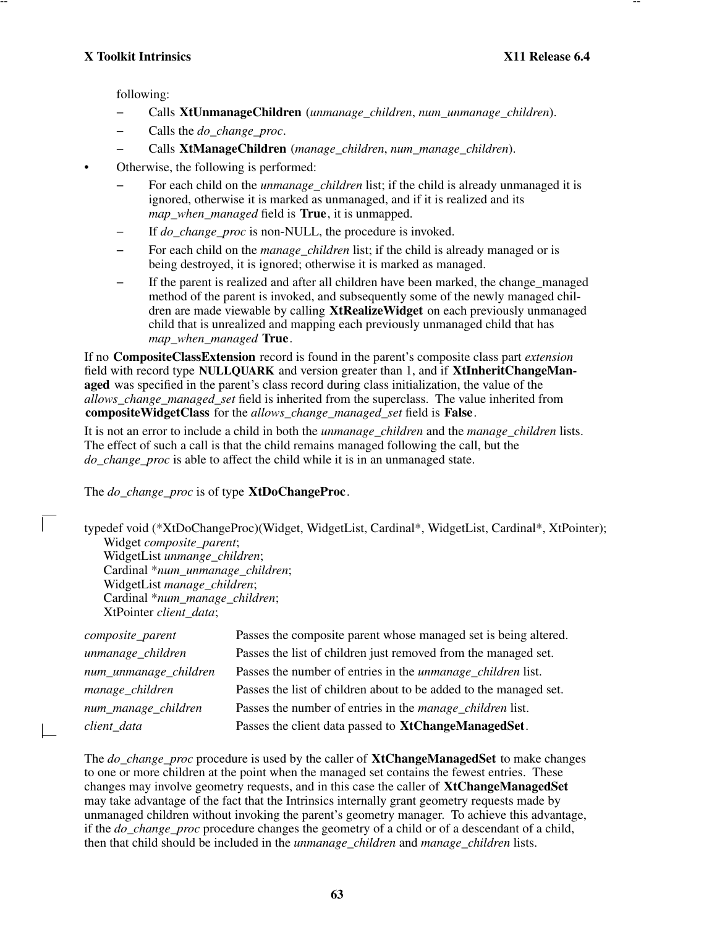following:

- − Calls **XtUnmanageChildren** (*unmanage\_children*, *num\_unmanage\_children*).
- − Calls the *do\_change\_proc*.
- − Calls **XtManageChildren** (*manage\_children*, *num\_manage\_children*).

-- --

- Otherwise, the following is performed:
	- − For each child on the *unmanage\_children* list; if the child is already unmanaged it is ignored, otherwise it is marked as unmanaged, and if it is realized and its *map\_when\_managed* field is **True**, it is unmapped.
	- − If *do\_change\_proc* is non-NULL, the procedure is invoked.
	- − For each child on the *manage\_children* list; if the child is already managed or is being destroyed, it is ignored; otherwise it is marked as managed.
	- If the parent is realized and after all children have been marked, the change\_managed method of the parent is invoked, and subsequently some of the newly managed children are made viewable by calling **XtRealizeWidget** on each previously unmanaged child that is unrealized and mapping each previously unmanaged child that has *map\_when\_managed* **True**.

If no **CompositeClassExtension** record is found in the parent's composite class part *extension* field with record type **NULLQUARK** and version greater than 1, and if **XtInheritChangeManaged** was specified in the parent's class record during class initialization, the value of the *allows\_change\_managed\_set* field is inherited from the superclass. The value inherited from **compositeWidgetClass** for the *allows\_change\_managed\_set* field is **False**.

It is not an error to include a child in both the *unmanage\_children* and the *manage\_children* lists. The effect of such a call is that the child remains managed following the call, but the *do\_change\_proc* is able to affect the child while it is in an unmanaged state.

The *do\_change\_proc* is of type **XtDoChangeProc**.

|                                           | typedef void (*XtDoChangeProc)(Widget, WidgetList, Cardinal*, WidgetList, Cardinal*, XtPointer); |
|-------------------------------------------|--------------------------------------------------------------------------------------------------|
| Widget <i>composite_parent</i> ;          |                                                                                                  |
| WidgetList unmange_children;              |                                                                                                  |
| Cardinal * <i>num_unmanage_children</i> ; |                                                                                                  |
| WidgetList manage_children;               |                                                                                                  |
| Cardinal *num_manage_children;            |                                                                                                  |
| XtPointer client data;                    |                                                                                                  |
| <i>composite_parent</i>                   | Passes the composite parent whose managed set is being altered.                                  |
| unmanage_children                         | Passes the list of children just removed from the managed set.                                   |

| client_data           | Passes the client data passed to XtChangeManagedSet.               |
|-----------------------|--------------------------------------------------------------------|
| num_manage_children   | Passes the number of entries in the <i>manage children</i> list.   |
| manage_children       | Passes the list of children about to be added to the managed set.  |
| num_unmanage_children | Passes the number of entries in the <i>unmanage_children</i> list. |
| unmanage_children     | Passes the list of children just removed from the managed set.     |

The *do\_change\_proc* procedure is used by the caller of **XtChangeManagedSet** to make changes to one or more children at the point when the managed set contains the fewest entries. These changes may involve geometry requests, and in this case the caller of **XtChangeManagedSet** may take advantage of the fact that the Intrinsics internally grant geometry requests made by unmanaged children without invoking the parent's geometry manager. To achieve this advantage, if the *do\_change\_proc* procedure changes the geometry of a child or of a descendant of a child, then that child should be included in the *unmanage\_children* and *manage\_children* lists.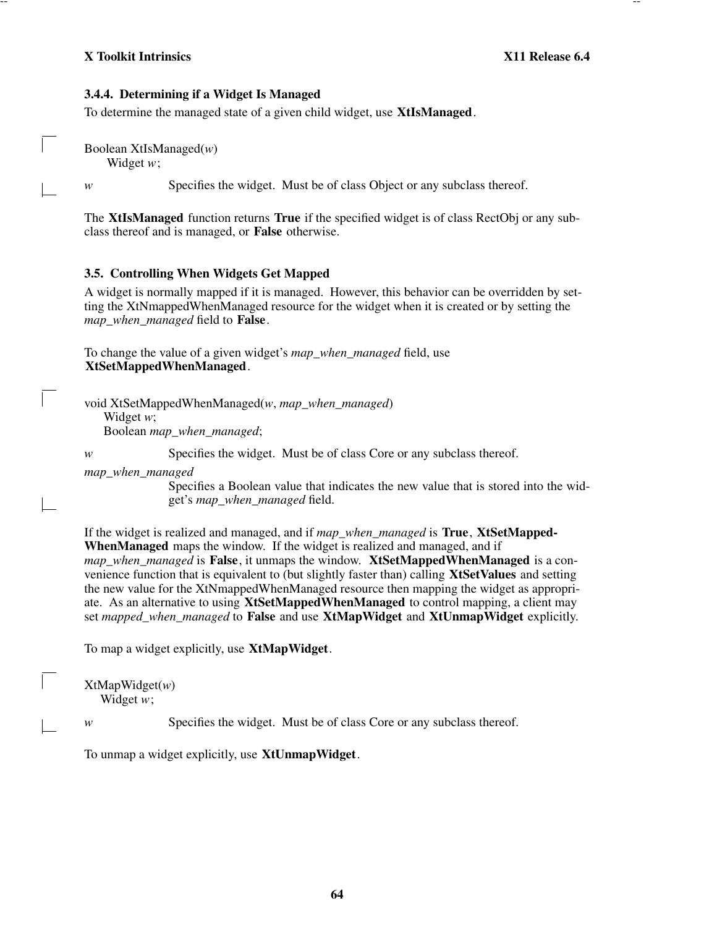# **3.4.4. Determining if a Widget Is Managed**

To determine the managed state of a given child widget, use **XtIsManaged**.

Boolean XtIsManaged(*w*) Widget *w*;

*w* Specifies the widget. Must be of class Object or any subclass thereof.

-- --

The **XtIsManaged** function returns **True** if the specified widget is of class RectObj or any subclass thereof and is managed, or **False** otherwise.

# **3.5. Controlling When Widgets Get Mapped**

A widget is normally mapped if it is managed. However, this behavior can be overridden by setting the XtNmappedWhenManaged resource for the widget when it is created or by setting the *map\_when\_managed* field to **False**.

To change the value of a given widget's *map\_when\_managed* field, use **XtSetMappedWhenManaged**.

| void XtSetMappedWhenManaged(w, map_when_managed) |  |
|--------------------------------------------------|--|
| Widget $w$ ;                                     |  |
| Boolean <i>map_when_managed</i> ;                |  |
|                                                  |  |

*w* Specifies the widget. Must be of class Core or any subclass thereof.

*map\_when\_managed*

Specifies a Boolean value that indicates the new value that is stored into the widget's *map\_when\_managed* field.

If the widget is realized and managed, and if *map\_when\_managed* is **True**, **XtSetMapped-WhenManaged** maps the window. If the widget is realized and managed, and if *map\_when\_managed* is **False**, it unmaps the window. **XtSetMappedWhenManaged** is a convenience function that is equivalent to (but slightly faster than) calling **XtSetValues** and setting the new value for the XtNmappedWhenManaged resource then mapping the widget as appropriate. As an alternative to using **XtSetMappedWhenManaged** to control mapping, a client may set *mapped\_when\_managed* to **False** and use **XtMapWidget** and **XtUnmapWidget** explicitly.

To map a widget explicitly, use **XtMapWidget**.

XtMapWidget(*w*) Widget *w*;

*w* Specifies the widget. Must be of class Core or any subclass thereof.

To unmap a widget explicitly, use **XtUnmapWidget**.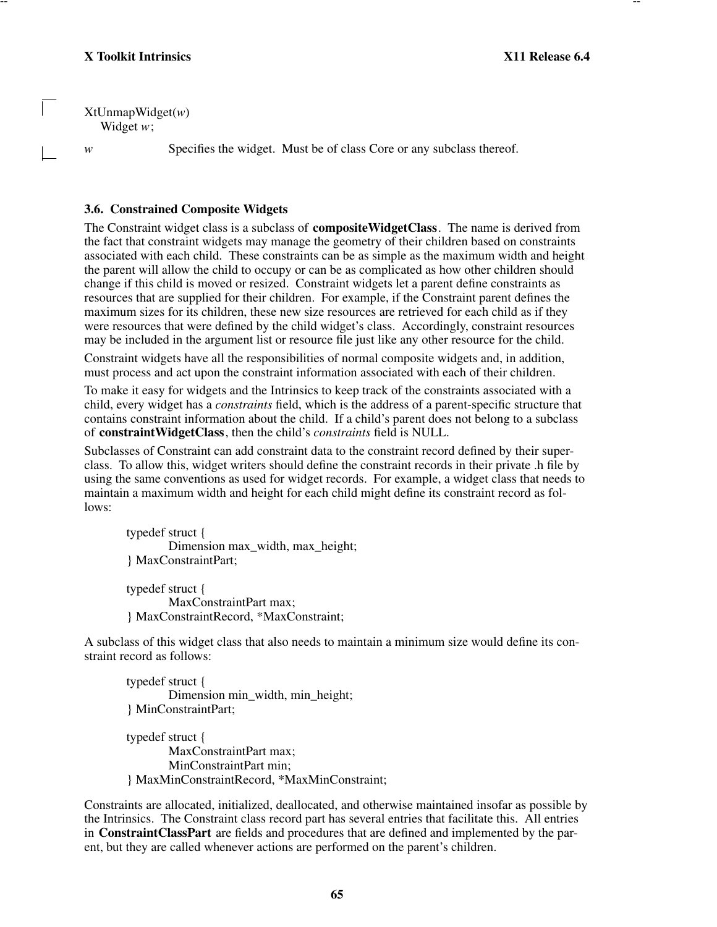XtUnmapWidget(*w*) Widget *w*;

*w* Specifies the widget. Must be of class Core or any subclass thereof.

-- --

#### **3.6. Constrained Composite Widgets**

The Constraint widget class is a subclass of **compositeWidgetClass**. The name is derived from the fact that constraint widgets may manage the geometry of their children based on constraints associated with each child. These constraints can be as simple as the maximum width and height the parent will allow the child to occupy or can be as complicated as how other children should change if this child is moved or resized. Constraint widgets let a parent define constraints as resources that are supplied for their children. For example, if the Constraint parent defines the maximum sizes for its children, these new size resources are retrieved for each child as if they were resources that were defined by the child widget's class. Accordingly, constraint resources may be included in the argument list or resource file just like any other resource for the child.

Constraint widgets have all the responsibilities of normal composite widgets and, in addition, must process and act upon the constraint information associated with each of their children.

To make it easy for widgets and the Intrinsics to keep track of the constraints associated with a child, every widget has a *constraints* field, which is the address of a parent-specific structure that contains constraint information about the child. If a child's parent does not belong to a subclass of **constraintWidgetClass**, then the child's *constraints* field is NULL.

Subclasses of Constraint can add constraint data to the constraint record defined by their superclass. To allow this, widget writers should define the constraint records in their private .h file by using the same conventions as used for widget records. For example, a widget class that needs to maintain a maximum width and height for each child might define its constraint record as follows:

typedef struct { Dimension max\_width, max\_height; } MaxConstraintPart;

typedef struct { MaxConstraintPart max; } MaxConstraintRecord, \*MaxConstraint;

A subclass of this widget class that also needs to maintain a minimum size would define its constraint record as follows:

typedef struct { Dimension min\_width, min\_height; } MinConstraintPart;

typedef struct { MaxConstraintPart max; MinConstraintPart min; } MaxMinConstraintRecord, \*MaxMinConstraint;

Constraints are allocated, initialized, deallocated, and otherwise maintained insofar as possible by the Intrinsics. The Constraint class record part has several entries that facilitate this. All entries in **ConstraintClassPart** are fields and procedures that are defined and implemented by the parent, but they are called whenever actions are performed on the parent's children.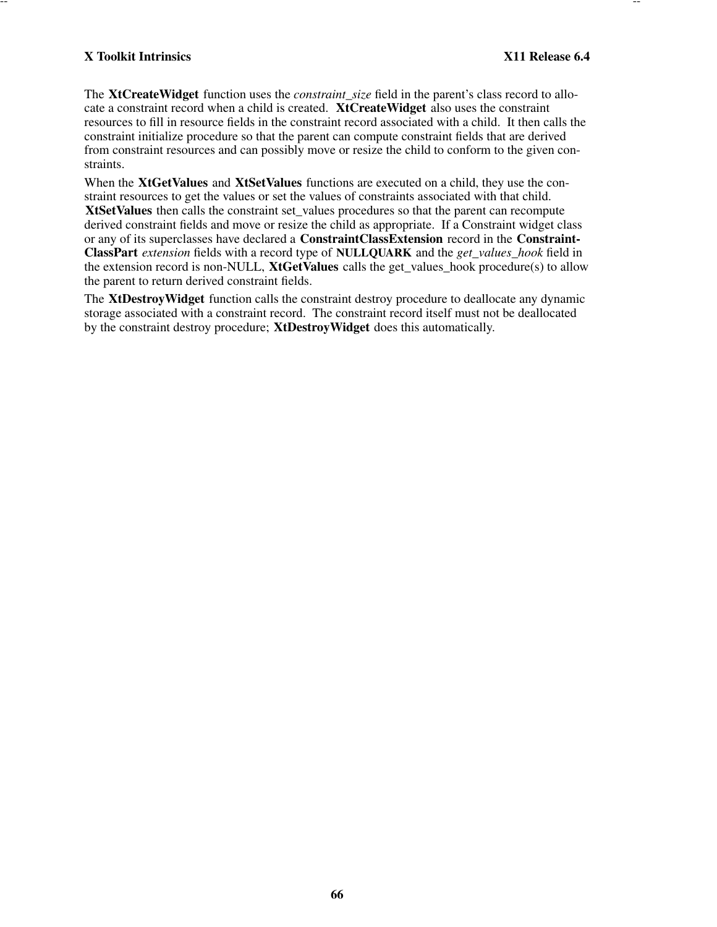The **XtCreateWidget** function uses the *constraint\_size* field in the parent's class record to allocate a constraint record when a child is created. **XtCreateWidget** also uses the constraint resources to fill in resource fields in the constraint record associated with a child. It then calls the constraint initialize procedure so that the parent can compute constraint fields that are derived from constraint resources and can possibly move or resize the child to conform to the given constraints.

-- --

When the **XtGetValues** and **XtSetValues** functions are executed on a child, they use the constraint resources to get the values or set the values of constraints associated with that child. **XtSetValues** then calls the constraint set\_values procedures so that the parent can recompute derived constraint fields and move or resize the child as appropriate. If a Constraint widget class or any of its superclasses have declared a **ConstraintClassExtension** record in the **Constraint-ClassPart** *extension* fields with a record type of **NULLQUARK** and the *get\_values\_hook* field in the extension record is non-NULL, **XtGetValues** calls the get\_values\_hook procedure(s) to allow the parent to return derived constraint fields.

The **XtDestroyWidget** function calls the constraint destroy procedure to deallocate any dynamic storage associated with a constraint record. The constraint record itself must not be deallocated by the constraint destroy procedure; **XtDestroyWidget** does this automatically.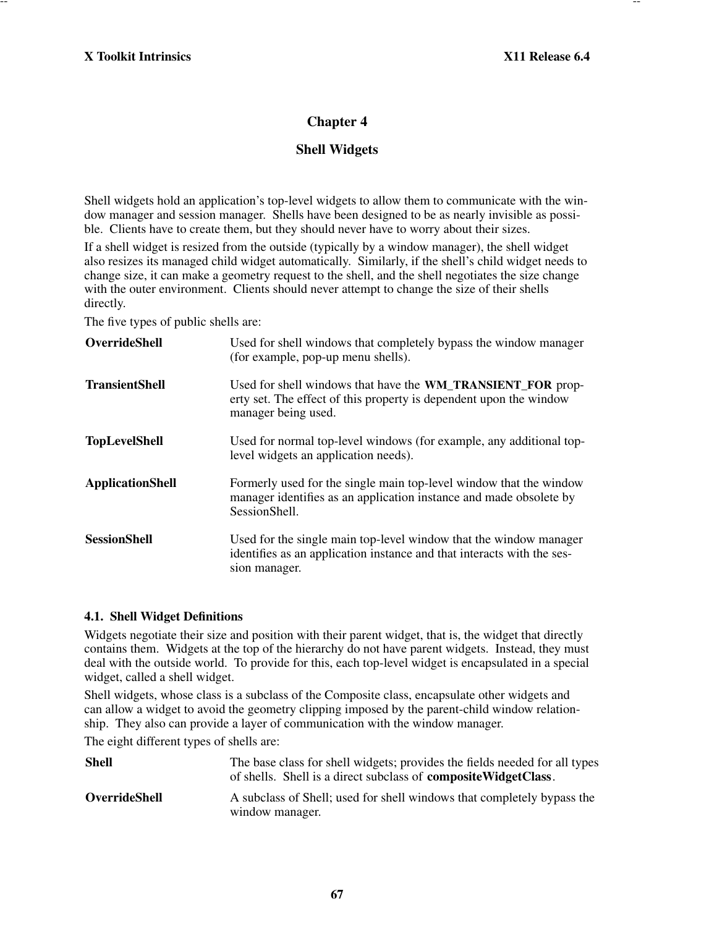# **Chapter 4**

-- --

# **Shell Widgets**

Shell widgets hold an application's top-level widgets to allow them to communicate with the window manager and session manager. Shells have been designed to be as nearly invisible as possible. Clients have to create them, but they should never have to worry about their sizes.

If a shell widget is resized from the outside (typically by a window manager), the shell widget also resizes its managed child widget automatically. Similarly, if the shell's child widget needs to change size, it can make a geometry request to the shell, and the shell negotiates the size change with the outer environment. Clients should never attempt to change the size of their shells directly.

The five types of public shells are:

| <b>OverrideShell</b>    | Used for shell windows that completely bypass the window manager<br>(for example, pop-up menu shells).                                                       |
|-------------------------|--------------------------------------------------------------------------------------------------------------------------------------------------------------|
| <b>TransientShell</b>   | Used for shell windows that have the WM_TRANSIENT_FOR prop-<br>erty set. The effect of this property is dependent upon the window<br>manager being used.     |
| <b>TopLevelShell</b>    | Used for normal top-level windows (for example, any additional top-<br>level widgets an application needs).                                                  |
| <b>ApplicationShell</b> | Formerly used for the single main top-level window that the window<br>manager identifies as an application instance and made obsolete by<br>SessionShell.    |
| <b>SessionShell</b>     | Used for the single main top-level window that the window manager<br>identifies as an application instance and that interacts with the ses-<br>sion manager. |

#### **4.1. Shell Widget Definitions**

Widgets negotiate their size and position with their parent widget, that is, the widget that directly contains them. Widgets at the top of the hierarchy do not have parent widgets. Instead, they must deal with the outside world. To provide for this, each top-level widget is encapsulated in a special widget, called a shell widget.

Shell widgets, whose class is a subclass of the Composite class, encapsulate other widgets and can allow a widget to avoid the geometry clipping imposed by the parent-child window relationship. They also can provide a layer of communication with the window manager.

The eight different types of shells are:

| <b>Shell</b>         | The base class for shell widgets; provides the fields needed for all types<br>of shells. Shell is a direct subclass of <b>composite WidgetClass</b> . |
|----------------------|-------------------------------------------------------------------------------------------------------------------------------------------------------|
| <b>OverrideShell</b> | A subclass of Shell; used for shell windows that completely bypass the<br>window manager.                                                             |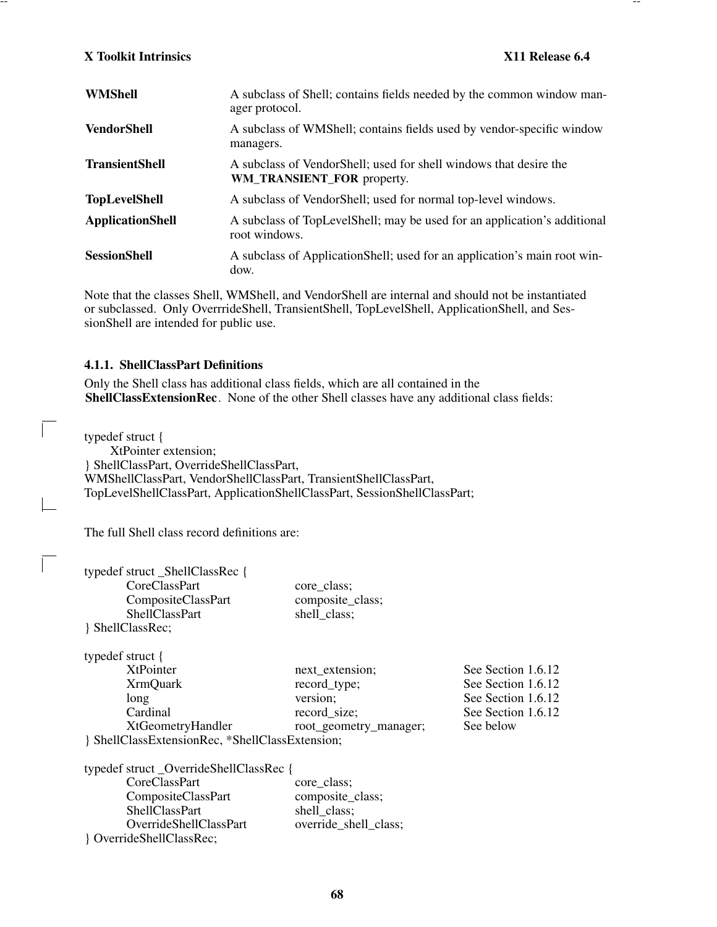| <b>WMShell</b>          | A subclass of Shell; contains fields needed by the common window man-<br>ager protocol.         |
|-------------------------|-------------------------------------------------------------------------------------------------|
| <b>VendorShell</b>      | A subclass of WMShell; contains fields used by vendor-specific window<br>managers.              |
| <b>TransientShell</b>   | A subclass of VendorShell; used for shell windows that desire the<br>WM_TRANSIENT_FOR property. |
| <b>TopLevelShell</b>    | A subclass of VendorShell; used for normal top-level windows.                                   |
| <b>ApplicationShell</b> | A subclass of TopLevelShell; may be used for an application's additional<br>root windows.       |
| <b>SessionShell</b>     | A subclass of Application Shell; used for an application's main root win-<br>dow.               |

Note that the classes Shell, WMShell, and VendorShell are internal and should not be instantiated or subclassed. Only OverrrideShell, TransientShell, TopLevelShell, ApplicationShell, and SessionShell are intended for public use.

#### **4.1.1. ShellClassPart Definitions**

Only the Shell class has additional class fields, which are all contained in the **ShellClassExtensionRec**. None of the other Shell classes have any additional class fields:

typedef struct {

 $\Box$ 

 $\mathbf{L}$ 

XtPointer extension; } ShellClassPart, OverrideShellClassPart, WMShellClassPart, VendorShellClassPart, TransientShellClassPart, TopLevelShellClassPart, ApplicationShellClassPart, SessionShellClassPart;

The full Shell class record definitions are:

| typedef struct _ShellClassRec { |                  |
|---------------------------------|------------------|
| CoreClassPart                   | core_class;      |
| CompositeClassPart              | composite_class; |
| <b>ShellClassPart</b>           | shell class;     |
| BhellClassRec;                  |                  |

typedef struct {

| XtPointer                                                  | next extension;        | See Section 1.6.12 |
|------------------------------------------------------------|------------------------|--------------------|
| <b>XrmQuark</b>                                            | record_type;           | See Section 1.6.12 |
| long                                                       | version;               | See Section 1.6.12 |
| Cardinal                                                   | record size;           | See Section 1.6.12 |
| XtGeometryHandler                                          | root_geometry_manager; | See below          |
| $\frac{1}{2}$ ShellClassExtensionDec *ShellClassExtension: |                        |                    |

} ShellClassExtensionRec, \*ShellClassExtension;

| typedef struct_OverrideShellClassRec { |                       |
|----------------------------------------|-----------------------|
| CoreClassPart                          | core class;           |
| CompositeClassPart                     | composite_class;      |
| <b>ShellClassPart</b>                  | shell class;          |
| OverrideShellClassPart                 | override shell class; |
| } OverrideShellClassRec;               |                       |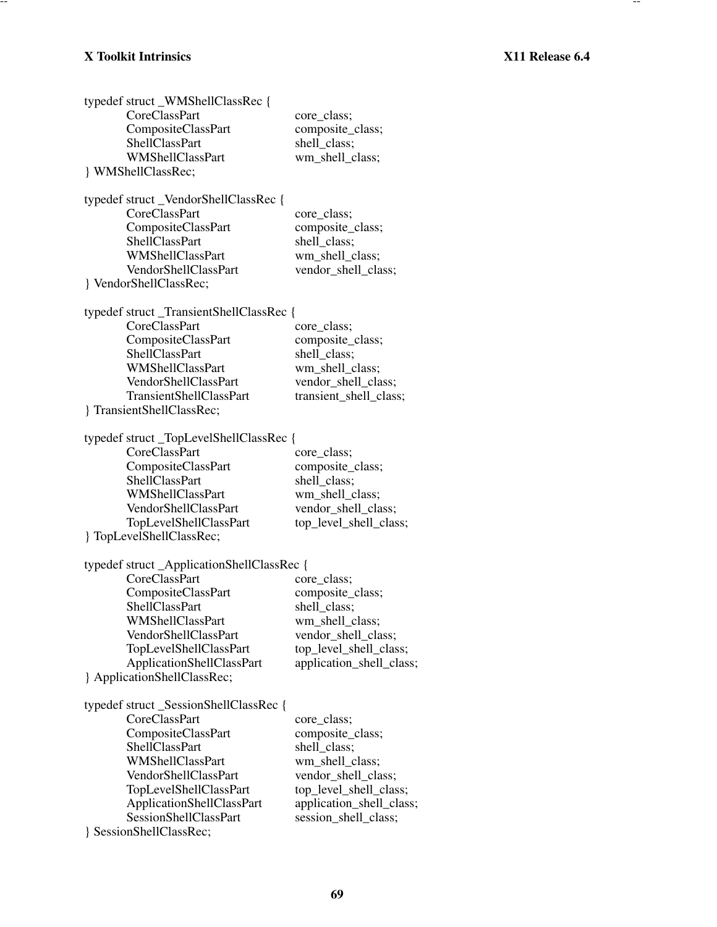typedef struct \_WMShellClassRec {

| <b>CoreClassPart</b>                      | core_class;              |
|-------------------------------------------|--------------------------|
| CompositeClassPart                        | composite_class;         |
| <b>ShellClassPart</b>                     | shell_class;             |
| WMShellClassPart                          | wm_shell_class;          |
| } WMShellClassRec;                        |                          |
|                                           |                          |
| typedef struct _VendorShellClassRec {     |                          |
| <b>CoreClassPart</b>                      | core_class;              |
| CompositeClassPart                        | composite_class;         |
| <b>ShellClassPart</b>                     | shell_class;             |
| <b>WMShellClassPart</b>                   | wm_shell_class;          |
| VendorShellClassPart                      | vendor_shell_class;      |
| } VendorShellClassRec;                    |                          |
|                                           |                          |
| typedef struct _TransientShellClassRec {  |                          |
| <b>CoreClassPart</b>                      | core_class;              |
| CompositeClassPart                        | composite_class;         |
| <b>ShellClassPart</b>                     | shell class;             |
| <b>WMShellClassPart</b>                   | wm_shell_class;          |
| VendorShellClassPart                      | vendor_shell_class;      |
| <b>TransientShellClassPart</b>            | transient_shell_class;   |
| {\transientShellClassRec;                 |                          |
|                                           |                          |
| typedef struct_TopLevelShellClassRec {    |                          |
| <b>CoreClassPart</b>                      |                          |
|                                           | core_class;              |
| CompositeClassPart                        | composite_class;         |
| <b>ShellClassPart</b>                     | shell_class;             |
| <b>WMShellClassPart</b>                   | wm_shell_class;          |
| VendorShellClassPart                      | vendor_shell_class;      |
| TopLevelShellClassPart                    | top_level_shell_class;   |
| } TopLevelShellClassRec;                  |                          |
|                                           |                          |
| typedef struct_ApplicationShellClassRec { |                          |
| <b>CoreClassPart</b>                      | core_class;              |
| CompositeClassPart                        | composite_class;         |
| <b>ShellClassPart</b>                     | shell class;             |
| <b>WMShellClassPart</b>                   | wm_shell_class;          |
| VendorShellClassPart                      | vendor_shell_class;      |
| TopLevelShellClassPart                    | top_level_shell_class;   |
| ApplicationShellClassPart                 | application_shell_class; |
| } ApplicationShellClassRec;               |                          |
|                                           |                          |
| typedef struct _SessionShellClassRec {    |                          |
| CoreClassPart                             | core_class;              |
| CompositeClassPart                        | composite_class;         |
| <b>ShellClassPart</b>                     | shell_class;             |
| <b>WMShellClassPart</b>                   | wm_shell_class;          |
| VendorShellClassPart                      | vendor_shell_class;      |
| TopLevelShellClassPart                    | top_level_shell_class;   |
| ApplicationShellClassPart                 | application_shell_class; |
| SessionShellClassPart                     | session_shell_class;     |
| } SessionShellClassRec;                   |                          |
|                                           |                          |

-- --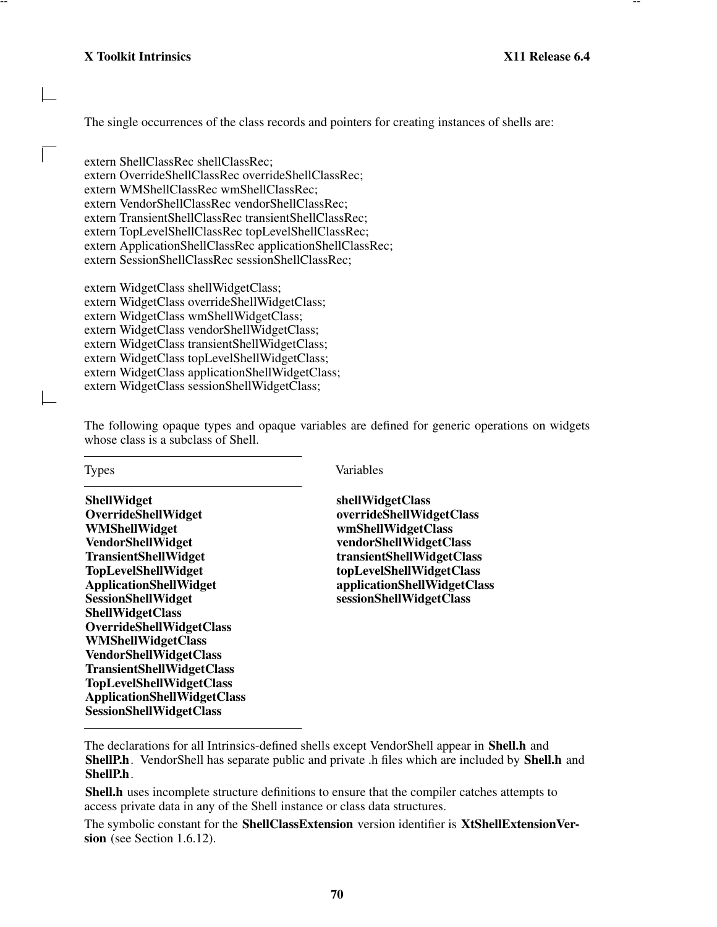The single occurrences of the class records and pointers for creating instances of shells are:

-- --

extern ShellClassRec shellClassRec; extern OverrideShellClassRec overrideShellClassRec; extern WMShellClassRec wmShellClassRec; extern VendorShellClassRec vendorShellClassRec; extern TransientShellClassRec transientShellClassRec; extern TopLevelShellClassRec topLevelShellClassRec; extern ApplicationShellClassRec applicationShellClassRec; extern SessionShellClassRec sessionShellClassRec;

extern WidgetClass shellWidgetClass; extern WidgetClass overrideShellWidgetClass; extern WidgetClass wmShellWidgetClass; extern WidgetClass vendorShellWidgetClass; extern WidgetClass transientShellWidgetClass; extern WidgetClass topLevelShellWidgetClass; extern WidgetClass applicationShellWidgetClass; extern WidgetClass sessionShellWidgetClass;

The following opaque types and opaque variables are defined for generic operations on widgets whose class is a subclass of Shell.

**ShellWidget shellWidgetClass OverrideShellWidget overrideShellWidgetClass WMShellWidget wmShellWidgetClass VendorShellWidget vendorShellWidgetClass TransientShellWidget transientShellWidgetClass TopLevelShellWidget topLevelShellWidgetClass ApplicationShellWidget applicationShellWidgetClass ShellWidgetClass OverrideShellWidgetClass WMShellWidgetClass VendorShellWidgetClass TransientShellWidgetClass TopLevelShellWidgetClass ApplicationShellWidgetClass SessionShellWidgetClass**

Types Variables

 $s$ essionShellWidgetClass

The declarations for all Intrinsics-defined shells except VendorShell appear in **Shell.h** and **ShellP.h**. VendorShell has separate public and private .h files which are included by **Shell.h** and **ShellP.h**.

**Shell.h** uses incomplete structure definitions to ensure that the compiler catches attempts to access private data in any of the Shell instance or class data structures.

The symbolic constant for the **ShellClassExtension** version identifier is **XtShellExtensionVersion** (see Section 1.6.12).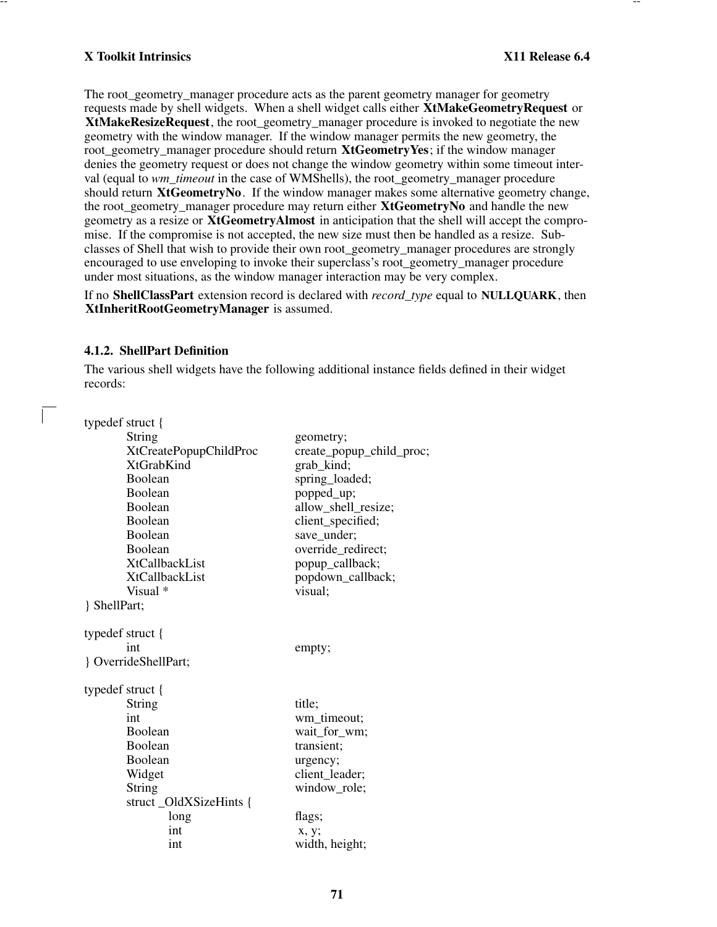The root\_geometry\_manager procedure acts as the parent geometry manager for geometry requests made by shell widgets. When a shell widget calls either **XtMakeGeometryRequest** or **XtMakeResizeRequest**, the root\_geometry\_manager procedure is invoked to negotiate the new geometry with the window manager. If the window manager permits the new geometry, the root\_geometry\_manager procedure should return **XtGeometryYes**; if the window manager denies the geometry request or does not change the window geometry within some timeout interval (equal to *wm\_timeout* in the case of WMShells), the root\_geometry\_manager procedure should return **XtGeometryNo**. If the window manager makes some alternative geometry change, the root\_geometry\_manager procedure may return either **XtGeometryNo** and handle the new geometry as a resize or **XtGeometryAlmost** in anticipation that the shell will accept the compromise. If the compromise is not accepted, the new size must then be handled as a resize. Subclasses of Shell that wish to provide their own root\_geometry\_manager procedures are strongly encouraged to use enveloping to invoke their superclass's root\_geometry\_manager procedure under most situations, as the window manager interaction may be very complex.

-- --

If no **ShellClassPart** extension record is declared with *record\_type* equal to **NULLQUARK**, then **XtInheritRootGeometryManager** is assumed.

#### **4.1.2. ShellPart Definition**

The various shell widgets have the following additional instance fields defined in their widget records:

| typedef struct {       |                          |
|------------------------|--------------------------|
| String                 | geometry;                |
| XtCreatePopupChildProc | create_popup_child_proc; |
| <b>XtGrabKind</b>      | grab_kind;               |
| <b>Boolean</b>         | spring_loaded;           |
| <b>Boolean</b>         | popped_up;               |
| Boolean                | allow_shell_resize;      |
| <b>Boolean</b>         | client_specified;        |
| Boolean                | save_under;              |
| <b>Boolean</b>         | override_redirect;       |
| XtCallbackList         | popup_callback;          |
| <b>XtCallbackList</b>  | popdown_callback;        |
| Visual *               | visual;                  |
| } ShellPart;           |                          |
| typedef struct {       |                          |
| int                    | empty;                   |
| } OverrideShellPart;   |                          |
| typedef struct {       |                          |
| String                 | title:                   |
| int                    | wm_timeout;              |
| <b>Boolean</b>         | wait_for_wm;             |
| Boolean                | transient;               |
| <b>Boolean</b>         | urgency;                 |
| Widget                 | client_leader;           |
| String                 | window_role;             |
| struct_OldXSizeHints { |                          |
| long                   | flags;                   |
| int                    | x, y;                    |
| int                    | width, height;           |
|                        |                          |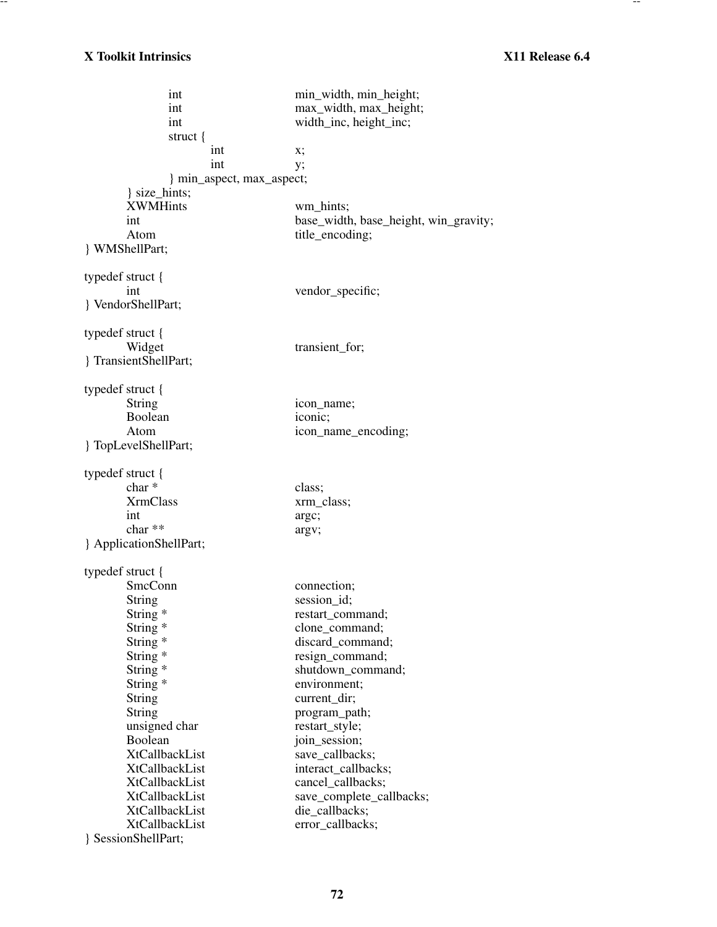int min\_width, min\_height; int max\_width, max\_height; int width\_inc, height\_inc; struct { int x; int y; } min\_aspect, max\_aspect; } size\_hints; XWMHints wm\_hints; int base\_width, base\_height, win\_gravity; Atom title\_encoding; } WMShellPart; typedef struct { int vendor\_specific; } VendorShellPart; typedef struct { Widget transient\_for; } TransientShellPart; typedef struct { String icon\_name; Boolean iconic; Atom icon\_name\_encoding; } TopLevelShellPart; typedef struct { char \* class;<br>XrmClass xrm < xrm\_class; int argc; char \*\* argv; } ApplicationShellPart; typedef struct { connection; String session\_id;<br>String \* session\_id;<br>restart\_com restart\_command; String \* clone\_command;<br>String \* discard\_command String \* discard\_command;<br>String \* discard\_command; String \* resign\_command;<br>String \* shutdown comma String \* shutdown\_command;<br>String \* shutdown\_command; environment; String current dir; String program\_path; unsigned char restart\_style;<br>Boolean join session; Boolean join\_session;<br>XtCallbackList save callback save\_callbacks; XtCallbackList interact callbacks; XtCallbackList cancel\_callbacks; XtCallbackList save\_complete\_callbacks;<br>XtCallbackList die callbacks: die\_callbacks; XtCallbackList error\_callbacks; } SessionShellPart;

-- --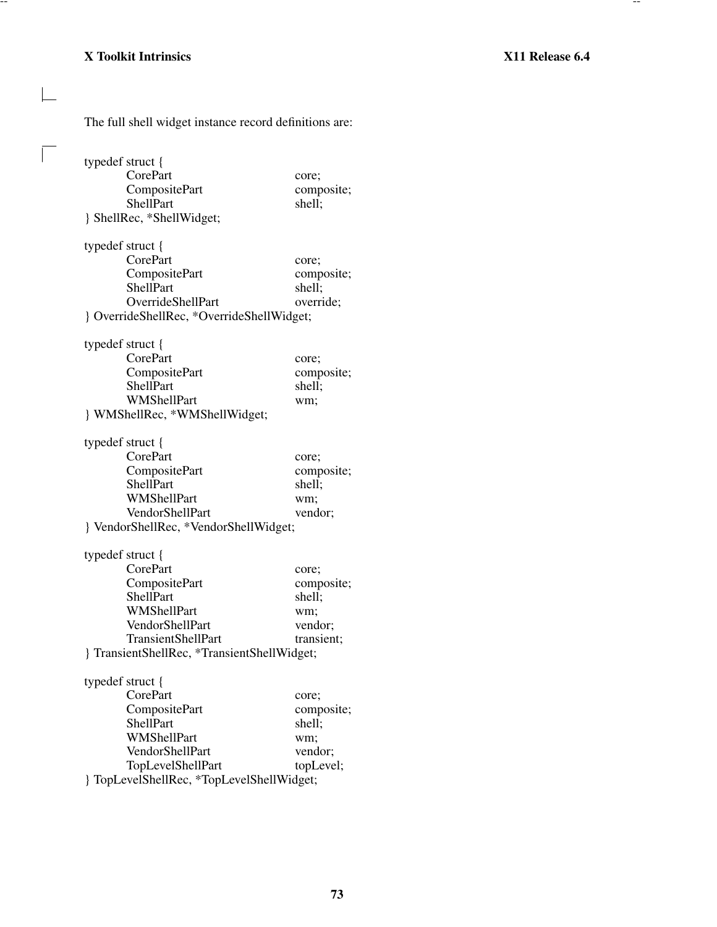$\Box$ 

 $\overline{\Box}$ 

The full shell widget instance record definitions are:

-- --

| typedef struct {                            |            |  |
|---------------------------------------------|------------|--|
| CorePart                                    | core;      |  |
| CompositePart                               | composite; |  |
| ShellPart                                   | shell;     |  |
| } ShellRec, *ShellWidget;                   |            |  |
| typedef struct {                            |            |  |
| CorePart                                    | core;      |  |
| CompositePart                               | composite; |  |
| ShellPart                                   | shell;     |  |
| OverrideShellPart                           | override;  |  |
| } OverrideShellRec, *OverrideShellWidget;   |            |  |
| typedef struct {                            |            |  |
| CorePart                                    | core;      |  |
| CompositePart                               | composite; |  |
| ShellPart                                   | shell;     |  |
| <b>WMShellPart</b>                          | wm;        |  |
| } WMShellRec, *WMShellWidget;               |            |  |
| typedef struct {                            |            |  |
| CorePart                                    | core;      |  |
| CompositePart                               | composite; |  |
| ShellPart                                   | shell:     |  |
| WMShellPart                                 | wm;        |  |
| <b>VendorShellPart</b>                      | vendor;    |  |
| } VendorShellRec, *VendorShellWidget;       |            |  |
|                                             |            |  |
| typedef struct {<br>CorePart                |            |  |
|                                             | core;      |  |
| CompositePart<br><b>ShellPart</b>           | composite; |  |
| <b>WMShellPart</b>                          | shell;     |  |
| <b>VendorShellPart</b>                      | wm;        |  |
| <b>TransientShellPart</b>                   | vendor;    |  |
|                                             | transient; |  |
| } TransientShellRec, *TransientShellWidget; |            |  |
| typedef struct {                            |            |  |
| CorePart                                    | core;      |  |
| CompositePart                               | composite; |  |
| ShellPart                                   | shell;     |  |
| WMShellPart                                 | wm;        |  |
| <b>VendorShellPart</b>                      | vendor;    |  |
| TopLevelShellPart                           | topLevel;  |  |
| } TopLevelShellRec, *TopLevelShellWidget;   |            |  |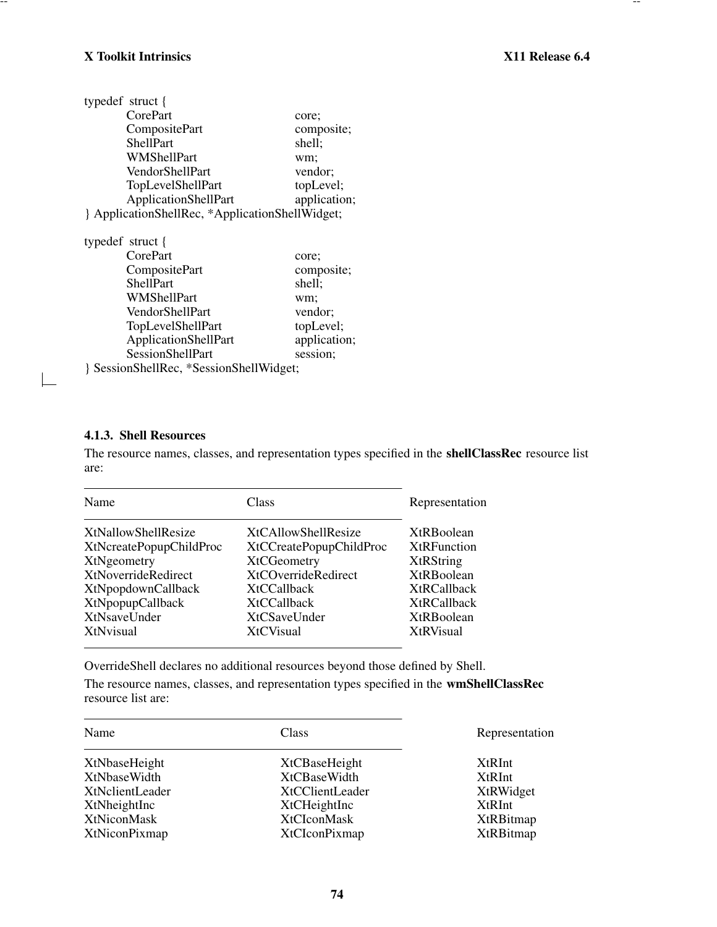| typedef struct {                                |              |
|-------------------------------------------------|--------------|
| CorePart                                        | core;        |
| CompositePart                                   | composite;   |
| <b>ShellPart</b>                                | shell;       |
| WMShellPart                                     | wm;          |
| VendorShellPart                                 | vendor;      |
| TopLevelShellPart                               | topLevel;    |
| ApplicationShellPart                            | application; |
| } ApplicationShellRec, *ApplicationShellWidget; |              |
| typedef struct {                                |              |

| CorePart                                | core;        |
|-----------------------------------------|--------------|
| CompositePart                           | composite;   |
| ShellPart                               | shell;       |
| WMShellPart                             | wm;          |
| <b>VendorShellPart</b>                  | vendor;      |
| TopLevelShellPart                       | topLevel;    |
| ApplicationShellPart                    | application; |
| <b>SessionShellPart</b>                 | session;     |
| } SessionShellRec, *SessionShellWidget; |              |

# **4.1.3. Shell Resources**

The resource names, classes, and representation types specified in the **shellClassRec** resource list are:

-- --

| Name                       | Class                      | Representation     |
|----------------------------|----------------------------|--------------------|
| <b>XtNallowShellResize</b> | <b>XtCAllowShellResize</b> | <b>XtRBoolean</b>  |
| XtNcreatePopupChildProc    | XtCCreatePopupChildProc    | <b>XtRFunction</b> |
| XtNgeometry                | <b>XtCGeometry</b>         | XtRString          |
| XtNoverrideRedirect        | XtCOverrideRedirect        | <b>XtRBoolean</b>  |
| <b>XtNpopdownCallback</b>  | <b>XtCCallback</b>         | <b>XtRCallback</b> |
| <b>XtNpopupCallback</b>    | XtCCallback                | <b>XtRCallback</b> |
| XtNsaveUnder               | XtCSaveUnder               | <b>XtRBoolean</b>  |
| XtNvisual                  | XtCVisual                  | <b>XtRVisual</b>   |

OverrideShell declares no additional resources beyond those defined by Shell.

The resource names, classes, and representation types specified in the **wmShellClassRec** resource list are:

| Name                   | Class                  | Representation |
|------------------------|------------------------|----------------|
| XtNbaseHeight          | XtCBaseHeight          | <b>XtRInt</b>  |
| XtNbaseWidth           | <b>XtCBaseWidth</b>    | XtRInt         |
| <b>XtNclientLeader</b> | <b>XtCClientLeader</b> | XtRWidget      |
| XtNheightInc           | XtCHeightInc           | XtRInt         |
| XtNiconMask            | <b>XtCIconMask</b>     | XtRBitmap      |
| XtNiconPixmap          | XtCIconPixmap          | XtRBitmap      |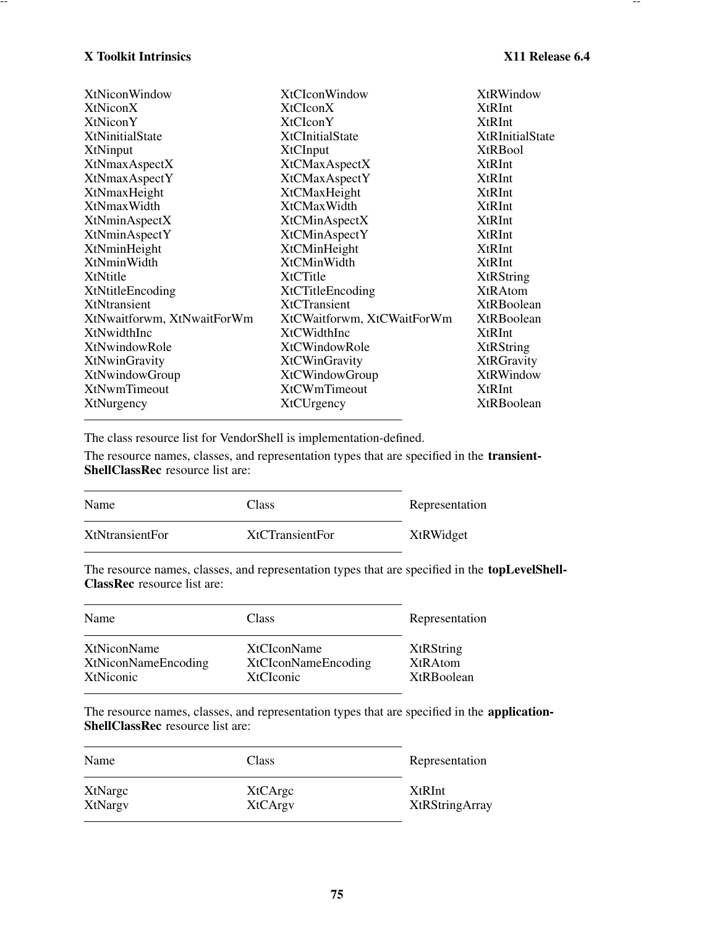| <b>XtNiconWindow</b>       | <b>XtCIconWindow</b>       | <b>XtRWindow</b>  |
|----------------------------|----------------------------|-------------------|
| <b>XtNiconX</b>            | <b>XtCIconX</b>            | <b>XtRInt</b>     |
| <b>XtNiconY</b>            | <b>XtCIconY</b>            | XtRInt            |
| XtNinitialState            | XtCInitialState            | XtRInitialState   |
| XtNinput                   | XtCInput                   | <b>XtRBool</b>    |
| <b>XtNmaxAspectX</b>       | XtCMaxAspectX              | XtRInt            |
| <b>XtNmaxAspectY</b>       | <b>XtCMaxAspectY</b>       | <b>XtRInt</b>     |
| XtNmaxHeight               | XtCMaxHeight               | XtRInt            |
| <b>XtNmaxWidth</b>         | XtCMaxWidth                | XtRInt            |
| XtNminAspectX              | <b>XtCMinAspectX</b>       | XtRInt            |
| <b>XtNminAspectY</b>       | <b>XtCMinAspectY</b>       | XtRInt            |
| XtNminHeight               | XtCMinHeight               | XtRInt            |
| <b>XtNminWidth</b>         | XtCMinWidth                | XtRInt            |
| XtNtitle                   | XtCTitle                   | XtRString         |
| XtNtitleEncoding           | XtCTitleEncoding           | <b>XtRAtom</b>    |
| XtNtransient               | XtCTransient               | XtRBoolean        |
| XtNwaitforwm, XtNwaitForWm | XtCWaitforwm, XtCWaitForWm | <b>XtRBoolean</b> |
| XtNwidthInc                | XtCWidthInc                | XtRInt            |
| XtNwindowRole              | XtCWindowRole              | XtRString         |
| XtNwinGravity              | XtCWinGravity              | XtRGravity        |
| XtNwindowGroup             | XtCWindowGroup             | <b>XtRWindow</b>  |
| XtNwmTimeout               | XtCWmTimeout               | <b>XtRInt</b>     |
| XtNurgency                 | XtCUrgency                 | XtRBoolean        |

-- --

The class resource list for VendorShell is implementation-defined.

The resource names, classes, and representation types that are specified in the **transient-ShellClassRec** resource list are:

| Name                   | <b>Class</b>           | Representation |
|------------------------|------------------------|----------------|
| <b>XtNtransientFor</b> | <b>XtCTransientFor</b> | XtRWidget      |

The resource names, classes, and representation types that are specified in the **topLevelShell-ClassRec** resource list are:

| Name                | <b>Class</b>               | Representation |
|---------------------|----------------------------|----------------|
| <b>XtNiconName</b>  | <b>XtCIconName</b>         | XtRString      |
| XtNiconNameEncoding | <b>XtCIconNameEncoding</b> | <b>XtRAtom</b> |
| XtNiconic           | XtCIconic                  | XtRBoolean     |

The resource names, classes, and representation types that are specified in the **application-ShellClassRec** resource list are:

| Name           | Class          | Representation |
|----------------|----------------|----------------|
| XtNarge        | XtCArge        | <b>XtRInt</b>  |
| <b>XtNargy</b> | <b>XtCArgy</b> | XtRStringArray |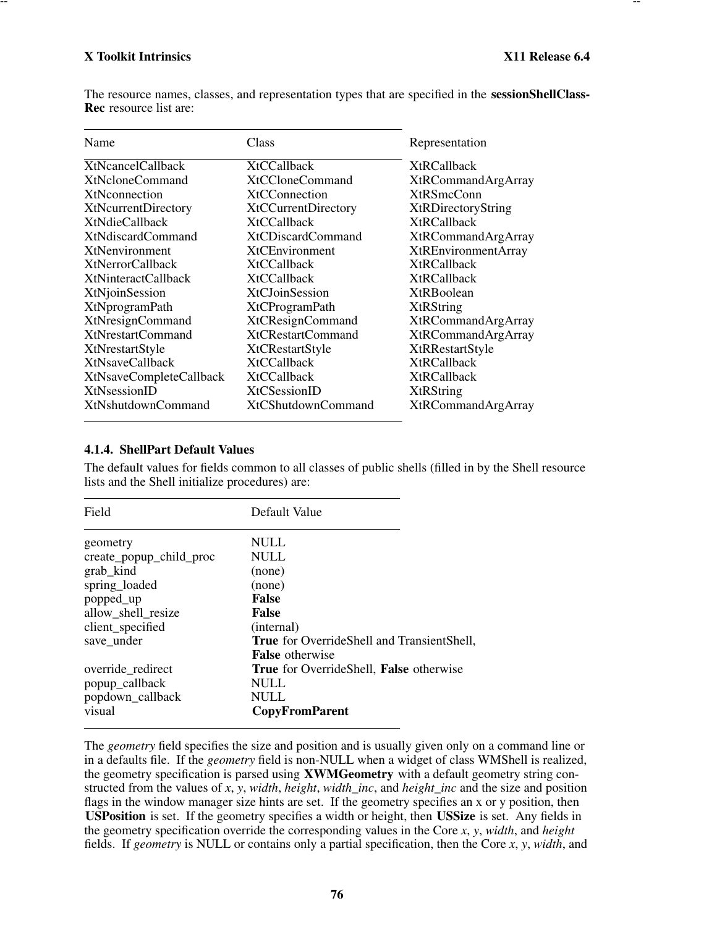| Name                       | Class                      | Representation             |
|----------------------------|----------------------------|----------------------------|
| <b>XtNcancelCallback</b>   | <b>XtCCallback</b>         | <b>XtRCallback</b>         |
| XtNcloneCommand            | XtCCloneCommand            | <b>XtRCommandArgArray</b>  |
| XtNconnection              | <b>XtCConnection</b>       | XtRSmcConn                 |
| <b>XtNcurrentDirectory</b> | <b>XtCCurrentDirectory</b> | XtRDirectoryString         |
| <b>XtNdieCallback</b>      | <b>XtCCallback</b>         | <b>XtRCallback</b>         |
| XtNdiscardCommand          | XtCDiscardCommand          | <b>XtRCommandArgArray</b>  |
| XtNenvironment             | XtCEnvironment             | <b>XtREnvironmentArray</b> |
| XtNerrorCallback           | <b>XtCCallback</b>         | <b>XtRCallback</b>         |
| XtNinteractCallback        | <b>XtCCallback</b>         | <b>XtRCallback</b>         |
| XtNjoinSession             | <b>XtCJoinSession</b>      | <b>XtRBoolean</b>          |
| <b>XtNprogramPath</b>      | <b>XtCProgramPath</b>      | XtRString                  |
| <b>XtNresignCommand</b>    | <b>XtCResignCommand</b>    | <b>XtRCommandArgArray</b>  |
| <b>XtNrestartCommand</b>   | <b>XtCRestartCommand</b>   | <b>XtRCommandArgArray</b>  |
| <b>XtNrestartStyle</b>     | <b>XtCRestartStyle</b>     | <b>XtRRestartStyle</b>     |
| <b>XtNsaveCallback</b>     | <b>XtCCallback</b>         | <b>XtRCallback</b>         |
| XtNsaveCompleteCallback    | <b>XtCCallback</b>         | <b>XtRCallback</b>         |
| XtNsessionID               | <b>XtCSessionID</b>        | XtRString                  |
| XtNshutdownCommand         | <b>XtCShutdownCommand</b>  | <b>XtRCommandArgArray</b>  |

The resource names, classes, and representation types that are specified in the **sessionShellClass-Rec** resource list are:

-- --

# **4.1.4. ShellPart Default Values**

The default values for fields common to all classes of public shells (filled in by the Shell resource lists and the Shell initialize procedures) are:

| Field                   | Default Value                                         |
|-------------------------|-------------------------------------------------------|
| geometry                | <b>NULL</b>                                           |
| create_popup_child_proc | <b>NULL</b>                                           |
| grab_kind               | (none)                                                |
| spring_loaded           | (none)                                                |
| popped_up               | <b>False</b>                                          |
| allow_shell_resize      | <b>False</b>                                          |
| client_specified        | (internal)                                            |
| save_under              | <b>True</b> for OverrideShell and TransientShell,     |
|                         | <b>False</b> otherwise                                |
| override redirect       | <b>True</b> for OverrideShell, <b>False</b> otherwise |
| popup_callback          | NULL                                                  |
| popdown_callback        | <b>NULL</b>                                           |
| visual                  | <b>CopyFromParent</b>                                 |

The *geometry* field specifies the size and position and is usually given only on a command line or in a defaults file. If the *geometry* field is non-NULL when a widget of class WMShell is realized, the geometry specification is parsed using **XWMGeometry** with a default geometry string constructed from the values of  $x$ ,  $y$ , *width*, *height*, *width* inc, and *height* inc and the size and position flags in the window manager size hints are set. If the geometry specifies an x or y position, then **USPosition** is set. If the geometry specifies a width or height, then **USSize** is set. Any fields in the geometry specification override the corresponding values in the Core *x*, *y*, *width*, and *height* fields. If *geometry* is NULL or contains only a partial specification, then the Core *x*, *y*, *width*, and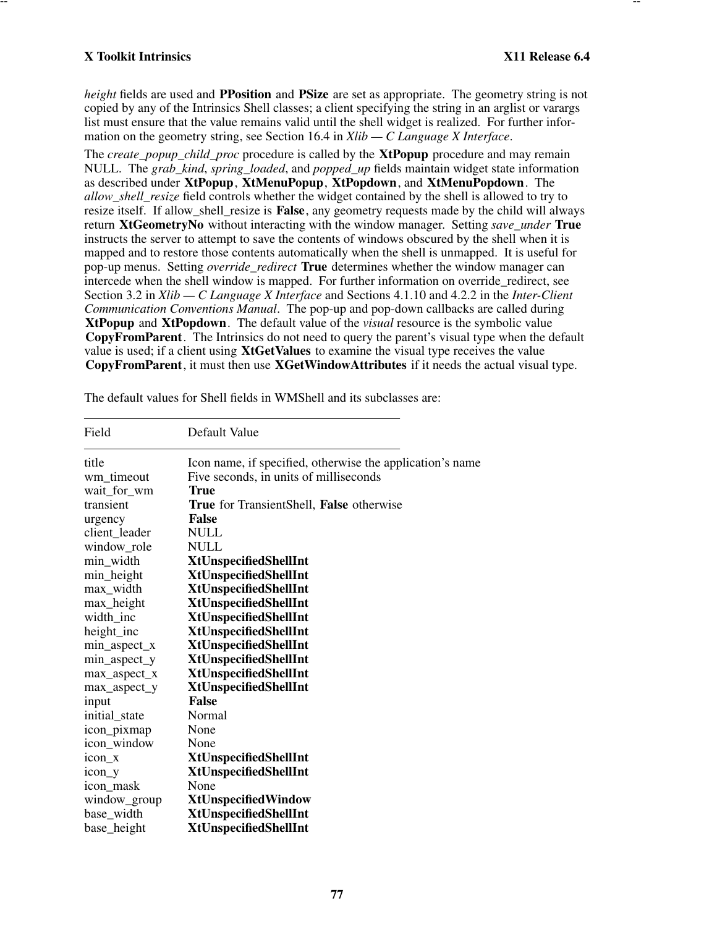*height* fields are used and **PPosition** and **PSize** are set as appropriate. The geometry string is not copied by any of the Intrinsics Shell classes; a client specifying the string in an arglist or varargs list must ensure that the value remains valid until the shell widget is realized. For further information on the geometry string, see Section 16.4 in *Xlib — C Language X Interface*.

-- --

The *create\_popup\_child\_proc* procedure is called by the **XtPopup** procedure and may remain NULL. The *grab\_kind*, *spring\_loaded*, and *popped\_up* fields maintain widget state information as described under **XtPopup**, **XtMenuPopup**, **XtPopdown**, and **XtMenuPopdown**. The *allow\_shell\_resize* field controls whether the widget contained by the shell is allowed to try to resize itself. If allow\_shell\_resize is **False**, any geometry requests made by the child will always return **XtGeometryNo** without interacting with the window manager. Setting *save\_under* **True** instructs the server to attempt to save the contents of windows obscured by the shell when it is mapped and to restore those contents automatically when the shell is unmapped. It is useful for pop-up menus. Setting *override\_redirect* **True** determines whether the window manager can intercede when the shell window is mapped. For further information on override redirect, see Section 3.2 in *Xlib — C Language X Interface* and Sections 4.1.10 and 4.2.2 in the *Inter-Client Communication Conventions Manual*. The pop-up and pop-down callbacks are called during **XtPopup** and **XtPopdown**. The default value of the *visual* resource is the symbolic value **CopyFromParent**. The Intrinsics do not need to query the parent's visual type when the default value is used; if a client using **XtGetValues** to examine the visual type receives the value **CopyFromParent**, it must then use **XGetWindowAttributes** if it needs the actual visual type.

| Field         | Default Value                                             |
|---------------|-----------------------------------------------------------|
| title         | Icon name, if specified, otherwise the application's name |
| wm_timeout    | Five seconds, in units of milliseconds                    |
| wait_for_wm   | True                                                      |
| transient     | True for TransientShell, False otherwise                  |
| urgency       | <b>False</b>                                              |
| client_leader | <b>NULL</b>                                               |
| window role   | <b>NULL</b>                                               |
| min width     | <b>XtUnspecifiedShellInt</b>                              |
| min_height    | XtUnspecifiedShellInt                                     |
| max_width     | <b>XtUnspecifiedShellInt</b>                              |
| max_height    | <b>XtUnspecifiedShellInt</b>                              |
| width_inc     | XtUnspecifiedShellInt                                     |
| height_inc    | <b>XtUnspecifiedShellInt</b>                              |
| min_aspect_x  | <b>XtUnspecifiedShellInt</b>                              |
| min_aspect_y  | <b>XtUnspecifiedShellInt</b>                              |
| max_aspect_x  | <b>XtUnspecifiedShellInt</b>                              |
| max_aspect_y  | <b>XtUnspecifiedShellInt</b>                              |
| input         | <b>False</b>                                              |
| initial state | Normal                                                    |
| icon_pixmap   | None                                                      |
| icon_window   | None                                                      |
| $icon_x$      | XtUnspecifiedShellInt                                     |
| $icon_y$      | <b>XtUnspecifiedShellInt</b>                              |
| icon_mask     | None                                                      |
| window_group  | <b>XtUnspecifiedWindow</b>                                |
| base_width    | XtUnspecifiedShellInt                                     |
| base_height   | <b>XtUnspecifiedShellInt</b>                              |

The default values for Shell fields in WMShell and its subclasses are: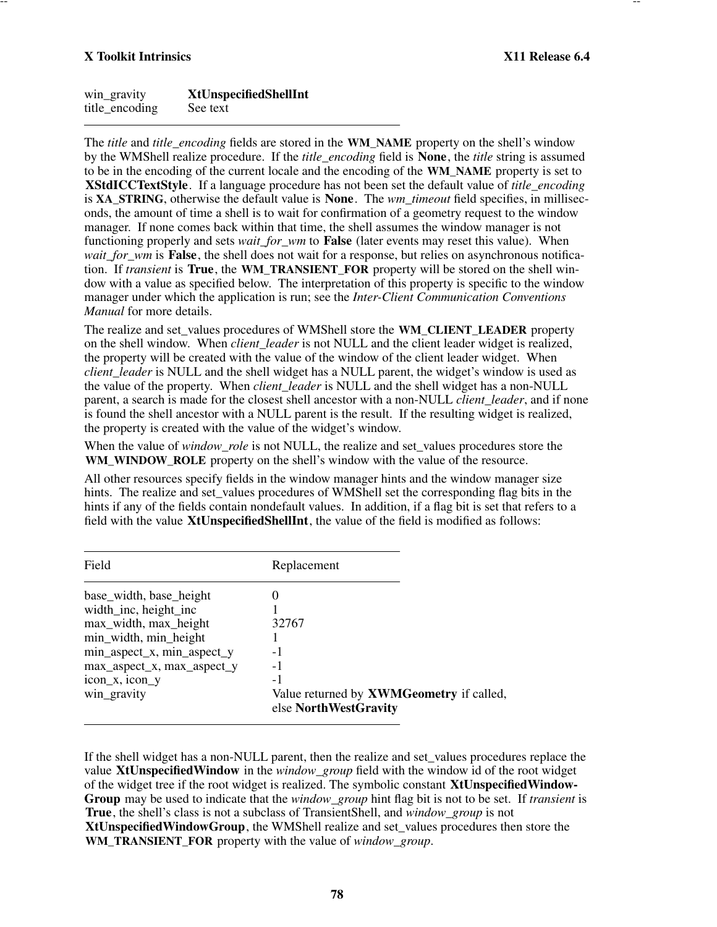# win\_gravity **XtUnspecifiedShellInt** title encoding See text

The *title* and *title\_encoding* fields are stored in the **WM\_NAME** property on the shell's window by the WMShell realize procedure. If the *title\_encoding* field is **None**, the *title* string is assumed to be in the encoding of the current locale and the encoding of the **WM\_NAME** property is set to **XStdICCTextStyle**. If a language procedure has not been set the default value of *title encoding* is **XA\_STRING**, otherwise the default value is **None**. The *wm\_timeout* field specifies, in milliseconds, the amount of time a shell is to wait for confirmation of a geometry request to the window manager. If none comes back within that time, the shell assumes the window manager is not functioning properly and sets *wait\_for\_wm* to **False** (later events may reset this value). When *wait for wm* is **False**, the shell does not wait for a response, but relies on asynchronous notification. If *transient* is **True**, the **WM\_TRANSIENT\_FOR** property will be stored on the shell window with a value as specified below. The interpretation of this property is specific to the window manager under which the application is run; see the *Inter-Client Communication Conventions Manual* for more details.

-- --

The realize and set\_values procedures of WMShell store the **WM\_CLIENT\_LEADER** property on the shell window. When *client\_leader* is not NULL and the client leader widget is realized, the property will be created with the value of the window of the client leader widget. When *client\_leader* is NULL and the shell widget has a NULL parent, the widget's window is used as the value of the property. When *client\_leader* is NULL and the shell widget has a non-NULL parent, a search is made for the closest shell ancestor with a non-NULL *client\_leader*, and if none is found the shell ancestor with a NULL parent is the result. If the resulting widget is realized, the property is created with the value of the widget's window.

When the value of *window role* is not NULL, the realize and set values procedures store the WM\_WINDOW\_ROLE property on the shell's window with the value of the resource.

All other resources specify fields in the window manager hints and the window manager size hints. The realize and set values procedures of WMShell set the corresponding flag bits in the hints if any of the fields contain nondefault values. In addition, if a flag bit is set that refers to a field with the value **XtUnspecifiedShellInt**, the value of the field is modified as follows:

| Field                      | Replacement                                                              |
|----------------------------|--------------------------------------------------------------------------|
| base_width, base_height    | 0                                                                        |
| width_inc, height_inc      |                                                                          |
| max_width, max_height      | 32767                                                                    |
| min_width, min_height      |                                                                          |
| min_aspect_x, min_aspect_y | -1                                                                       |
| max_aspect_x, max_aspect_y | -1                                                                       |
| $icon_x, icon_y$           | $-1$                                                                     |
| win_gravity                | Value returned by <b>XWMGeometry</b> if called,<br>else NorthWestGravity |

If the shell widget has a non-NULL parent, then the realize and set\_values procedures replace the value **XtUnspecifiedWindow** in the *window\_group* field with the window id of the root widget of the widget tree if the root widget is realized. The symbolic constant **XtUnspecifiedWindow-Group** may be used to indicate that the *window\_group* hint flag bit is not to be set. If *transient* is **True**, the shell's class is not a subclass of TransientShell, and *window\_group* is not **XtUnspecifiedWindowGroup**, the WMShell realize and set\_values procedures then store the **WM\_TRANSIENT\_FOR** property with the value of *window\_group*.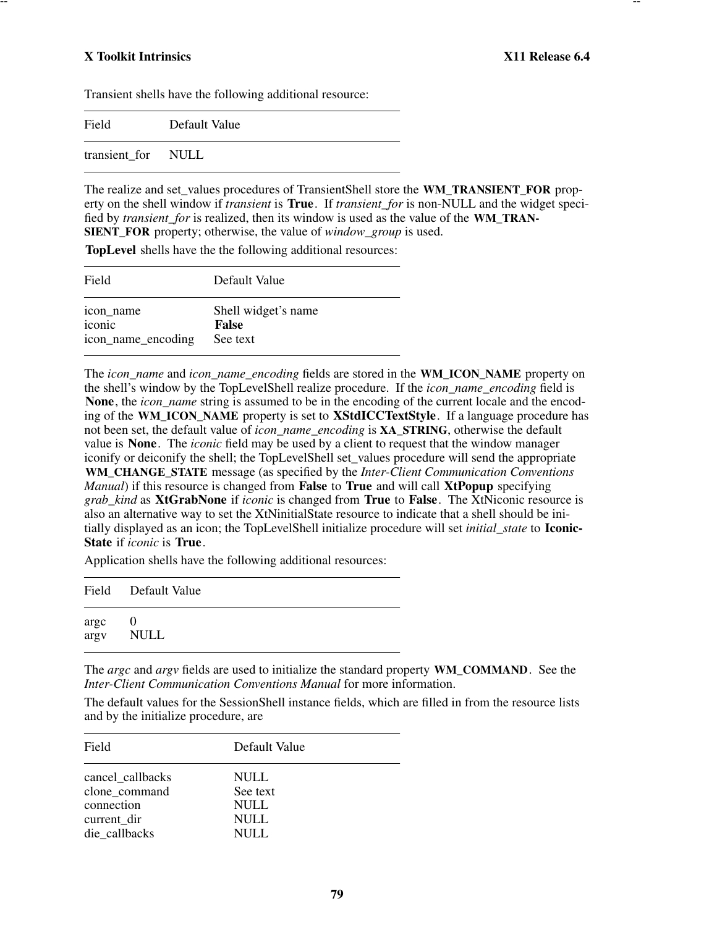Transient shells have the following additional resource:

| Field              | Default Value |
|--------------------|---------------|
| transient for NULL |               |

The realize and set\_values procedures of TransientShell store the **WM\_TRANSIENT\_FOR** property on the shell window if *transient* is **True**. If *transient\_for* is non-NULL and the widget specified by *transient\_for* is realized, then its window is used as the value of the **WM\_TRAN-SIENT\_FOR** property; otherwise, the value of *window\_group* is used.

-- --

**TopLevel** shells have the the following additional resources:

| Field              | Default Value       |
|--------------------|---------------------|
| icon name          | Shell widget's name |
| iconic             | <b>False</b>        |
| icon_name_encoding | See text            |

The *icon\_name* and *icon\_name\_encoding* fields are stored in the **WM\_ICON\_NAME** property on the shell's window by the TopLevelShell realize procedure. If the *icon\_name\_encoding* field is **None**, the *icon* name string is assumed to be in the encoding of the current locale and the encoding of the **WM\_ICON\_NAME** property is set to **XStdICCTextStyle**. Ifalanguage procedure has not been set, the default value of *icon\_name\_encoding* is **XA\_STRING**, otherwise the default value is **None**. The *iconic* field may be used by a client to request that the window manager iconify or deiconify the shell; the TopLevelShell set\_values procedure will send the appropriate **WM\_CHANGE\_STATE** message (as specified by the *Inter-Client Communication Conventions Manual*) if this resource is changed from **False** to **True** and will call **XtPopup** specifying *grab\_kind* as **XtGrabNone** if *iconic* is changed from **True** to **False**. The XtNiconic resource is also an alternative way to set the XtNinitialState resource to indicate that a shell should be initially displayed as an icon; the TopLevelShell initialize procedure will set *initial\_state* to **Iconic-State** if *iconic* is **True**.

Application shells have the following additional resources:

Field Default Value argc 0 argv NULL

The *argc* and *argv* fields are used to initialize the standard property **WM\_COMMAND**. See the *Inter-Client Communication Conventions Manual* for more information.

The default values for the SessionShell instance fields, which are filled in from the resource lists and by the initialize procedure, are

| Field            | Default Value |
|------------------|---------------|
| cancel callbacks | <b>NULL</b>   |
| clone_command    | See text      |
| connection       | <b>NULL</b>   |
| current dir      | <b>NULL</b>   |
| die callbacks    | NULL          |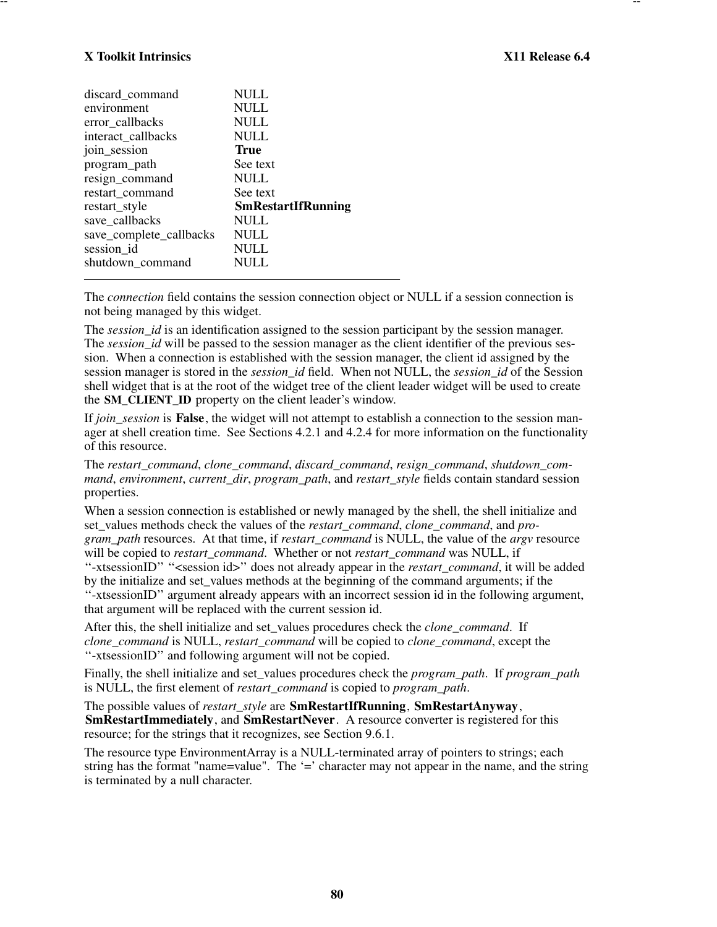| discard command         | <b>NULL</b>               |
|-------------------------|---------------------------|
| environment             | <b>NULL</b>               |
| error callbacks         | <b>NULL</b>               |
| interact_callbacks      | <b>NULL</b>               |
| join_session            | True                      |
| program_path            | See text                  |
| resign_command          | <b>NULL</b>               |
| restart_command         | See text                  |
| restart_style           | <b>SmRestartIfRunning</b> |
| save callbacks          | <b>NULL</b>               |
| save_complete_callbacks | <b>NULL</b>               |
| session id              | <b>NULL</b>               |
| shutdown_command        | NULL                      |
|                         |                           |

The *connection* field contains the session connection object or NULL if a session connection is not being managed by this widget.

-- --

The *session id* is an identification assigned to the session participant by the session manager. The *session\_id* will be passed to the session manager as the client identifier of the previous session. When a connection is established with the session manager, the client id assigned by the session manager is stored in the *session\_id* field. When not NULL, the *session\_id* of the Session shell widget that is at the root of the widget tree of the client leader widget will be used to create the **SM\_CLIENT\_ID** property on the client leader's window.

If *join\_session* is **False**, the widget will not attempt to establish a connection to the session manager at shell creation time. See Sections 4.2.1 and 4.2.4 for more information on the functionality of this resource.

The *restart\_command*, *clone\_command*, *discard\_command*, *resign\_command*, *shutdown\_command*, *environment*, *current\_dir*, *program\_path*, and *restart\_style* fields contain standard session properties.

When a session connection is established or newly managed by the shell, the shell initialize and set\_values methods check the values of the *restart\_command*, *clone\_command*, and *program\_path* resources. At that time, if *restart\_command* is NULL, the value of the *argv* resource will be copied to *restart\_command*. Whether or not *restart\_command* was NULL, if ''-xtsessionID'' ''<session id>'' does not already appear in the *restart\_command*, it will be added

by the initialize and set\_values methods at the beginning of the command arguments; if the ''-xtsessionID'' argument already appears with an incorrect session id in the following argument, that argument will be replaced with the current session id.

After this, the shell initialize and set\_values procedures check the *clone\_command*. If *clone\_command* is NULL, *restart\_command* will be copied to *clone\_command*, except the ''-xtsessionID'' and following argument will not be copied.

Finally, the shell initialize and set\_values procedures check the *program\_path*. If *program\_path* is NULL, the first element of *restart\_command* is copied to *program\_path*.

The possible values of *restart\_style* are **SmRestartIfRunning**, **SmRestartAnyway**, **SmRestartImmediately**, and **SmRestartNever**. A resource converter is registered for this resource; for the strings that it recognizes, see Section 9.6.1.

The resource type EnvironmentArray is a NULL-terminated array of pointers to strings; each string has the format "name=value". The '=' character may not appear in the name, and the string is terminated by a null character.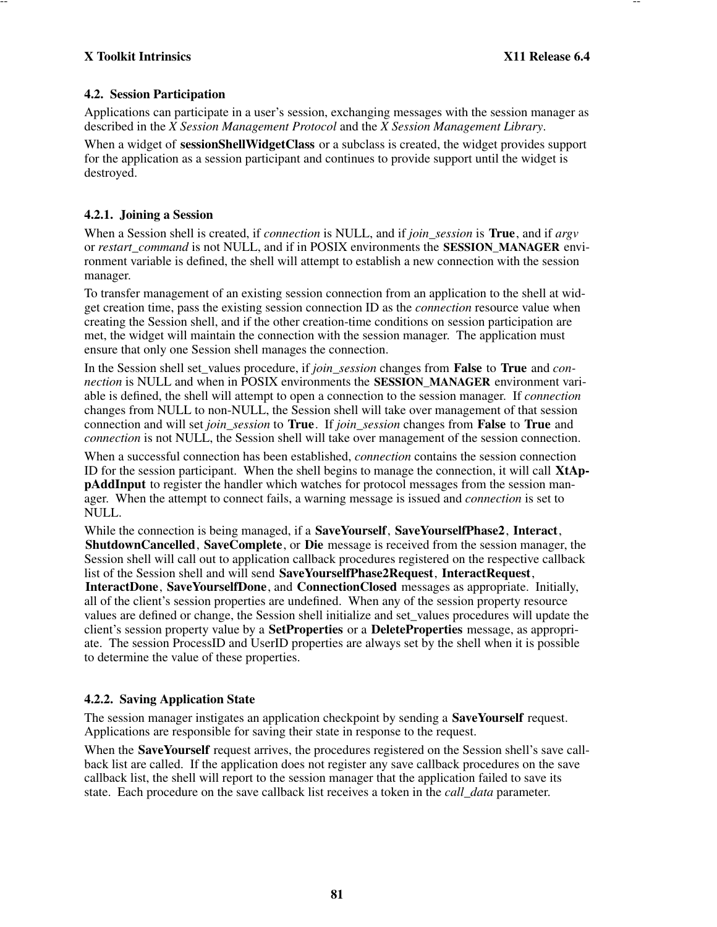# **4.2. Session Participation**

Applications can participate in a user's session, exchanging messages with the session manager as described in the *X Session Management Protocol* and the *X Session Management Library*.

-- --

When a widget of **sessionShellWidgetClass** or a subclass is created, the widget provides support for the application as a session participant and continues to provide support until the widget is destroyed.

# **4.2.1. Joining a Session**

When a Session shell is created, if *connection* is NULL, and if *join\_session* is **True**, and if *argv* or *restart\_command* is not NULL, and if in POSIX environments the **SESSION\_MANAGER** environment variable is defined, the shell will attempt to establish a new connection with the session manager.

To transfer management of an existing session connection from an application to the shell at widget creation time, pass the existing session connection ID as the *connection* resource value when creating the Session shell, and if the other creation-time conditions on session participation are met, the widget will maintain the connection with the session manager. The application must ensure that only one Session shell manages the connection.

In the Session shell set\_values procedure, if *join\_session* changes from **False** to **True** and *connection* is NULL and when in POSIX environments the **SESSION\_MANAGER** environment variable is defined, the shell will attempt to open a connection to the session manager. If *connection* changes from NULL to non-NULL, the Session shell will take over management of that session connection and will set *join\_session* to **True**. If *join\_session* changes from **False** to **True** and *connection* is not NULL, the Session shell will take over management of the session connection.

When a successful connection has been established, *connection* contains the session connection ID for the session participant. When the shell begins to manage the connection, it will call **XtAppAddInput** to register the handler which watches for protocol messages from the session manager. When the attempt to connect fails, a warning message is issued and *connection* is set to NULL.

While the connection is being managed, if a **SaveYourself**, **SaveYourselfPhase2**, **Interact**, **ShutdownCancelled**, **SaveComplete**, or **Die** message is received from the session manager, the Session shell will call out to application callback procedures registered on the respective callback list of the Session shell and will send **SaveYourselfPhase2Request**, **InteractRequest**, **InteractDone**, **SaveYourselfDone**, and **ConnectionClosed** messages as appropriate. Initially, all of the client's session properties are undefined. When any of the session property resource values are defined or change, the Session shell initialize and set\_values procedures will update the client's session property value by a **SetProperties** or a **DeleteProperties** message, as appropriate. The session ProcessID and UserID properties are always set by the shell when it is possible to determine the value of these properties.

# **4.2.2. Saving Application State**

The session manager instigates an application checkpoint by sending a **SaveYourself** request. Applications are responsible for saving their state in response to the request.

When the **SaveYourself** request arrives, the procedures registered on the Session shell's save callback list are called. If the application does not register any save callback procedures on the save callback list, the shell will report to the session manager that the application failed to save its state. Each procedure on the save callback list receives a token in the *call\_data* parameter.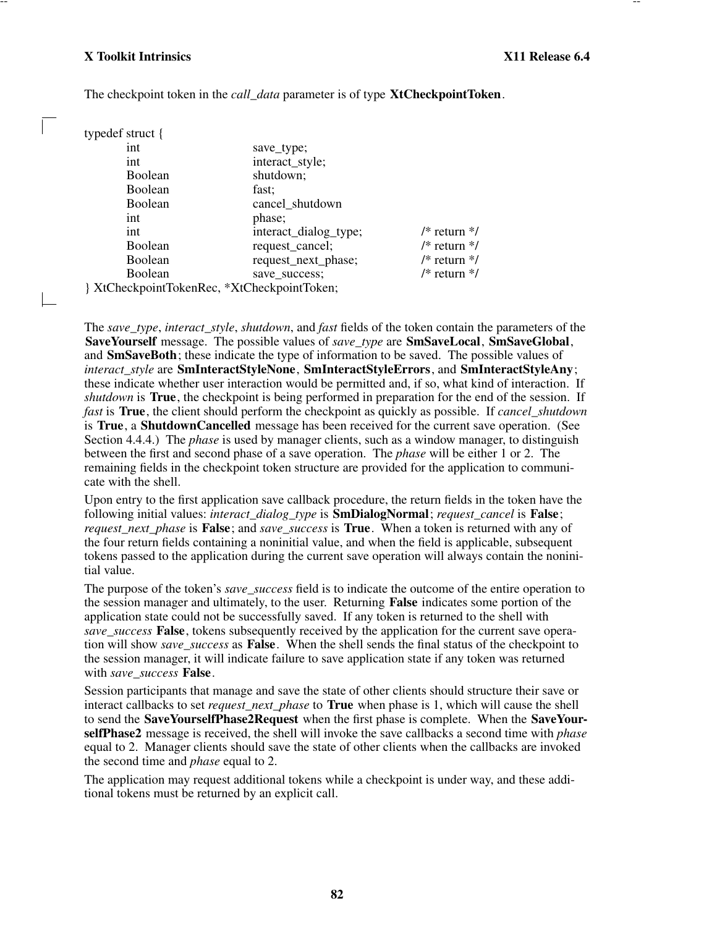The checkpoint token in the *call\_data* parameter is of type **XtCheckpointToken**.

-- --

| typedef struct {                                         |                       |                  |
|----------------------------------------------------------|-----------------------|------------------|
| int                                                      | save_type;            |                  |
| int                                                      | interact_style;       |                  |
| Boolean                                                  | shutdown;             |                  |
| Boolean                                                  | fast:                 |                  |
| <b>Boolean</b>                                           | cancel shutdown       |                  |
| int                                                      | phase;                |                  |
| int                                                      | interact_dialog_type; | $/*$ return $*/$ |
| Boolean                                                  | request_cancel;       | $/*$ return $*/$ |
| Boolean                                                  | request_next_phase;   | $/*$ return $*/$ |
| Boolean                                                  | save_success;         | $/*$ return $*/$ |
| $\frac{1}{2}$ XtChecknointTokenRec $*$ XtChecknointToken |                       |                  |

} XtCheckpointTokenRec, \*XtCheckpoint1oken;

The *save\_type*, *interact\_style*, *shutdown*, and *fast* fields of the token contain the parameters of the **SaveYourself** message. The possible values of *save\_type* are **SmSaveLocal**, **SmSaveGlobal**, and **SmSaveBoth**; these indicate the type of information to be saved. The possible values of *interact\_style* are **SmInteractStyleNone**, **SmInteractStyleErrors**, and **SmInteractStyleAny**; these indicate whether user interaction would be permitted and, if so, what kind of interaction. If *shutdown* is **True**, the checkpoint is being performed in preparation for the end of the session. If *fast* is **True**, the client should perform the checkpoint as quickly as possible. If *cancel\_shutdown* is **True**, a **ShutdownCancelled** message has been received for the current save operation. (See Section 4.4.4.) The *phase* is used by manager clients, such as a window manager, to distinguish between the first and second phase of a save operation. The *phase* will be either 1 or 2. The remaining fields in the checkpoint token structure are provided for the application to communicate with the shell.

Upon entry to the first application save callback procedure, the return fields in the token have the following initial values: *interact\_dialog\_type* is **SmDialogNormal**; *request\_cancel* is **False**; *request\_next\_phase* is **False**; and *save\_success* is **True**. When a token is returned with any of the four return fields containing a noninitial value, and when the field is applicable, subsequent tokens passed to the application during the current save operation will always contain the noninitial value.

The purpose of the token's *save\_success* field is to indicate the outcome of the entire operation to the session manager and ultimately, to the user. Returning **False** indicates some portion of the application state could not be successfully saved. If any token is returned to the shell with *save\_success* **False**, tokens subsequently received by the application for the current save operation will show *save\_success* as **False**. When the shell sends the final status of the checkpoint to the session manager, it will indicate failure to save application state if any token was returned with *save\_success* **False**.

Session participants that manage and save the state of other clients should structure their save or interact callbacks to set *request\_next\_phase* to **True** when phase is 1, which will cause the shell to send the **SaveYourselfPhase2Request** when the first phase is complete. When the **SaveYourselfPhase2** message is received, the shell will invoke the save callbacks a second time with *phase* equal to 2. Manager clients should save the state of other clients when the callbacks are invoked the second time and *phase* equal to 2.

The application may request additional tokens while a checkpoint is under way, and these additional tokens must be returned by an explicit call.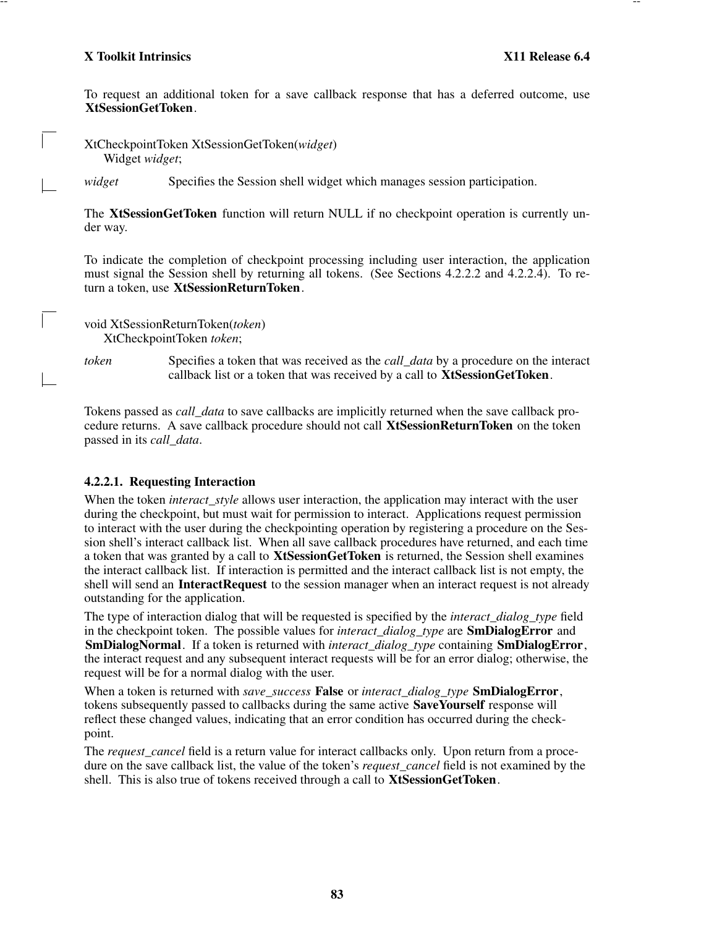To request an additional token for a save callback response that has a deferred outcome, use **XtSessionGetToken**.

-- --

*widget* Specifies the Session shell widget which manages session participation.

The **XtSessionGetToken** function will return NULL if no checkpoint operation is currently under way.

To indicate the completion of checkpoint processing including user interaction, the application must signal the Session shell by returning all tokens. (See Sections 4.2.2.2 and 4.2.2.4). To return a token, use **XtSessionReturnToken**.

void XtSessionReturnToken(*token*) XtCheckpointToken *token*;

*token* Specifies a token that was received as the *call\_data* by a procedure on the interact callback list or a token that was received by a call to **XtSessionGetToken**.

Tokens passed as *call\_data* to save callbacks are implicitly returned when the save callback procedure returns. A save callback procedure should not call **XtSessionReturnToken** on the token passed in its *call\_data*.

# **4.2.2.1. Requesting Interaction**

When the token *interact style* allows user interaction, the application may interact with the user during the checkpoint, but must wait for permission to interact. Applications request permission to interact with the user during the checkpointing operation by registering a procedure on the Session shell's interact callback list. When all save callback procedures have returned, and each time a token that was granted by a call to **XtSessionGetToken** is returned, the Session shell examines the interact callback list. If interaction is permitted and the interact callback list is not empty, the shell will send an **InteractRequest** to the session manager when an interact request is not already outstanding for the application.

The type of interaction dialog that will be requested is specified by the *interact\_dialog\_type* field in the checkpoint token. The possible values for *interact\_dialog\_type* are **SmDialogError** and **SmDialogNormal**. If a token is returned with *interact\_dialog\_type* containing **SmDialogError**, the interact request and any subsequent interact requests will be for an error dialog; otherwise, the request will be for a normal dialog with the user.

When a token is returned with *save\_success* **False** or *interact\_dialog\_type* **SmDialogError**, tokens subsequently passed to callbacks during the same active **SaveYourself** response will reflect these changed values, indicating that an error condition has occurred during the checkpoint.

The *request\_cancel* field is a return value for interact callbacks only. Upon return from a procedure on the save callback list, the value of the token's *request\_cancel* field is not examined by the shell. This is also true of tokens received through a call to **XtSessionGetToken**.

XtCheckpointToken XtSessionGetToken(*widget*) Widget *widget*;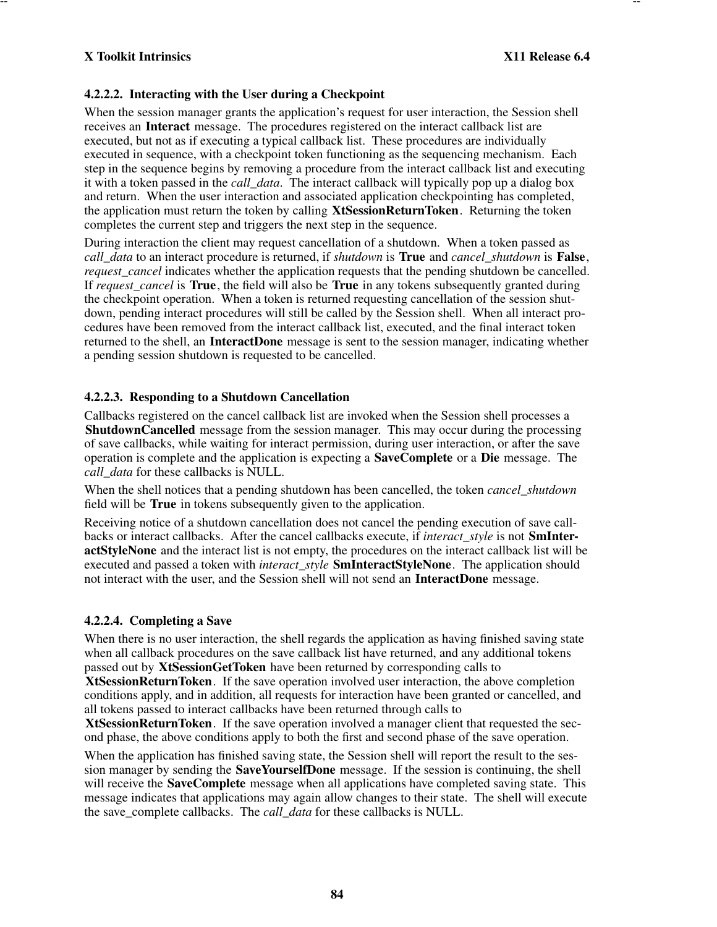### **4.2.2.2. Interacting with the User during a Checkpoint**

When the session manager grants the application's request for user interaction, the Session shell receives an **Interact** message. The procedures registered on the interact callback list are executed, but not as if executing a typical callback list. These procedures are individually executed in sequence, with a checkpoint token functioning as the sequencing mechanism. Each step in the sequence begins by removing a procedure from the interact callback list and executing it with a token passed in the *call\_data*. The interact callback will typically pop up a dialog box and return. When the user interaction and associated application checkpointing has completed, the application must return the token by calling **XtSessionReturnToken**. Returning the token completes the current step and triggers the next step in the sequence.

-- --

During interaction the client may request cancellation of a shutdown. When a token passed as *call\_data* to an interact procedure is returned, if *shutdown* is **True** and *cancel\_shutdown* is **False**, *request\_cancel* indicates whether the application requests that the pending shutdown be cancelled. If *request\_cancel* is **True**, the field will also be **True** in any tokens subsequently granted during the checkpoint operation. When a token is returned requesting cancellation of the session shutdown, pending interact procedures will still be called by the Session shell. When all interact procedures have been removed from the interact callback list, executed, and the final interact token returned to the shell, an **InteractDone** message is sent to the session manager, indicating whether a pending session shutdown is requested to be cancelled.

#### **4.2.2.3. Responding to a Shutdown Cancellation**

Callbacks registered on the cancel callback list are invoked when the Session shell processes a **ShutdownCancelled** message from the session manager. This may occur during the processing of save callbacks, while waiting for interact permission, during user interaction, or after the save operation is complete and the application is expecting a **SaveComplete** or a **Die** message. The *call\_data* for these callbacks is NULL.

When the shell notices that a pending shutdown has been cancelled, the token *cancel shutdown* field will be **True** in tokens subsequently given to the application.

Receiving notice of a shutdown cancellation does not cancel the pending execution of save callbacks or interact callbacks. After the cancel callbacks execute, if *interact\_style* is not **SmInteractStyleNone** and the interact list is not empty, the procedures on the interact callback list will be executed and passed a token with *interact\_style* **SmInteractStyleNone**. The application should not interact with the user, and the Session shell will not send an **InteractDone** message.

#### **4.2.2.4.** Completing a Save

When there is no user interaction, the shell regards the application as having finished saving state when all callback procedures on the save callback list have returned, and any additional tokens passed out by **XtSessionGetToken** have been returned by corresponding calls to

**XtSessionReturnToken**. If the save operation involved user interaction, the above completion conditions apply, and in addition, all requests for interaction have been granted or cancelled, and all tokens passed to interact callbacks have been returned through calls to

**XtSessionReturnToken**. If the save operation involved a manager client that requested the second phase, the above conditions apply to both the first and second phase of the save operation.

When the application has finished saving state, the Session shell will report the result to the session manager by sending the **SaveYourselfDone** message. If the session is continuing, the shell will receive the **SaveComplete** message when all applications have completed saving state. This message indicates that applications may again allow changes to their state. The shell will execute the save\_complete callbacks. The *call\_data* for these callbacks is NULL.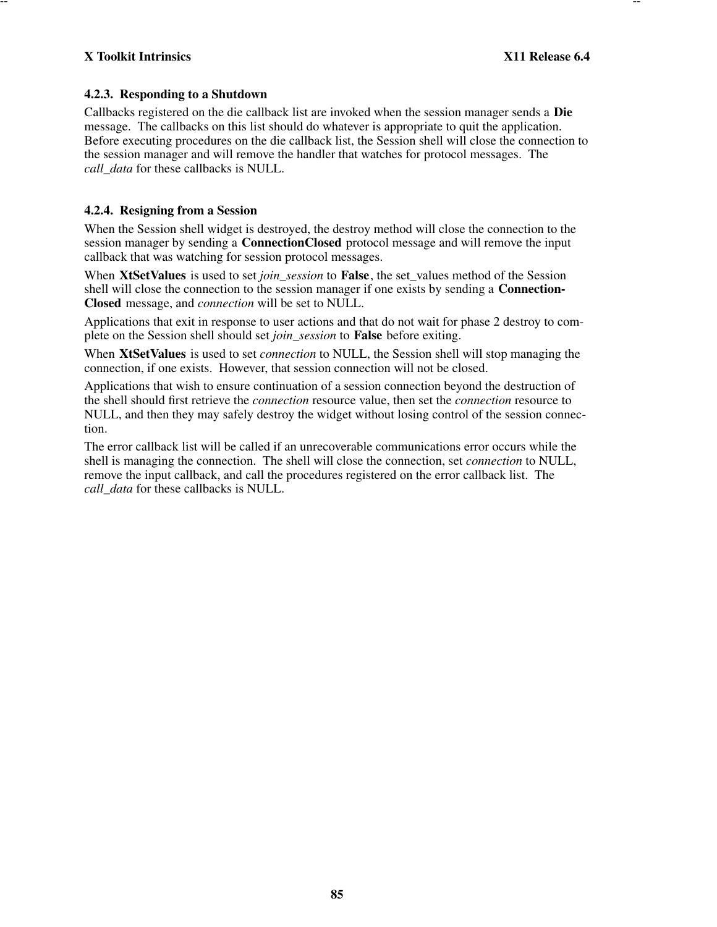# **4.2.3. Responding to a Shutdown**

Callbacks registered on the die callback list are invoked when the session manager sends a **Die** message. The callbacks on this list should do whatever is appropriate to quit the application. Before executing procedures on the die callback list, the Session shell will close the connection to the session manager and will remove the handler that watches for protocol messages. The *call\_data* for these callbacks is NULL.

-- --

# **4.2.4. Resigning from a Session**

When the Session shell widget is destroyed, the destroy method will close the connection to the session manager by sending a **ConnectionClosed** protocol message and will remove the input callback that was watching for session protocol messages.

When **XtSetValues** is used to set *join\_session* to **False**, the set\_values method of the Session shell will close the connection to the session manager if one exists by sending a **Connection-Closed** message, and *connection* will be set to NULL.

Applications that exit in response to user actions and that do not wait for phase 2 destroy to complete on the Session shell should set *join\_session* to **False** before exiting.

When **XtSetValues** is used to set *connection* to NULL, the Session shell will stop managing the connection, if one exists. However, that session connection will not be closed.

Applications that wish to ensure continuation of a session connection beyond the destruction of the shell should first retrieve the *connection* resource value, then set the *connection* resource to NULL, and then they may safely destroy the widget without losing control of the session connection.

The error callback list will be called if an unrecoverable communications error occurs while the shell is managing the connection. The shell will close the connection, set *connection* to NULL, remove the input callback, and call the procedures registered on the error callback list. The *call\_data* for these callbacks is NULL.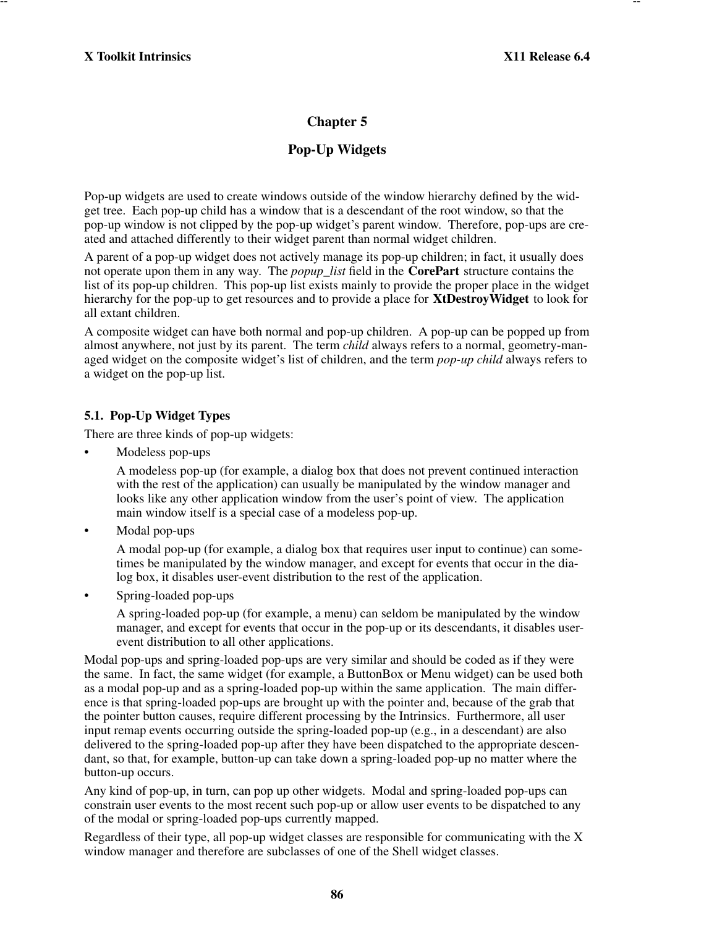# **Chapter 5**

-- --

# **Pop-Up Widgets**

Pop-up widgets are used to create windows outside of the window hierarchy defined by the widget tree. Each pop-up child has a window that is a descendant of the root window, so that the pop-up window is not clipped by the pop-up widget's parent window. Therefore, pop-ups are created and attached differently to their widget parent than normal widget children.

A parent of a pop-up widget does not actively manage its pop-up children; in fact, it usually does not operate upon them in any way. The *popup\_list* field in the **CorePart** structure contains the list of its pop-up children. This pop-up list exists mainly to provide the proper place in the widget hierarchy for the pop-up to get resources and to provide a place for **XtDestroyWidget** to look for all extant children.

A composite widget can have both normal and pop-up children. A pop-up can be popped up from almost anywhere, not just by its parent. The term *child* always refers to a normal, geometry-managed widget on the composite widget's list of children, and the term *pop-up child* always refers to a widget on the pop-up list.

# **5.1. Pop-Up Widget Types**

There are three kinds of pop-up widgets:

• Modeless pop-ups

A modeless pop-up (for example, a dialog box that does not prevent continued interaction with the rest of the application) can usually be manipulated by the window manager and looks like any other application window from the user's point of view. The application main window itself is a special case of a modeless pop-up.

Modal pop-ups

A modal pop-up (for example, a dialog box that requires user input to continue) can sometimes be manipulated by the window manager, and except for events that occur in the dialog box, it disables user-event distribution to the rest of the application.

• Spring-loaded pop-ups

A spring-loaded pop-up (for example, a menu) can seldom be manipulated by the window manager, and except for events that occur in the pop-up or its descendants, it disables userevent distribution to all other applications.

Modal pop-ups and spring-loaded pop-ups are very similar and should be coded as if they were the same. In fact, the same widget (for example, a ButtonBox or Menu widget) can be used both as a modal pop-up and as a spring-loaded pop-up within the same application. The main difference is that spring-loaded pop-ups are brought up with the pointer and, because of the grab that the pointer button causes, require different processing by the Intrinsics. Furthermore, all user input remap events occurring outside the spring-loaded pop-up (e.g., in a descendant) are also delivered to the spring-loaded pop-up after they have been dispatched to the appropriate descendant, so that, for example, button-up can take down a spring-loaded pop-up no matter where the button-up occurs.

Any kind of pop-up, in turn, can pop up other widgets. Modal and spring-loaded pop-ups can constrain user events to the most recent such pop-up or allow user events to be dispatched to any of the modal or spring-loaded pop-ups currently mapped.

Regardless of their type, all pop-up widget classes are responsible for communicating with the X window manager and therefore are subclasses of one of the Shell widget classes.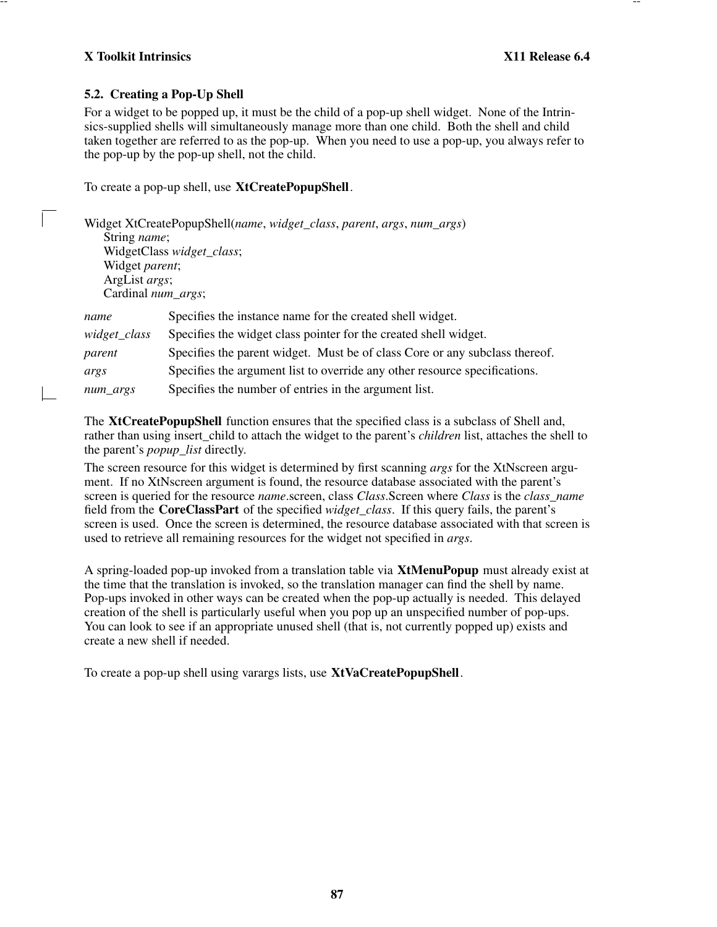# **5.2. Creating a Pop-Up Shell**

For a widget to be popped up, it must be the child of a pop-up shell widget. None of the Intrinsics-supplied shells will simultaneously manage more than one child. Both the shell and child taken together are referred to as the pop-up. When you need to use a pop-up, you always refer to the pop-up by the pop-up shell, not the child.

-- --

To create a pop-up shell, use **XtCreatePopupShell**.

| String <i>name</i> ;<br>Widget parent;<br>ArgList args;<br>Cardinal <i>num_args</i> ; | Widget XtCreatePopupShell(name, widget_class, parent, args, num_args)<br>WidgetClass widget_class; |
|---------------------------------------------------------------------------------------|----------------------------------------------------------------------------------------------------|
| name                                                                                  | Specifies the instance name for the created shell widget.                                          |
| widget_class                                                                          | Specifies the widget class pointer for the created shell widget.                                   |
| parent                                                                                | Specifies the parent widget. Must be of class Core or any subclass thereof.                        |
| args                                                                                  | Specifies the argument list to override any other resource specifications.                         |
| num args                                                                              | Specifies the number of entries in the argument list.                                              |

The **XtCreatePopupShell** function ensures that the specified class is a subclass of Shell and, rather than using insert child to attach the widget to the parent's *children* list, attaches the shell to the parent's *popup\_list* directly.

The screen resource for this widget is determined by first scanning *args* for the XtNscreen argument. If no XtNscreen argument is found, the resource database associated with the parent's screen is queried for the resource *name*.screen, class *Class*.Screen where *Class* is the *class\_name* field from the **CoreClassPart** of the specified *widget\_class*. If this query fails, the parent's screen is used. Once the screen is determined, the resource database associated with that screen is used to retrieve all remaining resources for the widget not specified in *args*.

A spring-loaded pop-up invoked from a translation table via **XtMenuPopup** must already exist at the time that the translation is invoked, so the translation manager can find the shell by name. Pop-ups invoked in other ways can be created when the pop-up actually is needed. This delayed creation of the shell is particularly useful when you pop up an unspecified number of pop-ups. You can look to see if an appropriate unused shell (that is, not currently popped up) exists and create a new shell if needed.

To create a pop-up shell using varargs lists, use **XtVaCreatePopupShell**.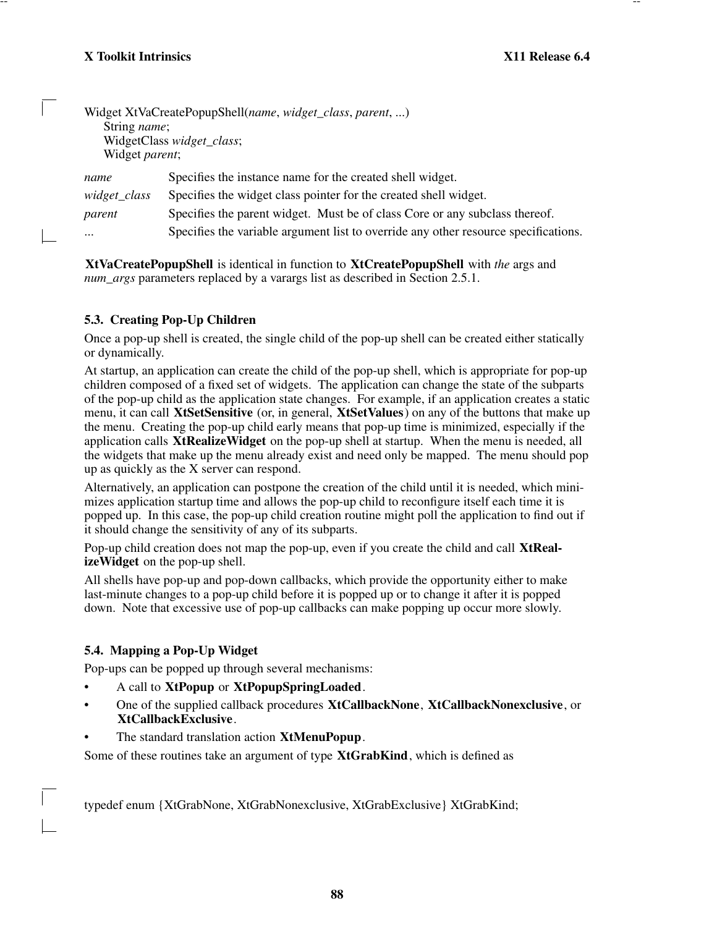| Widget XtVaCreatePopupShell(name, widget_class, parent, ) |                                                                                     |  |
|-----------------------------------------------------------|-------------------------------------------------------------------------------------|--|
| String <i>name</i> ;<br>WidgetClass widget_class;         |                                                                                     |  |
| Widget parent;                                            |                                                                                     |  |
| name                                                      | Specifies the instance name for the created shell widget.                           |  |
| widget_class                                              | Specifies the widget class pointer for the created shell widget.                    |  |
| parent                                                    | Specifies the parent widget. Must be of class Core or any subclass thereof.         |  |
| $\cdots$                                                  | Specifies the variable argument list to override any other resource specifications. |  |

-- --

**XtVaCreatePopupShell** is identical in function to **XtCreatePopupShell** with *the* args and *num\_args* parameters replaced by a varargs list as described in Section 2.5.1.

#### **5.3. Creating Pop-Up Children**

Once a pop-up shell is created, the single child of the pop-up shell can be created either statically or dynamically.

At startup, an application can create the child of the pop-up shell, which is appropriate for pop-up children composed of a fixed set of widgets. The application can change the state of the subparts of the pop-up child as the application state changes. For example, if an application creates a static menu, it can call **XtSetSensitive** (or, in general, **XtSetValues**) on any of the buttons that make up the menu. Creating the pop-up child early means that pop-up time is minimized, especially if the application calls **XtRealizeWidget** on the pop-up shell at startup. When the menu is needed, all the widgets that make up the menu already exist and need only be mapped. The menu should pop up as quickly as the X server can respond.

Alternatively, an application can postpone the creation of the child until it is needed, which minimizes application startup time and allows the pop-up child to reconfigure itself each time it is popped up. In this case, the pop-up child creation routine might poll the application to find out if it should change the sensitivity of any of its subparts.

Pop-up child creation does not map the pop-up, even if you create the child and call **XtRealizeWidget** on the pop-up shell.

All shells have pop-up and pop-down callbacks, which provide the opportunity either to make last-minute changes to a pop-up child before it is popped up or to change it after it is popped down. Note that excessive use of pop-up callbacks can make popping up occur more slowly.

#### **5.4. Mapping a Pop-Up Widget**

Pop-ups can be popped up through several mechanisms:

- A call to **XtPopup** or **XtPopupSpringLoaded**.
- One of the supplied callback procedures **XtCallbackNone**, **XtCallbackNonexclusive**, or **XtCallbackExclusive**.
- The standard translation action **XtMenuPopup**.

Some of these routines take an argument of type **XtGrabKind**, which is defined as

typedef enum {XtGrabNone, XtGrabNonexclusive, XtGrabExclusive} XtGrabKind;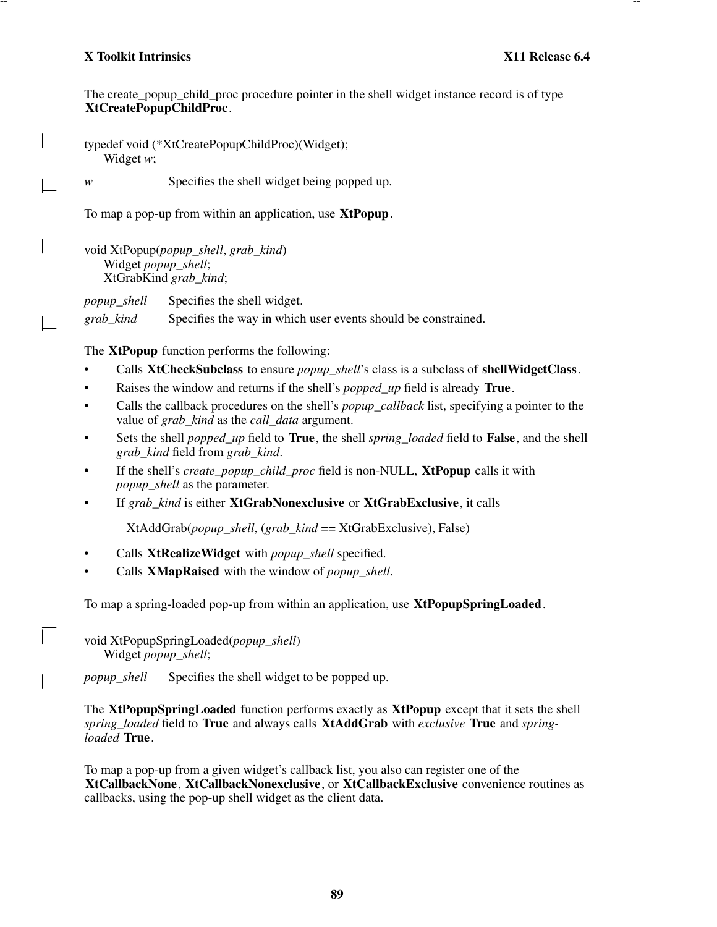The create\_popup\_child\_proc procedure pointer in the shell widget instance record is of type **XtCreatePopupChildProc**.

-- --

typedef void (\*XtCreatePopupChildProc)(Widget); Widget *w*;

*w* Specifies the shell widget being popped up.

To map a pop-up from within an application, use **XtPopup**.

void XtPopup(*popup\_shell*, *grab\_kind*) Widget *popup\_shell*; XtGrabKind *grab\_kind*;

*popup\_shell* Specifies the shell widget. *grab\_kind* Specifies the way in which user events should be constrained.

The **XtPopup** function performs the following:

- Calls **XtCheckSubclass** to ensure *popup\_shell*'s class is a subclass of **shellWidgetClass**.
- Raises the window and returns if the shell's *popped\_up* field is already **True**.
- Calls the callback procedures on the shell's *popup\_callback* list, specifying a pointer to the value of *grab\_kind* as the *call\_data* argument.
- Sets the shell *popped\_up* field to **True**, the shell *spring\_loaded* field to **False**, and the shell *grab\_kind* field from *grab\_kind*.
- If the shell's *create\_popup\_child\_proc* field is non-NULL, **XtPopup** calls it with *popup shell* as the parameter.
- If *grab\_kind* is either **XtGrabNonexclusive** or **XtGrabExclusive**, it calls

XtAddGrab(*popup\_shell*, (*grab\_kind* == XtGrabExclusive), False)

- Calls **XtRealizeWidget** with *popup\_shell* specified.
- Calls **XMapRaised** with the window of *popup\_shell*.

To map a spring-loaded pop-up from within an application, use **XtPopupSpringLoaded**.

void XtPopupSpringLoaded(*popup\_shell*) Widget *popup\_shell*;

*popup shell* Specifies the shell widget to be popped up.

The **XtPopupSpringLoaded** function performs exactly as **XtPopup** except that it sets the shell *spring\_loaded* field to **True** and always calls **XtAddGrab** with *exclusive* **True** and *springloaded* **True**.

To map a pop-up from a given widget's callback list, you also can register one of the **XtCallbackNone**, **XtCallbackNonexclusive**, or **XtCallbackExclusive** convenience routines as callbacks, using the pop-up shell widget as the client data.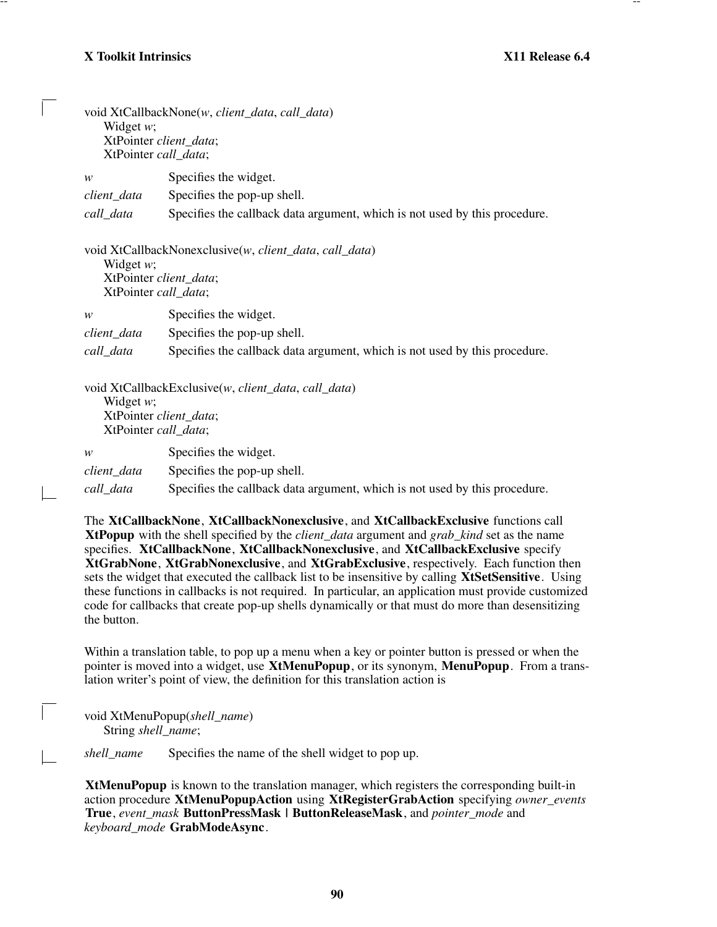| void XtCallbackNone(w, client_data, call_data)<br>Widget $w$ ;<br>XtPointer client data;<br>XtPointer call_data;         |                                                                            |  |
|--------------------------------------------------------------------------------------------------------------------------|----------------------------------------------------------------------------|--|
| w                                                                                                                        | Specifies the widget.                                                      |  |
| client_data                                                                                                              | Specifies the pop-up shell.                                                |  |
| call_data                                                                                                                | Specifies the callback data argument, which is not used by this procedure. |  |
| void XtCallbackNonexclusive(w, client_data, call_data)<br>Widget $w$ ;<br>XtPointer client data;<br>XtPointer call_data; |                                                                            |  |
| w                                                                                                                        | Specifies the widget.                                                      |  |
| client_data                                                                                                              | Specifies the pop-up shell.                                                |  |
| call data                                                                                                                | Specifies the callback data argument, which is not used by this procedure. |  |

-- --

void XtCallbackExclusive(*w*, *client\_data*, *call\_data*) Widget *w*; XtPointer *client\_data*; XtPointer *call\_data*;

| w           | Specifies the widget.                                                      |
|-------------|----------------------------------------------------------------------------|
| client data | Specifies the pop-up shell.                                                |
| call data   | Specifies the callback data argument, which is not used by this procedure. |

The **XtCallbackNone**, **XtCallbackNonexclusive**, and **XtCallbackExclusive** functions call **XtPopup** with the shell specified by the *client\_data* argument and *grab\_kind* set as the name specifies. **XtCallbackNone**, **XtCallbackNonexclusive**, and **XtCallbackExclusive** specify **XtGrabNone**, **XtGrabNonexclusive**, and **XtGrabExclusive**, respectively. Each function then sets the widget that executed the callback list to be insensitive by calling **XtSetSensitive**. Using these functions in callbacks is not required. In particular, an application must provide customized code for callbacks that create pop-up shells dynamically or that must do more than desensitizing the button.

Within a translation table, to pop up a menu when a key or pointer button is pressed or when the pointer is moved into a widget, use **XtMenuPopup**, or its synonym, **MenuPopup**. From a translation writer's point of view, the definition for this translation action is

void XtMenuPopup(*shell\_name*) String *shell\_name*;

*shell\_name* Specifies the name of the shell widget to pop up.

**XtMenuPopup** is known to the translation manager, which registers the corresponding built-in action procedure **XtMenuPopupAction** using **XtRegisterGrabAction** specifying *owner\_events* **True**, *event\_mask* **ButtonPressMask | ButtonReleaseMask**, and *pointer\_mode* and *keyboard\_mode* **GrabModeAsync**.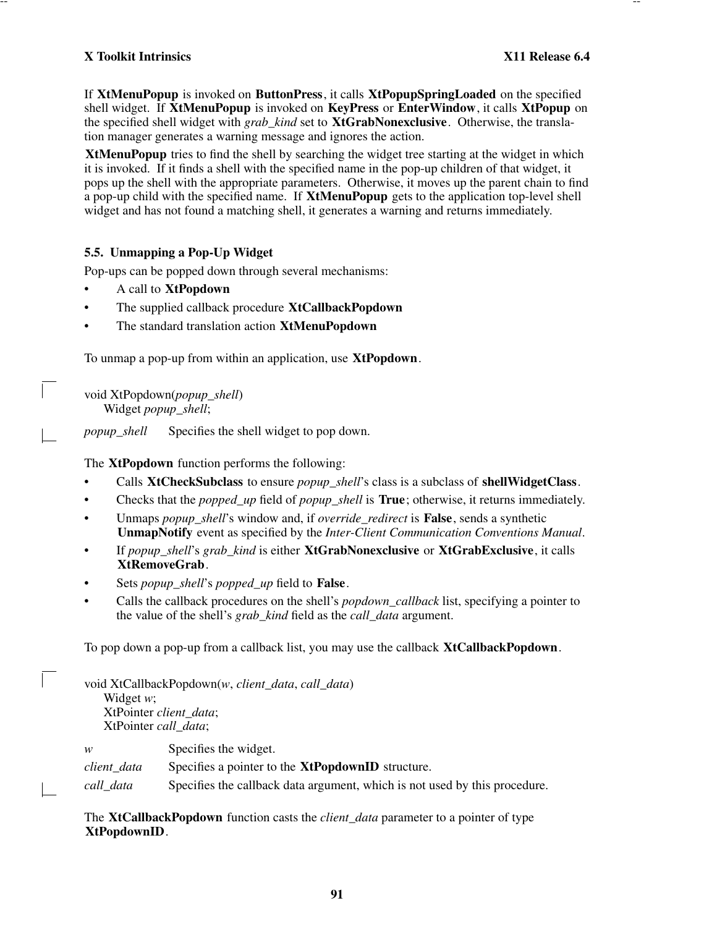If **XtMenuPopup** is invoked on **ButtonPress**, it calls **XtPopupSpringLoaded** on the specified shell widget. If **XtMenuPopup** is invoked on **KeyPress** or **EnterWindow**, it calls **XtPopup** on the specified shell widget with *grab\_kind* set to **XtGrabNonexclusive**. Otherwise, the translation manager generates a warning message and ignores the action.

-- --

**XtMenuPopup** tries to find the shell by searching the widget tree starting at the widget in which it is invoked. If it finds a shell with the specified name in the pop-up children of that widget, it pops up the shell with the appropriate parameters. Otherwise, it moves up the parent chain to find a pop-up child with the specified name. If **XtMenuPopup** gets to the application top-level shell widget and has not found a matching shell, it generates a warning and returns immediately.

# **5.5. Unmapping a Pop-Up Widget**

Pop-ups can be popped down through several mechanisms:

- A call to **XtPopdown**
- The supplied callback procedure **XtCallbackPopdown**
- The standard translation action **XtMenuPopdown**

To unmap a pop-up from within an application, use **XtPopdown**.

void XtPopdown(*popup\_shell*) Widget *popup\_shell*;

*popup\_shell* Specifies the shell widget to pop down.

The **XtPopdown** function performs the following:

- Calls **XtCheckSubclass** to ensure *popup\_shell*'s class is a subclass of **shellWidgetClass**.
- Checks that the *popped\_up* field of *popup\_shell* is **True**; otherwise, it returns immediately.
- Unmaps *popup\_shell*'s window and, if *override\_redirect* is **False**, sends a synthetic **UnmapNotify** event as specified by the *Inter-Client Communication Conventions Manual*.
- If *popup\_shell*'s *grab\_kind* is either **XtGrabNonexclusive** or **XtGrabExclusive**, it calls **XtRemoveGrab**.
- Sets *popup\_shell*'s *popped\_up* field to **False**.
- Calls the callback procedures on the shell's *popdown\_callback* list, specifying a pointer to the value of the shell's *grab\_kind* field as the *call\_data* argument.

To pop down a pop-up from a callback list, you may use the callback **XtCallbackPopdown**.

void XtCallbackPopdown(*w*, *client\_data*, *call\_data*) Widget *w*; XtPointer *client\_data*; XtPointer *call\_data*; *w* Specifies the widget. *client\_data* Specifies a pointer to the **XtPopdownID** structure. *call\_data* Specifies the callback data argument, which is not used by this procedure.

The **XtCallbackPopdown** function casts the *client\_data* parameter to a pointer of type **XtPopdownID**.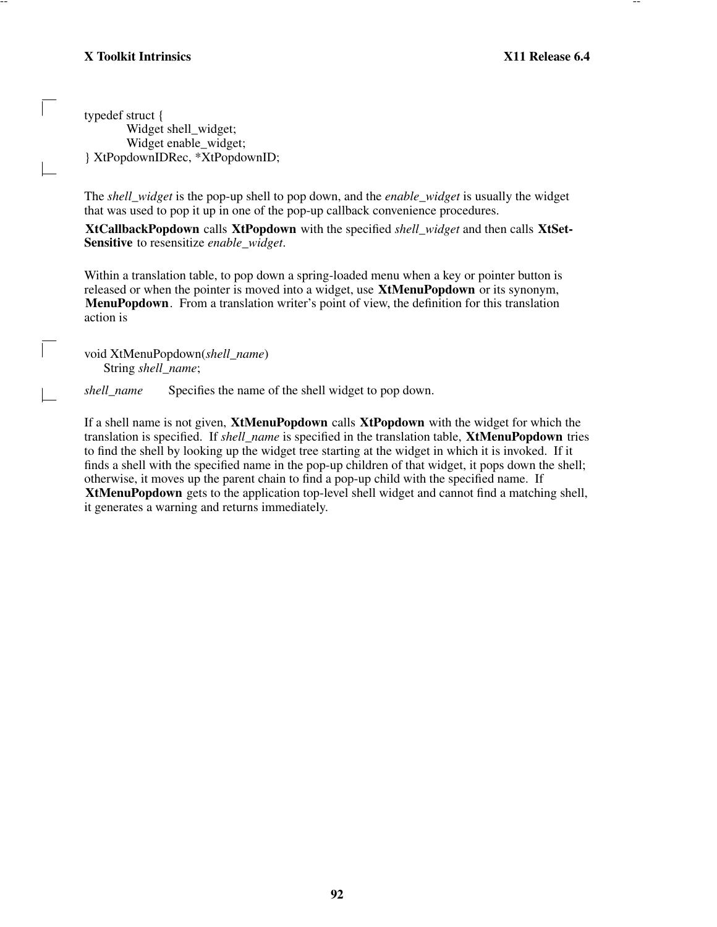$\Box$ 

typedef struct { Widget shell\_widget; Widget enable\_widget; } XtPopdownIDRec, \*XtPopdownID;

The *shell\_widget* is the pop-up shell to pop down, and the *enable\_widget* is usually the widget that was used to pop it up in one of the pop-up callback convenience procedures.

-- --

**XtCallbackPopdown** calls **XtPopdown** with the specified *shell\_widget* and then calls **XtSet-Sensitive** to resensitize *enable\_widget*.

Within a translation table, to pop down a spring-loaded menu when a key or pointer button is released or when the pointer is moved into a widget, use **XtMenuPopdown** or its synonym, **MenuPopdown**. From a translation writer's point of view, the definition for this translation action is

void XtMenuPopdown(*shell\_name*) String *shell\_name*;

*shell\_name* Specifies the name of the shell widget to pop down.

If a shell name is not given, **XtMenuPopdown** calls **XtPopdown** with the widget for which the translation is specified. If *shell\_name* is specified in the translation table, **XtMenuPopdown** tries to find the shell by looking up the widget tree starting at the widget in which it is invoked. If it finds a shell with the specified name in the pop-up children of that widget, it pops down the shell; otherwise, it moves up the parent chain to find a pop-up child with the specified name. If **XtMenuPopdown** gets to the application top-level shell widget and cannot find a matching shell, it generates a warning and returns immediately.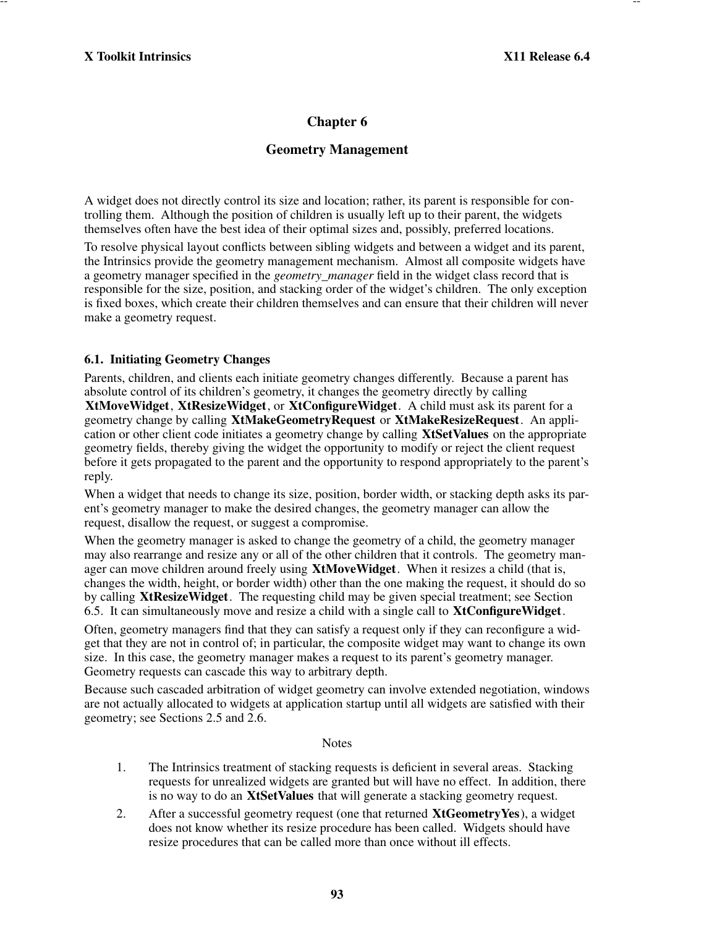# **Chapter 6**

-- --

# **Geometry Management**

A widget does not directly control its size and location; rather, its parent is responsible for controlling them. Although the position of children is usually left up to their parent, the widgets themselves often have the best idea of their optimal sizes and, possibly, preferred locations.

To resolve physical layout conflicts between sibling widgets and between a widget and its parent, the Intrinsics provide the geometry management mechanism. Almost all composite widgets have a geometry manager specified in the *geometry\_manager* field in the widget class record that is responsible for the size, position, and stacking order of the widget's children. The only exception is fixed boxes, which create their children themselves and can ensure that their children will never make a geometry request.

# **6.1. Initiating Geometry Changes**

Parents, children, and clients each initiate geometry changes differently. Because a parent has absolute control of its children's geometry, it changes the geometry directly by calling **XtMoveWidget**, **XtResizeWidget**, or **XtConfigureWidget**. A child must ask its parent for a geometry change by calling **XtMakeGeometryRequest** or **XtMakeResizeRequest**. An application or other client code initiates a geometry change by calling **XtSetValues** on the appropriate geometry fields, thereby giving the widget the opportunity to modify or reject the client request before it gets propagated to the parent and the opportunity to respond appropriately to the parent's reply.

When a widget that needs to change its size, position, border width, or stacking depth asks its parent's geometry manager to make the desired changes, the geometry manager can allow the request, disallow the request, or suggest a compromise.

When the geometry manager is asked to change the geometry of a child, the geometry manager may also rearrange and resize any or all of the other children that it controls. The geometry manager can move children around freely using **XtMoveWidget**. When it resizes a child (that is, changes the width, height, or border width) other than the one making the request, it should do so by calling **XtResizeWidget**. The requesting child may be given special treatment; see Section 6.5. It can simultaneously move and resize a child with a single call to **XtConfigureWidget**.

Often, geometry managers find that they can satisfy a request only if they can reconfigure a widget that they are not in control of; in particular, the composite widget may want to change its own size. In this case, the geometry manager makes a request to its parent's geometry manager. Geometry requests can cascade this way to arbitrary depth.

Because such cascaded arbitration of widget geometry can involve extended negotiation, windows are not actually allocated to widgets at application startup until all widgets are satisfied with their geometry; see Sections 2.5 and 2.6.

#### Notes

- 1. The Intrinsics treatment of stacking requests is deficient in several areas. Stacking requests for unrealized widgets are granted but will have no effect. In addition, there is no way to do an **XtSetValues** that will generate a stacking geometry request.
- 2. After a successful geometry request (one that returned **XtGeometryYes**), a widget does not know whether its resize procedure has been called. Widgets should have resize procedures that can be called more than once without ill effects.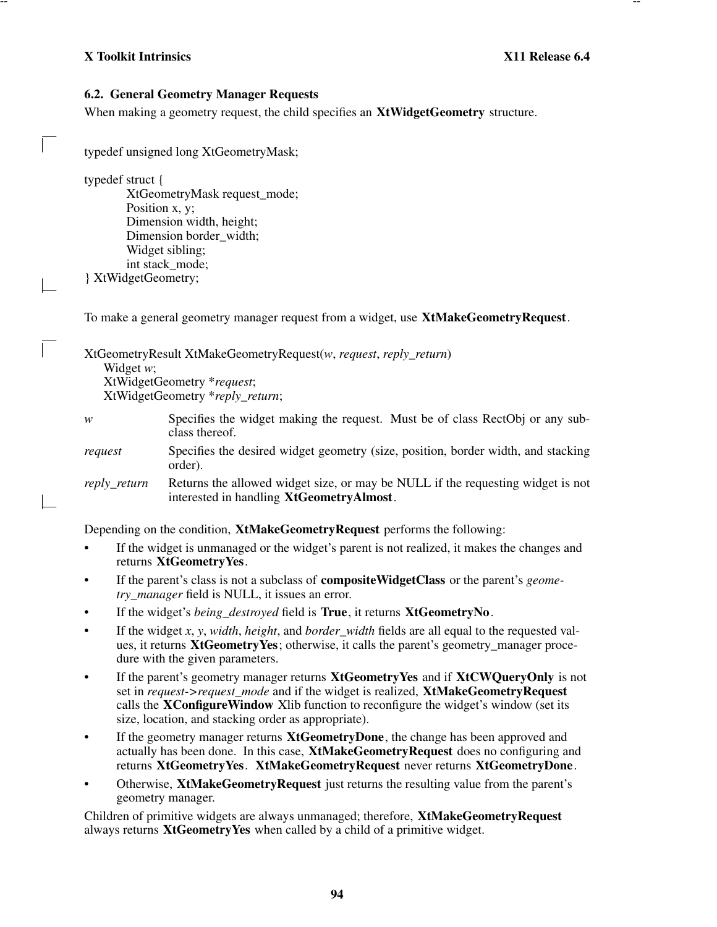# **6.2. General Geometry Manager Requests**

typedef unsigned long XtGeometryMask;

When making a geometry request, the child specifies an **XtWidgetGeometry** structure.

-- --

| typedef struct {<br>Position x, y; | XtGeometryMask request_mode;<br>Dimension width, height;<br>Dimension border_width;<br>Widget sibling;                                                                                                                    |
|------------------------------------|---------------------------------------------------------------------------------------------------------------------------------------------------------------------------------------------------------------------------|
| { XtWidgetGeometry;                | int stack_mode;                                                                                                                                                                                                           |
| Widget $w$ ;                       | To make a general geometry manager request from a widget, use XtMakeGeometryRequest.<br>XtGeometryResult XtMakeGeometryRequest(w, request, reply_return)<br>XtWidgetGeometry *request;<br>XtWidgetGeometry *reply_return; |
| w                                  | Specifies the widget making the request. Must be of class RectObj or any sub-<br>class thereof.                                                                                                                           |
| request                            | Specifies the desired widget geometry (size, position, border width, and stacking<br>order).                                                                                                                              |
| reply_return                       | Returns the allowed widget size, or may be NULL if the requesting widget is not<br>interested in handling XtGeometryAlmost.                                                                                               |
|                                    |                                                                                                                                                                                                                           |

Depending on the condition, **XtMakeGeometryRequest** performs the following:

- If the widget is unmanaged or the widget's parent is not realized, it makes the changes and returns **XtGeometryYes**.
- If the parent's class is not a subclass of **compositeWidgetClass** or the parent's *geometry\_manager* field is NULL, it issues an error.
- If the widget's *being\_destroyed* field is **True**, it returns **XtGeometryNo**.
- If the widget *x*, *y*, *width*, *height*, and *border\_width* fields are all equal to the requested values, it returns **XtGeometryYes**; otherwise, it calls the parent's geometry\_manager procedure with the given parameters.
- If the parent's geometry manager returns **XtGeometryYes** and if **XtCWQueryOnly** is not set in *request->request\_mode* and if the widget is realized, **XtMakeGeometryRequest** calls the **XConfigureWindow** Xlib function to reconfigure the widget's window (set its size, location, and stacking order as appropriate).
- If the geometry manager returns **XtGeometryDone**, the change has been approved and actually has been done. In this case, **XtMakeGeometryRequest** does no configuring and returns **XtGeometryYes**. **XtMakeGeometryRequest** never returns **XtGeometryDone**.
- Otherwise, **XtMakeGeometryRequest** just returns the resulting value from the parent's geometry manager.

Children of primitive widgets are always unmanaged; therefore, **XtMakeGeometryRequest** always returns **XtGeometryYes** when called by a child of a primitive widget.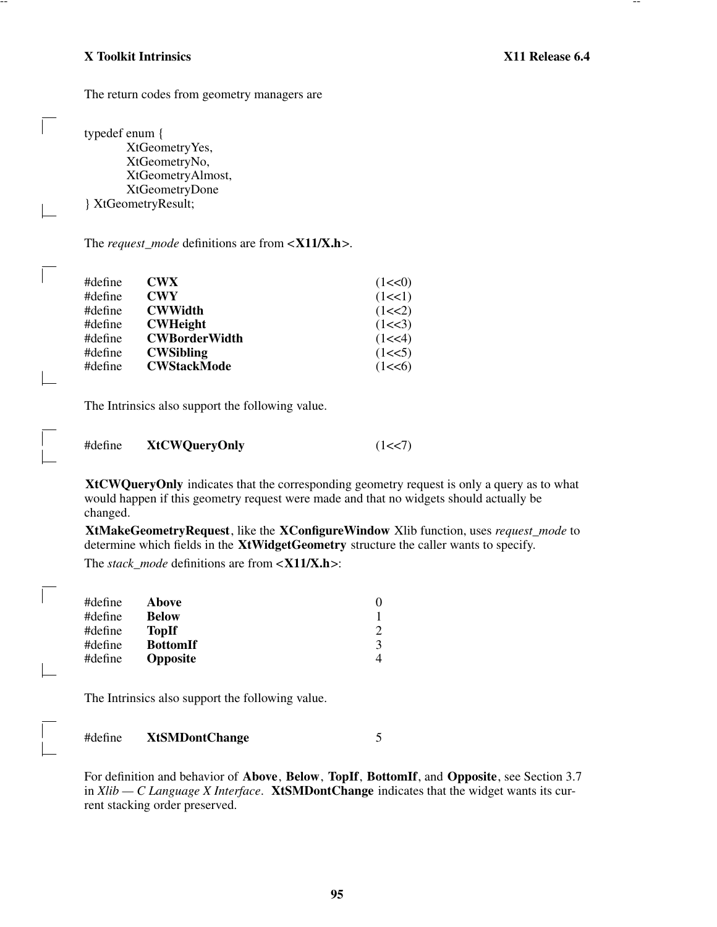$\mathbf{L}$ 

The return codes from geometry managers are

typedef enum { XtGeometryYes, XtGeometryNo, XtGeometryAlmost, XtGeometryDone } XtGeometryResult;

#### The *request\_mode* definitions are from <**X11/X.h**>.

| #define | <b>CWX</b>           | (1<0)  |
|---------|----------------------|--------|
| #define | <b>CWY</b>           | (1<1)  |
| #define | <b>CWWidth</b>       | (1<2)  |
| #define | <b>CWHeight</b>      | (1<3)  |
| #define | <b>CWBorderWidth</b> | (1<<4) |
| #define | <b>CWSibling</b>     | (1<5)  |
| #define | <b>CWStackMode</b>   | (1<6)  |
|         |                      |        |

The Intrinsics also support the following value.

| #define | <b>XtCWQueryOnly</b> | (1<2) |
|---------|----------------------|-------|
|---------|----------------------|-------|

**XtCWQueryOnly** indicates that the corresponding geometry request is only a query as to what would happen if this geometry request were made and that no widgets should actually be changed.

-- --

**XtMakeGeometryRequest**, like the **XConfigureWindow** Xlib function, uses *request\_mode* to determine which fields in the **XtWidgetGeometry** structure the caller wants to specify. The *stack\_mode* definitions are from <**X11/X.h**>:

| #define | <b>Above</b>    | 0                           |
|---------|-----------------|-----------------------------|
| #define | <b>Below</b>    |                             |
| #define | <b>TopIf</b>    | $\mathcal{D}_{\mathcal{A}}$ |
| #define | <b>BottomIf</b> | 3                           |
| #define | <b>Opposite</b> | 4                           |

The Intrinsics also support the following value.

#define **XtSMDontChange** 5

For definition and behavior of **Above**, **Below**, **TopIf**, **BottomIf**, and **Opposite**, see Section 3.7 in *Xlib — C Language X Interface*. **XtSMDontChange** indicates that the widget wants its current stacking order preserved.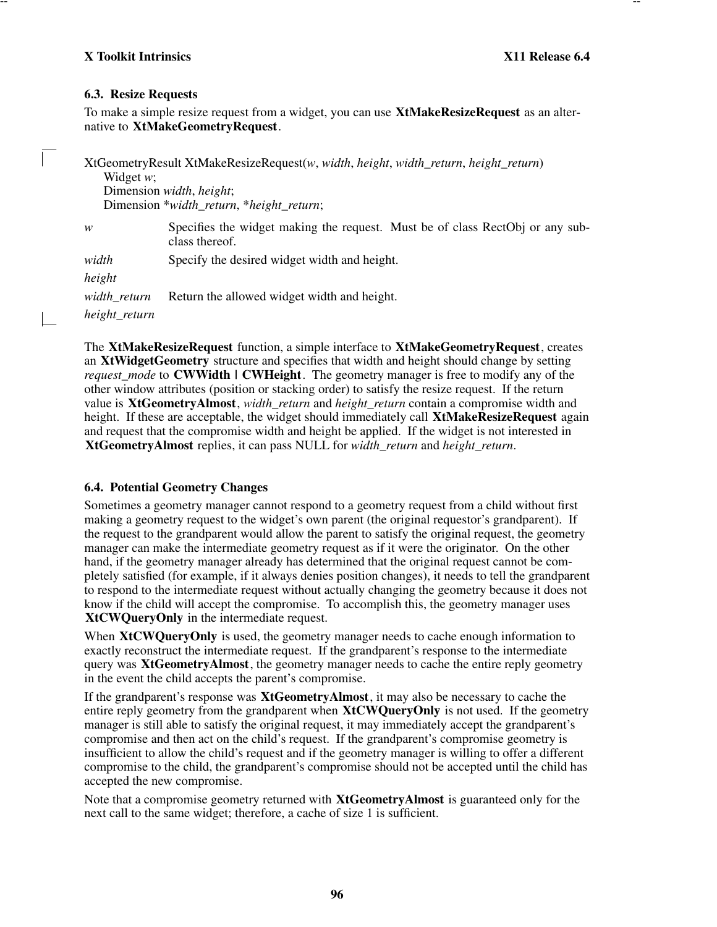# **6.3. Resize Requests**

To make a simple resize request from a widget, you can use **XtMakeResizeRequest** as an alternative to **XtMakeGeometryRequest**.

-- --

| XtGeometryResult XtMakeResizeRequest(w, width, height, width_return, height_return)<br>Widget $w$ ;<br>Dimension <i>width</i> , <i>height</i> ; |                                                                                                 |  |
|-------------------------------------------------------------------------------------------------------------------------------------------------|-------------------------------------------------------------------------------------------------|--|
|                                                                                                                                                 | Dimension *width_return, *height_return;                                                        |  |
| w                                                                                                                                               | Specifies the widget making the request. Must be of class RectObj or any sub-<br>class thereof. |  |
| width<br>height                                                                                                                                 | Specify the desired widget width and height.                                                    |  |
| width_return                                                                                                                                    | Return the allowed widget width and height.                                                     |  |

*height\_return*

The **XtMakeResizeRequest** function, a simple interface to **XtMakeGeometryRequest**, creates an **XtWidgetGeometry** structure and specifies that width and height should change by setting *request mode* to **CWWidth | CWHeight**. The geometry manager is free to modify any of the other window attributes (position or stacking order) to satisfy the resize request. If the return value is **XtGeometryAlmost**, *width\_return* and *height\_return* contain a compromise width and height. If these are acceptable, the widget should immediately call **XtMakeResizeRequest** again and request that the compromise width and height be applied. If the widget is not interested in **XtGeometryAlmost** replies, it can pass NULL for *width\_return* and *height\_return*.

# **6.4. Potential Geometry Changes**

Sometimes a geometry manager cannot respond to a geometry request from a child without first making a geometry request to the widget's own parent (the original requestor's grandparent). If the request to the grandparent would allow the parent to satisfy the original request, the geometry manager can make the intermediate geometry request as if it were the originator. On the other hand, if the geometry manager already has determined that the original request cannot be completely satisfied (for example, if it always denies position changes), it needs to tell the grandparent to respond to the intermediate request without actually changing the geometry because it does not know if the child will accept the compromise. To accomplish this, the geometry manager uses **XtCWQueryOnly** in the intermediate request.

When XtCWQueryOnly is used, the geometry manager needs to cache enough information to exactly reconstruct the intermediate request. If the grandparent's response to the intermediate query was **XtGeometryAlmost**, the geometry manager needs to cache the entire reply geometry in the event the child accepts the parent's compromise.

If the grandparent's response was **XtGeometryAlmost**, it may also be necessary to cache the entire reply geometry from the grandparent when **XtCWQueryOnly** is not used. If the geometry manager is still able to satisfy the original request, it may immediately accept the grandparent's compromise and then act on the child's request. If the grandparent's compromise geometry is insufficient to allow the child's request and if the geometry manager is willing to offer a different compromise to the child, the grandparent's compromise should not be accepted until the child has accepted the new compromise.

Note that a compromise geometry returned with **XtGeometryAlmost** is guaranteed only for the next call to the same widget; therefore, a cache of size 1 is sufficient.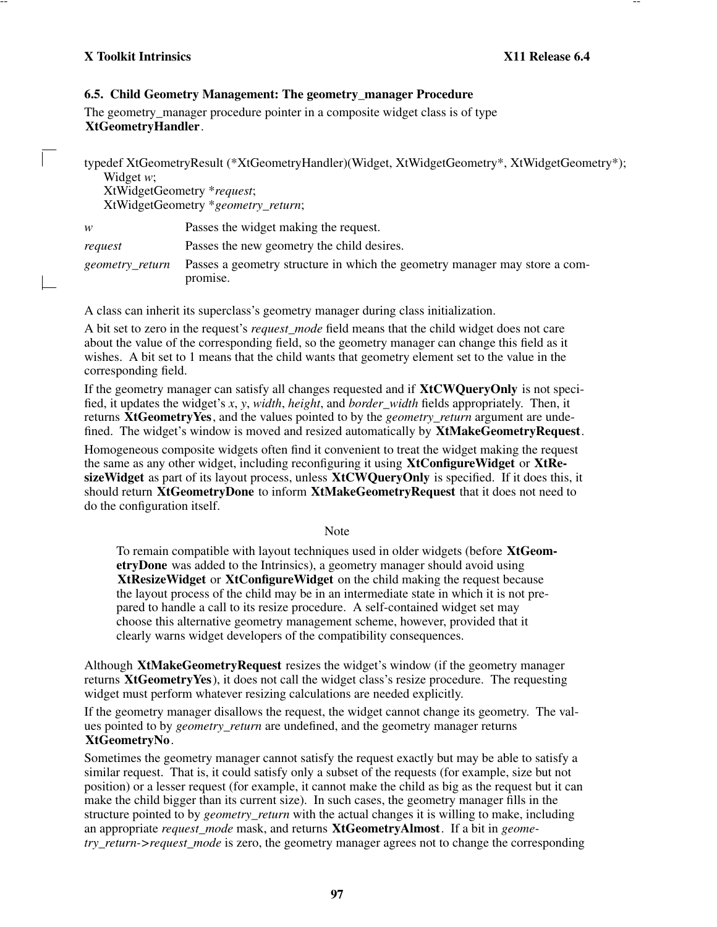#### **6.5. Child Geometry Management: The geometry\_manager Procedure**

The geometry\_manager procedure pointer in a composite widget class is of type **XtGeometryHandler**.

-- --

typedef XtGeometryResult (\*XtGeometryHandler)(Widget, XtWidgetGeometry\*, XtWidgetGeometry\*); Widget *w*;

XtWidgetGeometry \**request*; XtWidgetGeometry \**geometry\_return*;

| W               | Passes the widget making the request.                                                  |
|-----------------|----------------------------------------------------------------------------------------|
| request         | Passes the new geometry the child desires.                                             |
| geometry return | Passes a geometry structure in which the geometry manager may store a com-<br>promise. |

A class can inherit its superclass's geometry manager during class initialization.

A bit set to zero in the request's *request\_mode* field means that the child widget does not care about the value of the corresponding field, so the geometry manager can change this field as it wishes. A bit set to 1 means that the child wants that geometry element set to the value in the corresponding field.

If the geometry manager can satisfy all changes requested and if **XtCWQueryOnly** is not specified, it updates the widget's *x*, *y*, *width*, *height*, and *border\_width* fields appropriately. Then, it returns **XtGeometryYes**, and the values pointed to by the *geometry\_return* argument are undefined. The widget's window is moved and resized automatically by **XtMakeGeometryRequest**.

Homogeneous composite widgets often find it convenient to treat the widget making the request the same as any other widget, including reconfiguring it using **XtConfigureWidget** or **XtResizeWidget** as part of its layout process, unless **XtCWQueryOnly** is specified. If it does this, it should return **XtGeometryDone** to inform **XtMakeGeometryRequest** that it does not need to do the configuration itself.

Note

To remain compatible with layout techniques used in older widgets (before **XtGeometryDone** was added to the Intrinsics), a geometry manager should avoid using **XtResizeWidget** or **XtConfigureWidget** on the child making the request because the layout process of the child may be in an intermediate state in which it is not prepared to handle a call to its resize procedure. A self-contained widget set may choose this alternative geometry management scheme, however, provided that it clearly warns widget developers of the compatibility consequences.

Although **XtMakeGeometryRequest** resizes the widget's window (if the geometry manager returns **XtGeometryYes**), it does not call the widget class's resize procedure. The requesting widget must perform whatever resizing calculations are needed explicitly.

If the geometry manager disallows the request, the widget cannot change its geometry. The values pointed to by *geometry\_return* are undefined, and the geometry manager returns **XtGeometryNo**.

Sometimes the geometry manager cannot satisfy the request exactly but may be able to satisfy a similar request. That is, it could satisfy only a subset of the requests (for example, size but not position) or a lesser request (for example, it cannot make the child as big as the request but it can make the child bigger than its current size). In such cases, the geometry manager fills in the structure pointed to by *geometry\_return* with the actual changes it is willing to make, including an appropriate *request\_mode* mask, and returns **XtGeometryAlmost**. Ifabit in *geometry\_return->request\_mode* is zero, the geometry manager agrees not to change the corresponding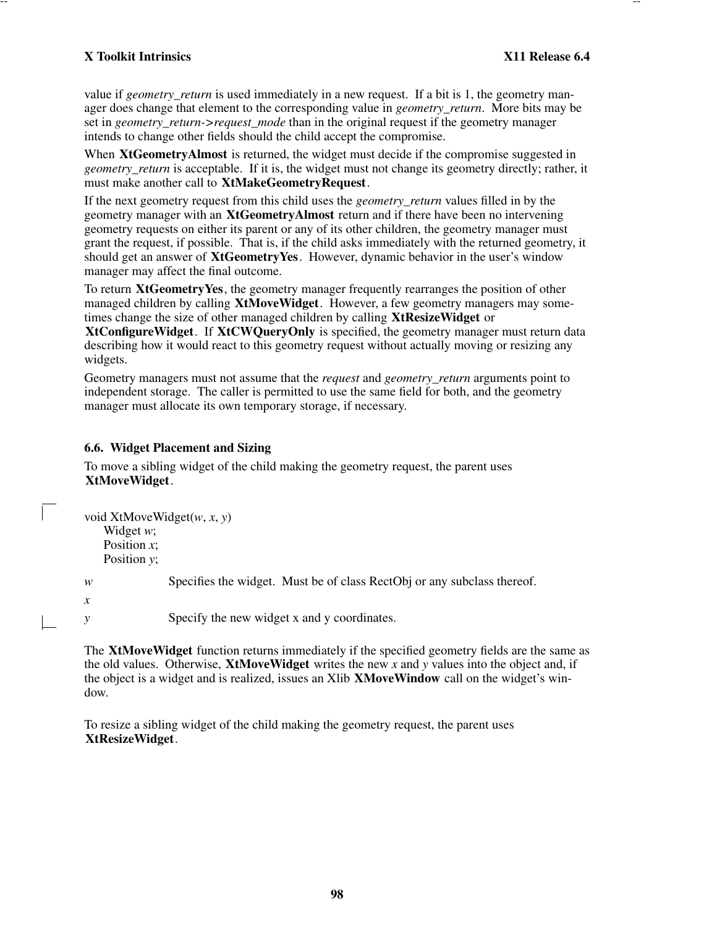value if *geometry return* is used immediately in a new request. If a bit is 1, the geometry manager does change that element to the corresponding value in *geometry\_return*. More bits may be set in *geometry\_return->request\_mode* than in the original request if the geometry manager intends to change other fields should the child accept the compromise.

-- --

When **XtGeometryAlmost** is returned, the widget must decide if the compromise suggested in *geometry return* is acceptable. If it is, the widget must not change its geometry directly; rather, it must make another call to **XtMakeGeometryRequest**.

If the next geometry request from this child uses the *geometry\_return* values filled in by the geometry manager with an **XtGeometryAlmost** return and if there have been no intervening geometry requests on either its parent or any of its other children, the geometry manager must grant the request, if possible. That is, if the child asks immediately with the returned geometry, it should get an answer of **XtGeometryYes**. However, dynamic behavior in the user's window manager may affect the final outcome.

To return **XtGeometryYes**, the geometry manager frequently rearranges the position of other managed children by calling **XtMoveWidget**. However, a few geometry managers may sometimes change the size of other managed children by calling **XtResizeWidget** or

**XtConfigureWidget**. If **XtCWQueryOnly** is specified, the geometry manager must return data describing how it would react to this geometry request without actually moving or resizing any widgets.

Geometry managers must not assume that the *request* and *geometry\_return* arguments point to independent storage. The caller is permitted to use the same field for both, and the geometry manager must allocate its own temporary storage, if necessary.

# **6.6. Widget Placement and Sizing**

To move a sibling widget of the child making the geometry request, the parent uses **XtMoveWidget**.

```
void XtMoveWidget(w, x, y)
   Widget w;
   Position x;
   Position y;
w Specifies the widget. Must be of class RectObj or any subclass thereof.
x
y Specify the new widget x and y coordinates.
```
The **XtMoveWidget** function returns immediately if the specified geometry fields are the same as the old values. Otherwise, **XtMoveWidget** writes the new *x* and *y* values into the object and, if the object is a widget and is realized, issues an Xlib **XMoveWindow** call on the widget's window.

To resize a sibling widget of the child making the geometry request, the parent uses **XtResizeWidget**.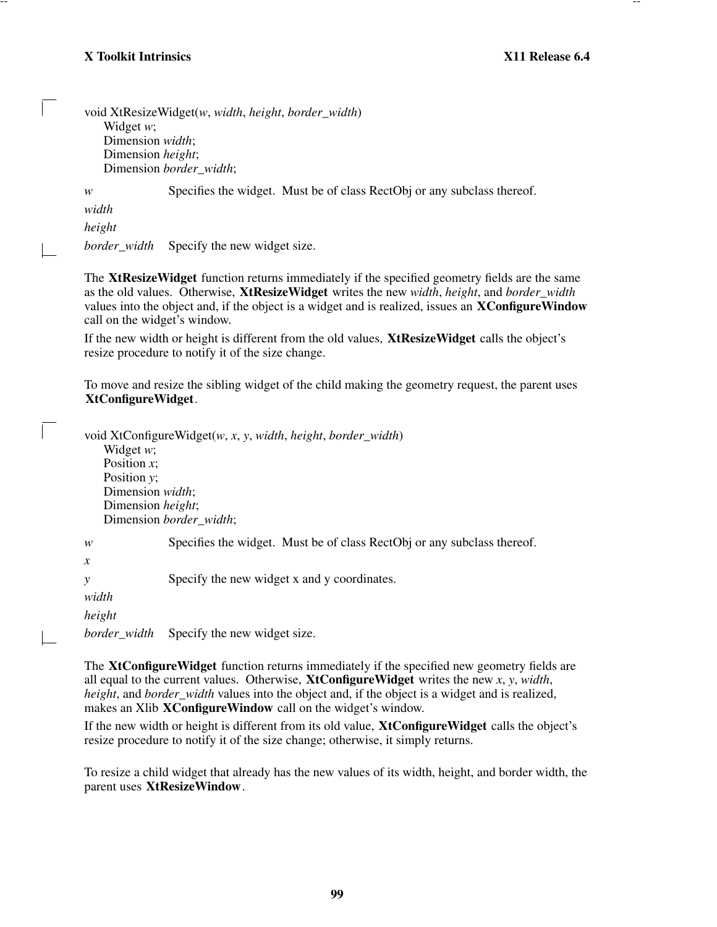void XtResizeWidget(*w*, *width*, *height*, *border\_width*) Widget *w*; Dimension *width*; Dimension *height*; Dimension *border\_width*;

*w* Specifies the widget. Must be of class RectObj or any subclass thereof.

-- --

#### *width*

 $\mathbf{L}$ 

*height*

*border\_width Specify the new widget size.* 

The **XtResizeWidget** function returns immediately if the specified geometry fields are the same as the old values. Otherwise, **XtResizeWidget** writes the new *width*, *height*, and *border\_width* values into the object and, if the object is a widget and is realized, issues an **XConfigureWindow** call on the widget's window.

If the new width or height is different from the old values, **XtResizeWidget** calls the object's resize procedure to notify it of the size change.

To move and resize the sibling widget of the child making the geometry request, the parent uses **XtConfigureWidget**.

void XtConfigureWidget(*w*, *x*, *y*, *width*, *height*, *border\_width*) Widget *w*; Position *x*; Position *y*; Dimension *width*; Dimension *height*; Dimension *border\_width*; *w* Specifies the widget. Must be of class RectObj or any subclass thereof. *x y* Specify the new widget x and y coordinates. *width height border\_width Specify the new widget size.* 

The **XtConfigureWidget** function returns immediately if the specified new geometry fields are all equal to the current values. Otherwise, **XtConfigureWidget** writes the new *x*, *y*, *width*, *height*, and *border\_width* values into the object and, if the object is a widget and is realized, makes an Xlib **XConfigureWindow** call on the widget's window.

If the new width or height is different from its old value, **XtConfigureWidget** calls the object's resize procedure to notify it of the size change; otherwise, it simply returns.

To resize a child widget that already has the new values of its width, height, and border width, the parent uses **XtResizeWindow**.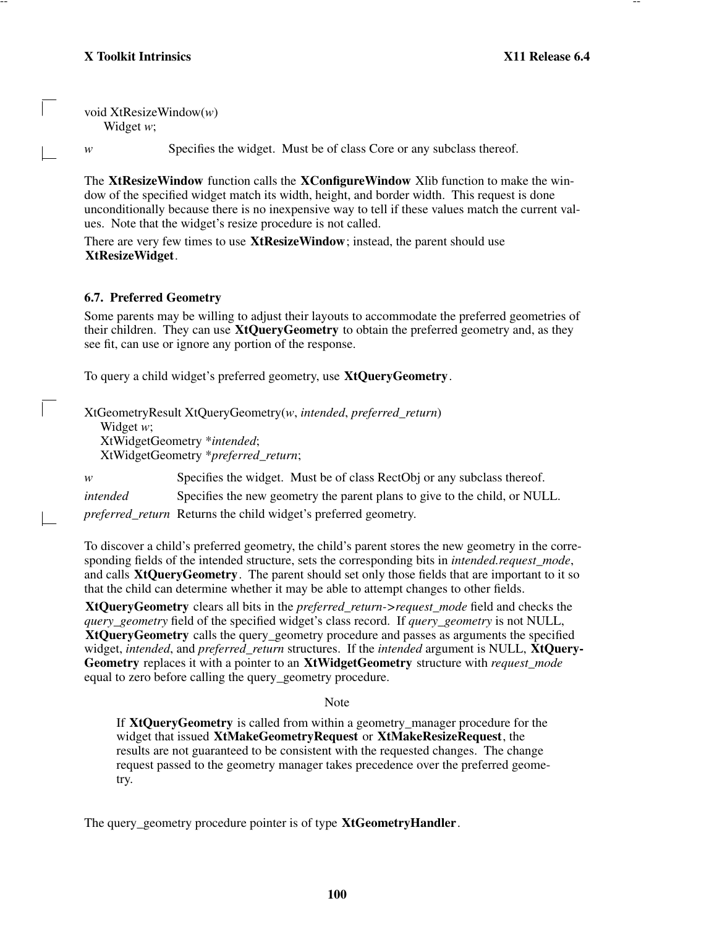void XtResizeWindow(*w*) Widget *w*;

*w* Specifies the widget. Must be of class Core or any subclass thereof.

-- --

The **XtResizeWindow** function calls the **XConfigureWindow** Xlib function to make the window of the specified widget match its width, height, and border width. This request is done unconditionally because there is no inexpensive way to tell if these values match the current values. Note that the widget's resize procedure is not called.

There are very few times to use **XtResizeWindow**; instead, the parent should use **XtResizeWidget**.

#### **6.7. Preferred Geometry**

Some parents may be willing to adjust their layouts to accommodate the preferred geometries of their children. They can use **XtQueryGeometry** to obtain the preferred geometry and, as they see fit, can use or ignore any portion of the response.

To query a child widget's preferred geometry, use **XtQueryGeometry**.

XtGeometryResult XtQueryGeometry(*w*, *intended*, *preferred\_return*) Widget *w*; XtWidgetGeometry \**intended*; XtWidgetGeometry \**preferred\_return*;

*w* Specifies the widget. Must be of class RectObj or any subclass thereof. *intended* Specifies the new geometry the parent plans to give to the child, or NULL. *preferred\_return* Returns the child widget's preferred geometry.

To discover a child's preferred geometry, the child's parent stores the new geometry in the corresponding fields of the intended structure, sets the corresponding bits in *intended.request\_mode*, and calls **XtQueryGeometry**. The parent should set only those fields that are important to it so that the child can determine whether it may be able to attempt changes to other fields.

**XtQueryGeometry** clears all bits in the *preferred\_return->request\_mode* field and checks the *query\_geometry* field of the specified widget's class record. If *query\_geometry* is not NULL, **XtQueryGeometry** calls the query\_geometry procedure and passes as arguments the specified widget, *intended*, and *preferred\_return* structures. If the *intended* argument is NULL, **XtQuery-Geometry** replaces it with a pointer to an **XtWidgetGeometry** structure with *request\_mode* equal to zero before calling the query\_geometry procedure.

#### Note

If **XtQueryGeometry** is called from within a geometry\_manager procedure for the widget that issued **XtMakeGeometryRequest** or **XtMakeResizeRequest**, the results are not guaranteed to be consistent with the requested changes. The change request passed to the geometry manager takes precedence over the preferred geometry.

The query\_geometry procedure pointer is of type **XtGeometryHandler**.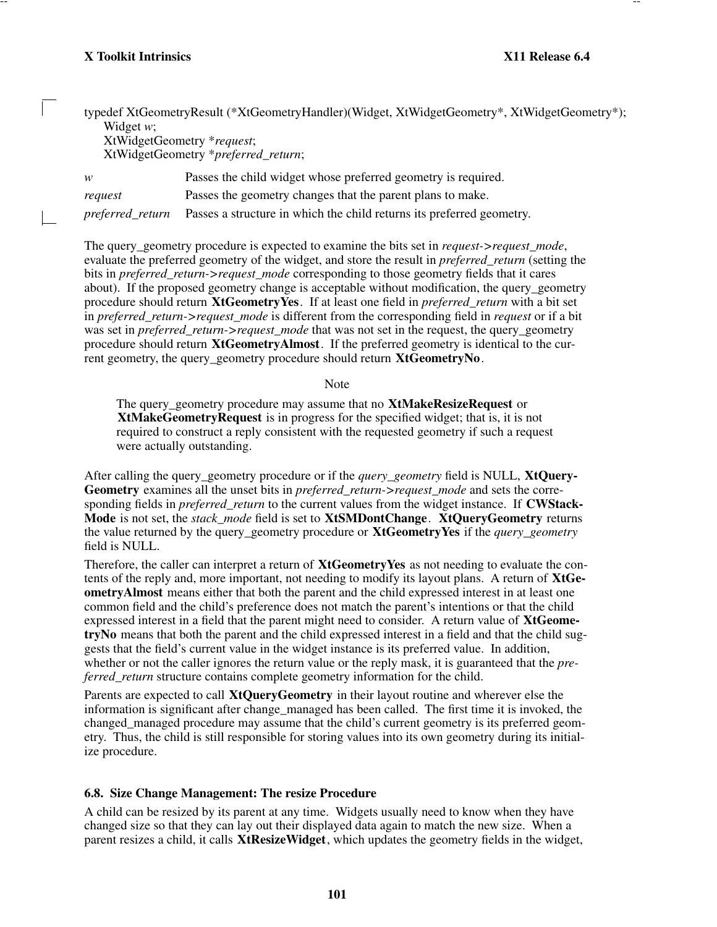$\mathsf{L}$ 

typedef XtGeometryResult (\*XtGeometryHandler)(Widget, XtWidgetGeometry\*, XtWidgetGeometry\*); Widget *w*; XtWidgetGeometry \**request*;

XtWidgetGeometry \**preferred\_return*;

*w* Passes the child widget whose preferred geometry is required.

*request* Passes the geometry changes that the parent plans to make.

*preferred return* Passes a structure in which the child returns its preferred geometry.

-- --

The query geometry procedure is expected to examine the bits set in *request->request mode*, evaluate the preferred geometry of the widget, and store the result in *preferred\_return* (setting the bits in *preferred return->request mode* corresponding to those geometry fields that it cares about). If the proposed geometry change is acceptable without modification, the query\_geometry procedure should return **XtGeometryYes**. If at least one field in *preferred\_return* with a bit set in *preferred\_return->request\_mode* is different from the corresponding field in *request* or if a bit was set in *preferred return->request mode* that was not set in the request, the query geometry procedure should return **XtGeometryAlmost**. If the preferred geometry is identical to the current geometry, the query\_geometry procedure should return **XtGeometryNo**.

Note

The query\_geometry procedure may assume that no **XtMakeResizeRequest** or **XtMakeGeometryRequest** is in progress for the specified widget; that is, it is not required to construct a reply consistent with the requested geometry if such a request were actually outstanding.

After calling the query\_geometry procedure or if the *query\_geometry* field is NULL, **XtQuery-Geometry** examines all the unset bits in *preferred\_return->request\_mode* and sets the corresponding fields in *preferred\_return* to the current values from the widget instance. If **CWStack-Mode** is not set, the *stack\_mode* field is set to **XtSMDontChange**. **XtQueryGeometry** returns the value returned by the query\_geometry procedure or **XtGeometryYes** if the *query\_geometry* field is NULL.

Therefore, the caller can interpret a return of **XtGeometryYes** as not needing to evaluate the contents of the reply and, more important, not needing to modify its layout plans. A return of **XtGeometryAlmost** means either that both the parent and the child expressed interest in at least one common field and the child's preference does not match the parent's intentions or that the child expressed interest in a field that the parent might need to consider. A return value of **XtGeometryNo** means that both the parent and the child expressed interest in a field and that the child suggests that the field's current value in the widget instance is its preferred value. In addition, whether or not the caller ignores the return value or the reply mask, it is guaranteed that the *preferred\_return* structure contains complete geometry information for the child.

Parents are expected to call **XtQueryGeometry** in their layout routine and wherever else the information is significant after change\_managed has been called. The first time it is invoked, the changed\_managed procedure may assume that the child's current geometry is its preferred geometry. Thus, the child is still responsible for storing values into its own geometry during its initialize procedure.

#### **6.8. Size Change Management: The resize Procedure**

A child can be resized by its parent at any time. Widgets usually need to know when they have changed size so that they can lay out their displayed data again to match the new size. When a parent resizes a child, it calls **XtResizeWidget**, which updates the geometry fields in the widget,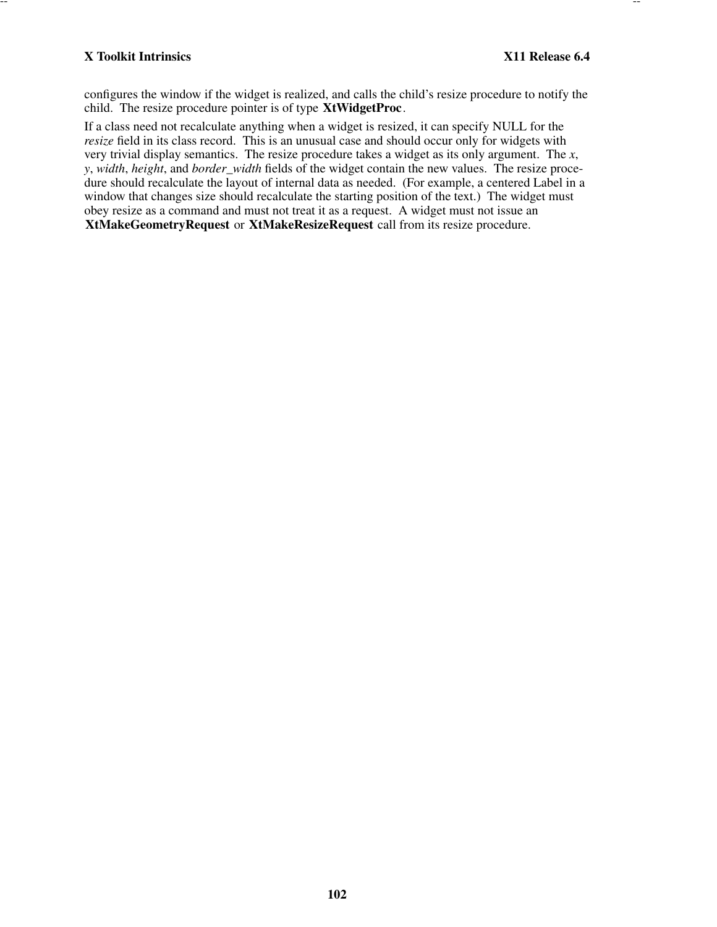configures the window if the widget is realized, and calls the child's resize procedure to notify the child. The resize procedure pointer is of type **XtWidgetProc**.

-- --

If a class need not recalculate anything when a widget is resized, it can specify NULL for the *resize* field in its class record. This is an unusual case and should occur only for widgets with very trivial display semantics. The resize procedure takes a widget as its only argument. The *x*, *y*, *width*, *height*, and *border\_width* fields of the widget contain the new values. The resize procedure should recalculate the layout of internal data as needed. (For example, a centered Label in a window that changes size should recalculate the starting position of the text.) The widget must obey resize as a command and must not treat it as a request. A widget must not issue an **XtMakeGeometryRequest** or **XtMakeResizeRequest** call from its resize procedure.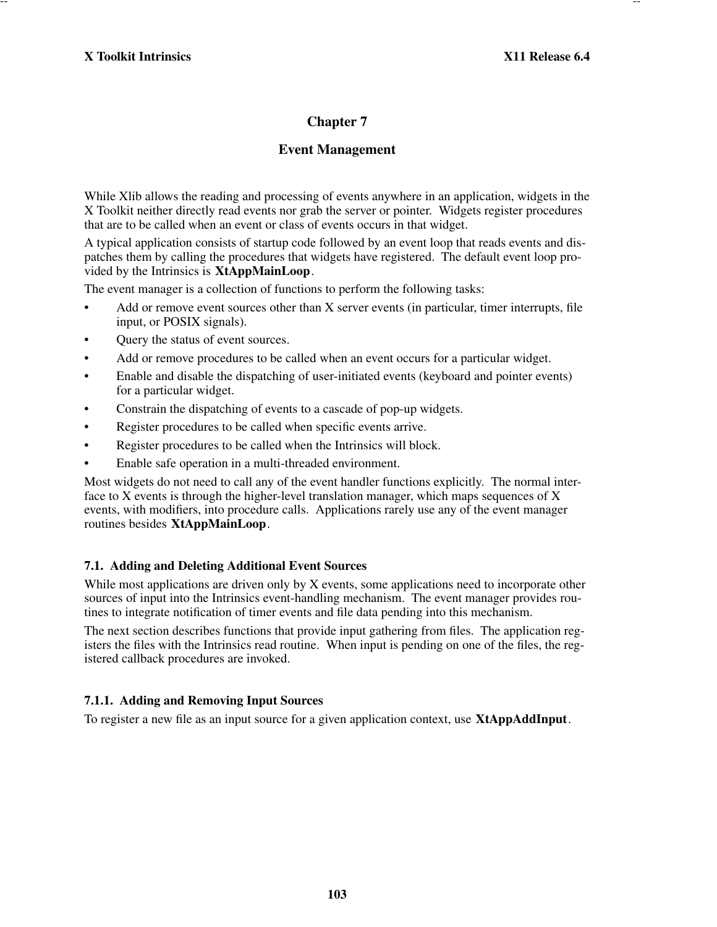# **Chapter 7**

-- --

# **Event Management**

While Xlib allows the reading and processing of events anywhere in an application, widgets in the X Toolkit neither directly read events nor grab the server or pointer. Widgets register procedures that are to be called when an event or class of events occurs in that widget.

A typical application consists of startup code followed by an event loop that reads events and dispatches them by calling the procedures that widgets have registered. The default event loop provided by the Intrinsics is **XtAppMainLoop**.

The event manager is a collection of functions to perform the following tasks:

- Add or remove event sources other than X server events (in particular, timer interrupts, file input, or POSIX signals).
- Query the status of event sources.
- Add or remove procedures to be called when an event occurs for a particular widget.
- Enable and disable the dispatching of user-initiated events (keyboard and pointer events) for a particular widget.
- Constrain the dispatching of events to a cascade of pop-up widgets.
- Register procedures to be called when specific events arrive.
- Register procedures to be called when the Intrinsics will block.
- Enable safe operation in a multi-threaded environment.

Most widgets do not need to call any of the event handler functions explicitly. The normal interface to X events is through the higher-level translation manager, which maps sequences of X events, with modifiers, into procedure calls. Applications rarely use any of the event manager routines besides **XtAppMainLoop**.

## **7.1. Adding and Deleting Additional Event Sources**

While most applications are driven only by X events, some applications need to incorporate other sources of input into the Intrinsics event-handling mechanism. The event manager provides routines to integrate notification of timer events and file data pending into this mechanism.

The next section describes functions that provide input gathering from files. The application registers the files with the Intrinsics read routine. When input is pending on one of the files, the registered callback procedures are invoked.

# **7.1.1. Adding and Removing Input Sources**

To register a new file as an input source for a given application context, use **XtAppAddInput**.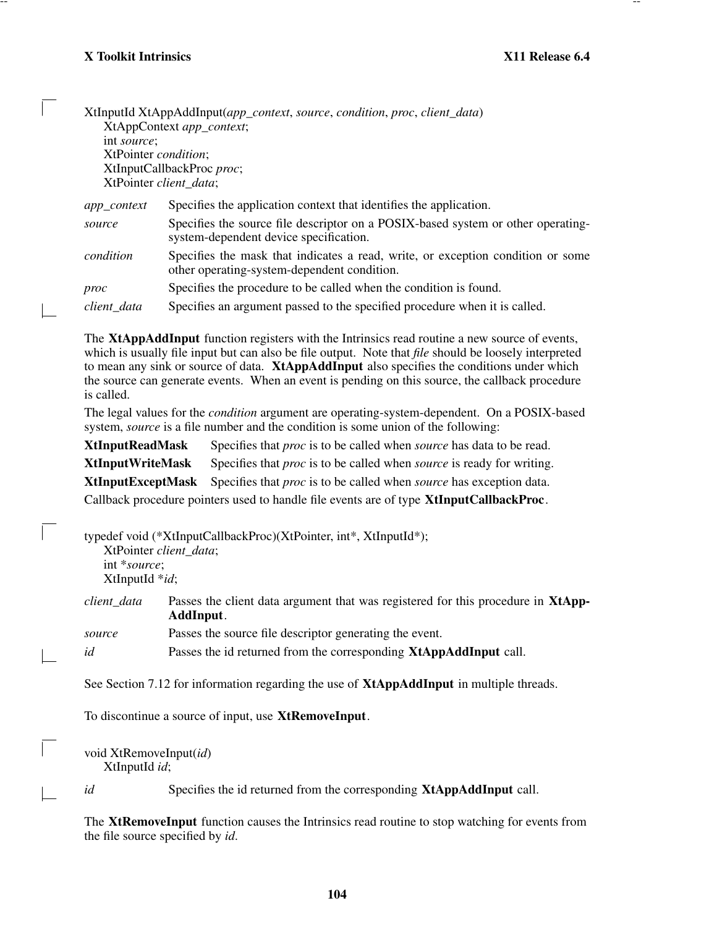$\mathbf{L}$ 

XtInputId XtAppAddInput(*app\_context*, *source*, *condition*, *proc*, *client\_data*) XtAppContext *app\_context*; int *source*; XtPointer *condition*; XtInputCallbackProc *proc*; XtPointer *client\_data*; *app\_context* Specifies the application context that identifies the application. *source* Specifies the source file descriptor on a POSIX-based system or other operatingsystem-dependent device specification. *condition* Specifies the mask that indicates a read, write, or exception condition or some other operating-system-dependent condition. *proc* Specifies the procedure to be called when the condition is found. *client\_data* Specifies an argument passed to the specified procedure when it is called.

-- --

The **XtAppAddInput** function registers with the Intrinsics read routine a new source of events, which is usually file input but can also be file output. Note that *file* should be loosely interpreted to mean any sink or source of data. **XtAppAddInput** also specifies the conditions under which the source can generate events. When an event is pending on this source, the callback procedure is called.

The legal values for the *condition* argument are operating-system-dependent. On a POSIX-based system, *source* is a file number and the condition is some union of the following:

**XtInputReadMask** Specifies that *proc* is to be called when *source* has data to be read. **XtInputWriteMask** Specifies that *proc* is to be called when *source* is ready for writing. **XtInputExceptMask** Specifies that *proc* is to be called when *source* has exception data. Callback procedure pointers used to handle file events are of type **XtInputCallbackProc**.

| XtPointer client data;<br>int *source;<br>XtInputId $*id$ ; | typedef void (*XtInputCallbackProc)(XtPointer, int*, XtInputId*);                                    |
|-------------------------------------------------------------|------------------------------------------------------------------------------------------------------|
| client_data                                                 | Passes the client data argument that was registered for this procedure in <b>XtApp-</b><br>AddInput. |
| source                                                      | Passes the source file descriptor generating the event.                                              |
| id                                                          | Passes the id returned from the corresponding <b>XtAppAddInput</b> call.                             |

See Section 7.12 for information regarding the use of **XtAppAddInput** in multiple threads.

To discontinue a source of input, use **XtRemoveInput**.

void XtRemoveInput(*id*) XtInputId *id*;

*id* Specifies the id returned from the corresponding **XtAppAddInput** call.

The **XtRemoveInput** function causes the Intrinsics read routine to stop watching for events from the file source specified by *id*.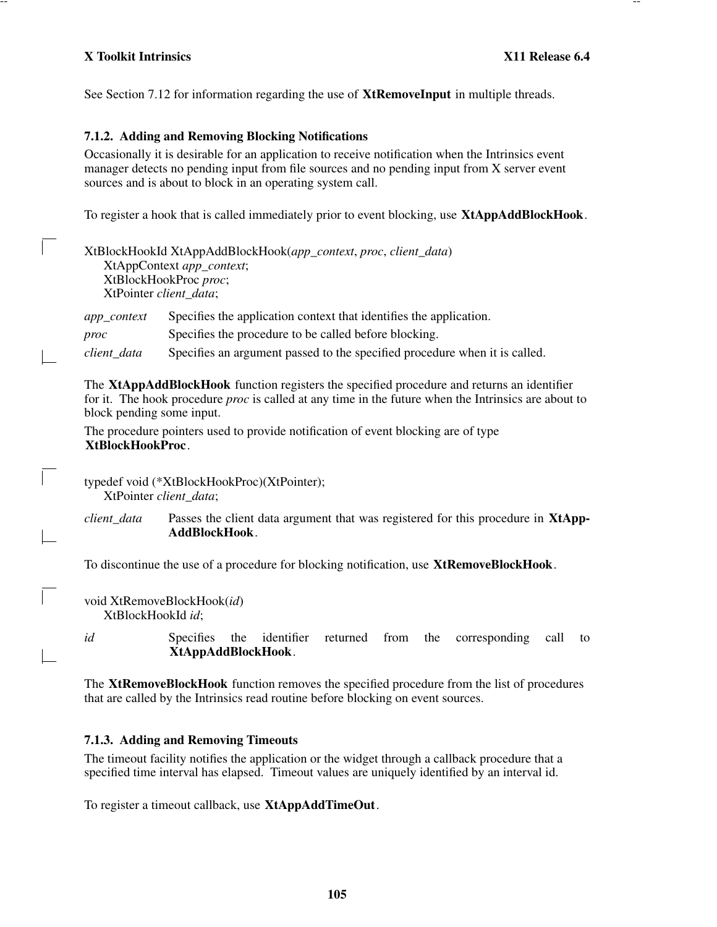See Section 7.12 for information regarding the use of **XtRemoveInput** in multiple threads.

-- --

# **7.1.2. Adding and Removing Blocking Notifications**

Occasionally it is desirable for an application to receive notification when the Intrinsics event manager detects no pending input from file sources and no pending input from X server event sources and is about to block in an operating system call.

To register a hook that is called immediately prior to event blocking, use **XtAppAddBlockHook**.

XtBlockHookId XtAppAddBlockHook(*app\_context*, *proc*, *client\_data*) XtAppContext *app\_context*; XtBlockHookProc *proc*; XtPointer *client\_data*;

*app\_context* Specifies the application context that identifies the application. *proc* Specifies the procedure to be called before blocking. *client\_data* Specifies an argument passed to the specified procedure when it is called.

The **XtAppAddBlockHook** function registers the specified procedure and returns an identifier for it. The hook procedure *proc* is called at any time in the future when the Intrinsics are about to block pending some input.

The procedure pointers used to provide notification of event blocking are of type **XtBlockHookProc**.

typedef void (\*XtBlockHookProc)(XtPointer); XtPointer *client\_data*;

*client\_data* Passes the client data argument that was registered for this procedure in **XtApp-AddBlockHook**.

To discontinue the use of a procedure for blocking notification, use **XtRemoveBlockHook**.

void XtRemoveBlockHook(*id*) XtBlockHookId *id*;

*id* Specifies the identifier returned from the corresponding call to **XtAppAddBlockHook**.

The **XtRemoveBlockHook** function removes the specified procedure from the list of procedures that are called by the Intrinsics read routine before blocking on event sources.

# **7.1.3. Adding and Removing Timeouts**

The timeout facility notifies the application or the widget through a callback procedure that a specified time interval has elapsed. Timeout values are uniquely identified by an interval id.

To register a timeout callback, use **XtAppAddTimeOut**.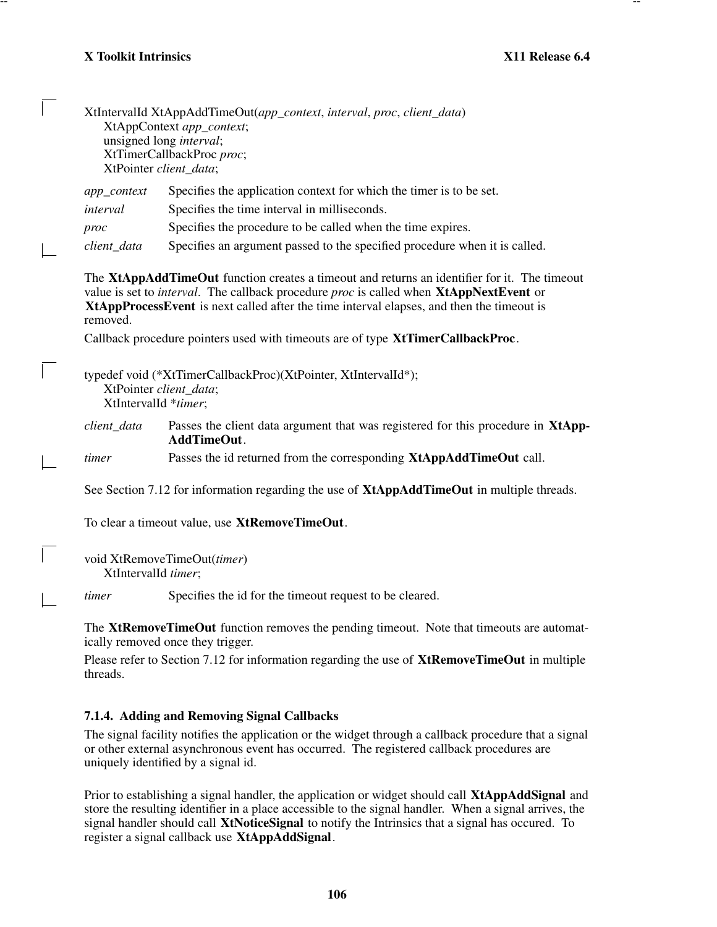$\mathbf{L}$ 

XtIntervalId XtAppAddTimeOut(*app\_context*, *interval*, *proc*, *client\_data*) XtAppContext *app\_context*; unsigned long *interval*; XtTimerCallbackProc *proc*; XtPointer *client\_data*; *app\_context* Specifies the application context for which the timer is to be set.

| app context | Specifies the application context for which the timer is to be set.        |
|-------------|----------------------------------------------------------------------------|
| interval    | Specifies the time interval in milliseconds.                               |
| proc        | Specifies the procedure to be called when the time expires.                |
| client data | Specifies an argument passed to the specified procedure when it is called. |

-- --

The **XtAppAddTimeOut** function creates a timeout and returns an identifier for it. The timeout value is set to *interval*. The callback procedure *proc* is called when **XtAppNextEvent** or **XtAppProcessEvent** is next called after the time interval elapses, and then the timeout is removed.

Callback procedure pointers used with timeouts are of type **XtTimerCallbackProc**.

typedef void (\*XtTimerCallbackProc)(XtPointer, XtIntervalId\*); XtPointer *client\_data*; XtIntervalId \**timer*;

*client\_data* Passes the client data argument that was registered for this procedure in **XtApp-AddTimeOut**.

*timer* Passes the id returned from the corresponding **XtAppAddTimeOut** call.

See Section 7.12 for information regarding the use of **XtAppAddTimeOut** in multiple threads.

To clear a timeout value, use **XtRemoveTimeOut**.

void XtRemoveTimeOut(*timer*) XtIntervalId *timer*;

*timer* Specifies the id for the timeout request to be cleared.

The **XtRemoveTimeOut** function removes the pending timeout. Note that timeouts are automatically removed once they trigger.

Please refer to Section 7.12 for information regarding the use of **XtRemoveTimeOut** in multiple threads.

#### **7.1.4. Adding and Removing Signal Callbacks**

The signal facility notifies the application or the widget through a callback procedure that a signal or other external asynchronous event has occurred. The registered callback procedures are uniquely identified by a signal id.

Prior to establishing a signal handler, the application or widget should call **XtAppAddSignal** and store the resulting identifier in a place accessible to the signal handler. When a signal arrives, the signal handler should call **XtNoticeSignal** to notify the Intrinsics that a signal has occured. To register a signal callback use **XtAppAddSignal**.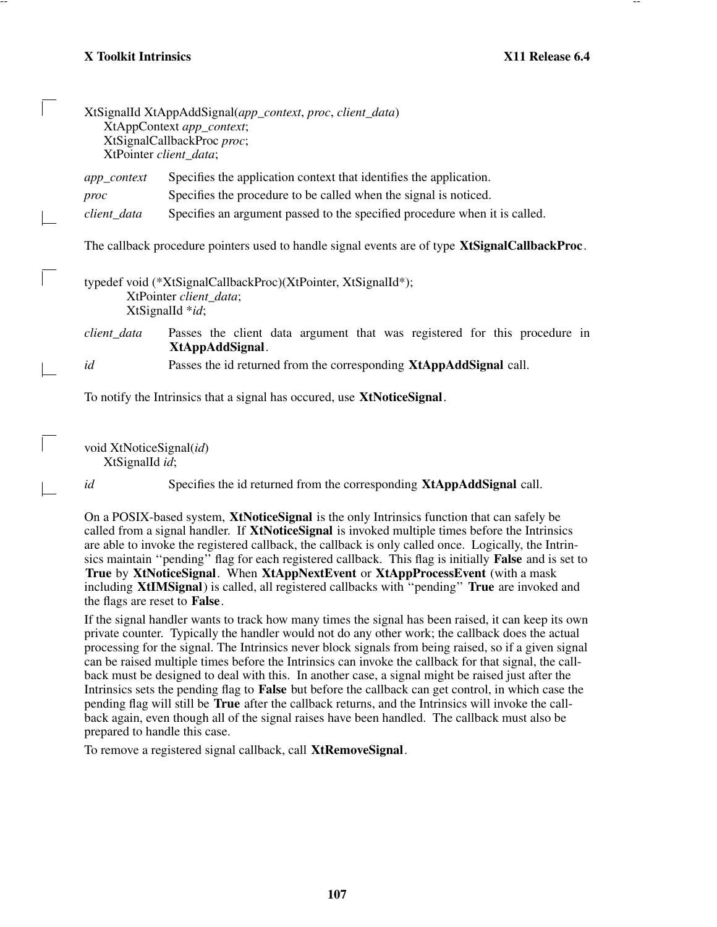| XtSignalId XtAppAddSignal(app_context, proc, client_data)<br>XtAppContext app_context;<br>XtSignalCallbackProc proc;<br>XtPointer client_data;                                                               |                                                                                              |  |
|--------------------------------------------------------------------------------------------------------------------------------------------------------------------------------------------------------------|----------------------------------------------------------------------------------------------|--|
| app_context                                                                                                                                                                                                  | Specifies the application context that identifies the application.                           |  |
| proc                                                                                                                                                                                                         | Specifies the procedure to be called when the signal is noticed.                             |  |
| client_data                                                                                                                                                                                                  | Specifies an argument passed to the specified procedure when it is called.                   |  |
| The callback procedure pointers used to handle signal events are of type XtSignalCallbackProc.<br>typedef void (*XtSignalCallbackProc)(XtPointer, XtSignalId*);<br>XtPointer client data;<br>XtSignalId *id; |                                                                                              |  |
| client_data                                                                                                                                                                                                  | Passes the client data argument that was registered for this procedure in<br>XtAppAddSignal. |  |
| id                                                                                                                                                                                                           | Passes the id returned from the corresponding <b>XtAppAddSignal</b> call.                    |  |
| To notify the Intrinsics that a signal has occured, use XtNoticeSignal.                                                                                                                                      |                                                                                              |  |
| void XtNoticeSignal(id)                                                                                                                                                                                      |                                                                                              |  |

-- --

XtSignalId *id*;

*id* Specifies the id returned from the corresponding **XtAppAddSignal** call.

On a POSIX-based system, **XtNoticeSignal** is the only Intrinsics function that can safely be called from a signal handler. If **XtNoticeSignal** is invoked multiple times before the Intrinsics are able to invoke the registered callback, the callback is only called once. Logically, the Intrinsics maintain ''pending'' flag for each registered callback. This flag is initially **False** and is set to **True** by **XtNoticeSignal**. When **XtAppNextEvent** or **XtAppProcessEvent** (with a mask including **XtIMSignal**) is called, all registered callbacks with ''pending'' **True** are invoked and the flags are reset to **False**.

If the signal handler wants to track how many times the signal has been raised, it can keep its own private counter. Typically the handler would not do any other work; the callback does the actual processing for the signal. The Intrinsics never block signals from being raised, so if a given signal can be raised multiple times before the Intrinsics can invoke the callback for that signal, the callback must be designed to deal with this. In another case, a signal might be raised just after the Intrinsics sets the pending flag to **False** but before the callback can get control, in which case the pending flag will still be **True** after the callback returns, and the Intrinsics will invoke the callback again, even though all of the signal raises have been handled. The callback must also be prepared to handle this case.

To remove a registered signal callback, call **XtRemoveSignal**.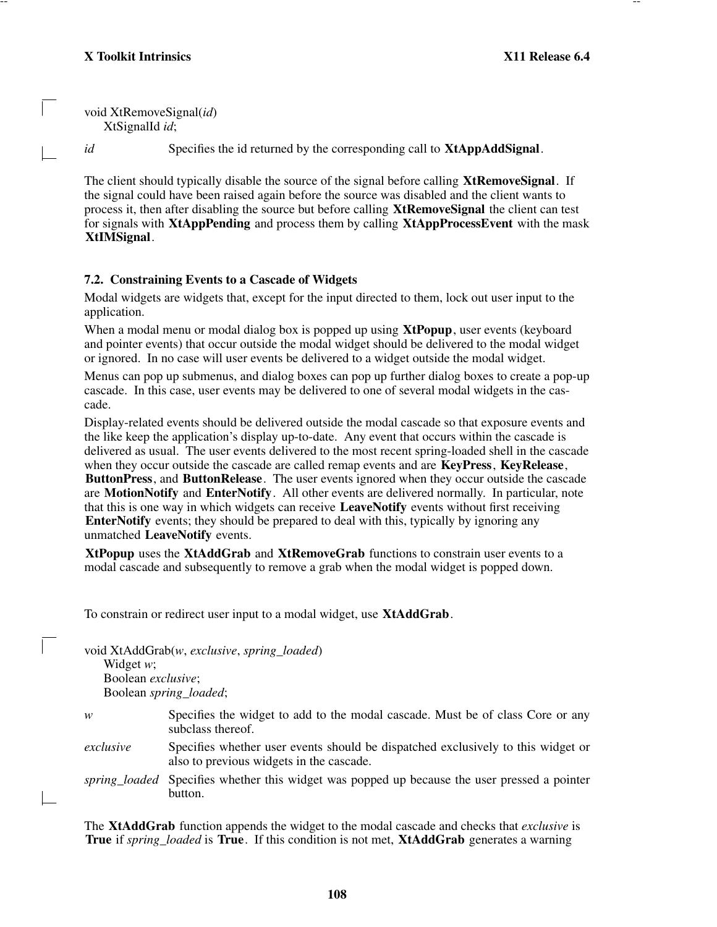void XtRemoveSignal(*id*) XtSignalId *id*;

*id* Specifies the id returned by the corresponding call to **XtAppAddSignal**.

-- --

The client should typically disable the source of the signal before calling **XtRemoveSignal**. If the signal could have been raised again before the source was disabled and the client wants to process it, then after disabling the source but before calling **XtRemoveSignal** the client can test for signals with **XtAppPending** and process them by calling **XtAppProcessEvent** with the mask **XtIMSignal**.

# **7.2. Constraining Events to a Cascade of Widgets**

Modal widgets are widgets that, except for the input directed to them, lock out user input to the application.

When a modal menu or modal dialog box is popped up using **XtPopup**, user events (keyboard and pointer events) that occur outside the modal widget should be delivered to the modal widget or ignored. In no case will user events be delivered to a widget outside the modal widget.

Menus can pop up submenus, and dialog boxes can pop up further dialog boxes to create a pop-up cascade. In this case, user events may be delivered to one of several modal widgets in the cascade.

Display-related events should be delivered outside the modal cascade so that exposure events and the like keep the application's display up-to-date. Any event that occurs within the cascade is delivered as usual. The user events delivered to the most recent spring-loaded shell in the cascade when they occur outside the cascade are called remap events and are **KeyPress**, **KeyRelease**, **ButtonPress**, and **ButtonRelease**. The user events ignored when they occur outside the cascade are **MotionNotify** and **EnterNotify**. All other events are delivered normally. In particular, note that this is one way in which widgets can receive **LeaveNotify** events without first receiving **EnterNotify** events; they should be prepared to deal with this, typically by ignoring any unmatched LeaveNotify events.

**XtPopup** uses the **XtAddGrab** and **XtRemoveGrab** functions to constrain user events to a modal cascade and subsequently to remove a grab when the modal widget is popped down.

To constrain or redirect user input to a modal widget, use **XtAddGrab**.

void XtAddGrab(*w*, *exclusive*, *spring\_loaded*) Widget *w*; Boolean *exclusive*; Boolean *spring\_loaded*;

| w | Specifies the widget to add to the modal cascade. Must be of class Core or any |
|---|--------------------------------------------------------------------------------|
|   | subclass thereof.                                                              |

- *exclusive* Specifies whether user events should be dispatched exclusively to this widget or also to previous widgets in the cascade.
- *spring\_loaded* Specifies whether this widget was popped up because the user pressed a pointer button.

The **XtAddGrab** function appends the widget to the modal cascade and checks that *exclusive* is **True** if *spring\_loaded* is **True**. If this condition is not met, **XtAddGrab** generates a warning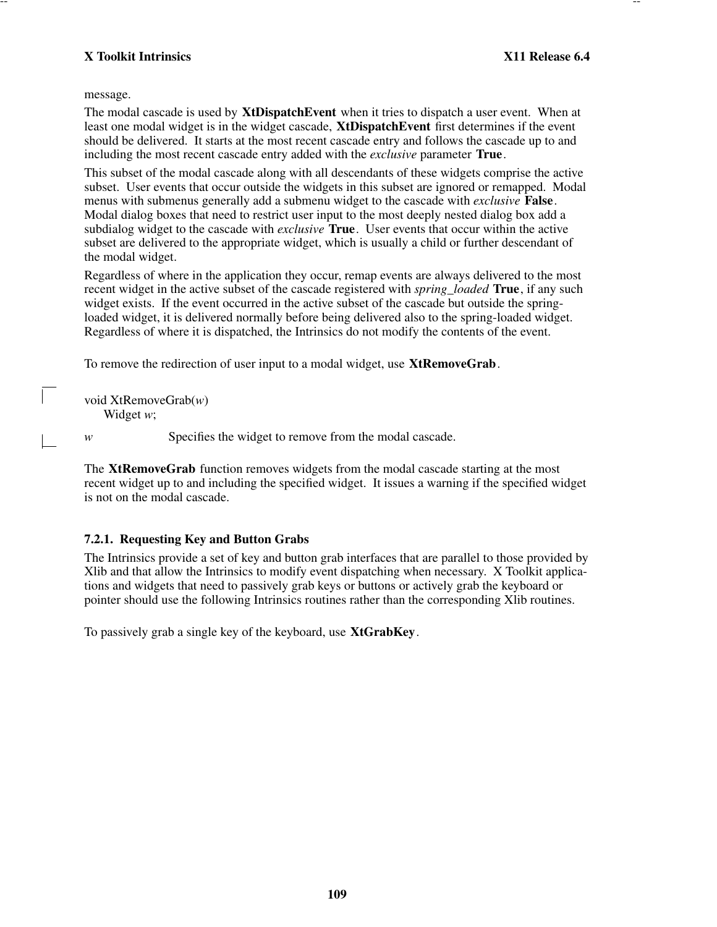message.

The modal cascade is used by **XtDispatchEvent** when it tries to dispatch a user event. When at least one modal widget is in the widget cascade, **XtDispatchEvent** first determines if the event should be delivered. It starts at the most recent cascade entry and follows the cascade up to and including the most recent cascade entry added with the *exclusive* parameter **True**.

-- --

This subset of the modal cascade along with all descendants of these widgets comprise the active subset. User events that occur outside the widgets in this subset are ignored or remapped. Modal menus with submenus generally add a submenu widget to the cascade with *exclusive* **False**. Modal dialog boxes that need to restrict user input to the most deeply nested dialog box add a subdialog widget to the cascade with *exclusive* **True**. User events that occur within the active subset are delivered to the appropriate widget, which is usually a child or further descendant of the modal widget.

Regardless of where in the application they occur, remap events are always delivered to the most recent widget in the active subset of the cascade registered with *spring\_loaded* **True**, if any such widget exists. If the event occurred in the active subset of the cascade but outside the springloaded widget, it is delivered normally before being delivered also to the spring-loaded widget. Regardless of where it is dispatched, the Intrinsics do not modify the contents of the event.

To remove the redirection of user input to a modal widget, use **XtRemoveGrab**.

void XtRemoveGrab(*w*) Widget *w*;

*w* Specifies the widget to remove from the modal cascade.

The **XtRemoveGrab** function removes widgets from the modal cascade starting at the most recent widget up to and including the specified widget. It issues a warning if the specified widget is not on the modal cascade.

# **7.2.1. Requesting Key and Button Grabs**

The Intrinsics provide a set of key and button grab interfaces that are parallel to those provided by Xlib and that allow the Intrinsics to modify event dispatching when necessary. X Toolkit applications and widgets that need to passively grab keys or buttons or actively grab the keyboard or pointer should use the following Intrinsics routines rather than the corresponding Xlib routines.

To passively grab a single key of the keyboard, use **XtGrabKey**.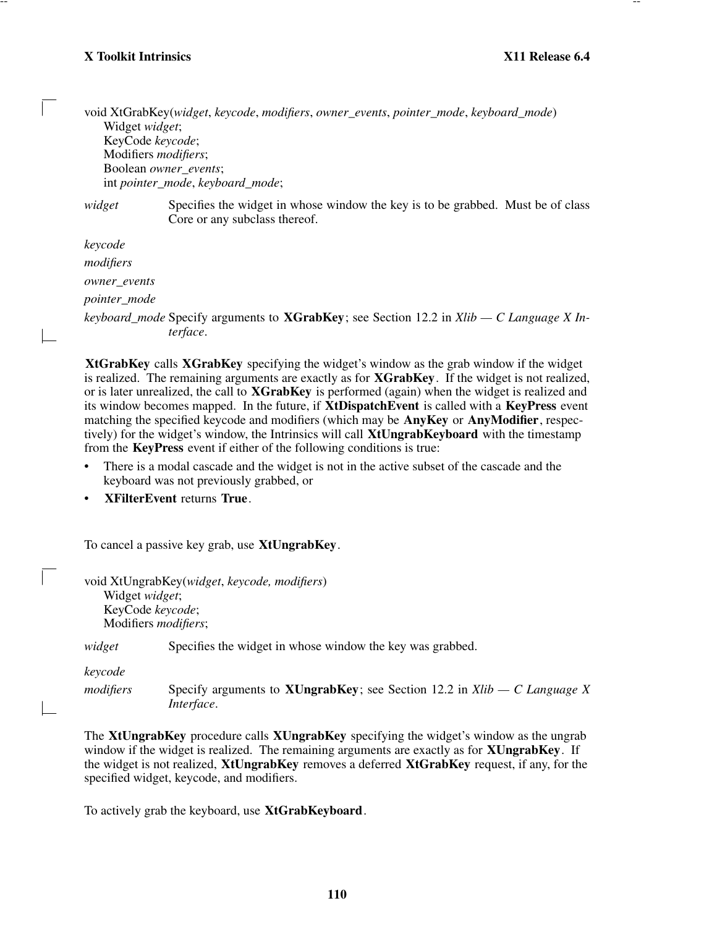void XtGrabKey(*widget*, *keycode*, *modifiers*, *owner\_events*, *pointer\_mode*, *keyboard\_mode*) Widget *widget*; KeyCode *keycode*; Modifiers *modifiers*; Boolean *owner\_events*; int *pointer\_mode*, *keyboard\_mode*;

-- --

 $\mathbf{L}$ 

*widget* Specifies the widget in whose window the key is to be grabbed. Must be of class Core or any subclass thereof.

*keycode modifiers owner\_events pointer\_mode keyboard\_mode* Specify arguments to **XGrabKey**; see Section 12.2 in *Xlib — C Language X Interface*.

**XtGrabKey** calls **XGrabKey** specifying the widget's window as the grab window if the widget is realized. The remaining arguments are exactly as for **XGrabKey**. If the widget is not realized, or is later unrealized, the call to **XGrabKey** is performed (again) when the widget is realized and its window becomes mapped. In the future, if **XtDispatchEvent** is called with a **KeyPress** event matching the specified keycode and modifiers (which may be **AnyKey** or **AnyModifier**, respectively) for the widget's window, the Intrinsics will call **XtUngrabKeyboard** with the timestamp from the **KeyPress** event if either of the following conditions is true:

- There is a modal cascade and the widget is not in the active subset of the cascade and the keyboard was not previously grabbed, or
- **XFilterEvent** returns **True**.

To cancel a passive key grab, use **XtUngrabKey**.

void XtUngrabKey(*widget*, *keycode, modifiers*) Widget *widget*; KeyCode *keycode*; Modifiers *modifiers*;

*widget* Specifies the widget in whose window the key was grabbed.

*keycode*

*modifiers* Specify arguments to **XUngrabKey**; see Section 12.2 in *Xlib — C Language X Interface*.

The **XtUngrabKey** procedure calls **XUngrabKey** specifying the widget's window as the ungrab window if the widget is realized. The remaining arguments are exactly as for **XUngrabKey**. If the widget is not realized, **XtUngrabKey** removesadeferred **XtGrabKey** request, if any, for the specified widget, keycode, and modifiers.

To actively grab the keyboard, use **XtGrabKeyboard**.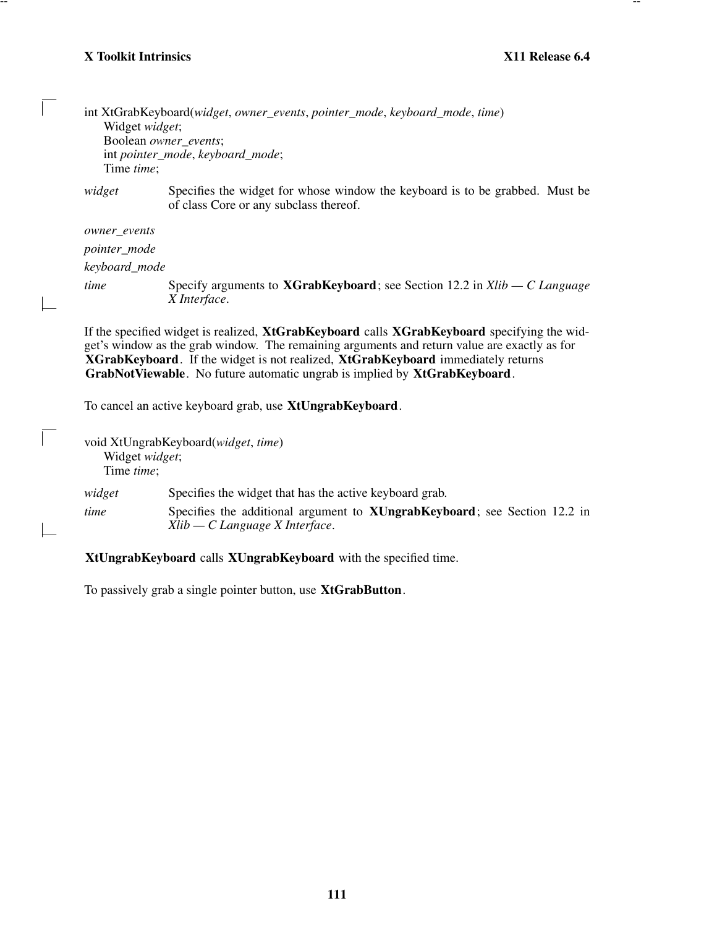$\sqrt{2}$ 

 $\mathbb{R}^n$ 

└

| int XtGrabKeyboard(widget, owner_events, pointer_mode, keyboard_mode, time)<br>Widget widget;<br>Boolean owner_events;<br>int pointer_mode, keyboard_mode;<br>Time time;                                                                                                                                                                                     |                                                                                                                        |  |
|--------------------------------------------------------------------------------------------------------------------------------------------------------------------------------------------------------------------------------------------------------------------------------------------------------------------------------------------------------------|------------------------------------------------------------------------------------------------------------------------|--|
| widget                                                                                                                                                                                                                                                                                                                                                       | Specifies the widget for whose window the keyboard is to be grabbed. Must be<br>of class Core or any subclass thereof. |  |
| owner_events                                                                                                                                                                                                                                                                                                                                                 |                                                                                                                        |  |
| pointer_mode                                                                                                                                                                                                                                                                                                                                                 |                                                                                                                        |  |
| keyboard_mode                                                                                                                                                                                                                                                                                                                                                |                                                                                                                        |  |
| time                                                                                                                                                                                                                                                                                                                                                         | Specify arguments to <b>XGrabKeyboard</b> ; see Section 12.2 in $Xlib - C$ Language<br>X Interface.                    |  |
| If the specified widget is realized, XtGrabKeyboard calls XGrabKeyboard specifying the wid-<br>get's window as the grab window. The remaining arguments and return value are exactly as for<br>XGrabKeyboard. If the widget is not realized, XtGrabKeyboard immediately returns<br>GrabNotViewable. No future automatic ungrab is implied by XtGrabKeyboard. |                                                                                                                        |  |
| To cancel an active keyboard grab, use XtUngrabKeyboard.                                                                                                                                                                                                                                                                                                     |                                                                                                                        |  |
| void XtUngrabKeyboard(widget, time)<br>Widget widget;<br>Time time;                                                                                                                                                                                                                                                                                          |                                                                                                                        |  |
| widget                                                                                                                                                                                                                                                                                                                                                       | Specifies the widget that has the active keyboard grab.                                                                |  |

-- --

*time* Specifies the additional argument to **XUngrabKeyboard**; see Section 12.2 in *Xlib — C Language X Interface*.

**XtUngrabKeyboard** calls **XUngrabKeyboard** with the specified time.

To passively grab a single pointer button, use **XtGrabButton**.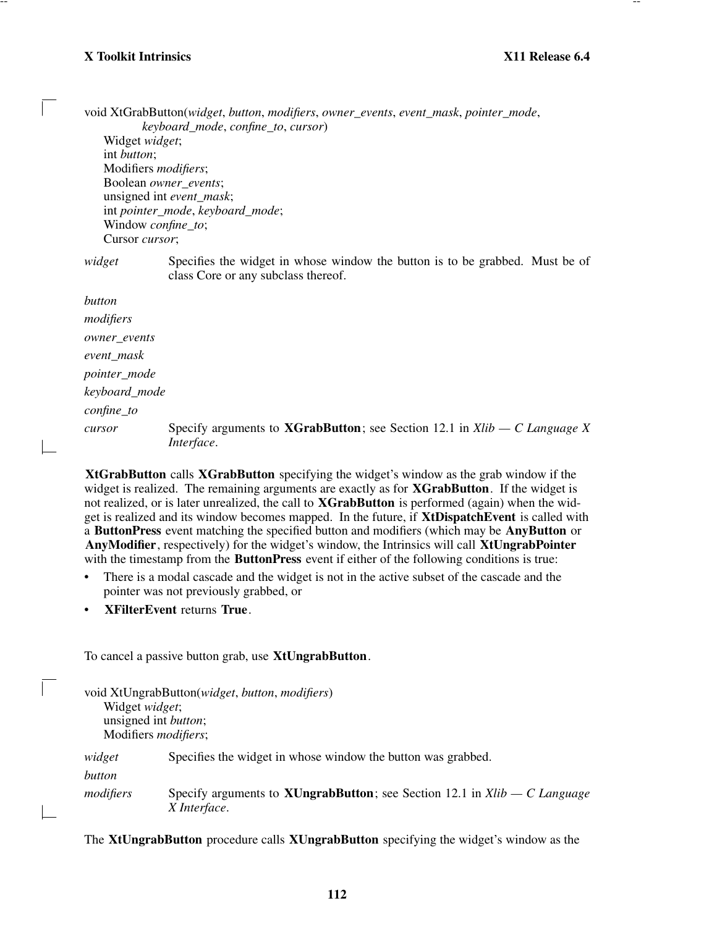$\mathbf{L}$ 

void XtGrabButton(*widget*, *button*, *modifiers*, *owner\_events*, *event\_mask*, *pointer\_mode*, *keyboard\_mode*, *confine\_to*, *cursor*) Widget *widget*; int *button*; Modifiers *modifiers*; Boolean *owner\_events*; unsigned int *event\_mask*; int *pointer\_mode*, *keyboard\_mode*; Window *confine\_to*; Cursor *cursor*; *widget* Specifies the widget in whose window the button is to be grabbed. Must be of class Core or any subclass thereof.

-- --

*button modifiers owner\_events event\_mask pointer\_mode keyboard\_mode confine\_to cursor* Specify arguments to **XGrabButton**; see Section 12.1 in *Xlib — C Language X Interface*.

**XtGrabButton** calls **XGrabButton** specifying the widget's window as the grab window if the widget is realized. The remaining arguments are exactly as for **XGrabButton**. If the widget is not realized, or is later unrealized, the call to **XGrabButton** is performed (again) when the widget is realized and its window becomes mapped. In the future, if **XtDispatchEvent** is called with a **ButtonPress** ev ent matching the specified button and modifiers (which may be **AnyButton** or **AnyModifier**, respectively) for the widget's window, the Intrinsics will call **XtUngrabPointer** with the timestamp from the **ButtonPress** event if either of the following conditions is true:

- There is a modal cascade and the widget is not in the active subset of the cascade and the pointer was not previously grabbed, or
- **XFilterEvent** returns **True**.

To cancel a passive button grab, use **XtUngrabButton**.

| Widget widget;<br>unsigned int <i>button</i> ;<br>Modifiers <i>modifiers</i> ; | void XtUngrabButton( <i>widget, button, modifiers</i> )                                             |
|--------------------------------------------------------------------------------|-----------------------------------------------------------------------------------------------------|
| widget                                                                         | Specifies the widget in whose window the button was grabbed.                                        |
| button                                                                         |                                                                                                     |
| modifiers                                                                      | Specify arguments to <b>XUngrabButton</b> ; see Section 12.1 in $Xlib - C$ Language<br>X Interface. |

The **XtUngrabButton** procedure calls **XUngrabButton** specifying the widget's window as the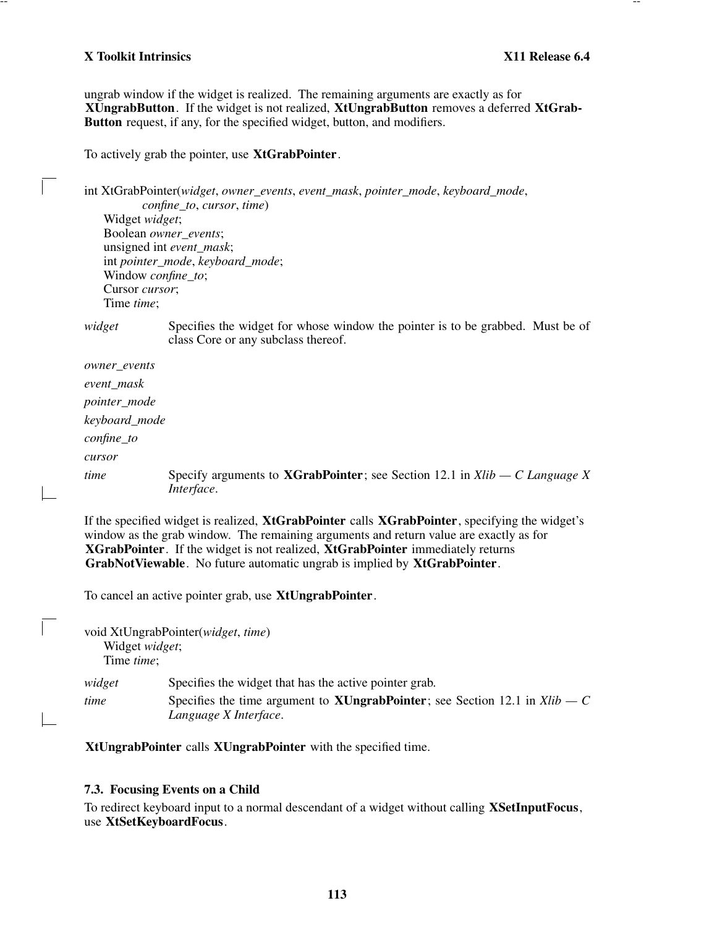ungrab window if the widget is realized. The remaining arguments are exactly as for **XUngrabButton.** If the widget is not realized, **XtUngrabButton** removes a deferred **XtGrab-Button** request, if any, for the specified widget, button, and modifiers.

-- --

To actively grab the pointer, use **XtGrabPointer**.

int XtGrabPointer(*widget*, *owner\_events*, *event\_mask*, *pointer\_mode*, *keyboard\_mode*, *confine\_to*, *cursor*, *time*) Widget *widget*; Boolean *owner\_events*; unsigned int *event\_mask*; int *pointer\_mode*, *keyboard\_mode*; Window *confine\_to*; Cursor *cursor*; Time *time*; *widget* Specifies the widget for whose window the pointer is to be grabbed. Must be of class Core or any subclass thereof. *owner\_events event\_mask pointer\_mode keyboard\_mode confine\_to cursor*

*time* Specify arguments to **XGrabPointer**; see Section 12.1 in *Xlib — C Language X Interface*.

If the specified widget is realized, **XtGrabPointer** calls **XGrabPointer**, specifying the widget's window as the grab window. The remaining arguments and return value are exactly as for **XGrabPointer**. If the widget is not realized, **XtGrabPointer** immediately returns **GrabNotViewable**. No future automatic ungrab is implied by **XtGrabPointer**.

To cancel an active pointer grab, use **XtUngrabPointer**.

void XtUngrabPointer(*widget*, *time*) Widget *widget*; Time *time*; *widget* Specifies the widget that has the active pointer grab. *time* Specifies the time argument to **XUngrabPointer**; see Section 12.1 in *Xlib — C Language X Interface*.

**XtUngrabPointer** calls **XUngrabPointer** with the specified time.

# **7.3. Focusing Events on a Child**

L

To redirect keyboard input to a normal descendant of a widget without calling **XSetInputFocus**, use **XtSetKeyboardFocus**.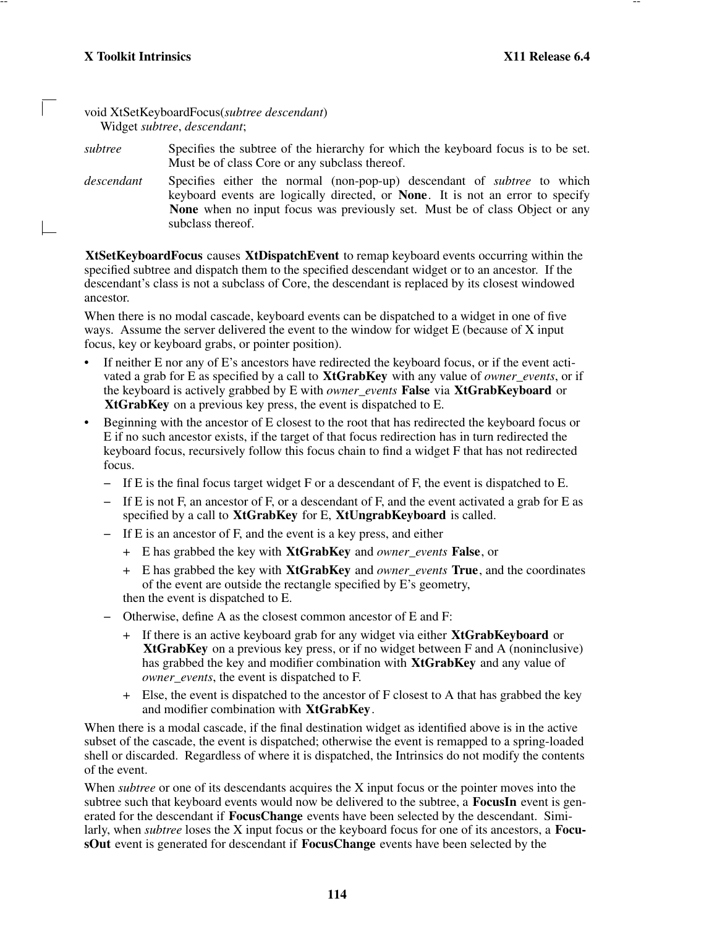$\mathbf{L}$ 

# void XtSetKeyboardFocus(*subtree descendant*)

Widget *subtree*, *descendant*;

*subtree* Specifies the subtree of the hierarchy for which the keyboard focus is to be set. Must be of class Core or any subclass thereof.

-- --

*descendant* Specifies either the normal (non-pop-up) descendant of *subtree* to which keyboard events are logically directed, or **None**. It is not an error to specify **None** when no input focus was previously set. Must be of class Object or any subclass thereof.

**XtSetKeyboardFocus** causes **XtDispatchEvent** to remap keyboard events occurring within the specified subtree and dispatch them to the specified descendant widget or to an ancestor. If the descendant's class is not a subclass of Core, the descendant is replaced by its closest windowed ancestor.

When there is no modal cascade, keyboard events can be dispatched to a widget in one of five ways. Assume the server delivered the event to the window for widget E (because of X input focus, key or keyboard grabs, or pointer position).

- If neither E nor any of E's ancestors have redirected the keyboard focus, or if the event activated a grab for E as specified by a call to **XtGrabKey** with any value of *owner\_events*, or if the keyboard is actively grabbed by E with *owner\_events* **False** via **XtGrabKeyboard** or **XtGrabKey** on a previous key press, the event is dispatched to E.
- Beginning with the ancestor of E closest to the root that has redirected the keyboard focus or E if no such ancestor exists, if the target of that focus redirection has in turn redirected the keyboard focus, recursively follow this focus chain to find a widget F that has not redirected focus.
	- − If E is the final focus target widget F or a descendant of F, the event is dispatched to E.
	- If E is not F, an ancestor of F, or a descendant of F, and the event activated a grab for E as specified by a call to **XtGrabKey** for E, **XtUngrabKeyboard** is called.
	- − If E is an ancestor of F, and the event is a key press, and either
		- + E has grabbed the key with **XtGrabKey** and *owner\_events* **False**, or
		- + E has grabbed the key with **XtGrabKey** and *owner\_events* **True**, and the coordinates of the event are outside the rectangle specified by E's geometry, then the event is dispatched to E.
		- − Otherwise, define A as the closest common ancestor of E and F:
			- + If there is an active keyboard grab for any widget via either **XtGrabKeyboard** or **XtGrabKey** on a previous key press, or if no widget between F and A (noninclusive) has grabbed the key and modifier combination with **XtGrabKey** and any value of *owner\_events*, the event is dispatched to F.
			- + Else, the event is dispatched to the ancestor of F closest to A that has grabbed the key and modifier combination with **XtGrabKey**.

When there is a modal cascade, if the final destination widget as identified above is in the active subset of the cascade, the event is dispatched; otherwise the event is remapped to a spring-loaded shell or discarded. Regardless of where it is dispatched, the Intrinsics do not modify the contents of the event.

When *subtree* or one of its descendants acquires the X input focus or the pointer moves into the subtree such that keyboard events would now be delivered to the subtree, a **FocusIn** event is generated for the descendant if **FocusChange** events have been selected by the descendant. Similarly, when *subtree* loses the X input focus or the keyboard focus for one of its ancestors, a **FocusOut** event is generated for descendant if **FocusChange** events have been selected by the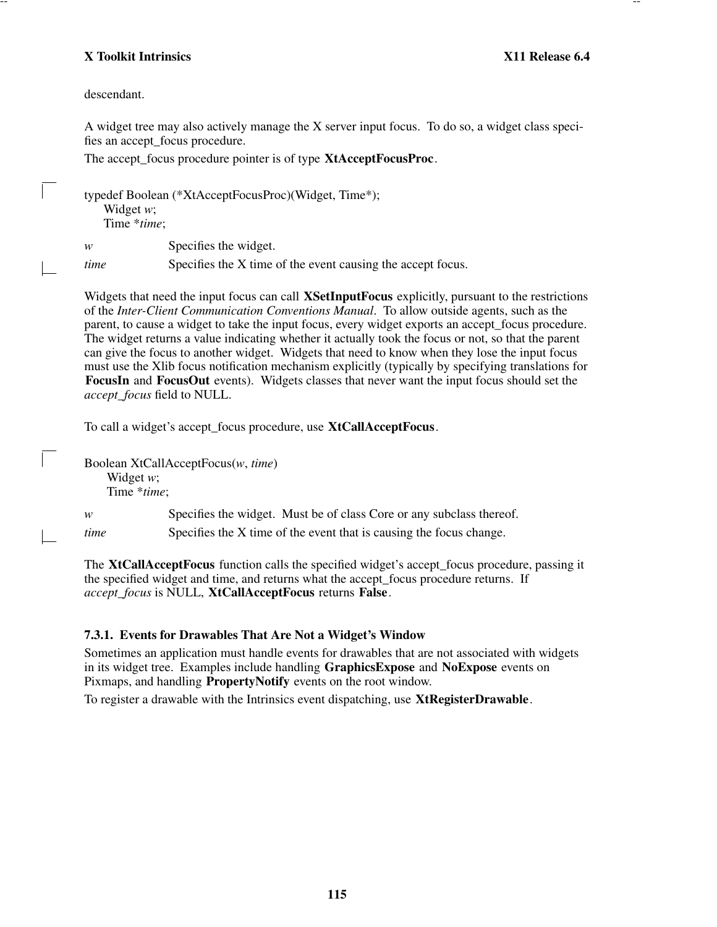descendant.

A widget tree may also actively manage the X server input focus. To do so, a widget class specifies an accept\_focus procedure.

-- --

The accept\_focus procedure pointer is of type **XtAcceptFocusProc**.

| typedef Boolean (*XtAcceptFocusProc) (Widget, Time*);<br>Widget $w$ ;<br>Time * <i>time</i> ; |                       |
|-----------------------------------------------------------------------------------------------|-----------------------|
| w                                                                                             | Specifies the widget. |

*time* Specifies the X time of the event causing the accept focus.

Widgets that need the input focus can call **XSetInputFocus** explicitly, pursuant to the restrictions of the *Inter-Client Communication Conventions Manual*. To allow outside agents, such as the parent, to cause a widget to take the input focus, every widget exports an accept\_focus procedure. The widget returns a value indicating whether it actually took the focus or not, so that the parent can give the focus to another widget. Widgets that need to know when they lose the input focus must use the Xlib focus notification mechanism explicitly (typically by specifying translations for **FocusIn** and **FocusOut** events). Widgets classes that never want the input focus should set the *accept\_focus* field to NULL.

To call a widget's accept\_focus procedure, use **XtCallAcceptFocus**.

Boolean XtCallAcceptFocus(*w*, *time*) Widget *w*; Time \**time*; *w* Specifies the widget. Must be of class Core or any subclass thereof. *time* Specifies the X time of the event that is causing the focus change.

The **XtCallAcceptFocus** function calls the specified widget's accept\_focus procedure, passing it the specified widget and time, and returns what the accept\_focus procedure returns. If *accept\_focus* is NULL, **XtCallAcceptFocus** returns **False**.

# **7.3.1. Events for Drawables That Are Not a Widget's Window**

Sometimes an application must handle events for drawables that are not associated with widgets in its widget tree. Examples include handling **GraphicsExpose** and **NoExpose** events on Pixmaps, and handling **PropertyNotify** events on the root window.

To register a drawable with the Intrinsics event dispatching, use **XtRegisterDrawable**.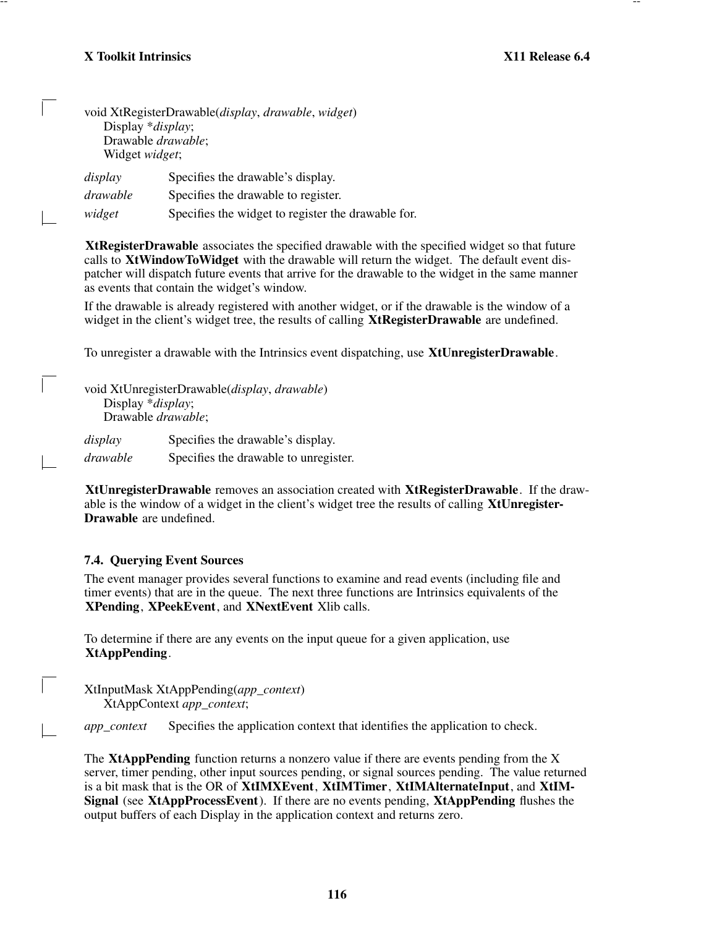|                    | void XtRegisterDrawable( <i>display</i> , <i>drawable</i> , <i>widget</i> ) |
|--------------------|-----------------------------------------------------------------------------|
| Display *display;  |                                                                             |
| Drawable drawable; |                                                                             |
| Widget widget;     |                                                                             |
| display            | Specifies the drawable's display.                                           |

*drawable* Specifies the drawable to register.

*widget* Specifies the widget to register the drawable for.

**XtRegisterDrawable** associates the specified drawable with the specified widget so that future calls to **XtWindowToWidget** with the drawable will return the widget. The default event dispatcher will dispatch future events that arrive for the drawable to the widget in the same manner as events that contain the widget's window.

-- --

If the drawable is already registered with another widget, or if the drawable is the window of a widget in the client's widget tree, the results of calling **XtRegisterDrawable** are undefined.

To unregister a drawable with the Intrinsics event dispatching, use **XtUnregisterDrawable**.

void XtUnregisterDrawable(*display*, *drawable*) Display \**display*; Drawable *drawable*;

*display* Specifies the drawable's display. *drawable* Specifies the drawable to unregister.

**XtUnregisterDrawable** removes an association created with **XtRegisterDrawable**. If the drawable is the window of a widget in the client's widget tree the results of calling **XtUnregister-Drawable** are undefined.

## **7.4. Querying Event Sources**

The event manager provides several functions to examine and read events (including file and timer events) that are in the queue. The next three functions are Intrinsics equivalents of the **XPending**, **XPeekEvent**, and **XNextEvent** Xlib calls.

To determine if there are any events on the input queue for a given application, use **XtAppPending**.

XtInputMask XtAppPending(*app\_context*) XtAppContext *app\_context*;

*app\_context* Specifies the application context that identifies the application to check.

The **XtAppPending** function returns a nonzero value if there are events pending from the X server, timer pending, other input sources pending, or signal sources pending. The value returned is a bit mask that is the OR of **XtIMXEvent**, **XtIMTimer**, **XtIMAlternateInput**, and **XtIM-Signal** (see **XtAppProcessEvent**). If there are no events pending, **XtAppPending** flushes the output buffers of each Display in the application context and returns zero.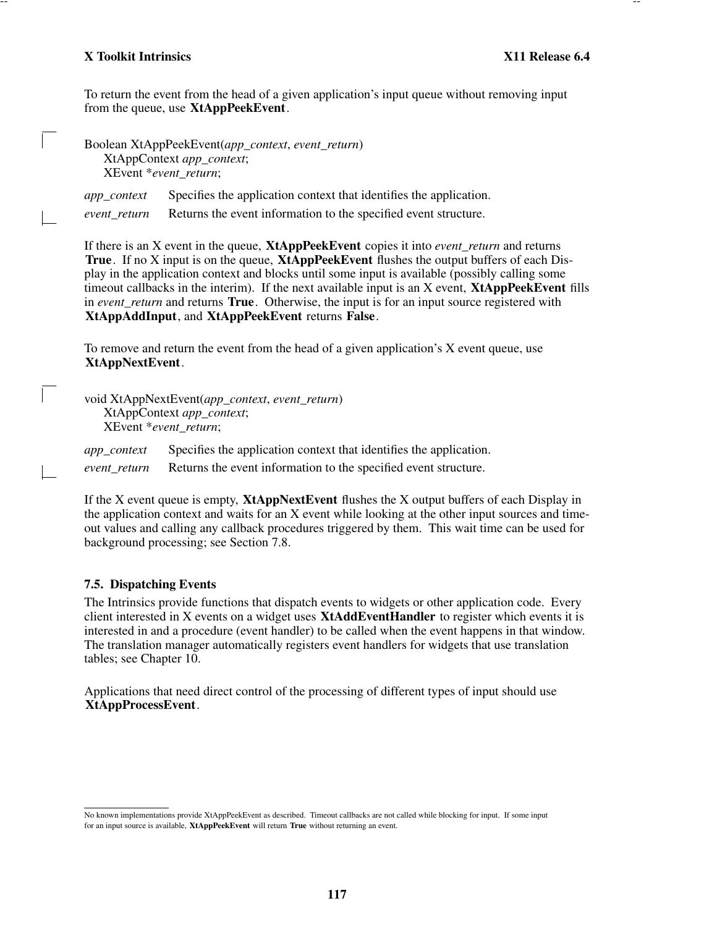To return the event from the head of a given application's input queue without removing input from the queue, use **XtAppPeekEvent**.

-- --

Boolean XtAppPeekEvent(*app\_context*, *event\_return*) XtAppContext *app\_context*; XEvent \**event\_return*; *app\_context* Specifies the application context that identifies the application. *event return* Returns the event information to the specified event structure.

If there is an X event in the queue, **XtAppPeekEvent** copies it into *event\_return* and returns **True**. If no X input is on the queue, **XtAppPeekEvent** flushes the output buffers of each Display in the application context and blocks until some input is available (possibly calling some timeout callbacks in the interim). If the next available input is an X event, **XtAppPeekEvent** fills in *event return* and returns **True**. Otherwise, the input is for an input source registered with **XtAppAddInput**, and **XtAppPeekEvent** returns **False**.

To remove and return the event from the head of a given application's  $X$  event queue, use **XtAppNextEvent**.

```
void XtAppNextEvent(app_context, event_return)
   XtAppContext app_context;
   XEvent *event_return;
```
*app\_context* Specifies the application context that identifies the application.

*event\_return* Returns the event information to the specified event structure.

If the X event queue is empty, **XtAppNextEvent** flushes the X output buffers of each Display in the application context and waits for an X event while looking at the other input sources and timeout values and calling any callback procedures triggered by them. This wait time can be used for background processing; see Section 7.8.

# **7.5. Dispatching Events**

The Intrinsics provide functions that dispatch events to widgets or other application code. Every client interested in X events on a widget uses **XtAddEventHandler** to register which events it is interested in and a procedure (event handler) to be called when the event happens in that window. The translation manager automatically registers event handlers for widgets that use translation tables; see Chapter 10.

Applications that need direct control of the processing of different types of input should use **XtAppProcessEvent**.

No known implementations provide XtAppPeekEvent as described. Timeout callbacks are not called while blocking for input. If some input for an input source is available, **XtAppPeekEvent** will return **True** without returning an event.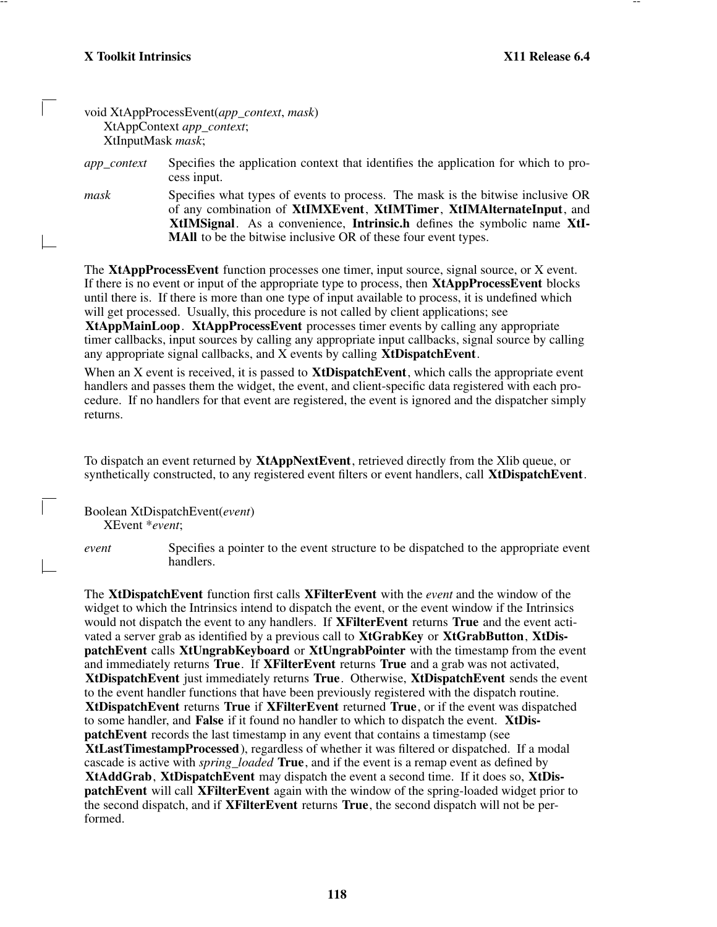$\mathbf{L}$ 

# void XtAppProcessEvent(*app\_context*, *mask*) XtAppContext *app\_context*; XtInputMask *mask*;

*app\_context* Specifies the application context that identifies the application for which to process input.

-- --

*mask* Specifies what types of events to process. The mask is the bitwise inclusive OR of any combination of **XtIMXEvent**, **XtIMTimer**, **XtIMAlternateInput**, and **XtIMSignal**. As a convenience, **Intrinsic.h** defines the symbolic name **XtI-MAll** to be the bitwise inclusive OR of these four event types.

The **XtAppProcessEvent** function processes one timer, input source, signal source, or X event. If there is no event or input of the appropriate type to process, then **XtAppProcessEvent** blocks until there is. If there is more than one type of input available to process, it is undefined which will get processed. Usually, this procedure is not called by client applications; see **XtAppMainLoop**. **XtAppProcessEvent** processes timer events by calling any appropriate timer callbacks, input sources by calling any appropriate input callbacks, signal source by calling any appropriate signal callbacks, and X events by calling **XtDispatchEvent**.

When an X event is received, it is passed to **XtDispatchEvent**, which calls the appropriate event handlers and passes them the widget, the event, and client-specific data registered with each procedure. If no handlers for that event are registered, the event is ignored and the dispatcher simply returns.

To dispatch an event returned by **XtAppNextEvent**, retrieved directly from the Xlib queue, or synthetically constructed, to any registered event filters or event handlers, call **XtDispatchEvent**.

Boolean XtDispatchEvent(*event*)

XEvent \**event*;

*event* Specifies a pointer to the event structure to be dispatched to the appropriate event handlers.

The **XtDispatchEvent** function first calls **XFilterEvent** with the *event* and the window of the widget to which the Intrinsics intend to dispatch the event, or the event window if the Intrinsics would not dispatch the event to any handlers. If **XFilterEvent** returns **True** and the event activated a server grab as identified by a previous call to **XtGrabKey** or **XtGrabButton**, **XtDispatchEvent** calls **XtUngrabKeyboard** or **XtUngrabPointer** with the timestamp from the event and immediately returns **True**. If **XFilterEvent** returns **True** and a grab was not activated, **XtDispatchEvent** just immediately returns **True**. Otherwise, **XtDispatchEvent** sends the event to the event handler functions that have been previously registered with the dispatch routine. **XtDispatchEvent** returns **True** if **XFilterEvent** returned **True**, or if the event was dispatched to some handler, and **False** if it found no handler to which to dispatch the event. **XtDispatchEvent** records the last timestamp in any event that contains a timestamp (see **XtLastTimestampProcessed**), regardless of whether it was filtered or dispatched. If a modal cascade is active with *spring\_loaded* **True**, and if the event is a remap event as defined by **XtAddGrab**, **XtDispatchEvent** may dispatch the event a second time. If it does so, **XtDispatchEvent** will call **XFilterEvent** again with the window of the spring-loaded widget prior to the second dispatch, and if **XFilterEvent** returns **True**, the second dispatch will not be performed.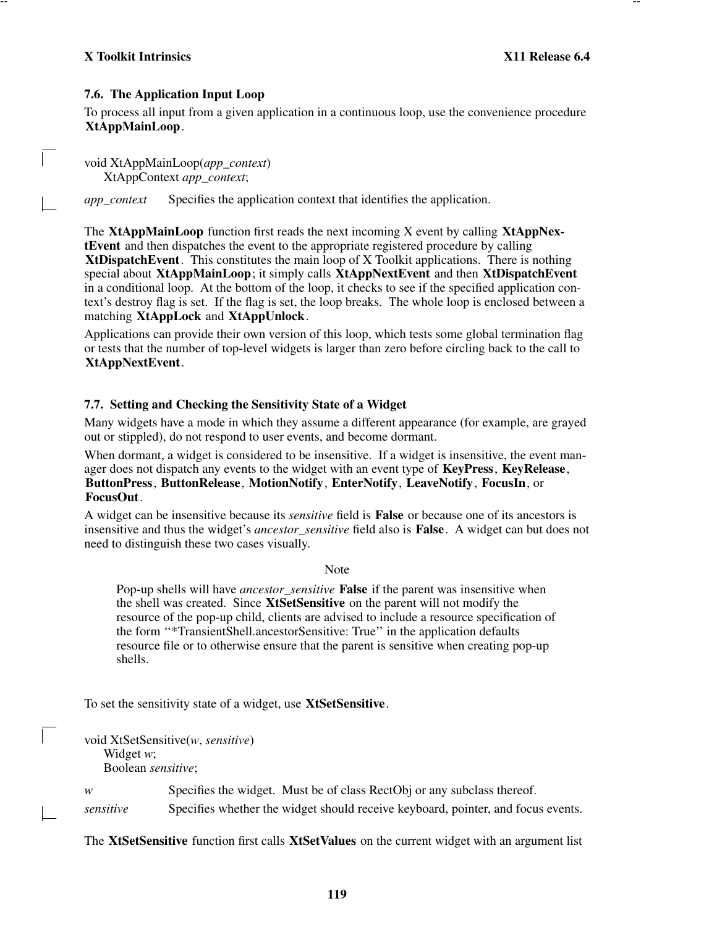# **7.6. The Application Input Loop**

To process all input from a given application in a continuous loop, use the convenience procedure **XtAppMainLoop**.

-- --

void XtAppMainLoop(*app\_context*) XtAppContext *app\_context*;

*app\_context* Specifies the application context that identifies the application.

The **XtAppMainLoop** function first reads the next incoming X event by calling **XtAppNextEvent** and then dispatches the event to the appropriate registered procedure by calling **XtDispatchEvent**. This constitutes the main loop of X Toolkit applications. There is nothing special about **XtAppMainLoop**; it simply calls **XtAppNextEvent** and then **XtDispatchEvent** in a conditional loop. At the bottom of the loop, it checks to see if the specified application context's destroy flag is set. If the flag is set, the loop breaks. The whole loop is enclosed between a matching **XtAppLock** and **XtAppUnlock**.

Applications can provide their own version of this loop, which tests some global termination flag or tests that the number of top-level widgets is larger than zero before circling back to the call to **XtAppNextEvent**.

# **7.7. Setting and Checking the Sensitivity State of a Widget**

Many widgets have a mode in which they assume a different appearance (for example, are grayed out or stippled), do not respond to user events, and become dormant.

When dormant, a widget is considered to be insensitive. If a widget is insensitive, the event manager does not dispatch any events to the widget with an event type of **KeyPress**, **KeyRelease**, **ButtonPress**, **ButtonRelease**, **MotionNotify**, **EnterNotify**, **LeaveNotify**, **FocusIn**, or **FocusOut**.

A widget can be insensitive because its *sensitive* field is **False** or because one of its ancestors is insensitive and thus the widget's *ancestor\_sensitive* field also is **False**. A widget can but does not need to distinguish these two cases visually.

Note

Pop-up shells will have *ancestor\_sensitive* **False** if the parent was insensitive when the shell was created. Since **XtSetSensitive** on the parent will not modify the resource of the pop-up child, clients are advised to include a resource specification of the form ''\*TransientShell.ancestorSensitive: True'' in the application defaults resource file or to otherwise ensure that the parent is sensitive when creating pop-up shells.

To set the sensitivity state of a widget, use **XtSetSensitive**.

void XtSetSensitive(*w*, *sensitive*) Widget *w*; Boolean *sensitive*;

*w* Specifies the widget. Must be of class RectObj or any subclass thereof.

*sensitive* Specifies whether the widget should receive keyboard, pointer, and focus events.

The **XtSetSensitive** function first calls **XtSetValues** on the current widget with an argument list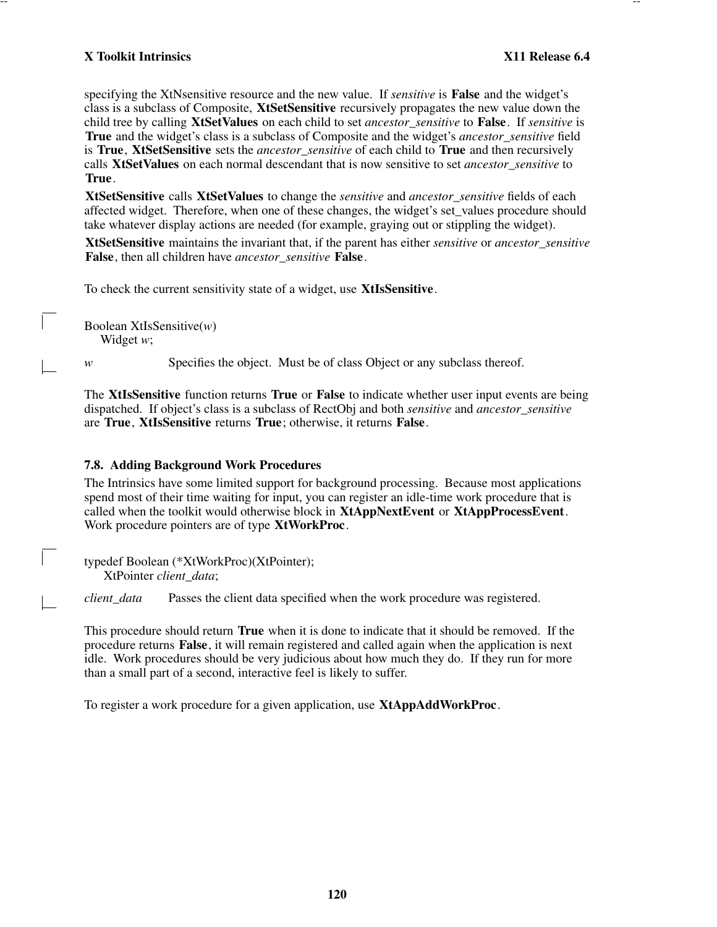specifying the XtNsensitive resource and the new value. If *sensitive* is **False** and the widget's class is a subclass of Composite, **XtSetSensitive** recursively propagates the new value down the child tree by calling **XtSetValues** on each child to set *ancestor\_sensitive* to **False**. If *sensitive* is **True** and the widget's class is a subclass of Composite and the widget's *ancestor\_sensitive* field is **True**, **XtSetSensitive** sets the *ancestor\_sensitive* of each child to **True** and then recursively calls **XtSetValues** on each normal descendant that is now sensitive to set *ancestor\_sensitive* to **True**.

-- --

**XtSetSensitive** calls **XtSetValues** to change the *sensitive* and *ancestor\_sensitive* fields of each affected widget. Therefore, when one of these changes, the widget's set\_values procedure should take whatever display actions are needed (for example, graying out or stippling the widget).

**XtSetSensitive** maintains the invariant that, if the parent has either *sensitive* or *ancestor\_sensitive* **False**, then all children have *ancestor\_sensitive* **False**.

To check the current sensitivity state of a widget, use **XtIsSensitive**.

Boolean XtIsSensitive(*w*) Widget *w*;

*w* Specifies the object. Must be of class Object or any subclass thereof.

The **XtIsSensitive** function returns **True** or **False** to indicate whether user input events are being dispatched. If object's class is a subclass of RectObj and both *sensitive* and *ancestor\_sensitive* are **True**, **XtIsSensitive** returns **True**; otherwise, it returns **False**.

# **7.8. Adding Background Work Procedures**

The Intrinsics have some limited support for background processing. Because most applications spend most of their time waiting for input, you can register an idle-time work procedure that is called when the toolkit would otherwise block in **XtAppNextEvent** or **XtAppProcessEvent**. Work procedure pointers are of type **XtWorkProc**.

typedef Boolean (\*XtWorkProc)(XtPointer); XtPointer *client\_data*;

*client\_data* Passes the client data specified when the work procedure was registered.

This procedure should return **True** when it is done to indicate that it should be removed. If the procedure returns **False**, it will remain registered and called again when the application is next idle. Work procedures should be very judicious about how much they do. If they run for more than a small part of a second, interactive feel is likely to suffer.

To register a work procedure for a given application, use **XtAppAddWorkProc**.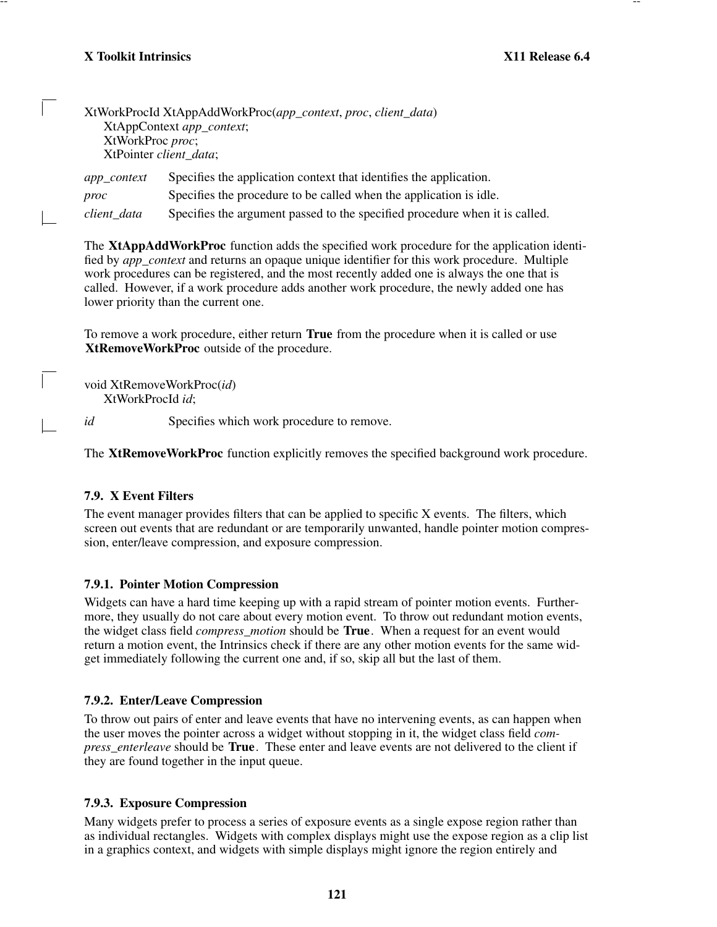Ē

XtWorkProcId XtAppAddWorkProc(*app\_context*, *proc*, *client\_data*) XtAppContext *app\_context*; XtWorkProc *proc*; XtPointer *client\_data*;

*app\_context* Specifies the application context that identifies the application. *proc* Specifies the procedure to be called when the application is idle. *client\_data* Specifies the argument passed to the specified procedure when it is called.

-- --

The **XtAppAddWorkProc** function adds the specified work procedure for the application identified by *app\_context* and returns an opaque unique identifier for this work procedure. Multiple work procedures can be registered, and the most recently added one is always the one that is called. However, if a work procedure adds another work procedure, the newly added one has lower priority than the current one.

To remove a work procedure, either return **True** from the procedure when it is called or use **XtRemoveWorkProc** outside of the procedure.

void XtRemoveWorkProc(*id*) XtWorkProcId *id*;

*id* Specifies which work procedure to remove.

The **XtRemoveWorkProc** function explicitly removes the specified background work procedure.

## **7.9. X Event Filters**

The event manager provides filters that can be applied to specific X events. The filters, which screen out events that are redundant or are temporarily unwanted, handle pointer motion compression, enter/leave compression, and exposure compression.

#### **7.9.1. Pointer Motion Compression**

Widgets can have a hard time keeping up with a rapid stream of pointer motion events. Furthermore, they usually do not care about every motion event. To throw out redundant motion events, the widget class field *compress\_motion* should be **True**. When a request for an event would return a motion event, the Intrinsics check if there are any other motion events for the same widget immediately following the current one and, if so, skip all but the last of them.

#### **7.9.2. Enter/Leave Compression**

To throw out pairs of enter and leave events that have no intervening events, as can happen when the user moves the pointer across a widget without stopping in it, the widget class field *compress\_enterleave* should be **True**. These enter and leave events are not delivered to the client if they are found together in the input queue.

## **7.9.3. Exposure Compression**

Many widgets prefer to process a series of exposure events as a single expose region rather than as individual rectangles. Widgets with complex displays might use the expose region as a clip list in a graphics context, and widgets with simple displays might ignore the region entirely and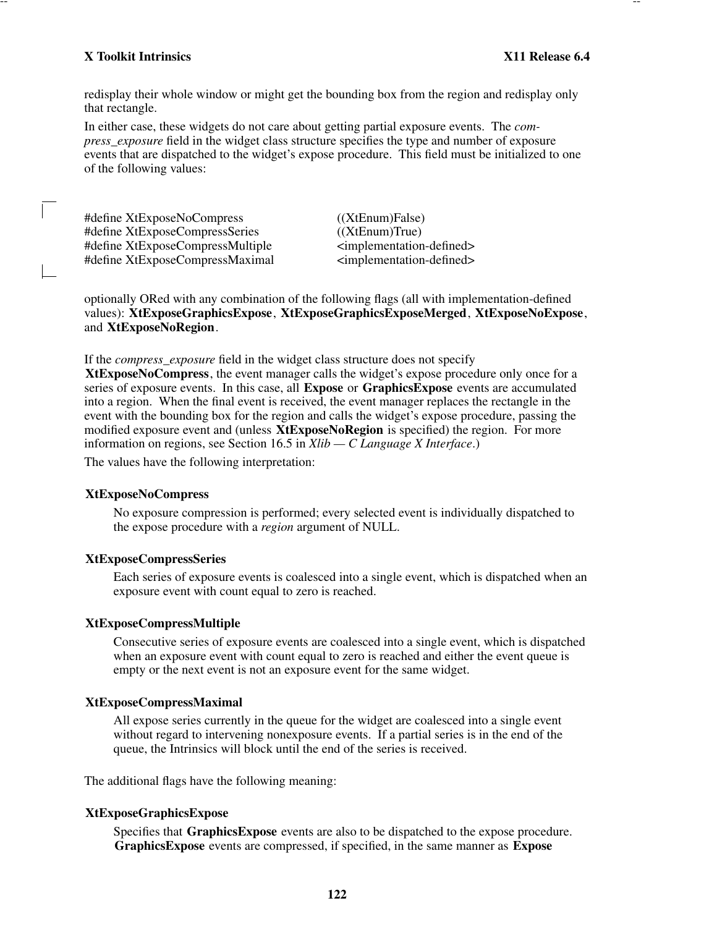redisplay their whole window or might get the bounding box from the region and redisplay only that rectangle.

-- --

In either case, these widgets do not care about getting partial exposure events. The *compress\_exposure* field in the widget class structure specifies the type and number of exposure events that are dispatched to the widget's expose procedure. This field must be initialized to one of the following values:

#define XtExposeNoCompress ((XtEnum)False) #define XtExposeCompressSeries ((XtEnum)True) #define XtExposeCompressMultiple <implementation-defined> #define XtExposeCompressMaximal <implementation-defined>

optionally ORed with any combination of the following flags (all with implementation-defined values): **XtExposeGraphicsExpose**, **XtExposeGraphicsExposeMerged**, **XtExposeNoExpose**, and **XtExposeNoRegion**.

If the *compress\_exposure* field in the widget class structure does not specify

**XtExposeNoCompress**, the event manager calls the widget's expose procedure only once for a series of exposure events. In this case, all **Expose** or **GraphicsExpose** ev ents are accumulated into a region. When the final event is received, the event manager replaces the rectangle in the event with the bounding box for the region and calls the widget's expose procedure, passing the modified exposure event and (unless **XtExposeNoRegion** is specified) the region. For more information on regions, see Section 16.5 in *Xlib — C Language X Interface*.)

The values have the following interpretation:

#### **XtExposeNoCompress**

No exposure compression is performed; every selected event is individually dispatched to the expose procedure with a *region* argument of NULL.

## **XtExposeCompressSeries**

Each series of exposure events is coalesced into a single event, which is dispatched when an exposure event with count equal to zero is reached.

#### **XtExposeCompressMultiple**

Consecutive series of exposure events are coalesced into a single event, which is dispatched when an exposure event with count equal to zero is reached and either the event queue is empty or the next event is not an exposure event for the same widget.

#### **XtExposeCompressMaximal**

All expose series currently in the queue for the widget are coalesced into a single event without regard to intervening nonexposure events. If a partial series is in the end of the queue, the Intrinsics will block until the end of the series is received.

The additional flags have the following meaning:

#### **XtExposeGraphicsExpose**

Specifies that **GraphicsExpose** events are also to be dispatched to the expose procedure. **GraphicsExpose** events are compressed, if specified, in the same manner as **Expose**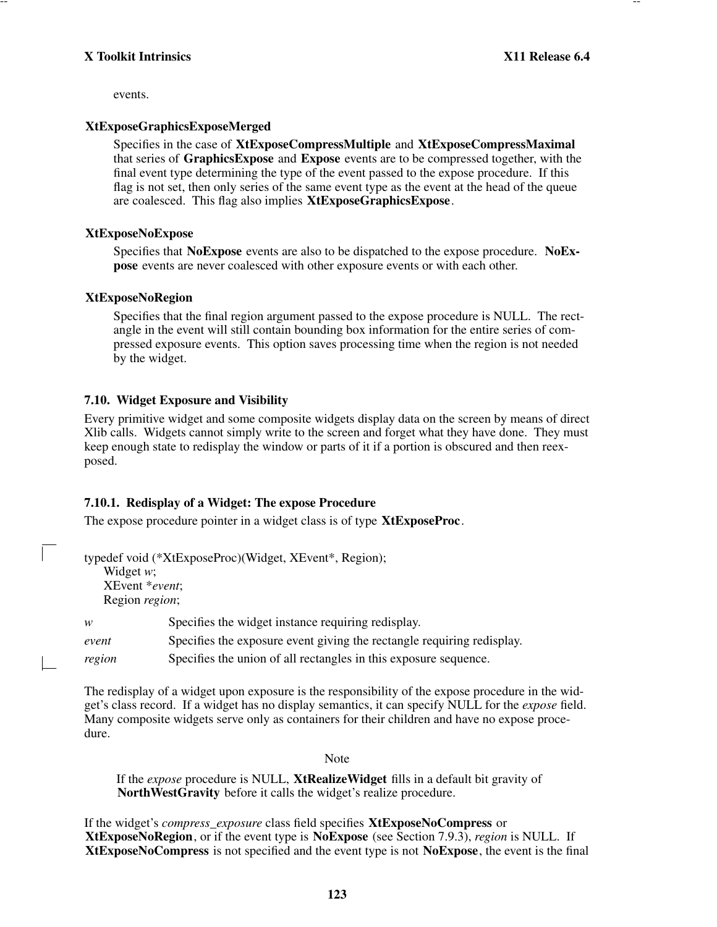events.

## **XtExposeGraphicsExposeMerged**

Specifies in the case of **XtExposeCompressMultiple** and **XtExposeCompressMaximal** that series of **GraphicsExpose** and **Expose** events are to be compressed together, with the final event type determining the type of the event passed to the expose procedure. If this flag is not set, then only series of the same event type as the event at the head of the queue are coalesced. This flag also implies **XtExposeGraphicsExpose**.

-- --

#### **XtExposeNoExpose**

Specifies that **NoExpose** events are also to be dispatched to the expose procedure. **NoExpose** events are never coalesced with other exposure events or with each other.

## **XtExposeNoRegion**

Specifies that the final region argument passed to the expose procedure is NULL. The rectangle in the event will still contain bounding box information for the entire series of compressed exposure events. This option saves processing time when the region is not needed by the widget.

## **7.10. Widget Exposure and Visibility**

Every primitive widget and some composite widgets display data on the screen by means of direct Xlib calls. Widgets cannot simply write to the screen and forget what they have done. They must keep enough state to redisplay the window or parts of it if a portion is obscured and then reexposed.

#### **7.10.1. Redisplay of a Widget: The expose Procedure**

The expose procedure pointer in a widget class is of type **XtExposeProc**.

```
typedef void (*XtExposeProc)(Widget, XEvent*, Region);
   Widget w;
   XEvent *event;
   Region region;
w Specifies the widget instance requiring redisplay.
event Specifies the exposure event giving the rectangle requiring redisplay.
```
*region* Specifies the union of all rectangles in this exposure sequence.

The redisplay of a widget upon exposure is the responsibility of the expose procedure in the widget's class record. If a widget has no display semantics, it can specify NULL for the *expose* field. Many composite widgets serve only as containers for their children and have no expose procedure.

Note

If the *expose* procedure is NULL, **XtRealizeWidget** fills in a default bit gravity of **NorthWestGravity** before it calls the widget's realize procedure.

If the widget's *compress\_exposure* class field specifies **XtExposeNoCompress** or **XtExposeNoRegion**, or if the event type is **NoExpose** (see Section 7.9.3), *region* is NULL. If **XtExposeNoCompress** is not specified and the event type is not **NoExpose**, the event is the final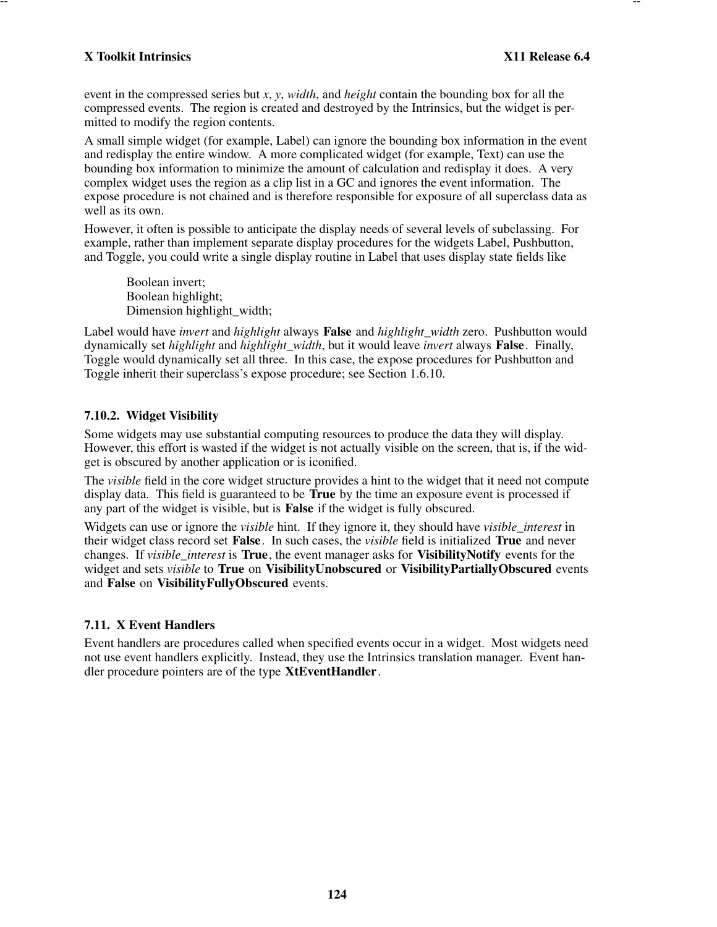event in the compressed series but *x*, *y*, *width*, and *height* contain the bounding box for all the compressed events. The region is created and destroyed by the Intrinsics, but the widget is permitted to modify the region contents.

-- --

A small simple widget (for example, Label) can ignore the bounding box information in the event and redisplay the entire window. A more complicated widget (for example, Text) can use the bounding box information to minimize the amount of calculation and redisplay it does. A very complex widget uses the region as a clip list in a GC and ignores the event information. The expose procedure is not chained and is therefore responsible for exposure of all superclass data as well as its own.

However, it often is possible to anticipate the display needs of several levels of subclassing. For example, rather than implement separate display procedures for the widgets Label, Pushbutton, and Toggle, you could write a single display routine in Label that uses display state fields like

Boolean invert; Boolean highlight; Dimension highlight\_width;

Label would have *invert* and *highlight* always **False** and *highlight\_width* zero. Pushbutton would dynamically set *highlight* and *highlight\_width*, but it would leave *invert* always **False**. Finally, Toggle would dynamically set all three. In this case, the expose procedures for Pushbutton and Toggle inherit their superclass's expose procedure; see Section 1.6.10.

# **7.10.2. Widget Visibility**

Some widgets may use substantial computing resources to produce the data they will display. However, this effort is wasted if the widget is not actually visible on the screen, that is, if the widget is obscured by another application or is iconified.

The *visible* field in the core widget structure provides a hint to the widget that it need not compute display data. This field is guaranteed to be **True** by the time an exposure event is processed if any part of the widget is visible, but is **False** if the widget is fully obscured.

Widgets can use or ignore the *visible* hint. If they ignore it, they should have *visible\_interest* in their widget class record set **False**. In such cases, the *visible* field is initialized **True** and never changes. If *visible\_interest* is **True**, the event manager asks for **VisibilityNotify** ev ents for the widget and sets *visible* to **True** on **VisibilityUnobscured** or **VisibilityPartiallyObscured** events and **False** on **VisibilityFullyObscured** events.

# **7.11. X Event Handlers**

Event handlers are procedures called when specified events occur in a widget. Most widgets need not use event handlers explicitly. Instead, they use the Intrinsics translation manager. Event handler procedure pointers are of the type **XtEventHandler**.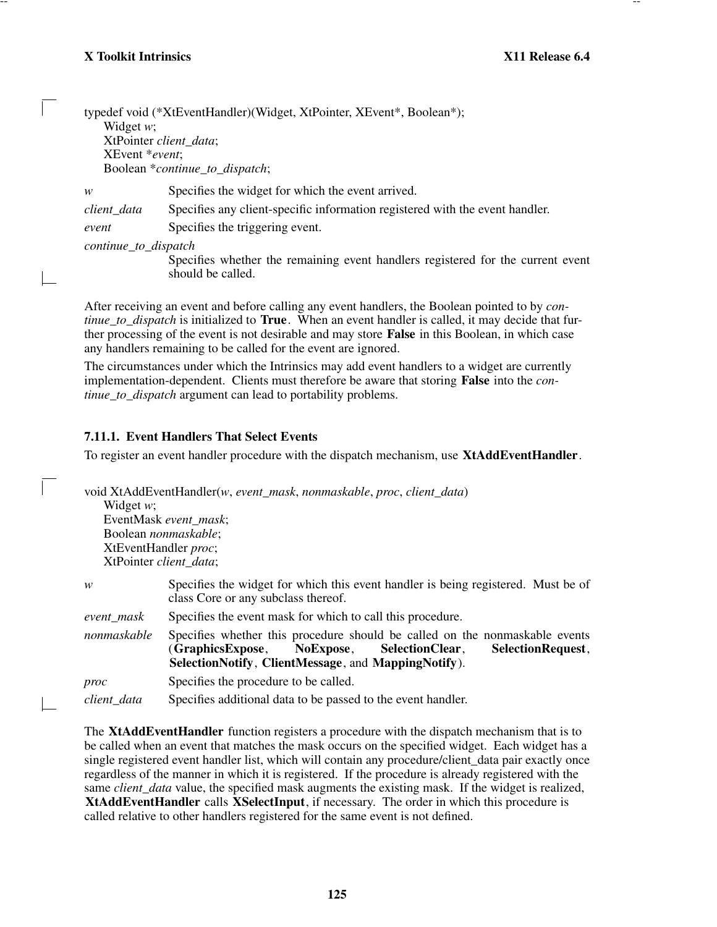$\mathbf{L}$ 

typedef void (\*XtEventHandler)(Widget, XtPointer, XEvent\*, Boolean\*); Widget *w*; XtPointer *client\_data*; XEvent \**event*; Boolean \**continue\_to\_dispatch*; *w* Specifies the widget for which the event arrived. *client\_data* Specifies any client-specific information registered with the event handler. *event* Specifies the triggering event. *continue\_to\_dispatch* Specifies whether the remaining event handlers registered for the current event should be called.

-- --

After receiving an event and before calling any event handlers, the Boolean pointed to by *continue\_to\_dispatch* is initialized to **True**. When an event handler is called, it may decide that further processing of the event is not desirable and may store **False** in this Boolean, in which case any handlers remaining to be called for the event are ignored.

The circumstances under which the Intrinsics may add event handlers to a widget are currently implementation-dependent. Clients must therefore be aware that storing **False** into the *continue to dispatch* argument can lead to portability problems.

## **7.11.1. Event Handlers That Select Events**

To register an event handler procedure with the dispatch mechanism, use **XtAddEventHandler**.

void XtAddEventHandler(*w*, *event\_mask*, *nonmaskable*, *proc*, *client\_data*) Widget *w*; EventMask *event\_mask*; Boolean *nonmaskable*; XtEventHandler *proc*; XtPointer *client\_data*; *w* Specifies the widget for which this event handler is being registered. Must be of class Core or any subclass thereof. *event\_mask* Specifies the event mask for which to call this procedure. *nonmaskable* Specifies whether this procedure should be called on the nonmaskable events

(**GraphicsExpose**, **NoExpose**, **SelectionClear**, **SelectionRequest**, **SelectionNotify**, **ClientMessage**, and **MappingNotify**). *proc* Specifies the procedure to be called.

*client\_data* Specifies additional data to be passed to the event handler.

The **XtAddEventHandler** function registers a procedure with the dispatch mechanism that is to be called when an event that matches the mask occurs on the specified widget. Each widget has a single registered event handler list, which will contain any procedure/client\_data pair exactly once regardless of the manner in which it is registered. If the procedure is already registered with the same *client\_data* value, the specified mask augments the existing mask. If the widget is realized, **XtAddEventHandler** calls **XSelectInput**, if necessary. The order in which this procedure is called relative to other handlers registered for the same event is not defined.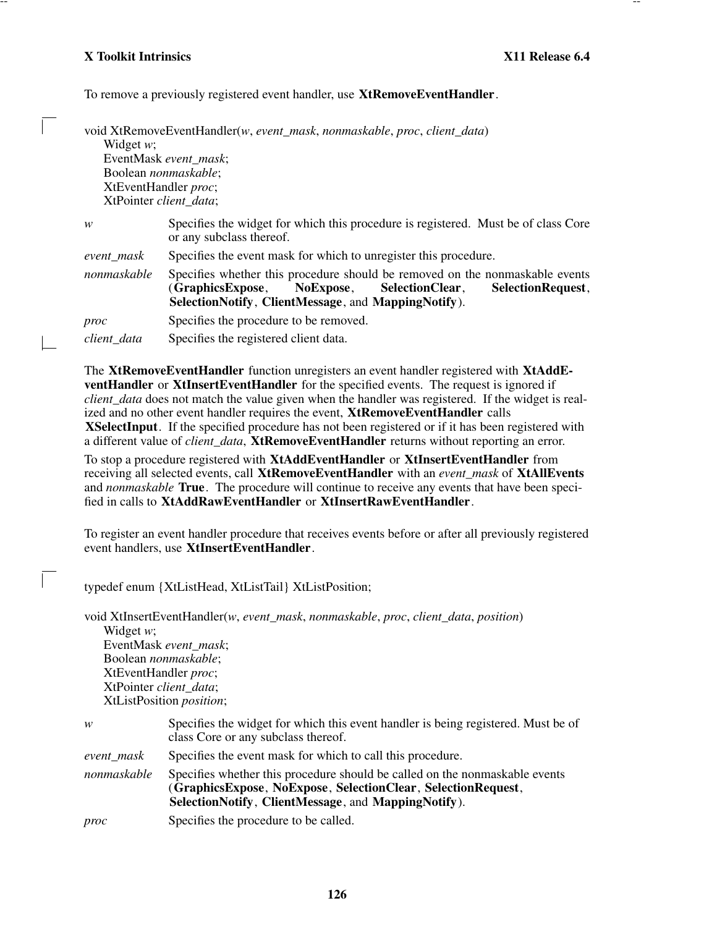To remove a previously registered event handler, use **XtRemoveEventHandler**.

-- --

| void XtRemoveEventHandler(w, event_mask, nonmaskable, proc, client_data)<br>Widget $w$ ;<br>EventMask event mask;<br>Boolean nonmaskable;<br>XtEventHandler proc;<br>XtPointer client data; |                                                                                                                                                                                                        |
|---------------------------------------------------------------------------------------------------------------------------------------------------------------------------------------------|--------------------------------------------------------------------------------------------------------------------------------------------------------------------------------------------------------|
| w                                                                                                                                                                                           | Specifies the widget for which this procedure is registered. Must be of class Core<br>or any subclass thereof.                                                                                         |
| event_mask                                                                                                                                                                                  | Specifies the event mask for which to unregister this procedure.                                                                                                                                       |
| nonmaskable                                                                                                                                                                                 | Specifies whether this procedure should be removed on the nonmaskable events<br>(GraphicsExpose, NoExpose, SelectionClear,<br>SelectionRequest,<br>SelectionNotify, ClientMessage, and MappingNotify). |
| proc                                                                                                                                                                                        | Specifies the procedure to be removed.                                                                                                                                                                 |
| client data                                                                                                                                                                                 | Specifies the registered client data.                                                                                                                                                                  |

The **XtRemoveEventHandler** function unregisters an event handler registered with **XtAddEventHandler** or **XtInsertEventHandler** for the specified events. The request is ignored if *client\_data* does not match the value given when the handler was registered. If the widget is realized and no other event handler requires the event, **XtRemoveEventHandler** calls **XSelectInput**. If the specified procedure has not been registered or if it has been registered with a different value of *client\_data*, **XtRemoveEventHandler** returns without reporting an error.

To stop a procedure registered with **XtAddEventHandler** or **XtInsertEventHandler** from receiving all selected events, call **XtRemoveEventHandler** with an *event\_mask* of **XtAllEvents** and *nonmaskable* **True**. The procedure will continue to receive any events that have been specified in calls to **XtAddRawEventHandler** or **XtInsertRawEventHandler**.

To register an event handler procedure that receives events before or after all previously registered ev ent handlers, use **XtInsertEventHandler**.

typedef enum {XtListHead, XtListTail} XtListPosition;

 $\Box$ 

void XtInsertEventHandler(*w*, *event\_mask*, *nonmaskable*, *proc*, *client\_data*, *position*) Widget *w*; EventMask *event\_mask*; Boolean *nonmaskable*; XtEventHandler *proc*; XtPointer *client\_data*; XtListPosition *position*;

| w           | Specifies the widget for which this event handler is being registered. Must be of<br>class Core or any subclass thereof.                                                                           |
|-------------|----------------------------------------------------------------------------------------------------------------------------------------------------------------------------------------------------|
| event_mask  | Specifies the event mask for which to call this procedure.                                                                                                                                         |
| nonmaskable | Specifies whether this procedure should be called on the nonmaskable events<br>(GraphicsExpose, NoExpose, SelectionClear, SelectionRequest,<br>SelectionNotify, ClientMessage, and MappingNotify). |
| proc        | Specifies the procedure to be called.                                                                                                                                                              |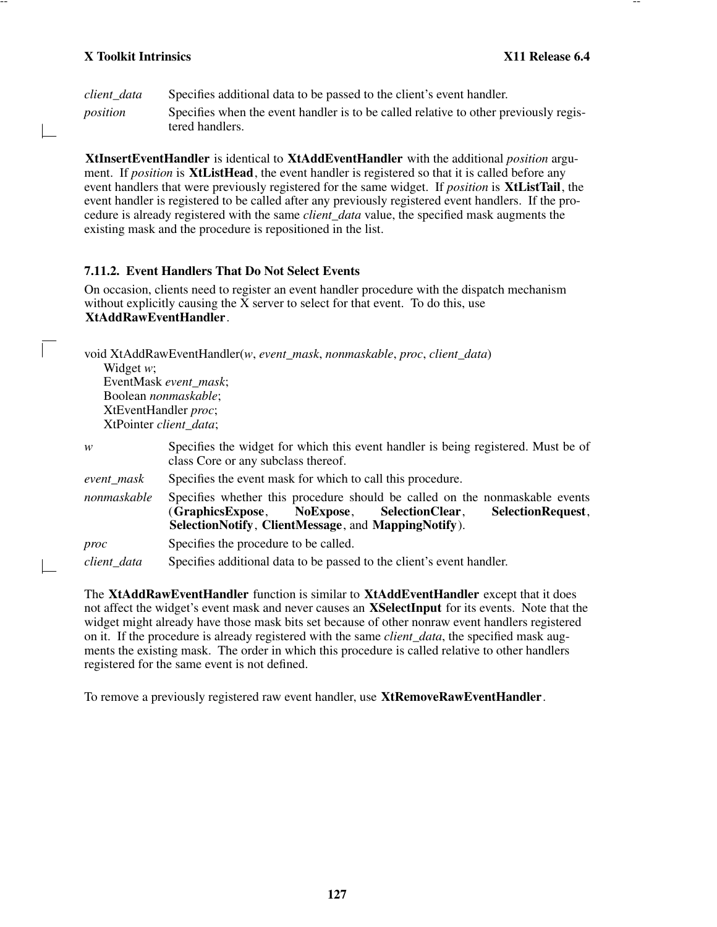*client\_data* Specifies additional data to be passed to the client's event handler.

*position* Specifies when the event handler is to be called relative to other previously registered handlers.

-- --

**XtInsertEventHandler** is identical to **XtAddEventHandler** with the additional *position* argument. If *position* is **XtListHead**, the event handler is registered so that it is called before any ev ent handlers that were previously registered for the same widget. If *position* is **XtListTail**, the event handler is registered to be called after any previously registered event handlers. If the procedure is already registered with the same *client\_data* value, the specified mask augments the existing mask and the procedure is repositioned in the list.

# **7.11.2. Event Handlers That Do Not Select Events**

On occasion, clients need to register an event handler procedure with the dispatch mechanism without explicitly causing the X server to select for that event. To do this, use **XtAddRawEventHandler**.

void XtAddRawEventHandler(*w*, *event\_mask*, *nonmaskable*, *proc*, *client\_data*) Widget *w*; EventMask *event\_mask*; Boolean *nonmaskable*; XtEventHandler *proc*; XtPointer *client\_data*;

| W           | Specifies the widget for which this event handler is being registered. Must be of<br>class Core or any subclass thereof.                                                                                        |
|-------------|-----------------------------------------------------------------------------------------------------------------------------------------------------------------------------------------------------------------|
| event mask  | Specifies the event mask for which to call this procedure.                                                                                                                                                      |
| nonmaskable | Specifies whether this procedure should be called on the nonmaskable events<br>(GraphicsExpose,<br>NoExpose, SelectionClear,<br><b>SelectionRequest,</b><br>SelectionNotify, ClientMessage, and MappingNotify). |
| proc        | Specifies the procedure to be called.                                                                                                                                                                           |
| client_data | Specifies additional data to be passed to the client's event handler.                                                                                                                                           |

The **XtAddRawEventHandler** function is similar to **XtAddEventHandler** except that it does not affect the widget's event mask and never causes an **XSelectInput** for its events. Note that the widget might already have those mask bits set because of other nonraw event handlers registered on it. If the procedure is already registered with the same *client\_data*, the specified mask augments the existing mask. The order in which this procedure is called relative to other handlers registered for the same event is not defined.

To remove a previously registered raw event handler, use **XtRemoveRawEventHandler**.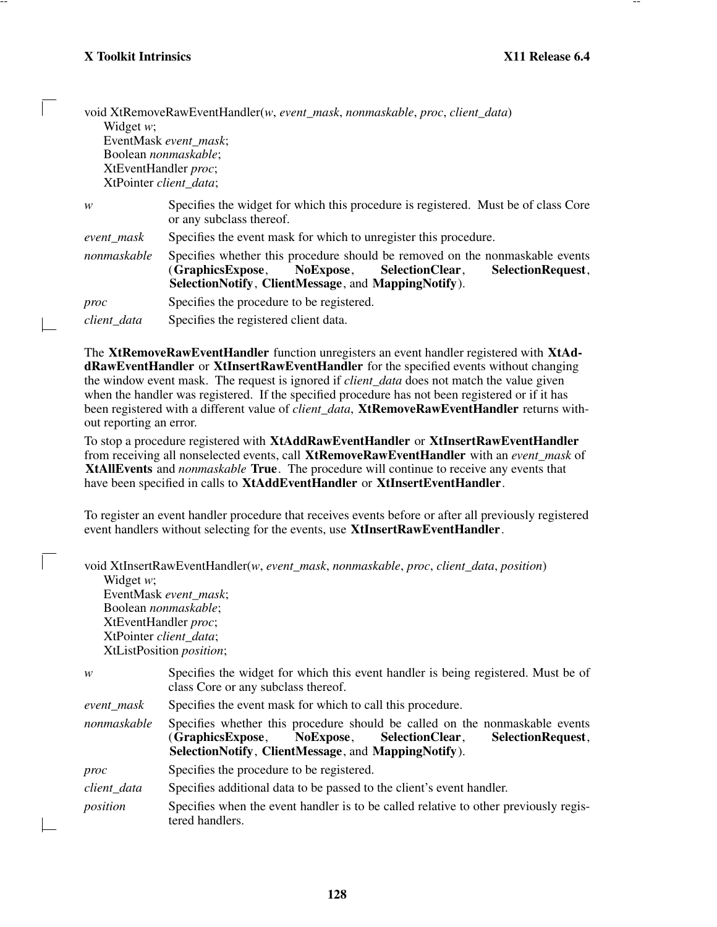| Widget $w$ ;<br>Boolean <i>nonmaskable</i> ;<br>XtEventHandler proc; | void XtRemoveRawEventHandler(w, event_mask, nonmaskable, proc, client_data)<br>EventMask event mask;                                                                                                   |
|----------------------------------------------------------------------|--------------------------------------------------------------------------------------------------------------------------------------------------------------------------------------------------------|
| XtPointer client_data;                                               |                                                                                                                                                                                                        |
| w                                                                    | Specifies the widget for which this procedure is registered. Must be of class Core<br>or any subclass thereof.                                                                                         |
| event_mask                                                           | Specifies the event mask for which to unregister this procedure.                                                                                                                                       |
| nonmaskable                                                          | Specifies whether this procedure should be removed on the nonmaskable events<br>(GraphicsExpose, NoExpose, SelectionClear,<br>SelectionRequest,<br>SelectionNotify, ClientMessage, and MappingNotify). |
| proc                                                                 | Specifies the procedure to be registered.                                                                                                                                                              |
| client_data                                                          | Specifies the registered client data.                                                                                                                                                                  |

-- --

The **XtRemoveRawEventHandler** function unregisters an event handler registered with **XtAddRawEventHandler** or **XtInsertRawEventHandler** for the specified events without changing the window event mask. The request is ignored if *client\_data* does not match the value given when the handler was registered. If the specified procedure has not been registered or if it has been registered with a different value of *client\_data*, **XtRemoveRawEventHandler** returns without reporting an error.

To stop a procedure registered with **XtAddRawEventHandler** or **XtInsertRawEventHandler** from receiving all nonselected events, call **XtRemoveRawEventHandler** with an *event\_mask* of **XtAllEvents** and *nonmaskable* **True**. The procedure will continue to receive any events that have been specified in calls to **XtAddEventHandler** or **XtInsertEventHandler**.

To register an event handler procedure that receives events before or after all previously registered event handlers without selecting for the events, use **XtInsertRawEventHandler**.

void XtInsertRawEventHandler(*w*, *event\_mask*, *nonmaskable*, *proc*, *client\_data*, *position*) Widget *w*; EventMask *event\_mask*; Boolean *nonmaskable*; XtEventHandler *proc*; XtPointer *client\_data*; XtListPosition *position*; *w* Specifies the widget for which this event handler is being registered. Must be of class Core or any subclass thereof. *event\_mask* Specifies the event mask for which to call this procedure. *nonmaskable* Specifies whether this procedure should be called on the nonmaskable events (**GraphicsExpose**, **NoExpose**, **SelectionClear**, **SelectionRequest**, **SelectionNotify**, **ClientMessage**, and **MappingNotify**). *proc* Specifies the procedure to be registered. *client\_data* Specifies additional data to be passed to the client's event handler. *position* Specifies when the event handler is to be called relative to other previously registered handlers.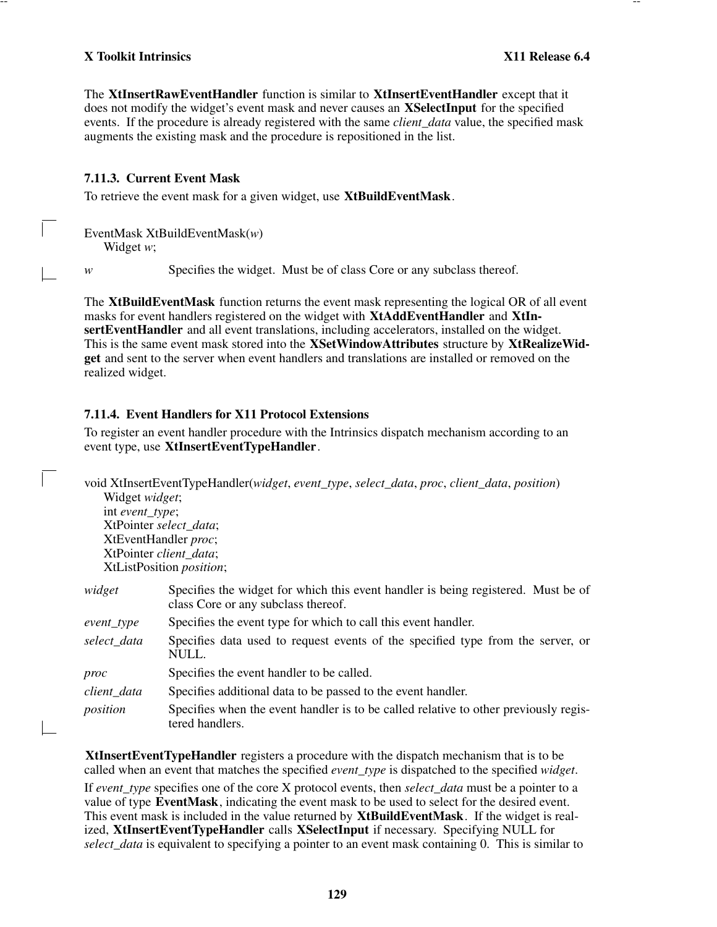The **XtInsertRawEventHandler** function is similar to **XtInsertEventHandler** except that it does not modify the widget's event mask and never causes an **XSelectInput** for the specified events. If the procedure is already registered with the same *client\_data* value, the specified mask augments the existing mask and the procedure is repositioned in the list.

-- --

## **7.11.3. Current Event Mask**

To retrieve the event mask for a given widget, use **XtBuildEventMask**.

EventMask XtBuildEventMask(*w*) Widget *w*;

*w* Specifies the widget. Must be of class Core or any subclass thereof.

The **XtBuildEventMask** function returns the event mask representing the logical OR of all event masks for event handlers registered on the widget with **XtAddEventHandler** and **XtInsertEventHandler** and all event translations, including accelerators, installed on the widget. This is the same event mask stored into the **XSetWindowAttributes** structure by **XtRealizeWidget** and sent to the server when event handlers and translations are installed or removed on the realized widget.

## **7.11.4. Event Handlers for X11 Protocol Extensions**

To register an event handler procedure with the Intrinsics dispatch mechanism according to an event type, use **XtInsertEventTypeHandler**.

void XtInsertEventTypeHandler(*widget*, *event\_type*, *select\_data*, *proc*, *client\_data*, *position*) Widget *widget*; int *event\_type*; XtPointer *select\_data*; XtEventHandler *proc*; XtPointer *client\_data*; XtListPosition *position*;

| widget      | Specifies the widget for which this event handler is being registered. Must be of<br>class Core or any subclass thereof. |
|-------------|--------------------------------------------------------------------------------------------------------------------------|
| event_type  | Specifies the event type for which to call this event handler.                                                           |
| select data | Specifies data used to request events of the specified type from the server, or<br>NULL.                                 |
| proc        | Specifies the event handler to be called.                                                                                |
| client data | Specifies additional data to be passed to the event handler.                                                             |
| position    | Specifies when the event handler is to be called relative to other previously regis-<br>tered handlers.                  |

**XtInsertEventTypeHandler** registers a procedure with the dispatch mechanism that is to be called when an event that matches the specified *event\_type* is dispatched to the specified *widget*.

If *event\_type* specifies one of the core X protocol events, then *select\_data* must be a pointer to a value of type **EventMask**, indicating the event mask to be used to select for the desired event. This event mask is included in the value returned by **XtBuildEventMask**. If the widget is realized, **XtInsertEventTypeHandler** calls **XSelectInput** if necessary. Specifying NULL for *select data* is equivalent to specifying a pointer to an event mask containing 0. This is similar to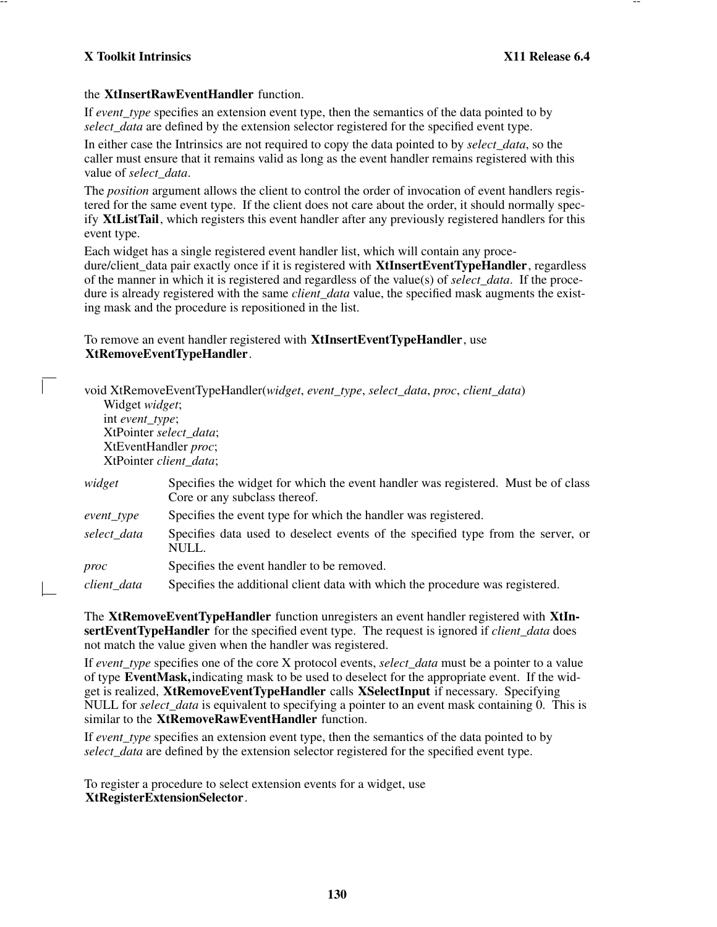# the **XtInsertRawEventHandler** function.

If *event\_type* specifies an extension event type, then the semantics of the data pointed to by *select data* are defined by the extension selector registered for the specified event type.

-- --

In either case the Intrinsics are not required to copy the data pointed to by *select\_data*, so the caller must ensure that it remains valid as long as the event handler remains registered with this value of *select\_data*.

The *position* argument allows the client to control the order of invocation of event handlers registered for the same event type. If the client does not care about the order, it should normally specify **XtListTail**, which registers this event handler after any previously registered handlers for this event type.

Each widget has a single registered event handler list, which will contain any proce-

dure/client data pair exactly once if it is registered with **XtInsertEventTypeHandler**, regardless of the manner in which it is registered and regardless of the value(s) of *select\_data*. If the procedure is already registered with the same *client\_data* value, the specified mask augments the existing mask and the procedure is repositioned in the list.

# To remove an event handler registered with **XtInsertEventTypeHandler**, use **XtRemoveEventTypeHandler**.

| Widget <i>widget</i> ;<br>int event_type;<br>XtPointer select data;<br>XtEventHandler <i>proc</i> ;<br>XtPointer client data; | void XtRemoveEventTypeHandler(widget, event_type, select_data, proc, client_data)                                  |
|-------------------------------------------------------------------------------------------------------------------------------|--------------------------------------------------------------------------------------------------------------------|
| widget                                                                                                                        | Specifies the widget for which the event handler was registered. Must be of class<br>Core or any subclass thereof. |
| event_type                                                                                                                    | Specifies the event type for which the handler was registered.                                                     |
| select data                                                                                                                   | Specifies data used to deselect events of the specified type from the server, or<br>NULL.                          |

*proc* Specifies the event handler to be removed.

*client\_data* Specifies the additional client data with which the procedure was registered.

The **XtRemoveEventTypeHandler** function unregisters an event handler registered with **XtInsertEventTypeHandler** for the specified event type. The request is ignored if *client\_data* does not match the value given when the handler was registered.

If *event\_type* specifies one of the core X protocol events, *select\_data* must be a pointer to a value of type **EventMask,**indicating mask to be used to deselect for the appropriate event. If the widget is realized, **XtRemoveEventTypeHandler** calls **XSelectInput** if necessary. Specifying NULL for *select\_data* is equivalent to specifying a pointer to an event mask containing 0. This is similar to the **XtRemoveRawEventHandler** function.

If *event* type specifies an extension event type, then the semantics of the data pointed to by *select\_data* are defined by the extension selector registered for the specified event type.

To register a procedure to select extension events for a widget, use **XtRegisterExtensionSelector**.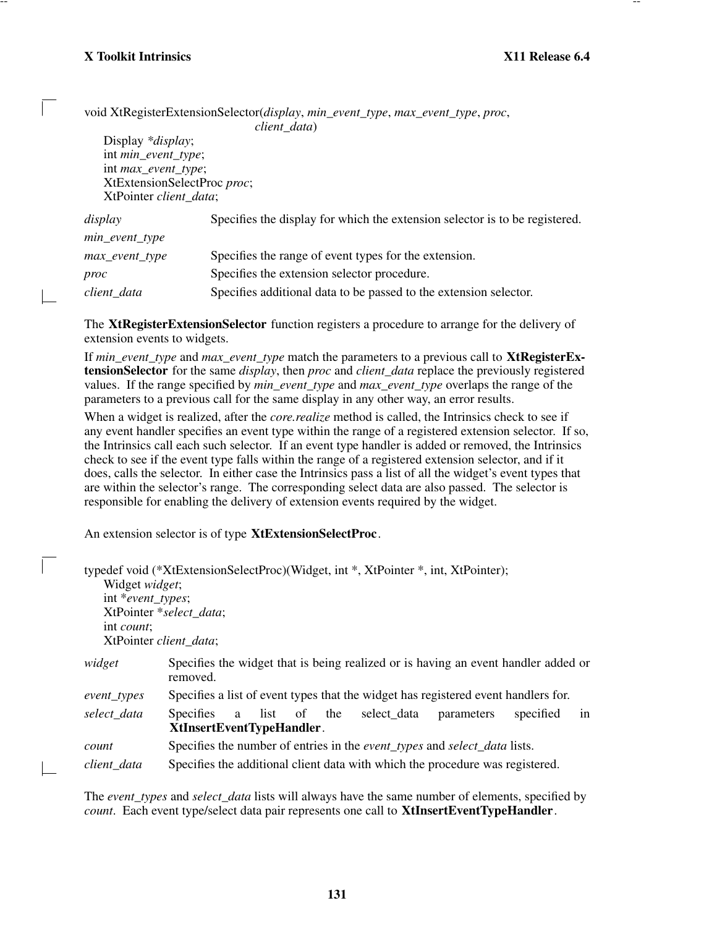$\mathbf{L}$ 

void XtRegisterExtensionSelector(*display*, *min\_event\_type*, *max\_event\_type*, *proc*, *client\_data*) Display *\*display*; int *min\_event\_type*; int *max\_event\_type*; XtExtensionSelectProc *proc*; XtPointer *client\_data*; *display* Specifies the display for which the extension selector is to be registered. *min\_event\_type*

-- --

| <i>nun</i> event type |                                                                   |
|-----------------------|-------------------------------------------------------------------|
| max event type        | Specifies the range of event types for the extension.             |
| proc                  | Specifies the extension selector procedure.                       |
| client data           | Specifies additional data to be passed to the extension selector. |

The **XtRegisterExtensionSelector** function registers a procedure to arrange for the delivery of extension events to widgets.

If *min\_event\_type* and *max\_event\_type* match the parameters to a previous call to **XtRegisterExtensionSelector** for the same *display*, then *proc* and *client\_data* replace the previously registered values. If the range specified by *min\_event\_type* and *max\_event\_type* overlaps the range of the parameters to a previous call for the same display in any other way, an error results.

When a widget is realized, after the *core.realize* method is called, the Intrinsics check to see if any event handler specifies an event type within the range of a registered extension selector. If so, the Intrinsics call each such selector. If an event type handler is added or removed, the Intrinsics check to see if the event type falls within the range of a registered extension selector, and if it does, calls the selector. In either case the Intrinsics pass a list of all the widget's event types that are within the selector's range. The corresponding select data are also passed. The selector is responsible for enabling the delivery of extension events required by the widget.

An extension selector is of type **XtExtensionSelectProc**.

| Widget <i>widget</i> ;<br>int *event_types;<br>int <i>count</i> ;<br>XtPointer client_data; | typedef void (*XtExtensionSelectProc)(Widget, int *, XtPointer *, int, XtPointer);<br>XtPointer *select data; |
|---------------------------------------------------------------------------------------------|---------------------------------------------------------------------------------------------------------------|
| widget                                                                                      | Specifies the widget that is being realized or is having an event handler added or<br>removed.                |
| event types                                                                                 | Specifies a list of event types that the widget has registered event handlers for.                            |
| select data                                                                                 | a list of the select data<br>specified<br><b>Specifies</b><br>parameters<br>in<br>XtInsertEventTypeHandler.   |
| count                                                                                       | Specifies the number of entries in the <i>event_types</i> and <i>select_data</i> lists.                       |
| client data                                                                                 | Specifies the additional client data with which the procedure was registered.                                 |

The *event\_types* and *select\_data* lists will always have the same number of elements, specified by *count*. Each event type/select data pair represents one call to **XtInsertEventTypeHandler**.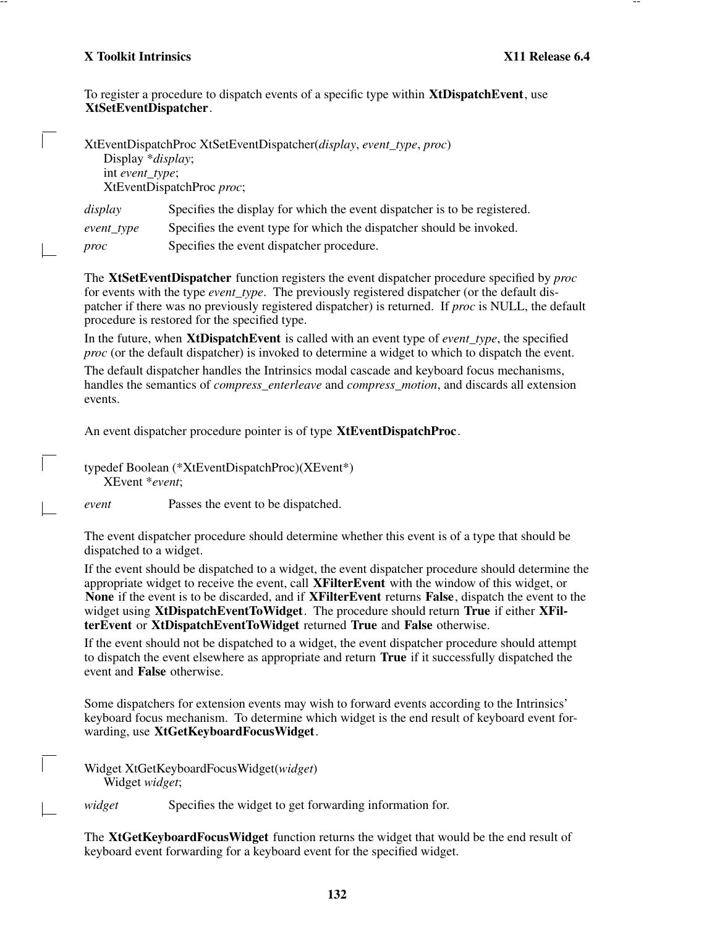To register a procedure to dispatch events of a specific type within **XtDispatchEvent**, use **XtSetEventDispatcher**.

-- --

XtEventDispatchProc XtSetEventDispatcher(*display*, *event\_type*, *proc*) Display \**display*; int *event\_type*; XtEventDispatchProc *proc*; *display* Specifies the display for which the event dispatcher is to be registered. *event type* Specifies the event type for which the dispatcher should be invoked. *proc* Specifies the event dispatcher procedure.

The **XtSetEventDispatcher** function registers the event dispatcher procedure specified by *proc* for events with the type *event\_type*. The previously registered dispatcher (or the default dispatcher if there was no previously registered dispatcher) is returned. If *proc* is NULL, the default procedure is restored for the specified type.

In the future, when **XtDispatchEvent** is called with an event type of *event\_type*, the specified *proc* (or the default dispatcher) is invoked to determine a widget to which to dispatch the event.

The default dispatcher handles the Intrinsics modal cascade and keyboard focus mechanisms, handles the semantics of *compress\_enterleave* and *compress\_motion*, and discards all extension events.

An event dispatcher procedure pointer is of type **XtEventDispatchProc**.

typedef Boolean (\*XtEventDispatchProc)(XEvent\*) XEvent \**event*;

*event* Passes the event to be dispatched.

The event dispatcher procedure should determine whether this event is of a type that should be dispatched to a widget.

If the event should be dispatched to a widget, the event dispatcher procedure should determine the appropriate widget to receive the event, call **XFilterEvent** with the window of this widget, or **None** if the event is to be discarded, and if **XFilterEvent** returns **False**, dispatch the event to the widget using **XtDispatchEventToWidget**. The procedure should return **True** if either **XFilterEvent** or **XtDispatchEventToWidget** returned **True** and **False** otherwise.

If the event should not be dispatched to a widget, the event dispatcher procedure should attempt to dispatch the event elsewhere as appropriate and return **True** if it successfully dispatched the event and **False** otherwise.

Some dispatchers for extension events may wish to forward events according to the Intrinsics' keyboard focus mechanism. To determine which widget is the end result of keyboard event forwarding, use **XtGetKeyboardFocusWidget**.

Widget XtGetKeyboardFocusWidget(*widget*) Widget *widget*;

*widget* Specifies the widget to get forwarding information for.

The **XtGetKeyboardFocusWidget** function returns the widget that would be the end result of keyboard event forwarding for a keyboard event for the specified widget.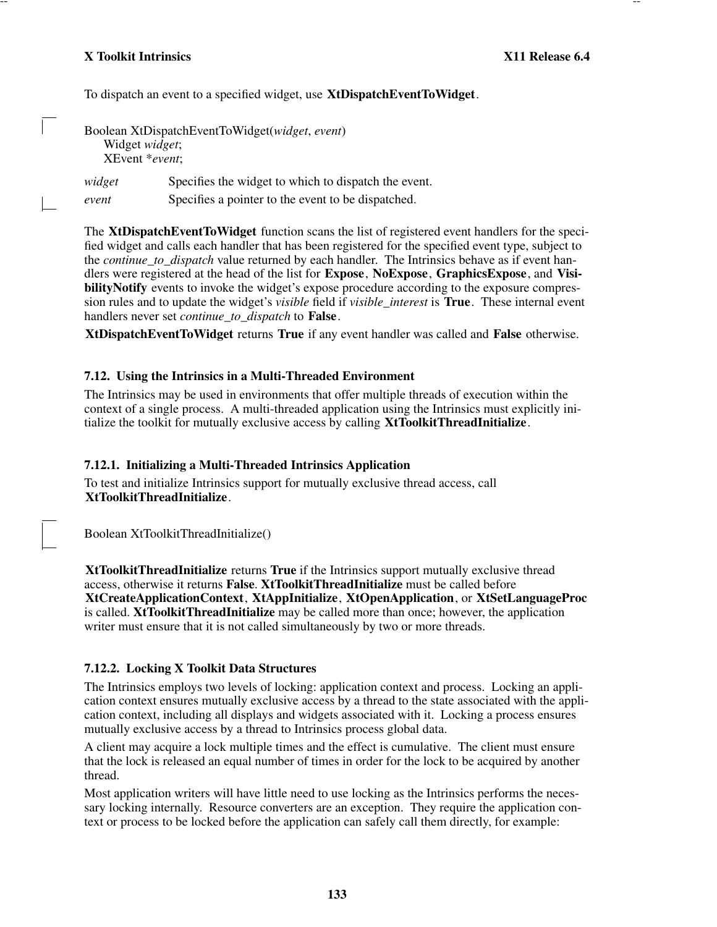To dispatch an event to a specified widget, use **XtDispatchEventToWidget**.

-- --

```
Boolean XtDispatchEventToWidget(widget, event)
   Widget widget;
   XEvent *event;
```
*widget* Specifies the widget to which to dispatch the event. *event* Specifies a pointer to the event to be dispatched.

The **XtDispatchEventToWidget** function scans the list of registered event handlers for the specified widget and calls each handler that has been registered for the specified event type, subject to the *continue\_to\_dispatch* value returned by each handler. The Intrinsics behave as if event handlers were registered at the head of the list for **Expose**, **NoExpose**, **GraphicsExpose**, and **VisibilityNotify** events to invoke the widget's expose procedure according to the exposure compression rules and to update the widget's *visible* field if *visible\_interest* is **True**. These internal event handlers never set *continue\_to\_dispatch* to **False**.

**XtDispatchEventToWidget** returns **True** if any event handler was called and **False** otherwise.

## **7.12. Using the Intrinsics in a Multi-Threaded Environment**

The Intrinsics may be used in environments that offer multiple threads of execution within the context of a single process. A multi-threaded application using the Intrinsics must explicitly initialize the toolkit for mutually exclusive access by calling **XtToolkitThreadInitialize**.

## **7.12.1. Initializing a Multi-Threaded Intrinsics Application**

To test and initialize Intrinsics support for mutually exclusive thread access, call **XtToolkitThreadInitialize**.

Boolean XtToolkitThreadInitialize()

**XtToolkitThreadInitialize** returns **True** if the Intrinsics support mutually exclusive thread access, otherwise it returns **False**. **XtToolkitThreadInitialize** must be called before **XtCreateApplicationContext**, **XtAppInitialize**, **XtOpenApplication**, or **XtSetLanguageProc** is called. **XtToolkitThreadInitialize** may be called more than once; however, the application writer must ensure that it is not called simultaneously by two or more threads.

#### **7.12.2. Locking X Toolkit Data Structures**

The Intrinsics employs two levels of locking: application context and process. Locking an application context ensures mutually exclusive access by a thread to the state associated with the application context, including all displays and widgets associated with it. Locking a process ensures mutually exclusive access by a thread to Intrinsics process global data.

A client may acquire a lock multiple times and the effect is cumulative. The client must ensure that the lock is released an equal number of times in order for the lock to be acquired by another thread.

Most application writers will have little need to use locking as the Intrinsics performs the necessary locking internally. Resource converters are an exception. They require the application context or process to be locked before the application can safely call them directly, for example: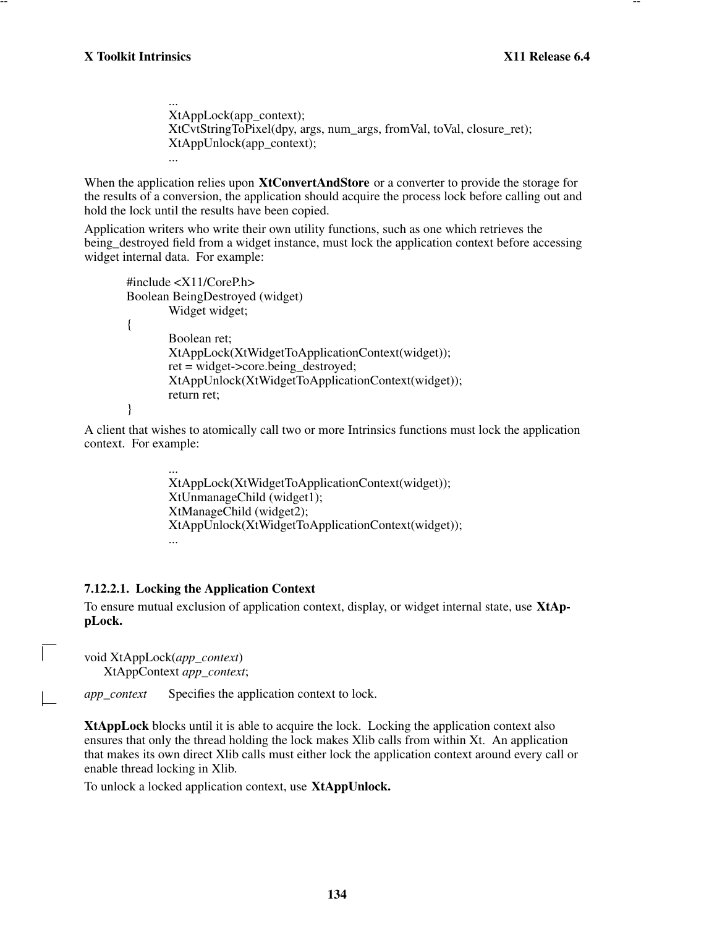... XtAppLock(app\_context); XtCvtStringToPixel(dpy, args, num\_args, fromVal, toVal, closure\_ret); XtAppUnlock(app\_context); ...

When the application relies upon **XtConvertAndStore** or a converter to provide the storage for the results of a conversion, the application should acquire the process lock before calling out and hold the lock until the results have been copied.

-- --

Application writers who write their own utility functions, such as one which retrieves the being\_destroyed field from a widget instance, must lock the application context before accessing widget internal data. For example:

```
#include <X11/CoreP.h>
Boolean BeingDestroyed (widget)
       Widget widget;
{
       Boolean ret;
       XtAppLock(XtWidgetToApplicationContext(widget));
       ret = widget->core.being_destroyed;
       XtAppUnlock(XtWidgetToApplicationContext(widget));
       return ret;
}
```
A client that wishes to atomically call two or more Intrinsics functions must lock the application context. For example:

> ... XtAppLock(XtWidgetToApplicationContext(widget)); XtUnmanageChild (widget1); XtManageChild (widget2); XtAppUnlock(XtWidgetToApplicationContext(widget)); ...

# **7.12.2.1. Locking the Application Context**

To ensure mutual exclusion of application context, display, or widget internal state, use **XtAppLock.**

void XtAppLock(*app\_context*) XtAppContext *app\_context*;

*app\_context* Specifies the application context to lock.

**XtAppLock** blocks until it is able to acquire the lock. Locking the application context also ensures that only the thread holding the lock makes Xlib calls from within Xt. An application that makes its own direct Xlib calls must either lock the application context around every call or enable thread locking in Xlib.

To unlock a locked application context, use **XtAppUnlock.**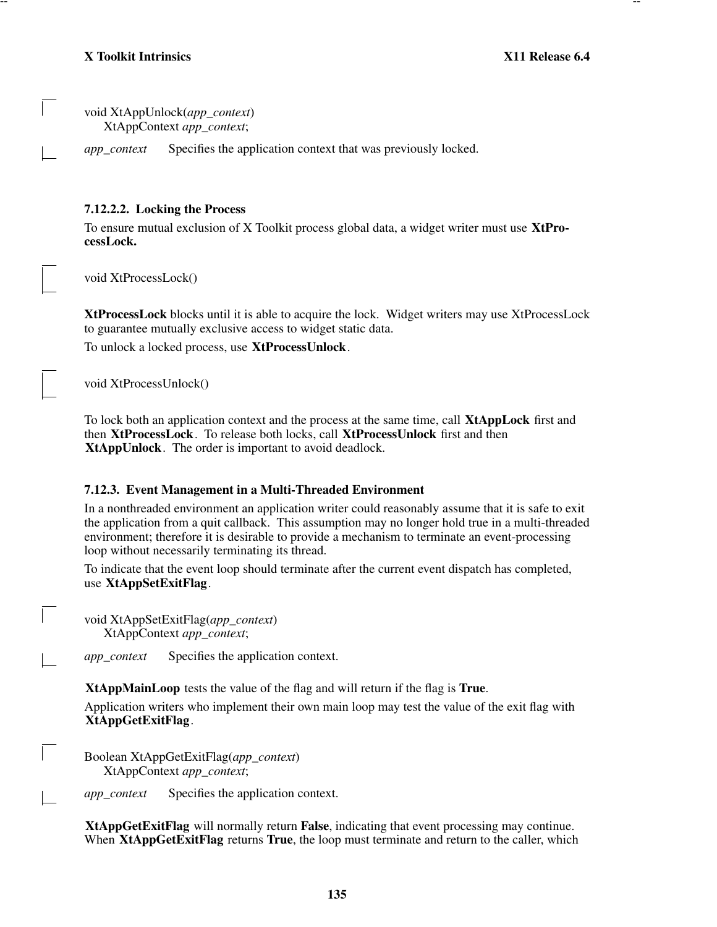void XtAppUnlock(*app\_context*) XtAppContext *app\_context*;

*app\_context* Specifies the application context that was previously locked.

#### **7.12.2.2. Locking the Process**

To ensure mutual exclusion of X Toolkit process global data, a widget writer must use **XtProcessLock.**

-- --

void XtProcessLock()

**XtProcessLock** blocks until it is able to acquire the lock. Widget writers may use XtProcessLock to guarantee mutually exclusive access to widget static data.

To unlock a locked process, use **XtProcessUnlock**.

void XtProcessUnlock()

To lock both an application context and the process at the same time, call **XtAppLock** first and then **XtProcessLock**. To release both locks, call **XtProcessUnlock** first and then **XtAppUnlock**. The order is important to avoid deadlock.

#### **7.12.3. Event Management in a Multi-Threaded Environment**

In a nonthreaded environment an application writer could reasonably assume that it is safe to exit the application from a quit callback. This assumption may no longer hold true in a multi-threaded environment; therefore it is desirable to provide a mechanism to terminate an event-processing loop without necessarily terminating its thread.

To indicate that the event loop should terminate after the current event dispatch has completed, use **XtAppSetExitFlag**.

void XtAppSetExitFlag(*app\_context*) XtAppContext *app\_context*;

*app\_context* Specifies the application context.

**XtAppMainLoop** tests the value of the flag and will return if the flag is **True**.

Application writers who implement their own main loop may test the value of the exit flag with **XtAppGetExitFlag**.

Boolean XtAppGetExitFlag(*app\_context*) XtAppContext *app\_context*;

*app\_context* Specifies the application context.

**XtAppGetExitFlag** will normally return **False**, indicating that event processing may continue. When **XtAppGetExitFlag** returns **True**, the loop must terminate and return to the caller, which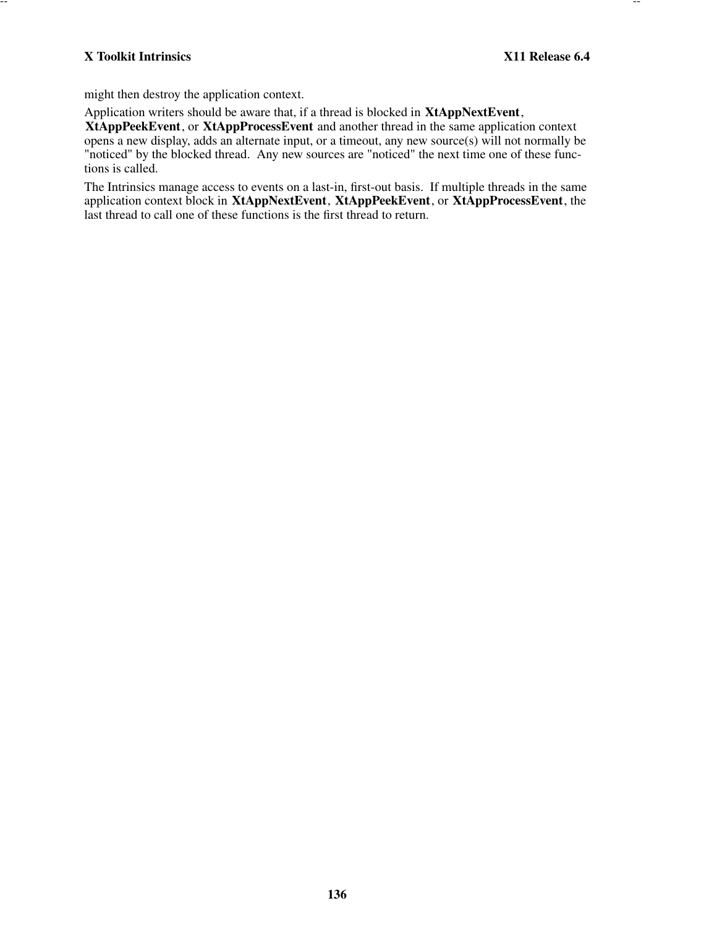might then destroy the application context.

Application writers should be aware that, if a thread is blocked in **XtAppNextEvent**,

-- --

**XtAppPeekEvent**, or **XtAppProcessEvent** and another thread in the same application context opens a new display, adds an alternate input, or a timeout, any new source(s) will not normally be "noticed" by the blocked thread. Any new sources are "noticed" the next time one of these functions is called.

The Intrinsics manage access to events on a last-in, first-out basis. If multiple threads in the same application context block in **XtAppNextEvent**, **XtAppPeekEvent**, or **XtAppProcessEvent**, the last thread to call one of these functions is the first thread to return.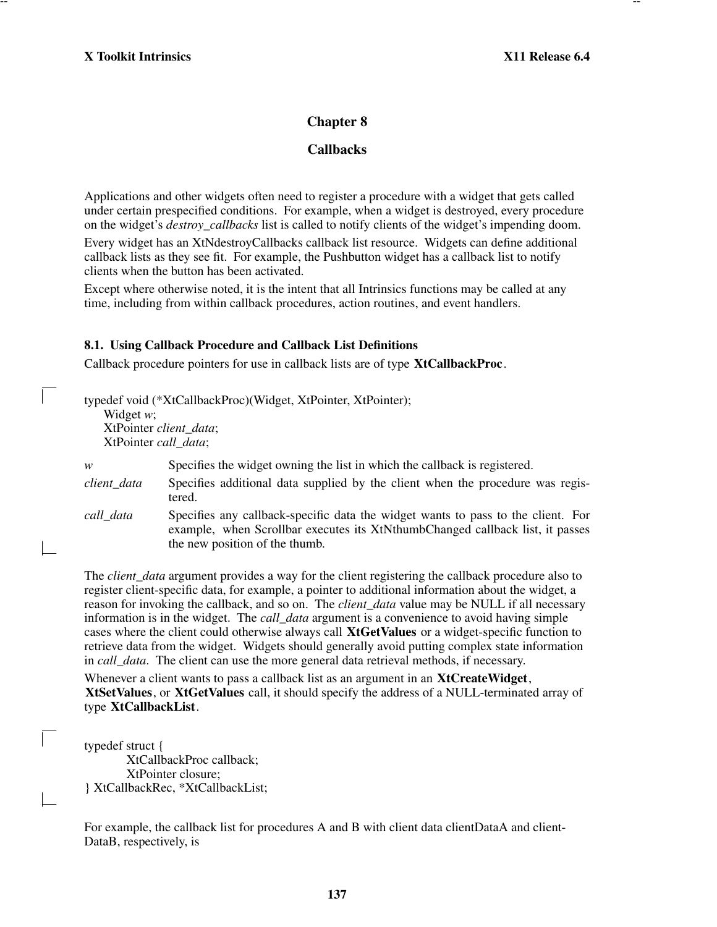# **Chapter 8**

-- --

# **Callbacks**

Applications and other widgets often need to register a procedure with a widget that gets called under certain prespecified conditions. For example, when a widget is destroyed, every procedure on the widget's *destroy\_callbacks* list is called to notify clients of the widget's impending doom.

Every widget has an XtNdestroyCallbacks callback list resource. Widgets can define additional callback lists as they see fit. For example, the Pushbutton widget has a callback list to notify clients when the button has been activated.

Except where otherwise noted, it is the intent that all Intrinsics functions may be called at any time, including from within callback procedures, action routines, and event handlers.

#### **8.1. Using Callback Procedure and Callback List Definitions**

Callback procedure pointers for use in callback lists are of type **XtCallbackProc**.

| Widget $w$ ; | typedef void (*XtCallbackProc)(Widget, XtPointer, XtPointer);<br>XtPointer client data;<br>XtPointer call_data;                                                                                     |
|--------------|-----------------------------------------------------------------------------------------------------------------------------------------------------------------------------------------------------|
| w            | Specifies the widget owning the list in which the callback is registered.                                                                                                                           |
| client_data  | Specifies additional data supplied by the client when the procedure was regis-<br>tered.                                                                                                            |
| call data    | Specifies any callback-specific data the widget wants to pass to the client. For<br>example, when Scrollbar executes its XtNthumbChanged callback list, it passes<br>the new position of the thumb. |

The *client\_data* argument provides a way for the client registering the callback procedure also to register client-specific data, for example, a pointer to additional information about the widget, a reason for invoking the callback, and so on. The *client\_data* value may be NULL if all necessary information is in the widget. The *call\_data* argument is a convenience to avoid having simple cases where the client could otherwise always call **XtGetValues** or a widget-specific function to retrieve data from the widget. Widgets should generally avoid putting complex state information in *call data*. The client can use the more general data retrieval methods, if necessary.

Whenever a client wants to pass a callback list as an argument in an **XtCreateWidget**, **XtSetValues**, or **XtGetValues** call, it should specify the address of a NULL-terminated array of type **XtCallbackList**.

typedef struct { XtCallbackProc callback; XtPointer closure; } XtCallbackRec, \*XtCallbackList;

For example, the callback list for procedures A and B with client data clientDataA and client-DataB, respectively, is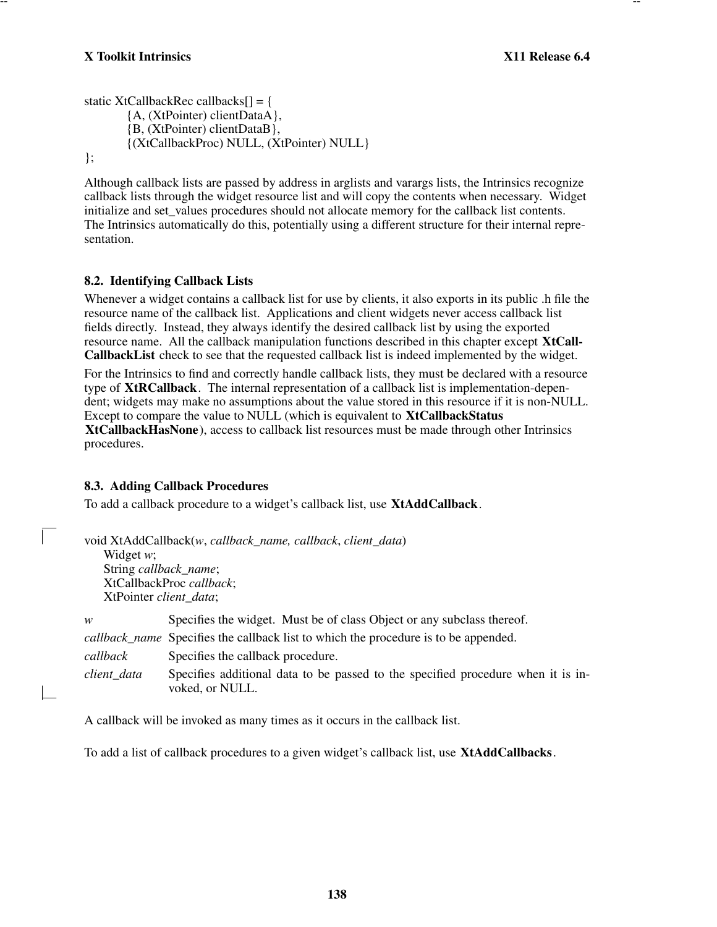```
static XtCallbackRec callbacks[] = {
       {A, (XtPointer) clientDataA},
       {B, (XtPointer) clientDataB},
       {(XtCallbackProc) NULL, (XtPointer) NULL}
```
};

Although callback lists are passed by address in arglists and varargs lists, the Intrinsics recognize callback lists through the widget resource list and will copy the contents when necessary. Widget initialize and set\_values procedures should not allocate memory for the callback list contents. The Intrinsics automatically do this, potentially using a different structure for their internal representation.

-- --

# **8.2. Identifying Callback Lists**

Whenever a widget contains a callback list for use by clients, it also exports in its public .h file the resource name of the callback list. Applications and client widgets never access callback list fields directly. Instead, they always identify the desired callback list by using the exported resource name. All the callback manipulation functions described in this chapter except **XtCall-CallbackList** check to see that the requested callback list is indeed implemented by the widget.

For the Intrinsics to find and correctly handle callback lists, they must be declared with a resource type of **XtRCallback**. The internal representation of a callback list is implementation-dependent; widgets may make no assumptions about the value stored in this resource if it is non-NULL. Except to compare the value to NULL (which is equivalent to **XtCallbackStatus XtCallbackHasNone**), access to callback list resources must be made through other Intrinsics procedures.

# **8.3. Adding Callback Procedures**

To add a callback procedure to a widget's callback list, use **XtAddCallback**.

| Widget $w$ ;<br>String callback_name;<br>XtPointer client data; | void XtAddCallback(w, callback_name, callback, client_data)<br>XtCallbackProc callback;             |
|-----------------------------------------------------------------|-----------------------------------------------------------------------------------------------------|
| w                                                               | Specifies the widget. Must be of class Object or any subclass thereof.                              |
|                                                                 | <i>callback_name</i> Specifies the callback list to which the procedure is to be appended.          |
| callback                                                        | Specifies the callback procedure.                                                                   |
| client data                                                     | Specifies additional data to be passed to the specified procedure when it is in-<br>voked, or NULL. |

A callback will be invoked as many times as it occurs in the callback list.

To add a list of callback procedures to a given widget's callback list, use **XtAddCallbacks**.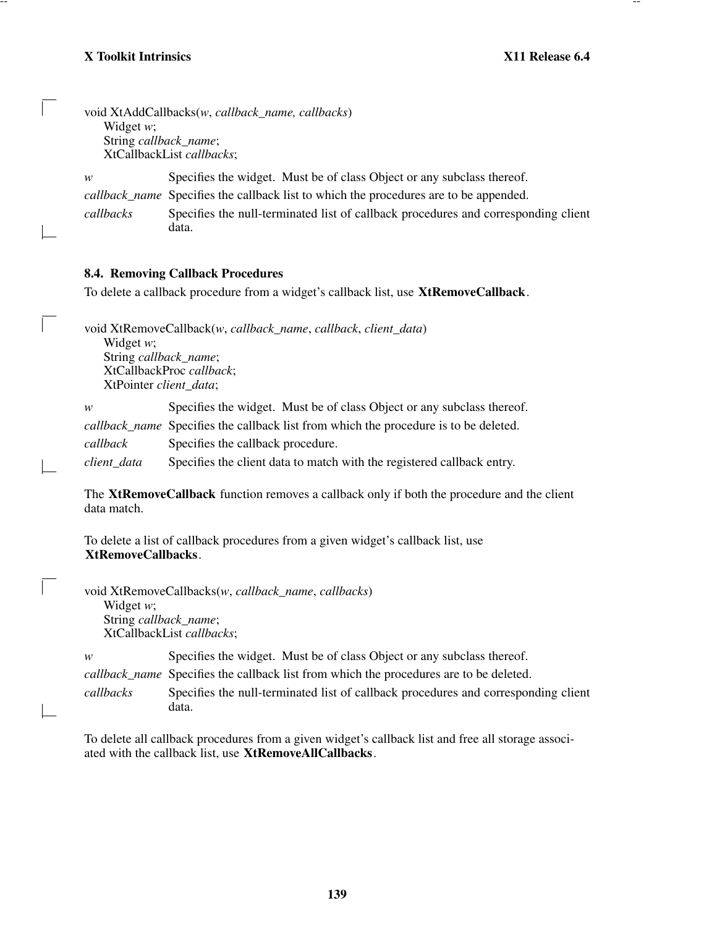$\mathbf{L}$ 

void XtAddCallbacks(*w*, *callback\_name, callbacks*) Widget *w*; String *callback\_name*; XtCallbackList *callbacks*;

*w* Specifies the widget. Must be of class Object or any subclass thereof. *callback\_name* Specifies the callback list to which the procedures are to be appended. *callbacks* Specifies the null-terminated list of callback procedures and corresponding client data.

-- --

#### **8.4. Removing Callback Procedures**

To delete a callback procedure from a widget's callback list, use **XtRemoveCallback**.

void XtRemoveCallback(*w*, *callback\_name*, *callback*, *client\_data*) Widget *w*; String *callback\_name*; XtCallbackProc *callback*; XtPointer *client\_data*;

| w           | Specifies the widget. Must be of class Object or any subclass thereof.                      |
|-------------|---------------------------------------------------------------------------------------------|
|             | <i>callback name</i> Specifies the callback list from which the procedure is to be deleted. |
| callback    | Specifies the callback procedure.                                                           |
| client data | Specifies the client data to match with the registered callback entry.                      |

The **XtRemoveCallback** function removes a callback only if both the procedure and the client data match.

To delete a list of callback procedures from a given widget's callback list, use **XtRemoveCallbacks**.

void XtRemoveCallbacks(*w*, *callback\_name*, *callbacks*) Widget *w*; String *callback\_name*; XtCallbackList *callbacks*;

*w* Specifies the widget. Must be of class Object or any subclass thereof.

*callback\_name* Specifies the callback list from which the procedures are to be deleted.

*callbacks* Specifies the null-terminated list of callback procedures and corresponding client data.

To delete all callback procedures from a given widget's callback list and free all storage associated with the callback list, use **XtRemoveAllCallbacks**.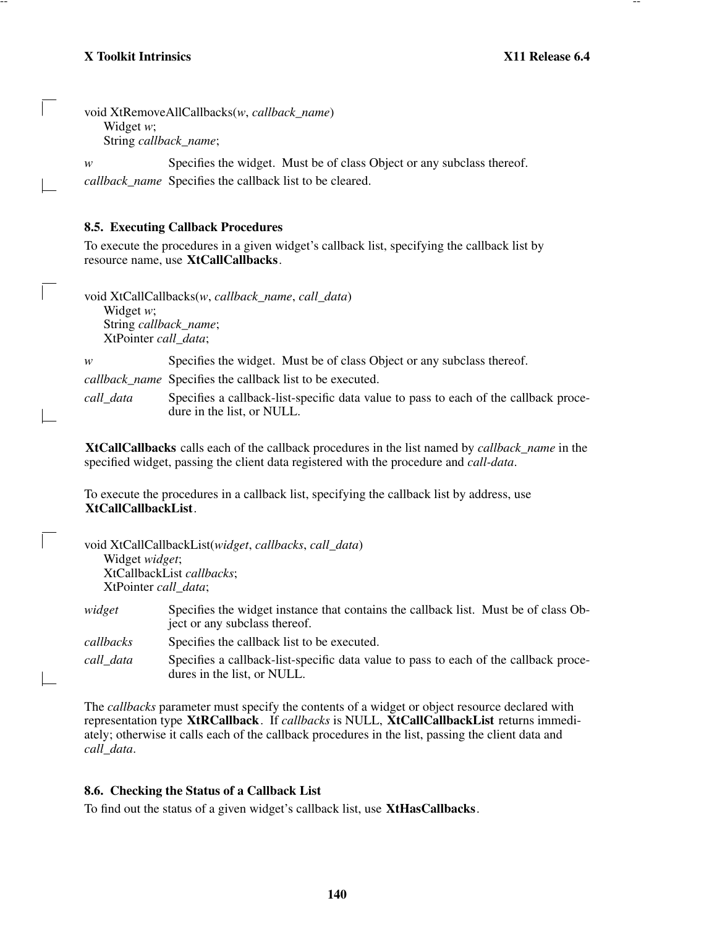$\mathsf{L}$ 

 $\mathsf{L}$ 

void XtRemoveAllCallbacks(*w*, *callback\_name*) Widget *w*; String *callback\_name*;

*w* Specifies the widget. Must be of class Object or any subclass thereof. *callback\_name* Specifies the callback list to be cleared.

-- --

#### **8.5. Executing Callback Procedures**

To execute the procedures in a given widget's callback list, specifying the callback list by resource name, use **XtCallCallbacks**.

void XtCallCallbacks(*w*, *callback\_name*, *call\_data*) Widget *w*; String *callback\_name*; XtPointer *call\_data*; *w* Specifies the widget. Must be of class Object or any subclass thereof. *callback\_name* Specifies the callback list to be executed. *call\_data* Specifies a callback-list-specific data value to pass to each of the callback procedure in the list, or NULL.

**XtCallCallbacks** calls each of the callback procedures in the list named by *callback\_name* in the specified widget, passing the client data registered with the procedure and *call-data*.

To execute the procedures in a callback list, specifying the callback list by address, use **XtCallCallbackList**.

| Widget widget; | void XtCallCallbackList(widget, callbacks, call_data)<br>XtCallbackList callbacks;<br>XtPointer call data;           |
|----------------|----------------------------------------------------------------------------------------------------------------------|
| widget         | Specifies the widget instance that contains the callback list. Must be of class Ob-<br>ject or any subclass thereof. |
| callbacks      | Specifies the callback list to be executed.                                                                          |
| call data      | Specifies a callback-list-specific data value to pass to each of the callback proce-<br>dures in the list, or NULL.  |

The *callbacks* parameter must specify the contents of a widget or object resource declared with representation type **XtRCallback**. If *callbacks* is NULL, **XtCallCallbackList** returns immediately; otherwise it calls each of the callback procedures in the list, passing the client data and *call\_data*.

#### **8.6. Checking the Status of a Callback List**

To find out the status of a given widget's callback list, use **XtHasCallbacks**.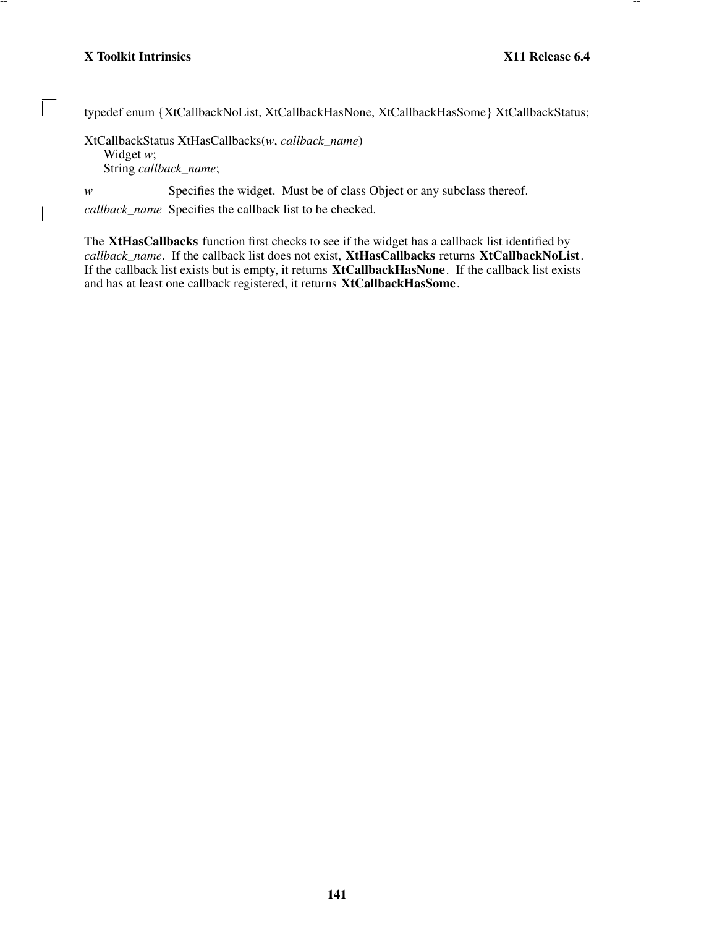$\overline{\Box}$ 

 $\mathbf{L}$ 

typedef enum {XtCallbackNoList, XtCallbackHasNone, XtCallbackHasSome} XtCallbackStatus;

-- --

XtCallbackStatus XtHasCallbacks(*w*, *callback\_name*) Widget *w*; String *callback\_name*;

*w* Specifies the widget. Must be of class Object or any subclass thereof.

*callback\_name* Specifies the callback list to be checked.

The **XtHasCallbacks** function first checks to see if the widget has a callback list identified by *callback\_name*. If the callback list does not exist, **XtHasCallbacks** returns **XtCallbackNoList**. If the callback list exists but is empty, it returns **XtCallbackHasNone**. If the callback list exists and has at least one callback registered, it returns **XtCallbackHasSome**.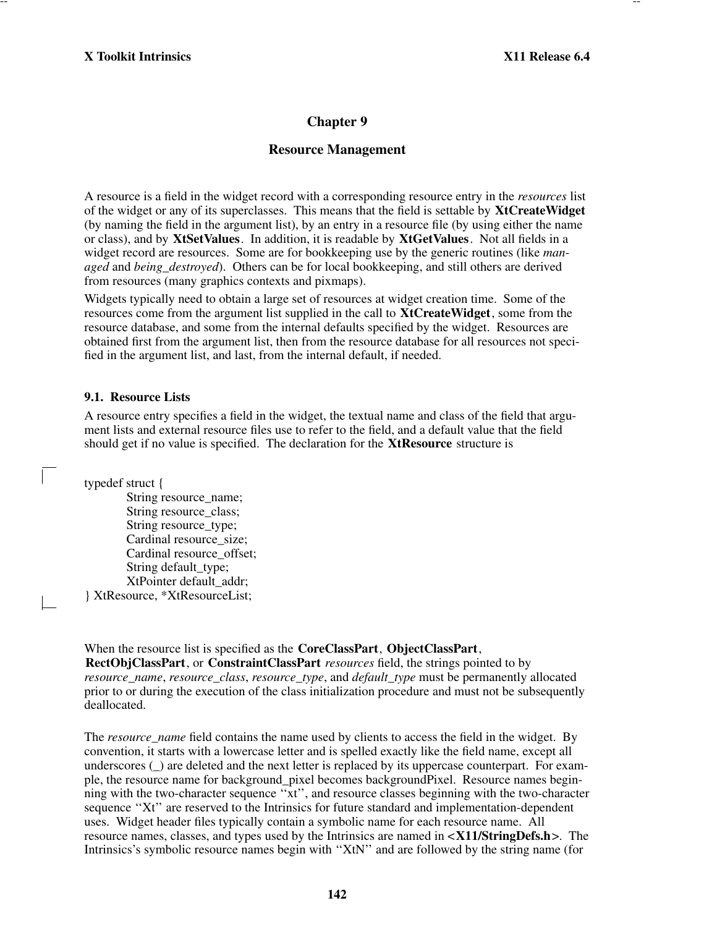## **Chapter 9**

-- --

#### **Resource Management**

A resource is a field in the widget record with a corresponding resource entry in the *resources* list of the widget or any of its superclasses. This means that the field is settable by **XtCreateWidget** (by naming the field in the argument list), by an entry in a resource file (by using either the name or class), and by **XtSetValues**. In addition, it is readable by **XtGetValues**. Not all fields in a widget record are resources. Some are for bookkeeping use by the generic routines (like *managed* and *being\_destroyed*). Others can be for local bookkeeping, and still others are derived from resources (many graphics contexts and pixmaps).

Widgets typically need to obtain a large set of resources at widget creation time. Some of the resources come from the argument list supplied in the call to **XtCreateWidget**, some from the resource database, and some from the internal defaults specified by the widget. Resources are obtained first from the argument list, then from the resource database for all resources not specified in the argument list, and last, from the internal default, if needed.

#### **9.1. Resource Lists**

A resource entry specifies a field in the widget, the textual name and class of the field that argument lists and external resource files use to refer to the field, and a default value that the field should get if no value is specified. The declaration for the **XtResource** structure is

typedef struct {

String resource name; String resource class; String resource type; Cardinal resource size; Cardinal resource\_offset; String default type; XtPointer default\_addr; } XtResource, \*XtResourceList;

When the resource list is specified as the **CoreClassPart**, **ObjectClassPart**, **RectObjClassPart**, or **ConstraintClassPart** *resources* field, the strings pointed to by *resource\_name*, *resource\_class*, *resource\_type*, and *default\_type* must be permanently allocated prior to or during the execution of the class initialization procedure and must not be subsequently deallocated.

The *resource\_name* field contains the name used by clients to access the field in the widget. By convention, it starts with a lowercase letter and is spelled exactly like the field name, except all underscores (\_) are deleted and the next letter is replaced by its uppercase counterpart. For example, the resource name for background\_pixel becomes backgroundPixel. Resource names beginning with the two-character sequence ''xt'', and resource classes beginning with the two-character sequence ''Xt'' are reserved to the Intrinsics for future standard and implementation-dependent uses. Widget header files typically contain a symbolic name for each resource name. All resource names, classes, and types used by the Intrinsics are named in <**X11/StringDefs.h**>. The Intrinsics's symbolic resource names begin with ''XtN'' and are followed by the string name (for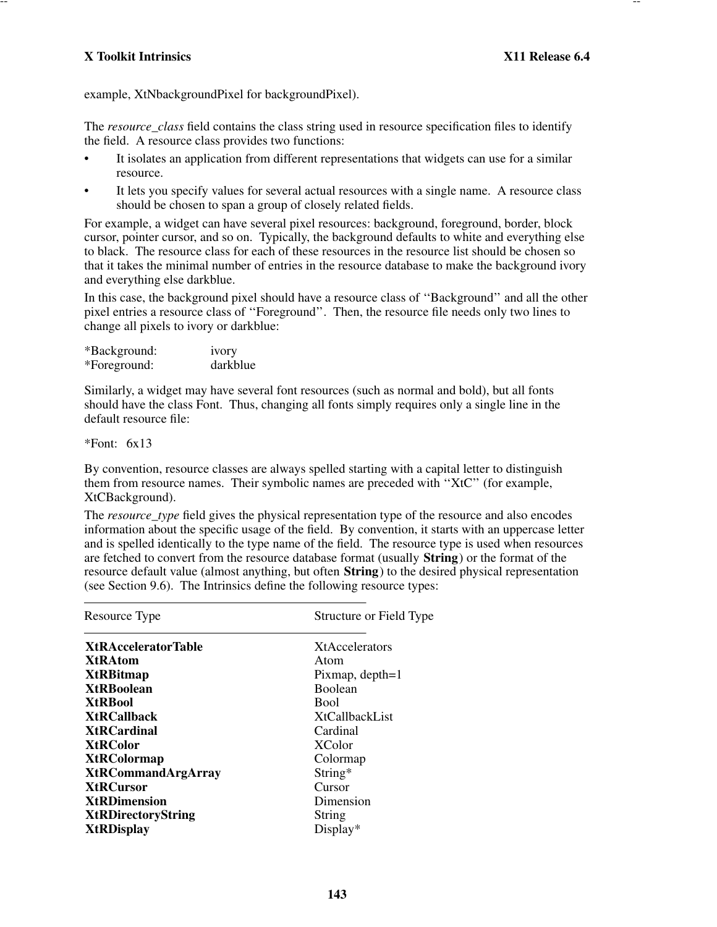example, XtNbackgroundPixel for backgroundPixel).

The *resource* class field contains the class string used in resource specification files to identify the field. A resource class provides two functions:

-- --

- It isolates an application from different representations that widgets can use for a similar resource.
- It lets you specify values for several actual resources with a single name. A resource class should be chosen to span a group of closely related fields.

For example, a widget can have several pixel resources: background, foreground, border, block cursor, pointer cursor, and so on. Typically, the background defaults to white and everything else to black. The resource class for each of these resources in the resource list should be chosen so that it takes the minimal number of entries in the resource database to make the background ivory and everything else darkblue.

In this case, the background pixel should have a resource class of ''Background'' and all the other pixel entries a resource class of ''Foreground''. Then, the resource file needs only two lines to change all pixels to ivory or darkblue:

| *Background: | 1VOTY    |
|--------------|----------|
| *Foreground: | darkblue |

Similarly, a widget may have several font resources (such as normal and bold), but all fonts should have the class Font. Thus, changing all fonts simply requires only a single line in the default resource file:

\*Font: 6x13

By convention, resource classes are always spelled starting with a capital letter to distinguish them from resource names. Their symbolic names are preceded with ''XtC'' (for example, XtCBackground).

The *resource\_type* field gives the physical representation type of the resource and also encodes information about the specific usage of the field. By convention, it starts with an uppercase letter and is spelled identically to the type name of the field. The resource type is used when resources are fetched to convert from the resource database format (usually **String**) or the format of the resource default value (almost anything, but often **String**) to the desired physical representation (see Section 9.6). The Intrinsics define the following resource types:

| Resource Type              | Structure or Field Type |  |
|----------------------------|-------------------------|--|
| <b>XtRAcceleratorTable</b> | <b>XtAccelerators</b>   |  |
| <b>XtRAtom</b>             | Atom                    |  |
| <b>XtRBitmap</b>           | Pixmap, depth= $1$      |  |
| <b>XtRBoolean</b>          | <b>Boolean</b>          |  |
| <b>XtRBool</b>             | <b>Bool</b>             |  |
| <b>XtRCallback</b>         | XtCallbackList          |  |
| <b>XtRCardinal</b>         | Cardinal                |  |
| <b>XtRColor</b>            | <b>XColor</b>           |  |
| <b>XtRColormap</b>         | Colormap                |  |
| <b>XtRCommandArgArray</b>  | String*                 |  |
| <b>XtRCursor</b>           | Cursor                  |  |
| <b>XtRDimension</b>        | Dimension               |  |
| <b>XtRDirectoryString</b>  | String                  |  |
| <b>XtRDisplay</b>          | $Display*$              |  |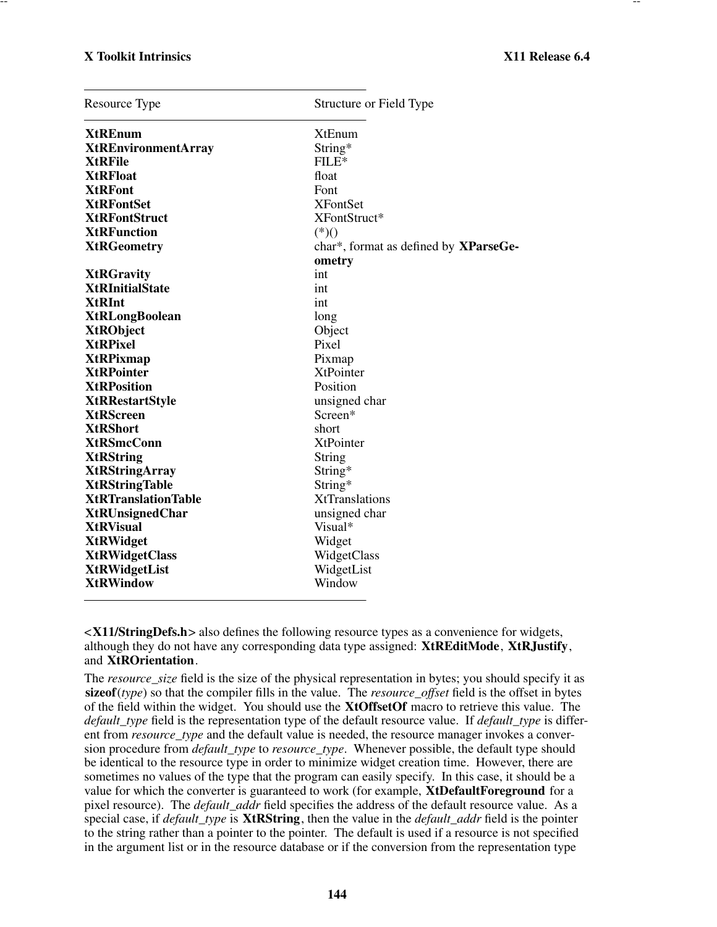| Resource Type              | Structure or Field Type                      |  |
|----------------------------|----------------------------------------------|--|
| <b>XtREnum</b>             | <b>XtEnum</b>                                |  |
| <b>XtREnvironmentArray</b> | String*                                      |  |
| <b>XtRFile</b>             | $FILE*$                                      |  |
| <b>XtRFloat</b>            | float                                        |  |
| <b>XtRFont</b>             | Font                                         |  |
| <b>XtRFontSet</b>          | <b>XFontSet</b>                              |  |
| <b>XtRFontStruct</b>       | XFontStruct*                                 |  |
| <b>XtRFunction</b>         | $(*)()$                                      |  |
| <b>XtRGeometry</b>         | char*, format as defined by <b>XParseGe-</b> |  |
|                            | ometry                                       |  |
| <b>XtRGravity</b>          | int                                          |  |
| <b>XtRInitialState</b>     | 1nt                                          |  |
| <b>XtRInt</b>              | 1nt                                          |  |
| <b>XtRLongBoolean</b>      | long                                         |  |
| <b>XtRObject</b>           | Object                                       |  |
| <b>XtRPixel</b>            | Pixel                                        |  |
| <b>XtRPixmap</b>           | Pixmap                                       |  |
| <b>XtRPointer</b>          | XtPointer                                    |  |
| <b>XtRPosition</b>         | Position                                     |  |
| <b>XtRRestartStyle</b>     | unsigned char                                |  |
| <b>XtRScreen</b>           | Screen*                                      |  |
| <b>XtRShort</b>            | short                                        |  |
| <b>XtRSmcConn</b>          | <b>XtPointer</b>                             |  |
| <b>XtRString</b>           | String                                       |  |
| <b>XtRStringArray</b>      | String*                                      |  |
| <b>XtRStringTable</b>      | String*                                      |  |
| <b>XtRTranslationTable</b> | XtTranslations                               |  |
| <b>XtRUnsignedChar</b>     | unsigned char                                |  |
| <b>XtRVisual</b>           | Visual*                                      |  |
| <b>XtRWidget</b>           | Widget                                       |  |
| <b>XtRWidgetClass</b>      | WidgetClass                                  |  |
| <b>XtRWidgetList</b>       | WidgetList                                   |  |
| <b>XtRWindow</b>           | Window                                       |  |
|                            |                                              |  |

-- --

<**X11/StringDefs.h**> also defines the following resource types as a convenience for widgets, although they do not have any corresponding data type assigned: **XtREditMode**, **XtRJustify**, and **XtROrientation**.

The *resource\_size* field is the size of the physical representation in bytes; you should specify it as **sizeof**(*type*) so that the compiler fills in the value. The *resource\_offset* field is the offset in bytes of the field within the widget. You should use the **XtOffsetOf** macro to retrieve this value. The *default\_type* field is the representation type of the default resource value. If *default\_type* is different from *resource\_type* and the default value is needed, the resource manager invokes a conversion procedure from *default\_type* to *resource\_type*. Whenever possible, the default type should be identical to the resource type in order to minimize widget creation time. However, there are sometimes no values of the type that the program can easily specify. In this case, it should be a value for which the converter is guaranteed to work (for example, **XtDefaultForeground** for a pixel resource). The *default\_addr* field specifies the address of the default resource value. As a special case, if *default\_type* is **XtRString**, then the value in the *default\_addr* field is the pointer to the string rather than a pointer to the pointer. The default is used if a resource is not specified in the argument list or in the resource database or if the conversion from the representation type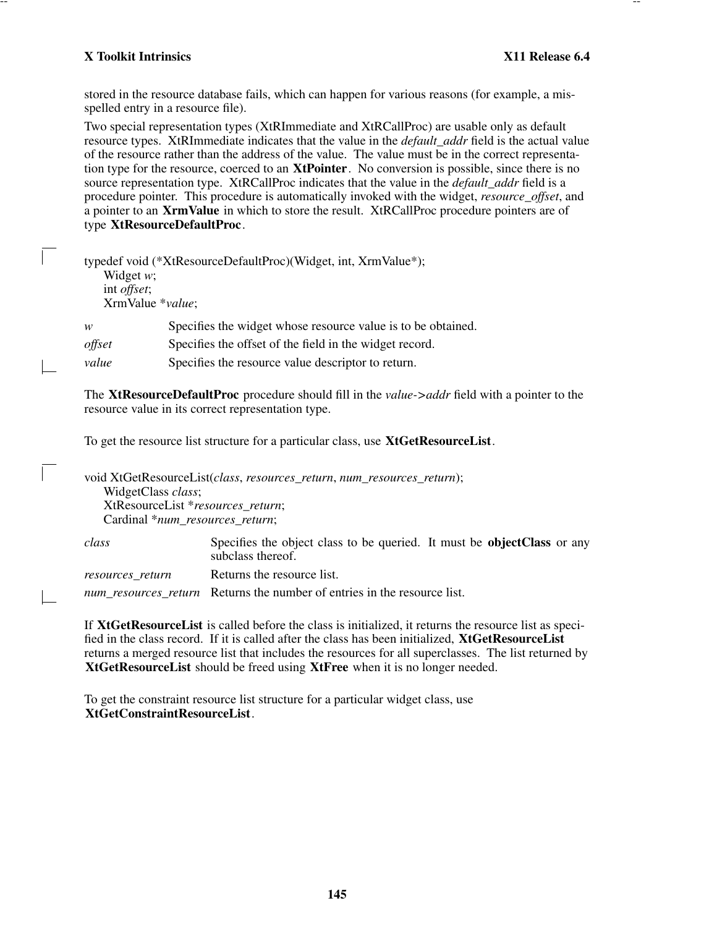stored in the resource database fails, which can happen for various reasons (for example, a misspelled entry in a resource file).

-- --

Two special representation types (XtRImmediate and XtRCallProc) are usable only as default resource types. XtRImmediate indicates that the value in the *default\_addr* field is the actual value of the resource rather than the address of the value. The value must be in the correct representation type for the resource, coerced to an **XtPointer**. No conversion is possible, since there is no source representation type. XtRCallProc indicates that the value in the *default\_addr* field is a procedure pointer. This procedure is automatically invoked with the widget, *resource\_offset*, and a pointer to an **XrmValue** in which to store the result. XtRCallProc procedure pointers are of type **XtResourceDefaultProc**.

| Widget $w$ ;<br>int <i>offset</i> ;<br>XrmValue *value; | typedef void (*XtResourceDefaultProc) (Widget, int, XrmValue*); |
|---------------------------------------------------------|-----------------------------------------------------------------|
| w                                                       | Specifies the widget whose resource value is to be obtained.    |
| offset                                                  | Specifies the offset of the field in the widget record.         |
| value                                                   | Specifies the resource value descriptor to return.              |

The **XtResourceDefaultProc** procedure should fill in the *value->addr* field with a pointer to the resource value in its correct representation type.

To get the resource list structure for a particular class, use **XtGetResourceList**.

void XtGetResourceList(*class*, *resources\_return*, *num\_resources\_return*); WidgetClass *class*; XtResourceList \**resources\_return*; Cardinal \**num\_resources\_return*;

| class            | Specifies the object class to be queried. It must be object Class or any<br>subclass thereof. |
|------------------|-----------------------------------------------------------------------------------------------|
| resources return | Returns the resource list.                                                                    |
|                  | num resources return Returns the number of entries in the resource list.                      |

If **XtGetResourceList** is called before the class is initialized, it returns the resource list as specified in the class record. If it is called after the class has been initialized, **XtGetResourceList** returns a merged resource list that includes the resources for all superclasses. The list returned by **XtGetResourceList** should be freed using **XtFree** when it is no longer needed.

To get the constraint resource list structure for a particular widget class, use **XtGetConstraintResourceList**.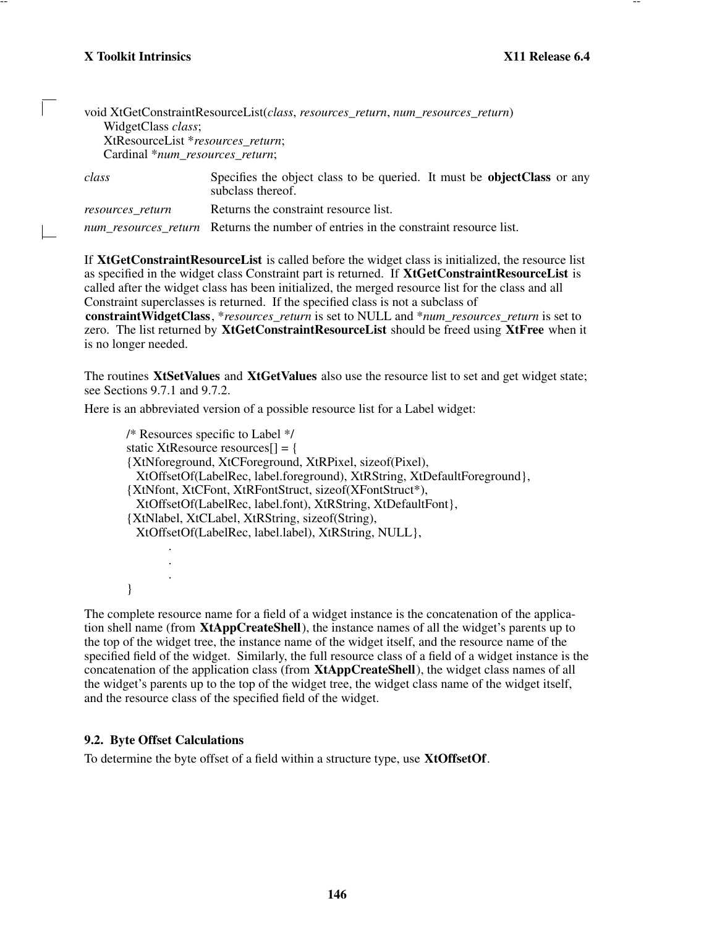$\mathbf{L}$ 

void XtGetConstraintResourceList(*class*, *resources\_return*, *num\_resources\_return*) WidgetClass *class*; XtResourceList \**resources\_return*; Cardinal \**num\_resources\_return*;

-- --

| class            | Specifies the object class to be queried. It must be <b>objectClass</b> or any<br>subclass thereof. |
|------------------|-----------------------------------------------------------------------------------------------------|
| resources return | Returns the constraint resource list.                                                               |
|                  | num resources return Returns the number of entries in the constraint resource list.                 |

If **XtGetConstraintResourceList** is called before the widget class is initialized, the resource list as specified in the widget class Constraint part is returned. If **XtGetConstraintResourceList** is called after the widget class has been initialized, the merged resource list for the class and all Constraint superclasses is returned. If the specified class is not a subclass of **constraintWidgetClass**, \**resources\_return* is set to NULL and \**num\_resources\_return* is set to zero. The list returned by **XtGetConstraintResourceList** should be freed using **XtFree** when it is no longer needed.

The routines **XtSetValues** and **XtGetValues** also use the resource list to set and get widget state; see Sections 9.7.1 and 9.7.2.

Here is an abbreviated version of a possible resource list for a Label widget:

```
/* Resources specific to Label */
static XtResource resources[] = {
{XtNforeground, XtCForeground, XtRPixel, sizeof(Pixel),
 XtOffsetOf(LabelRec, label.foreground), XtRString, XtDefaultForeground},
{XtNfont, XtCFont, XtRFontStruct, sizeof(XFontStruct*),
 XtOffsetOf(LabelRec, label.font), XtRString, XtDefaultFont},
{XtNlabel, XtCLabel, XtRString, sizeof(String),
 XtOffsetOf(LabelRec, label.label), XtRString, NULL},
        .
        .
        .
}
```
The complete resource name for a field of a widget instance is the concatenation of the application shell name (from **XtAppCreateShell**), the instance names of all the widget's parents up to the top of the widget tree, the instance name of the widget itself, and the resource name of the specified field of the widget. Similarly, the full resource class of a field of a widget instance is the concatenation of the application class (from **XtAppCreateShell**), the widget class names of all the widget's parents up to the top of the widget tree, the widget class name of the widget itself, and the resource class of the specified field of the widget.

#### **9.2. Byte Offset Calculations**

To determine the byte offset of a field within a structure type, use **XtOffsetOf**.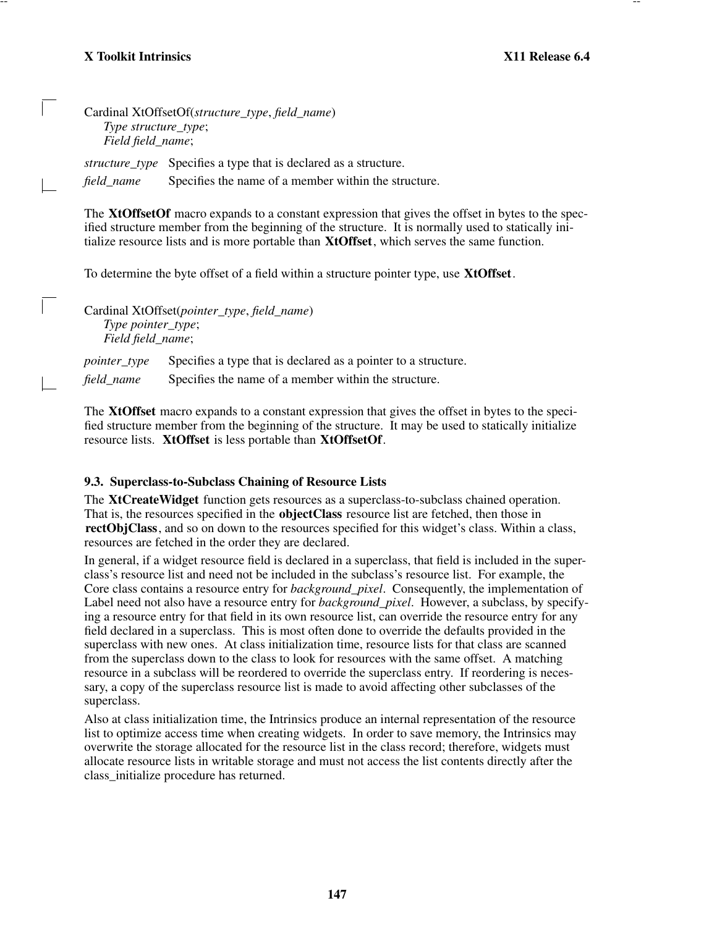$\mathbf{L}$ 

Cardinal XtOffsetOf(*structure\_type*, *field\_name*) *Type structure\_type*; *Field field\_name*;

*structure\_type* Specifies a type that is declared as a structure. *field\_name* Specifies the name of a member within the structure.

The **XtOffsetOf** macro expands to a constant expression that gives the offset in bytes to the specified structure member from the beginning of the structure. It is normally used to statically initialize resource lists and is more portable than **XtOffset**, which serves the same function.

-- --

To determine the byte offset of a field within a structure pointer type, use **XtOffset**.

Cardinal XtOffset(*pointer\_type*, *field\_name*) *Type pointer\_type*; *Field field\_name*;

| <i>pointer_type</i> | Specifies a type that is declared as a pointer to a structure. |
|---------------------|----------------------------------------------------------------|
| field_name          | Specifies the name of a member within the structure.           |

The **XtOffset** macro expands to a constant expression that gives the offset in bytes to the specified structure member from the beginning of the structure. It may be used to statically initialize resource lists. **XtOffset** is less portable than **XtOffsetOf**.

#### **9.3. Superclass-to-Subclass Chaining of Resource Lists**

The **XtCreateWidget** function gets resources as a superclass-to-subclass chained operation. That is, the resources specified in the **objectClass** resource list are fetched, then those in **rectObjClass**, and so on down to the resources specified for this widget's class. Within a class, resources are fetched in the order they are declared.

In general, if a widget resource field is declared in a superclass, that field is included in the superclass's resource list and need not be included in the subclass's resource list. For example, the Core class contains a resource entry for *background\_pixel*. Consequently, the implementation of Label need not also have a resource entry for *background\_pixel*. However, a subclass, by specifying a resource entry for that field in its own resource list, can override the resource entry for any field declared in a superclass. This is most often done to override the defaults provided in the superclass with new ones. At class initialization time, resource lists for that class are scanned from the superclass down to the class to look for resources with the same offset. A matching resource in a subclass will be reordered to override the superclass entry. If reordering is necessary, a copy of the superclass resource list is made to avoid affecting other subclasses of the superclass.

Also at class initialization time, the Intrinsics produce an internal representation of the resource list to optimize access time when creating widgets. In order to save memory, the Intrinsics may overwrite the storage allocated for the resource list in the class record; therefore, widgets must allocate resource lists in writable storage and must not access the list contents directly after the class\_initialize procedure has returned.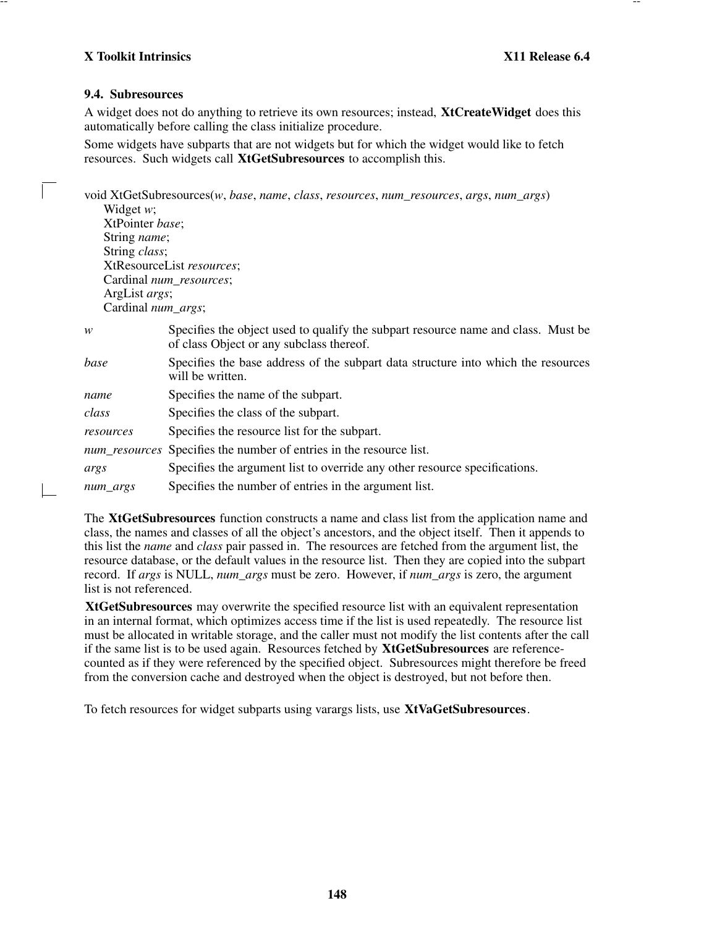### **9.4. Subresources**

A widget does not do anything to retrieve its own resources; instead, **XtCreateWidget** does this automatically before calling the class initialize procedure.

Some widgets have subparts that are not widgets but for which the widget would like to fetch resources. Such widgets call **XtGetSubresources** to accomplish this.

-- --

void XtGetSubresources(*w*, *base*, *name*, *class*, *resources*, *num\_resources*, *args*, *num\_args*) Widget *w*; XtPointer *base*; String *name*; String *class*; XtResourceList *resources*; Cardinal *num\_resources*; ArgList *args*; Cardinal *num\_args*; *w* Specifies the object used to qualify the subpart resource name and class. Must be of class Object or any subclass thereof. *base* Specifies the base address of the subpart data structure into which the resources

|           | will be written.                                                           |
|-----------|----------------------------------------------------------------------------|
| name      | Specifies the name of the subpart.                                         |
| class     | Specifies the class of the subpart.                                        |
| resources | Specifies the resource list for the subpart.                               |
|           | num_resources Specifies the number of entries in the resource list.        |
| args      | Specifies the argument list to override any other resource specifications. |
| num_args  | Specifies the number of entries in the argument list.                      |

The **XtGetSubresources** function constructs a name and class list from the application name and class, the names and classes of all the object's ancestors, and the object itself. Then it appends to this list the *name* and *class* pair passed in. The resources are fetched from the argument list, the resource database, or the default values in the resource list. Then they are copied into the subpart record. If *args* is NULL, *num\_args* must be zero. However, if *num\_args* is zero, the argument list is not referenced.

**XtGetSubresources** may overwrite the specified resource list with an equivalent representation in an internal format, which optimizes access time if the list is used repeatedly. The resource list must be allocated in writable storage, and the caller must not modify the list contents after the call if the same list is to be used again. Resources fetched by **XtGetSubresources** are referencecounted as if they were referenced by the specified object. Subresources might therefore be freed from the conversion cache and destroyed when the object is destroyed, but not before then.

To fetch resources for widget subparts using varargs lists, use **XtVaGetSubresources**.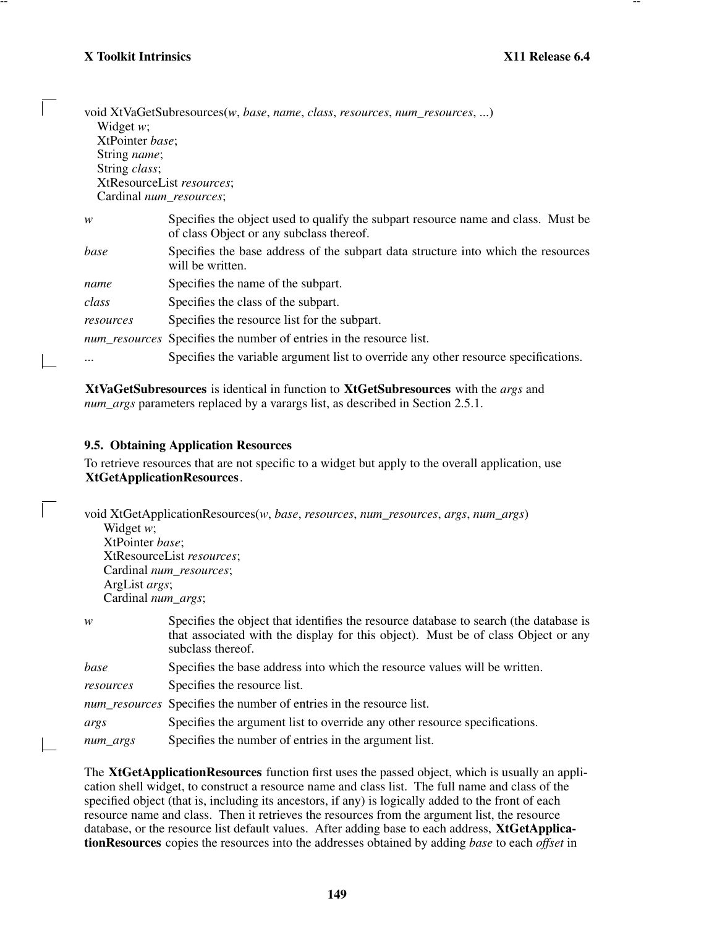void XtVaGetSubresources(*w*, *base*, *name*, *class*, *resources*, *num\_resources*, ...) Widget *w*; XtPointer *base*; String *name*; String *class*; XtResourceList *resources*; Cardinal *num\_resources*; *w* Specifies the object used to qualify the subpart resource name and class. Must be of class Object or any subclass thereof. *base* Specifies the base address of the subpart data structure into which the resources will be written. *name* Specifies the name of the subpart. *class* Specifies the class of the subpart.

-- --

*resources* Specifies the resource list for the subpart.

*num\_resources* Specifies the number of entries in the resource list.

Specifies the variable argument list to override any other resource specifications.

**XtVaGetSubresources** is identical in function to **XtGetSubresources** with the *args* and *num\_args* parameters replaced by a varargs list, as described in Section 2.5.1.

## **9.5. Obtaining Application Resources**

To retrieve resources that are not specific to a widget but apply to the overall application, use **XtGetApplicationResources**.

void XtGetApplicationResources(*w*, *base*, *resources*, *num\_resources*, *args*, *num\_args*) Widget *w*; XtPointer *base*; XtResourceList *resources*; Cardinal *num\_resources*; ArgList *args*; Cardinal *num\_args*;

*w* Specifies the object that identifies the resource database to search (the database is that associated with the display for this object). Must be of class Object or any subclass thereof. *base* Specifies the base address into which the resource values will be written. *resources* Specifies the resource list. *num\_resources* Specifies the number of entries in the resource list. *args* Specifies the argument list to override any other resource specifications. *num\_args* Specifies the number of entries in the argument list.

The **XtGetApplicationResources** function first uses the passed object, which is usually an application shell widget, to construct a resource name and class list. The full name and class of the specified object (that is, including its ancestors, if any) is logically added to the front of each resource name and class. Then it retrieves the resources from the argument list, the resource database, or the resource list default values. After adding base to each address, **XtGetApplicationResources** copies the resources into the addresses obtained by adding *base* to each *offset* in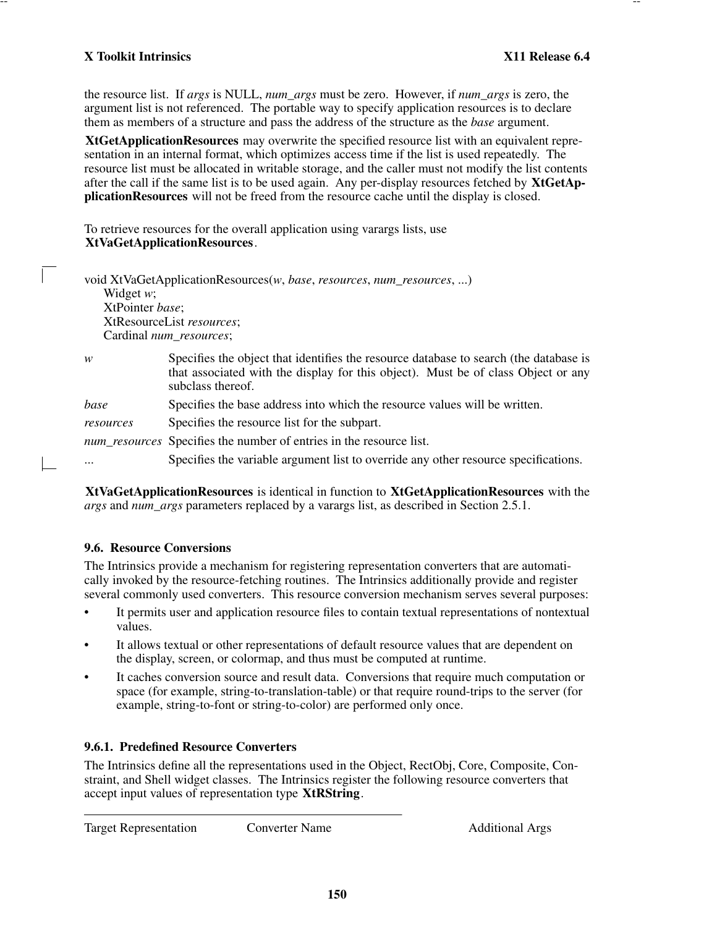the resource list. If *args* is NULL, *num\_args* must be zero. However, if *num\_args* is zero, the argument list is not referenced. The portable way to specify application resources is to declare them as members of a structure and pass the address of the structure as the *base* argument.

-- --

**XtGetApplicationResources** may overwrite the specified resource list with an equivalent representation in an internal format, which optimizes access time if the list is used repeatedly. The resource list must be allocated in writable storage, and the caller must not modify the list contents after the call if the same list is to be used again. Any per-display resources fetched by **XtGetApplicationResources** will not be freed from the resource cache until the display is closed.

To retrieve resources for the overall application using varargs lists, use **XtVaGetApplicationResources**.

| Widget $w$ ;<br>XtPointer base; | void XtVaGetApplicationResources(w, base, resources, num_resources, )<br>XtResourceList resources;<br>Cardinal num resources;                                                                   |
|---------------------------------|-------------------------------------------------------------------------------------------------------------------------------------------------------------------------------------------------|
| w                               | Specifies the object that identifies the resource database to search (the database is<br>that associated with the display for this object). Must be of class Object or any<br>subclass thereof. |
| base                            | Specifies the base address into which the resource values will be written.                                                                                                                      |

*resources* Specifies the resource list for the subpart.

*num\_resources* Specifies the number of entries in the resource list.

... Specifies the variable argument list to override any other resource specifications.

**XtVaGetApplicationResources** is identical in function to **XtGetApplicationResources** with the *args* and *num\_args* parameters replaced by a varargs list, as described in Section 2.5.1.

# **9.6. Resource Conversions**

The Intrinsics provide a mechanism for registering representation converters that are automatically invoked by the resource-fetching routines. The Intrinsics additionally provide and register several commonly used converters. This resource conversion mechanism serves several purposes:

- It permits user and application resource files to contain textual representations of nontextual values.
- It allows textual or other representations of default resource values that are dependent on the display, screen, or colormap, and thus must be computed at runtime.
- It caches conversion source and result data. Conversions that require much computation or space (for example, string-to-translation-table) or that require round-trips to the server (for example, string-to-font or string-to-color) are performed only once.

# **9.6.1. Predefined Resource Converters**

The Intrinsics define all the representations used in the Object, RectObj, Core, Composite, Constraint, and Shell widget classes. The Intrinsics register the following resource converters that accept input values of representation type **XtRString**.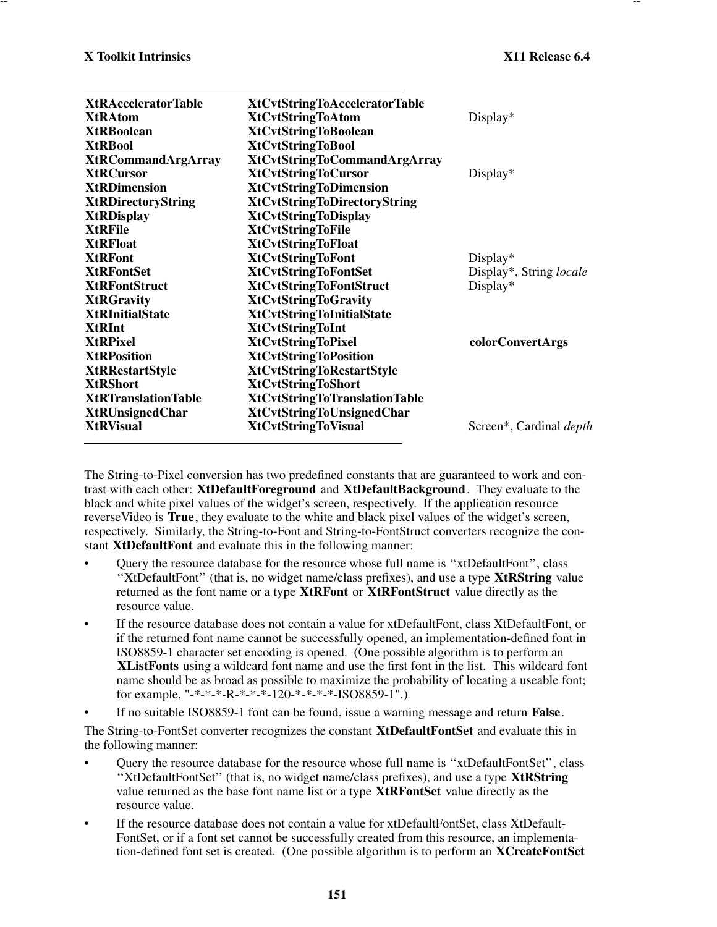| <b>XtRAcceleratorTable</b> | <b>XtCvtStringToAcceleratorTable</b> |                                |
|----------------------------|--------------------------------------|--------------------------------|
| <b>XtRAtom</b>             | <b>XtCvtStringToAtom</b>             | $Display*$                     |
| <b>XtRBoolean</b>          | <b>XtCvtStringToBoolean</b>          |                                |
| <b>XtRBool</b>             | <b>XtCvtStringToBool</b>             |                                |
| <b>XtRCommandArgArray</b>  | <b>XtCvtStringToCommandArgArray</b>  |                                |
| <b>XtRCursor</b>           | <b>XtCvtStringToCursor</b>           | Display*                       |
| <b>XtRDimension</b>        | <b>XtCvtStringToDimension</b>        |                                |
| <b>XtRDirectoryString</b>  | <b>XtCvtStringToDirectoryString</b>  |                                |
| <b>XtRDisplay</b>          | <b>XtCvtStringToDisplay</b>          |                                |
| <b>XtRFile</b>             | <b>XtCvtStringToFile</b>             |                                |
| <b>XtRFloat</b>            | <b>XtCvtStringToFloat</b>            |                                |
| <b>XtRFont</b>             | <b>XtCvtStringToFont</b>             | $Display*$                     |
| <b>XtRFontSet</b>          | <b>XtCvtStringToFontSet</b>          | Display*, String locale        |
| <b>XtRFontStruct</b>       | <b>XtCvtStringToFontStruct</b>       | Display*                       |
| <b>XtRGravity</b>          | <b>XtCvtStringToGravity</b>          |                                |
| <b>XtRInitialState</b>     | <b>XtCvtStringToInitialState</b>     |                                |
| <b>XtRInt</b>              | <b>XtCvtStringToInt</b>              |                                |
| <b>XtRPixel</b>            | <b>XtCvtStringToPixel</b>            | colorConvertArgs               |
| <b>XtRPosition</b>         | <b>XtCvtStringToPosition</b>         |                                |
| <b>XtRRestartStyle</b>     | <b>XtCvtStringToRestartStyle</b>     |                                |
| <b>XtRShort</b>            | <b>XtCvtStringToShort</b>            |                                |
| <b>XtRTranslationTable</b> | <b>XtCvtStringToTranslationTable</b> |                                |
| <b>XtRUnsignedChar</b>     | <b>XtCvtStringToUnsignedChar</b>     |                                |
| <b>XtRVisual</b>           | <b>XtCvtStringToVisual</b>           | Screen*, Cardinal <i>depth</i> |

-- --

The String-to-Pixel conversion has two predefined constants that are guaranteed to work and contrast with each other: **XtDefaultForeground** and **XtDefaultBackground**. They evaluate to the black and white pixel values of the widget's screen, respectively. If the application resource reverseVideo is **True**, they evaluate to the white and black pixel values of the widget's screen, respectively. Similarly, the String-to-Font and String-to-FontStruct converters recognize the constant **XtDefaultFont** and evaluate this in the following manner:

- Query the resource database for the resource whose full name is ''xtDefaultFont'', class ''XtDefaultFont'' (that is, no widget name/class prefixes), and use a type **XtRString** value returned as the font name or a type **XtRFont** or **XtRFontStruct** value directly as the resource value.
- If the resource database does not contain a value for xtDefaultFont, class XtDefaultFont, or if the returned font name cannot be successfully opened, an implementation-defined font in ISO8859-1 character set encoding is opened. (One possible algorithm is to perform an **XListFonts** using a wildcard font name and use the first font in the list. This wildcard font name should be as broad as possible to maximize the probability of locating a useable font; for example, "-\*-\*-\*-R-\*-\*-\*-120-\*-\*-\*-\*-ISO8859-1".)

• If no suitable ISO8859-1 font can be found, issue a warning message and return **False**.

The String-to-FontSet converter recognizes the constant **XtDefaultFontSet** and evaluate this in the following manner:

- Query the resource database for the resource whose full name is ''xtDefaultFontSet'', class ''XtDefaultFontSet'' (that is, no widget name/class prefixes), and use a type **XtRString** value returned as the base font name list or a type **XtRFontSet** value directly as the resource value.
- If the resource database does not contain a value for xtDefaultFontSet, class XtDefault-FontSet, or if a font set cannot be successfully created from this resource, an implementation-defined font set is created. (One possible algorithm is to perform an **XCreateFontSet**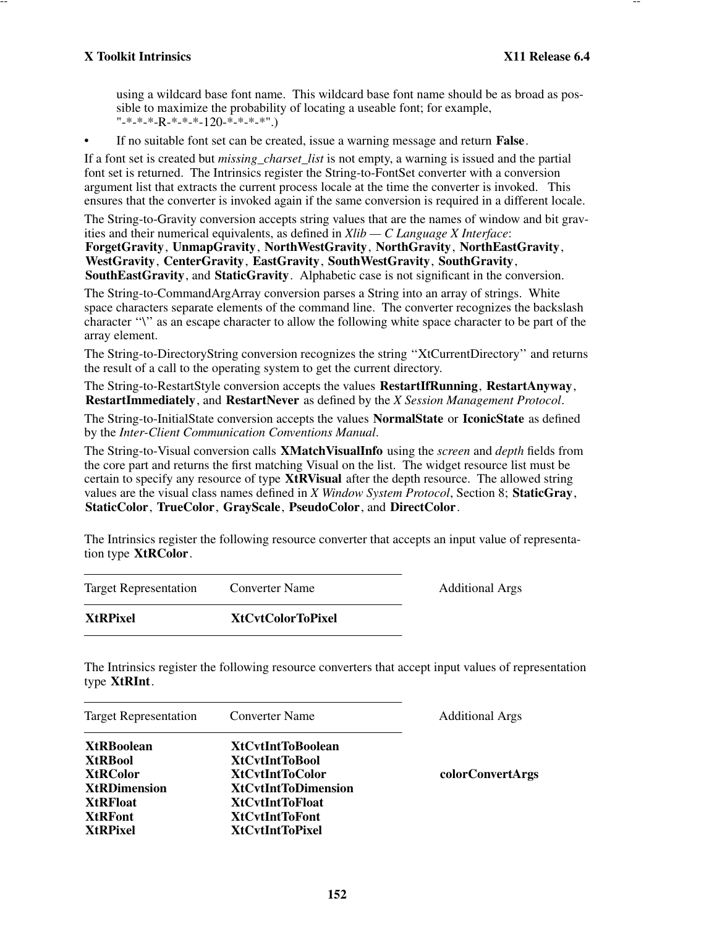using a wildcard base font name. This wildcard base font name should be as broad as possible to maximize the probability of locating a useable font; for example,  $"$ -\*-\*- $R$ -\*-\*-\*-120-\*-\*-\*-\*".)

• If no suitable font set can be created, issue a warning message and return **False**.

-- --

If a font set is created but *missing\_charset\_list* is not empty, a warning is issued and the partial font set is returned. The Intrinsics register the String-to-FontSet converter with a conversion argument list that extracts the current process locale at the time the converter is invoked. This ensures that the converter is invoked again if the same conversion is required in a different locale.

The String-to-Gravity conversion accepts string values that are the names of window and bit gravities and their numerical equivalents, as defined in *Xlib — C Language X Interface*:

**ForgetGravity**, **UnmapGravity**, **NorthWestGravity**, **NorthGravity**, **NorthEastGravity**, **WestGravity**, **CenterGravity**, **EastGravity**, **SouthWestGravity**, **SouthGravity**,

**SouthEastGravity**, and **StaticGravity**. Alphabetic case is not significant in the conversion.

The String-to-CommandArgArray conversion parses a String into an array of strings. White space characters separate elements of the command line. The converter recognizes the backslash character ''\'' as an escape character to allow the following white space character to be part of the array element.

The String-to-DirectoryString conversion recognizes the string ''XtCurrentDirectory'' and returns the result of a call to the operating system to get the current directory.

The String-to-RestartStyle conversion accepts the values **RestartIfRunning**, **RestartAnyway**, **RestartImmediately**, and **RestartNever** as defined by the *X Session Management Protocol*.

The String-to-InitialState conversion accepts the values **NormalState** or **IconicState** as defined by the *Inter-Client Communication Conventions Manual*.

The String-to-Visual conversion calls **XMatchVisualInfo** using the *screen* and *depth* fields from the core part and returns the first matching Visual on the list. The widget resource list must be certain to specify any resource of type **XtRVisual** after the depth resource. The allowed string values are the visual class names defined in *X Window System Protocol*, Section 8; **StaticGray**, **StaticColor**, **TrueColor**, **GrayScale**, **PseudoColor**, and **DirectColor**.

The Intrinsics register the following resource converter that accepts an input value of representation type **XtRColor**.

| <b>Target Representation</b> | Converter Name           | <b>Additional Args</b> |
|------------------------------|--------------------------|------------------------|
| <b>XtRPixel</b>              | <b>XtCvtColorToPixel</b> |                        |

The Intrinsics register the following resource converters that accept input values of representation type **XtRInt**.

| <b>Target Representation</b>                                                                                                          | <b>Converter Name</b>                                                                                                                                                                  | <b>Additional Args</b> |
|---------------------------------------------------------------------------------------------------------------------------------------|----------------------------------------------------------------------------------------------------------------------------------------------------------------------------------------|------------------------|
| <b>XtRBoolean</b><br><b>XtRBool</b><br><b>XtRColor</b><br><b>XtRDimension</b><br><b>XtRFloat</b><br><b>XtRFont</b><br><b>XtRPixel</b> | <b>XtCvtIntToBoolean</b><br><b>XtCvtIntToBool</b><br><b>XtCvtIntToColor</b><br><b>XtCvtIntToDimension</b><br><b>XtCvtIntToFloat</b><br><b>XtCvtIntToFont</b><br><b>XtCvtIntToPixel</b> | colorConvertArgs       |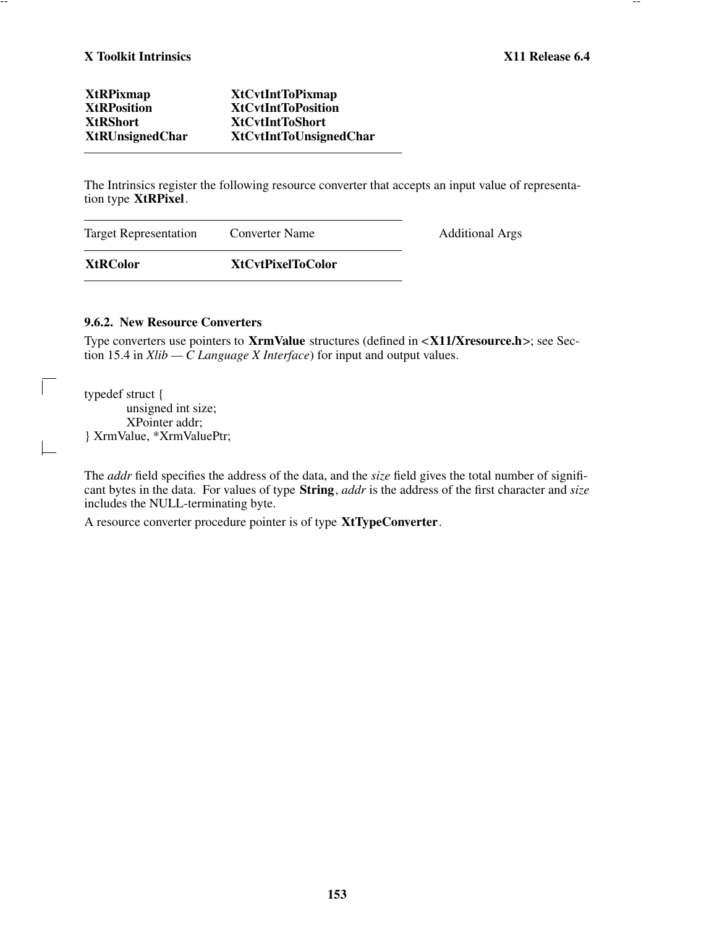| <b>XtRPixmap</b>       | <b>XtCvtIntToPixmap</b>       |
|------------------------|-------------------------------|
| <b>XtRPosition</b>     | <b>XtCvtIntToPosition</b>     |
| <b>XtRShort</b>        | <b>XtCvtIntToShort</b>        |
| <b>XtRUnsignedChar</b> | <b>XtCvtIntToUnsignedChar</b> |

The Intrinsics register the following resource converter that accepts an input value of representation type **XtRPixel**.

-- --

| <b>XtRColor</b>              | <b>XtCvtPixelToColor</b> |                        |
|------------------------------|--------------------------|------------------------|
| <b>Target Representation</b> | Converter Name           | <b>Additional Args</b> |

## **9.6.2. New Resource Converters**

Type converters use pointers to **XrmValue** structures (defined in <**X11/Xresource.h**>; see Section 15.4 in *Xlib — C Language X Interface*) for input and output values.

typedef struct { unsigned int size; XPointer addr; } XrmValue, \*XrmValuePtr;

The *addr* field specifies the address of the data, and the *size* field gives the total number of significant bytes in the data. For values of type **String**, *addr* is the address of the first character and *size* includes the NULL-terminating byte.

A resource converter procedure pointer is of type **XtTypeConverter**.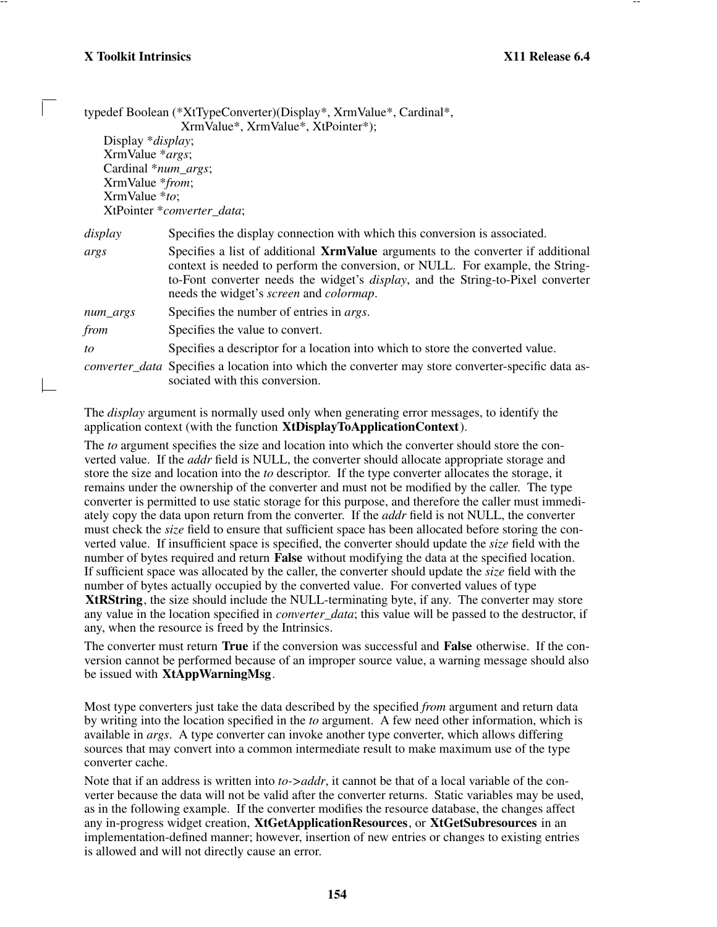|                              | typedef Boolean (*XtTypeConverter)(Display*, XrmValue*, Cardinal*,                                                                                                                                                                                                                                       |
|------------------------------|----------------------------------------------------------------------------------------------------------------------------------------------------------------------------------------------------------------------------------------------------------------------------------------------------------|
|                              | XrmValue*, XrmValue*, XtPointer*);                                                                                                                                                                                                                                                                       |
| Display *display;            |                                                                                                                                                                                                                                                                                                          |
| XrmValue * <i>args</i> ;     |                                                                                                                                                                                                                                                                                                          |
| Cardinal * <i>num_args</i> ; |                                                                                                                                                                                                                                                                                                          |
| XrmValue *from;              |                                                                                                                                                                                                                                                                                                          |
| XrmValue * <i>to</i> ;       |                                                                                                                                                                                                                                                                                                          |
|                              | XtPointer * <i>converter data</i> ;                                                                                                                                                                                                                                                                      |
| display                      | Specifies the display connection with which this conversion is associated.                                                                                                                                                                                                                               |
| args                         | Specifies a list of additional XrmValue arguments to the converter if additional<br>context is needed to perform the conversion, or NULL. For example, the String-<br>to-Font converter needs the widget's <i>display</i> , and the String-to-Pixel converter<br>needs the widget's screen and colormap. |
| num_args                     | Specifies the number of entries in <i>args</i> .                                                                                                                                                                                                                                                         |
| from                         | Specifies the value to convert.                                                                                                                                                                                                                                                                          |
| to                           | Specifies a descriptor for a location into which to store the converted value.                                                                                                                                                                                                                           |
|                              | <i>converter_data</i> Specifies a location into which the converter may store converter-specific data as-<br>sociated with this conversion.                                                                                                                                                              |

-- --

The *display* argument is normally used only when generating error messages, to identify the application context (with the function **XtDisplayToApplicationContext**).

The *to* argument specifies the size and location into which the converter should store the converted value. If the *addr* field is NULL, the converter should allocate appropriate storage and store the size and location into the *to* descriptor. If the type converter allocates the storage, it remains under the ownership of the converter and must not be modified by the caller. The type converter is permitted to use static storage for this purpose, and therefore the caller must immediately copy the data upon return from the converter. If the *addr* field is not NULL, the converter must check the *size* field to ensure that sufficient space has been allocated before storing the converted value. If insufficient space is specified, the converter should update the *size* field with the number of bytes required and return **False** without modifying the data at the specified location. If sufficient space was allocated by the caller, the converter should update the *size* field with the number of bytes actually occupied by the converted value. For converted values of type **XtRString**, the size should include the NULL-terminating byte, if any. The converter may store any value in the location specified in *converter data*; this value will be passed to the destructor, if any, when the resource is freed by the Intrinsics.

The converter must return **True** if the conversion was successful and **False** otherwise. If the conversion cannot be performed because of an improper source value, a warning message should also be issued with **XtAppWarningMsg**.

Most type converters just take the data described by the specified *from* argument and return data by writing into the location specified in the *to* argument. A few need other information, which is available in *args*. A type converter can invoke another type converter, which allows differing sources that may convert into a common intermediate result to make maximum use of the type converter cache.

Note that if an address is written into *to->addr*, it cannot be that of a local variable of the converter because the data will not be valid after the converter returns. Static variables may be used, as in the following example. If the converter modifies the resource database, the changes affect any in-progress widget creation, **XtGetApplicationResources**, or **XtGetSubresources** in an implementation-defined manner; however, insertion of new entries or changes to existing entries is allowed and will not directly cause an error.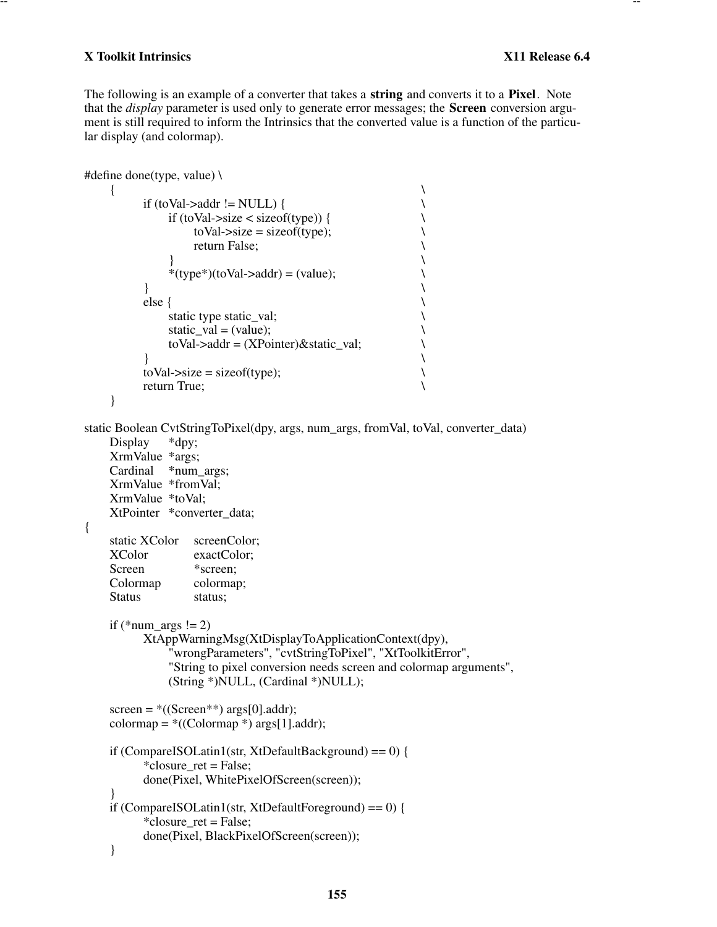The following is an example of a converter that takes a **string** and converts it to a **Pixel**. Note that the *display* parameter is used only to generate error messages; the **Screen** conversion argument is still required to inform the Intrinsics that the converted value is a function of the particular display (and colormap).

-- --

```
#define done(type, value) \setminus\{if (toVal->addr != NULL) {
            if (toVal->size < sizeof(type)) {
               \text{toVal}\text{-}\text{size} = \text{sizeof}(\text{type});return False;
            \}*(type*)(toVal->addr) = (value);
        \}else { \sqrt{ }static type static val;
            static val = (value); \setminustoVal->addr = (XPointer)& static_val;
        \}\text{toVal}\text{-}\text{size} = \text{sizeof}(\text{type});return True;
   }
static Boolean CvtStringToPixel(dpy, args, num_args, fromVal, toVal, converter_data)
   Display *dpy;
   XrmValue *args;
   Cardinal *num_args;
   XrmValue *fromVal;
   XrmValue *toVal;
   XtPointer *converter_data;
{
   static XColor screenColor;<br>XColor exactColor;
               exactColor;
   Screen *screen:
   Colormap colormap;
   Status;<br>status;
   if (*num_args != 2)
        XtAppWarningMsg(XtDisplayToApplicationContext(dpy),
            "wrongParameters", "cvtStringToPixel", "XtToolkitError",
            "String to pixel conversion needs screen and colormap arguments",
            (String *)NULL, (Cardinal *)NULL);
   screen = *((Screen**) args[0].addr);\text{colormap} = *((\text{Colormap} * \text{args}[1].\text{addr});if (CompareISOLatin1(str, XtDefaultBackground) == 0) {
        *closure ret = False;
        done(Pixel, WhitePixelOfScreen(screen));
   }
   if (CompareISOLatin1(str, XtDefaultForeground) == 0) {
        *closure ret = False;
        done(Pixel, BlackPixelOfScreen(screen));
   }
```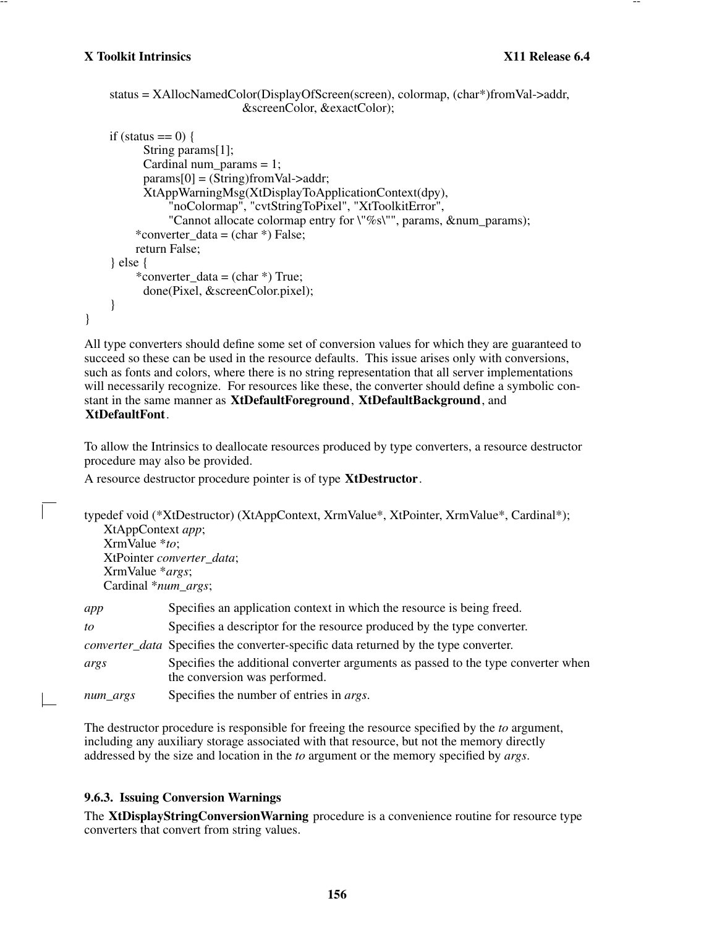}

status = XAllocNamedColor(DisplayOfScreen(screen), colormap, (char\*)fromVal->addr, &screenColor, &exactColor);

-- --

```
if (status == 0) {
      String params[1];
      Cardinal num_params = 1;
      params[0] = (String) from Val->addr;
      XtAppWarningMsg(XtDisplayToApplicationContext(dpy),
           "noColormap", "cvtStringToPixel", "XtToolkitError",
           "Cannot allocate colormap entry for \"%s\"", params, &num_params);
     *converter_data = (char *) False;
    return False;
} else {
     *converter_data = (char *) True;
      done(Pixel, &screenColor.pixel);
}
```
All type converters should define some set of conversion values for which they are guaranteed to succeed so these can be used in the resource defaults. This issue arises only with conversions, such as fonts and colors, where there is no string representation that all server implementations will necessarily recognize. For resources like these, the converter should define a symbolic constant in the same manner as **XtDefaultForeground**, **XtDefaultBackground**, and **XtDefaultFont**.

To allow the Intrinsics to deallocate resources produced by type converters, a resource destructor procedure may also be provided.

A resource destructor procedure pointer is of type **XtDestructor**.

|                              | typedef void (*XtDestructor) (XtAppContext, XrmValue*, XtPointer, XrmValue*, Cardinal*);                           |
|------------------------------|--------------------------------------------------------------------------------------------------------------------|
| XtAppContext app;            |                                                                                                                    |
| XrmValue *to;                |                                                                                                                    |
|                              | XtPointer <i>converter</i> data;                                                                                   |
| XrmValue * <i>args</i> ;     |                                                                                                                    |
| Cardinal * <i>num_args</i> ; |                                                                                                                    |
| app                          | Specifies an application context in which the resource is being freed.                                             |
| to                           | Specifies a descriptor for the resource produced by the type converter.                                            |
|                              | <i>converter_data</i> Specifies the converter-specific data returned by the type converter.                        |
| args                         | Specifies the additional converter arguments as passed to the type converter when<br>the conversion was performed. |

*num\_args* Specifies the number of entries in *args*.

The destructor procedure is responsible for freeing the resource specified by the *to* argument, including any auxiliary storage associated with that resource, but not the memory directly addressed by the size and location in the *to* argument or the memory specified by *args*.

## **9.6.3. Issuing Conversion Warnings**

The **XtDisplayStringConversionWarning** procedure is a convenience routine for resource type converters that convert from string values.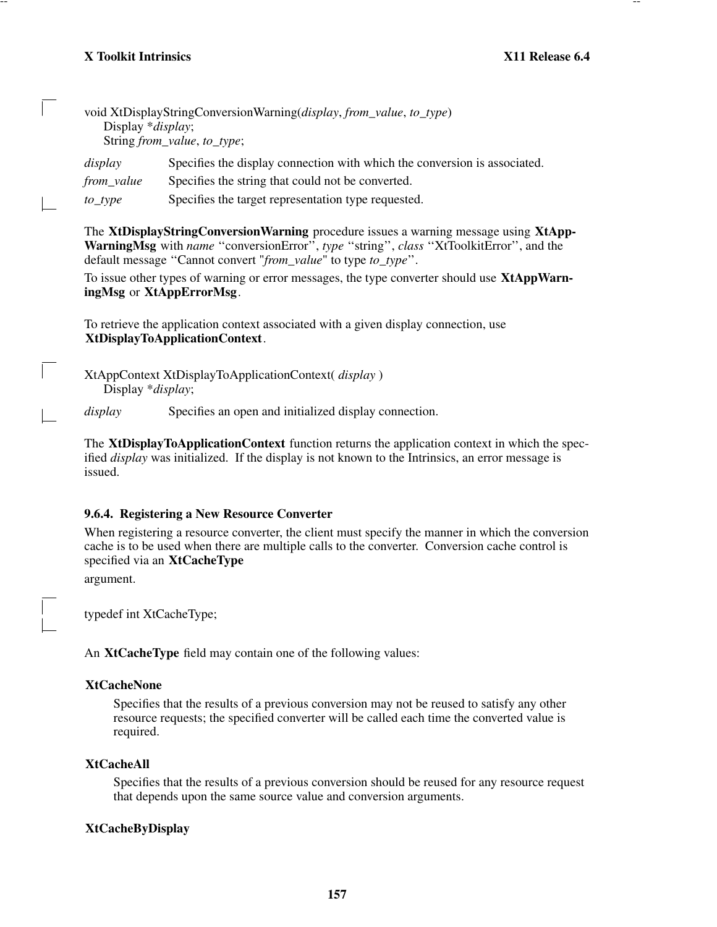|                     | void XtDisplayStringConversionWarning(display, from_value, to_type)       |
|---------------------|---------------------------------------------------------------------------|
| Display $*display;$ |                                                                           |
|                     | String from_value, to_type;                                               |
| display             | Specifies the display connection with which the conversion is associated. |
| from_value          | Specifies the string that could not be converted.                         |
| to_type             | Specifies the target representation type requested.                       |

-- --

The **XtDisplayStringConversionWarning** procedure issues a warning message using **XtApp-WarningMsg** with *name* ''conversionError'', *type* ''string'', *class* ''XtToolkitError'', and the default message ''Cannot convert "*from\_value*" to type *to\_type*''.

To issue other types of warning or error messages, the type converter should use **XtAppWarningMsg** or **XtAppErrorMsg**.

To retrieve the application context associated with a given display connection, use **XtDisplayToApplicationContext**.

XtAppContext XtDisplayToApplicationContext( *display* ) Display \**display*;

*display* Specifies an open and initialized display connection.

The **XtDisplayToApplicationContext** function returns the application context in which the specified *display* was initialized. If the display is not known to the Intrinsics, an error message is issued.

#### **9.6.4. Registering a New Resource Converter**

When registering a resource converter, the client must specify the manner in which the conversion cache is to be used when there are multiple calls to the converter. Conversion cache control is specified via an **XtCacheType**

argument.

typedef int XtCacheType;

An **XtCacheType** field may contain one of the following values:

#### **XtCacheNone**

Specifies that the results of a previous conversion may not be reused to satisfy any other resource requests; the specified converter will be called each time the converted value is required.

#### **XtCacheAll**

Specifies that the results of a previous conversion should be reused for any resource request that depends upon the same source value and conversion arguments.

#### **XtCacheByDisplay**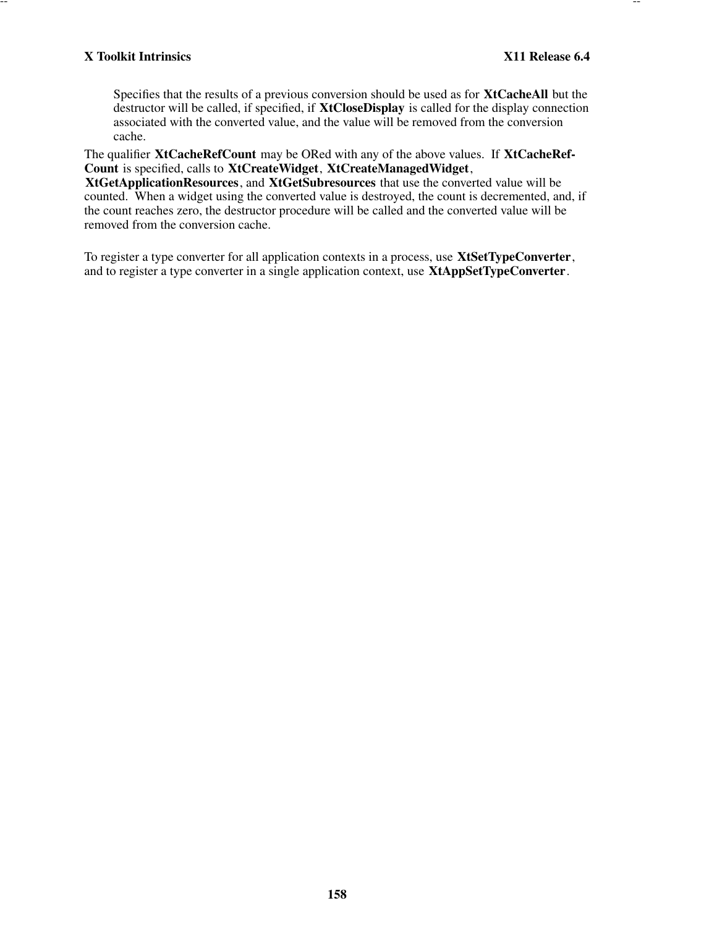Specifies that the results of a previous conversion should be used as for **XtCacheAll** but the destructor will be called, if specified, if **XtCloseDisplay** is called for the display connection associated with the converted value, and the value will be removed from the conversion cache.

The qualifier **XtCacheRefCount** may be ORed with any of the above values. If **XtCacheRef-Count** is specified, calls to **XtCreateWidget**, **XtCreateManagedWidget**,

-- --

**XtGetApplicationResources**, and **XtGetSubresources** that use the converted value will be counted. When a widget using the converted value is destroyed, the count is decremented, and, if the count reaches zero, the destructor procedure will be called and the converted value will be removed from the conversion cache.

To register a type converter for all application contexts in a process, use **XtSetTypeConverter**, and to register a type converter in a single application context, use **XtAppSetTypeConverter**.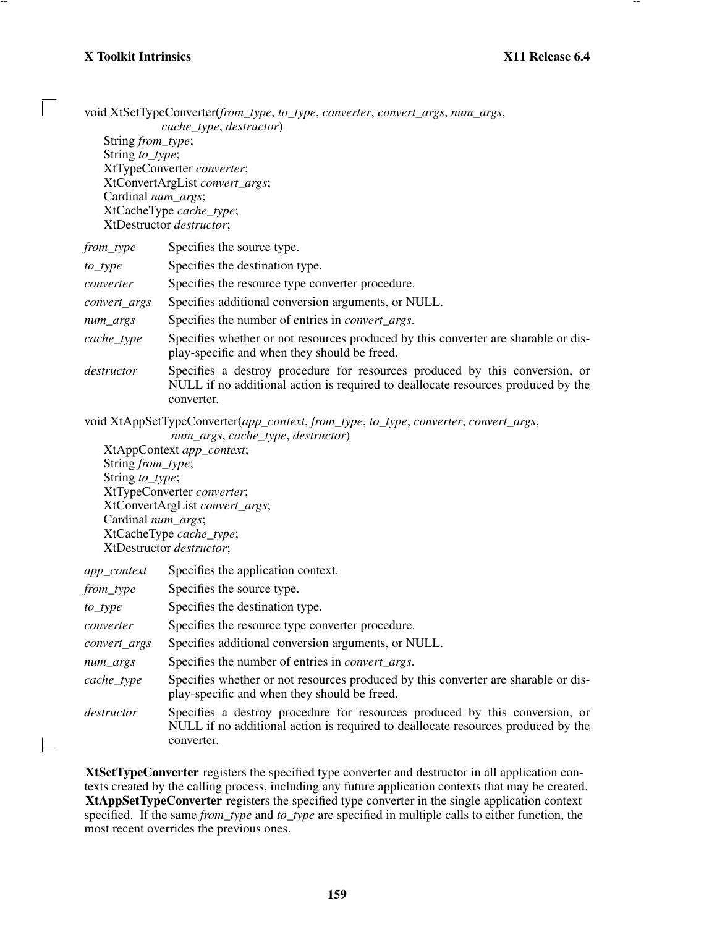$\Box$ 

void XtSetTypeConverter(*from\_type*, *to\_type*, *converter*, *convert\_args*, *num\_args*, *cache\_type*, *destructor*) String *from\_type*; String *to\_type*; XtTypeConverter *converter*; XtConvertArgList *convert\_args*; Cardinal *num\_args*; XtCacheType *cache\_type*; XtDestructor *destructor*;

-- --

| from_type     | Specifies the source type.                                                                                                                                                    |
|---------------|-------------------------------------------------------------------------------------------------------------------------------------------------------------------------------|
| $to\_type$    | Specifies the destination type.                                                                                                                                               |
| converter     | Specifies the resource type converter procedure.                                                                                                                              |
| convert args  | Specifies additional conversion arguments, or NULL.                                                                                                                           |
| num_args      | Specifies the number of entries in <i>convert_args</i> .                                                                                                                      |
| $cache\_type$ | Specifies whether or not resources produced by this converter are sharable or dis-<br>play-specific and when they should be freed.                                            |
| destructor    | Specifies a destroy procedure for resources produced by this conversion, or<br>NULL if no additional action is required to deallocate resources produced by the<br>converter. |
|               |                                                                                                                                                                               |

void XtAppSetTypeConverter(*app\_context*, *from\_type*, *to\_type*, *converter*, *convert\_args*, *num\_args*, *cache\_type*, *destructor*)

XtAppContext *app\_context*; String *from\_type*; String *to\_type*; XtTypeConverter *converter*; XtConvertArgList *convert\_args*; Cardinal *num\_args*; XtCacheType *cache\_type*; XtDestructor *destructor*;

| app context   | Specifies the application context.                                                                                                                                            |
|---------------|-------------------------------------------------------------------------------------------------------------------------------------------------------------------------------|
| from_type     | Specifies the source type.                                                                                                                                                    |
| $to\_type$    | Specifies the destination type.                                                                                                                                               |
| converter     | Specifies the resource type converter procedure.                                                                                                                              |
| convert args  | Specifies additional conversion arguments, or NULL.                                                                                                                           |
| num_args      | Specifies the number of entries in <i>convert_args</i> .                                                                                                                      |
| $cache\_type$ | Specifies whether or not resources produced by this converter are sharable or dis-<br>play-specific and when they should be freed.                                            |
| destructor    | Specifies a destroy procedure for resources produced by this conversion, or<br>NULL if no additional action is required to deallocate resources produced by the<br>converter. |

**XtSetTypeConverter** registers the specified type converter and destructor in all application contexts created by the calling process, including any future application contexts that may be created. **XtAppSetTypeConverter** registers the specified type converter in the single application context specified. If the same *from\_type* and *to\_type* are specified in multiple calls to either function, the most recent overrides the previous ones.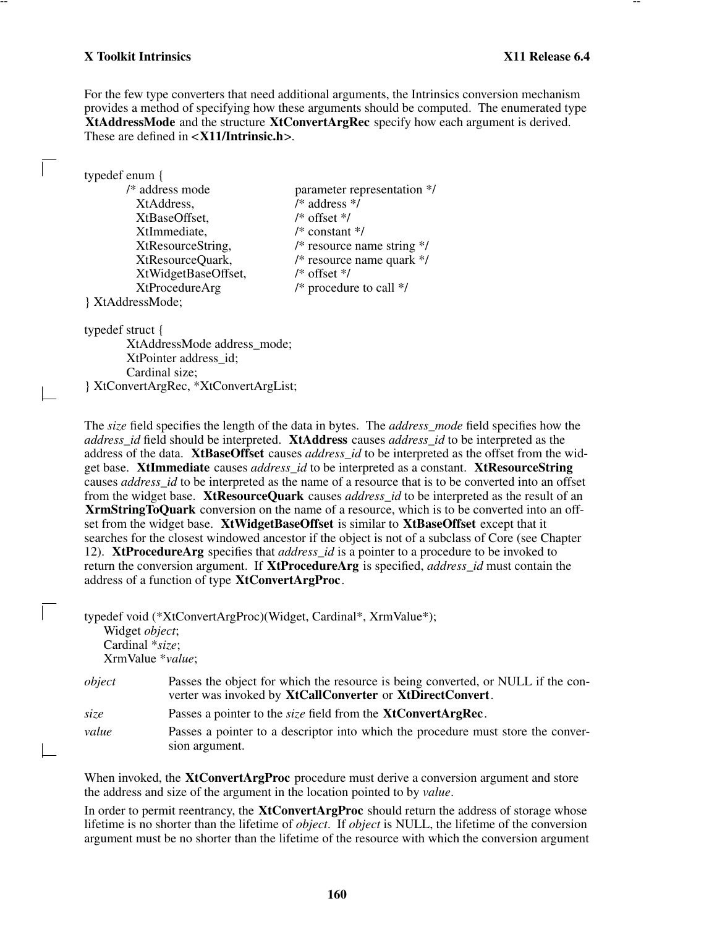For the few type converters that need additional arguments, the Intrinsics conversion mechanism provides a method of specifying how these arguments should be computed. The enumerated type **XtAddressMode** and the structure **XtConvertArgRec** specify how each argument is derived. These are defined in <**X11/Intrinsic.h**>.

-- --

| typedef enum {      |                                |
|---------------------|--------------------------------|
| /* address mode     | parameter representation */    |
| XtAddress,          | $/*$ address $*/$              |
| XtBaseOffset,       | $/*$ offset $*/$               |
| XtImmediate,        | $/*$ constant $*/$             |
| XtResourceString,   | $/*$ resource name string $*/$ |
| XtResourceQuark,    | $/*$ resource name quark $*/$  |
| XtWidgetBaseOffset, | $/*$ offset $*/$               |
| XtProcedureArg      | /* procedure to call $*/$      |
| } XtAddressMode;    |                                |

typedef struct {

XtAddressMode address\_mode; XtPointer address\_id; Cardinal size; } XtConvertArgRec, \*XtConvertArgList;

The *size* field specifies the length of the data in bytes. The *address\_mode* field specifies how the *address\_id* field should be interpreted. **XtAddress** causes *address\_id* to be interpreted as the address of the data. **XtBaseOffset** causes *address\_id* to be interpreted as the offset from the widget base. **XtImmediate** causes *address\_id* to be interpreted as a constant. **XtResourceString** causes *address\_id* to be interpreted as the name of a resource that is to be converted into an offset from the widget base. **XtResourceQuark** causes *address\_id* to be interpreted as the result of an **XrmStringToQuark** conversion on the name of a resource, which is to be converted into an offset from the widget base. **XtWidgetBaseOffset** is similar to **XtBaseOffset** except that it searches for the closest windowed ancestor if the object is not of a subclass of Core (see Chapter 12). **XtProcedureArg** specifies that *address\_id* is a pointer to a procedure to be invoked to return the conversion argument. If **XtProcedureArg** is specified, *address\_id* must contain the address of a function of type **XtConvertArgProc**.

typedef void (\*XtConvertArgProc)(Widget, Cardinal\*, XrmValue\*); Widget *object*; Cardinal \**size*; XrmValue \**value*;

| object | Passes the object for which the resource is being converted, or NULL if the con-                   |
|--------|----------------------------------------------------------------------------------------------------|
|        | verter was invoked by XtCallConverter or XtDirectConvert.                                          |
| size   | Passes a pointer to the <i>size</i> field from the <b>XtConvertArgRec</b> .                        |
| value  | Passes a pointer to a descriptor into which the procedure must store the conver-<br>sion argument. |

When invoked, the **XtConvertArgProc** procedure must derive a conversion argument and store the address and size of the argument in the location pointed to by *value*.

In order to permit reentrancy, the **XtConvertArgProc** should return the address of storage whose lifetime is no shorter than the lifetime of *object*. If *object* is NULL, the lifetime of the conversion argument must be no shorter than the lifetime of the resource with which the conversion argument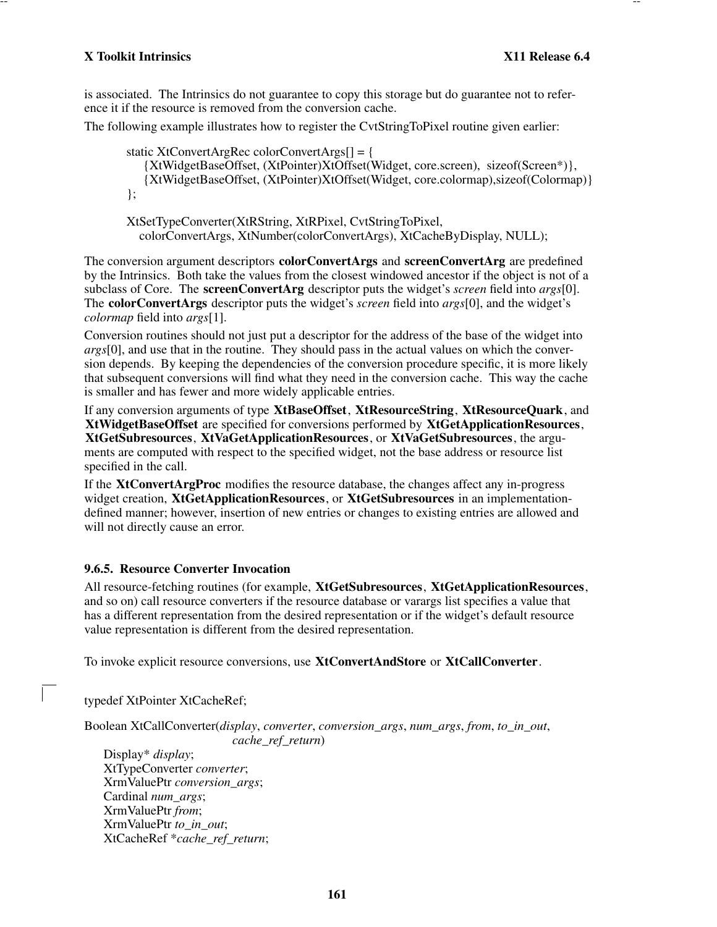is associated. The Intrinsics do not guarantee to copy this storage but do guarantee not to reference it if the resource is removed from the conversion cache.

The following example illustrates how to register the CvtStringToPixel routine given earlier:

-- --

static XtConvertArgRec colorConvertArgs[] = { {XtWidgetBaseOffset, (XtPointer)XtOffset(Widget, core.screen), sizeof(Screen\*)}, {XtWidgetBaseOffset, (XtPointer)XtOffset(Widget, core.colormap),sizeof(Colormap)} };

XtSetTypeConverter(XtRString, XtRPixel, CvtStringToPixel, colorConvertArgs, XtNumber(colorConvertArgs), XtCacheByDisplay, NULL);

The conversion argument descriptors **colorConvertArgs** and **screenConvertArg** are predefined by the Intrinsics. Both take the values from the closest windowed ancestor if the object is not of a subclass of Core. The **screenConvertArg** descriptor puts the widget's *screen* field into *args*[0]. The **colorConvertArgs** descriptor puts the widget's *screen* field into *args*[0], and the widget's *colormap* field into *args*[1].

Conversion routines should not just put a descriptor for the address of the base of the widget into *args*[0], and use that in the routine. They should pass in the actual values on which the conversion depends. By keeping the dependencies of the conversion procedure specific, it is more likely that subsequent conversions will find what they need in the conversion cache. This way the cache is smaller and has fewer and more widely applicable entries.

If any conversion arguments of type **XtBaseOffset**, **XtResourceString**, **XtResourceQuark**, and **XtWidgetBaseOffset** are specified for conversions performed by **XtGetApplicationResources**, **XtGetSubresources**, **XtVaGetApplicationResources**, or **XtVaGetSubresources**, the arguments are computed with respect to the specified widget, not the base address or resource list specified in the call.

If the **XtConvertArgProc** modifies the resource database, the changes affect any in-progress widget creation, **XtGetApplicationResources**, or **XtGetSubresources** in an implementationdefined manner; however, insertion of new entries or changes to existing entries are allowed and will not directly cause an error.

## **9.6.5. Resource Converter Invocation**

All resource-fetching routines (for example, **XtGetSubresources**, **XtGetApplicationResources**, and so on) call resource converters if the resource database or varargs list specifies a value that has a different representation from the desired representation or if the widget's default resource value representation is different from the desired representation.

To inv oke explicit resource conversions, use **XtConvertAndStore** or **XtCallConverter**.

typedef XtPointer XtCacheRef;

Boolean XtCallConverter(*display*, *converter*, *conversion\_args*, *num\_args*, *from*, *to\_in\_out*,

*cache\_ref\_return*)

Display\* *display*; XtTypeConverter *converter*; XrmValuePtr *conversion\_args*; Cardinal *num\_args*; XrmValuePtr *from*; XrmValuePtr *to\_in\_out*; XtCacheRef \**cache\_ref\_return*;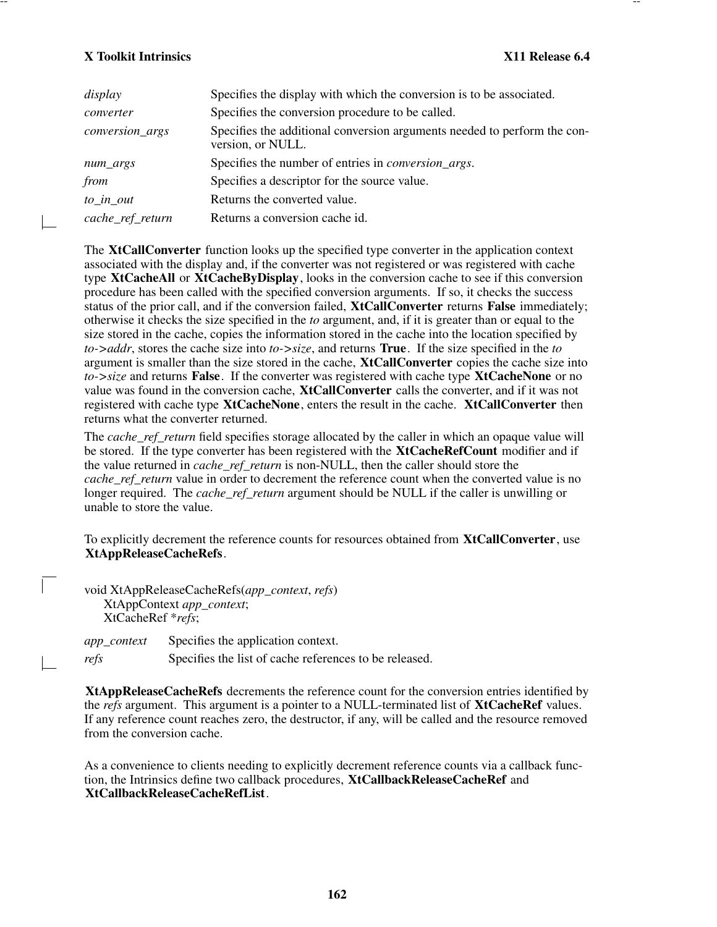| display          | Specifies the display with which the conversion is to be associated.                          |
|------------------|-----------------------------------------------------------------------------------------------|
| converter        | Specifies the conversion procedure to be called.                                              |
| conversion_args  | Specifies the additional conversion arguments needed to perform the con-<br>version, or NULL. |
| num_args         | Specifies the number of entries in <i>conversion_args</i> .                                   |
| from             | Specifies a descriptor for the source value.                                                  |
| $to$ $\mu$ $out$ | Returns the converted value.                                                                  |
| cache_ref_return | Returns a conversion cache id.                                                                |

-- --

The **XtCallConverter** function looks up the specified type converter in the application context associated with the display and, if the converter was not registered or was registered with cache type **XtCacheAll** or **XtCacheByDisplay**, looks in the conversion cache to see if this conversion procedure has been called with the specified conversion arguments. If so, it checks the success status of the prior call, and if the conversion failed, **XtCallConverter** returns **False** immediately; otherwise it checks the size specified in the *to* argument, and, if it is greater than or equal to the size stored in the cache, copies the information stored in the cache into the location specified by *to->addr*, stores the cache size into *to->size*, and returns **True**. If the size specified in the *to* argument is smaller than the size stored in the cache, **XtCallConverter** copies the cache size into *to->size* and returns **False**. If the converter was registered with cache type **XtCacheNone** or no value was found in the conversion cache, **XtCallConverter** calls the converter, and if it was not registered with cache type **XtCacheNone**, enters the result in the cache. **XtCallConverter** then returns what the converter returned.

The *cache\_ref\_return* field specifies storage allocated by the caller in which an opaque value will be stored. If the type converter has been registered with the **XtCacheRefCount** modifier and if the value returned in *cache\_ref\_return* is non-NULL, then the caller should store the *cache\_ref\_return* value in order to decrement the reference count when the converted value is no longer required. The *cache\_ref\_return* argument should be NULL if the caller is unwilling or unable to store the value.

To explicitly decrement the reference counts for resources obtained from **XtCallConverter**, use **XtAppReleaseCacheRefs**.

void XtAppReleaseCacheRefs(*app\_context*, *refs*) XtAppContext *app\_context*; XtCacheRef \**refs*;

*app\_context* Specifies the application context. *refs* Specifies the list of cache references to be released.

**XtAppReleaseCacheRefs** decrements the reference count for the conversion entries identified by the *refs* argument. This argument is a pointer to a NULL-terminated list of **XtCacheRef** values. If any reference count reaches zero, the destructor, if any, will be called and the resource removed from the conversion cache.

As a convenience to clients needing to explicitly decrement reference counts via a callback function, the Intrinsics define two callback procedures, **XtCallbackReleaseCacheRef** and **XtCallbackReleaseCacheRefList**.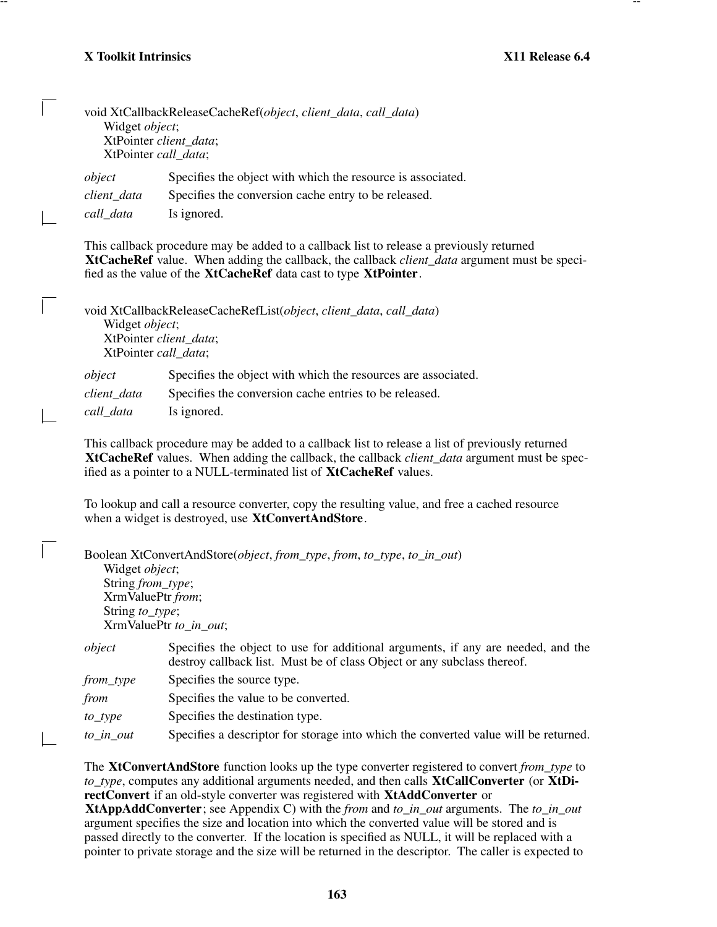$\mathsf{L}$ 

void XtCallbackReleaseCacheRef(*object*, *client\_data*, *call\_data*) Widget *object*; XtPointer *client\_data*; XtPointer *call\_data*;

*object* Specifies the object with which the resource is associated. *client\_data* Specifies the conversion cache entry to be released. *call\_data* Is ignored.

This callback procedure may be added to a callback list to release a previously returned **XtCacheRef** value. When adding the callback, the callback *client\_data* argument must be specified as the value of the **XtCacheRef** data cast to type **XtPointer**.

-- --

void XtCallbackReleaseCacheRefList(*object*, *client\_data*, *call\_data*) Widget *object*; XtPointer *client\_data*; XtPointer *call\_data*;

| object      | Specifies the object with which the resources are associated. |
|-------------|---------------------------------------------------------------|
| client data | Specifies the conversion cache entries to be released.        |
| call data   | Is ignored.                                                   |

This callback procedure may be added to a callback list to release a list of previously returned **XtCacheRef** values. When adding the callback, the callback *client\_data* argument must be specified as a pointer to a NULL-terminated list of **XtCacheRef** values.

To lookup and call a resource converter, copy the resulting value, and free a cached resource when a widget is destroyed, use **XtConvertAndStore**.

Boolean XtConvertAndStore(*object*, *from\_type*, *from*, *to\_type*, *to\_in\_out*) Widget *object*; String *from\_type*; XrmValuePtr *from*; String *to\_type*; XrmValuePtr *to\_in\_out*; *object* Specifies the object to use for additional arguments, if any are needed, and the

| vvjeci                  | specifies the object to use for additional arguments, if any are necued, and the<br>destroy callback list. Must be of class Object or any subclass thereof. |
|-------------------------|-------------------------------------------------------------------------------------------------------------------------------------------------------------|
| from_type               | Specifies the source type.                                                                                                                                  |
| from                    | Specifies the value to be converted.                                                                                                                        |
| to type                 | Specifies the destination type.                                                                                                                             |
| $to$ <sub>_in_out</sub> | Specifies a descriptor for storage into which the converted value will be returned.                                                                         |

The **XtConvertAndStore** function looks up the type converter registered to convert *from\_type* to *to\_type*, computes any additional arguments needed, and then calls **XtCallConverter** (or **XtDirectConvert** if an old-style converter was registered with **XtAddConverter** or **XtAppAddConverter**; see Appendix C) with the *from* and *to\_in\_out* arguments. The *to\_in\_out* argument specifies the size and location into which the converted value will be stored and is passed directly to the converter. If the location is specified as NULL, it will be replaced with a pointer to private storage and the size will be returned in the descriptor. The caller is expected to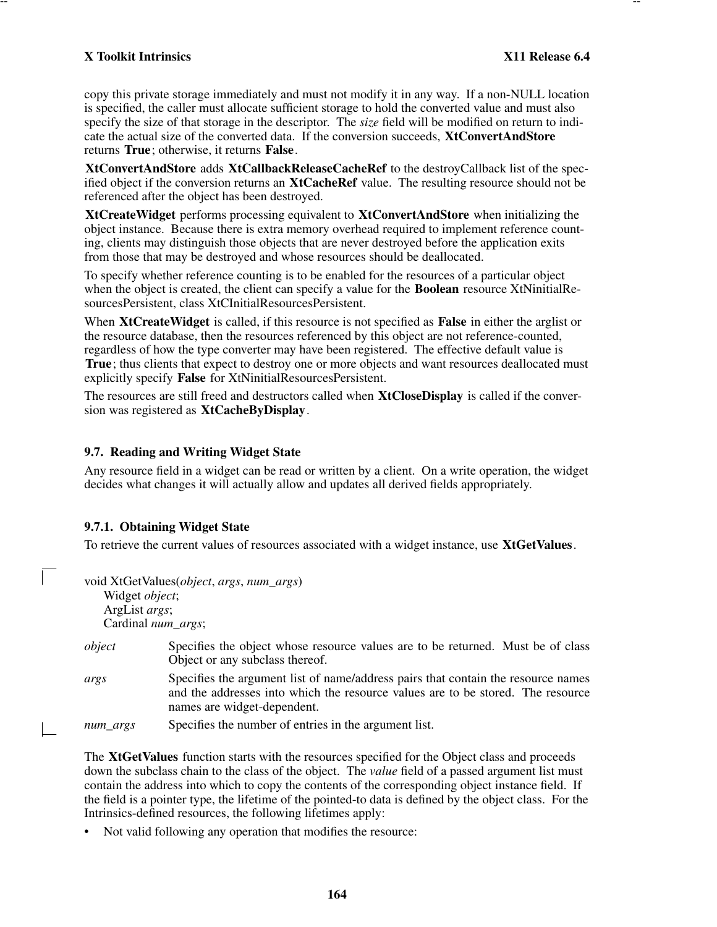copy this private storage immediately and must not modify it in any way. If a non-NULL location is specified, the caller must allocate sufficient storage to hold the converted value and must also specify the size of that storage in the descriptor. The *size* field will be modified on return to indicate the actual size of the converted data. If the conversion succeeds, **XtConvertAndStore** returns **True**; otherwise, it returns **False**.

-- --

**XtConvertAndStore** adds **XtCallbackReleaseCacheRef** to the destroyCallback list of the specified object if the conversion returns an **XtCacheRef** value. The resulting resource should not be referenced after the object has been destroyed.

**XtCreateWidget** performs processing equivalent to **XtConvertAndStore** when initializing the object instance. Because there is extra memory overhead required to implement reference counting, clients may distinguish those objects that are never destroyed before the application exits from those that may be destroyed and whose resources should be deallocated.

To specify whether reference counting is to be enabled for the resources of a particular object when the object is created, the client can specify a value for the **Boolean** resource XtNinitialResourcesPersistent, class XtCInitialResourcesPersistent.

When **XtCreateWidget** is called, if this resource is not specified as **False** in either the arglist or the resource database, then the resources referenced by this object are not reference-counted, regardless of how the type converter may have been registered. The effective default value is **True**; thus clients that expect to destroy one or more objects and want resources deallocated must explicitly specify **False** for XtNinitialResourcesPersistent.

The resources are still freed and destructors called when **XtCloseDisplay** is called if the conversion was registered as **XtCacheByDisplay**.

#### **9.7. Reading and Writing Widget State**

Any resource field in a widget can be read or written by a client. On a write operation, the widget decides what changes it will actually allow and updates all derived fields appropriately.

#### **9.7.1. Obtaining Widget State**

To retrieve the current values of resources associated with a widget instance, use **XtGetValues**.

void XtGetValues(*object*, *args*, *num\_args*) Widget *object*; ArgList *args*; Cardinal *num\_args*;

| object | Specifies the object whose resource values are to be returned. Must be of class<br>Object or any subclass thereof.                                                   |
|--------|----------------------------------------------------------------------------------------------------------------------------------------------------------------------|
| args   | Specifies the argument list of name/address pairs that contain the resource names<br>and the addresses into which the resource values are to be stored. The resource |

and the addresses into which the resource values are to be stored. The resource names are widget-dependent.

*num\_args* Specifies the number of entries in the argument list.

The **XtGetValues** function starts with the resources specified for the Object class and proceeds down the subclass chain to the class of the object. The *value* field of a passed argument list must contain the address into which to copy the contents of the corresponding object instance field. If the field is a pointer type, the lifetime of the pointed-to data is defined by the object class. For the Intrinsics-defined resources, the following lifetimes apply:

Not valid following any operation that modifies the resource: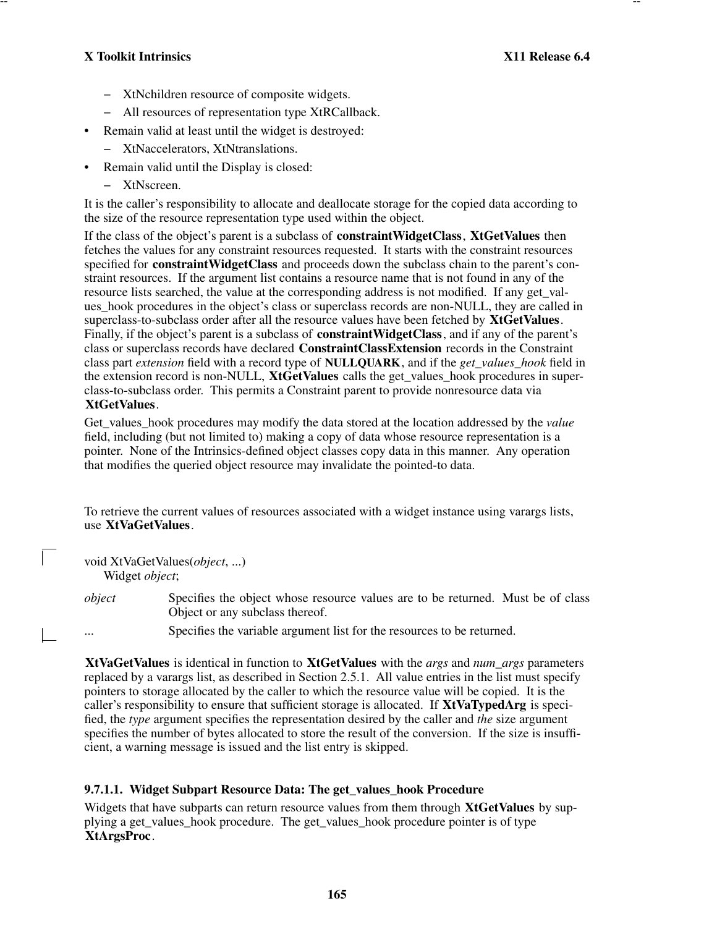- − XtNchildren resource of composite widgets.
- − All resources of representation type XtRCallback.
- Remain valid at least until the widget is destroyed:
- − XtNaccelerators, XtNtranslations.
- Remain valid until the Display is closed:
	- − XtNscreen.

It is the caller's responsibility to allocate and deallocate storage for the copied data according to the size of the resource representation type used within the object.

-- --

If the class of the object's parent is a subclass of **constraintWidgetClass**, **XtGetValues** then fetches the values for any constraint resources requested. It starts with the constraint resources specified for **constraintWidgetClass** and proceeds down the subclass chain to the parent's constraint resources. If the argument list contains a resource name that is not found in any of the resource lists searched, the value at the corresponding address is not modified. If any get\_values\_hook procedures in the object's class or superclass records are non-NULL, they are called in superclass-to-subclass order after all the resource values have been fetched by **XtGetValues**. Finally, if the object's parent is a subclass of **constraintWidgetClass**, and if any of the parent's class or superclass records have declared **ConstraintClassExtension** records in the Constraint class part *extension* field with a record type of **NULLQUARK**, and if the *get\_values\_hook* field in the extension record is non-NULL, **XtGetValues** calls the get\_values\_hook procedures in superclass-to-subclass order. This permits a Constraint parent to provide nonresource data via **XtGetValues**.

Get values hook procedures may modify the data stored at the location addressed by the *value* field, including (but not limited to) making a copy of data whose resource representation is a pointer. None of the Intrinsics-defined object classes copy data in this manner. Any operation that modifies the queried object resource may invalidate the pointed-to data.

To retrieve the current values of resources associated with a widget instance using varargs lists, use **XtVaGetValues**.

void XtVaGetValues(*object*, ...) Widget *object*;

*object* Specifies the object whose resource values are to be returned. Must be of class Object or any subclass thereof.

... Specifies the variable argument list for the resources to be returned.

**XtVaGetValues** is identical in function to **XtGetValues** with the *args* and *num\_args* parameters replaced by a varargs list, as described in Section 2.5.1. All value entries in the list must specify pointers to storage allocated by the caller to which the resource value will be copied. It is the caller's responsibility to ensure that sufficient storage is allocated. If **XtVaTypedArg** is specified, the *type* argument specifies the representation desired by the caller and *the* size argument specifies the number of bytes allocated to store the result of the conversion. If the size is insufficient, a warning message is issued and the list entry is skipped.

# **9.7.1.1. Widget Subpart Resource Data: The get\_values\_hook Procedure**

Widgets that have subparts can return resource values from them through **XtGetValues** by supplying a get\_values\_hook procedure. The get\_values\_hook procedure pointer is of type **XtArgsProc**.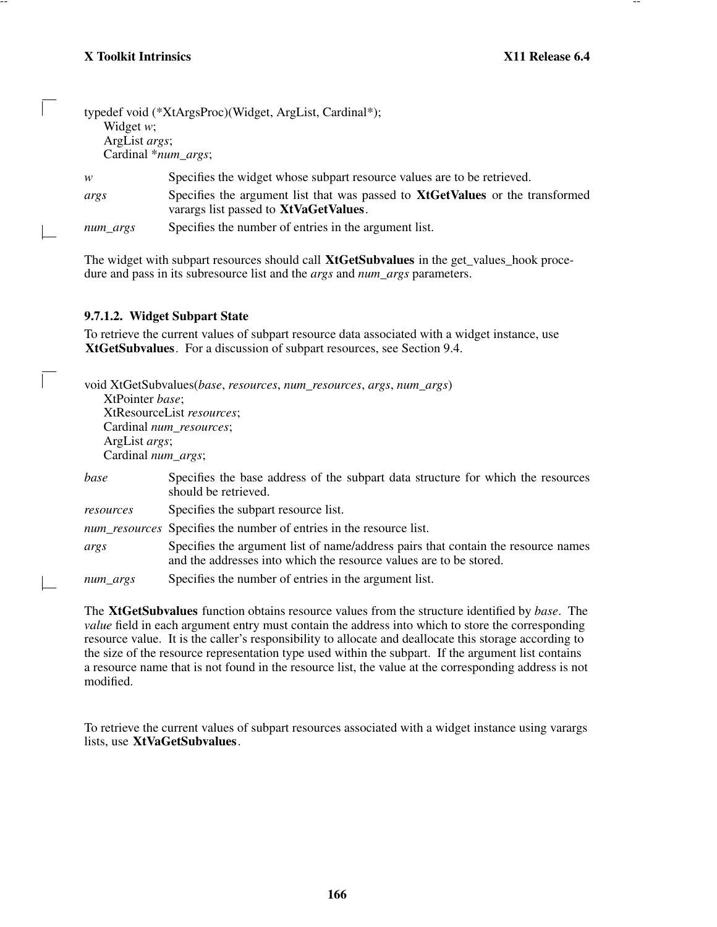| Widget $w$ ;<br>ArgList args;<br>Cardinal * <i>num_args</i> ; | typedef void (*XtArgsProc) (Widget, ArgList, Cardinal*);                                                                      |
|---------------------------------------------------------------|-------------------------------------------------------------------------------------------------------------------------------|
| w                                                             | Specifies the widget whose subpart resource values are to be retrieved.                                                       |
| args                                                          | Specifies the argument list that was passed to <b>XtGetValues</b> or the transformed<br>varargs list passed to XtVaGetValues. |
| num_args                                                      | Specifies the number of entries in the argument list.                                                                         |

-- --

The widget with subpart resources should call **XtGetSubvalues** in the get\_values\_hook procedure and pass in its subresource list and the *args* and *num\_args* parameters.

# **9.7.1.2. Widget Subpart State**

To retrieve the current values of subpart resource data associated with a widget instance, use **XtGetSubvalues**. For a discussion of subpart resources, see Section 9.4.

| XtPointer base;<br>ArgList args;<br>Cardinal <i>num_args</i> ; | void XtGetSubvalues( <i>base, resources, num_resources, args, num_args</i> )<br>XtResourceList resources;<br>Cardinal <i>num_resources</i> ;            |
|----------------------------------------------------------------|---------------------------------------------------------------------------------------------------------------------------------------------------------|
| base                                                           | Specifies the base address of the subpart data structure for which the resources<br>should be retrieved.                                                |
| resources                                                      | Specifies the subpart resource list.                                                                                                                    |
| num resources                                                  | Specifies the number of entries in the resource list.                                                                                                   |
| args                                                           | Specifies the argument list of name/address pairs that contain the resource names<br>and the addresses into which the resource values are to be stored. |
| num args                                                       | Specifies the number of entries in the argument list.                                                                                                   |

The **XtGetSubvalues** function obtains resource values from the structure identified by *base*. The *value* field in each argument entry must contain the address into which to store the corresponding resource value. It is the caller's responsibility to allocate and deallocate this storage according to the size of the resource representation type used within the subpart. If the argument list contains a resource name that is not found in the resource list, the value at the corresponding address is not modified.

To retrieve the current values of subpart resources associated with a widget instance using varargs lists, use **XtVaGetSubvalues**.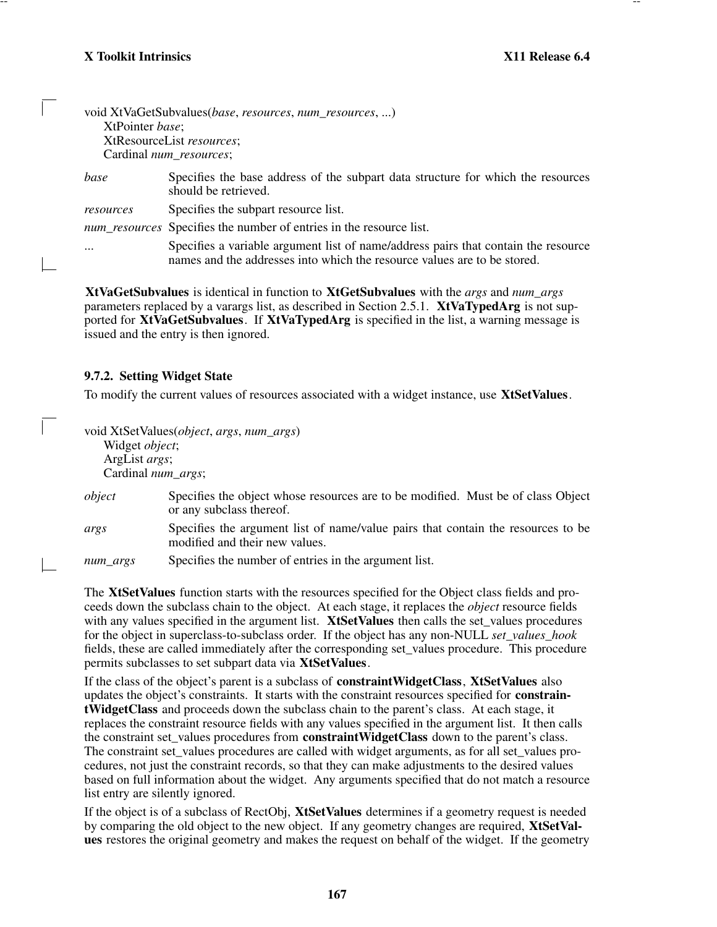void XtVaGetSubvalues(*base*, *resources*, *num\_resources*, ...) XtPointer *base*; XtResourceList *resources*; Cardinal *num\_resources*;

*base* Specifies the base address of the subpart data structure for which the resources should be retrieved.

-- --

*resources* Specifies the subpart resource list.

*num\_resources* Specifies the number of entries in the resource list.

... Specifies a variable argument list of name/address pairs that contain the resource names and the addresses into which the resource values are to be stored.

**XtVaGetSubvalues** is identical in function to **XtGetSubvalues** with the *args* and *num\_args* parameters replaced by a varargs list, as described in Section 2.5.1. **XtVaTypedArg** is not supported for **XtVaGetSubvalues**. If **XtVaTypedArg** is specified in the list, a warning message is issued and the entry is then ignored.

#### **9.7.2. Setting Widget State**

To modify the current values of resources associated with a widget instance, use **XtSetValues**.

void XtSetValues(*object*, *args*, *num\_args*) Widget *object*; ArgList *args*; Cardinal *num\_args*;

- *object* Specifies the object whose resources are to be modified. Must be of class Object or any subclass thereof. *args* Specifies the argument list of name/value pairs that contain the resources to be modified and their new values.
- *num\_args* Specifies the number of entries in the argument list.

The **XtSetValues** function starts with the resources specified for the Object class fields and proceeds down the subclass chain to the object. At each stage, it replaces the *object* resource fields with any values specified in the argument list. **XtSetValues** then calls the set\_values procedures for the object in superclass-to-subclass order. If the object has any non-NULL *set\_values\_hook* fields, these are called immediately after the corresponding set\_values procedure. This procedure permits subclasses to set subpart data via **XtSetValues**.

If the class of the object's parent is a subclass of **constraintWidgetClass**, **XtSetValues** also updates the object's constraints. It starts with the constraint resources specified for **constraintWidgetClass** and proceeds down the subclass chain to the parent's class. At each stage, it replaces the constraint resource fields with any values specified in the argument list. It then calls the constraint set\_values procedures from **constraintWidgetClass** down to the parent's class. The constraint set\_values procedures are called with widget arguments, as for all set\_values procedures, not just the constraint records, so that they can make adjustments to the desired values based on full information about the widget. Any arguments specified that do not match a resource list entry are silently ignored.

If the object is of a subclass of RectObj, **XtSetValues** determines if a geometry request is needed by comparing the old object to the new object. If any geometry changes are required, **XtSetValues** restores the original geometry and makes the request on behalf of the widget. If the geometry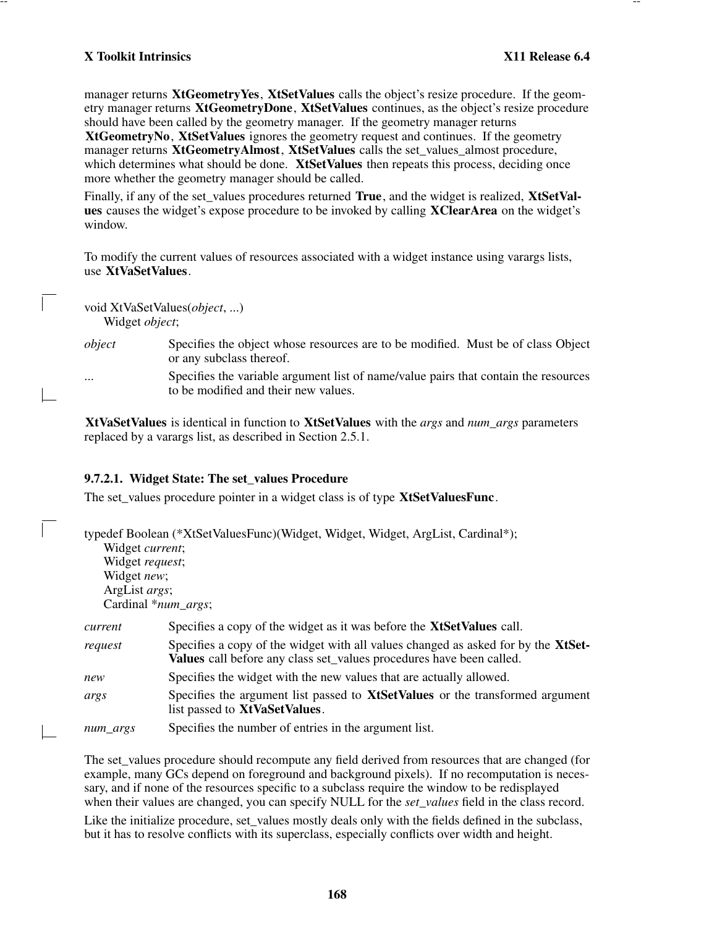manager returns **XtGeometryYes**, **XtSetValues** calls the object's resize procedure. If the geometry manager returns **XtGeometryDone**, **XtSetValues** continues, as the object's resize procedure should have been called by the geometry manager. If the geometry manager returns

**XtGeometryNo**, **XtSetValues** ignores the geometry request and continues. If the geometry manager returns **XtGeometryAlmost**, **XtSetValues** calls the set\_values\_almost procedure, which determines what should be done. **XtSetValues** then repeats this process, deciding once more whether the geometry manager should be called.

-- --

Finally, if any of the set\_values procedures returned **True**, and the widget is realized, **XtSetValues** causes the widget's expose procedure to be invoked by calling **XClearArea** on the widget's window.

To modify the current values of resources associated with a widget instance using varargs lists, use **XtVaSetValues**.

```
void XtVaSetValues(object, ...)
   Widget object;
```
- *object* Specifies the object whose resources are to be modified. Must be of class Object or any subclass thereof.
- ... Specifies the variable argument list of name/value pairs that contain the resources to be modified and their new values.

**XtVaSetValues** is identical in function to **XtSetValues** with the *args* and *num\_args* parameters replaced by a varargs list, as described in Section 2.5.1.

#### **9.7.2.1. Widget State: The set\_values Procedure**

The set\_values procedure pointer in a widget class is of type **XtSetValuesFunc**.

|                              | typedef Boolean (*XtSetValuesFunc) (Widget, Widget, Widget, ArgList, Cardinal*);                                                                                 |
|------------------------------|------------------------------------------------------------------------------------------------------------------------------------------------------------------|
| Widget <i>current</i> ;      |                                                                                                                                                                  |
| Widget request;              |                                                                                                                                                                  |
| Widget new;                  |                                                                                                                                                                  |
| ArgList args;                |                                                                                                                                                                  |
| Cardinal * <i>num_args</i> ; |                                                                                                                                                                  |
| current                      | Specifies a copy of the widget as it was before the <b>XtSetValues</b> call.                                                                                     |
| request                      | Specifies a copy of the widget with all values changed as asked for by the XtSet-<br><b>Values</b> call before any class set_values procedures have been called. |
| new                          | Specifies the widget with the new values that are actually allowed.                                                                                              |
| args                         | Specifies the argument list passed to <b>XtSetValues</b> or the transformed argument<br>list passed to XtVaSetValues.                                            |
| num_args                     | Specifies the number of entries in the argument list.                                                                                                            |

The set values procedure should recompute any field derived from resources that are changed (for example, many GCs depend on foreground and background pixels). If no recomputation is necessary, and if none of the resources specific to a subclass require the window to be redisplayed when their values are changed, you can specify NULL for the *set\_values* field in the class record.

Like the initialize procedure, set\_values mostly deals only with the fields defined in the subclass, but it has to resolve conflicts with its superclass, especially conflicts over width and height.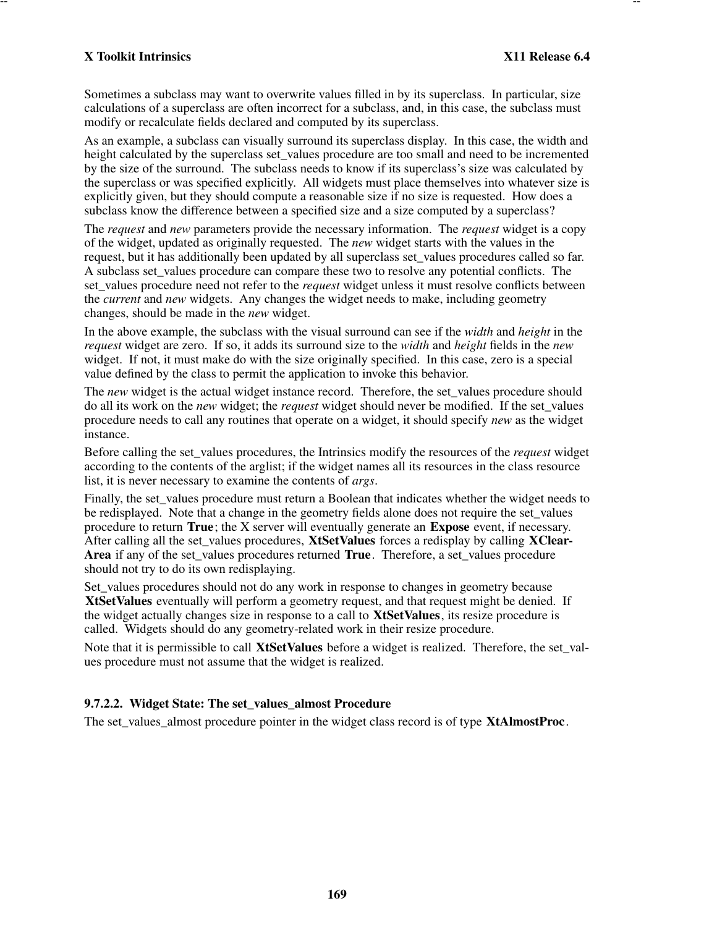Sometimes a subclass may want to overwrite values filled in by its superclass. In particular, size calculations of a superclass are often incorrect for a subclass, and, in this case, the subclass must modify or recalculate fields declared and computed by its superclass.

-- --

As an example, a subclass can visually surround its superclass display. In this case, the width and height calculated by the superclass set\_values procedure are too small and need to be incremented by the size of the surround. The subclass needs to know if its superclass's size was calculated by the superclass or was specified explicitly. All widgets must place themselves into whatever size is explicitly given, but they should compute a reasonable size if no size is requested. How does a subclass know the difference between a specified size and a size computed by a superclass?

The *request* and *new* parameters provide the necessary information. The *request* widget is a copy of the widget, updated as originally requested. The *new* widget starts with the values in the request, but it has additionally been updated by all superclass set\_values procedures called so far. A subclass set\_values procedure can compare these two to resolve any potential conflicts. The set\_values procedure need not refer to the *request* widget unless it must resolve conflicts between the *current* and *new* widgets. Any changes the widget needs to make, including geometry changes, should be made in the *new* widget.

In the above example, the subclass with the visual surround can see if the *width* and *height* in the *request* widget are zero. If so, it adds its surround size to the *width* and *height* fields in the *new* widget. If not, it must make do with the size originally specified. In this case, zero is a special value defined by the class to permit the application to invoke this behavior.

The *new* widget is the actual widget instance record. Therefore, the set values procedure should do all its work on the *new* widget; the *request* widget should never be modified. If the set\_values procedure needs to call any routines that operate on a widget, it should specify *new* as the widget instance.

Before calling the set\_values procedures, the Intrinsics modify the resources of the *request* widget according to the contents of the arglist; if the widget names all its resources in the class resource list, it is never necessary to examine the contents of *args*.

Finally, the set values procedure must return a Boolean that indicates whether the widget needs to be redisplayed. Note that a change in the geometry fields alone does not require the set\_values procedure to return **True**; the X server will eventually generate an **Expose** event, if necessary. After calling all the set\_values procedures, **XtSetValues** forces a redisplay by calling **XClear-**Area if any of the set values procedures returned **True**. Therefore, a set values procedure should not try to do its own redisplaying.

Set\_values procedures should not do any work in response to changes in geometry because **XtSetValues** eventually will perform a geometry request, and that request might be denied. If the widget actually changes size in response to a call to **XtSetValues**, its resize procedure is called. Widgets should do any geometry-related work in their resize procedure.

Note that it is permissible to call **XtSetValues** before a widget is realized. Therefore, the set\_values procedure must not assume that the widget is realized.

## **9.7.2.2. Widget State: The set\_values\_almost Procedure**

The set\_values\_almost procedure pointer in the widget class record is of type **XtAlmostProc**.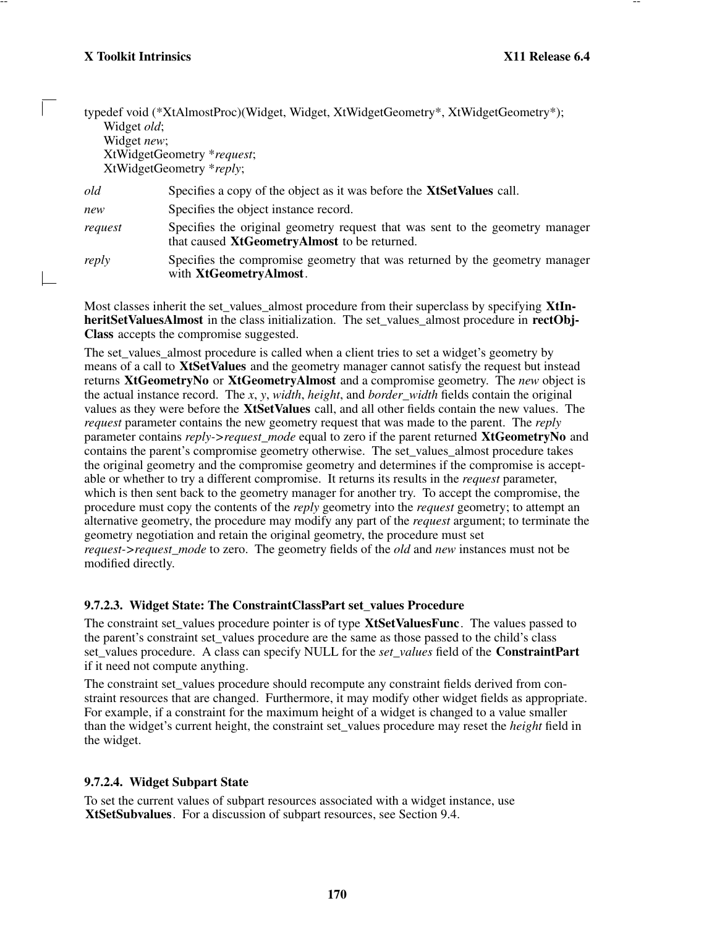L

typedef void (\*XtAlmostProc)(Widget, Widget, XtWidgetGeometry\*, XtWidgetGeometry\*); Widget *old*; Widget *new*; XtWidgetGeometry \**request*; XtWidgetGeometry \**reply*; *old* Specifies a copy of the object as it was before the **XtSetValues** call. *new* Specifies the object instance record. *request* Specifies the original geometry request that was sent to the geometry manager that caused **XtGeometryAlmost** to be returned. *reply* Specifies the compromise geometry that was returned by the geometry manager with **XtGeometryAlmost**.

-- --

Most classes inherit the set\_values\_almost procedure from their superclass by specifying **XtInheritSetValuesAlmost** in the class initialization. The set\_values\_almost procedure in **rectObj-Class** accepts the compromise suggested.

The set\_values\_almost procedure is called when a client tries to set a widget's geometry by means of a call to **XtSetValues** and the geometry manager cannot satisfy the request but instead returns **XtGeometryNo** or **XtGeometryAlmost** and a compromise geometry. The *new* object is the actual instance record. The *x*, *y*, *width*, *height*, and *border\_width* fields contain the original values as they were before the **XtSetValues** call, and all other fields contain the new values. The *request* parameter contains the new geometry request that was made to the parent. The *reply* parameter contains *reply->request\_mode* equal to zero if the parent returned **XtGeometryNo** and contains the parent's compromise geometry otherwise. The set\_values\_almost procedure takes the original geometry and the compromise geometry and determines if the compromise is acceptable or whether to try a different compromise. It returns its results in the *request* parameter, which is then sent back to the geometry manager for another try. To accept the compromise, the procedure must copy the contents of the *reply* geometry into the *request* geometry; to attempt an alternative geometry, the procedure may modify any part of the *request* argument; to terminate the geometry negotiation and retain the original geometry, the procedure must set *request->request mode* to zero. The geometry fields of the *old* and *new* instances must not be modified directly.

## **9.7.2.3. Widget State: The ConstraintClassPart set\_values Procedure**

The constraint set\_values procedure pointer is of type **XtSetValuesFunc**. The values passed to the parent's constraint set\_values procedure are the same as those passed to the child's class set\_values procedure. A class can specify NULL for the *set\_values* field of the **ConstraintPart** if it need not compute anything.

The constraint set values procedure should recompute any constraint fields derived from constraint resources that are changed. Furthermore, it may modify other widget fields as appropriate. For example, if a constraint for the maximum height of a widget is changed to a value smaller than the widget's current height, the constraint set\_values procedure may reset the *height* field in the widget.

#### **9.7.2.4. Widget Subpart State**

To set the current values of subpart resources associated with a widget instance, use **XtSetSubvalues**. For a discussion of subpart resources, see Section 9.4.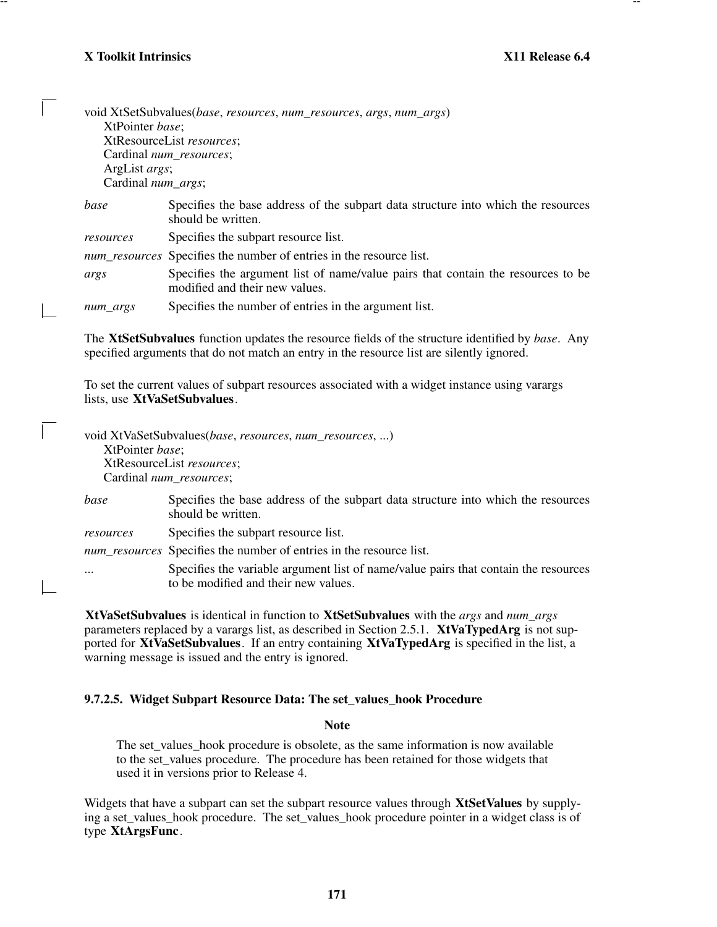|                            | void XtSetSubvalues(base, resources, num resources, args, num args)                                                |
|----------------------------|--------------------------------------------------------------------------------------------------------------------|
| XtPointer <i>base</i> ;    |                                                                                                                    |
|                            | XtResourceList resources;                                                                                          |
|                            | Cardinal <i>num resources</i> ;                                                                                    |
| ArgList args;              |                                                                                                                    |
| Cardinal <i>num_args</i> ; |                                                                                                                    |
| base                       | Specifies the base address of the subpart data structure into which the resources<br>should be written.            |
| resources                  | Specifies the subpart resource list.                                                                               |
| num resources              | Specifies the number of entries in the resource list.                                                              |
| args                       | Specifies the argument list of name/value pairs that contain the resources to be<br>modified and their new values. |
| num_args                   | Specifies the number of entries in the argument list.                                                              |

-- --

The **XtSetSubvalues** function updates the resource fields of the structure identified by *base*. Any specified arguments that do not match an entry in the resource list are silently ignored.

To set the current values of subpart resources associated with a widget instance using varargs lists, use **XtVaSetSubvalues**.

| void XtVaSetSubvalues( <i>base, resources, num resources, </i> )<br>XtPointer base;<br>XtResourceList resources;<br>Cardinal num resources; |                                                                                                                             |
|---------------------------------------------------------------------------------------------------------------------------------------------|-----------------------------------------------------------------------------------------------------------------------------|
| base                                                                                                                                        | Specifies the base address of the subpart data structure into which the resources<br>should be written.                     |
| resources                                                                                                                                   | Specifies the subpart resource list.                                                                                        |
|                                                                                                                                             | num_resources Specifies the number of entries in the resource list.                                                         |
| $\cdots$                                                                                                                                    | Specifies the variable argument list of name/value pairs that contain the resources<br>to be modified and their new values. |

**XtVaSetSubvalues** is identical in function to **XtSetSubvalues** with the *args* and *num\_args* parameters replaced by a varargs list, as described in Section 2.5.1. **XtVaTypedArg** is not supported for **XtVaSetSubvalues**. If an entry containing **XtVaTypedArg** is specified in the list, a warning message is issued and the entry is ignored.

#### **9.7.2.5. Widget Subpart Resource Data: The set\_values\_hook Procedure**

**Note**

The set\_values\_hook procedure is obsolete, as the same information is now available to the set\_values procedure. The procedure has been retained for those widgets that used it in versions prior to Release 4.

Widgets that have a subpart can set the subpart resource values through **XtSetValues** by supplying a set\_values\_hook procedure. The set\_values\_hook procedure pointer in a widget class is of type **XtArgsFunc**.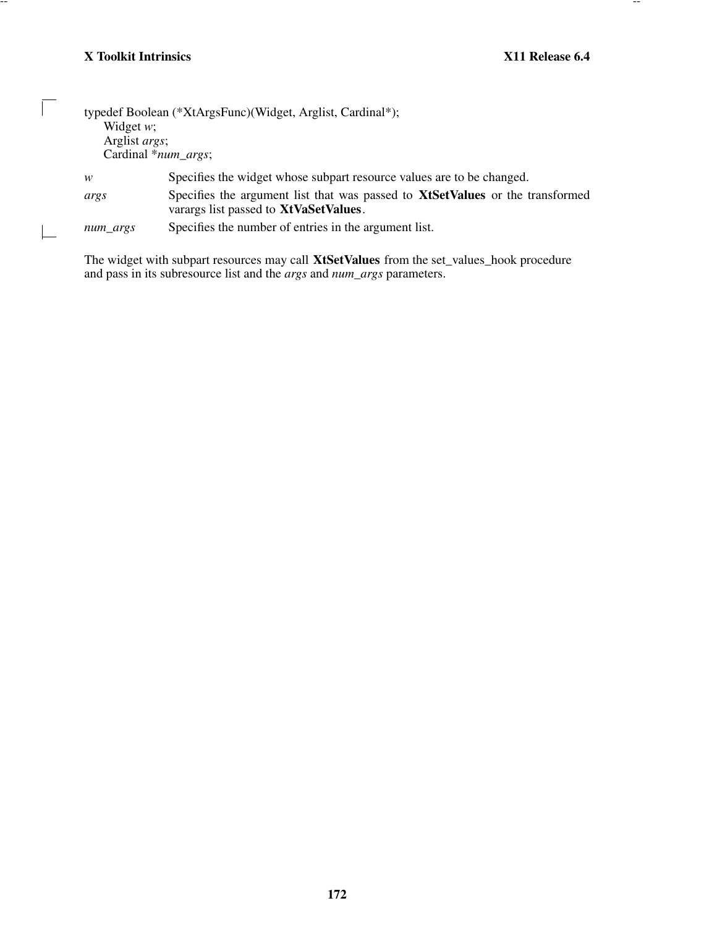$\overline{\Box}$ 

 $\boxed{\phantom{1}}$ 

| Widget $w$ ;<br>Arglist <i>args</i> ;<br>Cardinal $*_{num\_args}$ ; | typedef Boolean (*XtArgsFunc) (Widget, Arglist, Cardinal*);                                                                   |
|---------------------------------------------------------------------|-------------------------------------------------------------------------------------------------------------------------------|
| w                                                                   | Specifies the widget whose subpart resource values are to be changed.                                                         |
| args                                                                | Specifies the argument list that was passed to <b>XtSetValues</b> or the transformed<br>varargs list passed to XtVaSetValues. |
| num_args                                                            | Specifies the number of entries in the argument list.                                                                         |

-- --

The widget with subpart resources may call **XtSetValues** from the set\_values\_hook procedure and pass in its subresource list and the *args* and *num\_args* parameters.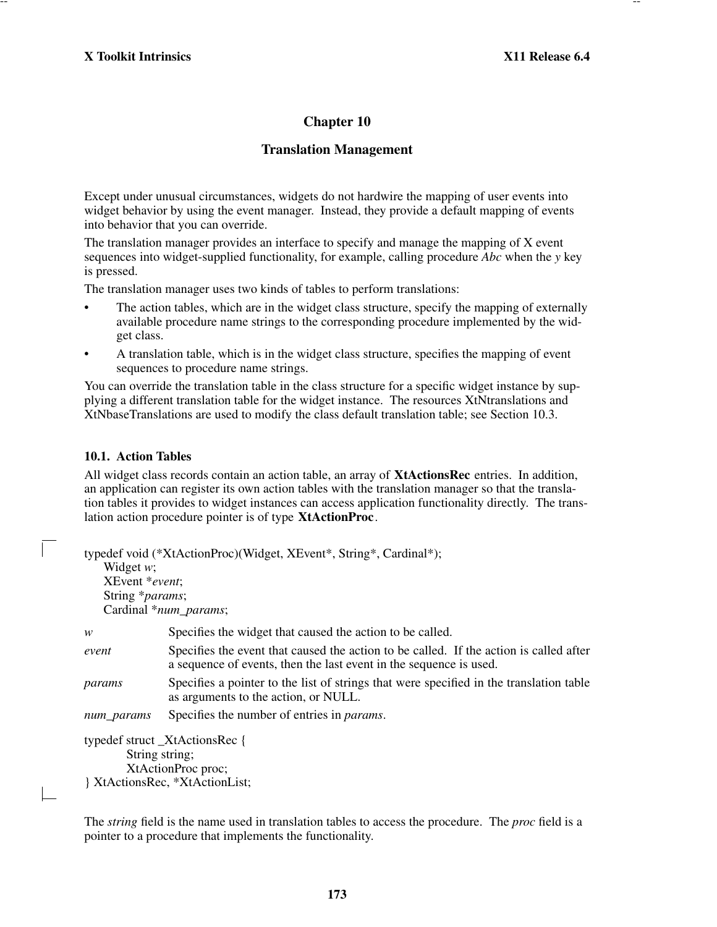#### **Chapter 10**

-- --

#### **Translation Management**

Except under unusual circumstances, widgets do not hardwire the mapping of user events into widget behavior by using the event manager. Instead, they provide a default mapping of events into behavior that you can override.

The translation manager provides an interface to specify and manage the mapping of X event sequences into widget-supplied functionality, for example, calling procedure *Abc* when the *y* key is pressed.

The translation manager uses two kinds of tables to perform translations:

- The action tables, which are in the widget class structure, specify the mapping of externally available procedure name strings to the corresponding procedure implemented by the widget class.
- A translation table, which is in the widget class structure, specifies the mapping of event sequences to procedure name strings.

You can override the translation table in the class structure for a specific widget instance by supplying a different translation table for the widget instance. The resources XtNtranslations and XtNbaseTranslations are used to modify the class default translation table; see Section 10.3.

#### **10.1. Action Tables**

All widget class records contain an action table, an array of **XtActionsRec** entries. In addition, an application can register its own action tables with the translation manager so that the translation tables it provides to widget instances can access application functionality directly. The translation action procedure pointer is of type **XtActionProc**.

```
typedef void (*XtActionProc)(Widget, XEvent*, String*, Cardinal*);
   Widget w;
   XEvent *event;
   String *params;
   Cardinal *num_params;
w Specifies the widget that caused the action to be called.
event Specifies the event that caused the action to be called. If the action is called after
               a sequence of events, then the last event in the sequence is used.
params Specifies a pointer to the list of strings that were specified in the translation table
               as arguments to the action, or NULL.
num_params Specifies the number of entries in params.
typedef struct _XtActionsRec {
       String string;
       XtActionProc proc;
} XtActionsRec, *XtActionList;
```
The *string* field is the name used in translation tables to access the procedure. The *proc* field is a pointer to a procedure that implements the functionality.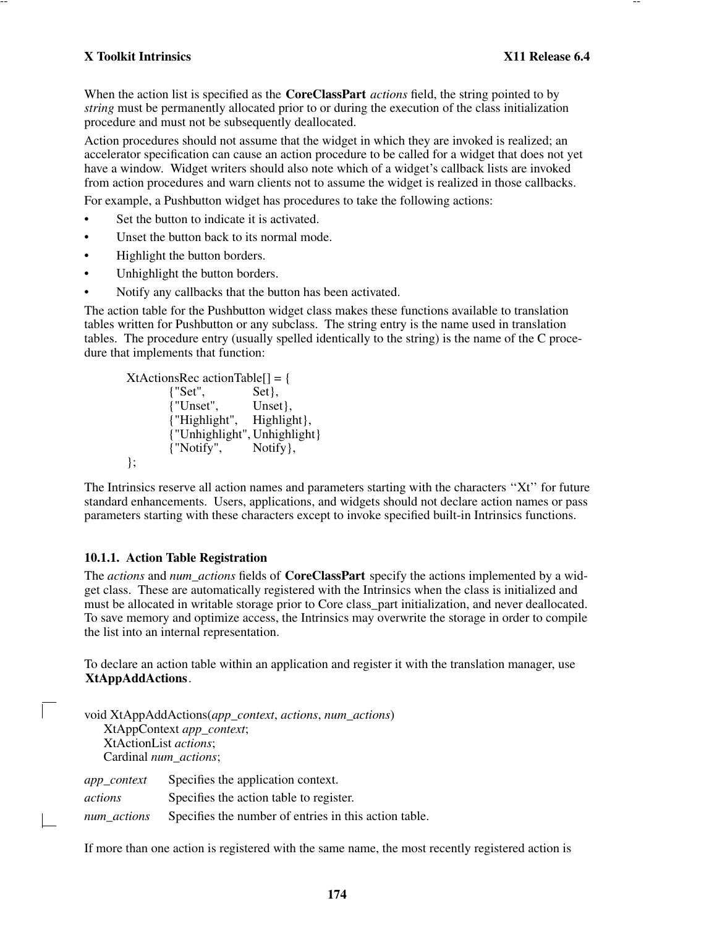When the action list is specified as the **CoreClassPart** *actions* field, the string pointed to by *string* must be permanently allocated prior to or during the execution of the class initialization procedure and must not be subsequently deallocated.

-- --

Action procedures should not assume that the widget in which they are invoked is realized; an accelerator specification can cause an action procedure to be called for a widget that does not yet have a window. Widget writers should also note which of a widget's callback lists are invoked from action procedures and warn clients not to assume the widget is realized in those callbacks.

For example, a Pushbutton widget has procedures to take the following actions:

- Set the button to indicate it is activated.
- Unset the button back to its normal mode.
- Highlight the button borders.
- Unhighlight the button borders.
- Notify any callbacks that the button has been activated.

The action table for the Pushbutton widget class makes these functions available to translation tables written for Pushbutton or any subclass. The string entry is the name used in translation tables. The procedure entry (usually spelled identically to the string) is the name of the C procedure that implements that function:

```
XtActionsRec actionTable[] = {
       {"Set", Set},
       {"Unset", Unset},
       {"Highlight", Highlight},
       {"Unhighlight", Unhighlight}
       {"Notify", Notify},
};
```
The Intrinsics reserve all action names and parameters starting with the characters ''Xt'' for future standard enhancements. Users, applications, and widgets should not declare action names or pass parameters starting with these characters except to invoke specified built-in Intrinsics functions.

#### **10.1.1. Action Table Registration**

The *actions* and *num\_actions* fields of **CoreClassPart** specify the actions implemented by a widget class. These are automatically registered with the Intrinsics when the class is initialized and must be allocated in writable storage prior to Core class\_part initialization, and never deallocated. To save memory and optimize access, the Intrinsics may overwrite the storage in order to compile the list into an internal representation.

To declare an action table within an application and register it with the translation manager, use **XtAppAddActions**.

```
void XtAppAddActions(app_context, actions, num_actions)
    XtAppContext app_context;
    XtActionList actions;
    Cardinal num_actions;
                 app_context Specifies the application context.
```

| app context | Specifies the application context.                    |
|-------------|-------------------------------------------------------|
| actions     | Specifies the action table to register.               |
| num actions | Specifies the number of entries in this action table. |

If more than one action is registered with the same name, the most recently registered action is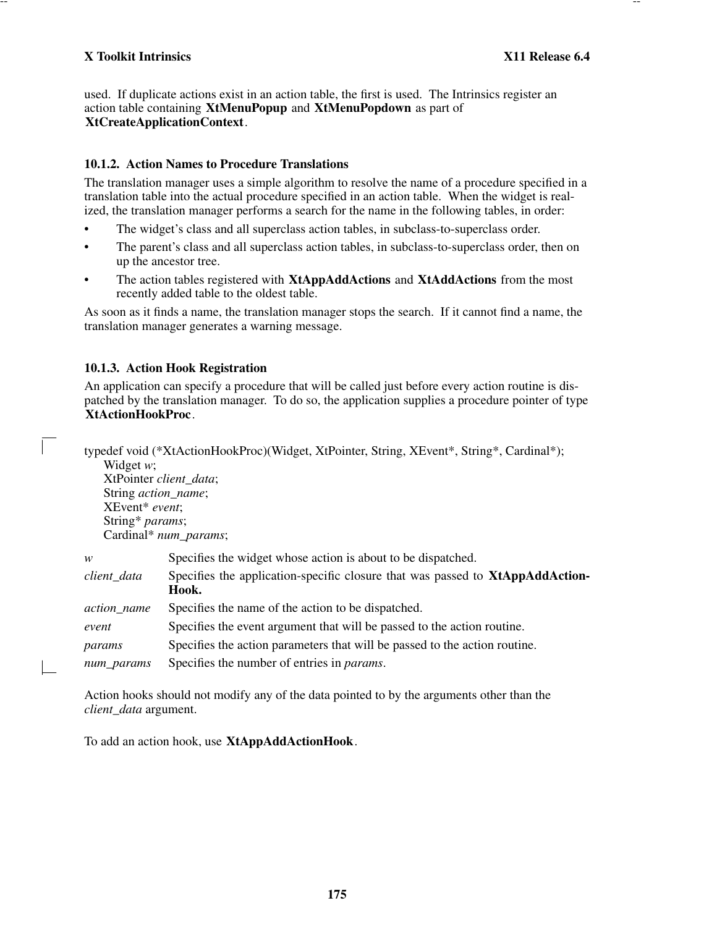used. If duplicate actions exist in an action table, the first is used. The Intrinsics register an action table containing **XtMenuPopup** and **XtMenuPopdown** as part of **XtCreateApplicationContext**.

-- --

# **10.1.2. Action Names to Procedure Translations**

The translation manager uses a simple algorithm to resolve the name of a procedure specified in a translation table into the actual procedure specified in an action table. When the widget is realized, the translation manager performs a search for the name in the following tables, in order:

- The widget's class and all superclass action tables, in subclass-to-superclass order.
- The parent's class and all superclass action tables, in subclass-to-superclass order, then on up the ancestor tree.
- The action tables registered with **XtAppAddActions** and **XtAddActions** from the most recently added table to the oldest table.

As soon as it finds a name, the translation manager stops the search. If it cannot find a name, the translation manager generates a warning message.

# **10.1.3. Action Hook Registration**

An application can specify a procedure that will be called just before every action routine is dispatched by the translation manager. To do so, the application supplies a procedure pointer of type **XtActionHookProc**.

typedef void (\*XtActionHookProc)(Widget, XtPointer, String, XEvent\*, String\*, Cardinal\*);

Widget *w*; XtPointer *client\_data*; String *action\_name*; XEvent\* *event*; String\* *params*; Cardinal\* *num\_params*;

| w           | Specifies the widget whose action is about to be dispatched.                                  |
|-------------|-----------------------------------------------------------------------------------------------|
| client data | Specifies the application-specific closure that was passed to <b>XtAppAddAction-</b><br>Hook. |
| action_name | Specifies the name of the action to be dispatched.                                            |
| event       | Specifies the event argument that will be passed to the action routine.                       |
| params      | Specifies the action parameters that will be passed to the action routine.                    |
| num params  | Specifies the number of entries in <i>params</i> .                                            |

Action hooks should not modify any of the data pointed to by the arguments other than the *client\_data* argument.

To add an action hook, use **XtAppAddActionHook**.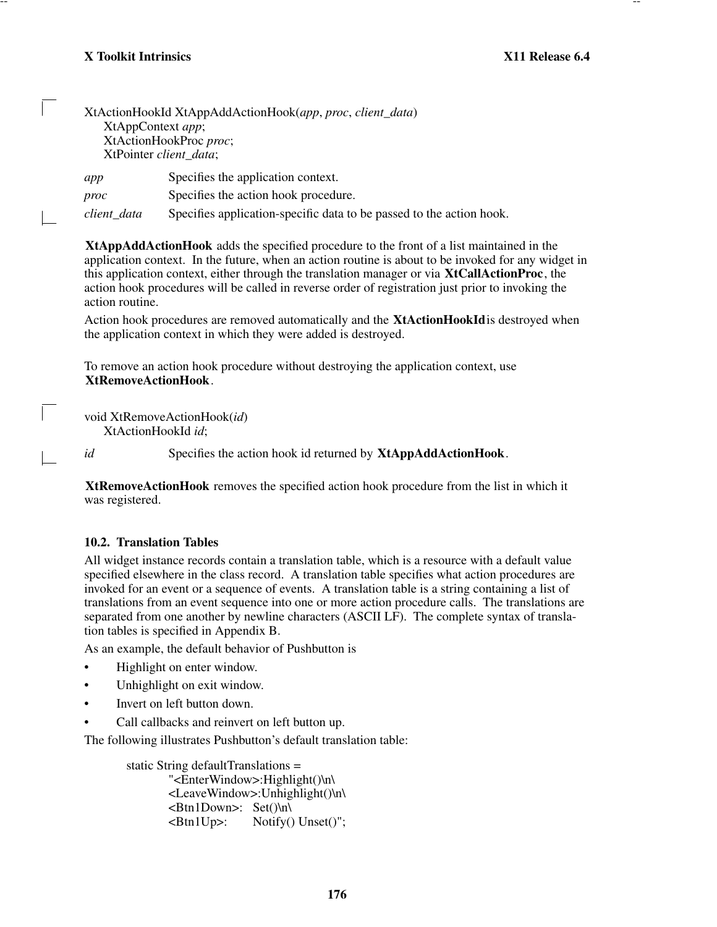$\mathsf{L}$ 

XtActionHookId XtAppAddActionHook(*app*, *proc*, *client\_data*) XtAppContext *app*; XtActionHookProc *proc*; XtPointer *client\_data*;

| app         | Specifies the application context.                                   |
|-------------|----------------------------------------------------------------------|
| proc        | Specifies the action hook procedure.                                 |
| client data | Specifies application-specific data to be passed to the action hook. |

-- --

**XtAppAddActionHook** adds the specified procedure to the front of a list maintained in the application context. In the future, when an action routine is about to be invoked for any widget in this application context, either through the translation manager or via **XtCallActionProc**, the action hook procedures will be called in reverse order of registration just prior to invoking the action routine.

Action hook procedures are removed automatically and the **XtActionHookId**is destroyed when the application context in which they were added is destroyed.

To remove an action hook procedure without destroying the application context, use **XtRemoveActionHook**.

void XtRemoveActionHook(*id*)

XtActionHookId *id*;

*id* Specifies the action hook id returned by **XtAppAddActionHook**.

**XtRemoveActionHook** removes the specified action hook procedure from the list in which it was registered.

## **10.2. Translation Tables**

All widget instance records contain a translation table, which is a resource with a default value specified elsewhere in the class record. A translation table specifies what action procedures are invoked for an event or a sequence of events. A translation table is a string containing a list of translations from an event sequence into one or more action procedure calls. The translations are separated from one another by newline characters (ASCII LF). The complete syntax of translation tables is specified in Appendix B.

As an example, the default behavior of Pushbutton is

- Highlight on enter window.
- Unhighlight on exit window.
- Invert on left button down.
- Call callbacks and reinvert on left button up.

The following illustrates Pushbutton's default translation table:

static String defaultTranslations = "<EnterWindow>:Highlight()\n\ <LeaveWindow>:Unhighlight()\n\  $\langle \text{Btn1Down}\rangle$ :  $\text{Set}(\hat{\mathcal{M}})$ <Btn1Up>: Notify() Unset()";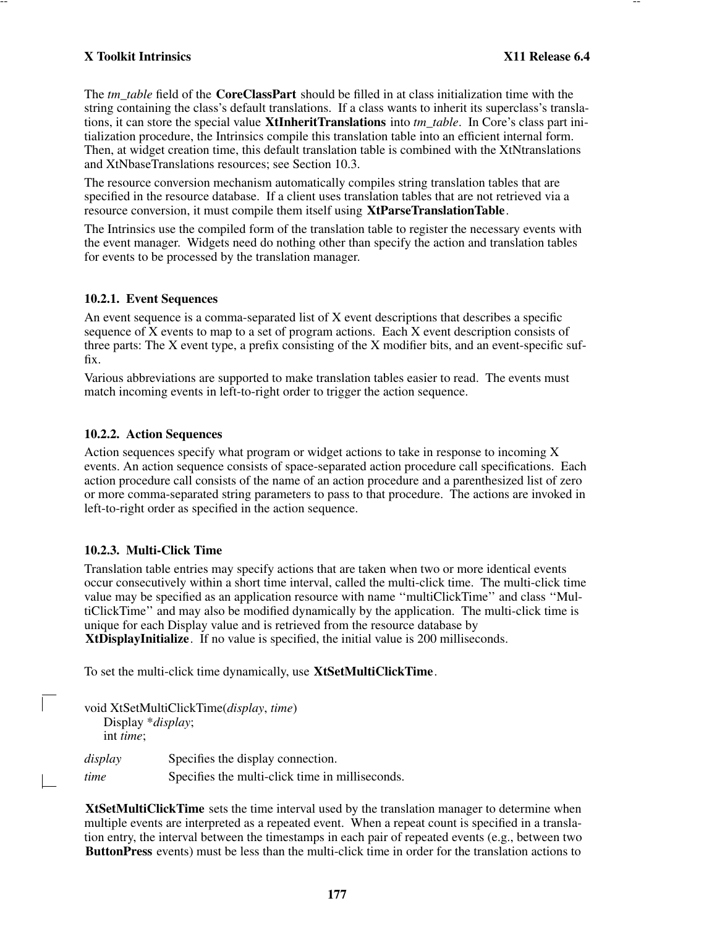# **X Toolkit Intrinsics X11 Release 6.4**

The *tm\_table* field of the **CoreClassPart** should be filled in at class initialization time with the string containing the class's default translations. If a class wants to inherit its superclass's translations, it can store the special value **XtInheritTranslations** into *tm\_table*. In Core's class part initialization procedure, the Intrinsics compile this translation table into an efficient internal form. Then, at widget creation time, this default translation table is combined with the XtNtranslations and XtNbaseTranslations resources; see Section 10.3.

-- --

The resource conversion mechanism automatically compiles string translation tables that are specified in the resource database. If a client uses translation tables that are not retrieved via a resource conversion, it must compile them itself using **XtParseTranslationTable**.

The Intrinsics use the compiled form of the translation table to register the necessary events with the event manager. Widgets need do nothing other than specify the action and translation tables for events to be processed by the translation manager.

## **10.2.1. Event Sequences**

An event sequence is a comma-separated list of X event descriptions that describes a specific sequence of X events to map to a set of program actions. Each X event description consists of three parts: The X event type, a prefix consisting of the X modifier bits, and an event-specific suffix.

Various abbreviations are supported to make translation tables easier to read. The events must match incoming events in left-to-right order to trigger the action sequence.

# **10.2.2. Action Sequences**

Action sequences specify what program or widget actions to take in response to incoming X events. An action sequence consists of space-separated action procedure call specifications. Each action procedure call consists of the name of an action procedure and a parenthesized list of zero or more comma-separated string parameters to pass to that procedure. The actions are invoked in left-to-right order as specified in the action sequence.

# **10.2.3. Multi-Click Time**

Translation table entries may specify actions that are taken when two or more identical events occur consecutively within a short time interval, called the multi-click time. The multi-click time value may be specified as an application resource with name ''multiClickTime'' and class ''MultiClickTime'' and may also be modified dynamically by the application. The multi-click time is unique for each Display value and is retrieved from the resource database by **XtDisplayInitialize**. If no value is specified, the initial value is 200 milliseconds.

To set the multi-click time dynamically, use **XtSetMultiClickTime**.

void XtSetMultiClickTime(*display*, *time*) Display \**display*; int *time*; *display* Specifies the display connection.

*time* Specifies the multi-click time in milliseconds.

**XtSetMultiClickTime** sets the time interval used by the translation manager to determine when multiple events are interpreted as a repeated event. When a repeat count is specified in a translation entry, the interval between the timestamps in each pair of repeated events (e.g., between two **ButtonPress** events) must be less than the multi-click time in order for the translation actions to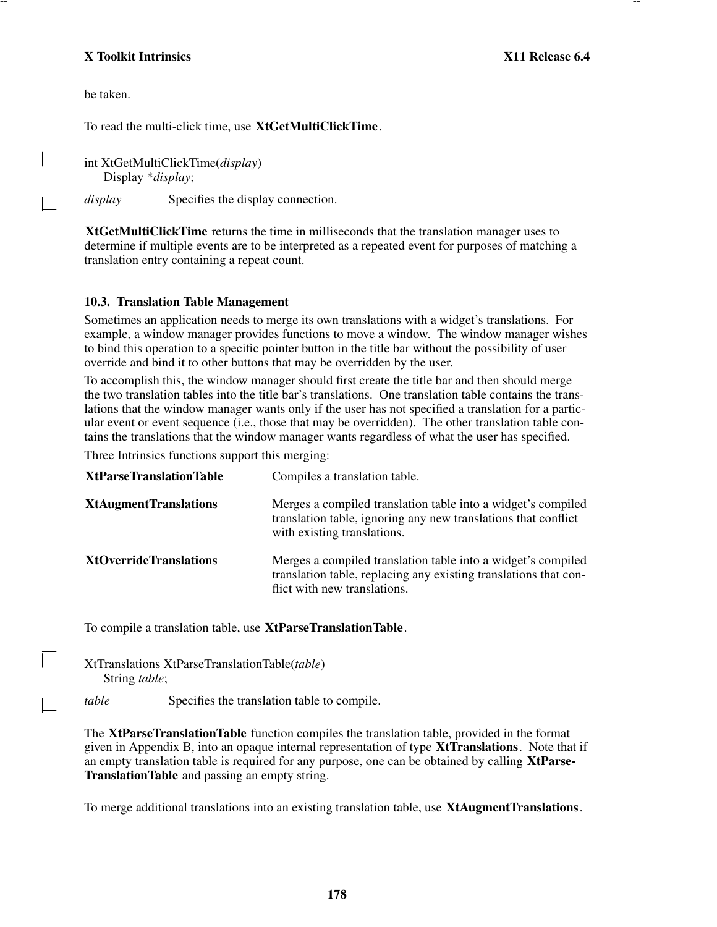## **X Toolkit Intrinsics X11 Release 6.4**

be taken.

To read the multi-click time, use **XtGetMultiClickTime**.

```
int XtGetMultiClickTime(display)
   Display *display;
```
*display* Specifies the display connection.

**XtGetMultiClickTime** returns the time in milliseconds that the translation manager uses to determine if multiple events are to be interpreted as a repeated event for purposes of matching a translation entry containing a repeat count.

-- --

# **10.3. Translation Table Management**

Sometimes an application needs to merge its own translations with a widget's translations. For example, a window manager provides functions to move a window. The window manager wishes to bind this operation to a specific pointer button in the title bar without the possibility of user override and bind it to other buttons that may be overridden by the user.

To accomplish this, the window manager should first create the title bar and then should merge the two translation tables into the title bar's translations. One translation table contains the translations that the window manager wants only if the user has not specified a translation for a particular event or event sequence (i.e., those that may be overridden). The other translation table contains the translations that the window manager wants regardless of what the user has specified.

Three Intrinsics functions support this merging:

| <b>XtParseTranslationTable</b> | Compiles a translation table.                                                                                                                                    |
|--------------------------------|------------------------------------------------------------------------------------------------------------------------------------------------------------------|
| <b>XtAugmentTranslations</b>   | Merges a compiled translation table into a widget's compiled<br>translation table, ignoring any new translations that conflict<br>with existing translations.    |
| <b>XtOverrideTranslations</b>  | Merges a compiled translation table into a widget's compiled<br>translation table, replacing any existing translations that con-<br>flict with new translations. |

To compile a translation table, use **XtParseTranslationTable**.

XtTranslations XtParseTranslationTable(*table*) String *table*;

*table* Specifies the translation table to compile.

The **XtParseTranslationTable** function compiles the translation table, provided in the format given in Appendix B, into an opaque internal representation of type **XtTranslations**. Note that if an empty translation table is required for any purpose, one can be obtained by calling **XtParse-TranslationTable** and passing an empty string.

To merge additional translations into an existing translation table, use **XtAugmentTranslations**.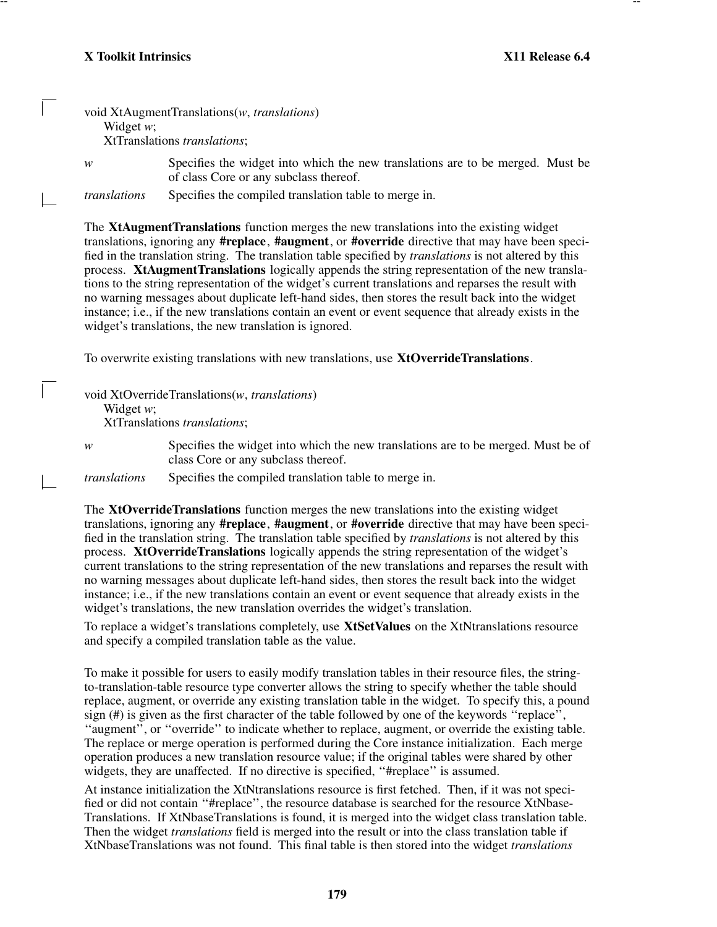$\mathbf{L}$ 

void XtAugmentTranslations(*w*, *translations*) Widget *w*; XtTranslations *translations*; *w* Specifies the widget into which the new translations are to be merged. Must be

-- --

of class Core or any subclass thereof. *translations* Specifies the compiled translation table to merge in.

The **XtAugmentTranslations** function merges the new translations into the existing widget translations, ignoring any **#replace**, **#augment**, or **#override** directive that may have been specified in the translation string. The translation table specified by *translations* is not altered by this process. **XtAugmentTranslations** logically appends the string representation of the new translations to the string representation of the widget's current translations and reparses the result with no warning messages about duplicate left-hand sides, then stores the result back into the widget instance; i.e., if the new translations contain an event or event sequence that already exists in the widget's translations, the new translation is ignored.

To overwrite existing translations with new translations, use **XtOverrideTranslations**.

void XtOverrideTranslations(*w*, *translations*) Widget *w*; XtTranslations *translations*;

*w* Specifies the widget into which the new translations are to be merged. Must be of class Core or any subclass thereof.

*translations* Specifies the compiled translation table to merge in.

The **XtOverrideTranslations** function merges the new translations into the existing widget translations, ignoring any **#replace**, **#augment**, or **#override** directive that may have been specified in the translation string. The translation table specified by *translations* is not altered by this process. **XtOverrideTranslations** logically appends the string representation of the widget's current translations to the string representation of the new translations and reparses the result with no warning messages about duplicate left-hand sides, then stores the result back into the widget instance; i.e., if the new translations contain an event or event sequence that already exists in the widget's translations, the new translation overrides the widget's translation.

To replace a widget's translations completely, use **XtSetValues** on the XtNtranslations resource and specify a compiled translation table as the value.

To make it possible for users to easily modify translation tables in their resource files, the stringto-translation-table resource type converter allows the string to specify whether the table should replace, augment, or override any existing translation table in the widget. To specify this, a pound sign (#) is given as the first character of the table followed by one of the keywords ''replace'', "augment", or "override" to indicate whether to replace, augment, or override the existing table. The replace or merge operation is performed during the Core instance initialization. Each merge operation produces a new translation resource value; if the original tables were shared by other widgets, they are unaffected. If no directive is specified, "#replace" is assumed.

At instance initialization the XtNtranslations resource is first fetched. Then, if it was not specified or did not contain ''#replace'', the resource database is searched for the resource XtNbase-Translations. If XtNbaseTranslations is found, it is merged into the widget class translation table. Then the widget *translations* field is merged into the result or into the class translation table if XtNbaseTranslations was not found. This final table is then stored into the widget *translations*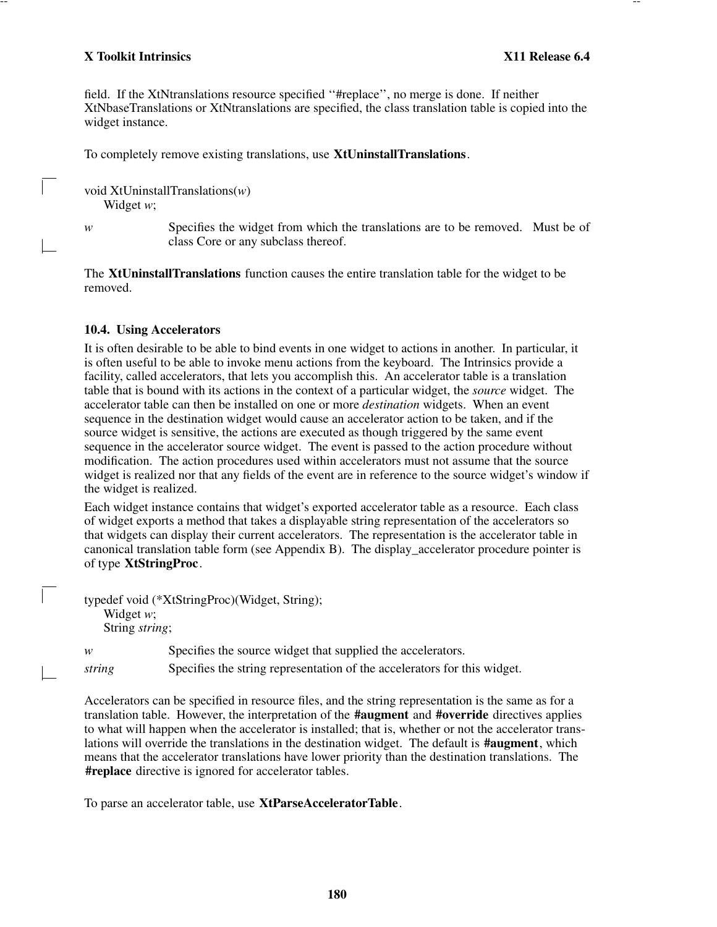## **X Toolkit Intrinsics X11 Release 6.4**

field. If the XtNtranslations resource specified ''#replace'', no merge is done. If neither XtNbaseTranslations or XtNtranslations are specified, the class translation table is copied into the widget instance.

-- --

To completely remove existing translations, use **XtUninstallTranslations**.

void XtUninstallTranslations(*w*)

Widget *w*;

*w* Specifies the widget from which the translations are to be removed. Must be of class Core or any subclass thereof.

The **XtUninstallTranslations** function causes the entire translation table for the widget to be removed.

## **10.4. Using Accelerators**

It is often desirable to be able to bind events in one widget to actions in another. In particular, it is often useful to be able to invoke menu actions from the keyboard. The Intrinsics provide a facility, called accelerators, that lets you accomplish this. An accelerator table is a translation table that is bound with its actions in the context of a particular widget, the *source* widget. The accelerator table can then be installed on one or more *destination* widgets. When an event sequence in the destination widget would cause an accelerator action to be taken, and if the source widget is sensitive, the actions are executed as though triggered by the same event sequence in the accelerator source widget. The event is passed to the action procedure without modification. The action procedures used within accelerators must not assume that the source widget is realized nor that any fields of the event are in reference to the source widget's window if the widget is realized.

Each widget instance contains that widget's exported accelerator table as a resource. Each class of widget exports a method that takes a displayable string representation of the accelerators so that widgets can display their current accelerators. The representation is the accelerator table in canonical translation table form (see Appendix B). The display\_accelerator procedure pointer is of type **XtStringProc**.

```
typedef void (*XtStringProc)(Widget, String);
   Widget w;
   String string;
```
*w* Specifies the source widget that supplied the accelerators.

*string* Specifies the string representation of the accelerators for this widget.

Accelerators can be specified in resource files, and the string representation is the same as for a translation table. However, the interpretation of the **#augment** and **#override** directives applies to what will happen when the accelerator is installed; that is, whether or not the accelerator translations will override the translations in the destination widget. The default is **#augment**, which means that the accelerator translations have lower priority than the destination translations. The **#replace** directive is ignored for accelerator tables.

To parse an accelerator table, use **XtParseAcceleratorTable**.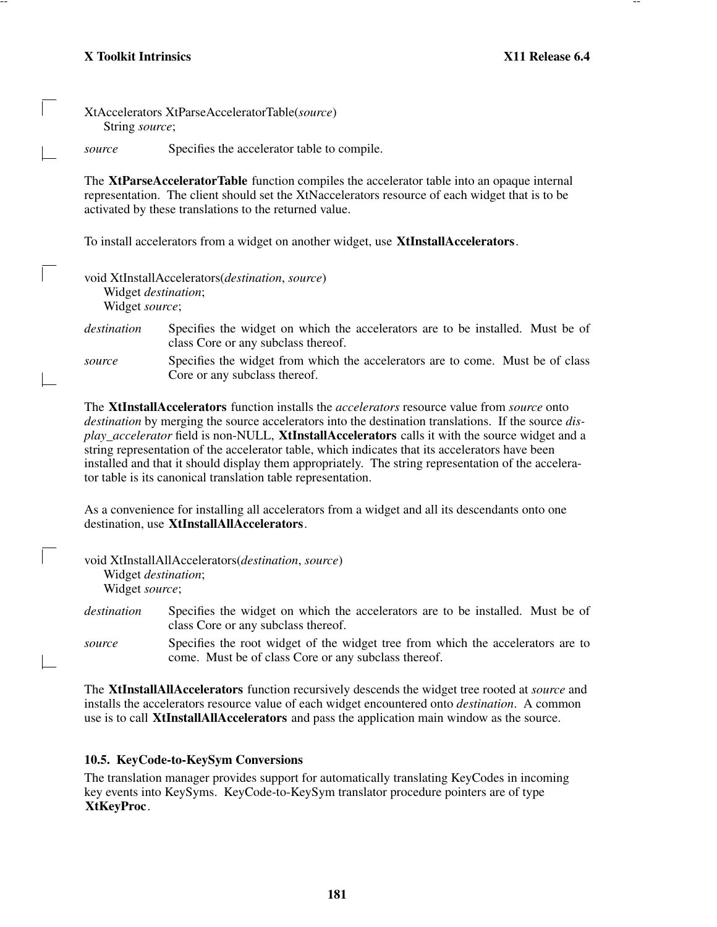XtAccelerators XtParseAcceleratorTable(*source*) String *source*;

*source* Specifies the accelerator table to compile.

The **XtParseAcceleratorTable** function compiles the accelerator table into an opaque internal representation. The client should set the XtNaccelerators resource of each widget that is to be activated by these translations to the returned value.

-- --

To install accelerators from a widget on another widget, use **XtInstallAccelerators**.

- *destination* Specifies the widget on which the accelerators are to be installed. Must be of class Core or any subclass thereof.
- *source* Specifies the widget from which the accelerators are to come. Must be of class Core or any subclass thereof.

The **XtInstallAccelerators** function installs the *accelerators* resource value from *source* onto *destination* by merging the source accelerators into the destination translations. If the source *display\_accelerator* field is non-NULL, **XtInstallAccelerators** calls it with the source widget and a string representation of the accelerator table, which indicates that its accelerators have been installed and that it should display them appropriately. The string representation of the accelerator table is its canonical translation table representation.

As a convenience for installing all accelerators from a widget and all its descendants onto one destination, use **XtInstallAllAccelerators**.

| Widget <i>destination</i> ;<br>Widget <i>source</i> ; | void XtInstallAllAccelerators( <i>destination</i> , <i>source</i> )                                                   |  |
|-------------------------------------------------------|-----------------------------------------------------------------------------------------------------------------------|--|
| destination                                           | Specifies the widget on which the accelerators are to be installed. Must be of<br>class Core or any subclass thereof. |  |

*source* Specifies the root widget of the widget tree from which the accelerators are to come. Must be of class Core or any subclass thereof.

The **XtInstallAllAccelerators** function recursively descends the widget tree rooted at *source* and installs the accelerators resource value of each widget encountered onto *destination*. A common use is to call **XtInstallAllAccelerators** and pass the application main window as the source.

#### **10.5. KeyCode-to-KeySym Conversions**

The translation manager provides support for automatically translating KeyCodes in incoming key events into KeySyms. KeyCode-to-KeySym translator procedure pointers are of type **XtKeyProc**.

void XtInstallAccelerators(*destination*, *source*) Widget *destination*; Widget *source*;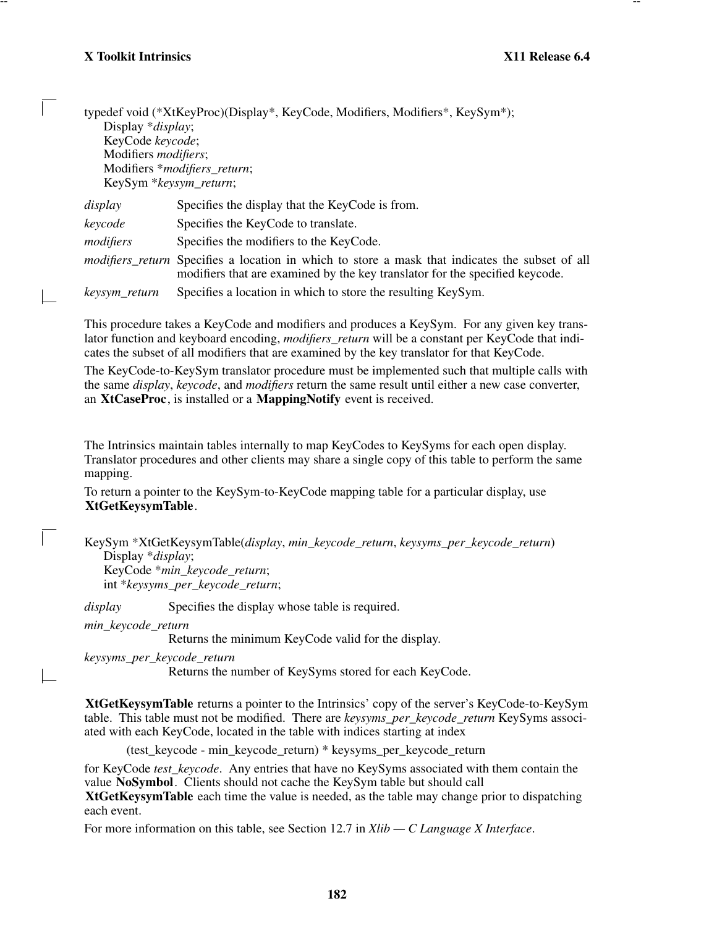typedef void (\*XtKeyProc)(Display\*, KeyCode, Modifiers, Modifiers\*, KeySym\*); Display \**display*; KeyCode *keycode*; Modifiers *modifiers*; Modifiers \**modifiers\_return*; Ke ySym \**keysym\_return*;

-- --

| display       | Specifies the display that the KeyCode is from.                                                                                                                                        |
|---------------|----------------------------------------------------------------------------------------------------------------------------------------------------------------------------------------|
| keycode       | Specifies the KeyCode to translate.                                                                                                                                                    |
| modifiers     | Specifies the modifiers to the KeyCode.                                                                                                                                                |
|               | <i>modifiers_return</i> Specifies a location in which to store a mask that indicates the subset of all<br>modifiers that are examined by the key translator for the specified keycode. |
| keysym_return | Specifies a location in which to store the resulting KeySym.                                                                                                                           |

This procedure takes a KeyCode and modifiers and produces a KeySym. For any given key translator function and keyboard encoding, *modifiers\_return* will be a constant per KeyCode that indicates the subset of all modifiers that are examined by the key translator for that KeyCode.

The KeyCode-to-KeySym translator procedure must be implemented such that multiple calls with the same *display*, *keycode*, and *modifiers* return the same result until either a new case converter, an **XtCaseProc**, is installed or a **MappingNotify** event is received.

The Intrinsics maintain tables internally to map KeyCodes to KeySyms for each open display. Translator procedures and other clients may share a single copy of this table to perform the same mapping.

To return a pointer to the KeySym-to-KeyCode mapping table for a particular display, use **XtGetKeysymTable**.

Ke ySym \*XtGetKeysymTable(*display*, *min\_keycode\_return*, *keysyms\_per\_keycode\_return*) Display \**display*; Ke yCode \**min\_keycode\_return*; int \**keysyms\_per\_keycode\_return*;

*display* Specifies the display whose table is required.

*min\_keycode\_return*

Returns the minimum KeyCode valid for the display.

*keysyms\_per\_keycode\_return*

Returns the number of KeySyms stored for each KeyCode.

**XtGetKeysymTable** returns a pointer to the Intrinsics' copy of the server's KeyCode-to-KeySym table. This table must not be modified. There are *keysyms\_per\_keycode\_return* KeySyms associ-ated with each KeyCode, located in the table with indices starting at index

(test\_keycode - min\_keycode\_return) \* keysyms\_per\_keycode\_return

for KeyCode *test keycode*. Any entries that have no KeySyms associated with them contain the value **NoSymbol**. Clients should not cache the KeySym table but should call

**XtGetKeysymTable** each time the value is needed, as the table may change prior to dispatching each event.

For more information on this table, see Section 12.7 in *Xlib — C Language X Interface*.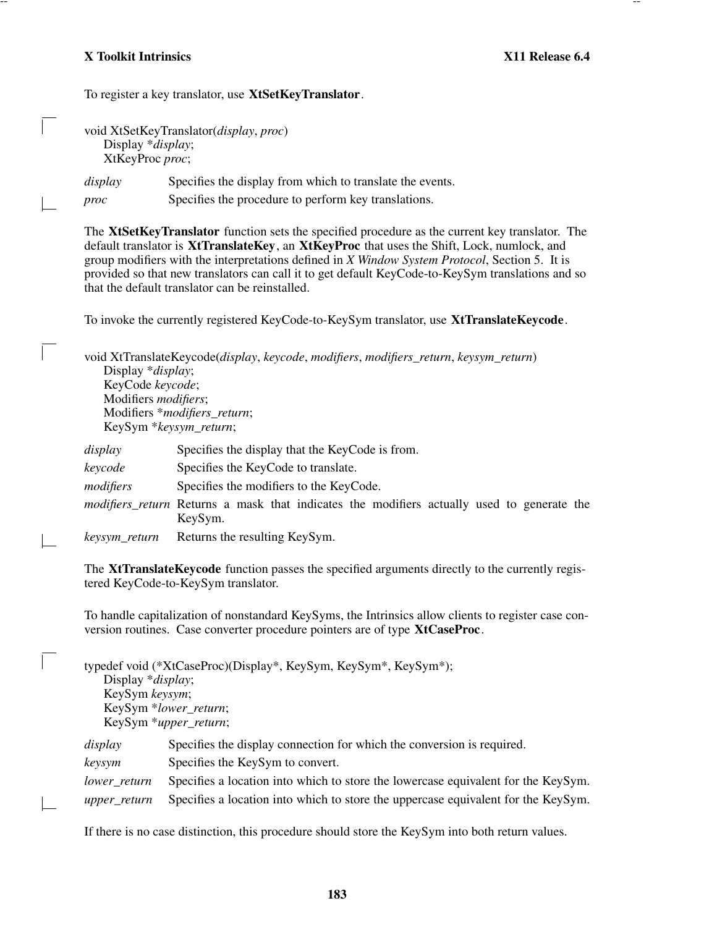To register a key translator, use **XtSetKeyTranslator**.

```
void XtSetKeyTranslator(display, proc)
   Display *display;
   XtKeyProc proc;
```
*display* Specifies the display from which to translate the events. *proc* Specifies the procedure to perform key translations.

The **XtSetKeyTranslator** function sets the specified procedure as the current key translator. The default translator is **XtTranslateKey**, an **XtKeyProc** that uses the Shift, Lock, numlock, and group modifiers with the interpretations defined in *X Window System Protocol*, Section 5. It is provided so that new translators can call it to get default KeyCode-to-KeySym translations and so that the default translator can be reinstalled.

-- --

To invoke the currently registered KeyCode-to-KeySym translator, use XtTranslateKeycode.

void XtTranslateKeycode(*display*, *keycode*, *modifiers*, *modifiers\_return*, *keysym\_return*) Display \**display*; KeyCode *keycode*; Modifiers *modifiers*; Modifiers \**modifiers\_return*; Ke ySym \**keysym\_return*;

| display       | Specifies the display that the KeyCode is from.                                                              |
|---------------|--------------------------------------------------------------------------------------------------------------|
| keycode       | Specifies the KeyCode to translate.                                                                          |
| modifiers     | Specifies the modifiers to the KeyCode.                                                                      |
|               | <i>modifiers_return</i> Returns a mask that indicates the modifiers actually used to generate the<br>KeySym. |
| keysym_return | Returns the resulting KeySym.                                                                                |

The **XtTranslateKeycode** function passes the specified arguments directly to the currently registered KeyCode-to-KeySym translator.

To handle capitalization of nonstandard KeySyms, the Intrinsics allow clients to register case conversion routines. Case converter procedure pointers are of type **XtCaseProc**.

typedef void (\*XtCaseProc)(Display\*, KeySym, KeySym\*, KeySym\*); Display \**display*; KeySym keysym; KeySym \**lower\_return*; KeySym \**upper\_return*; *display* Specifies the display connection for which the conversion is required.

| $u \iota \nu \nu u \nu$ | opeenies the display connection for which the conversion is required.                                 |
|-------------------------|-------------------------------------------------------------------------------------------------------|
| keysym                  | Specifies the KeySym to convert.                                                                      |
|                         | <i>lower return</i> Specifies a location into which to store the lowercase equivalent for the KeySym. |
|                         | <i>upper_return</i> Specifies a location into which to store the uppercase equivalent for the KeySym. |

If there is no case distinction, this procedure should store the KeySym into both return values.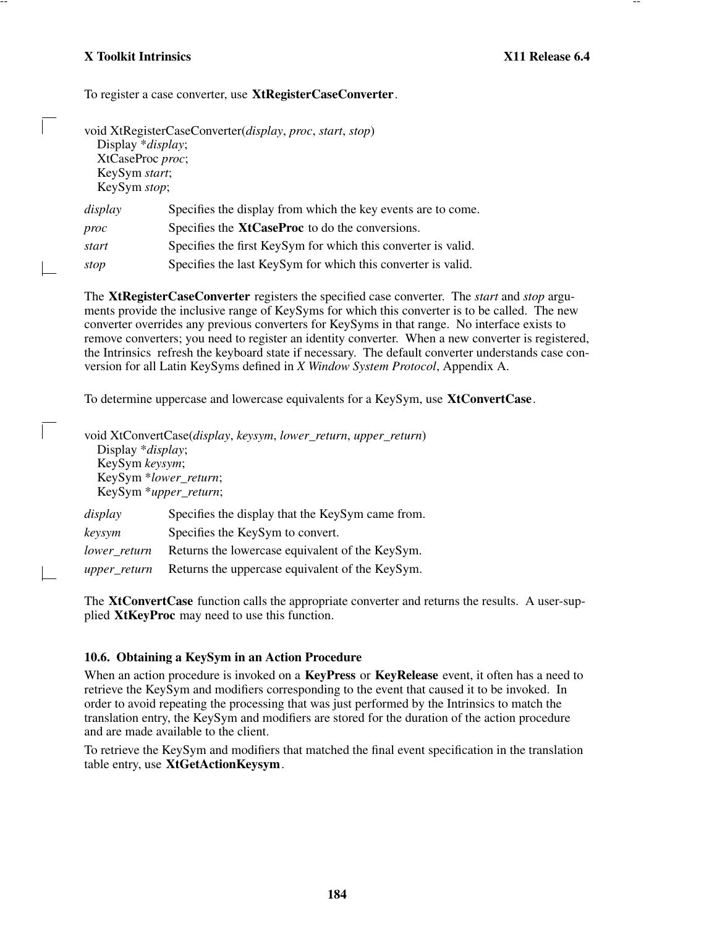#### **X Toolkit Intrinsics X11 Release 6.4**

To register a case converter, use **XtRegisterCaseConverter**.

void XtRegisterCaseConverter(*display*, *proc*, *start*, *stop*) Display \**display*; XtCaseProc *proc*; KeySym start; KeySym *stop*; *display* Specifies the display from which the key events are to come. *proc* Specifies the **XtCaseProc** to do the conversions. *start* Specifies the first KeySym for which this converter is valid. *stop* Specifies the last KeySym for which this converter is valid.

-- --

The **XtRegisterCaseConverter** registers the specified case converter. The *start* and *stop* arguments provide the inclusive range of KeySyms for which this converter is to be called. The new converter overrides any previous converters for KeySyms in that range. No interface exists to remove converters; you need to register an identity converter. When a new converter is registered, the Intrinsics refresh the keyboard state if necessary. The default converter understands case conversion for all Latin KeySyms defined in *X Window System Protocol*, Appendix A.

To determine uppercase and lowercase equivalents for a KeySym, use **XtConvertCase**.

void XtConvertCase(*display*, *keysym*, *lower\_return*, *upper\_return*) Display \**display*; KeySym keysym; KeySym \**lower\_return*; Ke ySym \**upper\_return*; *display* Specifies the display that the KeySym came from. *keysym* Specifies the KeySym to convert. *lower\_return* Returns the lowercase equivalent of the KeySym.

*upper\_return* Returns the uppercase equivalent of the KeySym.

The **XtConvertCase** function calls the appropriate converter and returns the results. A user-supplied **XtKeyProc** may need to use this function.

#### **10.6. Obtaining a KeySym in an Action Procedure**

When an action procedure is invoked on a **KeyPress** or **KeyRelease** event, it often has a need to retrieve the KeySym and modifiers corresponding to the event that caused it to be invoked. In order to avoid repeating the processing that was just performed by the Intrinsics to match the translation entry, the KeySym and modifiers are stored for the duration of the action procedure and are made available to the client.

To retrieve the KeySym and modifiers that matched the final event specification in the translation table entry, use **XtGetActionKeysym**.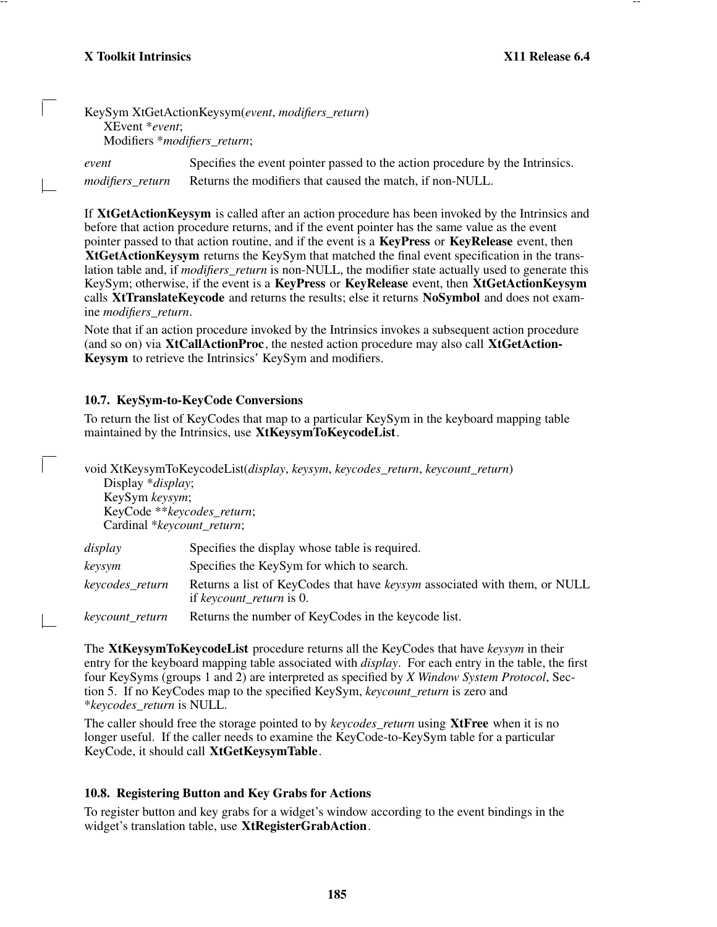| XEvent * <i>event</i> ;<br>Modifiers * <i>modifiers_return</i> ; | KeySym XtGetActionKeysym(event, modifiers_return)                             |
|------------------------------------------------------------------|-------------------------------------------------------------------------------|
| event                                                            | Specifies the event pointer passed to the action procedure by the Intrinsics. |
| <i>modifiers return</i>                                          | Returns the modifiers that caused the match, if non-NULL.                     |

-- --

If **XtGetActionKeysym** is called after an action procedure has been invoked by the Intrinsics and before that action procedure returns, and if the event pointer has the same value as the event pointer passed to that action routine, and if the event is a **KeyPress** or **KeyRelease** event, then **XtGetActionKeysym** returns the KeySym that matched the final event specification in the translation table and, if *modifiers\_return* is non-NULL, the modifier state actually used to generate this Ke ySym; otherwise, if the event is a **KeyPress** or **KeyRelease** ev ent, then **XtGetActionKeysym** calls **XtTranslateKeycode** and returns the results; else it returns **NoSymbol** and does not examine *modifiers\_return*.

Note that if an action procedure invoked by the Intrinsics invokes a subsequent action procedure (and so on) via **XtCallActionProc**, the nested action procedure may also call **XtGetAction-Keysym** to retrieve the Intrinsics' KeySym and modifiers.

#### **10.7. KeySym-to-KeyCode Conversions**

To return the list of KeyCodes that map to a particular KeySym in the keyboard mapping table maintained by the Intrinsics, use **XtKeysymToKeycodeList**.

void XtKeysymToKeycodeList(*display*, *keysym*, *keycodes\_return*, *keycount\_return*) Display \**display*; KeySym *keysym*; Ke yCode \*\**keycodes\_return*; Cardinal \**keycount\_return*;

| display         | Specifies the display whose table is required.                                                        |
|-----------------|-------------------------------------------------------------------------------------------------------|
| keysym          | Specifies the KeySym for which to search.                                                             |
| keycodes_return | Returns a list of KeyCodes that have keysym associated with them, or NULL<br>if keycount_return is 0. |
| keycount_return | Returns the number of KeyCodes in the keycode list.                                                   |

The **XtKeysymToKeycodeList** procedure returns all the KeyCodes that have *keysym* in their entry for the keyboard mapping table associated with *display*. For each entry in the table, the first four KeySyms (groups 1 and 2) are interpreted as specified by *X Window System Protocol*, Section 5. If no KeyCodes map to the specified KeySym, *keycount\_return* is zero and \**keycodes\_return* is NULL.

The caller should free the storage pointed to by *keycodes\_return* using **XtFree** when it is no longer useful. If the caller needs to examine the KeyCode-to-KeySym table for a particular Ke yCode, it should call **XtGetKeysymTable**.

#### **10.8. Registering Button and Key Grabs for Actions**

To register button and key grabs for a widget's window according to the event bindings in the widget's translation table, use **XtRegisterGrabAction**.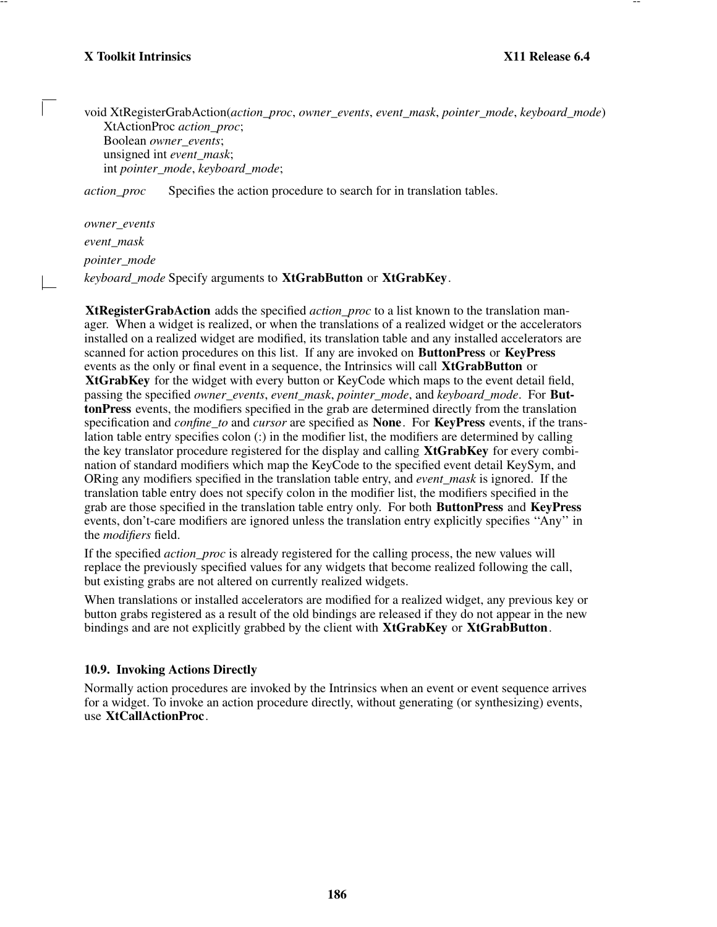void XtRegisterGrabAction(*action\_proc*, *owner\_events*, *event\_mask*, *pointer\_mode*, *keyboard\_mode*) XtActionProc *action\_proc*; Boolean *owner\_events*; unsigned int *event\_mask*; int *pointer\_mode*, *keyboard\_mode*;

-- --

*action\_proc* Specifies the action procedure to search for in translation tables.

*owner\_events*

 $\mathbf{L}$ 

*event\_mask*

*pointer\_mode*

*keyboard\_mode* Specify arguments to **XtGrabButton** or **XtGrabKey**.

**XtRegisterGrabAction** adds the specified *action\_proc* to a list known to the translation manager. When a widget is realized, or when the translations of a realized widget or the accelerators installed on a realized widget are modified, its translation table and any installed accelerators are scanned for action procedures on this list. If any are invoked on **ButtonPress** or **KeyPress** events as the only or final event in a sequence, the Intrinsics will call **XtGrabButton** or **XtGrabKey** for the widget with every button or KeyCode which maps to the event detail field, passing the specified *owner\_events*, *event\_mask*, *pointer\_mode*, and *keyboard\_mode*. For **ButtonPress** events, the modifiers specified in the grab are determined directly from the translation specification and *confine\_to* and *cursor* are specified as **None**. For **KeyPress** ev ents, if the translation table entry specifies colon (:) in the modifier list, the modifiers are determined by calling the key translator procedure registered for the display and calling **XtGrabKey** for every combination of standard modifiers which map the KeyCode to the specified event detail KeySym, and ORing any modifiers specified in the translation table entry, and *event\_mask* is ignored. If the translation table entry does not specify colon in the modifier list, the modifiers specified in the grab are those specified in the translation table entry only. For both **ButtonPress** and **KeyPress** events, don't-care modifiers are ignored unless the translation entry explicitly specifies "Any" in the *modifiers* field.

If the specified *action\_proc* is already registered for the calling process, the new values will replace the previously specified values for any widgets that become realized following the call, but existing grabs are not altered on currently realized widgets.

When translations or installed accelerators are modified for a realized widget, any previous key or button grabs registered as a result of the old bindings are released if they do not appear in the new bindings and are not explicitly grabbed by the client with **XtGrabKey** or **XtGrabButton**.

#### **10.9. Invoking Actions Directly**

Normally action procedures are invoked by the Intrinsics when an event or event sequence arrives for a widget. To invoke an action procedure directly, without generating (or synthesizing) events, use **XtCallActionProc**.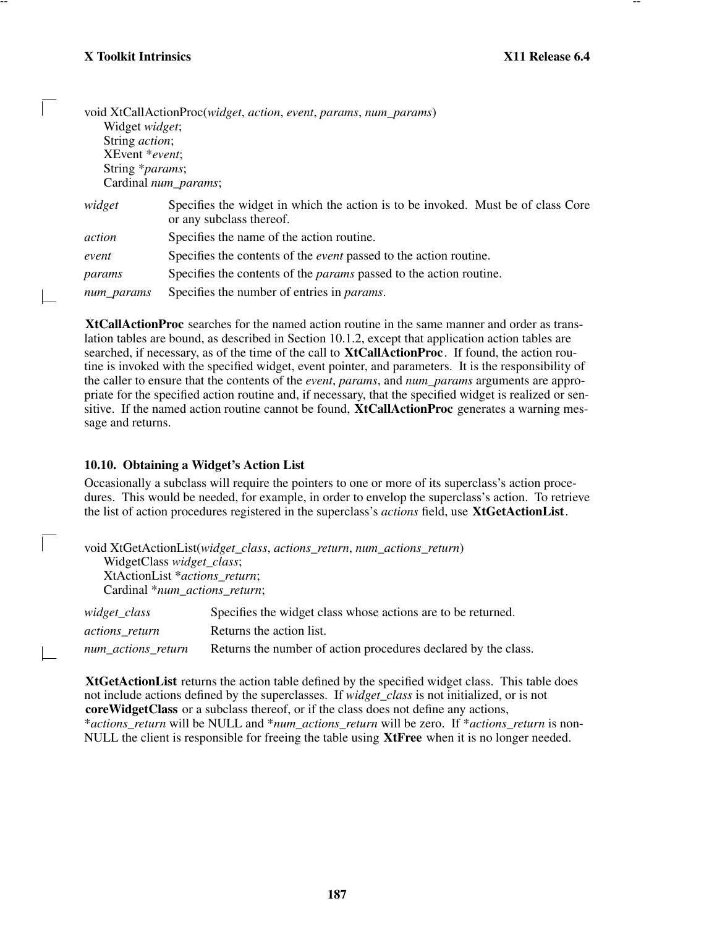$\mathbf{L}$ 

void XtCallActionProc(*widget*, *action*, *event*, *params*, *num\_params*) Widget *widget*; String *action*; XEvent \**event*; String \**params*; Cardinal *num\_params*; *widget* Specifies the widget in which the action is to be invoked. Must be of class Core or any subclass thereof. *action* Specifies the name of the action routine. *event* Specifies the contents of the *event* passed to the action routine. *params* Specifies the contents of the *params* passed to the action routine.

-- --

*num\_params* Specifies the number of entries in *params*.

**XtCallActionProc** searches for the named action routine in the same manner and order as translation tables are bound, as described in Section 10.1.2, except that application action tables are searched, if necessary, as of the time of the call to **XtCallActionProc**. If found, the action routine is invoked with the specified widget, event pointer, and parameters. It is the responsibility of the caller to ensure that the contents of the *event*, *params*, and *num\_params* arguments are appropriate for the specified action routine and, if necessary, that the specified widget is realized or sensitive. If the named action routine cannot be found, **XtCallActionProc** generates a warning message and returns.

# **10.10. Obtaining a Widget's Action List**

Occasionally a subclass will require the pointers to one or more of its superclass's action procedures. This would be needed, for example, in order to envelop the superclass's action. To retrieve the list of action procedures registered in the superclass's *actions* field, use **XtGetActionList**.

| void XtGetActionList(widget_class, actions_return, num_actions_return) |                                                              |
|------------------------------------------------------------------------|--------------------------------------------------------------|
| WidgetClass widget_class;                                              |                                                              |
| XtActionList *actions_return;                                          |                                                              |
| Cardinal * <i>num_actions_return</i> ;                                 |                                                              |
| widget_class                                                           | Specifies the widget class whose actions are to be returned. |
| actions_return                                                         | Returns the action list.                                     |

*num\_actions\_return* Returns the number of action procedures declared by the class.

**XtGetActionList** returns the action table defined by the specified widget class. This table does not include actions defined by the superclasses. If *widget\_class* is not initialized, or is not **coreWidgetClass** or a subclass thereof, or if the class does not define any actions, \**actions\_return* will be NULL and \**num\_actions\_return* will be zero. If \**actions\_return* is non-NULL the client is responsible for freeing the table using **XtFree** when it is no longer needed.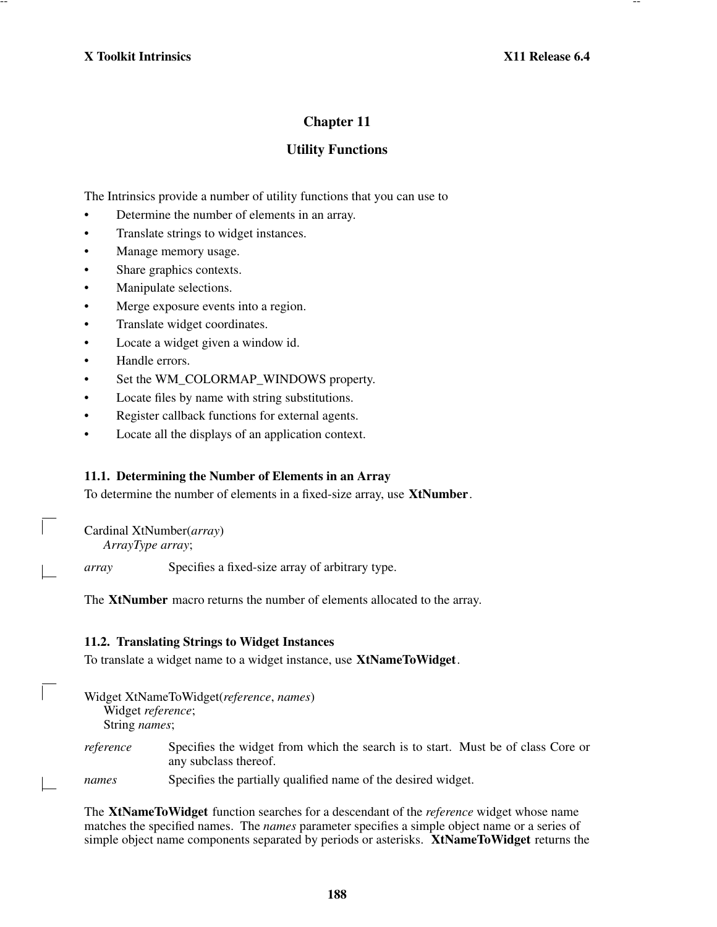# **Chapter 11**

-- --

# **Utility Functions**

The Intrinsics provide a number of utility functions that you can use to

- Determine the number of elements in an array.
- Translate strings to widget instances.
- Manage memory usage.
- Share graphics contexts.
- Manipulate selections.
- Merge exposure events into a region.
- Translate widget coordinates.
- Locate a widget given a window id.
- Handle errors.
- Set the WM\_COLORMAP\_WINDOWS property.
- Locate files by name with string substitutions.
- Register callback functions for external agents.
- Locate all the displays of an application context.

## **11.1. Determining the Number of Elements in an Array**

To determine the number of elements in a fixed-size array, use **XtNumber**.

Cardinal XtNumber(*array*) *ArrayType array*;

*array* Specifies a fixed-size array of arbitrary type.

The **XtNumber** macro returns the number of elements allocated to the array.

#### **11.2. Translating Strings to Widget Instances**

To translate a widget name to a widget instance, use **XtNameToWidget**.

Widget XtNameToWidget(*reference*, *names*) Widget *reference*; String *names*;

*reference* Specifies the widget from which the search is to start. Must be of class Core or any subclass thereof.

*names* Specifies the partially qualified name of the desired widget.

The **XtNameToWidget** function searches for a descendant of the *reference* widget whose name matches the specified names. The *names* parameter specifies a simple object name or a series of simple object name components separated by periods or asterisks. **XtNameToWidget** returns the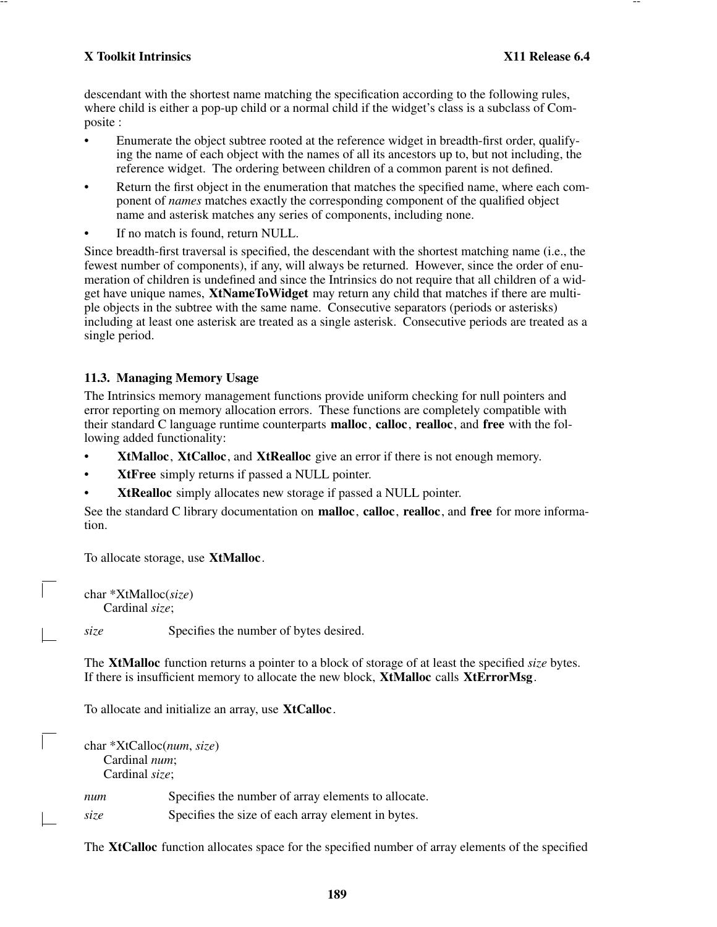# **X Toolkit Intrinsics X11 Release 6.4**

descendant with the shortest name matching the specification according to the following rules, where child is either a pop-up child or a normal child if the widget's class is a subclass of Composite :

-- --

- Enumerate the object subtree rooted at the reference widget in breadth-first order, qualifying the name of each object with the names of all its ancestors up to, but not including, the reference widget. The ordering between children of a common parent is not defined.
- Return the first object in the enumeration that matches the specified name, where each component of *names* matches exactly the corresponding component of the qualified object name and asterisk matches any series of components, including none.
- If no match is found, return NULL.

Since breadth-first traversal is specified, the descendant with the shortest matching name (i.e., the fewest number of components), if any, will always be returned. However, since the order of enumeration of children is undefined and since the Intrinsics do not require that all children of a widget have unique names, **XtNameToWidget** may return any child that matches if there are multiple objects in the subtree with the same name. Consecutive separators (periods or asterisks) including at least one asterisk are treated as a single asterisk. Consecutive periods are treated as a single period.

# **11.3. Managing Memory Usage**

The Intrinsics memory management functions provide uniform checking for null pointers and error reporting on memory allocation errors. These functions are completely compatible with their standard C language runtime counterparts **malloc**, **calloc**, **realloc**, and **free** with the following added functionality:

- **XtMalloc**, **XtCalloc**, and **XtRealloc** give an error if there is not enough memory.
- **XtFree** simply returns if passed a NULL pointer.
- **XtRealloc** simply allocates new storage if passed a NULL pointer.

See the standard C library documentation on **malloc**, **calloc**, **realloc**, and **free** for more information.

To allocate storage, use **XtMalloc**.

char \*XtMalloc(*size*) Cardinal *size*;

*size* Specifies the number of bytes desired.

The **XtMalloc** function returns a pointer to a block of storage of at least the specified *size* bytes. If there is insufficient memory to allocate the new block, **XtMalloc** calls **XtErrorMsg**.

To allocate and initialize an array, use **XtCalloc**.

```
char *XtCalloc(num, size)
   Cardinal num;
   Cardinal size;
num Specifies the number of array elements to allocate.
size Specifies the size of each array element in bytes.
```
The **XtCalloc** function allocates space for the specified number of array elements of the specified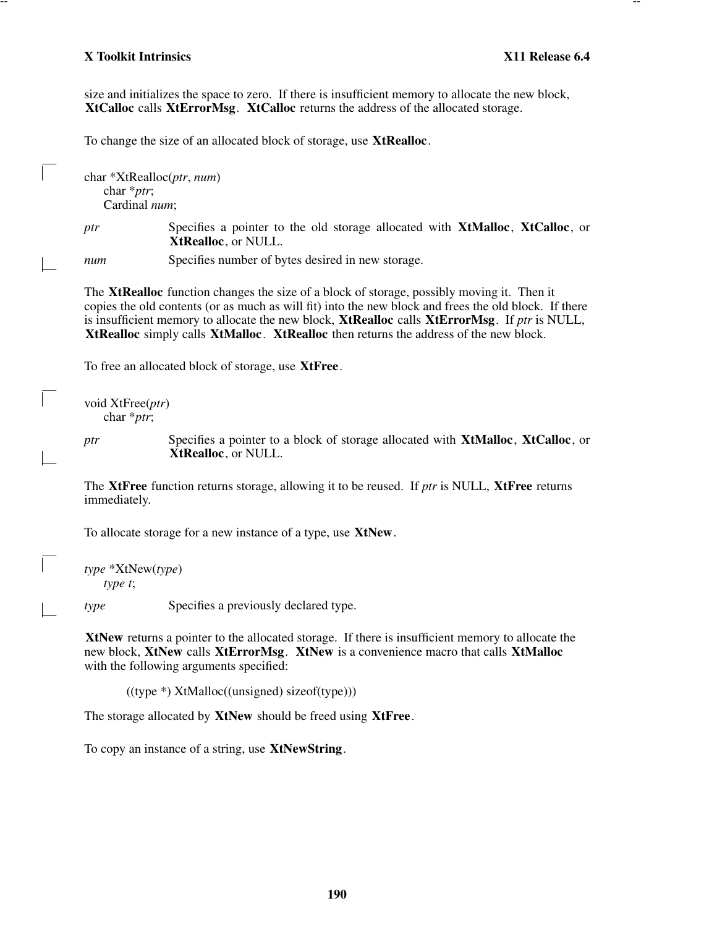size and initializes the space to zero. If there is insufficient memory to allocate the new block, **XtCalloc** calls **XtErrorMsg**. **XtCalloc** returns the address of the allocated storage.

-- --

To change the size of an allocated block of storage, use **XtRealloc**.

char \*XtRealloc(*ptr*, *num*) char \**ptr*; Cardinal *num*;

*ptr* Specifies a pointer to the old storage allocated with **XtMalloc**, **XtCalloc**, or **XtRealloc**, or NULL.

*num* Specifies number of bytes desired in new storage.

The **XtRealloc** function changes the size of a block of storage, possibly moving it. Then it copies the old contents (or as much as will fit) into the new block and frees the old block. If there is insufficient memory to allocate the new block, **XtRealloc** calls **XtErrorMsg**. If *ptr* is NULL, **XtRealloc** simply calls **XtMalloc**. **XtRealloc** then returns the address of the new block.

To free an allocated block of storage, use **XtFree**.

void XtFree(*ptr*) char \**ptr*;

Г

*ptr* Specifies a pointer to a block of storage allocated with **XtMalloc**, **XtCalloc**, or **XtRealloc**, or NULL.

The **XtFree** function returns storage, allowing it to be reused. If *ptr* is NULL, **XtFree** returns immediately.

To allocate storage for a new instance of a type, use **XtNew**.

*type* \*XtNew(*type*) *type t*;

*type* Specifies a previously declared type.

**XtNew** returns a pointer to the allocated storage. If there is insufficient memory to allocate the new block, **XtNew** calls **XtErrorMsg**. **XtNew** is a convenience macro that calls **XtMalloc** with the following arguments specified:

 $((type * ) XtMalloc((unsigned) sizeof(type)))$ 

The storage allocated by **XtNew** should be freed using **XtFree**.

To copy an instance of a string, use **XtNewString**.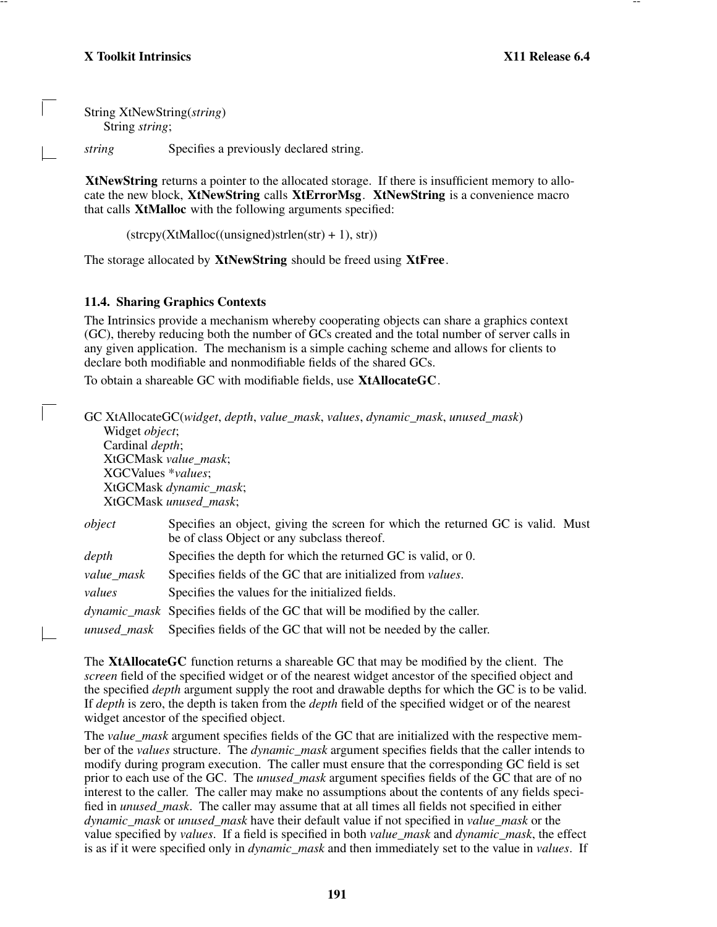String XtNewString(*string*) String *string*;

*string* Specifies a previously declared string.

**XtNewString** returns a pointer to the allocated storage. If there is insufficient memory to allocate the new block, **XtNewString** calls **XtErrorMsg**. **XtNewString** is a convenience macro that calls **XtMalloc** with the following arguments specified:

-- --

 $(stropy(XtMalloc((unsigned)strlen(str) + 1), str))$ 

The storage allocated by **XtNewString** should be freed using **XtFree**.

## **11.4. Sharing Graphics Contexts**

The Intrinsics provide a mechanism whereby cooperating objects can share a graphics context (GC), thereby reducing both the number of GCs created and the total number of server calls in any given application. The mechanism is a simple caching scheme and allows for clients to declare both modifiable and nonmodifiable fields of the shared GCs.

To obtain a shareable GC with modifiable fields, use **XtAllocateGC**.

|                            | GC XtAllocateGC(widget, depth, value_mask, values, dynamic_mask, unused_mask)                 |  |
|----------------------------|-----------------------------------------------------------------------------------------------|--|
| Widget <i>object</i> ;     |                                                                                               |  |
| Cardinal <i>depth</i> ;    |                                                                                               |  |
|                            | XtGCMask value mask;                                                                          |  |
|                            | XGCValues *values;                                                                            |  |
|                            | XtGCMask dynamic_mask;                                                                        |  |
|                            | XtGCMask unused_mask;                                                                         |  |
| $\sim b \cdot \sim \sim t$ | $\Omega$ contract on chicate similar the concentration which the networld $\Omega$ is vertex. |  |

| object      | Specifies an object, giving the screen for which the returned GC is valid. Must<br>be of class Object or any subclass thereof. |
|-------------|--------------------------------------------------------------------------------------------------------------------------------|
| depth       | Specifies the depth for which the returned GC is valid, or 0.                                                                  |
| value_mask  | Specifies fields of the GC that are initialized from <i>values</i> .                                                           |
| values      | Specifies the values for the initialized fields.                                                                               |
|             | <i>dynamic_mask</i> Specifies fields of the GC that will be modified by the caller.                                            |
| unused mask | Specifies fields of the GC that will not be needed by the caller.                                                              |

The **XtAllocateGC** function returns a shareable GC that may be modified by the client. The *screen* field of the specified widget or of the nearest widget ancestor of the specified object and the specified *depth* argument supply the root and drawable depths for which the GC is to be valid. If *depth* is zero, the depth is taken from the *depth* field of the specified widget or of the nearest widget ancestor of the specified object.

The *value\_mask* argument specifies fields of the GC that are initialized with the respective member of the *values* structure. The *dynamic\_mask* argument specifies fields that the caller intends to modify during program execution. The caller must ensure that the corresponding GC field is set prior to each use of the GC. The *unused\_mask* argument specifies fields of the GC that are of no interest to the caller. The caller may make no assumptions about the contents of any fields specified in *unused\_mask*. The caller may assume that at all times all fields not specified in either *dynamic\_mask* or *unused\_mask* have their default value if not specified in *value\_mask* or the value specified by *values*. Ifafield is specified in both *value\_mask* and *dynamic\_mask*, the effect is as if it were specified only in *dynamic\_mask* and then immediately set to the value in *values*. If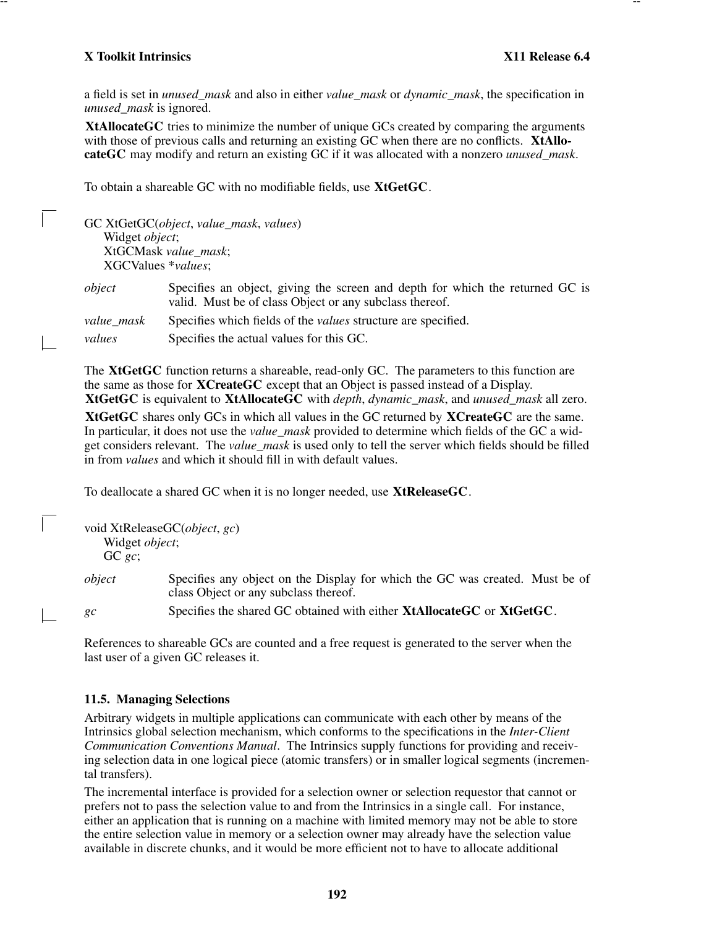$\mathsf{L}$ 

a field is set in *unused\_mask* and also in either *value\_mask* or *dynamic\_mask*, the specification in *unused\_mask* is ignored.

-- --

**XtAllocateGC** tries to minimize the number of unique GCs created by comparing the arguments with those of previous calls and returning an existing GC when there are no conflicts. **XtAllocateGC** may modify and return an existing GC if it was allocated with a nonzero *unused\_mask*.

To obtain a shareable GC with no modifiable fields, use **XtGetGC**.

GC XtGetGC(*object*, *value\_mask*, *values*) Widget *object*; XtGCMask *value\_mask*; XGCValues \**values*; *object* Specifies an object, giving the screen and depth for which the returned GC is valid. Must be of class Object or any subclass thereof. *value\_mask* Specifies which fields of the *values* structure are specified. *values* Specifies the actual values for this GC.

The **XtGetGC** function returns a shareable, read-only GC. The parameters to this function are the same as those for **XCreateGC** except that an Object is passed instead of a Display. **XtGetGC** is equivalent to **XtAllocateGC** with *depth*, *dynamic\_mask*, and *unused\_mask* all zero.

**XtGetGC** shares only GCs in which all values in the GC returned by **XCreateGC** are the same. In particular, it does not use the *value\_mask* provided to determine which fields of the GC a widget considers relevant. The *value\_mask* is used only to tell the server which fields should be filled in from *values* and which it should fill in with default values.

To deallocate a shared GC when it is no longer needed, use **XtReleaseGC**.

void XtReleaseGC(*object*, *gc*) Widget *object*; GC *gc*;

*object* Specifies any object on the Display for which the GC was created. Must be of class Object or any subclass thereof. *gc* Specifies the shared GC obtained with either **XtAllocateGC** or **XtGetGC**.

References to shareable GCs are counted and a free request is generated to the server when the last user of a given GC releases it.

## **11.5. Managing Selections**

Arbitrary widgets in multiple applications can communicate with each other by means of the Intrinsics global selection mechanism, which conforms to the specifications in the *Inter-Client Communication Conventions Manual*. The Intrinsics supply functions for providing and receiving selection data in one logical piece (atomic transfers) or in smaller logical segments (incremental transfers).

The incremental interface is provided for a selection owner or selection requestor that cannot or prefers not to pass the selection value to and from the Intrinsics in a single call. For instance, either an application that is running on a machine with limited memory may not be able to store the entire selection value in memory or a selection owner may already have the selection value available in discrete chunks, and it would be more efficient not to have to allocate additional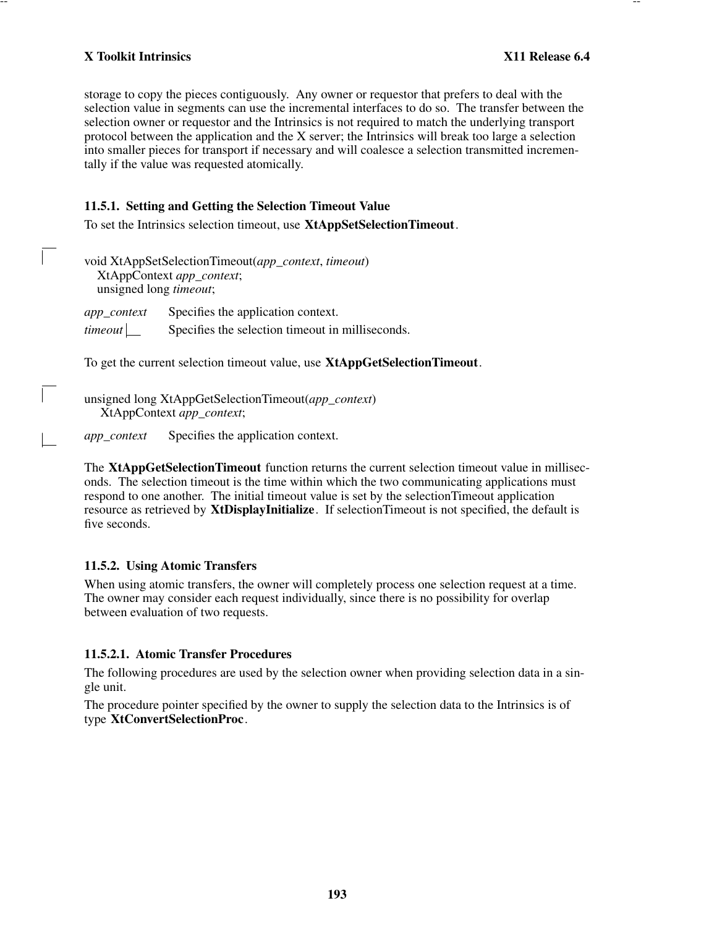storage to copy the pieces contiguously. Any owner or requestor that prefers to deal with the selection value in segments can use the incremental interfaces to do so. The transfer between the selection owner or requestor and the Intrinsics is not required to match the underlying transport protocol between the application and the X server; the Intrinsics will break too large a selection into smaller pieces for transport if necessary and will coalesce a selection transmitted incrementally if the value was requested atomically.

-- --

## **11.5.1. Setting and Getting the Selection Timeout Value**

To set the Intrinsics selection timeout, use **XtAppSetSelectionTimeout**.

void XtAppSetSelectionTimeout(*app\_context*, *timeout*) XtAppContext *app\_context*; unsigned long *timeout*;

*app\_context* Specifies the application context. *timeout* Specifies the selection timeout in milliseconds.

To get the current selection timeout value, use **XtAppGetSelectionTimeout**.

unsigned long XtAppGetSelectionTimeout(*app\_context*) XtAppContext *app\_context*;

*app\_context* Specifies the application context.

The **XtAppGetSelectionTimeout** function returns the current selection timeout value in milliseconds. The selection timeout is the time within which the two communicating applications must respond to one another. The initial timeout value is set by the selectionTimeout application resource as retrieved by **XtDisplayInitialize**. If selectionTimeout is not specified, the default is five seconds.

#### **11.5.2. Using Atomic Transfers**

When using atomic transfers, the owner will completely process one selection request at a time. The owner may consider each request individually, since there is no possibility for overlap between evaluation of two requests.

#### **11.5.2.1. Atomic Transfer Procedures**

The following procedures are used by the selection owner when providing selection data in a single unit.

The procedure pointer specified by the owner to supply the selection data to the Intrinsics is of type **XtConvertSelectionProc**.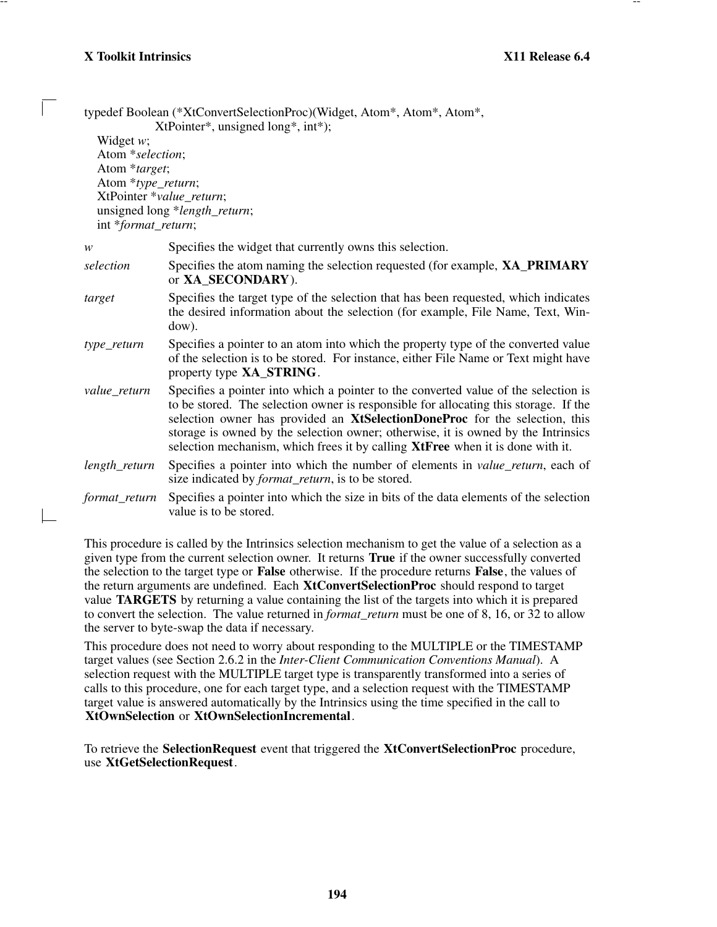$\mathbf{L}$ 

typedef Boolean (\*XtConvertSelectionProc)(Widget, Atom\*, Atom\*, Atom\*, XtPointer\*, unsigned long\*, int\*); Widget *w*; Atom \**selection*; Atom \**target*; Atom \**type\_return*; XtPointer \**value\_return*; unsigned long \**length\_return*; int \**format\_return*; *w* Specifies the widget that currently owns this selection. *selection* Specifies the atom naming the selection requested (for example, **XA\_PRIMARY** or **XA\_SECONDARY**). *target* Specifies the target type of the selection that has been requested, which indicates the desired information about the selection (for example, File Name, Text, Window). *type\_return* Specifies a pointer to an atom into which the property type of the converted value of the selection is to be stored. For instance, either File Name or Text might have property type **XA\_STRING**. *value\_return* Specifies a pointer into which a pointer to the converted value of the selection is to be stored. The selection owner is responsible for allocating this storage. If the selection owner has provided an **XtSelectionDoneProc** for the selection, this storage is owned by the selection owner; otherwise, it is owned by the Intrinsics selection mechanism, which frees it by calling **XtFree** when it is done with it. *length return* Specifies a pointer into which the number of elements in *value return*, each of size indicated by *format\_return*, is to be stored. *format return* Specifies a pointer into which the size in bits of the data elements of the selection value is to be stored.

-- --

This procedure is called by the Intrinsics selection mechanism to get the value of a selection as a given type from the current selection owner. It returns **True** if the owner successfully converted the selection to the target type or **False** otherwise. If the procedure returns **False**, the values of the return arguments are undefined. Each **XtConvertSelectionProc** should respond to target value **TARGETS** by returning a value containing the list of the targets into which it is prepared to convert the selection. The value returned in *format\_return* must be one of 8, 16, or 32 to allow the server to byte-swap the data if necessary.

This procedure does not need to worry about responding to the MULTIPLE or the TIMESTAMP target values (see Section 2.6.2 in the *Inter-Client Communication Conventions Manual*). A selection request with the MULTIPLE target type is transparently transformed into a series of calls to this procedure, one for each target type, and a selection request with the TIMESTAMP target value is answered automatically by the Intrinsics using the time specified in the call to **XtOwnSelection** or **XtOwnSelectionIncremental**.

To retrieve the **SelectionRequest** event that triggered the **XtConvertSelectionProc** procedure, use **XtGetSelectionRequest**.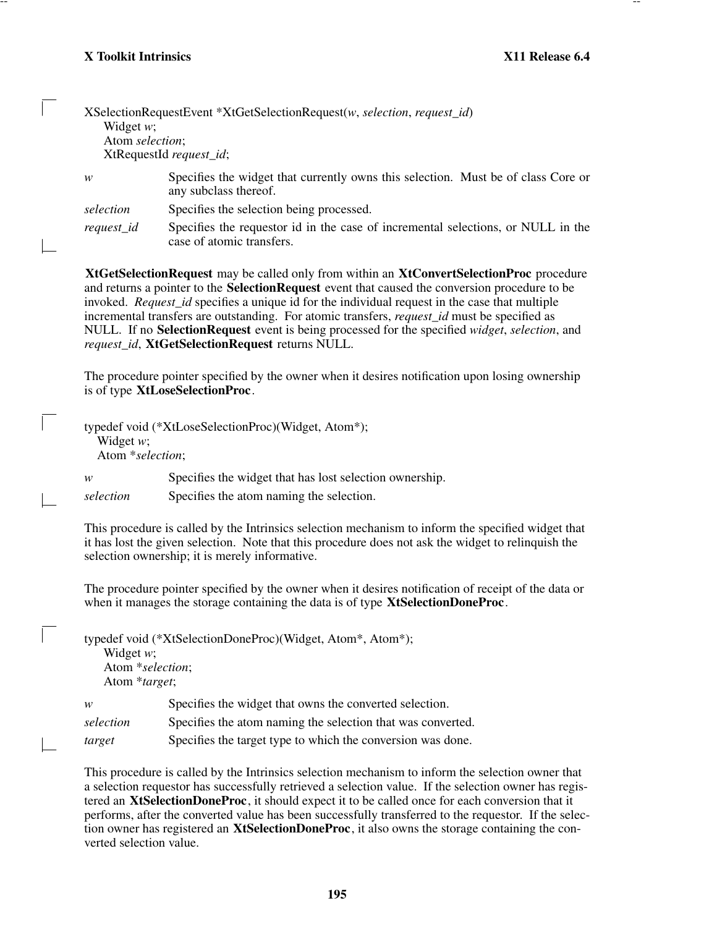$\mathsf{L}$ 

XSelectionRequestEvent \*XtGetSelectionRequest(*w*, *selection*, *request\_id*) Widget *w*; Atom *selection*; XtRequestId *request\_id*; *w* Specifies the widget that currently owns this selection. Must be of class Core or any subclass thereof.

-- --

*selection* Specifies the selection being processed.

*request id* Specifies the requestor id in the case of incremental selections, or NULL in the case of atomic transfers.

**XtGetSelectionRequest** may be called only from within an **XtConvertSelectionProc** procedure and returns a pointer to the **SelectionRequest** event that caused the conversion procedure to be invoked. *Request\_id* specifies a unique id for the individual request in the case that multiple incremental transfers are outstanding. For atomic transfers, *request id* must be specified as NULL. If no **SelectionRequest** event is being processed for the specified *widget*, *selection*, and *request\_id*, **XtGetSelectionRequest** returns NULL.

The procedure pointer specified by the owner when it desires notification upon losing ownership is of type **XtLoseSelectionProc**.

typedef void (\*XtLoseSelectionProc)(Widget, Atom\*); Widget *w*; Atom \**selection*;

*w* Specifies the widget that has lost selection ownership.

*selection* Specifies the atom naming the selection.

This procedure is called by the Intrinsics selection mechanism to inform the specified widget that it has lost the given selection. Note that this procedure does not ask the widget to relinquish the selection ownership; it is merely informative.

The procedure pointer specified by the owner when it desires notification of receipt of the data or when it manages the storage containing the data is of type **XtSelectionDoneProc**.

typedef void (\*XtSelectionDoneProc)(Widget, Atom\*, Atom\*); Widget *w*; Atom \**selection*; Atom \**target*; *w* Specifies the widget that owns the converted selection.

*selection* Specifies the atom naming the selection that was converted.

*target* Specifies the target type to which the conversion was done.

This procedure is called by the Intrinsics selection mechanism to inform the selection owner that a selection requestor has successfully retrieved a selection value. If the selection owner has registered an **XtSelectionDoneProc**, it should expect it to be called once for each conversion that it performs, after the converted value has been successfully transferred to the requestor. If the selection owner has registered an **XtSelectionDoneProc**, it also owns the storage containing the converted selection value.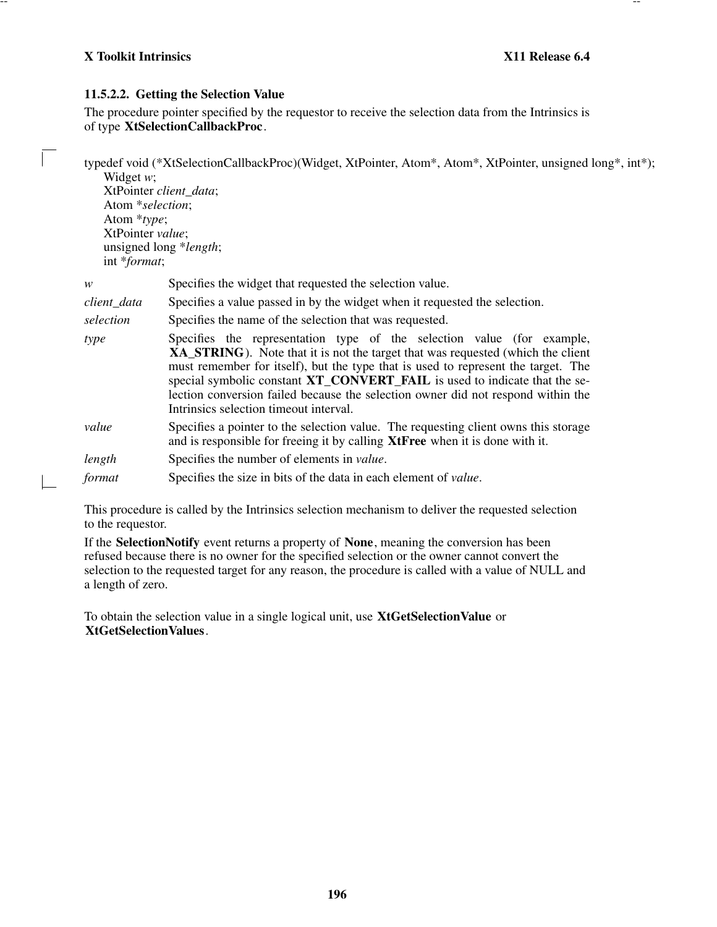Г

## **11.5.2.2. Getting the Selection Value**

The procedure pointer specified by the requestor to receive the selection data from the Intrinsics is of type **XtSelectionCallbackProc**.

-- --

| typedef void (*XtSelectionCallbackProc)(Widget, XtPointer, Atom*, Atom*, XtPointer, unsigned long*, int*);<br>Widget $w$ ;<br>XtPointer client_data;<br>Atom *selection;<br>Atom *type;<br>XtPointer value;<br>unsigned long * <i>length</i> ;<br>int *format; |                                                                                                                                                                                                                                                                                                                                                                                                                                                                           |
|----------------------------------------------------------------------------------------------------------------------------------------------------------------------------------------------------------------------------------------------------------------|---------------------------------------------------------------------------------------------------------------------------------------------------------------------------------------------------------------------------------------------------------------------------------------------------------------------------------------------------------------------------------------------------------------------------------------------------------------------------|
| w                                                                                                                                                                                                                                                              | Specifies the widget that requested the selection value.                                                                                                                                                                                                                                                                                                                                                                                                                  |
| client_data                                                                                                                                                                                                                                                    | Specifies a value passed in by the widget when it requested the selection.                                                                                                                                                                                                                                                                                                                                                                                                |
| selection                                                                                                                                                                                                                                                      | Specifies the name of the selection that was requested.                                                                                                                                                                                                                                                                                                                                                                                                                   |
| type                                                                                                                                                                                                                                                           | Specifies the representation type of the selection value (for example,<br><b>XA_STRING</b> ). Note that it is not the target that was requested (which the client<br>must remember for itself), but the type that is used to represent the target. The<br>special symbolic constant <b>XT_CONVERT_FAIL</b> is used to indicate that the se-<br>lection conversion failed because the selection owner did not respond within the<br>Intrinsics selection timeout interval. |
| value                                                                                                                                                                                                                                                          | Specifies a pointer to the selection value. The requesting client owns this storage<br>and is responsible for freeing it by calling <b>XtFree</b> when it is done with it.                                                                                                                                                                                                                                                                                                |
| length                                                                                                                                                                                                                                                         | Specifies the number of elements in <i>value</i> .                                                                                                                                                                                                                                                                                                                                                                                                                        |
| format                                                                                                                                                                                                                                                         | Specifies the size in bits of the data in each element of <i>value</i> .                                                                                                                                                                                                                                                                                                                                                                                                  |

This procedure is called by the Intrinsics selection mechanism to deliver the requested selection to the requestor.

If the **SelectionNotify** event returns a property of **None**, meaning the conversion has been refused because there is no owner for the specified selection or the owner cannot convert the selection to the requested target for any reason, the procedure is called with a value of NULL and a length of zero.

To obtain the selection value in a single logical unit, use **XtGetSelectionValue** or **XtGetSelectionValues**.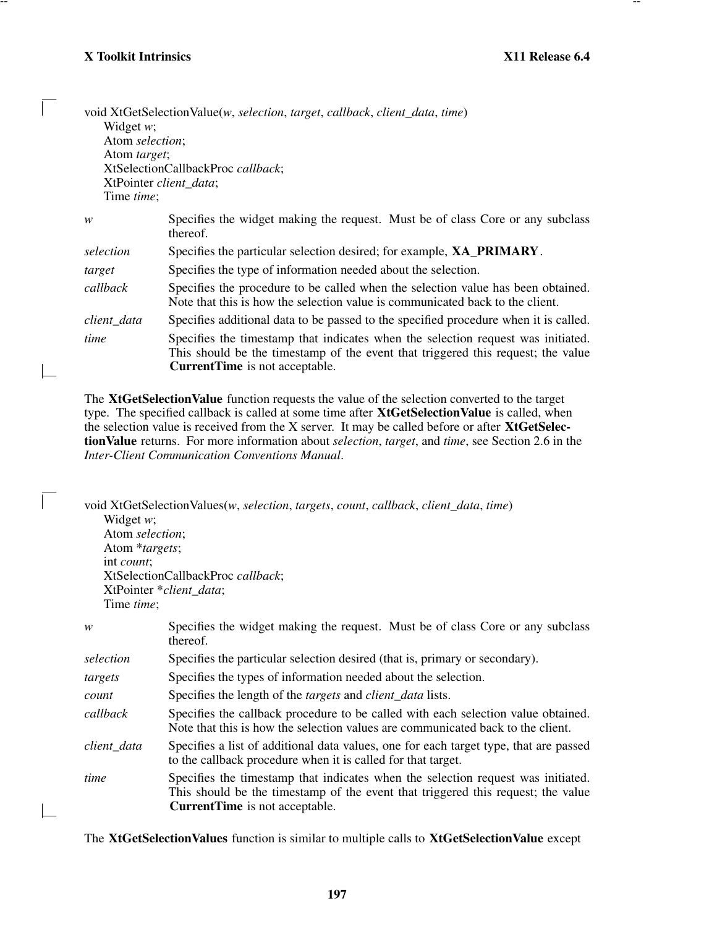void XtGetSelectionValue(*w*, *selection*, *target*, *callback*, *client\_data*, *time*) Widget *w*; Atom *selection*; Atom *target*; XtSelectionCallbackProc *callback*; XtPointer *client\_data*; Time *time*; *w* Specifies the widget making the request. Must be of class Core or any subclass thereof. *selection* Specifies the particular selection desired; for example, **XA\_PRIMARY**. *target* Specifies the type of information needed about the selection. *callback* Specifies the procedure to be called when the selection value has been obtained. Note that this is how the selection value is communicated back to the client. *client\_data* Specifies additional data to be passed to the specified procedure when it is called. *time* Specifies the timestamp that indicates when the selection request was initiated. This should be the timestamp of the event that triggered this request; the value **CurrentTime** is not acceptable.

-- --

The **XtGetSelectionValue** function requests the value of the selection converted to the target type. The specified callback is called at some time after **XtGetSelectionValue** is called, when the selection value is received from the X server. It may be called before or after **XtGetSelectionValue** returns. For more information about *selection*, *target*, and *time*, see Section 2.6 in the *Inter-Client Communication Conventions Manual*.

void XtGetSelectionValues(*w*, *selection*, *targets*, *count*, *callback*, *client\_data*, *time*) Widget *w*; Atom *selection*; Atom \**targets*; int *count*; XtSelectionCallbackProc *callback*; XtPointer \**client\_data*; Time *time*; *w* Specifies the widget making the request. Must be of class Core or any subclass thereof. *selection* Specifies the particular selection desired (that is, primary or secondary). *targets* Specifies the types of information needed about the selection. *count* Specifies the length of the *targets* and *client\_data* lists. *callback* Specifies the callback procedure to be called with each selection value obtained. Note that this is how the selection values are communicated back to the client. *client\_data* Specifies a list of additional data values, one for each target type, that are passed to the callback procedure when it is called for that target. *time* Specifies the timestamp that indicates when the selection request was initiated. This should be the timestamp of the event that triggered this request; the value **CurrentTime** is not acceptable.

The **XtGetSelectionValues** function is similar to multiple calls to **XtGetSelectionValue** except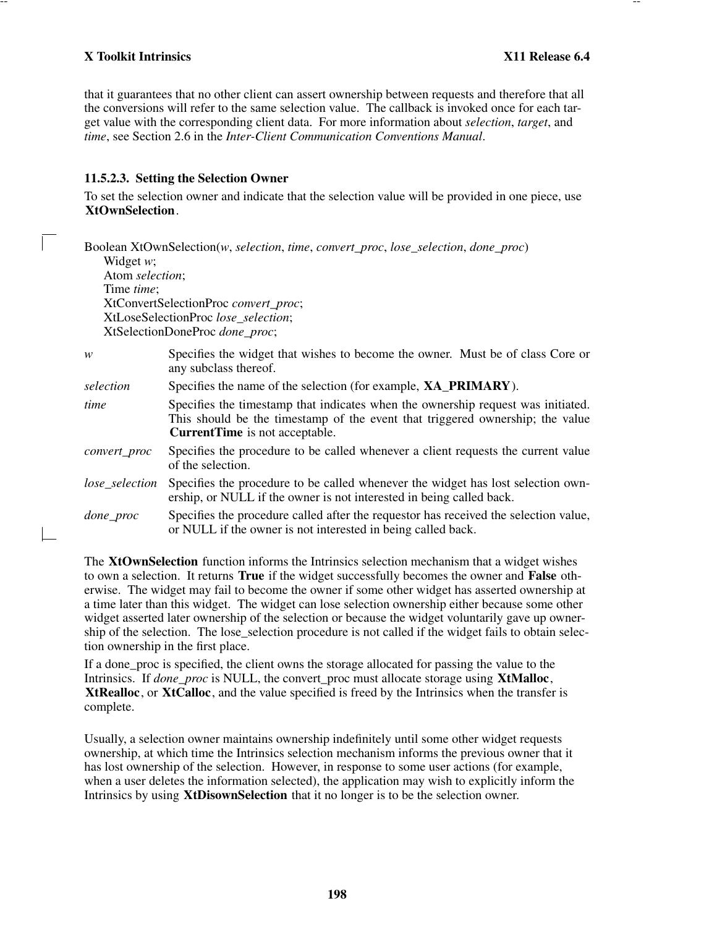that it guarantees that no other client can assert ownership between requests and therefore that all the conversions will refer to the same selection value. The callback is invoked once for each target value with the corresponding client data. For more information about *selection*, *target*, and *time*, see Section 2.6 in the *Inter-Client Communication Conventions Manual*.

-- --

## **11.5.2.3. Setting the Selection Owner**

To set the selection owner and indicate that the selection value will be provided in one piece, use **XtOwnSelection**.

Boolean XtOwnSelection(*w*, *selection*, *time*, *convert\_proc*, *lose\_selection*, *done\_proc*) Widget *w*; Atom *selection*;

Time *time*; XtConvertSelectionProc *convert\_proc*; XtLoseSelectionProc *lose\_selection*; XtSelectionDoneProc *done\_proc*;

*w* Specifies the widget that wishes to become the owner. Must be of class Core or any subclass thereof. *selection* Specifies the name of the selection (for example, **XA\_PRIMARY**). *time* Specifies the timestamp that indicates when the ownership request was initiated.

- This should be the timestamp of the event that triggered ownership; the value **CurrentTime** is not acceptable.
- *convert\_proc* Specifies the procedure to be called whenever a client requests the current value of the selection.
- *lose\_selection* Specifies the procedure to be called whenever the widget has lost selection ownership, or NULL if the owner is not interested in being called back.
- *done\_proc* Specifies the procedure called after the requestor has received the selection value, or NULL if the owner is not interested in being called back.

The **XtOwnSelection** function informs the Intrinsics selection mechanism that a widget wishes to own a selection. It returns **True** if the widget successfully becomes the owner and **False** otherwise. The widget may fail to become the owner if some other widget has asserted ownership at a time later than this widget. The widget can lose selection ownership either because some other widget asserted later ownership of the selection or because the widget voluntarily gave up ownership of the selection. The lose selection procedure is not called if the widget fails to obtain selection ownership in the first place.

If a done\_proc is specified, the client owns the storage allocated for passing the value to the Intrinsics. If *done\_proc* is NULL, the convert\_proc must allocate storage using **XtMalloc**, **XtRealloc**, or **XtCalloc**, and the value specified is freed by the Intrinsics when the transfer is complete.

Usually, a selection owner maintains ownership indefinitely until some other widget requests ownership, at which time the Intrinsics selection mechanism informs the previous owner that it has lost ownership of the selection. However, in response to some user actions (for example, when a user deletes the information selected), the application may wish to explicitly inform the Intrinsics by using **XtDisownSelection** that it no longer is to be the selection owner.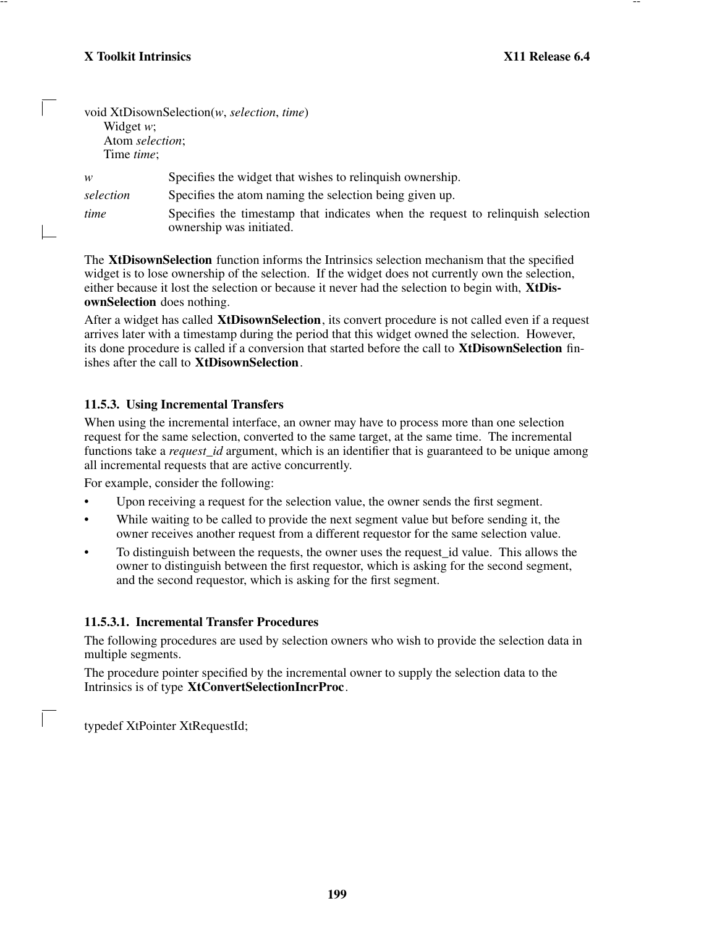| Widget $w$ ;<br>Atom selection;<br>Time <i>time</i> ; | void XtDisownSelection(w, selection, time)                                                                  |
|-------------------------------------------------------|-------------------------------------------------------------------------------------------------------------|
| w                                                     | Specifies the widget that wishes to relinquish ownership.                                                   |
| selection                                             | Specifies the atom naming the selection being given up.                                                     |
| time                                                  | Specifies the timestamp that indicates when the request to relinquish selection<br>ownership was initiated. |

-- --

The **XtDisownSelection** function informs the Intrinsics selection mechanism that the specified widget is to lose ownership of the selection. If the widget does not currently own the selection, either because it lost the selection or because it never had the selection to begin with, **XtDisownSelection** does nothing.

After a widget has called **XtDisownSelection**, its convert procedure is not called even if a request arrives later with a timestamp during the period that this widget owned the selection. However, its done procedure is called if a conversion that started before the call to **XtDisownSelection** finishes after the call to **XtDisownSelection**.

## **11.5.3. Using Incremental Transfers**

When using the incremental interface, an owner may have to process more than one selection request for the same selection, converted to the same target, at the same time. The incremental functions take a *request\_id* argument, which is an identifier that is guaranteed to be unique among all incremental requests that are active concurrently.

For example, consider the following:

- Upon receiving a request for the selection value, the owner sends the first segment.
- While waiting to be called to provide the next segment value but before sending it, the owner receives another request from a different requestor for the same selection value.
- To distinguish between the requests, the owner uses the request\_id value. This allows the owner to distinguish between the first requestor, which is asking for the second segment, and the second requestor, which is asking for the first segment.

#### **11.5.3.1. Incremental Transfer Procedures**

The following procedures are used by selection owners who wish to provide the selection data in multiple segments.

The procedure pointer specified by the incremental owner to supply the selection data to the Intrinsics is of type **XtConvertSelectionIncrProc**.

typedef XtPointer XtRequestId;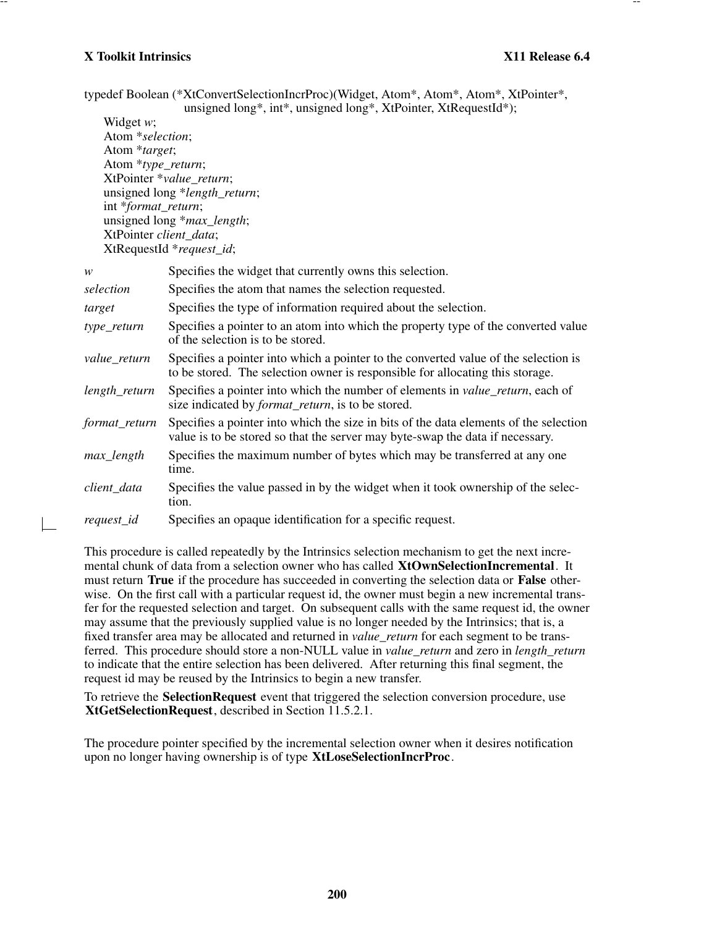## **X Toolkit Intrinsics X11 Release 6.4**

typedef Boolean (\*XtConvertSelectionIncrProc)(Widget, Atom\*, Atom\*, Atom\*, XtPointer\*, unsigned long\*, int\*, unsigned long\*, XtPointer, XtRequestId\*);

-- --

Widget *w*; Atom \**selection*; Atom \**target*; Atom \**type\_return*; XtPointer \**value\_return*; unsigned long \**length\_return*; int \**format\_return*; unsigned long \**max\_length*; XtPointer *client\_data*; XtRequestId \**request\_id*;

| w             | Specifies the widget that currently owns this selection.                                                                                                               |
|---------------|------------------------------------------------------------------------------------------------------------------------------------------------------------------------|
| selection     | Specifies the atom that names the selection requested.                                                                                                                 |
| target        | Specifies the type of information required about the selection.                                                                                                        |
| type_return   | Specifies a pointer to an atom into which the property type of the converted value<br>of the selection is to be stored.                                                |
| value_return  | Specifies a pointer into which a pointer to the converted value of the selection is<br>to be stored. The selection owner is responsible for allocating this storage.   |
| length_return | Specifies a pointer into which the number of elements in <i>value_return</i> , each of<br>size indicated by <i>format_return</i> , is to be stored.                    |
| format_return | Specifies a pointer into which the size in bits of the data elements of the selection<br>value is to be stored so that the server may byte-swap the data if necessary. |
| $max$ length  | Specifies the maximum number of bytes which may be transferred at any one<br>time.                                                                                     |
| client_data   | Specifies the value passed in by the widget when it took ownership of the selec-<br>tion.                                                                              |
| request id    | Specifies an opaque identification for a specific request.                                                                                                             |

This procedure is called repeatedly by the Intrinsics selection mechanism to get the next incremental chunk of data from a selection owner who has called **XtOwnSelectionIncremental**. It must return **True** if the procedure has succeeded in converting the selection data or **False** otherwise. On the first call with a particular request id, the owner must begin a new incremental transfer for the requested selection and target. On subsequent calls with the same request id, the owner may assume that the previously supplied value is no longer needed by the Intrinsics; that is, a fixed transfer area may be allocated and returned in *value\_return* for each segment to be transferred. This procedure should store a non-NULL value in *value\_return* and zero in *length\_return* to indicate that the entire selection has been delivered. After returning this final segment, the request id may be reused by the Intrinsics to begin a new transfer.

To retrieve the **SelectionRequest** event that triggered the selection conversion procedure, use **XtGetSelectionRequest**, described in Section 11.5.2.1.

The procedure pointer specified by the incremental selection owner when it desires notification upon no longer having ownership is of type **XtLoseSelectionIncrProc**.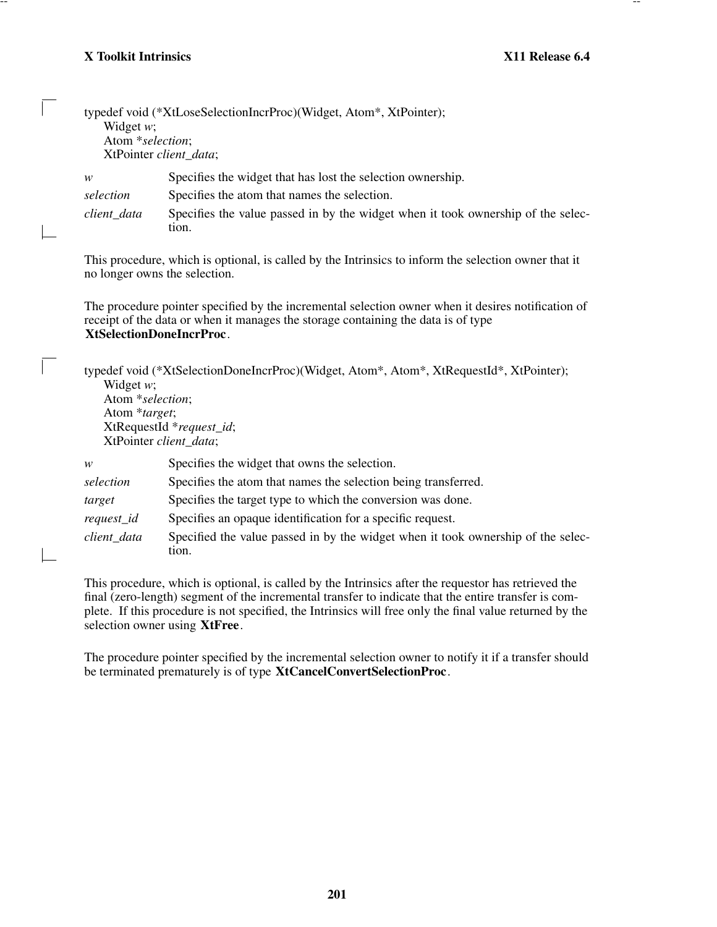$\mathsf{L}$ 

typedef void (\*XtLoseSelectionIncrProc)(Widget, Atom\*, XtPointer); Widget *w*; Atom \**selection*; XtPointer *client\_data*;

-- --

*w* Specifies the widget that has lost the selection ownership. *selection* Specifies the atom that names the selection. *client\_data* Specifies the value passed in by the widget when it took ownership of the selection.

This procedure, which is optional, is called by the Intrinsics to inform the selection owner that it no longer owns the selection.

The procedure pointer specified by the incremental selection owner when it desires notification of receipt of the data or when it manages the storage containing the data is of type **XtSelectionDoneIncrProc**.

typedef void (\*XtSelectionDoneIncrProc)(Widget, Atom\*, Atom\*, XtRequestId\*, XtPointer); Widget *w*; Atom \**selection*; Atom \**target*; XtRequestId \**request\_id*; XtPointer *client\_data*; *w* Specifies the widget that owns the selection. *selection* Specifies the atom that names the selection being transferred.

| selection   | specifies the atom that hannes the selection being transicircu.                           |
|-------------|-------------------------------------------------------------------------------------------|
| target      | Specifies the target type to which the conversion was done.                               |
| request_id  | Specifies an opaque identification for a specific request.                                |
| client data | Specified the value passed in by the widget when it took ownership of the selec-<br>tion. |

This procedure, which is optional, is called by the Intrinsics after the requestor has retrieved the final (zero-length) segment of the incremental transfer to indicate that the entire transfer is complete. If this procedure is not specified, the Intrinsics will free only the final value returned by the selection owner using **XtFree**.

The procedure pointer specified by the incremental selection owner to notify it if a transfer should be terminated prematurely is of type **XtCancelConvertSelectionProc**.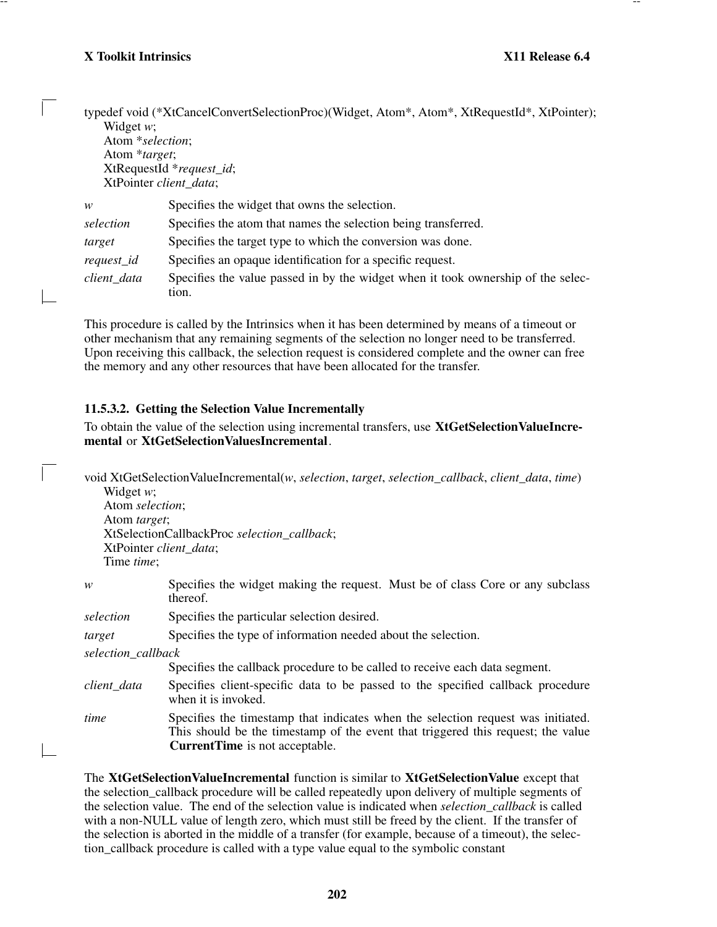$\mathbf{L}$ 

typedef void (\*XtCancelConvertSelectionProc)(Widget, Atom\*, Atom\*, XtRequestId\*, XtPointer); Widget *w*; Atom \**selection*; Atom \**target*; XtRequestId \**request\_id*; XtPointer *client\_data*; *w* Specifies the widget that owns the selection. *selection* Specifies the atom that names the selection being transferred. *target* Specifies the target type to which the conversion was done.

-- --

*request\_id* Specifies an opaque identification for a specific request.

*client\_data* Specifies the value passed in by the widget when it took ownership of the selection.

This procedure is called by the Intrinsics when it has been determined by means of a timeout or other mechanism that any remaining segments of the selection no longer need to be transferred. Upon receiving this callback, the selection request is considered complete and the owner can free the memory and any other resources that have been allocated for the transfer.

#### **11.5.3.2. Getting the Selection Value Incrementally**

To obtain the value of the selection using incremental transfers, use **XtGetSelectionValueIncremental** or **XtGetSelectionValuesIncremental**.

void XtGetSelectionValueIncremental(*w*, *selection*, *target*, *selection\_callback*, *client\_data*, *time*) Widget *w*; Atom *selection*; Atom *target*; XtSelectionCallbackProc *selection\_callback*; XtPointer *client\_data*; Time *time*; *w* Specifies the widget making the request. Must be of class Core or any subclass thereof. *selection* Specifies the particular selection desired. *target* Specifies the type of information needed about the selection. *selection\_callback* Specifies the callback procedure to be called to receive each data segment. *client\_data* Specifies client-specific data to be passed to the specified callback procedure when it is invoked. *time* Specifies the timestamp that indicates when the selection request was initiated. This should be the timestamp of the event that triggered this request; the value **CurrentTime** is not acceptable.

The **XtGetSelectionValueIncremental** function is similar to **XtGetSelectionValue** except that the selection\_callback procedure will be called repeatedly upon delivery of multiple segments of the selection value. The end of the selection value is indicated when *selection\_callback* is called with a non-NULL value of length zero, which must still be freed by the client. If the transfer of the selection is aborted in the middle of a transfer (for example, because of a timeout), the selection\_callback procedure is called with a type value equal to the symbolic constant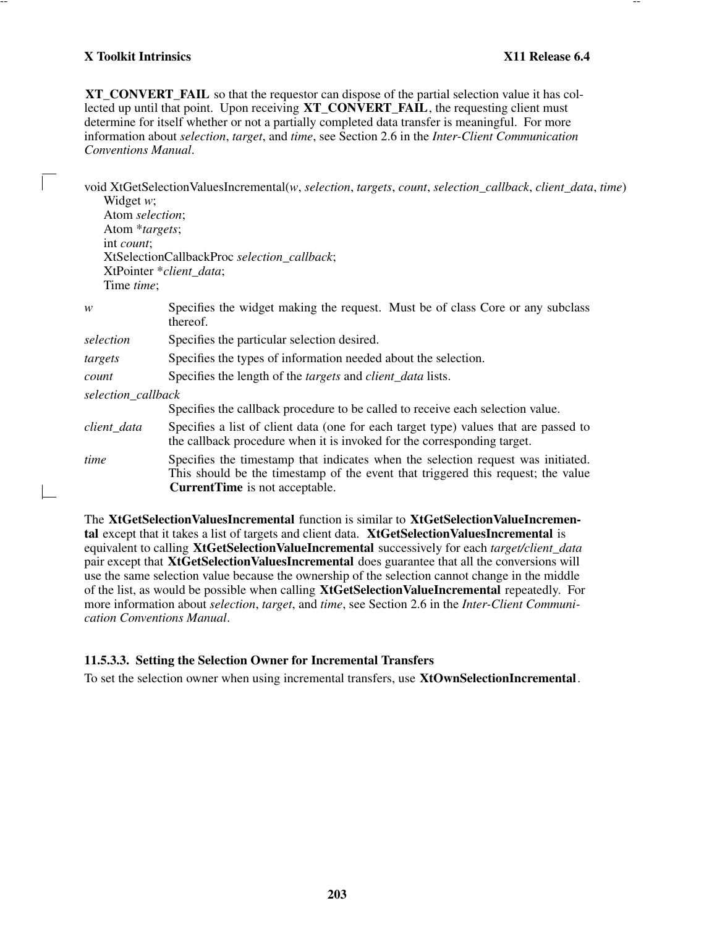**XT\_CONVERT\_FAIL** so that the requestor can dispose of the partial selection value it has collected up until that point. Upon receiving **XT\_CONVERT\_FAIL**, the requesting client must determine for itself whether or not a partially completed data transfer is meaningful. For more information about *selection*, *target*, and *time*, see Section 2.6 in the *Inter-Client Communication Conventions Manual*.

-- --

|                                        | void XtGetSelectionValuesIncremental(w, selection, targets, count, selection_callback, client_data, time)                                                                                                     |
|----------------------------------------|---------------------------------------------------------------------------------------------------------------------------------------------------------------------------------------------------------------|
| Widget $w$ ;                           |                                                                                                                                                                                                               |
| Atom selection;                        |                                                                                                                                                                                                               |
| Atom * <i>targets</i> ;                |                                                                                                                                                                                                               |
| int <i>count</i> ;                     |                                                                                                                                                                                                               |
|                                        | XtSelectionCallbackProc selection_callback;                                                                                                                                                                   |
| XtPointer * client_data;<br>Time time; |                                                                                                                                                                                                               |
| w                                      | Specifies the widget making the request. Must be of class Core or any subclass<br>thereof.                                                                                                                    |
| selection                              | Specifies the particular selection desired.                                                                                                                                                                   |
| targets                                | Specifies the types of information needed about the selection.                                                                                                                                                |
| count                                  | Specifies the length of the <i>targets</i> and <i>client_data</i> lists.                                                                                                                                      |
| selection_callback                     |                                                                                                                                                                                                               |
|                                        | Specifies the callback procedure to be called to receive each selection value.                                                                                                                                |
| client_data                            | Specifies a list of client data (one for each target type) values that are passed to<br>the callback procedure when it is invoked for the corresponding target.                                               |
| time                                   | Specifies the timestamp that indicates when the selection request was initiated.<br>This should be the timestamp of the event that triggered this request; the value<br><b>CurrentTime</b> is not acceptable. |

The **XtGetSelectionValuesIncremental** function is similar to **XtGetSelectionValueIncremental** except that it takes a list of targets and client data. **XtGetSelectionValuesIncremental** is equivalent to calling **XtGetSelectionValueIncremental** successively for each *target/client\_data* pair except that **XtGetSelectionValuesIncremental** does guarantee that all the conversions will use the same selection value because the ownership of the selection cannot change in the middle of the list, as would be possible when calling **XtGetSelectionValueIncremental** repeatedly. For more information about *selection*, *target*, and *time*, see Section 2.6 in the *Inter-Client Communication Conventions Manual*.

# **11.5.3.3. Setting the Selection Owner for Incremental Transfers**

To set the selection owner when using incremental transfers, use **XtOwnSelectionIncremental**.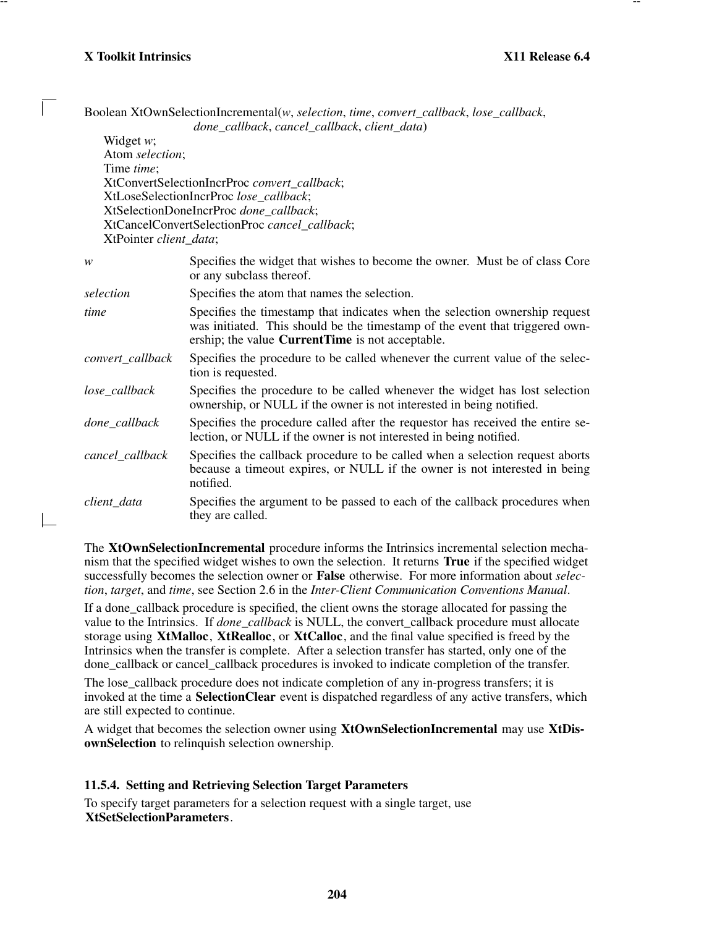|                               | Boolean XtOwnSelectionIncremental(w, selection, time, convert_callback, lose_callback,                                                                                                                                 |
|-------------------------------|------------------------------------------------------------------------------------------------------------------------------------------------------------------------------------------------------------------------|
|                               | done_callback, cancel_callback, client_data)                                                                                                                                                                           |
| Widget $w$ ;                  |                                                                                                                                                                                                                        |
| Atom selection;<br>Time time; |                                                                                                                                                                                                                        |
|                               | XtConvertSelectionIncrProc convert_callback;                                                                                                                                                                           |
|                               | XtLoseSelectionIncrProc lose_callback;                                                                                                                                                                                 |
|                               | XtSelectionDoneIncrProc done_callback;                                                                                                                                                                                 |
|                               | XtCancelConvertSelectionProc cancel_callback;                                                                                                                                                                          |
| XtPointer client_data;        |                                                                                                                                                                                                                        |
|                               |                                                                                                                                                                                                                        |
| w                             | Specifies the widget that wishes to become the owner. Must be of class Core<br>or any subclass thereof.                                                                                                                |
| selection                     | Specifies the atom that names the selection.                                                                                                                                                                           |
| time                          | Specifies the timestamp that indicates when the selection ownership request<br>was initiated. This should be the timestamp of the event that triggered own-<br>ership; the value <b>CurrentTime</b> is not acceptable. |
| convert_callback              | Specifies the procedure to be called whenever the current value of the selec-<br>tion is requested.                                                                                                                    |
| lose_callback                 | Specifies the procedure to be called whenever the widget has lost selection<br>ownership, or NULL if the owner is not interested in being notified.                                                                    |
| done_callback                 | Specifies the procedure called after the requestor has received the entire se-<br>lection, or NULL if the owner is not interested in being notified.                                                                   |
| cancel_callback               | Specifies the callback procedure to be called when a selection request aborts<br>because a timeout expires, or NULL if the owner is not interested in being<br>notified.                                               |
| client_data                   | Specifies the argument to be passed to each of the callback procedures when<br>they are called.                                                                                                                        |

-- --

The **XtOwnSelectionIncremental** procedure informs the Intrinsics incremental selection mechanism that the specified widget wishes to own the selection. It returns **True** if the specified widget successfully becomes the selection owner or **False** otherwise. For more information about *selection*, *target*, and *time*, see Section 2.6 in the *Inter-Client Communication Conventions Manual*.

If a done\_callback procedure is specified, the client owns the storage allocated for passing the value to the Intrinsics. If *done\_callback* is NULL, the convert\_callback procedure must allocate storage using **XtMalloc**, **XtRealloc**, or **XtCalloc**, and the final value specified is freed by the Intrinsics when the transfer is complete. After a selection transfer has started, only one of the done\_callback or cancel\_callback procedures is invoked to indicate completion of the transfer.

The lose\_callback procedure does not indicate completion of any in-progress transfers; it is invoked at the time a **SelectionClear** event is dispatched regardless of any active transfers, which are still expected to continue.

A widget that becomes the selection owner using **XtOwnSelectionIncremental** may use **XtDisownSelection** to relinquish selection ownership.

## **11.5.4. Setting and Retrieving Selection Target Parameters**

To specify target parameters for a selection request with a single target, use **XtSetSelectionParameters**.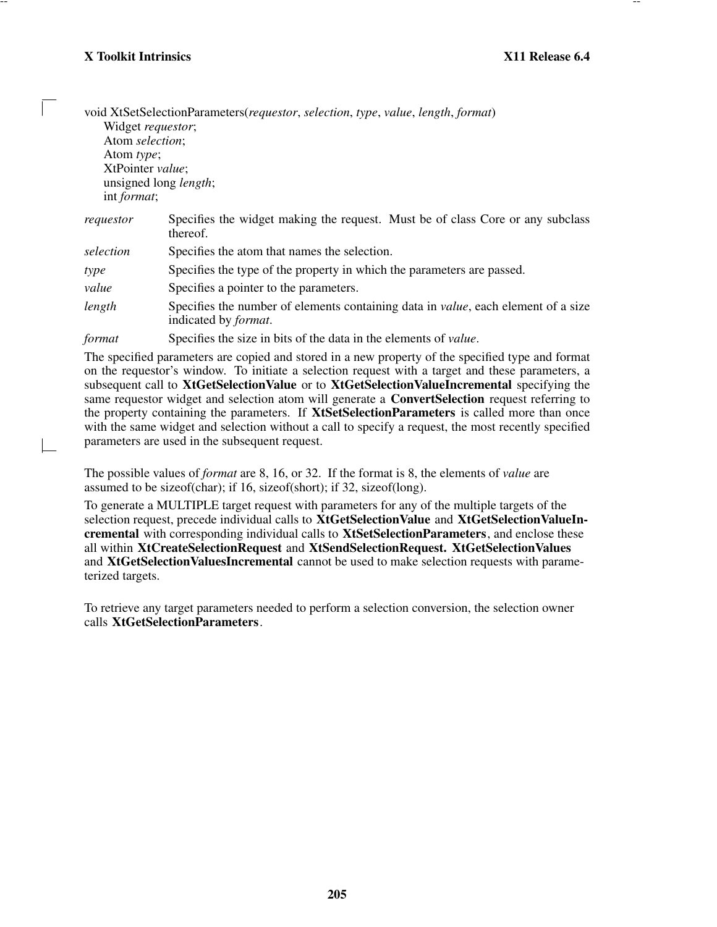$\mathbf{L}$ 

void XtSetSelectionParameters(*requestor*, *selection*, *type*, *value*, *length*, *format*) Widget *requestor*; Atom *selection*; Atom *type*; XtPointer *value*; unsigned long *length*; int *format*; *requestor* Specifies the widget making the request. Must be of class Core or any subclass thereof. *selection* Specifies the atom that names the selection. *type* Specifies the type of the property in which the parameters are passed. *value* Specifies a pointer to the parameters. *length* Specifies the number of elements containing data in *value*, each element of a size indicated by *format*. *format* Specifies the size in bits of the data in the elements of *value*.

-- --

The specified parameters are copied and stored in a new property of the specified type and format on the requestor's window. To initiate a selection request with a target and these parameters, a subsequent call to **XtGetSelectionValue** or to **XtGetSelectionValueIncremental** specifying the same requestor widget and selection atom will generate a **ConvertSelection** request referring to the property containing the parameters. If **XtSetSelectionParameters** is called more than once with the same widget and selection without a call to specify a request, the most recently specified parameters are used in the subsequent request.

The possible values of *format* are 8, 16, or 32. If the format is 8, the elements of *value* are assumed to be sizeof(char); if 16, sizeof(short); if 32, sizeof(long).

To generate a MULTIPLE target request with parameters for any of the multiple targets of the selection request, precede individual calls to **XtGetSelectionValue** and **XtGetSelectionValueIncremental** with corresponding individual calls to **XtSetSelectionParameters**, and enclose these all within **XtCreateSelectionRequest** and **XtSendSelectionRequest. XtGetSelectionValues** and **XtGetSelectionValuesIncremental** cannot be used to make selection requests with parameterized targets.

To retrieve any target parameters needed to perform a selection conversion, the selection owner calls **XtGetSelectionParameters**.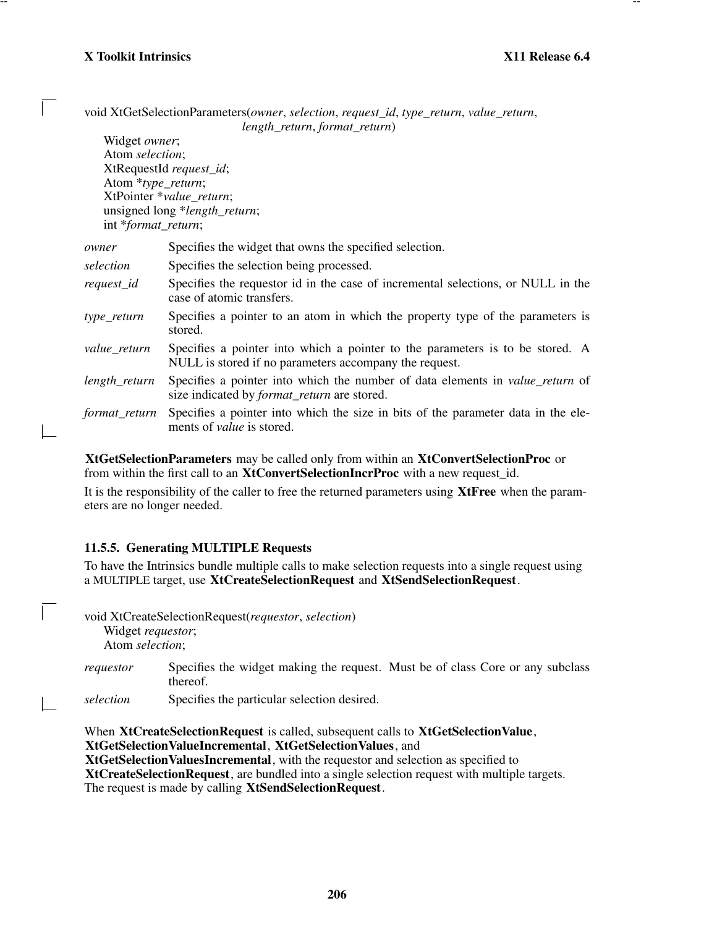$\mathbf{L}$ 

void XtGetSelectionParameters(*owner*, *selection*, *request\_id*, *type\_return*, *value\_return*, *length\_return*, *format\_return*)

-- --

Widget *owner*; Atom *selection*; XtRequestId *request\_id*; Atom \**type\_return*; XtPointer \**value\_return*; unsigned long \**length\_return*; int \**format\_return*;

*owner* Specifies the widget that owns the specified selection.

- *selection* Specifies the selection being processed.
- *request\_id* Specifies the requestor id in the case of incremental selections, or NULL in the case of atomic transfers.
- *type\_return* Specifies a pointer to an atom in which the property type of the parameters is stored.
- *value\_return* Specifies a pointer into which a pointer to the parameters is to be stored. A NULL is stored if no parameters accompany the request.
- *length\_return* Specifies a pointer into which the number of data elements in *value\_return* of size indicated by *format\_return* are stored.
- *format return* Specifies a pointer into which the size in bits of the parameter data in the elements of *value* is stored.

**XtGetSelectionParameters** may be called only from within an **XtConvertSelectionProc** or from within the first call to an **XtConvertSelectionIncrProc** with a new request\_id.

It is the responsibility of the caller to free the returned parameters using **XtFree** when the parameters are no longer needed.

# **11.5.5. Generating MULTIPLE Requests**

To have the Intrinsics bundle multiple calls to make selection requests into a single request using a MULTIPLE target, use **XtCreateSelectionRequest** and **XtSendSelectionRequest**.

void XtCreateSelectionRequest(*requestor*, *selection*) Widget *requestor*; Atom *selection*;

- *requestor* Specifies the widget making the request. Must be of class Core or any subclass thereof.
- *selection* Specifies the particular selection desired.

When **XtCreateSelectionRequest** is called, subsequent calls to **XtGetSelectionValue**, **XtGetSelectionValueIncremental**, **XtGetSelectionValues**, and **XtGetSelectionValuesIncremental**, with the requestor and selection as specified to **XtCreateSelectionRequest**, are bundled into a single selection request with multiple targets. The request is made by calling **XtSendSelectionRequest**.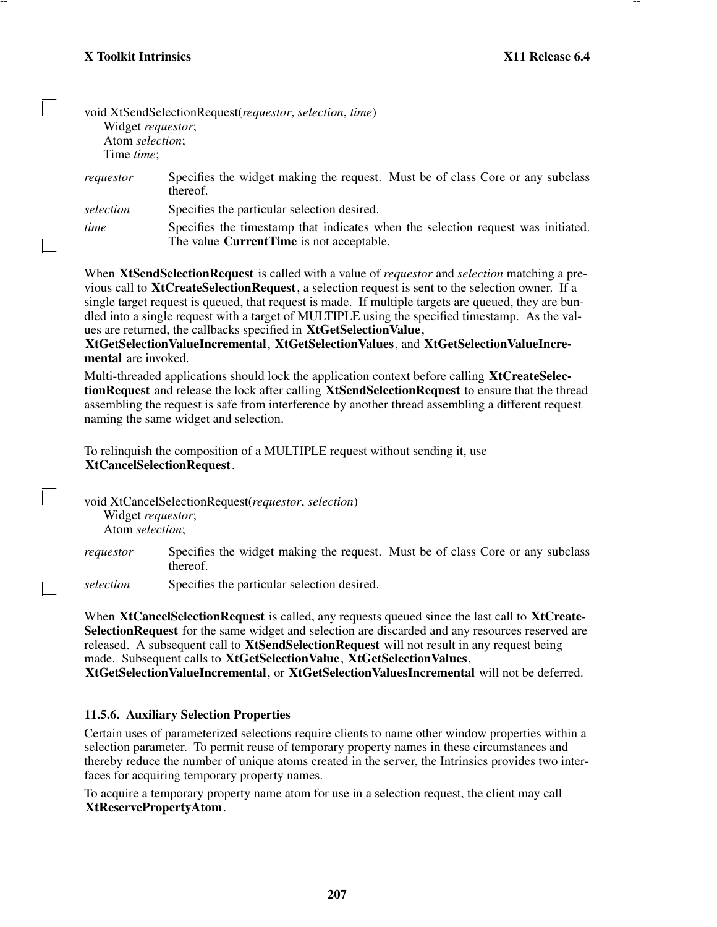|                           | void XtSendSelectionRequest(requestor, selection, time)                                    |
|---------------------------|--------------------------------------------------------------------------------------------|
| Widget <i>requestor</i> ; |                                                                                            |
| Atom selection;           |                                                                                            |
| Time <i>time</i> ;        |                                                                                            |
| requestor                 | Specifies the widget making the request. Must be of class Core or any subclass<br>thereof. |
| selection                 | Specifies the particular selection desired.                                                |
| timo                      | Specifies the timestamp that indicates when the selection request was initiated            |

-- --

*time* Specifies the timestamp that indicates when the selection request was initiated. The value **CurrentTime** is not acceptable.

When **XtSendSelectionRequest** is called with a value of *requestor* and *selection* matching a previous call to **XtCreateSelectionRequest**,aselection request is sent to the selection owner. If a single target request is queued, that request is made. If multiple targets are queued, they are bundled into a single request with a target of MULTIPLE using the specified timestamp. As the values are returned, the callbacks specified in **XtGetSelectionValue**,

**XtGetSelectionValueIncremental**, **XtGetSelectionValues**, and **XtGetSelectionValueIncremental** are invoked.

Multi-threaded applications should lock the application context before calling **XtCreateSelectionRequest** and release the lock after calling **XtSendSelectionRequest** to ensure that the thread assembling the request is safe from interference by another thread assembling a different request naming the same widget and selection.

To relinquish the composition of a MULTIPLE request without sending it, use **XtCancelSelectionRequest**.

void XtCancelSelectionRequest(*requestor*, *selection*) Widget *requestor*; Atom *selection*;

*requestor* Specifies the widget making the request. Must be of class Core or any subclass thereof.

*selection* Specifies the particular selection desired.

When **XtCancelSelectionRequest** is called, any requests queued since the last call to **XtCreate-SelectionRequest** for the same widget and selection are discarded and any resources reserved are released. A subsequent call to **XtSendSelectionRequest** will not result in any request being made. Subsequent calls to **XtGetSelectionValue**, **XtGetSelectionValues**,

**XtGetSelectionValueIncremental**, or **XtGetSelectionValuesIncremental** will not be deferred.

#### **11.5.6. Auxiliary Selection Properties**

Certain uses of parameterized selections require clients to name other window properties within a selection parameter. To permit reuse of temporary property names in these circumstances and thereby reduce the number of unique atoms created in the server, the Intrinsics provides two interfaces for acquiring temporary property names.

To acquire a temporary property name atom for use in a selection request, the client may call **XtReservePropertyAtom**.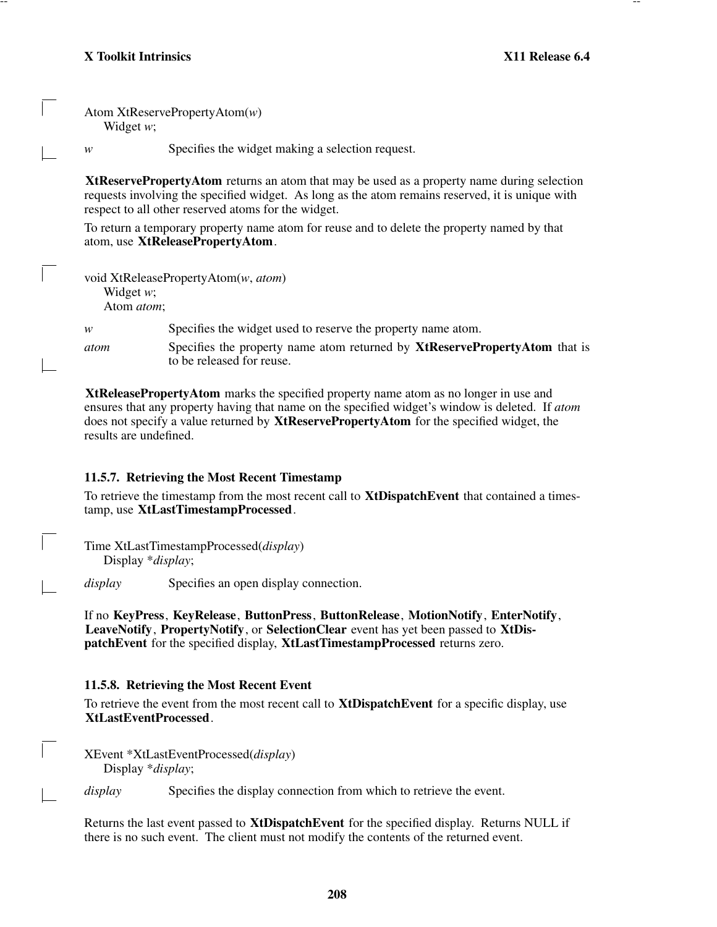Atom XtReservePropertyAtom(*w*) Widget *w*;

*w* Specifies the widget making a selection request.

**XtReservePropertyAtom** returns an atom that may be used as a property name during selection requests involving the specified widget. As long as the atom remains reserved, it is unique with respect to all other reserved atoms for the widget.

To return a temporary property name atom for reuse and to delete the property named by that atom, use **XtReleasePropertyAtom**.

-- --

void XtReleasePropertyAtom(*w*, *atom*) Widget *w*; Atom *atom*;

*w* Specifies the widget used to reserve the property name atom. *atom* Specifies the property name atom returned by **XtReservePropertyAtom** that is to be released for reuse.

**XtReleasePropertyAtom** marks the specified property name atom as no longer in use and ensures that any property having that name on the specified widget's window is deleted. If *atom* does not specify a value returned by **XtReservePropertyAtom** for the specified widget, the results are undefined.

#### **11.5.7. Retrieving the Most Recent Timestamp**

To retrieve the timestamp from the most recent call to **XtDispatchEvent** that contained a timestamp, use **XtLastTimestampProcessed**.

Time XtLastTimestampProcessed(*display*) Display \**display*;

*display* Specifies an open display connection.

If no **KeyPress**, **KeyRelease**, **ButtonPress**, **ButtonRelease**, **MotionNotify**, **EnterNotify**, **LeaveNotify, PropertyNotify, or SelectionClear** event has yet been passed to **XtDispatchEvent** for the specified display, **XtLastTimestampProcessed** returns zero.

#### **11.5.8. Retrieving the Most Recent Event**

To retrieve the event from the most recent call to **XtDispatchEvent** for a specific display, use **XtLastEventProcessed**.

XEvent \*XtLastEventProcessed(*display*) Display \**display*;

*display* Specifies the display connection from which to retrieve the event.

Returns the last event passed to **XtDispatchEvent** for the specified display. Returns NULL if there is no such event. The client must not modify the contents of the returned event.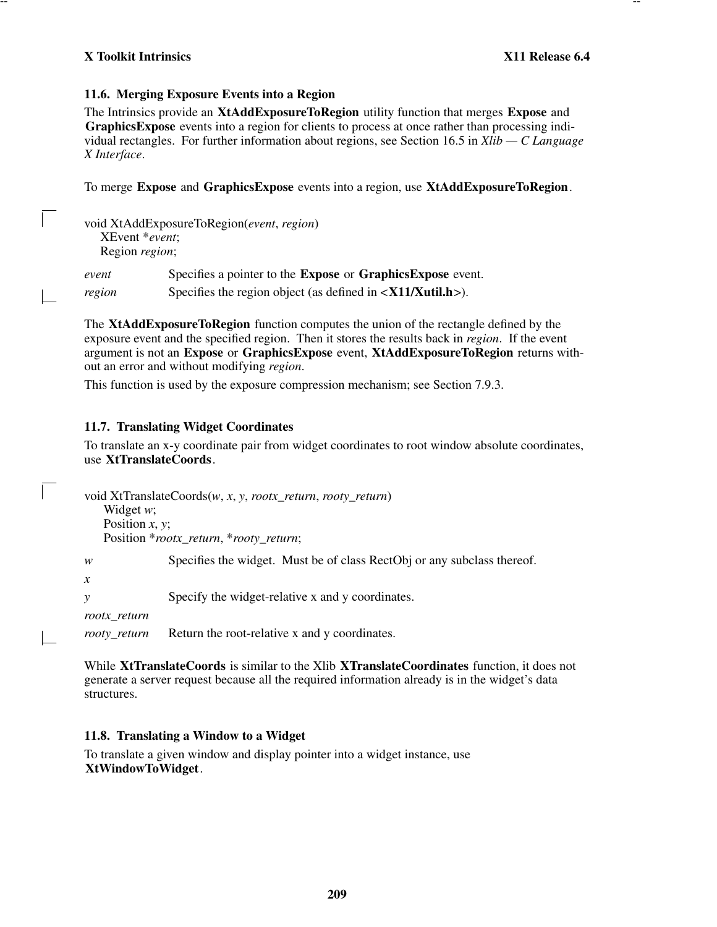$\mathsf{L}$ 

Г

# **11.6. Merging Exposure Events into a Region**

The Intrinsics provide an **XtAddExposureToRegion** utility function that merges **Expose** and **GraphicsExpose** events into a region for clients to process at once rather than processing individual rectangles. For further information about regions, see Section 16.5 in *Xlib — C Language X Interface*.

-- --

To merge **Expose** and **GraphicsExpose** events into a region, use **XtAddExposureToRegion**.

void XtAddExposureToRegion(*event*, *region*) XEvent \**event*; Region *region*;

*event* Specifies a pointer to the **Expose** or **GraphicsExpose** event.

*region* Specifies the region object (as defined in <**X11/Xutil.h**>).

The **XtAddExposureToRegion** function computes the union of the rectangle defined by the exposure event and the specified region. Then it stores the results back in *region*. If the event argument is not an **Expose** or **GraphicsExpose** ev ent, **XtAddExposureToRegion** returns without an error and without modifying *region*.

This function is used by the exposure compression mechanism; see Section 7.9.3.

# **11.7. Translating Widget Coordinates**

To translate an x-y coordinate pair from widget coordinates to root window absolute coordinates, use **XtTranslateCoords**.

void XtTranslateCoords(*w*, *x*, *y*, *rootx\_return*, *rooty\_return*) Widget *w*; Position *x*, *y*; Position \**rootx\_return*, \**rooty\_return*; *w* Specifies the widget. Must be of class RectObj or any subclass thereof. *x y* Specify the widget-relative x and y coordinates.

*rootx\_return*

*rooty\_return* Return the root-relative x and y coordinates.

While **XtTranslateCoords** is similar to the Xlib **XTranslateCoordinates** function, it does not generate a server request because all the required information already is in the widget's data structures.

# **11.8. Translating a Window to a Widget**

To translate a given window and display pointer into a widget instance, use **XtWindowToWidget**.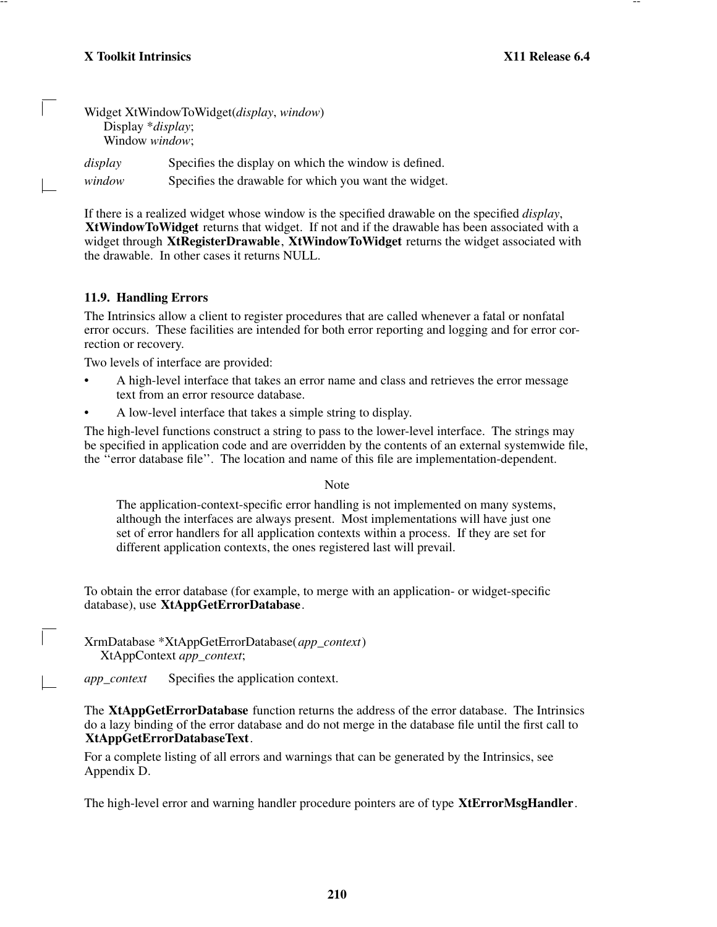| Widget XtWindowToWidget( <i>display</i> , <i>window</i> )<br>Display $*display$ ;<br>Window window; |                                                       |
|-----------------------------------------------------------------------------------------------------|-------------------------------------------------------|
| display                                                                                             | Specifies the display on which the window is defined. |
| window                                                                                              | Specifies the drawable for which you want the widget. |

If there is a realized widget whose window is the specified drawable on the specified *display*, **XtWindowToWidget** returns that widget. If not and if the drawable has been associated with a widget through **XtRegisterDrawable**, **XtWindowToWidget** returns the widget associated with the drawable. In other cases it returns NULL.

-- --

#### **11.9. Handling Errors**

The Intrinsics allow a client to register procedures that are called whenever a fatal or nonfatal error occurs. These facilities are intended for both error reporting and logging and for error correction or recovery.

Two levels of interface are provided:

- A high-level interface that takes an error name and class and retrieves the error message text from an error resource database.
- A low-level interface that takes a simple string to display.

The high-level functions construct a string to pass to the lower-level interface. The strings may be specified in application code and are overridden by the contents of an external systemwide file, the ''error database file''. The location and name of this file are implementation-dependent.

Note

The application-context-specific error handling is not implemented on many systems, although the interfaces are always present. Most implementations will have just one set of error handlers for all application contexts within a process. If they are set for different application contexts, the ones registered last will prevail.

To obtain the error database (for example, to merge with an application- or widget-specific database), use **XtAppGetErrorDatabase**.

XrmDatabase \*XtAppGetErrorDatabase(*app\_context*) XtAppContext *app\_context*;

*app\_context* Specifies the application context.

The **XtAppGetErrorDatabase** function returns the address of the error database. The Intrinsics do a lazy binding of the error database and do not merge in the database file until the first call to **XtAppGetErrorDatabaseText**.

For a complete listing of all errors and warnings that can be generated by the Intrinsics, see Appendix D.

The high-level error and warning handler procedure pointers are of type **XtErrorMsgHandler**.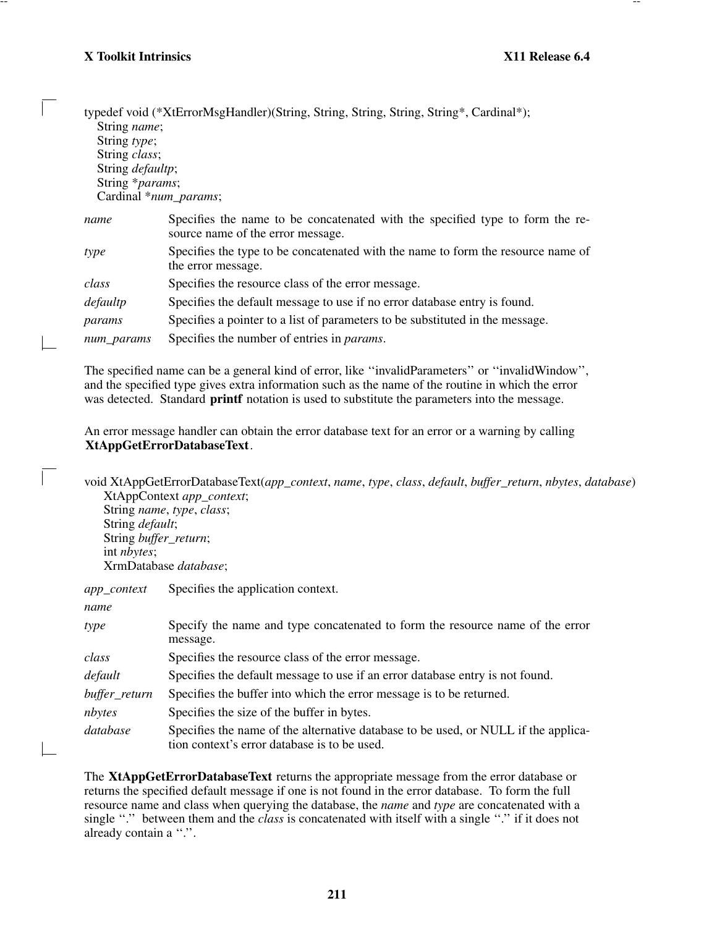$\mathbf{L}$ 

typedef void (\*XtErrorMsgHandler)(String, String, String, String, String\*, Cardinal\*); String *name*; String *type*; String *class*; String *defaultp*; String \**params*; Cardinal \**num\_params*; *name* Specifies the name to be concatenated with the specified type to form the resource name of the error message. *type* Specifies the type to be concatenated with the name to form the resource name of the error message. *class* Specifies the resource class of the error message. *defaultp* Specifies the default message to use if no error database entry is found. *params* Specifies a pointer to a list of parameters to be substituted in the message. *num\_params* Specifies the number of entries in *params*.

-- --

The specified name can be a general kind of error, like ''invalidParameters'' or ''invalidWindow'', and the specified type gives extra information such as the name of the routine in which the error was detected. Standard **printf** notation is used to substitute the parameters into the message.

An error message handler can obtain the error database text for an error or a warning by calling **XtAppGetErrorDatabaseText**.

void XtAppGetErrorDatabaseText(*app\_context*, *name*, *type*, *class*, *default*, *buffer\_return*, *nbytes*, *database*) XtAppContext *app\_context*; String *name*, *type*, *class*; String *default*; String *buffer\_return*; int *nbytes*; XrmDatabase *database*;

| app_context   | Specifies the application context.                                                                                                 |
|---------------|------------------------------------------------------------------------------------------------------------------------------------|
| name          |                                                                                                                                    |
| type          | Specify the name and type concatenated to form the resource name of the error<br>message.                                          |
| class         | Specifies the resource class of the error message.                                                                                 |
| default       | Specifies the default message to use if an error database entry is not found.                                                      |
| buffer_return | Specifies the buffer into which the error message is to be returned.                                                               |
| nbytes        | Specifies the size of the buffer in bytes.                                                                                         |
| database      | Specifies the name of the alternative database to be used, or NULL if the applica-<br>tion context's error database is to be used. |

The **XtAppGetErrorDatabaseText** returns the appropriate message from the error database or returns the specified default message if one is not found in the error database. To form the full resource name and class when querying the database, the *name* and *type* are concatenated with a single ''.'' between them and the *class* is concatenated with itself with a single ''.'' if it does not already contain a ".".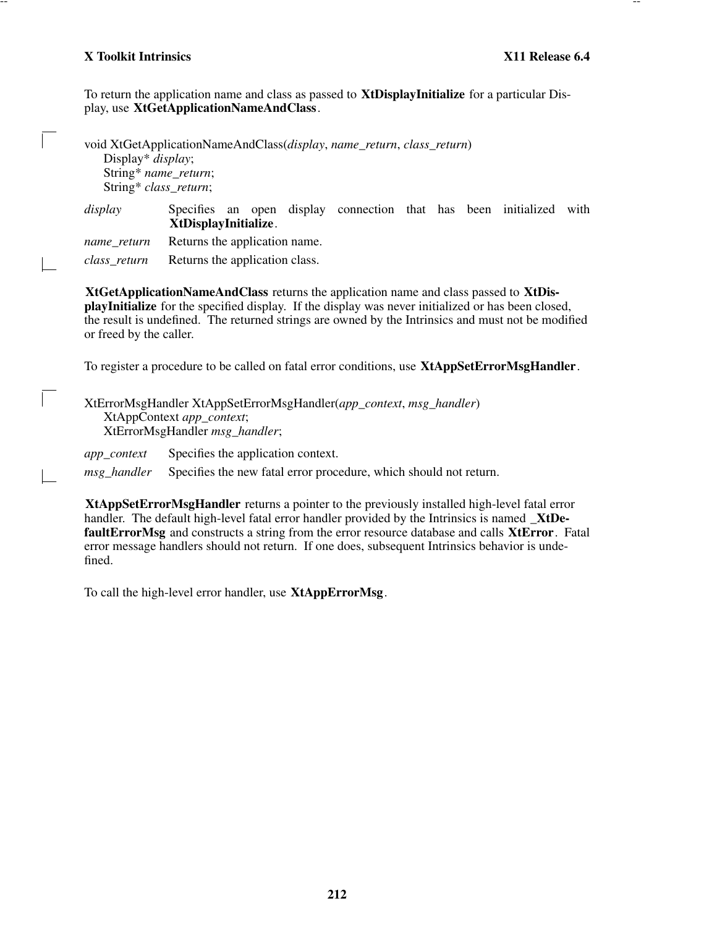## **X Toolkit Intrinsics X11 Release 6.4**

Г

To return the application name and class as passed to **XtDisplayInitialize** for a particular Display, use **XtGetApplicationNameAndClass**.

-- --

void XtGetApplicationNameAndClass(*display*, *name\_return*, *class\_return*) Display\* *display*; String\* *name\_return*; String\* *class\_return*;

*display* Specifies an open display connection that has been initialized with **XtDisplayInitialize**.

*name\_return* Returns the application name.

*class\_return* Returns the application class.

**XtGetApplicationNameAndClass** returns the application name and class passed to **XtDisplayInitialize** for the specified display. If the display was never initialized or has been closed, the result is undefined. The returned strings are owned by the Intrinsics and must not be modified or freed by the caller.

To register a procedure to be called on fatal error conditions, use **XtAppSetErrorMsgHandler**.

XtErrorMsgHandler XtAppSetErrorMsgHandler(*app\_context*, *msg\_handler*) XtAppContext *app\_context*; XtErrorMsgHandler *msg\_handler*;

*app\_context* Specifies the application context. *msg\_handler* Specifies the new fatal error procedure, which should not return.

**XtAppSetErrorMsgHandler** returns a pointer to the previously installed high-level fatal error handler. The default high-level fatal error handler provided by the Intrinsics is named **\_XtDefaultErrorMsg** and constructs a string from the error resource database and calls **XtError**. Fatal error message handlers should not return. If one does, subsequent Intrinsics behavior is undefined.

To call the high-level error handler, use **XtAppErrorMsg**.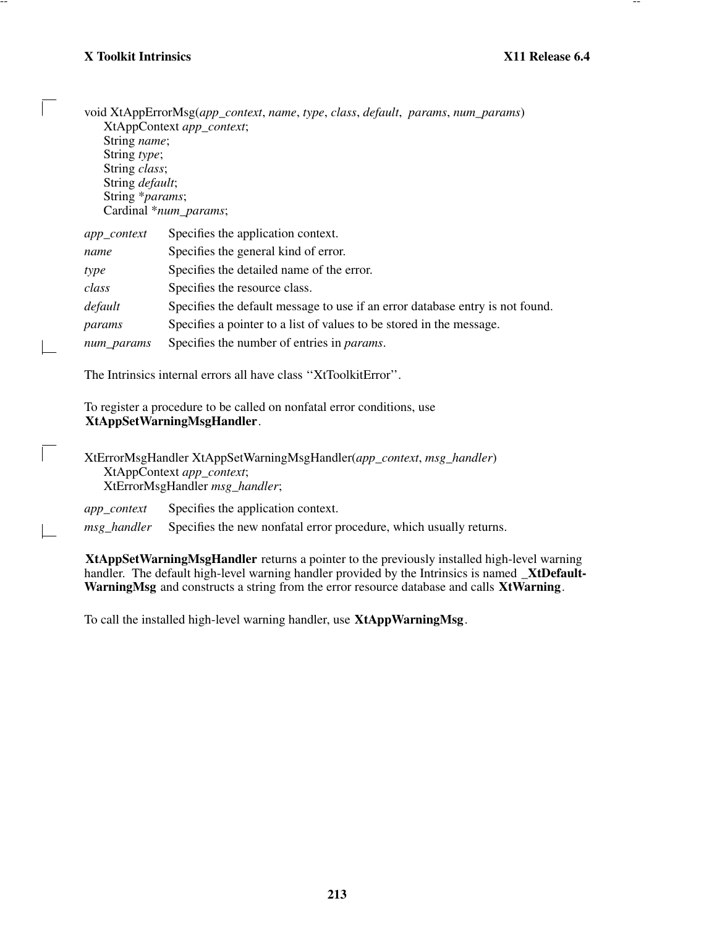$\Box$ 

Г

void XtAppErrorMsg(*app\_context*, *name*, *type*, *class*, *default*, *params*, *num\_params*) XtAppContext *app\_context*; String *name*; String *type*; String *class*; String *default*; String \**params*; Cardinal \**num\_params*; *app\_context* Specifies the application context.

-- --

| name       | Specifies the general kind of error.                                          |
|------------|-------------------------------------------------------------------------------|
| type       | Specifies the detailed name of the error.                                     |
| class      | Specifies the resource class.                                                 |
| default    | Specifies the default message to use if an error database entry is not found. |
| params     | Specifies a pointer to a list of values to be stored in the message.          |
| num_params | Specifies the number of entries in <i>params</i> .                            |

The Intrinsics internal errors all have class ''XtToolkitError''.

To register a procedure to be called on nonfatal error conditions, use **XtAppSetWarningMsgHandler**.

XtErrorMsgHandler XtAppSetWarningMsgHandler(*app\_context*, *msg\_handler*) XtAppContext *app\_context*; XtErrorMsgHandler *msg\_handler*;

*app\_context* Specifies the application context.

*msg\_handler* Specifies the new nonfatal error procedure, which usually returns.

**XtAppSetWarningMsgHandler** returns a pointer to the previously installed high-level warning handler. The default high-level warning handler provided by the Intrinsics is named **\_XtDefault-WarningMsg** and constructs a string from the error resource database and calls **XtWarning**.

To call the installed high-level warning handler, use **XtAppWarningMsg**.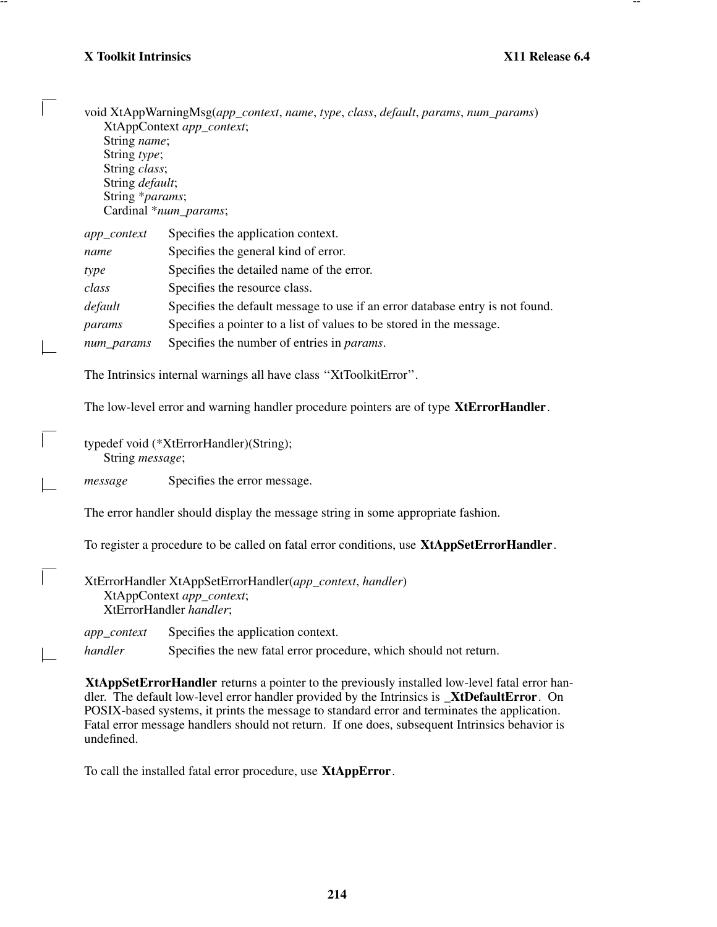$\mathbf{L}$ 

void XtAppWarningMsg(*app\_context*, *name*, *type*, *class*, *default*, *params*, *num\_params*) XtAppContext *app\_context*; String *name*; String *type*; String *class*; String *default*; String \**params*; Cardinal \**num\_params*; *app\_context* Specifies the application context. *name* Specifies the general kind of error. *type* Specifies the detailed name of the error.

-- --

| $\iota$ ypc | specifies the actation name of the circu.                                     |
|-------------|-------------------------------------------------------------------------------|
| class       | Specifies the resource class.                                                 |
| default     | Specifies the default message to use if an error database entry is not found. |
| params      | Specifies a pointer to a list of values to be stored in the message.          |
| num_params  | Specifies the number of entries in <i>params</i> .                            |

The Intrinsics internal warnings all have class ''XtToolkitError''.

The low-level error and warning handler procedure pointers are of type **XtErrorHandler**.

typedef void (\*XtErrorHandler)(String); String *message*;

*message* Specifies the error message.

The error handler should display the message string in some appropriate fashion.

To register a procedure to be called on fatal error conditions, use **XtAppSetErrorHandler**.

XtErrorHandler XtAppSetErrorHandler(*app\_context*, *handler*) XtAppContext *app\_context*; XtErrorHandler *handler*;

*app\_context* Specifies the application context. *handler* Specifies the new fatal error procedure, which should not return.

**XtAppSetErrorHandler** returns a pointer to the previously installed low-level fatal error handler. The default low-level error handler provided by the Intrinsics is **\_XtDefaultError**. On POSIX-based systems, it prints the message to standard error and terminates the application. Fatal error message handlers should not return. If one does, subsequent Intrinsics behavior is undefined.

To call the installed fatal error procedure, use **XtAppError**.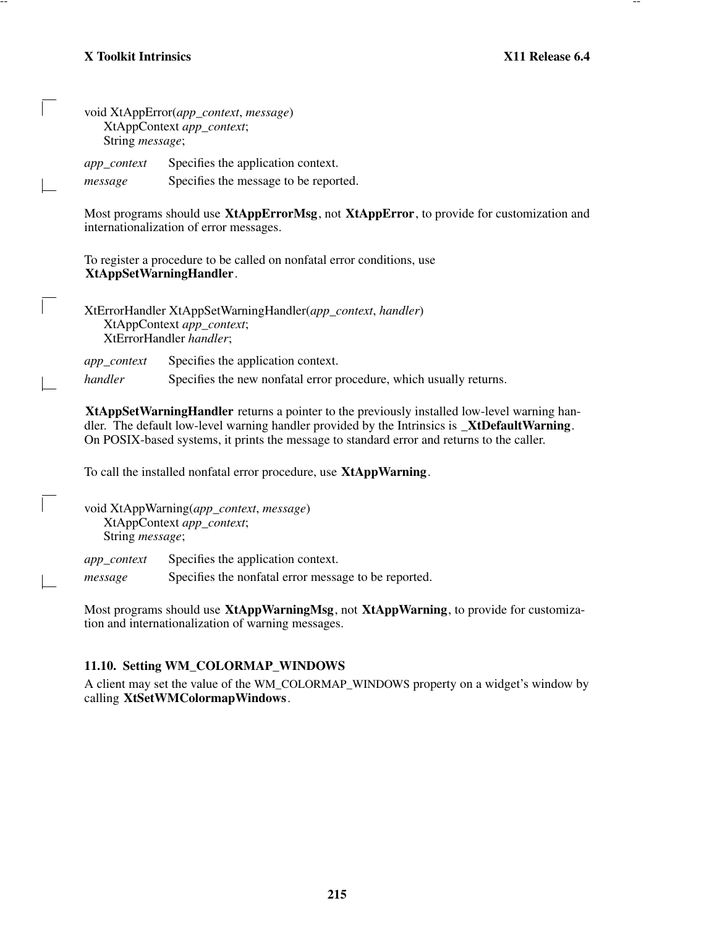$\mathbf{L}$ 

| void XtAppError(app_context, message) |                                       |  |
|---------------------------------------|---------------------------------------|--|
| XtAppContext app_context;             |                                       |  |
| String <i>message</i> ;               |                                       |  |
| app_context                           | Specifies the application context.    |  |
| message                               | Specifies the message to be reported. |  |

Most programs should use **XtAppErrorMsg**, not **XtAppError**, to provide for customization and internationalization of error messages.

-- --

To register a procedure to be called on nonfatal error conditions, use **XtAppSetWarningHandler**.

XtErrorHandler XtAppSetWarningHandler(*app\_context*, *handler*) XtAppContext *app\_context*; XtErrorHandler *handler*;

*app\_context* Specifies the application context. *handler* Specifies the new nonfatal error procedure, which usually returns.

**XtAppSetWarningHandler** returns a pointer to the previously installed low-level warning handler. The default low-level warning handler provided by the Intrinsics is **\_XtDefaultWarning**. On POSIX-based systems, it prints the message to standard error and returns to the caller.

To call the installed nonfatal error procedure, use **XtAppWarning**.

void XtAppWarning(*app\_context*, *message*) XtAppContext *app\_context*; String *message*;

*app\_context* Specifies the application context.

*message* Specifies the nonfatal error message to be reported.

Most programs should use **XtAppWarningMsg**, not **XtAppWarning**, to provide for customization and internationalization of warning messages.

## **11.10. Setting WM\_COLORMAP\_WINDOWS**

A client may set the value of the WM\_COLORMAP\_WINDOWS property on a widget's window by calling **XtSetWMColormapWindows**.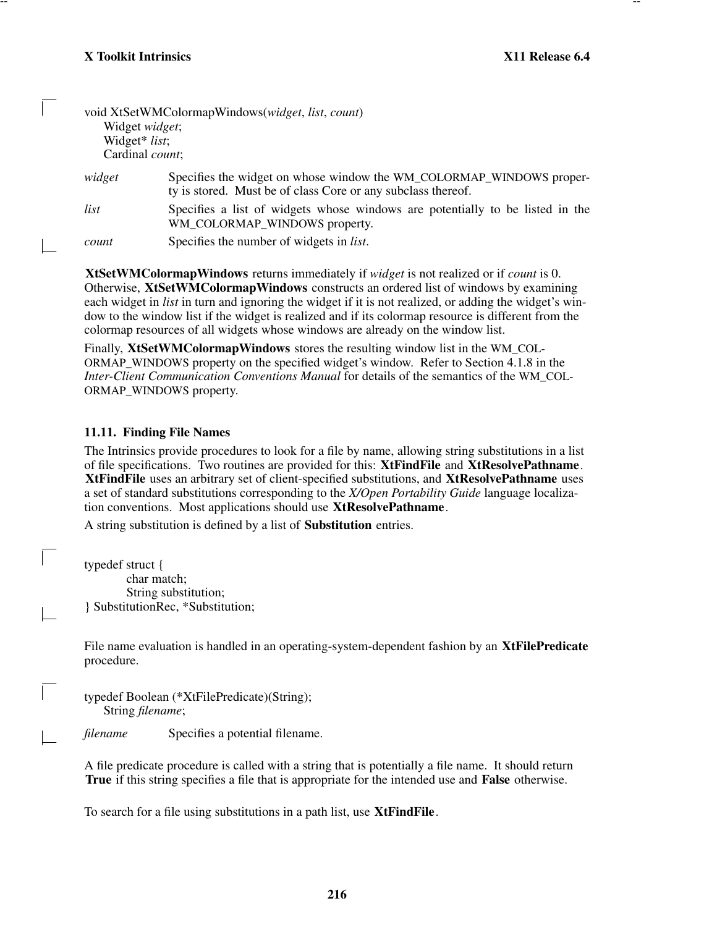| Widget widget;<br>Widget* list;<br>Cardinal count; | void XtSetWMColormapWindows(widget, list, count)                                                                                     |
|----------------------------------------------------|--------------------------------------------------------------------------------------------------------------------------------------|
| widget                                             | Specifies the widget on whose window the WM_COLORMAP_WINDOWS proper-<br>ty is stored. Must be of class Core or any subclass thereof. |
| <i>list</i>                                        | Specifies a list of widgets whose windows are potentially to be listed in the<br>WM_COLORMAP_WINDOWS property.                       |
| count                                              | Specifies the number of widgets in <i>list</i> .                                                                                     |

-- --

**XtSetWMColormapWindows** returns immediately if *widget* is not realized or if *count* is 0. Otherwise, **XtSetWMColormapWindows** constructs an ordered list of windows by examining each widget in *list* in turn and ignoring the widget if it is not realized, or adding the widget's window to the window list if the widget is realized and if its colormap resource is different from the colormap resources of all widgets whose windows are already on the window list.

Finally, **XtSetWMColormapWindows** stores the resulting window list in the WM\_COL-ORMAP\_WINDOWS property on the specified widget's window. Refer to Section 4.1.8 in the *Inter-Client Communication Conventions Manual* for details of the semantics of the WM\_COL-ORMAP\_WINDOWS property.

### **11.11. Finding File Names**

The Intrinsics provide procedures to look for a file by name, allowing string substitutions in a list of file specifications. Tw o routines are provided for this: **XtFindFile** and **XtResolvePathname**. **XtFindFile** uses an arbitrary set of client-specified substitutions, and **XtResolvePathname** uses a set of standard substitutions corresponding to the *X/Open Portability Guide* language localization conventions. Most applications should use **XtResolvePathname**.

A string substitution is defined by a list of **Substitution** entries.

typedef struct { char match; String substitution; } SubstitutionRec, \*Substitution;

File name evaluation is handled in an operating-system-dependent fashion by an **XtFilePredicate** procedure.

typedef Boolean (\*XtFilePredicate)(String); String *filename*;

*filename* Specifies a potential filename.

A file predicate procedure is called with a string that is potentially a file name. It should return **True** if this string specifies a file that is appropriate for the intended use and **False** otherwise.

To search for a file using substitutions in a path list, use **XtFindFile**.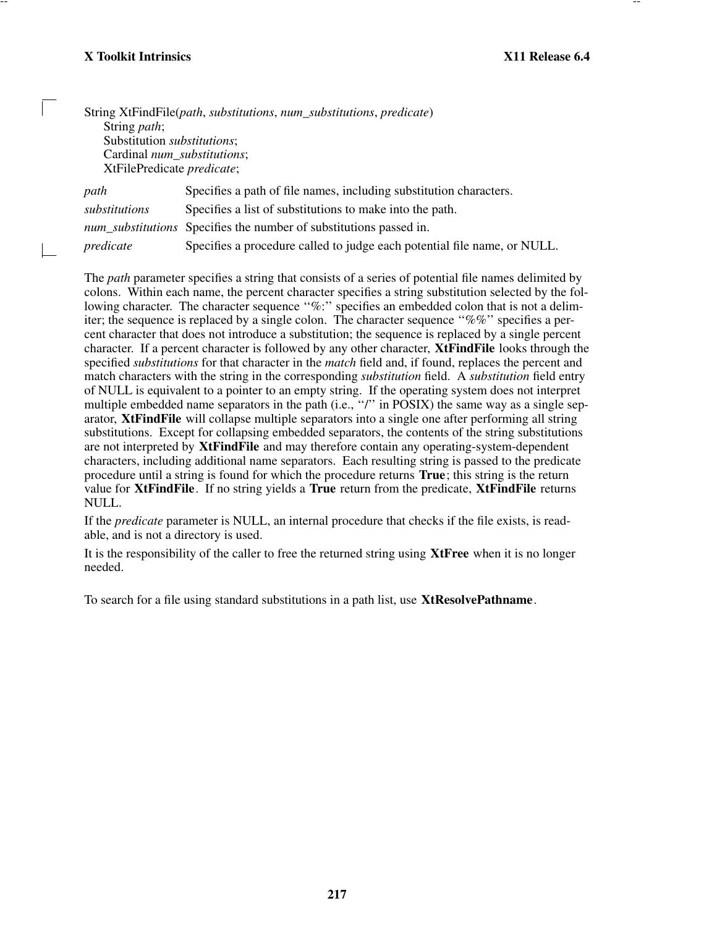$\mathbb{R}^n$ 

String XtFindFile(*path*, *substitutions*, *num\_substitutions*, *predicate*) String *path*; Substitution *substitutions*; Cardinal *num\_substitutions*; XtFilePredicate *predicate*; *path* Specifies a path of file names, including substitution characters.

| path<br>Specifies a path of file names, including substitution characters.            |  |
|---------------------------------------------------------------------------------------|--|
| Specifies a list of substitutions to make into the path.<br>substitutions             |  |
| <i>num substitutions</i> Specifies the number of substitutions passed in.             |  |
| Specifies a procedure called to judge each potential file name, or NULL.<br>predicate |  |

-- --

The *path* parameter specifies a string that consists of a series of potential file names delimited by colons. Within each name, the percent character specifies a string substitution selected by the following character. The character sequence "%:" specifies an embedded colon that is not a delimiter; the sequence is replaced by a single colon. The character sequence "%%" specifies a percent character that does not introduce a substitution; the sequence is replaced by a single percent character. If a percent character is followed by any other character, **XtFindFile** looks through the specified *substitutions* for that character in the *match* field and, if found, replaces the percent and match characters with the string in the corresponding *substitution* field. A *substitution* field entry of NULL is equivalent to a pointer to an empty string. If the operating system does not interpret multiple embedded name separators in the path (i.e., "/" in POSIX) the same way as a single separator, **XtFindFile** will collapse multiple separators into a single one after performing all string substitutions. Except for collapsing embedded separators, the contents of the string substitutions are not interpreted by **XtFindFile** and may therefore contain any operating-system-dependent characters, including additional name separators. Each resulting string is passed to the predicate procedure until a string is found for which the procedure returns **True**; this string is the return value for **XtFindFile**. If no string yields a **True** return from the predicate, **XtFindFile** returns NULL.

If the *predicate* parameter is NULL, an internal procedure that checks if the file exists, is readable, and is not a directory is used.

It is the responsibility of the caller to free the returned string using **XtFree** when it is no longer needed.

To search for a file using standard substitutions in a path list, use **XtResolvePathname**.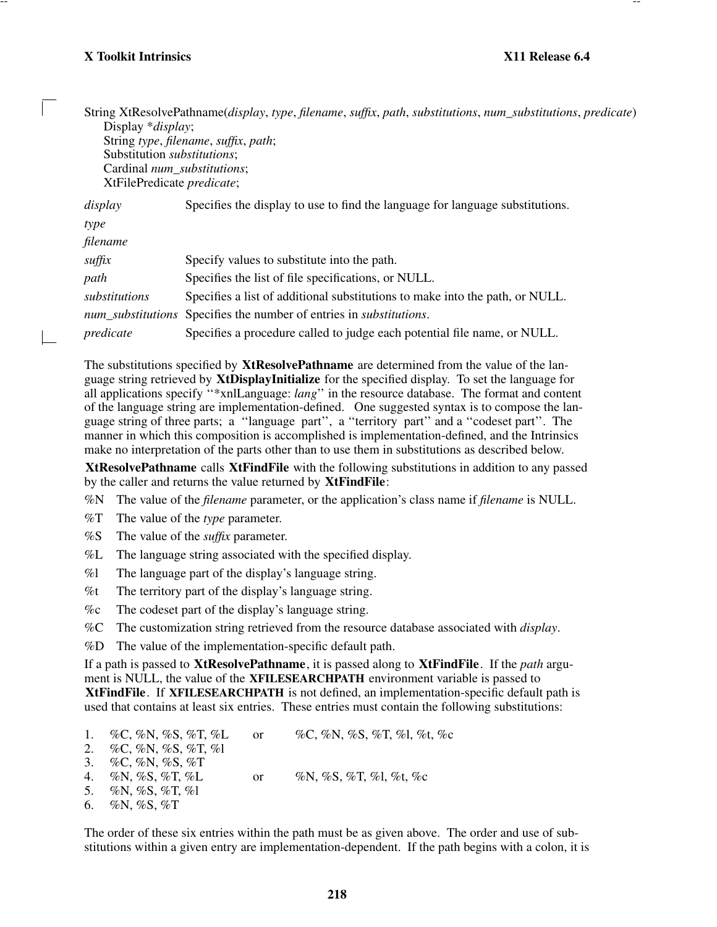$\mathbf{L}$ 

String XtResolvePathname(*display*, *type*, *filename*, *suffix*, *path*, *substitutions*, *num\_substitutions*, *predicate*) Display \**display*; String *type*, *filename*, *suffix*, *path*; Substitution *substitutions*; Cardinal *num\_substitutions*; XtFilePredicate *predicate*;

*display* Specifies the display to use to find the language for language substitutions. *type filename suffix* Specify values to substitute into the path. *path* Specifies the list of file specifications, or NULL. *substitutions* Specifies a list of additional substitutions to make into the path, or NULL. *num\_substitutions* Specifies the number of entries in *substitutions*. *predicate* Specifies a procedure called to judge each potential file name, or NULL.

-- --

The substitutions specified by **XtResolvePathname** are determined from the value of the language string retrieved by **XtDisplayInitialize** for the specified display. To set the language for all applications specify ''\*xnlLanguage: *lang*'' in the resource database. The format and content of the language string are implementation-defined. One suggested syntax is to compose the language string of three parts; a ''language part'', a ''territory part'' and a ''codeset part''. The manner in which this composition is accomplished is implementation-defined, and the Intrinsics make no interpretation of the parts other than to use them in substitutions as described below.

**XtResolvePathname** calls **XtFindFile** with the following substitutions in addition to any passed by the caller and returns the value returned by **XtFindFile**:

- %N The value of the *filename* parameter, or the application's class name if *filename* is NULL.
- %T The value of the *type* parameter.
- %S The value of the *suffix* parameter.
- %L The language string associated with the specified display.
- %l The language part of the display's language string.
- %t The territory part of the display's language string.
- %c The codeset part of the display's language string.
- %C The customization string retrieved from the resource database associated with *display*.
- %D The value of the implementation-specific default path.

If a path is passed to **XtResolvePathname**, it is passed along to **XtFindFile**. If the *path* argument is NULL, the value of the **XFILESEARCHPATH** environment variable is passed to **XtFindFile**. If **XFILESEARCHPATH** is not defined, an implementation-specific default path is used that contains at least six entries. These entries must contain the following substitutions:

1. %C, %N, %S, %T, %L or %C, %N, %S, %T, %l, %t, %c 2. %C, %N, %S, %T, %l 3. %C, %N, %S, %T 4. %N, %S, %T, %L or %N, %S, %T, %l, %t, %c 5. %N, %S, %T, %l 6. %N, %S, %T

The order of these six entries within the path must be as given above. The order and use of substitutions within a given entry are implementation-dependent. If the path begins with a colon, it is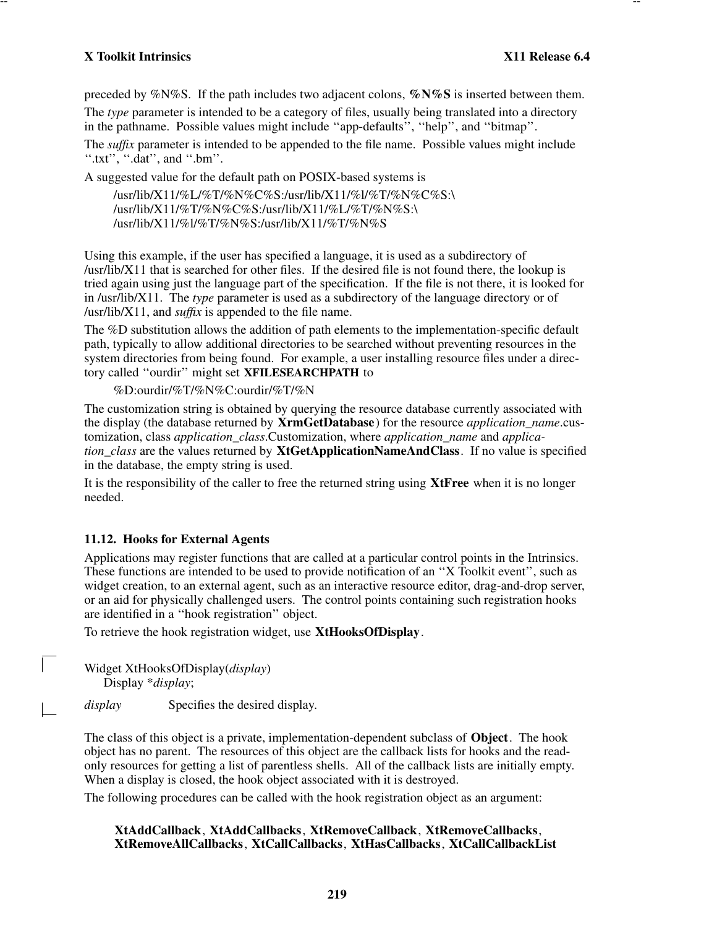preceded by %N%S. If the path includes two adjacent colons, **%N%S** is inserted between them.

-- --

The *type* parameter is intended to be a category of files, usually being translated into a directory in the pathname. Possible values might include ''app-defaults'', ''help'', and ''bitmap''.

The *suffix* parameter is intended to be appended to the file name. Possible values might include ''.txt'', ''.dat'', and ''.bm''.

A suggested value for the default path on POSIX-based systems is

/usr/lib/X11/%L/%T/%N%C%S:/usr/lib/X11/%l/%T/%N%C%S:\ /usr/lib/X11/%T/%N%C%S:/usr/lib/X11/%L/%T/%N%S:\ /usr/lib/X11/%l/%T/%N%S:/usr/lib/X11/%T/%N%S

Using this example, if the user has specified a language, it is used as a subdirectory of /usr/lib/X11 that is searched for other files. If the desired file is not found there, the lookup is tried again using just the language part of the specification. If the file is not there, it is looked for in /usr/lib/X11. The *type* parameter is used as a subdirectory of the language directory or of /usr/lib/X11, and *suffix* is appended to the file name.

The %D substitution allows the addition of path elements to the implementation-specific default path, typically to allow additional directories to be searched without preventing resources in the system directories from being found. For example, a user installing resource files under a directory called ''ourdir'' might set **XFILESEARCHPATH** to

%D:ourdir/%T/%N%C:ourdir/%T/%N

The customization string is obtained by querying the resource database currently associated with the display (the database returned by **XrmGetDatabase**) for the resource *application\_name*.customization, class *application\_class*.Customization, where *application\_name* and *application\_class* are the values returned by **XtGetApplicationNameAndClass**. If no value is specified in the database, the empty string is used.

It is the responsibility of the caller to free the returned string using **XtFree** when it is no longer needed.

## **11.12. Hooks for External Agents**

Applications may register functions that are called at a particular control points in the Intrinsics. These functions are intended to be used to provide notification of an ''X Toolkit event'', such as widget creation, to an external agent, such as an interactive resource editor, drag-and-drop server, or an aid for physically challenged users. The control points containing such registration hooks are identified in a ''hook registration'' object.

To retrieve the hook registration widget, use **XtHooksOfDisplay**.

Widget XtHooksOfDisplay(*display*)

Display \**display*;

*display* Specifies the desired display.

The class of this object is a private, implementation-dependent subclass of **Object**. The hook object has no parent. The resources of this object are the callback lists for hooks and the readonly resources for getting a list of parentless shells. All of the callback lists are initially empty. When a display is closed, the hook object associated with it is destroyed.

The following procedures can be called with the hook registration object as an argument:

## **XtAddCallback**, **XtAddCallbacks**, **XtRemoveCallback**, **XtRemoveCallbacks**, **XtRemoveAllCallbacks**, **XtCallCallbacks**, **XtHasCallbacks**, **XtCallCallbackList**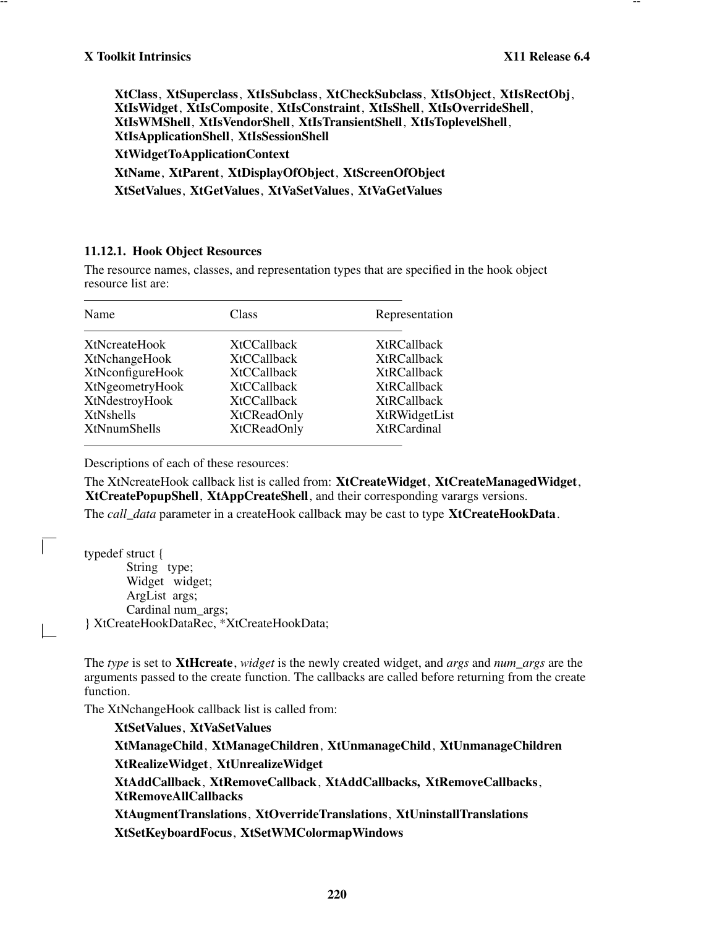**XtClass**, **XtSuperclass**, **XtIsSubclass**, **XtCheckSubclass**, **XtIsObject**, **XtIsRectObj**, **XtIsWidget**, **XtIsComposite**, **XtIsConstraint**, **XtIsShell**, **XtIsOverrideShell**, **XtIsWMShell**, **XtIsVendorShell**, **XtIsTransientShell**, **XtIsToplevelShell**, **XtIsApplicationShell**, **XtIsSessionShell**

-- --

**XtWidgetToApplicationContext**

**XtName**, **XtParent**, **XtDisplayOfObject**, **XtScreenOfObject**

**XtSetValues**, **XtGetValues**, **XtVaSetValues**, **XtVaGetValues**

## **11.12.1. Hook Object Resources**

The resource names, classes, and representation types that are specified in the hook object resource list are:

| Name             | Class              | Representation     |
|------------------|--------------------|--------------------|
| XtNcreateHook    | <b>XtCCallback</b> | <b>XtRCallback</b> |
| XtNchangeHook    | XtCCallback        | <b>XtRCallback</b> |
| XtNconfigureHook | <b>XtCCallback</b> | <b>XtRCallback</b> |
| XtNgeometryHook  | <b>XtCCallback</b> | <b>XtRCallback</b> |
| XtNdestroyHook   | <b>XtCCallback</b> | <b>XtRCallback</b> |
| XtNshells        | <b>XtCReadOnly</b> | XtRWidgetList      |
| XtNnumShells     | <b>XtCReadOnly</b> | XtRCardinal        |

Descriptions of each of these resources:

The XtNcreateHook callback list is called from: **XtCreateWidget**, **XtCreateManagedWidget**, **XtCreatePopupShell**, **XtAppCreateShell**, and their corresponding varargs versions.

The *call\_data* parameter in a createHook callback may be cast to type **XtCreateHookData**.

typedef struct { String type; Widget widget; ArgList args; Cardinal num\_args; } XtCreateHookDataRec, \*XtCreateHookData;

The *type* is set to **XtHcreate**, *widget* is the newly created widget, and *args* and *num\_args* are the arguments passed to the create function. The callbacks are called before returning from the create function.

The XtNchangeHook callback list is called from:

**XtSetValues**, **XtVaSetValues XtManageChild**, **XtManageChildren**, **XtUnmanageChild**, **XtUnmanageChildren XtRealizeWidget**, **XtUnrealizeWidget XtAddCallback**, **XtRemoveCallback**, **XtAddCallbacks, XtRemoveCallbacks**, **XtRemoveAllCallbacks XtAugmentTranslations**, **XtOverrideTranslations**, **XtUninstallTranslations XtSetKeyboardFocus**, **XtSetWMColormapWindows**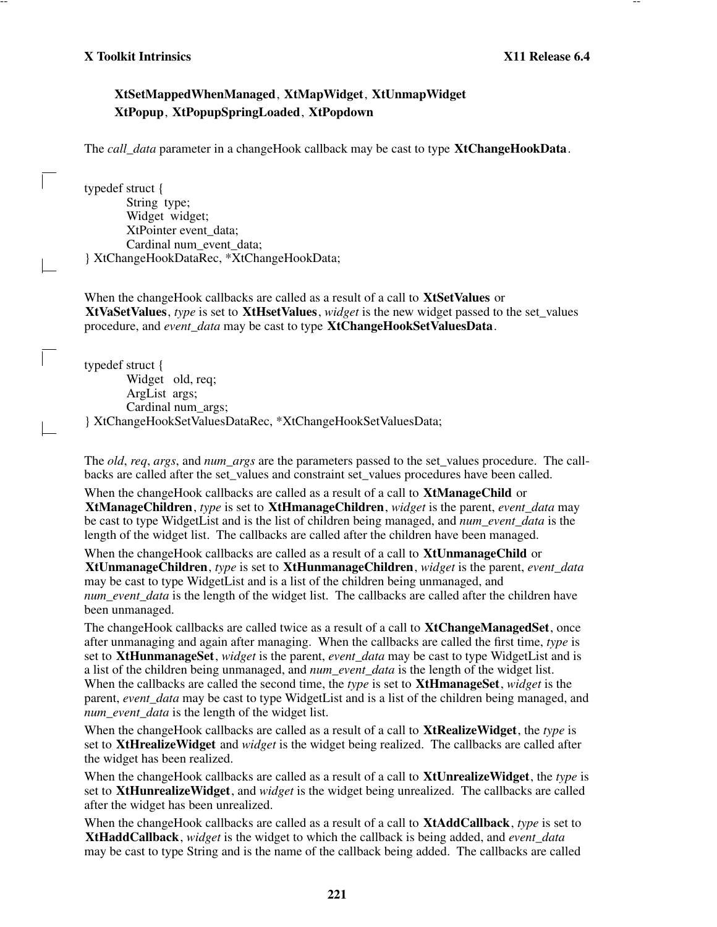# **XtSetMappedWhenManaged**, **XtMapWidget**, **XtUnmapWidget XtPopup**, **XtPopupSpringLoaded**, **XtPopdown**

The *call\_data* parameter in a changeHook callback may be cast to type **XtChangeHookData**.

-- --

typedef struct { String type; Widget widget; XtPointer event\_data; Cardinal num\_event\_data; } XtChangeHookDataRec, \*XtChangeHookData;

When the changeHook callbacks are called as a result of a call to **XtSetValues** or **XtVaSetValues**, *type* is set to **XtHsetValues**, *widget* is the new widget passed to the set\_values procedure, and *event\_data* may be cast to type **XtChangeHookSetValuesData**.

typedef struct { Widget old, req; ArgList args; Cardinal num\_args; } XtChangeHookSetValuesDataRec, \*XtChangeHookSetValuesData;

The *old*, *req*, *args*, and *num\_args* are the parameters passed to the set\_values procedure. The callbacks are called after the set\_values and constraint set\_values procedures have been called.

When the changeHook callbacks are called as a result of a call to **XtManageChild** or **XtManageChildren**, *type* is set to **XtHmanageChildren**, *widget* is the parent, *event\_data* may be cast to type WidgetList and is the list of children being managed, and *num\_event\_data* is the length of the widget list. The callbacks are called after the children have been managed.

When the changeHook callbacks are called as a result of a call to **XtUnmanageChild** or **XtUnmanageChildren**, *type* is set to **XtHunmanageChildren**, *widget* is the parent, *event\_data* may be cast to type WidgetList and is a list of the children being unmanaged, and *num\_event\_data* is the length of the widget list. The callbacks are called after the children have been unmanaged.

The changeHook callbacks are called twice as a result of a call to **XtChangeManagedSet**, once after unmanaging and again after managing. When the callbacks are called the first time, *type* is set to **XtHunmanageSet**, *widget* is the parent, *event\_data* may be cast to type WidgetList and is a list of the children being unmanaged, and *num\_event\_data* is the length of the widget list. When the callbacks are called the second time, the *type* is set to **XtHmanageSet**, *widget* is the parent, *event\_data* may be cast to type WidgetList and is a list of the children being managed, and *num\_event\_data* is the length of the widget list.

When the changeHook callbacks are called as a result of a call to **XtRealizeWidget**, the *type* is set to **XtHrealizeWidget** and *widget* is the widget being realized. The callbacks are called after the widget has been realized.

When the changeHook callbacks are called as a result of a call to **XtUnrealizeWidget**, the *type* is set to **XtHunrealizeWidget**, and *widget* is the widget being unrealized. The callbacks are called after the widget has been unrealized.

When the changeHook callbacks are called as a result of a call to **XtAddCallback**, *type* is set to **XtHaddCallback**, *widget* is the widget to which the callback is being added, and *event\_data* may be cast to type String and is the name of the callback being added. The callbacks are called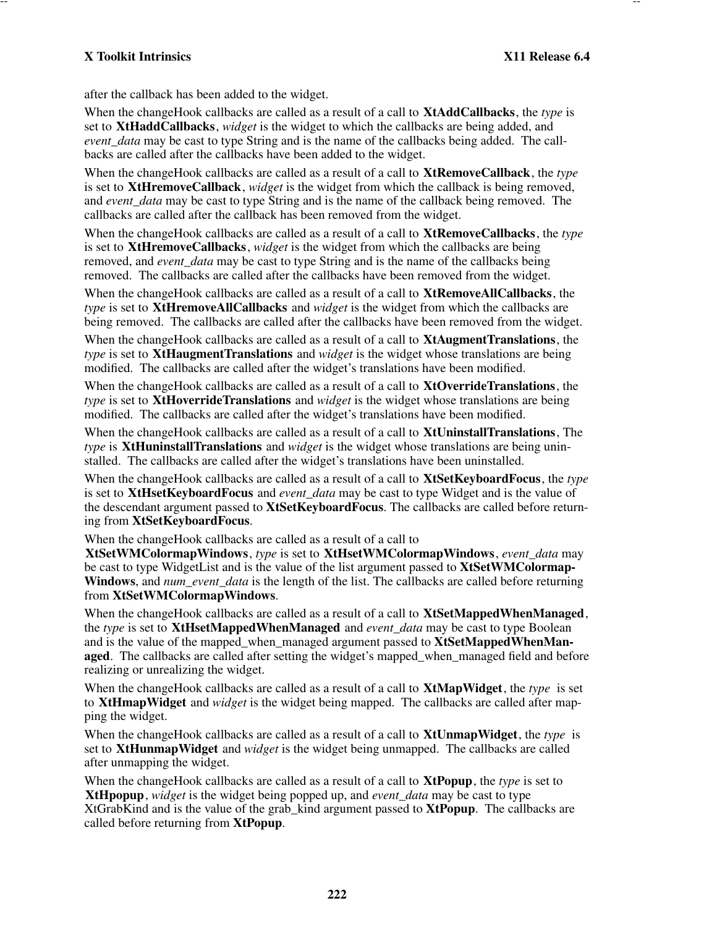after the callback has been added to the widget.

When the changeHook callbacks are called as a result of a call to **XtAddCallbacks**, the *type* is set to **XtHaddCallbacks**, *widget* is the widget to which the callbacks are being added, and *event\_data* may be cast to type String and is the name of the callbacks being added. The callbacks are called after the callbacks have been added to the widget.

-- --

When the changeHook callbacks are called as a result of a call to **XtRemoveCallback**, the *type* is set to **XtHremoveCallback**, *widget* is the widget from which the callback is being removed, and *event\_data* may be cast to type String and is the name of the callback being removed. The callbacks are called after the callback has been removed from the widget.

When the changeHook callbacks are called as a result of a call to **XtRemoveCallbacks**, the *type* is set to **XtHremoveCallbacks**, *widget* is the widget from which the callbacks are being removed, and *event\_data* may be cast to type String and is the name of the callbacks being removed. The callbacks are called after the callbacks have been removed from the widget.

When the changeHook callbacks are called as a result of a call to **XtRemoveAllCallbacks**, the *type* is set to **XtHremoveAllCallbacks** and *widget* is the widget from which the callbacks are being removed. The callbacks are called after the callbacks have been removed from the widget.

When the changeHook callbacks are called as a result of a call to **XtAugmentTranslations**, the *type* is set to **XtHaugmentTranslations** and *widget* is the widget whose translations are being modified. The callbacks are called after the widget's translations have been modified.

When the changeHook callbacks are called as a result of a call to **XtOverrideTranslations**, the *type* is set to **XtHoverrideTranslations** and *widget* is the widget whose translations are being modified. The callbacks are called after the widget's translations have been modified.

When the changeHook callbacks are called as a result of a call to **XtUninstallTranslations**, The *type* is **XtHuninstallTranslations** and *widget* is the widget whose translations are being uninstalled. The callbacks are called after the widget's translations have been uninstalled.

When the changeHook callbacks are called as a result of a call to **XtSetKeyboardFocus**, the *type* is set to **XtHsetKeyboardFocus** and *event\_data* may be cast to type Widget and is the value of the descendant argument passed to **XtSetKeyboardFocus**. The callbacks are called before returning from **XtSetKeyboardFocus**.

When the changeHook callbacks are called as a result of a call to

**XtSetWMColormapWindows**, *type* is set to **XtHsetWMColormapWindows**, *event\_data* may be cast to type WidgetList and is the value of the list argument passed to **XtSetWMColormap-Windows**, and *num\_event\_data* is the length of the list. The callbacks are called before returning from **XtSetWMColormapWindows**.

When the changeHook callbacks are called as a result of a call to **XtSetMappedWhenManaged**, the *type* is set to **XtHsetMappedWhenManaged** and *event\_data* may be cast to type Boolean and is the value of the mapped\_when\_managed argument passed to **XtSetMappedWhenManaged**. The callbacks are called after setting the widget's mapped\_when\_managed field and before realizing or unrealizing the widget.

When the changeHook callbacks are called as a result of a call to **XtMapWidget**, the *type* is set to **XtHmapWidget** and *widget* is the widget being mapped. The callbacks are called after mapping the widget.

When the changeHook callbacks are called as a result of a call to **XtUnmapWidget**, the *type* is set to **XtHunmapWidget** and *widget* is the widget being unmapped. The callbacks are called after unmapping the widget.

When the changeHook callbacks are called as a result of a call to **XtPopup**, the *type* is set to **XtHpopup**, *widget* is the widget being popped up, and *event\_data* may be cast to type XtGrabKind and is the value of the grab\_kind argument passed to **XtPopup**. The callbacks are called before returning from **XtPopup**.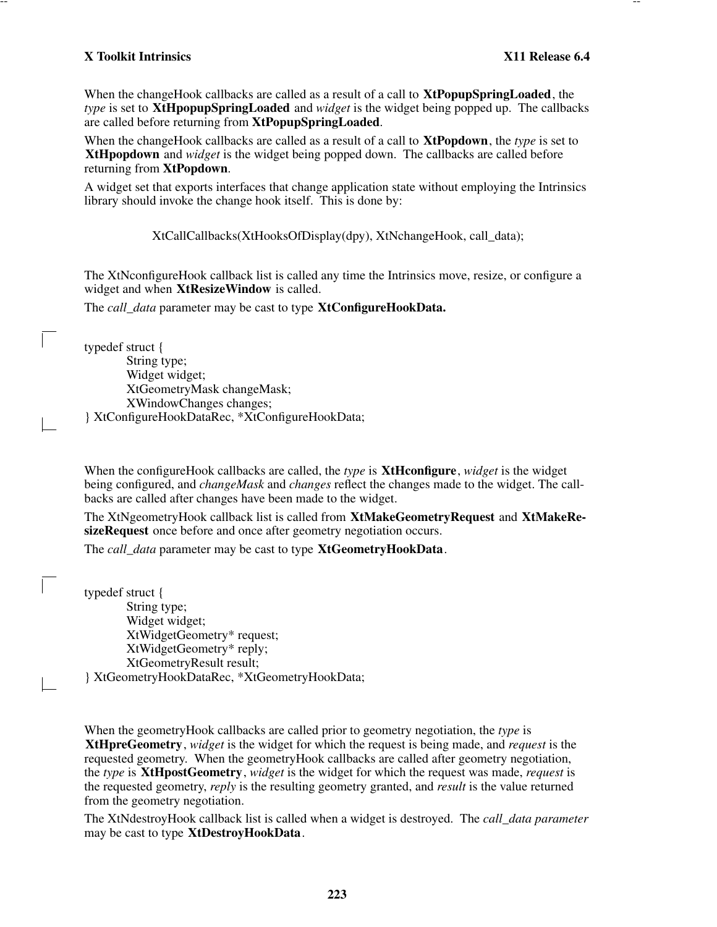When the changeHook callbacks are called as a result of a call to **XtPopupSpringLoaded**, the *type* is set to **XtHpopupSpringLoaded** and *widget* is the widget being popped up. The callbacks are called before returning from **XtPopupSpringLoaded**.

-- --

When the changeHook callbacks are called as a result of a call to **XtPopdown**, the *type* is set to **XtHpopdown** and *widget* is the widget being popped down. The callbacks are called before returning from **XtPopdown**.

A widget set that exports interfaces that change application state without employing the Intrinsics library should invoke the change hook itself. This is done by:

XtCallCallbacks(XtHooksOfDisplay(dpy), XtNchangeHook, call\_data);

The XtNconfigureHook callback list is called any time the Intrinsics move, resize, or configure a widget and when **XtResizeWindow** is called.

The *call\_data* parameter may be cast to type **XtConfigureHookData.**

typedef struct {

String type; Widget widget; XtGeometryMask changeMask; XWindowChanges changes; } XtConfigureHookDataRec, \*XtConfigureHookData;

When the configureHook callbacks are called, the *type* is **XtHconfigure**, *widget* is the widget being configured, and *changeMask* and *changes* reflect the changes made to the widget. The callbacks are called after changes have been made to the widget.

The XtNgeometryHook callback list is called from **XtMakeGeometryRequest** and **XtMakeResizeRequest** once before and once after geometry negotiation occurs.

The *call\_data* parameter may be cast to type **XtGeometryHookData**.

typedef struct { String type; Widget widget; XtWidgetGeometry\* request; XtWidgetGeometry\* reply; XtGeometryResult result; } XtGeometryHookDataRec, \*XtGeometryHookData;

When the geometryHook callbacks are called prior to geometry negotiation, the *type* is **XtHpreGeometry**, *widget* is the widget for which the request is being made, and *request* is the requested geometry. When the geometryHook callbacks are called after geometry negotiation, the *type* is **XtHpostGeometry**, *widget* is the widget for which the request was made, *request* is the requested geometry, *reply* is the resulting geometry granted, and *result* is the value returned from the geometry negotiation.

The XtNdestroyHook callback list is called when a widget is destroyed. The *call\_data parameter* may be cast to type **XtDestroyHookData**.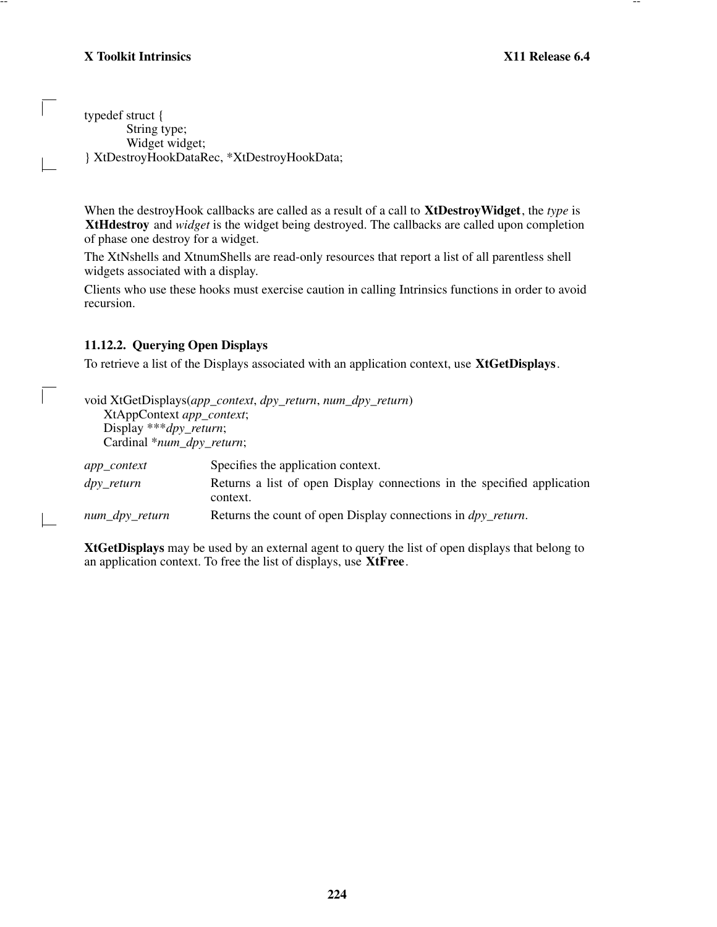L

typedef struct { String type; Widget widget; } XtDestroyHookDataRec, \*XtDestroyHookData;

When the destroyHook callbacks are called as a result of a call to **XtDestroyWidget**, the *type* is **XtHdestroy** and *widget* is the widget being destroyed. The callbacks are called upon completion of phase one destroy for a widget.

-- --

The XtNshells and XtnumShells are read-only resources that report a list of all parentless shell widgets associated with a display.

Clients who use these hooks must exercise caution in calling Intrinsics functions in order to avoid recursion.

## **11.12.2. Querying Open Displays**

To retrieve a list of the Displays associated with an application context, use **XtGetDisplays**.

|                                   | void XtGetDisplays(app_context, dpy_return, num_dpy_return)                         |
|-----------------------------------|-------------------------------------------------------------------------------------|
| XtAppContext <i>app_context</i> ; |                                                                                     |
| Display *** $dpy\_return;$        |                                                                                     |
| Cardinal $*_{num\_dpy\_return}$ ; |                                                                                     |
| app context                       | Specifies the application context.                                                  |
| dpy return                        | Returns a list of open Display connections in the specified application<br>context. |

*num\_dpy\_return* Returns the count of open Display connections in *dpy\_return*.

**XtGetDisplays** may be used by an external agent to query the list of open displays that belong to an application context. To free the list of displays, use **XtFree**.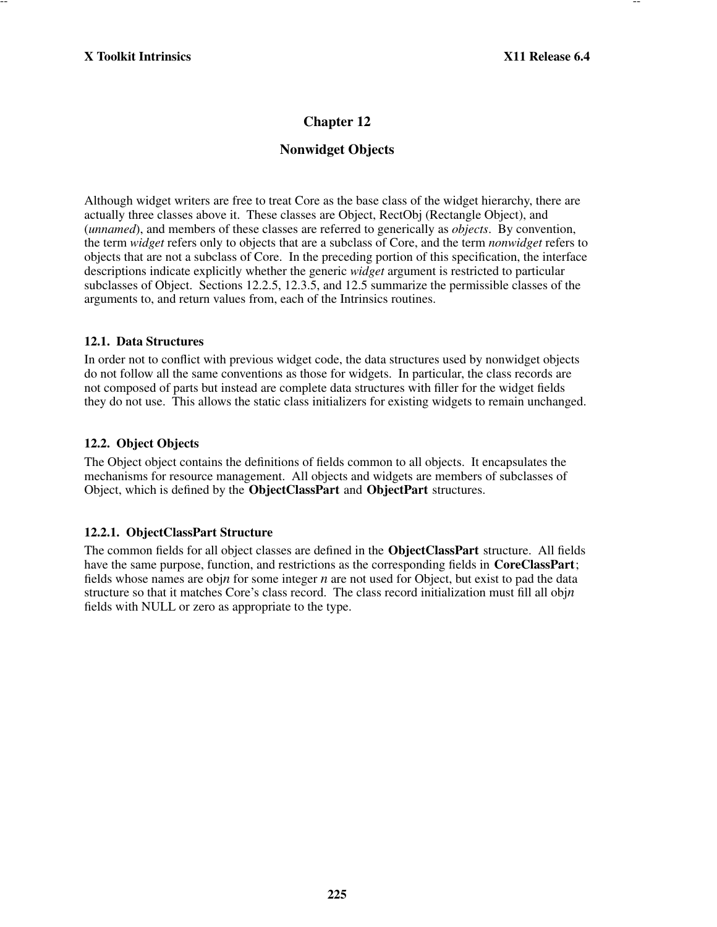# **Chapter 12**

-- --

# **Nonwidget Objects**

Although widget writers are free to treat Core as the base class of the widget hierarchy, there are actually three classes above it. These classes are Object, RectObj (Rectangle Object), and (*unnamed*), and members of these classes are referred to generically as *objects*. By convention, the term *widget* refers only to objects that are a subclass of Core, and the term *nonwidget* refers to objects that are not a subclass of Core. In the preceding portion of this specification, the interface descriptions indicate explicitly whether the generic *widget* argument is restricted to particular subclasses of Object. Sections 12.2.5, 12.3.5, and 12.5 summarize the permissible classes of the arguments to, and return values from, each of the Intrinsics routines.

#### **12.1. Data Structures**

In order not to conflict with previous widget code, the data structures used by nonwidget objects do not follow all the same conventions as those for widgets. In particular, the class records are not composed of parts but instead are complete data structures with filler for the widget fields they do not use. This allows the static class initializers for existing widgets to remain unchanged.

## **12.2. Object Objects**

The Object object contains the definitions of fields common to all objects. It encapsulates the mechanisms for resource management. All objects and widgets are members of subclasses of Object, which is defined by the **ObjectClassPart** and **ObjectPart** structures.

## **12.2.1. ObjectClassPart Structure**

The common fields for all object classes are defined in the **ObjectClassPart** structure. All fields have the same purpose, function, and restrictions as the corresponding fields in **CoreClassPart**; fields whose names are obj*n* for some integer *n* are not used for Object, but exist to pad the data structure so that it matches Core's class record. The class record initialization must fill all obj*n* fields with NULL or zero as appropriate to the type.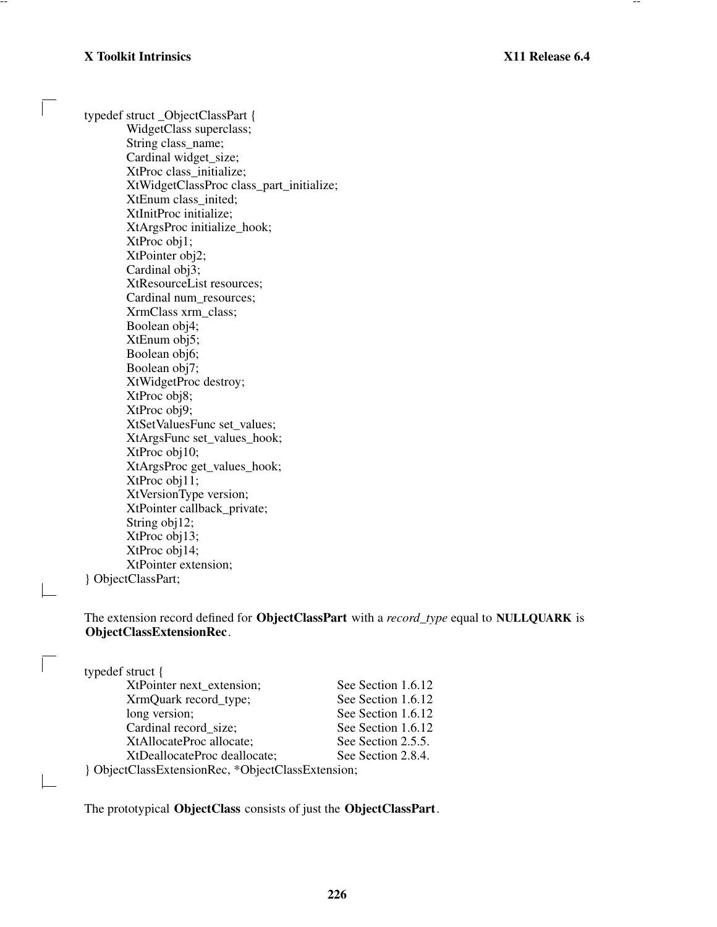$\Box$ 

typedef struct \_ObjectClassPart { WidgetClass superclass; String class\_name; Cardinal widget size; XtProc class\_initialize; XtWidgetClassProc class\_part\_initialize; XtEnum class\_inited; XtInitProc initialize; XtArgsProc initialize\_hook; XtProc obj1; XtPointer obj2; Cardinal obj3; XtResourceList resources; Cardinal num\_resources; XrmClass xrm\_class; Boolean obj4; XtEnum obj5; Boolean obj6; Boolean obj7; XtWidgetProc destroy; XtProc obj8; XtProc obj9; XtSetValuesFunc set\_values; XtArgsFunc set\_values\_hook; XtProc obj10; XtArgsProc get\_values\_hook; XtProc obj11; XtVersionType version; XtPointer callback\_private; String obj12; XtProc obj13; XtProc obj14; XtPointer extension; } ObjectClassPart;

The extension record defined for **ObjectClassPart** with a *record\_type* equal to **NULLQUARK** is **ObjectClassExtensionRec**.

-- --

| typedef struct {                                  |                    |
|---------------------------------------------------|--------------------|
| XtPointer next_extension;                         | See Section 1.6.12 |
| XrmQuark record_type;                             | See Section 1.6.12 |
| long version;                                     | See Section 1.6.12 |
| Cardinal record_size;                             | See Section 1.6.12 |
| XtAllocateProc allocate;                          | See Section 2.5.5. |
| XtDeallocateProc deallocate;                      | See Section 2.8.4. |
| } ObjectClassExtensionRec, *ObjectClassExtension; |                    |

The prototypical **ObjectClass** consists of just the **ObjectClassPart**.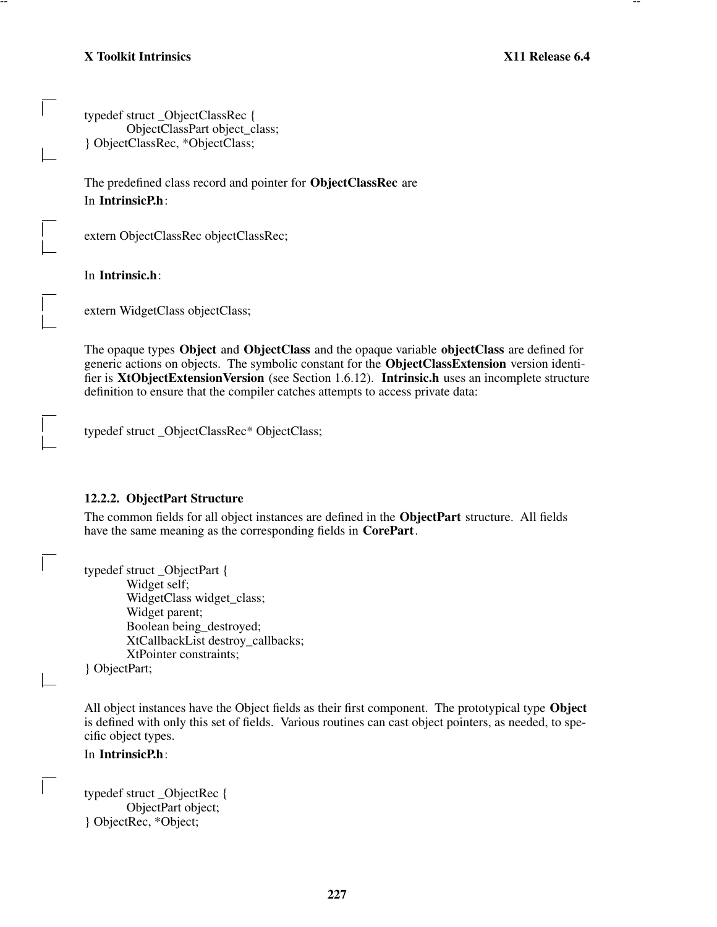$\mathbb{R}$ 

typedef struct \_ObjectClassRec { ObjectClassPart object\_class; } ObjectClassRec, \*ObjectClass;

The predefined class record and pointer for **ObjectClassRec** are In **IntrinsicP.h**:

extern ObjectClassRec objectClassRec;

In **Intrinsic.h**:

extern WidgetClass objectClass;

The opaque types **Object** and **ObjectClass** and the opaque variable **objectClass** are defined for generic actions on objects. The symbolic constant for the **ObjectClassExtension** version identifier is **XtObjectExtensionVersion** (see Section 1.6.12). **Intrinsic.h** uses an incomplete structure definition to ensure that the compiler catches attempts to access private data:

-- --

typedef struct \_ObjectClassRec\* ObjectClass;

## **12.2.2. ObjectPart Structure**

The common fields for all object instances are defined in the **ObjectPart** structure. All fields have the same meaning as the corresponding fields in **CorePart**.

typedef struct \_ObjectPart { Widget self; WidgetClass widget\_class; Widget parent; Boolean being\_destroyed; XtCallbackList destroy\_callbacks; XtPointer constraints; } ObjectPart;

All object instances have the Object fields as their first component. The prototypical type **Object** is defined with only this set of fields. Various routines can cast object pointers, as needed, to specific object types.

#### In **IntrinsicP.h**:

Г

typedef struct \_ObjectRec { ObjectPart object; } ObjectRec, \*Object;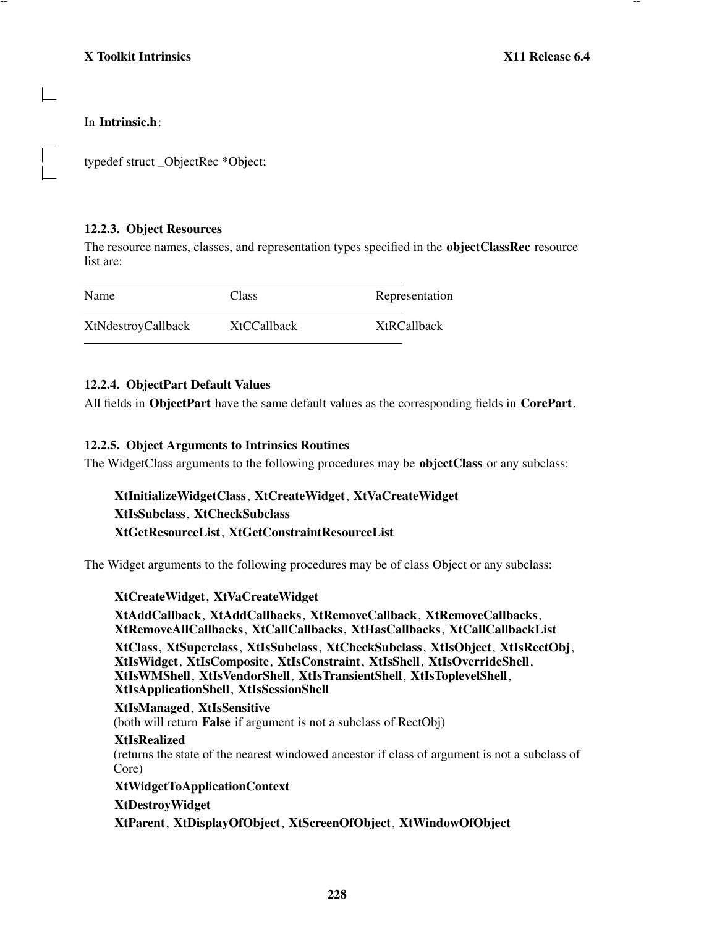In **Intrinsic.h**:

typedef struct \_ObjectRec \*Object;

# **12.2.3. Object Resources**

The resource names, classes, and representation types specified in the **objectClassRec** resource list are:

-- --

| Name               | Class              | Representation     |
|--------------------|--------------------|--------------------|
| XtNdestroyCallback | <b>XtCCallback</b> | <b>XtRCallback</b> |

# **12.2.4. ObjectPart Default Values**

All fields in **ObjectPart** have the same default values as the corresponding fields in **CorePart**.

# **12.2.5. Object Arguments to Intrinsics Routines**

The WidgetClass arguments to the following procedures may be **objectClass** or any subclass:

**XtInitializeWidgetClass**, **XtCreateWidget**, **XtVaCreateWidget XtIsSubclass**, **XtCheckSubclass XtGetResourceList**, **XtGetConstraintResourceList**

The Widget arguments to the following procedures may be of class Object or any subclass:

# **XtCreateWidget**, **XtVaCreateWidget**

**XtAddCallback**, **XtAddCallbacks**, **XtRemoveCallback**, **XtRemoveCallbacks**, **XtRemoveAllCallbacks**, **XtCallCallbacks**, **XtHasCallbacks**, **XtCallCallbackList XtClass**, **XtSuperclass**, **XtIsSubclass**, **XtCheckSubclass**, **XtIsObject**, **XtIsRectObj**, **XtIsWidget**, **XtIsComposite**, **XtIsConstraint**, **XtIsShell**, **XtIsOverrideShell**, **XtIsWMShell**, **XtIsVendorShell**, **XtIsTransientShell**, **XtIsToplevelShell**, **XtIsApplicationShell**, **XtIsSessionShell**

**XtIsManaged**, **XtIsSensitive** (both will return **False** if argument is not a subclass of RectObj)

## **XtIsRealized**

(returns the state of the nearest windowed ancestor if class of argument is not a subclass of Core)

**XtWidgetToApplicationContext**

# **XtDestroyWidget**

**XtParent**, **XtDisplayOfObject**, **XtScreenOfObject**, **XtWindowOfObject**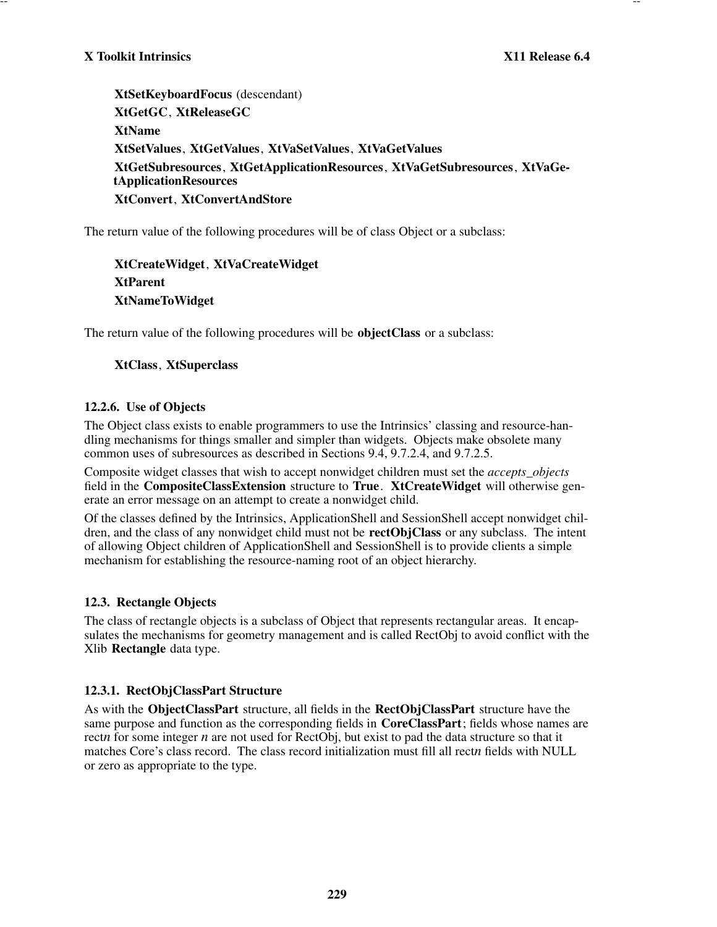**XtSetKeyboardFocus** (descendant) **XtGetGC**, **XtReleaseGC XtName XtSetValues**, **XtGetValues**, **XtVaSetValues**, **XtVaGetValues XtGetSubresources**, **XtGetApplicationResources**, **XtVaGetSubresources**, **XtVaGetApplicationResources XtConvert**, **XtConvertAndStore**

-- --

The return value of the following procedures will be of class Object or a subclass:

**XtCreateWidget**, **XtVaCreateWidget XtParent XtNameToWidget**

The return value of the following procedures will be **objectClass** or a subclass:

# **XtClass**, **XtSuperclass**

# **12.2.6. Use of Objects**

The Object class exists to enable programmers to use the Intrinsics' classing and resource-handling mechanisms for things smaller and simpler than widgets. Objects make obsolete many common uses of subresources as described in Sections 9.4, 9.7.2.4, and 9.7.2.5.

Composite widget classes that wish to accept nonwidget children must set the *accepts\_objects* field in the **CompositeClassExtension** structure to **True**. **XtCreateWidget** will otherwise generate an error message on an attempt to create a nonwidget child.

Of the classes defined by the Intrinsics, ApplicationShell and SessionShell accept nonwidget children, and the class of any nonwidget child must not be **rectObjClass** or any subclass. The intent of allowing Object children of ApplicationShell and SessionShell is to provide clients a simple mechanism for establishing the resource-naming root of an object hierarchy.

## **12.3. Rectangle Objects**

The class of rectangle objects is a subclass of Object that represents rectangular areas. It encapsulates the mechanisms for geometry management and is called RectObj to avoid conflict with the Xlib **Rectangle** data type.

# **12.3.1. RectObjClassPart Structure**

As with the **ObjectClassPart** structure, all fields in the **RectObjClassPart** structure have the same purpose and function as the corresponding fields in **CoreClassPart**; fields whose names are rect*n* for some integer *n* are not used for RectObj, but exist to pad the data structure so that it matches Core's class record. The class record initialization must fill all rect*n* fields with NULL or zero as appropriate to the type.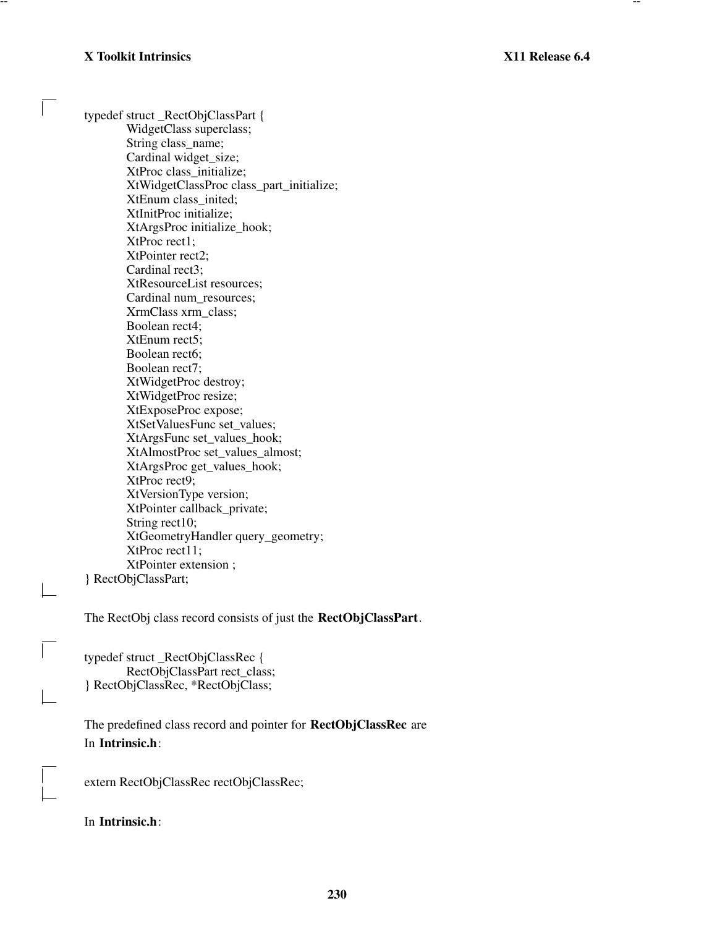$\Box$ 

typedef struct \_RectObjClassPart { WidgetClass superclass; String class\_name; Cardinal widget size; XtProc class\_initialize; XtWidgetClassProc class\_part\_initialize; XtEnum class\_inited; XtInitProc initialize; XtArgsProc initialize\_hook; XtProc rect1; XtPointer rect2; Cardinal rect3; XtResourceList resources; Cardinal num\_resources; XrmClass xrm\_class; Boolean rect4; XtEnum rect5; Boolean rect6; Boolean rect7; XtWidgetProc destroy; XtWidgetProc resize; XtExposeProc expose; XtSetValuesFunc set\_values; XtArgsFunc set\_values\_hook; XtAlmostProc set\_values\_almost; XtArgsProc get\_values\_hook; XtProc rect9; XtVersionType version; XtPointer callback\_private; String rect10; XtGeometryHandler query\_geometry; XtProc rect11; XtPointer extension ; } RectObjClassPart;

-- --

The RectObj class record consists of just the **RectObjClassPart**.

typedef struct \_RectObjClassRec { RectObjClassPart rect\_class; } RectObjClassRec, \*RectObjClass;

The predefined class record and pointer for **RectObjClassRec** are In **Intrinsic.h**:

extern RectObjClassRec rectObjClassRec;

In **Intrinsic.h**: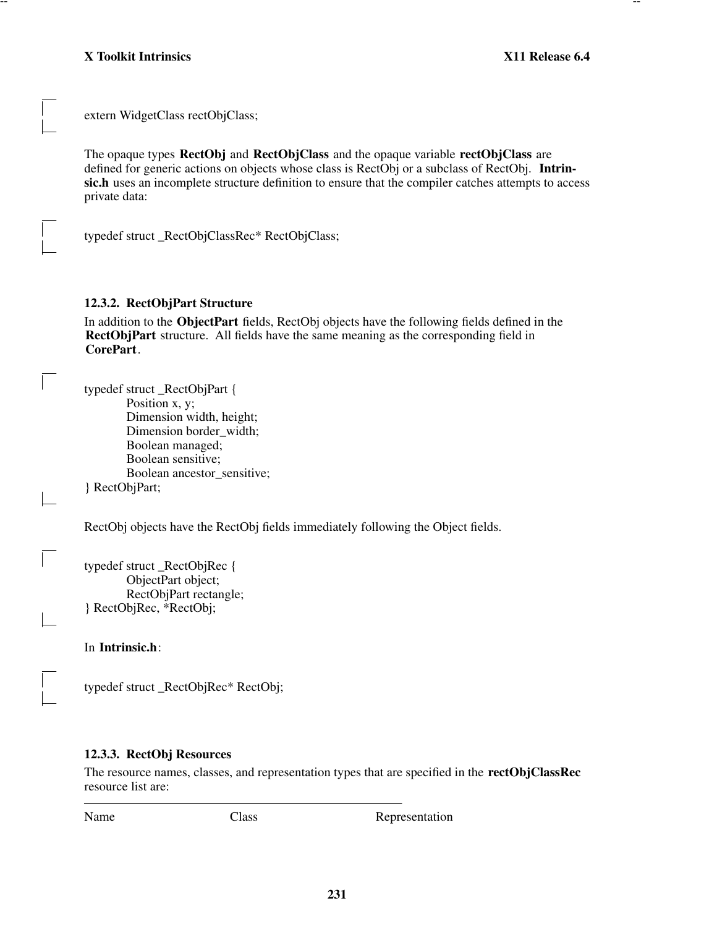extern WidgetClass rectObjClass;

The opaque types **RectObj** and **RectObjClass** and the opaque variable **rectObjClass** are defined for generic actions on objects whose class is RectObj or a subclass of RectObj. **Intrinsic.h** uses an incomplete structure definition to ensure that the compiler catches attempts to access private data:

-- --

typedef struct \_RectObjClassRec\* RectObjClass;

# **12.3.2. RectObjPart Structure**

In addition to the **ObjectPart** fields, RectObj objects have the following fields defined in the **RectObjPart** structure. All fields have the same meaning as the corresponding field in **CorePart**.

typedef struct \_RectObjPart { Position x, y; Dimension width, height; Dimension border\_width; Boolean managed; Boolean sensitive; Boolean ancestor\_sensitive; } RectObjPart;

RectObj objects have the RectObj fields immediately following the Object fields.

typedef struct \_RectObjRec { ObjectPart object; RectObjPart rectangle; } RectObjRec, \*RectObj;

In **Intrinsic.h**:

typedef struct \_RectObjRec\* RectObj;

## **12.3.3. RectObj Resources**

The resource names, classes, and representation types that are specified in the **rectObjClassRec** resource list are:

Name Class Representation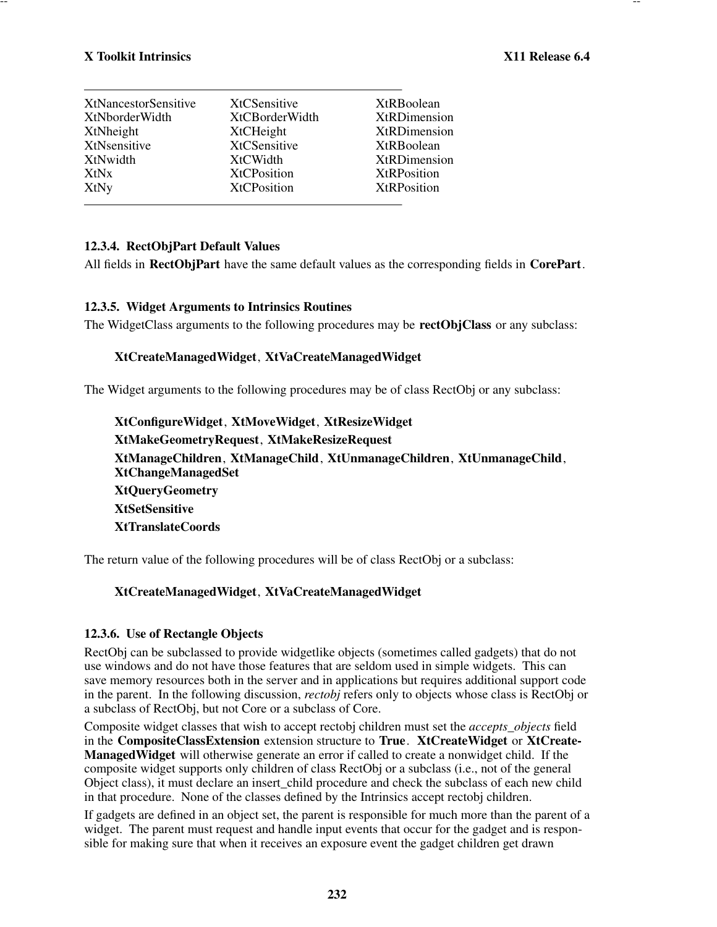| XtNancestorSensitive | XtCSensitive          | <b>XtRBoolean</b>  |
|----------------------|-----------------------|--------------------|
| XtNborderWidth       | <b>XtCBorderWidth</b> | XtRDimension       |
| XtNheight            | XtCHeight             | XtRDimension       |
| XtNsensitive         | XtCSensitive          | <b>XtRBoolean</b>  |
| XtNwidth             | XtCWidth              | XtRDimension       |
| XtNx                 | XtCPosition           | XtRPosition        |
| XtNy                 | XtCPosition           | <b>XtRPosition</b> |

# **12.3.4. RectObjPart Default Values**

All fields in **RectObjPart** have the same default values as the corresponding fields in **CorePart**.

-- --

# **12.3.5. Widget Arguments to Intrinsics Routines**

The WidgetClass arguments to the following procedures may be **rectObjClass** or any subclass:

## **XtCreateManagedWidget**, **XtVaCreateManagedWidget**

The Widget arguments to the following procedures may be of class RectObj or any subclass:

**XtConfigureWidget**, **XtMoveWidget**, **XtResizeWidget XtMakeGeometryRequest**, **XtMakeResizeRequest XtManageChildren**, **XtManageChild**, **XtUnmanageChildren**, **XtUnmanageChild**, **XtChangeManagedSet XtQueryGeometry XtSetSensitive XtTranslateCoords**

The return value of the following procedures will be of class RectObj or a subclass:

## **XtCreateManagedWidget**, **XtVaCreateManagedWidget**

#### **12.3.6. Use of Rectangle Objects**

RectObj can be subclassed to provide widgetlike objects (sometimes called gadgets) that do not use windows and do not have those features that are seldom used in simple widgets. This can save memory resources both in the server and in applications but requires additional support code in the parent. In the following discussion, *rectobj* refers only to objects whose class is RectObj or a subclass of RectObj, but not Core or a subclass of Core.

Composite widget classes that wish to accept rectobj children must set the *accepts\_objects* field in the **CompositeClassExtension** extension structure to **True**. **XtCreateWidget** or **XtCreate-ManagedWidget** will otherwise generate an error if called to create a nonwidget child. If the composite widget supports only children of class RectObj or a subclass (i.e., not of the general Object class), it must declare an insert\_child procedure and check the subclass of each new child in that procedure. None of the classes defined by the Intrinsics accept rectobj children.

If gadgets are defined in an object set, the parent is responsible for much more than the parent of a widget. The parent must request and handle input events that occur for the gadget and is responsible for making sure that when it receives an exposure event the gadget children get drawn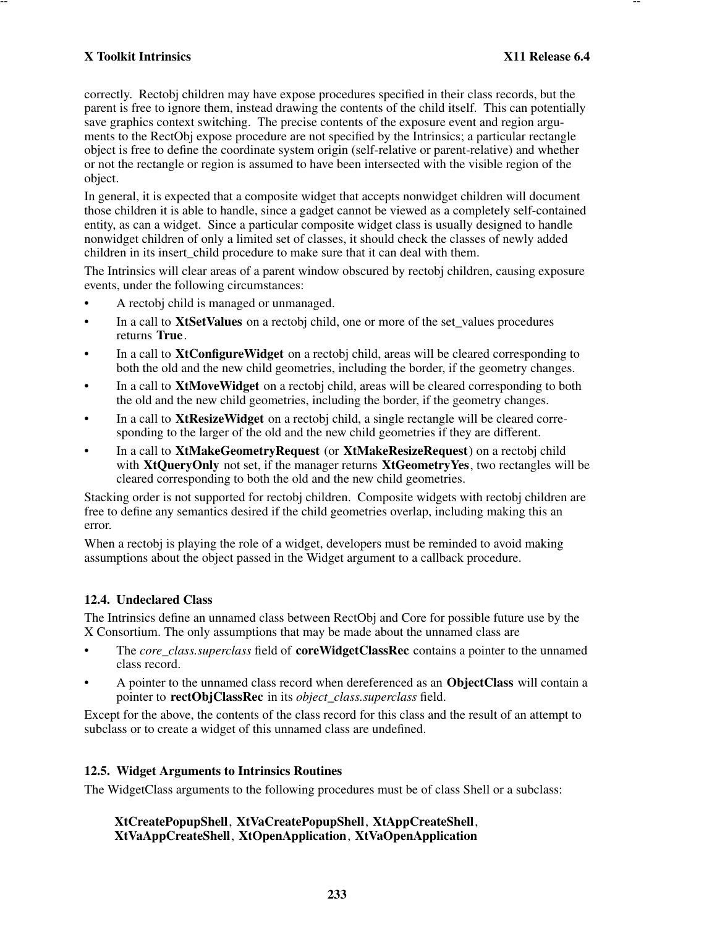# **X Toolkit Intrinsics X11 Release 6.4**

correctly. Rectobj children may have expose procedures specified in their class records, but the parent is free to ignore them, instead drawing the contents of the child itself. This can potentially save graphics context switching. The precise contents of the exposure event and region arguments to the RectObj expose procedure are not specified by the Intrinsics; a particular rectangle object is free to define the coordinate system origin (self-relative or parent-relative) and whether or not the rectangle or region is assumed to have been intersected with the visible region of the object.

-- --

In general, it is expected that a composite widget that accepts nonwidget children will document those children it is able to handle, since a gadget cannot be viewed as a completely self-contained entity, as can a widget. Since a particular composite widget class is usually designed to handle nonwidget children of only a limited set of classes, it should check the classes of newly added children in its insert\_child procedure to make sure that it can deal with them.

The Intrinsics will clear areas of a parent window obscured by rectobj children, causing exposure events, under the following circumstances:

- A rectobj child is managed or unmanaged.
- In a call to XtSetValues on a rectobj child, one or more of the set\_values procedures returns **True**.
- In a call to **XtConfigureWidget** on a rectobj child, areas will be cleared corresponding to both the old and the new child geometries, including the border, if the geometry changes.
- In a call to **XtMoveWidget** on a rectobj child, areas will be cleared corresponding to both the old and the new child geometries, including the border, if the geometry changes.
- In a call to XtResizeWidget on a rectobj child, a single rectangle will be cleared corresponding to the larger of the old and the new child geometries if they are different.
- Inacall to **XtMakeGeometryRequest** (or **XtMakeResizeRequest**) on a rectobj child with **XtQueryOnly** not set, if the manager returns **XtGeometryYes**, two rectangles will be cleared corresponding to both the old and the new child geometries.

Stacking order is not supported for rectobj children. Composite widgets with rectobj children are free to define any semantics desired if the child geometries overlap, including making this an error.

When a rectobj is playing the role of a widget, developers must be reminded to avoid making assumptions about the object passed in the Widget argument to a callback procedure.

# **12.4. Undeclared Class**

The Intrinsics define an unnamed class between RectObj and Core for possible future use by the X Consortium. The only assumptions that may be made about the unnamed class are

- The *core\_class.superclass* field of **coreWidgetClassRec** contains a pointer to the unnamed class record.
- A pointer to the unnamed class record when dereferenced as an **ObjectClass** will contain a pointer to **rectObjClassRec** in its *object\_class.superclass* field.

Except for the above, the contents of the class record for this class and the result of an attempt to subclass or to create a widget of this unnamed class are undefined.

## **12.5. Widget Arguments to Intrinsics Routines**

The WidgetClass arguments to the following procedures must be of class Shell or a subclass:

# **XtCreatePopupShell**, **XtVaCreatePopupShell**, **XtAppCreateShell**, **XtVaAppCreateShell**, **XtOpenApplication**, **XtVaOpenApplication**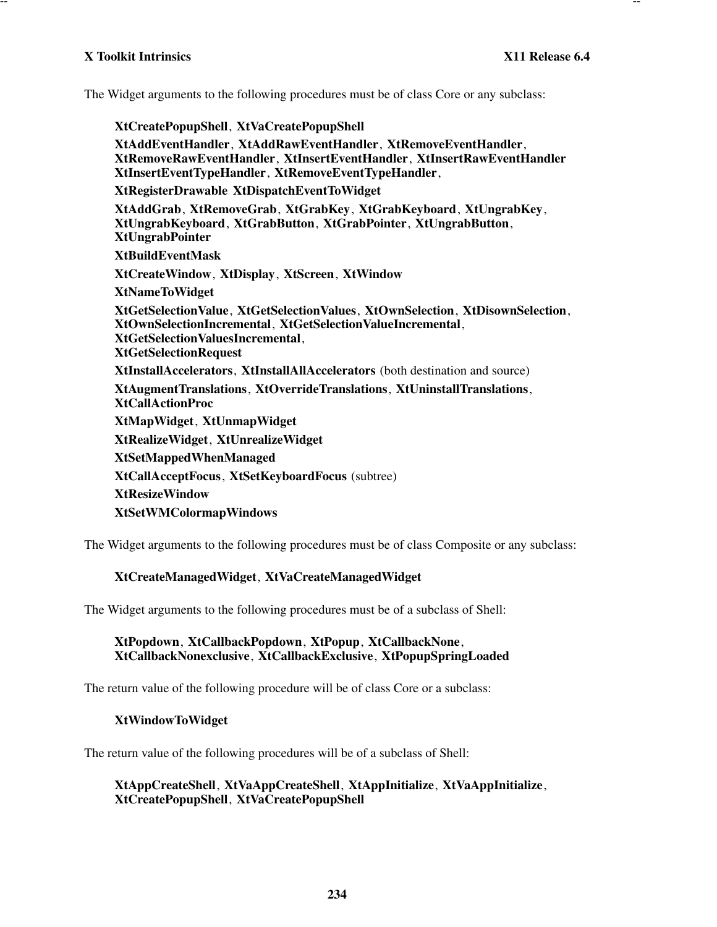The Widget arguments to the following procedures must be of class Core or any subclass:

-- --

**XtCreatePopupShell**, **XtVaCreatePopupShell XtAddEventHandler**, **XtAddRawEventHandler**, **XtRemoveEventHandler**, **XtRemoveRawEventHandler**, **XtInsertEventHandler**, **XtInsertRawEventHandler XtInsertEventTypeHandler**, **XtRemoveEventTypeHandler**, **XtRegisterDrawable XtDispatchEventToWidget XtAddGrab**, **XtRemoveGrab**, **XtGrabKey**, **XtGrabKeyboard**, **XtUngrabKey**, **XtUngrabKeyboard**, **XtGrabButton**, **XtGrabPointer**, **XtUngrabButton**, **XtUngrabPointer XtBuildEventMask XtCreateWindow**, **XtDisplay**, **XtScreen**, **XtWindow XtNameToWidget XtGetSelectionValue**, **XtGetSelectionValues**, **XtOwnSelection**, **XtDisownSelection**, **XtOwnSelectionIncremental**, **XtGetSelectionValueIncremental**, **XtGetSelectionValuesIncremental**, **XtGetSelectionRequest XtInstallAccelerators**, **XtInstallAllAccelerators** (both destination and source) **XtAugmentTranslations**, **XtOverrideTranslations**, **XtUninstallTranslations**, **XtCallActionProc XtMapWidget**, **XtUnmapWidget XtRealizeWidget**, **XtUnrealizeWidget XtSetMappedWhenManaged XtCallAcceptFocus**, **XtSetKeyboardFocus** (subtree) **XtResizeWindow XtSetWMColormapWindows**

The Widget arguments to the following procedures must be of class Composite or any subclass:

# **XtCreateManagedWidget**, **XtVaCreateManagedWidget**

The Widget arguments to the following procedures must be of a subclass of Shell:

# **XtPopdown**, **XtCallbackPopdown**, **XtPopup**, **XtCallbackNone**, **XtCallbackNonexclusive**, **XtCallbackExclusive**, **XtPopupSpringLoaded**

The return value of the following procedure will be of class Core or a subclass:

## **XtWindowToWidget**

The return value of the following procedures will be of a subclass of Shell:

# **XtAppCreateShell**, **XtVaAppCreateShell**, **XtAppInitialize**, **XtVaAppInitialize**, **XtCreatePopupShell**, **XtVaCreatePopupShell**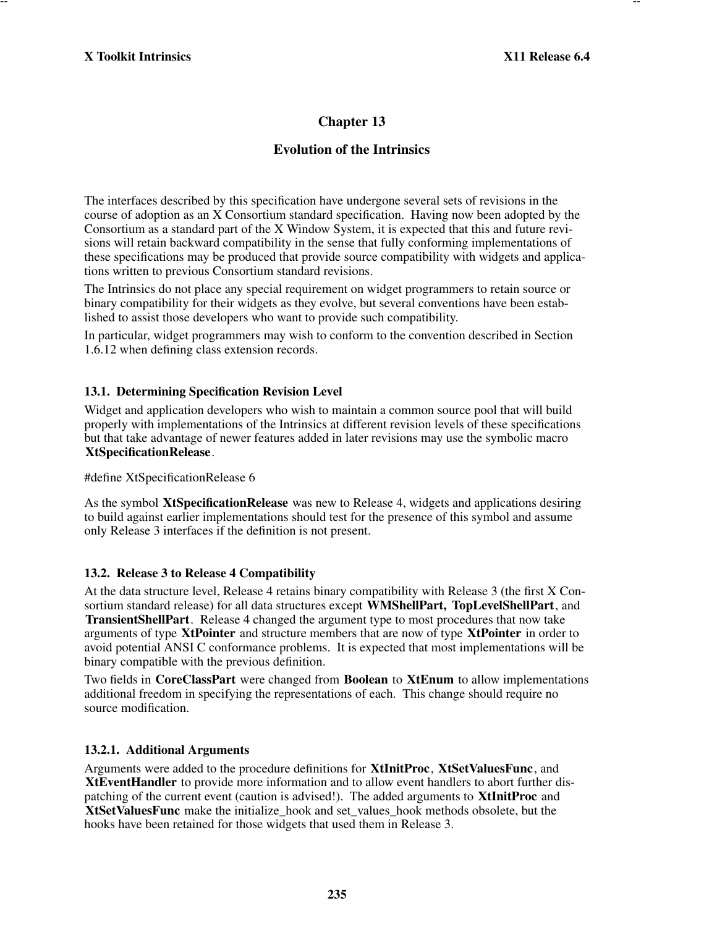# **Chapter 13**

-- --

# **Evolution of the Intrinsics**

The interfaces described by this specification have undergone several sets of revisions in the course of adoption as an X Consortium standard specification. Having now been adopted by the Consortium as a standard part of the X Window System, it is expected that this and future revisions will retain backward compatibility in the sense that fully conforming implementations of these specifications may be produced that provide source compatibility with widgets and applications written to previous Consortium standard revisions.

The Intrinsics do not place any special requirement on widget programmers to retain source or binary compatibility for their widgets as they evolve, but several conventions have been established to assist those developers who want to provide such compatibility.

In particular, widget programmers may wish to conform to the convention described in Section 1.6.12 when defining class extension records.

## **13.1. Determining Specification Revision Level**

Widget and application developers who wish to maintain a common source pool that will build properly with implementations of the Intrinsics at different revision levels of these specifications but that take advantage of newer features added in later revisions may use the symbolic macro **XtSpecificationRelease**.

#define XtSpecificationRelease 6

As the symbol **XtSpecificationRelease** was new to Release 4, widgets and applications desiring to build against earlier implementations should test for the presence of this symbol and assume only Release 3 interfaces if the definition is not present.

#### **13.2. Release 3 to Release 4 Compatibility**

At the data structure level, Release 4 retains binary compatibility with Release 3 (the first X Consortium standard release) for all data structures except **WMShellPart, TopLevelShellPart**, and **TransientShellPart**. Release 4 changed the argument type to most procedures that now take arguments of type **XtPointer** and structure members that are now of type **XtPointer** in order to avoid potential ANSI C conformance problems. It is expected that most implementations will be binary compatible with the previous definition.

Tw o fields in **CoreClassPart** were changed from **Boolean** to **XtEnum** to allow implementations additional freedom in specifying the representations of each. This change should require no source modification.

#### **13.2.1. Additional Arguments**

Arguments were added to the procedure definitions for **XtInitProc**, **XtSetValuesFunc**, and **XtEventHandler** to provide more information and to allow event handlers to abort further dispatching of the current event (caution is advised!). The added arguments to **XtInitProc** and **XtSetValuesFunc** make the initialize\_hook and set\_values\_hook methods obsolete, but the hooks have been retained for those widgets that used them in Release 3.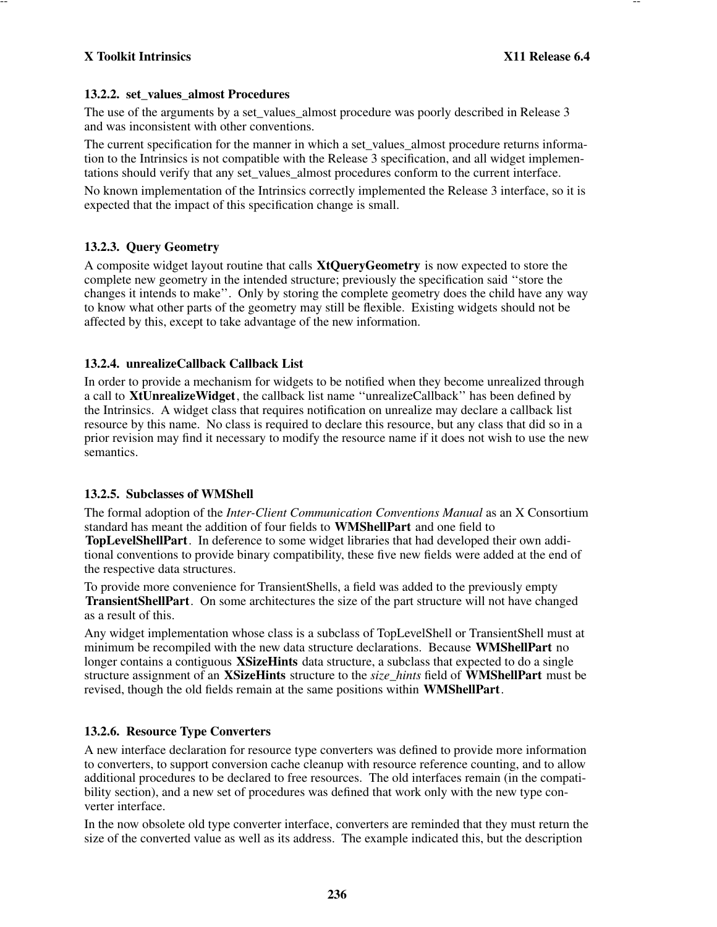# **13.2.2. set\_values\_almost Procedures**

The use of the arguments by a set\_values\_almost procedure was poorly described in Release 3 and was inconsistent with other conventions.

-- --

The current specification for the manner in which a set\_values\_almost procedure returns information to the Intrinsics is not compatible with the Release 3 specification, and all widget implementations should verify that any set\_values\_almost procedures conform to the current interface.

No known implementation of the Intrinsics correctly implemented the Release 3 interface, so it is expected that the impact of this specification change is small.

# **13.2.3. Query Geometry**

A composite widget layout routine that calls **XtQueryGeometry** is now expected to store the complete new geometry in the intended structure; previously the specification said ''store the changes it intends to make''. Only by storing the complete geometry does the child have any way to know what other parts of the geometry may still be flexible. Existing widgets should not be affected by this, except to take advantage of the new information.

# **13.2.4. unrealizeCallback Callback List**

In order to provide a mechanism for widgets to be notified when they become unrealized through a call to **XtUnrealizeWidget**, the callback list name ''unrealizeCallback'' has been defined by the Intrinsics. A widget class that requires notification on unrealize may declare a callback list resource by this name. No class is required to declare this resource, but any class that did so in a prior revision may find it necessary to modify the resource name if it does not wish to use the new semantics.

## **13.2.5. Subclasses of WMShell**

The formal adoption of the *Inter-Client Communication Conventions Manual* as an X Consortium standard has meant the addition of four fields to **WMShellPart** and one field to **TopLevelShellPart**. In deference to some widget libraries that had developed their own additional conventions to provide binary compatibility, these five new fields were added at the end of the respective data structures.

To provide more convenience for TransientShells, a field was added to the previously empty **TransientShellPart**. On some architectures the size of the part structure will not have changed as a result of this.

Any widget implementation whose class is a subclass of TopLevelShell or TransientShell must at minimum be recompiled with the new data structure declarations. Because **WMShellPart** no longer contains a contiguous **XSizeHints** data structure, a subclass that expected to do a single structure assignment of an **XSizeHints** structure to the *size\_hints* field of **WMShellPart** must be revised, though the old fields remain at the same positions within **WMShellPart**.

# **13.2.6. Resource Type Converters**

A new interface declaration for resource type converters was defined to provide more information to converters, to support conversion cache cleanup with resource reference counting, and to allow additional procedures to be declared to free resources. The old interfaces remain (in the compatibility section), and a new set of procedures was defined that work only with the new type converter interface.

In the now obsolete old type converter interface, converters are reminded that they must return the size of the converted value as well as its address. The example indicated this, but the description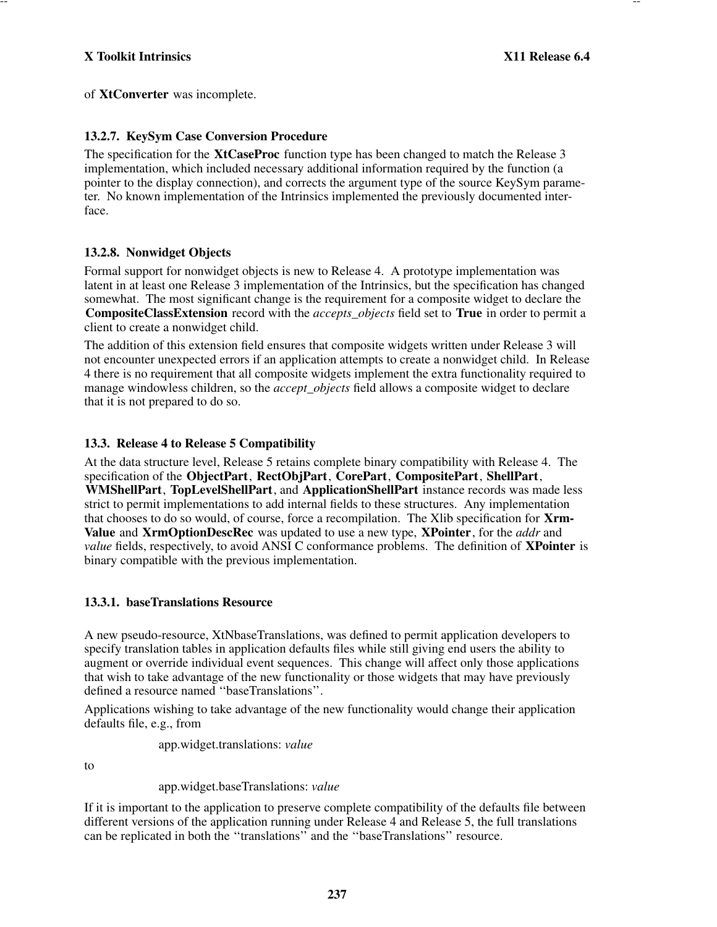of **XtConverter** was incomplete.

### **13.2.7. KeySym Case Conversion Procedure**

The specification for the **XtCaseProc** function type has been changed to match the Release 3 implementation, which included necessary additional information required by the function (a pointer to the display connection), and corrects the argument type of the source KeySym parameter. No known implementation of the Intrinsics implemented the previously documented interface.

-- --

## **13.2.8. Nonwidget Objects**

Formal support for nonwidget objects is new to Release 4. A prototype implementation was latent in at least one Release 3 implementation of the Intrinsics, but the specification has changed somewhat. The most significant change is the requirement for a composite widget to declare the **CompositeClassExtension** record with the *accepts\_objects* field set to **True** in order to permit a client to create a nonwidget child.

The addition of this extension field ensures that composite widgets written under Release 3 will not encounter unexpected errors if an application attempts to create a nonwidget child. In Release 4 there is no requirement that all composite widgets implement the extra functionality required to manage windowless children, so the *accept* objects field allows a composite widget to declare that it is not prepared to do so.

#### **13.3. Release 4 to Release 5 Compatibility**

At the data structure level, Release 5 retains complete binary compatibility with Release 4. The specification of the **ObjectPart**, **RectObjPart**, **CorePart**, **CompositePart**, **ShellPart**, **WMShellPart**, **TopLevelShellPart**, and **ApplicationShellPart** instance records was made less strict to permit implementations to add internal fields to these structures. Any implementation that chooses to do so would, of course, force a recompilation. The Xlib specification for **Xrm-Value** and **XrmOptionDescRec** was updated to use a new type, **XPointer**, for the *addr* and *value* fields, respectively, to avoid ANSI C conformance problems. The definition of **XPointer** is binary compatible with the previous implementation.

#### **13.3.1. baseTranslations Resource**

A new pseudo-resource, XtNbaseTranslations, was defined to permit application developers to specify translation tables in application defaults files while still giving end users the ability to augment or override individual event sequences. This change will affect only those applications that wish to take advantage of the new functionality or those widgets that may have previously defined a resource named ''baseTranslations''.

Applications wishing to take advantage of the new functionality would change their application defaults file, e.g., from

app.widget.translations: *value*

to

app.widget.baseTranslations: *value*

If it is important to the application to preserve complete compatibility of the defaults file between different versions of the application running under Release 4 and Release 5, the full translations can be replicated in both the ''translations'' and the ''baseTranslations'' resource.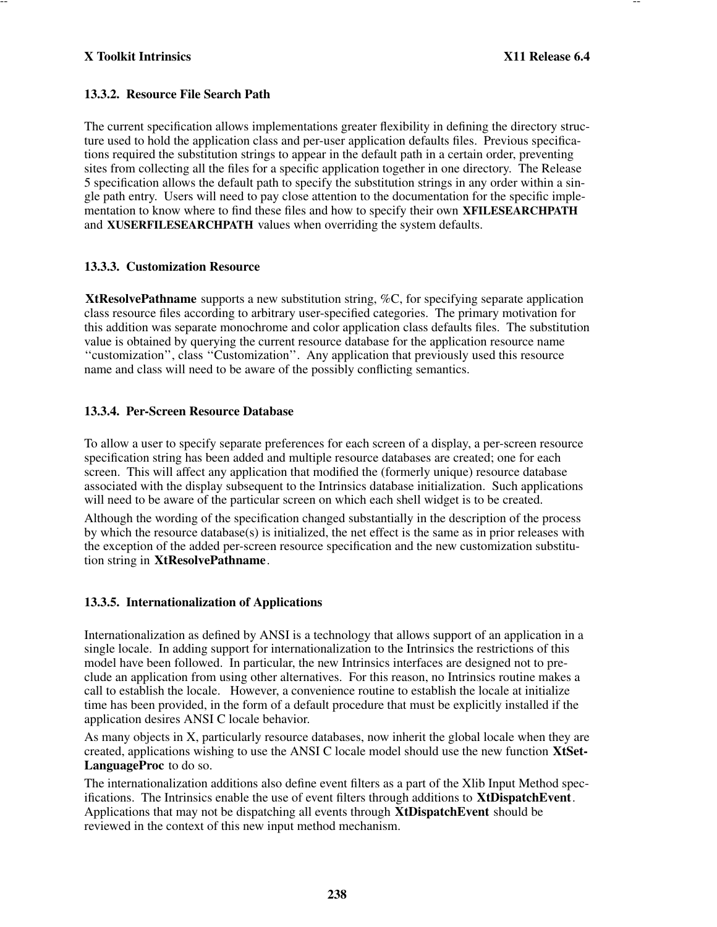## **13.3.2. Resource File Search Path**

The current specification allows implementations greater flexibility in defining the directory structure used to hold the application class and per-user application defaults files. Previous specifications required the substitution strings to appear in the default path in a certain order, preventing sites from collecting all the files for a specific application together in one directory. The Release 5 specification allows the default path to specify the substitution strings in any order within a single path entry. Users will need to pay close attention to the documentation for the specific implementation to know where to find these files and how to specify their own **XFILESEARCHPATH** and **XUSERFILESEARCHPATH** values when overriding the system defaults.

-- --

## **13.3.3. Customization Resource**

**XtResolvePathname** supports a new substitution string, %C, for specifying separate application class resource files according to arbitrary user-specified categories. The primary motivation for this addition was separate monochrome and color application class defaults files. The substitution value is obtained by querying the current resource database for the application resource name ''customization'', class ''Customization''. Any application that previously used this resource name and class will need to be aware of the possibly conflicting semantics.

# **13.3.4. Per-Screen Resource Database**

To allow a user to specify separate preferences for each screen of a display, a per-screen resource specification string has been added and multiple resource databases are created; one for each screen. This will affect any application that modified the (formerly unique) resource database associated with the display subsequent to the Intrinsics database initialization. Such applications will need to be aware of the particular screen on which each shell widget is to be created.

Although the wording of the specification changed substantially in the description of the process by which the resource database(s) is initialized, the net effect is the same as in prior releases with the exception of the added per-screen resource specification and the new customization substitution string in **XtResolvePathname**.

## **13.3.5. Internationalization of Applications**

Internationalization as defined by ANSI is a technology that allows support of an application in a single locale. In adding support for internationalization to the Intrinsics the restrictions of this model have been followed. In particular, the new Intrinsics interfaces are designed not to preclude an application from using other alternatives. For this reason, no Intrinsics routine makes a call to establish the locale. However, a convenience routine to establish the locale at initialize time has been provided, in the form of a default procedure that must be explicitly installed if the application desires ANSI C locale behavior.

As many objects in X, particularly resource databases, now inherit the global locale when they are created, applications wishing to use the ANSI C locale model should use the new function **XtSet-LanguageProc** to do so.

The internationalization additions also define event filters as a part of the Xlib Input Method specifications. The Intrinsics enable the use of event filters through additions to **XtDispatchEvent**. Applications that may not be dispatching all events through **XtDispatchEvent** should be reviewed in the context of this new input method mechanism.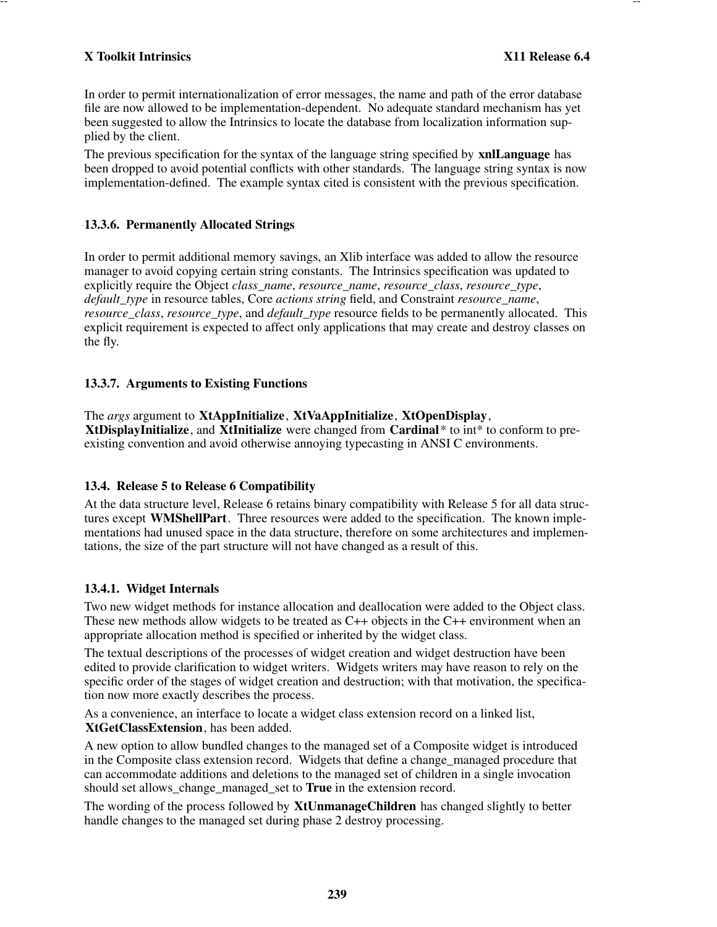# **X Toolkit Intrinsics X11 Release 6.4**

In order to permit internationalization of error messages, the name and path of the error database file are now allowed to be implementation-dependent. No adequate standard mechanism has yet been suggested to allow the Intrinsics to locate the database from localization information supplied by the client.

-- --

The previous specification for the syntax of the language string specified by **xnlLanguage** has been dropped to avoid potential conflicts with other standards. The language string syntax is now implementation-defined. The example syntax cited is consistent with the previous specification.

# **13.3.6. Permanently Allocated Strings**

In order to permit additional memory savings, an Xlib interface was added to allow the resource manager to avoid copying certain string constants. The Intrinsics specification was updated to explicitly require the Object *class\_name*, *resource\_name*, *resource\_class*, *resource\_type*, *default\_type* in resource tables, Core *actions string* field, and Constraint *resource\_name*, *resource\_class*, *resource\_type*, and *default\_type* resource fields to be permanently allocated. This explicit requirement is expected to affect only applications that may create and destroy classes on the fly.

# **13.3.7. Arguments to Existing Functions**

The *args* argument to **XtAppInitialize**, **XtVaAppInitialize**, **XtOpenDisplay**, **XtDisplayInitialize**, and **XtInitialize** were changed from **Cardinal**\* to int\* to conform to preexisting convention and avoid otherwise annoying typecasting in ANSI C environments.

## **13.4. Release 5 to Release 6 Compatibility**

At the data structure level, Release 6 retains binary compatibility with Release 5 for all data structures except **WMShellPart**. Three resources were added to the specification. The known implementations had unused space in the data structure, therefore on some architectures and implementations, the size of the part structure will not have changed as a result of this.

## **13.4.1. Widget Internals**

Two new widget methods for instance allocation and deallocation were added to the Object class. These new methods allow widgets to be treated as C++ objects in the C++ environment when an appropriate allocation method is specified or inherited by the widget class.

The textual descriptions of the processes of widget creation and widget destruction have been edited to provide clarification to widget writers. Widgets writers may have reason to rely on the specific order of the stages of widget creation and destruction; with that motivation, the specification now more exactly describes the process.

As a convenience, an interface to locate a widget class extension record on a linked list, **XtGetClassExtension**, has been added.

A new option to allow bundled changes to the managed set of a Composite widget is introduced in the Composite class extension record. Widgets that define a change\_managed procedure that can accommodate additions and deletions to the managed set of children in a single invocation should set allows\_change\_managed\_set to **True** in the extension record.

The wording of the process followed by **XtUnmanageChildren** has changed slightly to better handle changes to the managed set during phase 2 destroy processing.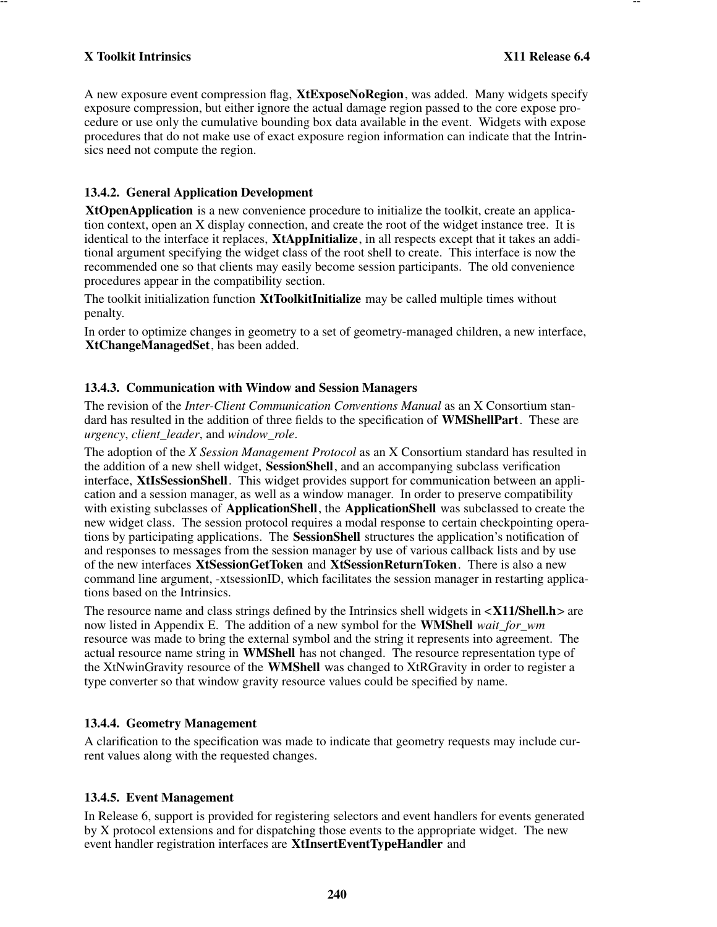A new exposure event compression flag, **XtExposeNoRegion**, was added. Many widgets specify exposure compression, but either ignore the actual damage region passed to the core expose procedure or use only the cumulative bounding box data available in the event. Widgets with expose procedures that do not make use of exact exposure region information can indicate that the Intrinsics need not compute the region.

-- --

## **13.4.2. General Application Development**

**XtOpenApplication** is a new convenience procedure to initialize the toolkit, create an application context, open an X display connection, and create the root of the widget instance tree. It is identical to the interface it replaces, **XtAppInitialize**, in all respects except that it takes an additional argument specifying the widget class of the root shell to create. This interface is now the recommended one so that clients may easily become session participants. The old convenience procedures appear in the compatibility section.

The toolkit initialization function **XtToolkitInitialize** may be called multiple times without penalty.

In order to optimize changes in geometry to a set of geometry-managed children, a new interface, **XtChangeManagedSet**, has been added.

## **13.4.3. Communication with Window and Session Managers**

The revision of the *Inter-Client Communication Conventions Manual* as an X Consortium standard has resulted in the addition of three fields to the specification of **WMShellPart**. These are *urgency*, *client\_leader*, and *window\_role*.

The adoption of the *X Session Management Protocol* as an X Consortium standard has resulted in the addition of a new shell widget, **SessionShell**, and an accompanying subclass verification interface, **XtIsSessionShell**. This widget provides support for communication between an application and a session manager, as well as a window manager. In order to preserve compatibility with existing subclasses of **ApplicationShell**, the **ApplicationShell** was subclassed to create the new widget class. The session protocol requires a modal response to certain checkpointing operations by participating applications. The **SessionShell** structures the application's notification of and responses to messages from the session manager by use of various callback lists and by use of the new interfaces **XtSessionGetToken** and **XtSessionReturnToken**. There is also a new command line argument, -xtsessionID, which facilitates the session manager in restarting applications based on the Intrinsics.

The resource name and class strings defined by the Intrinsics shell widgets in <**X11/Shell.h**> are now listed in Appendix E. The addition of a new symbol for the **WMShell** *wait\_for\_wm* resource was made to bring the external symbol and the string it represents into agreement. The actual resource name string in **WMShell** has not changed. The resource representation type of the XtNwinGravity resource of the **WMShell** was changed to XtRGravity in order to register a type converter so that window gravity resource values could be specified by name.

## **13.4.4. Geometry Management**

A clarification to the specification was made to indicate that geometry requests may include current values along with the requested changes.

#### **13.4.5. Event Management**

In Release 6, support is provided for registering selectors and event handlers for events generated by X protocol extensions and for dispatching those events to the appropriate widget. The new ev ent handler registration interfaces are **XtInsertEventTypeHandler** and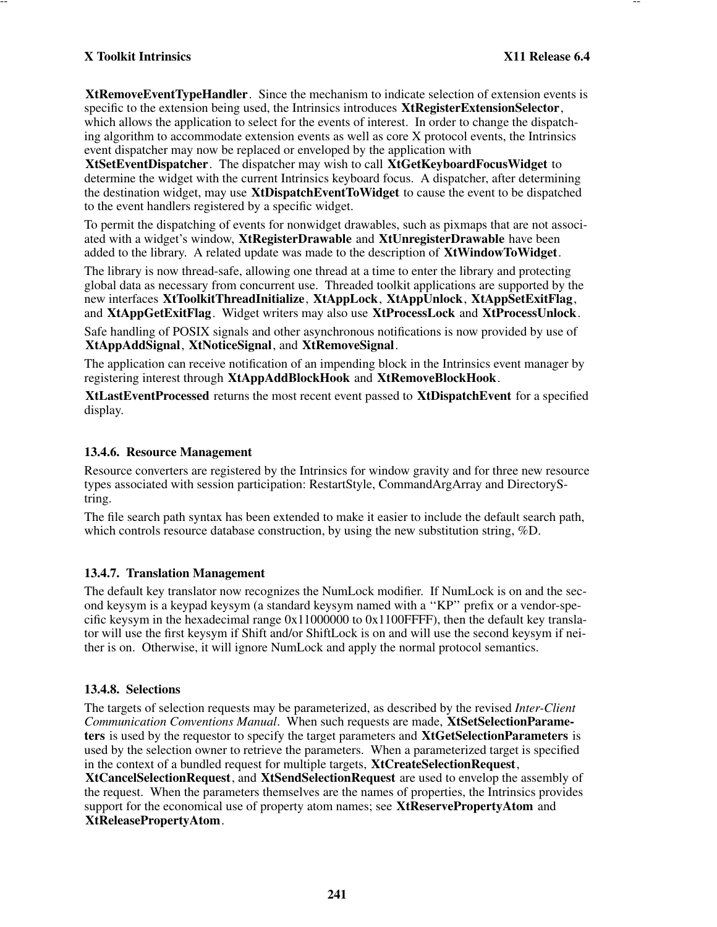# **X Toolkit Intrinsics X11 Release 6.4**

**XtRemoveEventTypeHandler**. Since the mechanism to indicate selection of extension events is specific to the extension being used, the Intrinsics introduces **XtRegisterExtensionSelector**, which allows the application to select for the events of interest. In order to change the dispatching algorithm to accommodate extension events as well as core X protocol events, the Intrinsics event dispatcher may now be replaced or enveloped by the application with

-- --

**XtSetEventDispatcher**. The dispatcher may wish to call **XtGetKeyboardFocusWidget** to determine the widget with the current Intrinsics keyboard focus. A dispatcher, after determining the destination widget, may use **XtDispatchEventToWidget** to cause the event to be dispatched to the event handlers registered by a specific widget.

To permit the dispatching of events for nonwidget drawables, such as pixmaps that are not associated with a widget's window, **XtRegisterDrawable** and **XtUnregisterDrawable** have been added to the library. A related update was made to the description of **XtWindowToWidget**.

The library is now thread-safe, allowing one thread at a time to enter the library and protecting global data as necessary from concurrent use. Threaded toolkit applications are supported by the new interfaces **XtToolkitThreadInitialize**, **XtAppLock**, **XtAppUnlock**, **XtAppSetExitFlag**, and **XtAppGetExitFlag**. Widget writers may also use **XtProcessLock** and **XtProcessUnlock**.

Safe handling of POSIX signals and other asynchronous notifications is now provided by use of **XtAppAddSignal**, **XtNoticeSignal**, and **XtRemoveSignal**.

The application can receive notification of an impending block in the Intrinsics event manager by registering interest through **XtAppAddBlockHook** and **XtRemoveBlockHook**.

**XtLastEventProcessed** returns the most recent event passed to **XtDispatchEvent** for a specified display.

### **13.4.6. Resource Management**

Resource converters are registered by the Intrinsics for window gravity and for three new resource types associated with session participation: RestartStyle, CommandArgArray and DirectoryString.

The file search path syntax has been extended to make it easier to include the default search path, which controls resource database construction, by using the new substitution string,  $\%D$ .

## **13.4.7. Translation Management**

The default key translator now recognizes the NumLock modifier. If NumLock is on and the second keysym is a keypad keysym (a standard keysym named with a ''KP'' prefix or a vendor-specific keysym in the hexadecimal range  $0x11000000$  to  $0x1100$  FFFF), then the default key translator will use the first keysym if Shift and/or ShiftLock is on and will use the second keysym if neither is on. Otherwise, it will ignore NumLock and apply the normal protocol semantics.

#### **13.4.8. Selections**

The targets of selection requests may be parameterized, as described by the revised *Inter-Client Communication Conventions Manual*. When such requests are made, **XtSetSelectionParameters** is used by the requestor to specify the target parameters and **XtGetSelectionParameters** is used by the selection owner to retrieve the parameters. When a parameterized target is specified in the context of a bundled request for multiple targets, **XtCreateSelectionRequest**,

**XtCancelSelectionRequest**, and **XtSendSelectionRequest** are used to envelop the assembly of the request. When the parameters themselves are the names of properties, the Intrinsics provides support for the economical use of property atom names; see **XtReservePropertyAtom** and **XtReleasePropertyAtom**.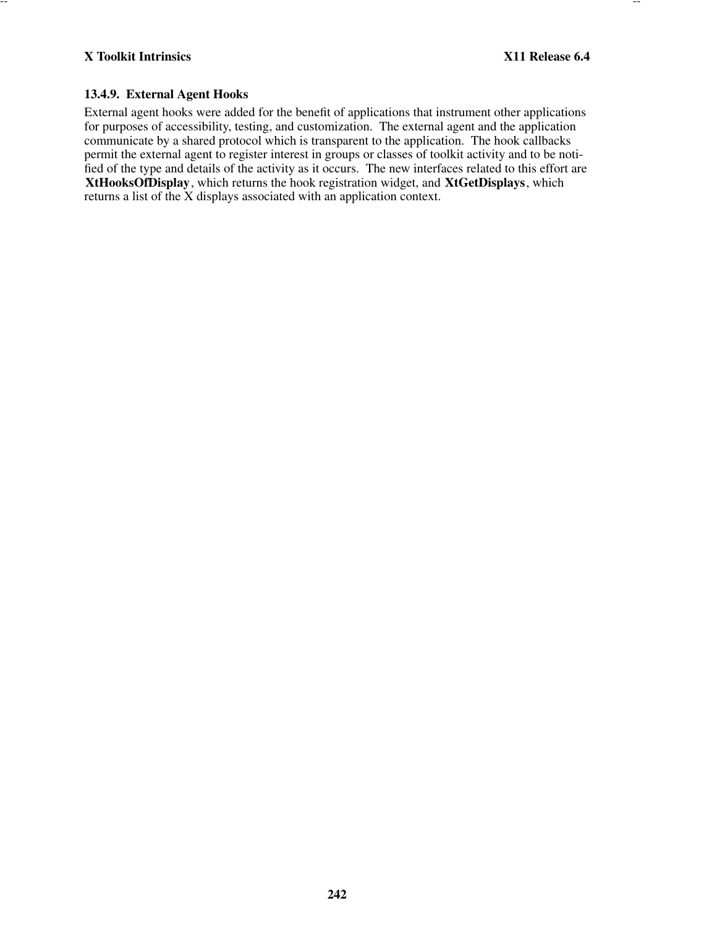# **13.4.9. External Agent Hooks**

External agent hooks were added for the benefit of applications that instrument other applications for purposes of accessibility, testing, and customization. The external agent and the application communicate by a shared protocol which is transparent to the application. The hook callbacks permit the external agent to register interest in groups or classes of toolkit activity and to be notified of the type and details of the activity as it occurs. The new interfaces related to this effort are **XtHooksOfDisplay**, which returns the hook registration widget, and **XtGetDisplays**, which returns a list of the X displays associated with an application context.

-- --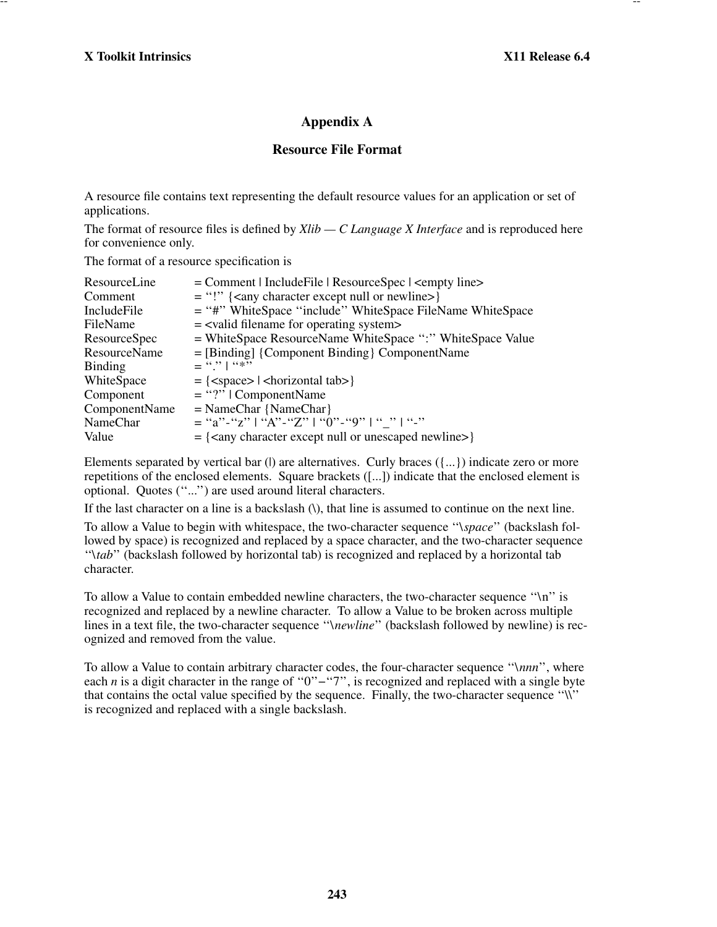# **Appendix A**

-- --

## **Resource File Format**

A resource file contains text representing the default resource values for an application or set of applications.

The format of resource files is defined by *Xlib — C Language X Interface* and is reproduced here for convenience only.

The format of a resource specification is

| ResourceLine        | = Comment   Include File   Resource Spec   <empty line=""></empty>              |
|---------------------|---------------------------------------------------------------------------------|
| Comment             | $=$ "!" { <any character="" except="" newline="" null="" or="">}</any>          |
| IncludeFile         | = "#" WhiteSpace "include" WhiteSpace FileName WhiteSpace                       |
| FileName            | $=$ <valid filename="" for="" operating="" system=""></valid>                   |
| ResourceSpec        | = WhiteSpace ResourceName WhiteSpace ":" WhiteSpace Value                       |
| <b>ResourceName</b> | $=$ [Binding] {Component Binding} ComponentName                                 |
| Binding             | $=$ ""   "*"                                                                    |
| WhiteSpace          | $=$ { <space>   <horizontal tab="">}</horizontal></space>                       |
| Component           | $=$ "?"   ComponentName                                                         |
| ComponentName       | $=$ NameChar {NameChar}                                                         |
| NameChar            | $=$ "a"-"z"   "A"-"Z"   "0"-"9"   "_"   "-"                                     |
| Value               | $=$ { <any character="" except="" newline="" null="" or="" unescaped="">}</any> |

Elements separated by vertical bar ( $\vert$ ) are alternatives. Curly braces ( $\{\ldots\}$ ) indicate zero or more repetitions of the enclosed elements. Square brackets ([...]) indicate that the enclosed element is optional. Quotes (''...'') are used around literal characters.

If the last character on a line is a backslash (\), that line is assumed to continue on the next line.

To allow a Value to begin with whitespace, the two-character sequence "\*space*" (backslash followed by space) is recognized and replaced by a space character, and the two-character sequence ''\*tab*'' (backslash followed by horizontal tab) is recognized and replaced by a horizontal tab character.

To allow a Value to contain embedded newline characters, the two-character sequence " $\ln$ " is recognized and replaced by a newline character. To allow a Value to be broken across multiple lines in a text file, the two-character sequence ''\*newline*'' (backslash followed by newline) is recognized and removed from the value.

To allow a Value to contain arbitrary character codes, the four-character sequence "\nnn", where each *n* is a digit character in the range of "0"−"7", is recognized and replaced with a single byte that contains the octal value specified by the sequence. Finally, the two-character sequence ''\\'' is recognized and replaced with a single backslash.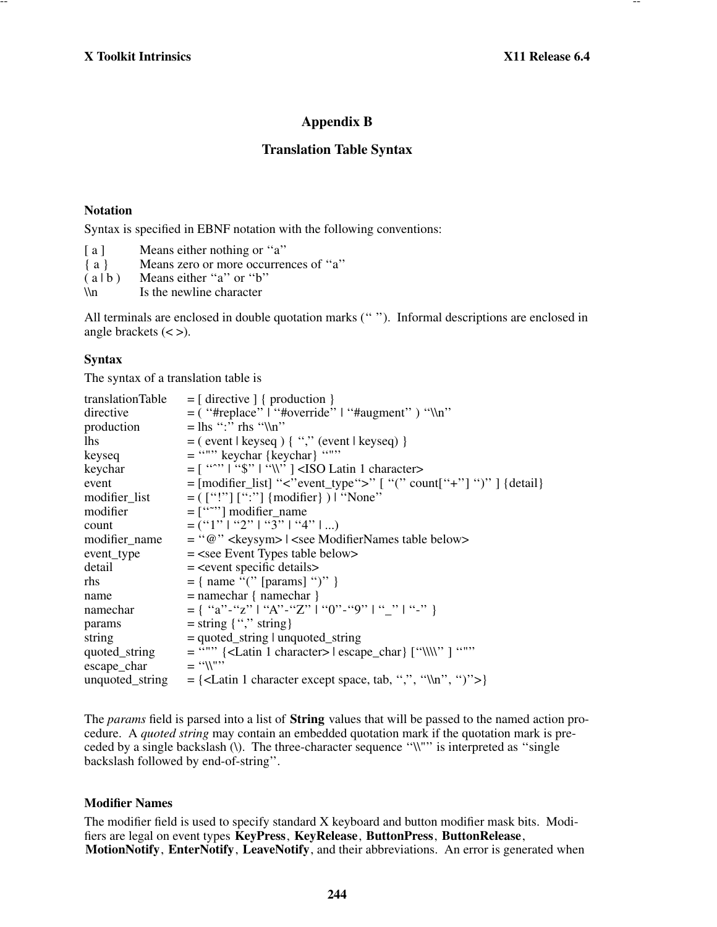# **Appendix B**

-- --

### **Translation Table Syntax**

#### **Notation**

Syntax is specified in EBNF notation with the following conventions:

[a] Means either nothing or "a"

{a} Means zero or more occurrences of ''a''

(alb) Means either "a" or "b"

\\n Is the newline character

All terminals are enclosed in double quotation marks (""). Informal descriptions are enclosed in angle brackets  $(<$  >).

### **Syntax**

The syntax of a translation table is

| translationTable | $=$ [ directive ] { production }                                           |
|------------------|----------------------------------------------------------------------------|
| directive        | $=$ ("#replace"   "#override"   "#augment" ) "\\n"                         |
| production       | $=$ lhs ":" rhs "\\n"                                                      |
| lhs              | $=$ (event   keyseq ) { "," (event   keyseq) }                             |
| keyseq           | $=$ """ keychar { keychar } """                                            |
| keychar          | $=$ [ """   "\"   "\\"   <iso 1="" character="" latin=""></iso>            |
| event            | = [modifier_list] "<"event_type">" [ "(" count["+"] ")" ] {detail}         |
| modifier_list    | $= ($ ["!"] [":"] {modifier} )   "None"                                    |
| modifier         | $=$ [""] modifier_name                                                     |
| count            | $=$ ("1"   "2"   "3"   "4"   )                                             |
| modifier_name    | $=$ "@" <keysym>   <see below="" modifiernames="" table=""></see></keysym> |
| event_type       | $=$ <see below="" event="" table="" types=""></see>                        |
| detail           | $=$ <event details="" specific=""></event>                                 |
| rhs              | $=$ { name "(" [params] ")" }                                              |
| name             | $=$ namechar { namechar }                                                  |
| namechar         | $= \{$ "a"-"z"   "A"-"Z"   "0"-"9"   "_"   "-" }                           |
| params           | $=$ string $\{$ "," string $\}$                                            |
| string           | = quoted_string   unquoted_string                                          |
| quoted_string    | $=$ """ { <latin 1="" character="">   escape_char} ["\\\\'' ] """</latin>  |
| escape_char      | $=$ "\\""                                                                  |
| unquoted_string  | $= \{\text{Latin 1 character except space, tab, "," "\\n", ")'>\}$         |

The *params* field is parsed into a list of **String** values that will be passed to the named action procedure. A *quoted string* may contain an embedded quotation mark if the quotation mark is preceded by a single backslash (\). The three-character sequence "\\"" is interpreted as "single backslash followed by end-of-string''.

#### **Modifier Names**

The modifier field is used to specify standard X keyboard and button modifier mask bits. Modifiers are legal on event types **KeyPress**, **KeyRelease**, **ButtonPress**, **ButtonRelease**, **MotionNotify**, **EnterNotify**, **LeaveNotify**, and their abbreviations. An error is generated when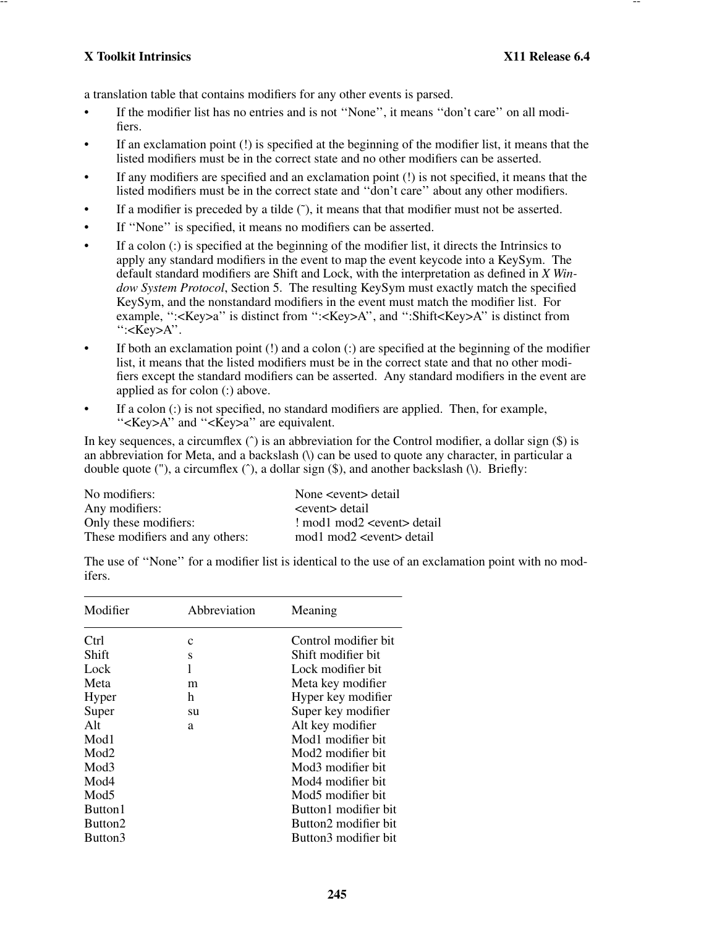# **X Toolkit Intrinsics X11 Release 6.4**

a translation table that contains modifiers for any other events is parsed.

• If the modifier list has no entries and is not ''None'', it means ''don't care'' on all modifiers.

-- --

- If an exclamation point (!) is specified at the beginning of the modifier list, it means that the listed modifiers must be in the correct state and no other modifiers can be asserted.
- If any modifiers are specified and an exclamation point (!) is not specified, it means that the listed modifiers must be in the correct state and ''don't care'' about any other modifiers.
- If a modifier is preceded by a tilde  $(^\circ)$ , it means that that modifier must not be asserted.
- If "None" is specified, it means no modifiers can be asserted.
- If a colon  $\left($ :) is specified at the beginning of the modifier list, it directs the Intrinsics to apply any standard modifiers in the event to map the event keycode into a KeySym. The default standard modifiers are Shift and Lock, with the interpretation as defined in *X Window System Protocol*, Section 5. The resulting KeySym must exactly match the specified KeySym, and the nonstandard modifiers in the event must match the modifier list. For example, '':<Key>a'' is distinct from '':<Key>A'', and '':Shift<Key>A'' is distinct from '':<Key>A''.
- If both an exclamation point (!) and a colon (:) are specified at the beginning of the modifier list, it means that the listed modifiers must be in the correct state and that no other modifiers except the standard modifiers can be asserted. Any standard modifiers in the event are applied as for colon (:) above.
- If a colon  $\cdot$ ) is not specified, no standard modifiers are applied. Then, for example, ''<Key>A'' and ''<Key>a'' are equivalent.

In key sequences, a circumflex  $(°)$  is an abbreviation for the Control modifier, a dollar sign  $(\$)$  is an abbreviation for Meta, and a backslash (\) can be used to quote any character, in particular a double quote ("), a circumflex ( $\hat{ }$ ), a dollar sign (\$), and another backslash (\). Briefly:

| No modifiers:                   | None <event> detail</event>        |
|---------------------------------|------------------------------------|
| Any modifiers:                  | <event> detail</event>             |
| Only these modifiers:           | ! mod1 mod2 <event> detail</event> |
| These modifiers and any others: | mod1 mod2 <event> detail</event>   |

The use of ''None'' for a modifier list is identical to the use of an exclamation point with no modifers.

| Modifier         | Abbreviation | Meaning              |
|------------------|--------------|----------------------|
| Ctrl             | c            | Control modifier bit |
| Shift            | S            | Shift modifier bit   |
| Lock.            | 1            | Lock modifier bit    |
| Meta             | m            | Meta key modifier    |
| Hyper            | h            | Hyper key modifier   |
| Super            | su           | Super key modifier   |
| Alt              | a            | Alt key modifier     |
| Mod1             |              | Mod1 modifier bit    |
| Mod <sub>2</sub> |              | Mod2 modifier bit    |
| Mod3             |              | Mod3 modifier bit    |
| Mod4             |              | Mod4 modifier bit    |
| Mod <sub>5</sub> |              | Mod5 modifier bit    |
| Button1          |              | Button1 modifier bit |
| Button2          |              | Button2 modifier bit |
| Button3          |              | Button3 modifier bit |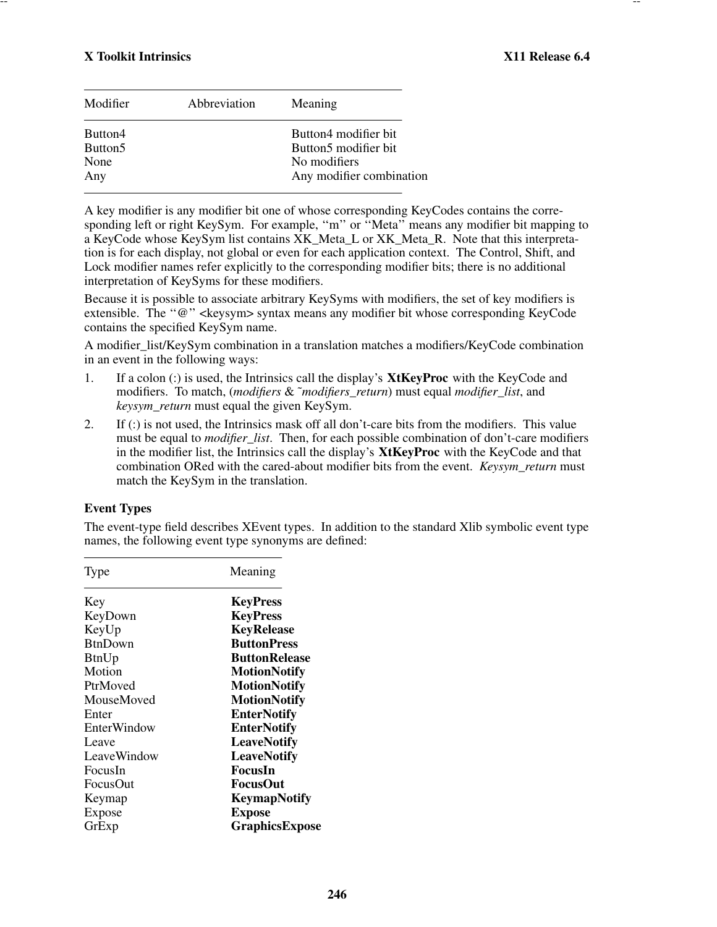| Modifier                                      | Abbreviation | Meaning                                                                                              |
|-----------------------------------------------|--------------|------------------------------------------------------------------------------------------------------|
| Button4<br>Button <sub>5</sub><br>None<br>Any |              | Button4 modifier bit<br>Button <sub>5</sub> modifier bit<br>No modifiers<br>Any modifier combination |

A key modifier is any modifier bit one of whose corresponding KeyCodes contains the corresponding left or right KeySym. For example, ''m'' or ''Meta'' means any modifier bit mapping to a KeyCode whose KeySym list contains XK\_Meta\_L or XK\_Meta\_R. Note that this interpretation is for each display, not global or even for each application context. The Control, Shift, and Lock modifier names refer explicitly to the corresponding modifier bits; there is no additional interpretation of KeySyms for these modifiers.

-- --

Because it is possible to associate arbitrary KeySyms with modifiers, the set of key modifiers is extensible. The ''@'' <keysym> syntax means any modifier bit whose corresponding KeyCode contains the specified KeySym name.

A modifier list/KeySym combination in a translation matches a modifiers/KeyCode combination in an event in the following ways:

- 1. If a colon (:) is used, the Intrinsics call the display's **XtKeyProc** with the KeyCode and modifiers. To match, (*modifiers* & ˜*modifiers\_return*) must equal *modifier\_list*, and *keysym\_return* must equal the given KeySym.
- 2. If (:) is not used, the Intrinsics mask off all don't-care bits from the modifiers. This value must be equal to *modifier\_list*. Then, for each possible combination of don't-care modifiers in the modifier list, the Intrinsics call the display's **XtKeyProc** with the KeyCode and that combination ORed with the cared-about modifier bits from the event. *Keysym\_return* must match the KeySym in the translation.

# **Event Types**

The event-type field describes XEvent types. In addition to the standard Xlib symbolic event type names, the following event type synonyms are defined:

| Type            | Meaning               |  |
|-----------------|-----------------------|--|
| Key             | <b>KeyPress</b>       |  |
| KeyDown         | <b>KeyPress</b>       |  |
| KeyUp           | <b>KeyRelease</b>     |  |
| <b>BtnDown</b>  | <b>ButtonPress</b>    |  |
| BtnUp           | <b>ButtonRelease</b>  |  |
| Motion          | <b>MotionNotify</b>   |  |
| PtrMoved        | <b>MotionNotify</b>   |  |
| MouseMoved      | MotionNotify          |  |
| Enter           | <b>EnterNotify</b>    |  |
| EnterWindow     | <b>EnterNotify</b>    |  |
| Leave           | <b>LeaveNotify</b>    |  |
| LeaveWindow     | <b>LeaveNotify</b>    |  |
| FocusIn         | FocusIn               |  |
| <b>FocusOut</b> | FocusOut              |  |
| Keymap          | <b>KeymapNotify</b>   |  |
| Expose          | <b>Expose</b>         |  |
| GrExp           | <b>GraphicsExpose</b> |  |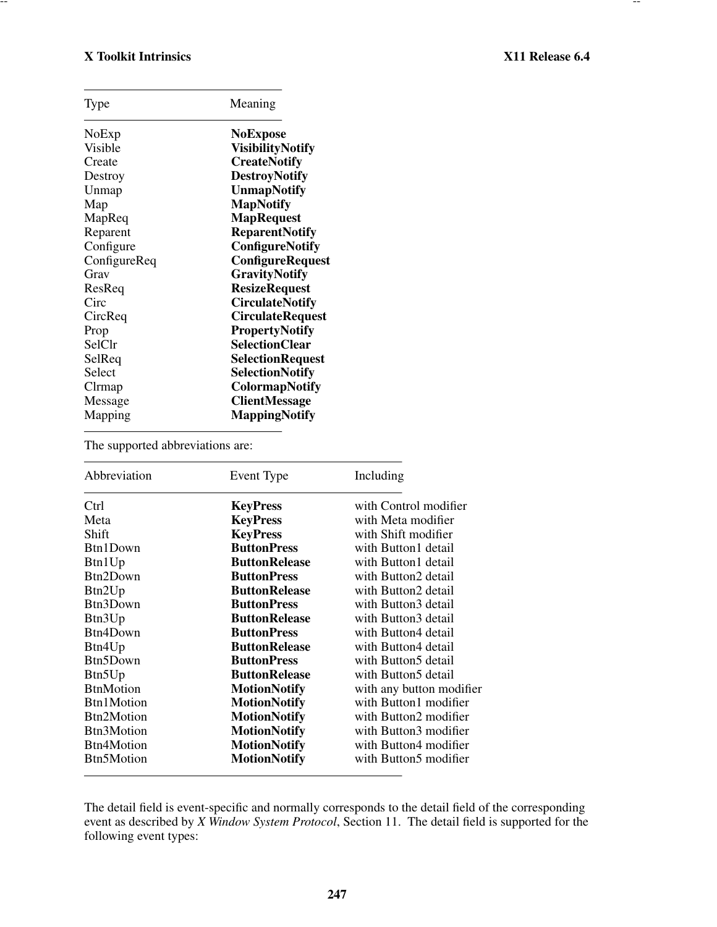| Type         | Meaning                 |
|--------------|-------------------------|
| NoExp        | <b>NoExpose</b>         |
| Visible      | <b>VisibilityNotify</b> |
| Create       | <b>CreateNotify</b>     |
| Destroy      | <b>DestroyNotify</b>    |
| Unmap        | <b>UnmapNotify</b>      |
| Map          | <b>MapNotify</b>        |
| MapReq       | <b>MapRequest</b>       |
| Reparent     | <b>ReparentNotify</b>   |
| Configure    | <b>ConfigureNotify</b>  |
| ConfigureReq | <b>ConfigureRequest</b> |
| Grav         | <b>GravityNotify</b>    |
| ResReq       | <b>ResizeRequest</b>    |
| Circ         | <b>CirculateNotify</b>  |
| CircReq      | <b>CirculateRequest</b> |
| Prop         | <b>PropertyNotify</b>   |
| SelClr       | <b>SelectionClear</b>   |
| SelReq       | <b>SelectionRequest</b> |
| Select       | <b>SelectionNotify</b>  |
| Clrmap       | <b>ColormapNotify</b>   |
| Message      | <b>ClientMessage</b>    |
| Mapping      | <b>MappingNotify</b>    |

The supported abbreviations are:

| Abbreviation      | Event Type           | Including                |
|-------------------|----------------------|--------------------------|
| Ctrl              | <b>KeyPress</b>      | with Control modifier    |
| Meta              | <b>KeyPress</b>      | with Meta modifier       |
| Shift             | <b>KeyPress</b>      | with Shift modifier      |
| Btn1Down          | <b>ButtonPress</b>   | with Button1 detail      |
| Btn1Up            | <b>ButtonRelease</b> | with Button1 detail      |
| Btn2Down          | <b>ButtonPress</b>   | with Button2 detail      |
| Btn2Up            | <b>ButtonRelease</b> | with Button2 detail      |
| Btn3Down          | <b>ButtonPress</b>   | with Button3 detail      |
| Btn3Up            | <b>ButtonRelease</b> | with Button3 detail      |
| Btn4Down          | <b>ButtonPress</b>   | with Button4 detail      |
| Btn4Up            | <b>ButtonRelease</b> | with Button4 detail      |
| Btn5Down          | <b>ButtonPress</b>   | with Button 5 detail     |
| Btn5Up            | <b>ButtonRelease</b> | with Button5 detail      |
| <b>BtnMotion</b>  | <b>MotionNotify</b>  | with any button modifier |
| <b>Btn1Motion</b> | <b>MotionNotify</b>  | with Button1 modifier    |
| <b>Btn2Motion</b> | <b>MotionNotify</b>  | with Button2 modifier    |
| Btn3Motion        | <b>MotionNotify</b>  | with Button3 modifier    |
| <b>Btn4Motion</b> | <b>MotionNotify</b>  | with Button4 modifier    |
| <b>Btn5Motion</b> | <b>MotionNotify</b>  | with Button5 modifier    |

-- --

The detail field is event-specific and normally corresponds to the detail field of the corresponding event as described by *X Window System Protocol*, Section 11. The detail field is supported for the following event types: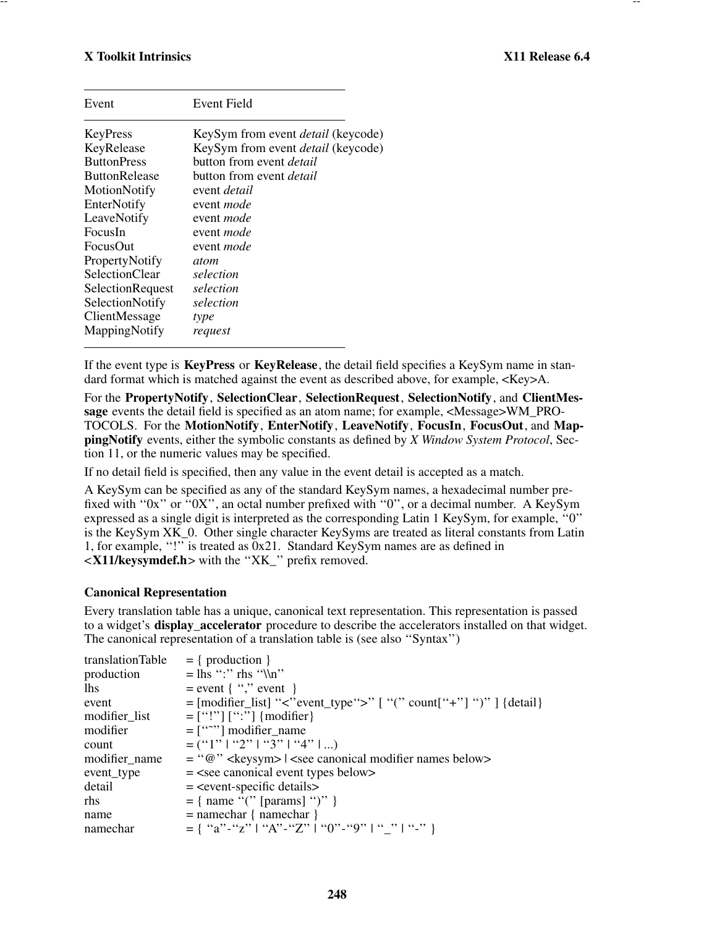| Event                | Event Field                               |
|----------------------|-------------------------------------------|
| KeyPress             | KeySym from event <i>detail</i> (keycode) |
| KeyRelease           | KeySym from event <i>detail</i> (keycode) |
| <b>ButtonPress</b>   | button from event <i>detail</i>           |
| <b>ButtonRelease</b> | button from event <i>detail</i>           |
| MotionNotify         | event <i>detail</i>                       |
| EnterNotify          | event <i>mode</i>                         |
| LeaveNotify          | event <i>mode</i>                         |
| FocusIn              | event <i>mode</i>                         |
| <b>FocusOut</b>      | event <i>mode</i>                         |
| PropertyNotify       | atom                                      |
| SelectionClear       | selection                                 |
| SelectionRequest     | selection                                 |
| SelectionNotify      | selection                                 |
| ClientMessage        | type                                      |
| MappingNotify        | request                                   |

If the event type is **KeyPress** or **KeyRelease**, the detail field specifies a KeySym name in standard format which is matched against the event as described above, for example,  $\langle Key \rangle A$ .

-- --

For the **PropertyNotify**, **SelectionClear**, **SelectionRequest**, **SelectionNotify**, and **ClientMes**sage events the detail field is specified as an atom name; for example, <Message>WM\_PRO-TOCOLS. For the **MotionNotify**, **EnterNotify**, **LeaveNotify**, **FocusIn**, **FocusOut**, and **MappingNotify** events, either the symbolic constants as defined by *X Window System Protocol*, Section 11, or the numeric values may be specified.

If no detail field is specified, then any value in the event detail is accepted as a match.

A KeySym can be specified as any of the standard KeySym names, a hexadecimal number prefixed with " $0x$ " or " $0x$ ", an octal number prefixed with " $0$ ", or a decimal number. A KeySym expressed as a single digit is interpreted as the corresponding Latin 1 KeySym, for example, ''0'' is the KeySym XK\_0. Other single character KeySyms are treated as literal constants from Latin 1, for example, ''!'' is treated as 0x21. Standard KeySym names are as defined in <**X11/keysymdef.h**> with the ''XK\_'' prefix removed.

### **Canonical Representation**

Every translation table has a unique, canonical text representation. This representation is passed to a widget's **display\_accelerator** procedure to describe the accelerators installed on that widget. The canonical representation of a translation table is (see also ''Syntax'')

| translationTable | $= \{$ production $\}$                                                                 |
|------------------|----------------------------------------------------------------------------------------|
| production       | $=$ lhs ":" rhs "\\n"                                                                  |
| <sup>1</sup> lhs | $=$ event { "," event }                                                                |
| event            | $=[\text{modifier\_list}]$ "<"event_type">" [ "(" count["+"] ")" ] {detail}            |
| modifier_list    | $=[``!"] [ "!"]$ {modifier}                                                            |
| modifier         | $=$ ["""] modifier name                                                                |
| count            | $=$ ("1"   "2"   "3"   "4"   )                                                         |
| modifier_name    | $=$ " $@$ " <keysym>   <see below="" canonical="" modifier="" names=""></see></keysym> |
| event_type       | $=$ <see below="" canonical="" event="" types=""></see>                                |
| detail           | $=$ <event-specific details=""></event-specific>                                       |
| <i>rhs</i>       | $= \{$ name "(" [params] ")" }                                                         |
| name             | $=$ namechar { namechar }                                                              |
| namechar         | $= \{$ "a"-"z"   "A"-"Z"   "0"-"9"   "_"   "-"' }                                      |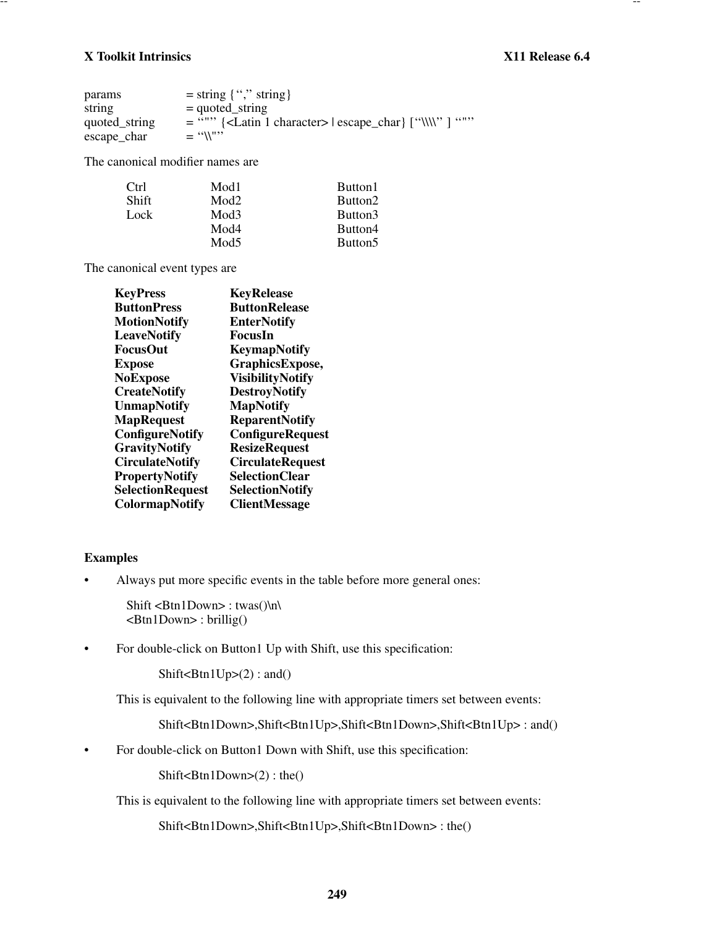| params        | $=$ string $\{$ "," string $\}$                                          |
|---------------|--------------------------------------------------------------------------|
| string        | $=$ quoted_string                                                        |
| quoted_string | $=$ """ { <latin 1="" character="">   escape_char} ["\\\\" ] """</latin> |
| escape_char   | $=$ "\\""                                                                |

-- --

The canonical modifier names are

| $C$ trl      | Mod1             | Button1             |
|--------------|------------------|---------------------|
| <b>Shift</b> | Mod <sub>2</sub> | Button2             |
| Lock         | Mod3             | Button3             |
|              | Mod4             | Button4             |
|              | Mod5             | Button <sub>5</sub> |

The canonical event types are

| <b>KeyPress</b>         | <b>KeyRelease</b>       |
|-------------------------|-------------------------|
| <b>ButtonPress</b>      | <b>ButtonRelease</b>    |
| <b>MotionNotify</b>     | <b>EnterNotify</b>      |
| <b>LeaveNotify</b>      | FocusIn                 |
| <b>FocusOut</b>         | <b>KeymapNotify</b>     |
| <b>Expose</b>           | GraphicsExpose,         |
| <b>NoExpose</b>         | <b>VisibilityNotify</b> |
| <b>CreateNotify</b>     | <b>DestroyNotify</b>    |
| <b>UnmapNotify</b>      | <b>MapNotify</b>        |
| <b>MapRequest</b>       | <b>ReparentNotify</b>   |
| <b>ConfigureNotify</b>  | <b>ConfigureRequest</b> |
| <b>GravityNotify</b>    | <b>ResizeRequest</b>    |
| <b>CirculateNotify</b>  | <b>CirculateRequest</b> |
| <b>PropertyNotify</b>   | SelectionClear          |
| <b>SelectionRequest</b> | <b>SelectionNotify</b>  |
| <b>ColormapNotify</b>   | <b>ClientMessage</b>    |

### **Examples**

Always put more specific events in the table before more general ones:

Shift <Btn1Down>: twas()\n\ <Btn1Down> : brillig()

• For double-click on Button1 Up with Shift, use this specification:

 $Shift < Btn1Up>(2) : and()$ 

This is equivalent to the following line with appropriate timers set between events:

Shift<Btn1Down>,Shift<Btn1Up>,Shift<Btn1Down>,Shift<Btn1Up> : and()

• For double-click on Button1 Down with Shift, use this specification:

 $Shift < Btn1Down > (2) : the()$ 

This is equivalent to the following line with appropriate timers set between events:

Shift<Btn1Down>,Shift<Btn1Up>,Shift<Btn1Down> : the()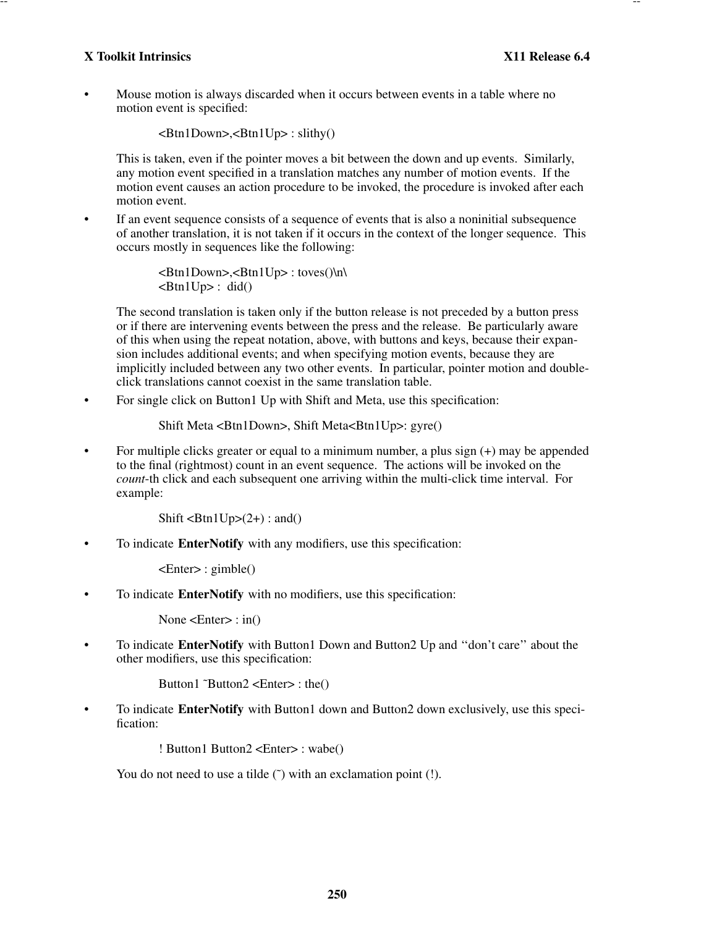• Mouse motion is always discarded when it occurs between events in a table where no motion event is specified:

-- --

<Btn1Down>,<Btn1Up> : slithy()

This is taken, even if the pointer moves a bit between the down and up events. Similarly, any motion event specified in a translation matches any number of motion events. If the motion event causes an action procedure to be invoked, the procedure is invoked after each motion event.

• If an event sequence consists of a sequence of events that is also a noninitial subsequence of another translation, it is not taken if it occurs in the context of the longer sequence. This occurs mostly in sequences like the following:

> <Btn1Down>,<Btn1Up> : toves()\n\  $\text{H1Up}>: \text{did}()$

The second translation is taken only if the button release is not preceded by a button press or if there are intervening events between the press and the release. Be particularly aware of this when using the repeat notation, above, with buttons and keys, because their expansion includes additional events; and when specifying motion events, because they are implicitly included between any two other events. In particular, pointer motion and doubleclick translations cannot coexist in the same translation table.

• For single click on Button1 Up with Shift and Meta, use this specification:

Shift Meta <Btn1Down>, Shift Meta<Btn1Up>: gyre()

For multiple clicks greater or equal to a minimum number, a plus sign  $(+)$  may be appended to the final (rightmost) count in an event sequence. The actions will be invoked on the *count*-th click and each subsequent one arriving within the multi-click time interval. For example:

Shift  $\langle \text{Btn1Up}(2+) : \text{and}()$ 

• To indicate **EnterNotify** with any modifiers, use this specification:

<Enter> : gimble()

• To indicate **EnterNotify** with no modifiers, use this specification:

None  $\leq$ Enter $>$ : in()

• To indicate **EnterNotify** with Button1 Down and Button2 Up and ''don't care'' about the other modifiers, use this specification:

Button1 ˜Button2 <Enter> : the()

• To indicate **EnterNotify** with Button1 down and Button2 down exclusively, use this specification:

! Button1 Button2 <Enter> : wabe()

You do not need to use a tilde  $(\tilde{\ })$  with an exclamation point  $(!).$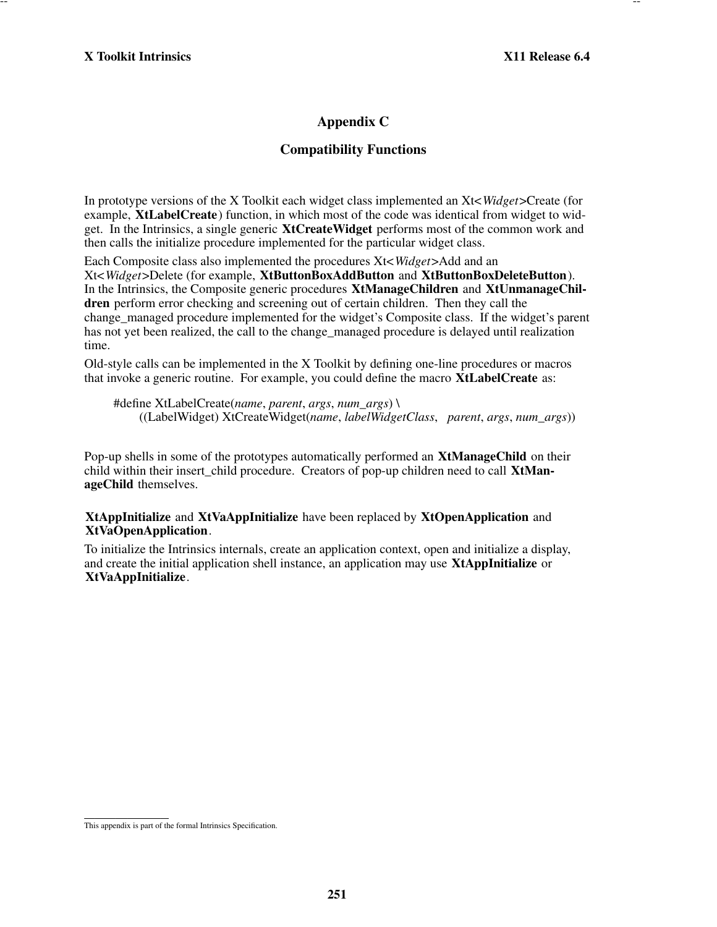## **Appendix C**

-- --

## **Compatibility Functions**

In prototype versions of the X Toolkit each widget class implemented an Xt<*Widget*>Create (for example, **XtLabelCreate**) function, in which most of the code was identical from widget to widget. In the Intrinsics, a single generic **XtCreateWidget** performs most of the common work and then calls the initialize procedure implemented for the particular widget class.

Each Composite class also implemented the procedures Xt<*Widget*>Add and an Xt<*Widget*>Delete (for example, **XtButtonBoxAddButton** and **XtButtonBoxDeleteButton**). In the Intrinsics, the Composite generic procedures **XtManageChildren** and **XtUnmanageChildren** perform error checking and screening out of certain children. Then they call the change\_managed procedure implemented for the widget's Composite class. If the widget's parent has not yet been realized, the call to the change managed procedure is delayed until realization time.

Old-style calls can be implemented in the X Toolkit by defining one-line procedures or macros that invoke a generic routine. For example, you could define the macro **XtLabelCreate** as:

#define XtLabelCreate(*name*, *parent*, *args*, *num\_args*) \ ((LabelWidget) XtCreateWidget(*name*, *labelWidgetClass*, *parent*, *args*, *num\_args*))

Pop-up shells in some of the prototypes automatically performed an **XtManageChild** on their child within their insert\_child procedure. Creators of pop-up children need to call **XtManageChild** themselves.

### **XtAppInitialize** and **XtVaAppInitialize** have been replaced by **XtOpenApplication** and **XtVaOpenApplication**.

To initialize the Intrinsics internals, create an application context, open and initialize a display, and create the initial application shell instance, an application may use **XtAppInitialize** or **XtVaAppInitialize**.

This appendix is part of the formal Intrinsics Specification.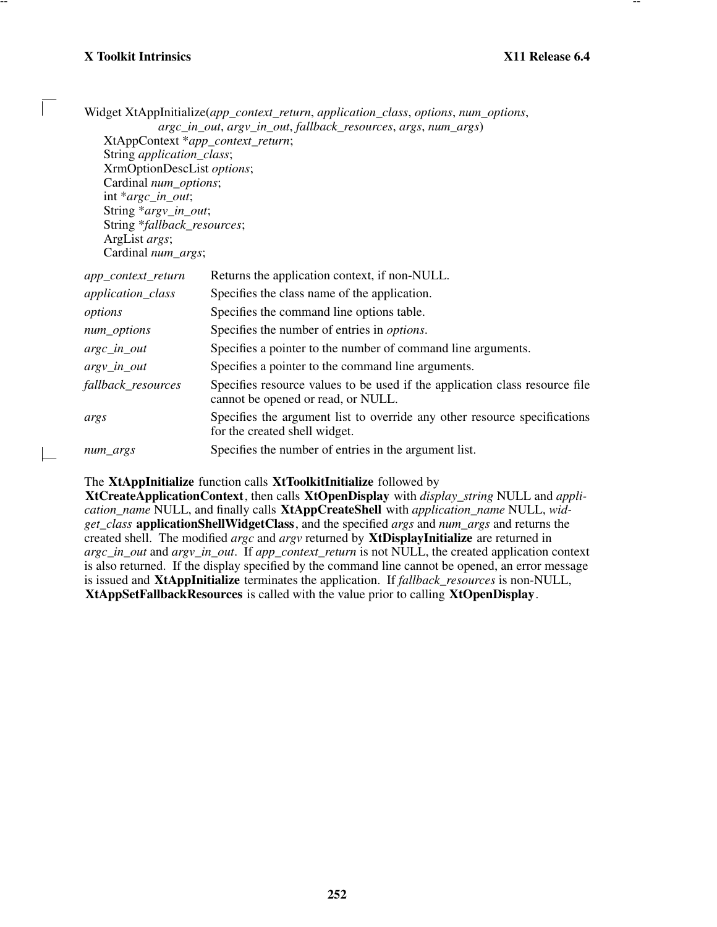$\Box$ 

Widget XtAppInitialize(*app\_context\_return*, *application\_class*, *options*, *num\_options*, *argc\_in\_out*, *argv\_in\_out*, *fallback\_resources*, *args*, *num\_args*) XtAppContext \**app\_context\_return*; String *application\_class*; XrmOptionDescList *options*; Cardinal *num\_options*; int \**argc\_in\_out*; String \**argv\_in\_out*; String \**fallback\_resources*; ArgList *args*; Cardinal *num\_args*;

-- --

| app_context_return       | Returns the application context, if non-NULL.                                                                     |
|--------------------------|-------------------------------------------------------------------------------------------------------------------|
| <i>application_class</i> | Specifies the class name of the application.                                                                      |
| options                  | Specifies the command line options table.                                                                         |
| num_options              | Specifies the number of entries in <i>options</i> .                                                               |
| $argc_in_out$            | Specifies a pointer to the number of command line arguments.                                                      |
| $argv_in_out$            | Specifies a pointer to the command line arguments.                                                                |
| fallback_resources       | Specifies resource values to be used if the application class resource file<br>cannot be opened or read, or NULL. |
| args                     | Specifies the argument list to override any other resource specifications<br>for the created shell widget.        |
| num args                 | Specifies the number of entries in the argument list.                                                             |

### The **XtAppInitialize** function calls **XtToolkitInitialize** followed by

**XtCreateApplicationContext**, then calls **XtOpenDisplay** with *display\_string* NULL and *application\_name* NULL, and finally calls **XtAppCreateShell** with *application\_name* NULL, *widget\_class* **applicationShellWidgetClass**, and the specified *args* and *num\_args* and returns the created shell. The modified *argc* and *argv* returned by **XtDisplayInitialize** are returned in *argc\_in\_out* and *argv\_in\_out*. If *app\_context\_return* is not NULL, the created application context is also returned. If the display specified by the command line cannot be opened, an error message is issued and **XtAppInitialize** terminates the application. If *fallback\_resources* is non-NULL, **XtAppSetFallbackResources** is called with the value prior to calling **XtOpenDisplay**.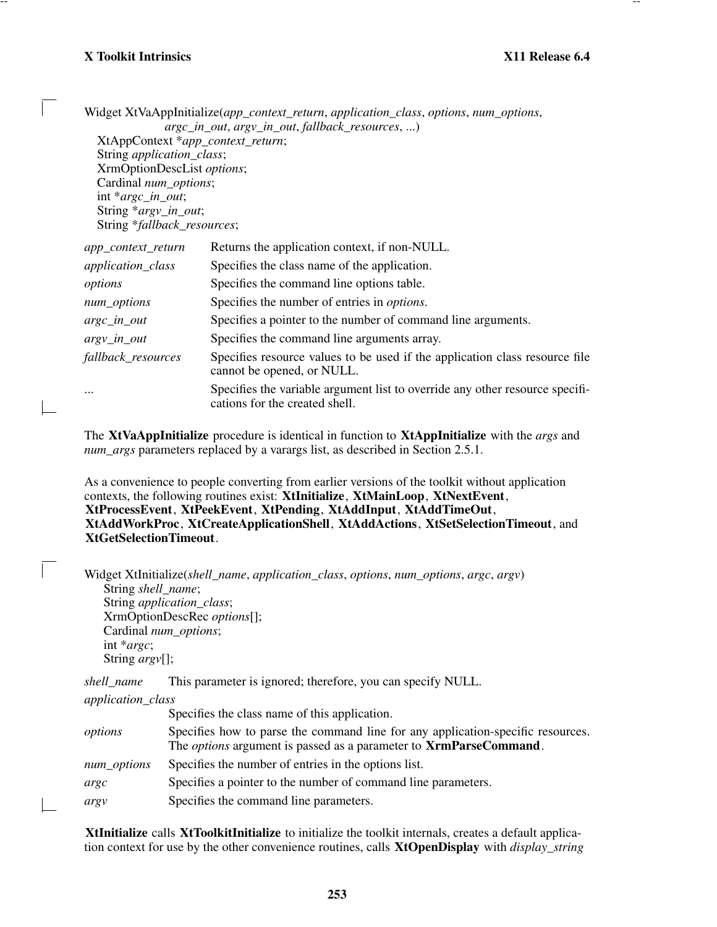$\mathbf{L}$ 

Widget XtVaAppInitialize(*app\_context\_return*, *application\_class*, *options*, *num\_options*, *argc\_in\_out*, *argv\_in\_out*, *fallback\_resources*, ...) XtAppContext \**app\_context\_return*; String *application\_class*; XrmOptionDescList *options*; Cardinal *num\_options*; int \**argc\_in\_out*; String \**argv\_in\_out*; String \**fallback\_resources*;

-- --

| app_context_return | Returns the application context, if non-NULL.                                                                  |
|--------------------|----------------------------------------------------------------------------------------------------------------|
| application_class  | Specifies the class name of the application.                                                                   |
| options            | Specifies the command line options table.                                                                      |
| num_options        | Specifies the number of entries in <i>options</i> .                                                            |
| $argc_in_out$      | Specifies a pointer to the number of command line arguments.                                                   |
| argy in out        | Specifies the command line arguments array.                                                                    |
| fallback_resources | Specifies resource values to be used if the application class resource file<br>cannot be opened, or NULL.      |
| $\cdots$           | Specifies the variable argument list to override any other resource specifi-<br>cations for the created shell. |

The **XtVaAppInitialize** procedure is identical in function to **XtAppInitialize** with the *args* and *num\_args* parameters replaced by a varargs list, as described in Section 2.5.1.

As a convenience to people converting from earlier versions of the toolkit without application contexts, the following routines exist: **XtInitialize**, **XtMainLoop**, **XtNextEvent**, **XtProcessEvent**, **XtPeekEvent**, **XtPending**, **XtAddInput**, **XtAddTimeOut**, **XtAddWorkProc**, **XtCreateApplicationShell**, **XtAddActions**, **XtSetSelectionTimeout**, and **XtGetSelectionTimeout**.

Widget XtInitialize(*shell\_name*, *application\_class*, *options*, *num\_options*, *argc*, *argv*) String *shell\_name*; String *application\_class*; XrmOptionDescRec *options*[]; Cardinal *num\_options*; int \**argc*; String *argv*[];

*shell\_name* This parameter is ignored; therefore, you can specify NULL.

*application\_class*

| <i>uppneunon</i> chap |                                                                                                                                                                     |
|-----------------------|---------------------------------------------------------------------------------------------------------------------------------------------------------------------|
|                       | Specifies the class name of this application.                                                                                                                       |
| options               | Specifies how to parse the command line for any application-specific resources.<br>The <i>options</i> argument is passed as a parameter to <b>XrmParseCommand</b> . |
| num_options           | Specifies the number of entries in the options list.                                                                                                                |
| argc                  | Specifies a pointer to the number of command line parameters.                                                                                                       |
| argy                  | Specifies the command line parameters.                                                                                                                              |
|                       |                                                                                                                                                                     |

**XtInitialize** calls **XtToolkitInitialize** to initialize the toolkit internals, creates a default application context for use by the other convenience routines, calls **XtOpenDisplay** with *display\_string*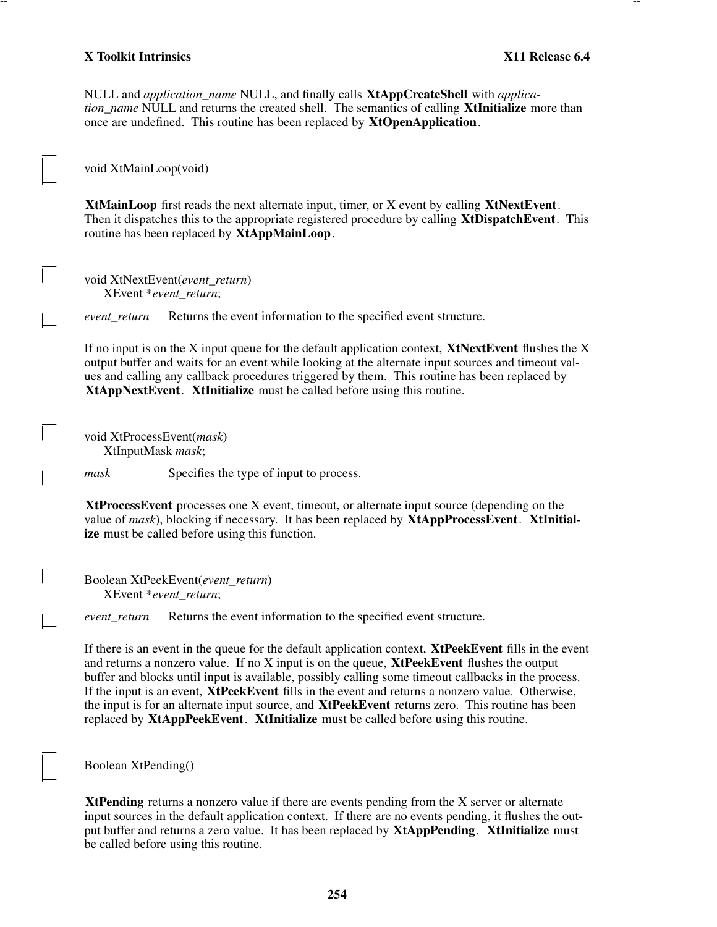NULL and *application\_name* NULL, and finally calls **XtAppCreateShell** with *application\_name* NULL and returns the created shell. The semantics of calling **XtInitialize** more than once are undefined. This routine has been replaced by **XtOpenApplication**.

-- --

void XtMainLoop(void)

**XtMainLoop** first reads the next alternate input, timer, or X event by calling **XtNextEvent**. Then it dispatches this to the appropriate registered procedure by calling **XtDispatchEvent**. This routine has been replaced by **XtAppMainLoop**.

void XtNextEvent(*event\_return*) XEvent \**event\_return*;

*event return* Returns the event information to the specified event structure.

If no input is on the X input queue for the default application context, **XtNextEvent** flushes the X output buffer and waits for an event while looking at the alternate input sources and timeout values and calling any callback procedures triggered by them. This routine has been replaced by **XtAppNextEvent**. **XtInitialize** must be called before using this routine.

void XtProcessEvent(*mask*) XtInputMask *mask*;

*mask* Specifies the type of input to process.

**XtProcessEvent** processes one X event, timeout, or alternate input source (depending on the value of *mask*), blocking if necessary. It has been replaced by **XtAppProcessEvent**. **XtInitialize** must be called before using this function.

Boolean XtPeekEvent(*event\_return*) XEvent \**event\_return*;

*event\_return* Returns the event information to the specified event structure.

If there is an event in the queue for the default application context, **XtPeekEvent** fills in the event and returns a nonzero value. If no X input is on the queue, **XtPeekEvent** flushes the output buffer and blocks until input is available, possibly calling some timeout callbacks in the process. If the input is an event, **XtPeekEvent** fills in the event and returns a nonzero value. Otherwise, the input is for an alternate input source, and **XtPeekEvent** returns zero. This routine has been replaced by **XtAppPeekEvent**. **XtInitialize** must be called before using this routine.

Boolean XtPending()

**XtPending** returns a nonzero value if there are events pending from the X server or alternate input sources in the default application context. If there are no events pending, it flushes the output buffer and returns a zero value. It has been replaced by **XtAppPending**. **XtInitialize** must be called before using this routine.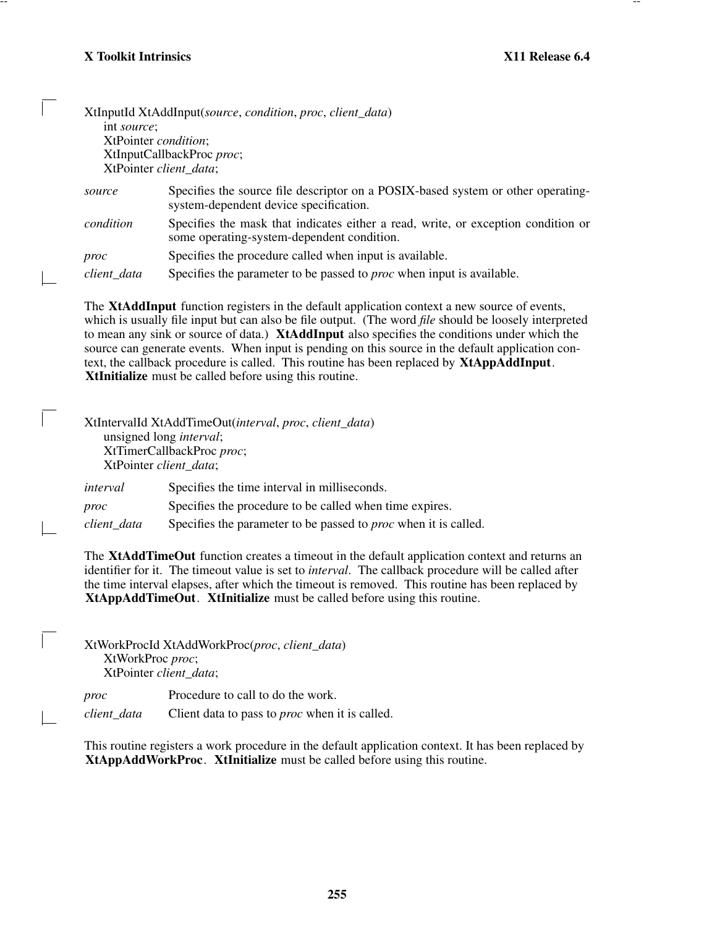Ē

XtInputId XtAddInput(*source*, *condition*, *proc*, *client\_data*) int *source*; XtPointer *condition*; XtInputCallbackProc *proc*; XtPointer *client\_data*;

-- --

*source* Specifies the source file descriptor on a POSIX-based system or other operatingsystem-dependent device specification. *condition* Specifies the mask that indicates either a read, write, or exception condition or some operating-system-dependent condition. *proc* Specifies the procedure called when input is available.

*client\_data* Specifies the parameter to be passed to *proc* when input is available.

The **XtAddInput** function registers in the default application context a new source of events, which is usually file input but can also be file output. (The word *file* should be loosely interpreted to mean any sink or source of data.) **XtAddInput** also specifies the conditions under which the source can generate events. When input is pending on this source in the default application context, the callback procedure is called. This routine has been replaced by **XtAppAddInput**. **XtInitialize** must be called before using this routine.

| XtIntervalId XtAddTimeOut(interval, proc, client_data) |
|--------------------------------------------------------|
| unsigned long <i>interval</i> ;                        |
| XtTimerCallbackProc proc;                              |
| XtPointer <i>client</i> data;                          |
|                                                        |

| interval    | Specifies the time interval in milliseconds.                           |
|-------------|------------------------------------------------------------------------|
| proc        | Specifies the procedure to be called when time expires.                |
| client data | Specifies the parameter to be passed to <i>proc</i> when it is called. |

The **XtAddTimeOut** function creates a timeout in the default application context and returns an identifier for it. The timeout value is set to *interval*. The callback procedure will be called after the time interval elapses, after which the timeout is removed. This routine has been replaced by **XtAppAddTimeOut**. **XtInitialize** must be called before using this routine.

XtWorkProcId XtAddWorkProc(*proc*, *client\_data*) XtWorkProc *proc*; XtPointer *client\_data*;

*proc* Procedure to call to do the work.

*client\_data* Client data to pass to *proc* when it is called.

This routine registers a work procedure in the default application context. It has been replaced by **XtAppAddWorkProc**. **XtInitialize** must be called before using this routine.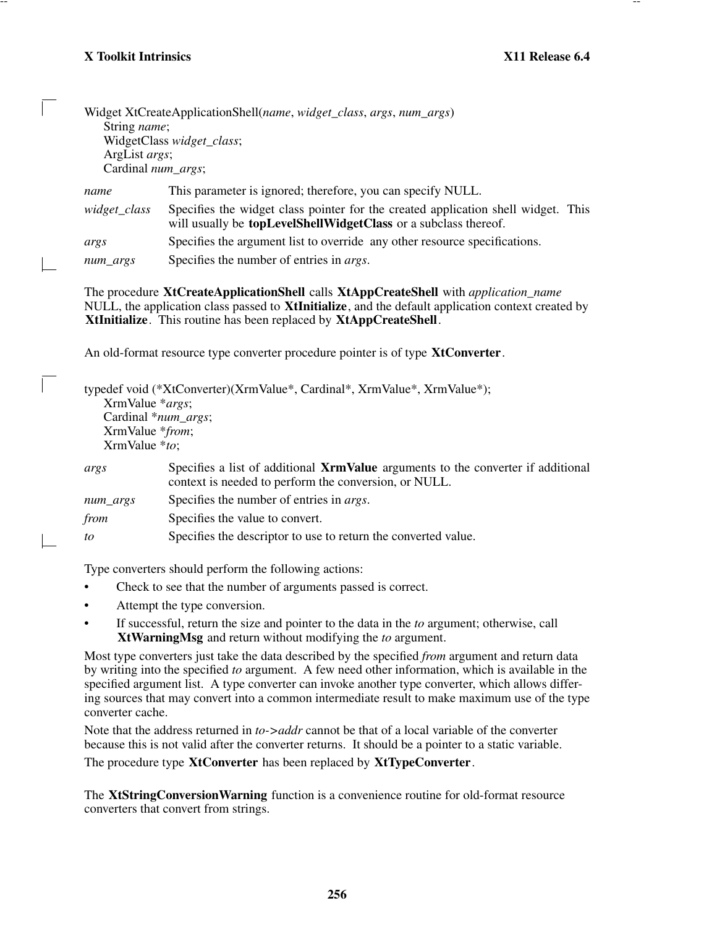|                      | Widget XtCreateApplicationShell(name, widget_class, args, num_args)                                                                                         |
|----------------------|-------------------------------------------------------------------------------------------------------------------------------------------------------------|
| String <i>name</i> ; |                                                                                                                                                             |
|                      | WidgetClass widget_class;                                                                                                                                   |
| ArgList args;        |                                                                                                                                                             |
| Cardinal num_args;   |                                                                                                                                                             |
| name                 | This parameter is ignored; therefore, you can specify NULL.                                                                                                 |
| widget_class         | Specifies the widget class pointer for the created application shell widget. This<br>will usually be <b>topLevelShellWidgetClass</b> or a subclass thereof. |
| args                 | Specifies the argument list to override any other resource specifications.                                                                                  |
| num args             | Specifies the number of entries in <i>args</i> .                                                                                                            |

-- --

The procedure **XtCreateApplicationShell** calls **XtAppCreateShell** with *application\_name* NULL, the application class passed to **XtInitialize**, and the default application context created by **XtInitialize**. This routine has been replaced by **XtAppCreateShell**.

An old-format resource type converter procedure pointer is of type **XtConverter**.

| XrmValue * <i>args</i> ;     | typedef void (*XtConverter)(XrmValue*, Cardinal*, XrmValue*, XrmValue*);                                                                         |  |
|------------------------------|--------------------------------------------------------------------------------------------------------------------------------------------------|--|
| Cardinal * <i>num_args</i> ; |                                                                                                                                                  |  |
| XrmValue *from;              |                                                                                                                                                  |  |
| XrmValue *to;                |                                                                                                                                                  |  |
| args                         | Specifies a list of additional <b>XrmValue</b> arguments to the converter if additional<br>context is needed to perform the conversion, or NULL. |  |
| num_args                     | Specifies the number of entries in <i>args</i> .                                                                                                 |  |
| from                         | Specifies the value to convert.                                                                                                                  |  |
| to                           | Specifies the descriptor to use to return the converted value.                                                                                   |  |

Type converters should perform the following actions:

- Check to see that the number of arguments passed is correct.
- Attempt the type conversion.
- If successful, return the size and pointer to the data in the *to* argument; otherwise, call **XtWarningMsg** and return without modifying the *to* argument.

Most type converters just take the data described by the specified *from* argument and return data by writing into the specified *to* argument. A few need other information, which is available in the specified argument list. A type converter can invoke another type converter, which allows differing sources that may convert into a common intermediate result to make maximum use of the type converter cache.

Note that the address returned in *to->addr* cannot be that of a local variable of the converter because this is not valid after the converter returns. It should be a pointer to a static variable.

The procedure type **XtConverter** has been replaced by **XtTypeConverter**.

The **XtStringConversionWarning** function is a convenience routine for old-format resource converters that convert from strings.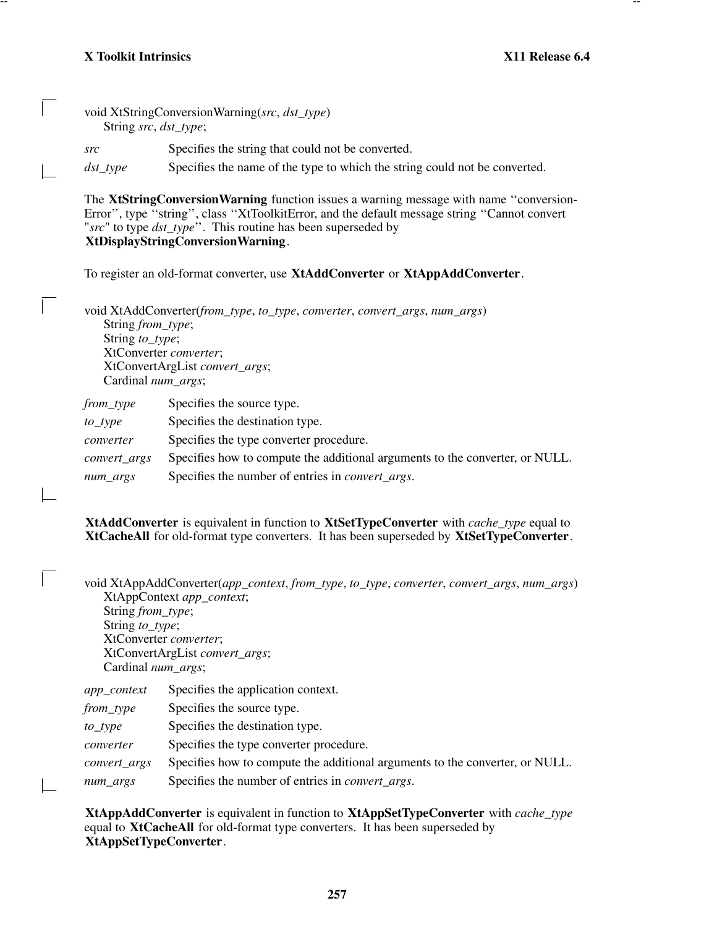L

| void XtStringConversionWarning(src, dst_type) |  |
|-----------------------------------------------|--|
| String <i>src</i> , <i>dst_type</i> ;         |  |

*src* Specifies the string that could not be converted.

*dst\_type* Specifies the name of the type to which the string could not be converted.

-- --

The **XtStringConversionWarning** function issues a warning message with name ''conversion-Error'', type ''string'', class ''XtToolkitError, and the default message string ''Cannot convert "*src*" to type *dst\_type*''. This routine has been superseded by **XtDisplayStringConversionWarning**.

To register an old-format converter, use **XtAddConverter** or **XtAppAddConverter**.

void XtAddConverter(*from\_type*, *to\_type*, *converter*, *convert\_args*, *num\_args*) String *from\_type*; String *to\_type*; XtConverter *converter*; XtConvertArgList *convert\_args*; Cardinal *num\_args*;

| from_type    | Specifies the source type.                                                   |
|--------------|------------------------------------------------------------------------------|
| to type      | Specifies the destination type.                                              |
| converter    | Specifies the type converter procedure.                                      |
| convert_args | Specifies how to compute the additional arguments to the converter, or NULL. |
| num_args     | Specifies the number of entries in <i>convert_args</i> .                     |

**XtAddConverter** is equivalent in function to **XtSetTypeConverter** with *cache\_type* equal to **XtCacheAll** for old-format type converters. It has been superseded by **XtSetTypeConverter**.

void XtAppAddConverter(*app\_context*, *from\_type*, *to\_type*, *converter*, *convert\_args*, *num\_args*) XtAppContext *app\_context*; String *from\_type*; String *to\_type*; XtConverter *converter*; XtConvertArgList *convert\_args*; Cardinal *num\_args*; *app\_context* Specifies the application context.

| from_type    | Specifies the source type.                                                   |
|--------------|------------------------------------------------------------------------------|
| to type      | Specifies the destination type.                                              |
| converter    | Specifies the type converter procedure.                                      |
| convert args | Specifies how to compute the additional arguments to the converter, or NULL. |
| num_args     | Specifies the number of entries in <i>convert args</i> .                     |

**XtAppAddConverter** is equivalent in function to **XtAppSetTypeConverter** with *cache\_type* equal to **XtCacheAll** for old-format type converters. It has been superseded by **XtAppSetTypeConverter**.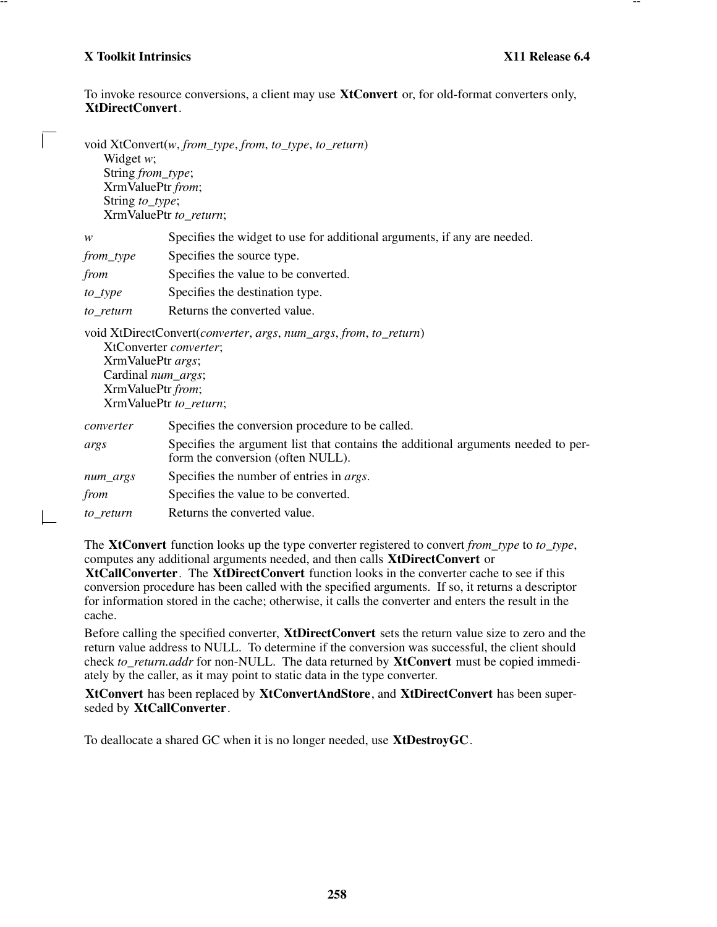To invoke resource conversions, a client may use **XtConvert** or, for old-format converters only, **XtDirectConvert**.

-- --

void XtConvert(*w*, *from\_type*, *from*, *to\_type*, *to\_return*) Widget *w*; String *from\_type*; XrmValuePtr *from*; String *to\_type*; XrmValuePtr *to\_return*;

*w* Specifies the widget to use for additional arguments, if any are needed.

| from_type | Specifies the source type.           |
|-----------|--------------------------------------|
| from      | Specifies the value to be converted. |
| to type   | Specifies the destination type.      |
| to return | Returns the converted value.         |

void XtDirectConvert(*converter*, *args*, *num\_args*, *from*, *to\_return*) XtConverter *converter*; XrmValuePtr *args*; Cardinal *num\_args*; XrmValuePtr *from*; XrmValuePtr *to\_return*;

| converter | Specifies the conversion procedure to be called.                                                                       |  |
|-----------|------------------------------------------------------------------------------------------------------------------------|--|
| args      | Specifies the argument list that contains the additional arguments needed to per-<br>form the conversion (often NULL). |  |
| num args  | Specifies the number of entries in <i>args</i> .                                                                       |  |
| from      | Specifies the value to be converted.                                                                                   |  |
| to return | Returns the converted value.                                                                                           |  |

The **XtConvert** function looks up the type converter registered to convert *from\_type* to *to\_type*, computes any additional arguments needed, and then calls **XtDirectConvert** or

**XtCallConverter**. The **XtDirectConvert** function looks in the converter cache to see if this conversion procedure has been called with the specified arguments. If so, it returns a descriptor for information stored in the cache; otherwise, it calls the converter and enters the result in the cache.

Before calling the specified converter, **XtDirectConvert** sets the return value size to zero and the return value address to NULL. To determine if the conversion was successful, the client should check *to\_return.addr* for non-NULL. The data returned by **XtConvert** must be copied immediately by the caller, as it may point to static data in the type converter.

**XtConvert** has been replaced by **XtConvertAndStore**, and **XtDirectConvert** has been superseded by **XtCallConverter**.

To deallocate a shared GC when it is no longer needed, use **XtDestroyGC**.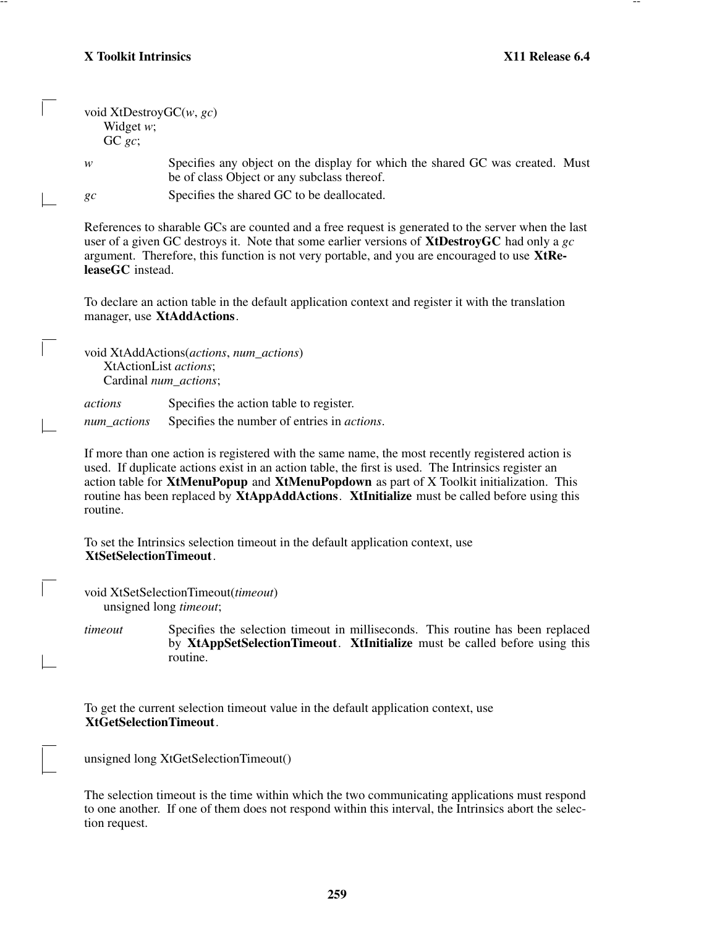| void XtDestroyGC $(w, gc)$ |  |
|----------------------------|--|
| Widget $w$ ;               |  |
| $GC$ gc;                   |  |

*w* Specifies any object on the display for which the shared GC was created. Must be of class Object or any subclass thereof.

-- --

*gc* Specifies the shared GC to be deallocated.

References to sharable GCs are counted and a free request is generated to the server when the last user of a given GC destroys it. Note that some earlier versions of **XtDestroyGC** had only a *gc* argument. Therefore, this function is not very portable, and you are encouraged to use **XtReleaseGC** instead.

To declare an action table in the default application context and register it with the translation manager, use **XtAddActions**.

void XtAddActions(*actions*, *num\_actions*) XtActionList *actions*; Cardinal *num\_actions*;

*actions* Specifies the action table to register. *num\_actions* Specifies the number of entries in *actions*.

If more than one action is registered with the same name, the most recently registered action is used. If duplicate actions exist in an action table, the first is used. The Intrinsics register an action table for **XtMenuPopup** and **XtMenuPopdown** as part of X Toolkit initialization. This routine has been replaced by **XtAppAddActions**. **XtInitialize** must be called before using this routine.

To set the Intrinsics selection timeout in the default application context, use **XtSetSelectionTimeout**.

- void XtSetSelectionTimeout(*timeout*) unsigned long *timeout*;
- *timeout* Specifies the selection timeout in milliseconds. This routine has been replaced by **XtAppSetSelectionTimeout**. **XtInitialize** must be called before using this routine.

To get the current selection timeout value in the default application context, use **XtGetSelectionTimeout**.

unsigned long XtGetSelectionTimeout()

The selection timeout is the time within which the two communicating applications must respond to one another. If one of them does not respond within this interval, the Intrinsics abort the selection request.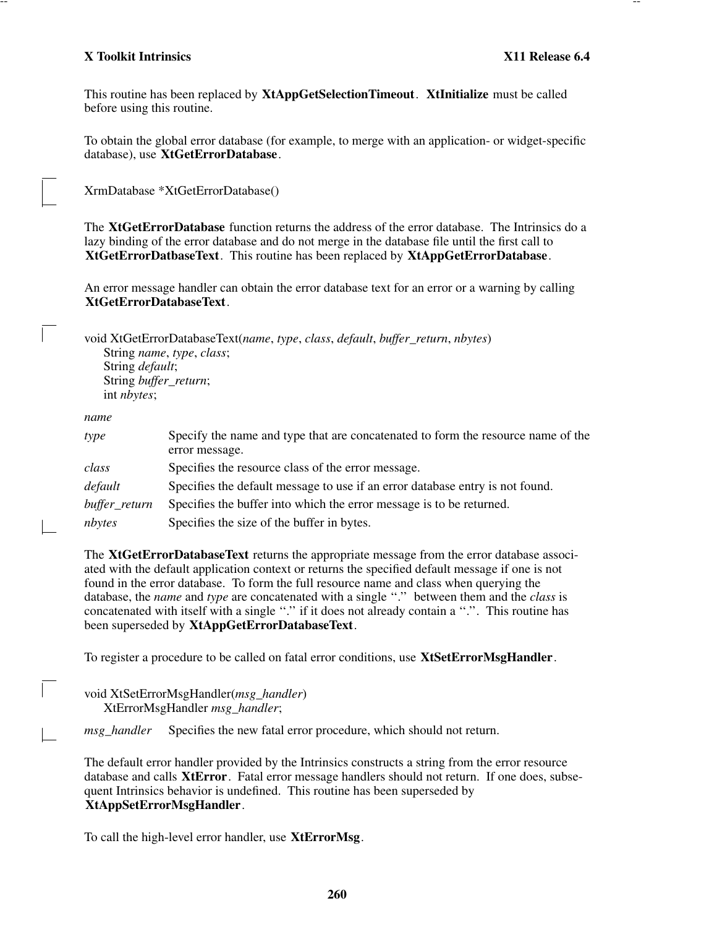This routine has been replaced by **XtAppGetSelectionTimeout**. **XtInitialize** must be called before using this routine.

-- --

To obtain the global error database (for example, to merge with an application- or widget-specific database), use **XtGetErrorDatabase**.

XrmDatabase \*XtGetErrorDatabase()

The **XtGetErrorDatabase** function returns the address of the error database. The Intrinsics do a lazy binding of the error database and do not merge in the database file until the first call to **XtGetErrorDatbaseText**. This routine has been replaced by **XtAppGetErrorDatabase**.

An error message handler can obtain the error database text for an error or a warning by calling **XtGetErrorDatabaseText**.

void XtGetErrorDatabaseText(*name*, *type*, *class*, *default*, *buffer\_return*, *nbytes*) String *name*, *type*, *class*; String *default*; String *buffer\_return*; int *nbytes*;

*name*

| type          | Specify the name and type that are concatenated to form the resource name of the<br>error message. |  |
|---------------|----------------------------------------------------------------------------------------------------|--|
| class         | Specifies the resource class of the error message.                                                 |  |
| default       | Specifies the default message to use if an error database entry is not found.                      |  |
| buffer return | Specifies the buffer into which the error message is to be returned.                               |  |
| nbytes        | Specifies the size of the buffer in bytes.                                                         |  |

The **XtGetErrorDatabaseText** returns the appropriate message from the error database associated with the default application context or returns the specified default message if one is not found in the error database. To form the full resource name and class when querying the database, the *name* and *type* are concatenated with a single ''.'' between them and the *class* is concatenated with itself with a single "." if it does not already contain a ".". This routine has been superseded by **XtAppGetErrorDatabaseText**.

To register a procedure to be called on fatal error conditions, use **XtSetErrorMsgHandler**.

void XtSetErrorMsgHandler(*msg\_handler*) XtErrorMsgHandler *msg\_handler*;

*msg\_handler* Specifies the new fatal error procedure, which should not return.

The default error handler provided by the Intrinsics constructs a string from the error resource database and calls **XtError**. Fatal error message handlers should not return. If one does, subsequent Intrinsics behavior is undefined. This routine has been superseded by **XtAppSetErrorMsgHandler**.

To call the high-level error handler, use **XtErrorMsg**.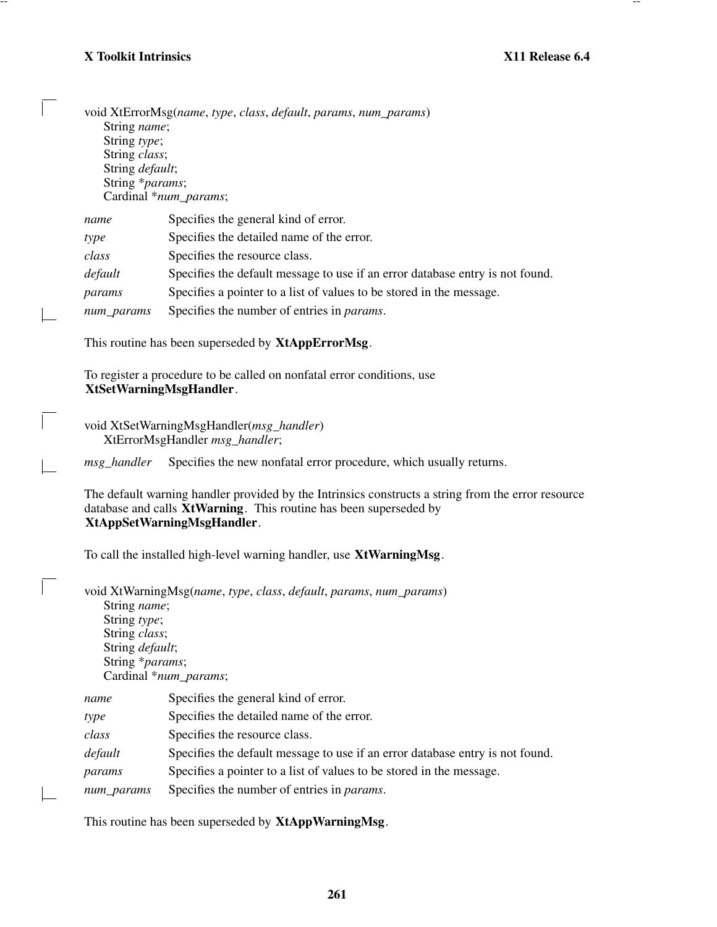-- --

 $\mathbf{L}$ 

void XtErrorMsg(*name*, *type*, *class*, *default*, *params*, *num\_params*) String *name*; String *type*; String *class*; String *default*; String \**params*; Cardinal \**num\_params*;

| name       | Specifies the general kind of error.                                          |  |
|------------|-------------------------------------------------------------------------------|--|
| type       | Specifies the detailed name of the error.                                     |  |
| class      | Specifies the resource class.                                                 |  |
| default    | Specifies the default message to use if an error database entry is not found. |  |
| params     | Specifies a pointer to a list of values to be stored in the message.          |  |
| num_params | Specifies the number of entries in <i>params</i> .                            |  |

This routine has been superseded by **XtAppErrorMsg**.

To register a procedure to be called on nonfatal error conditions, use **XtSetWarningMsgHandler**.

void XtSetWarningMsgHandler(*msg\_handler*) XtErrorMsgHandler *msg\_handler*;

*msg\_handler* Specifies the new nonfatal error procedure, which usually returns.

The default warning handler provided by the Intrinsics constructs a string from the error resource database and calls **XtWarning**. This routine has been superseded by **XtAppSetWarningMsgHandler**.

To call the installed high-level warning handler, use **XtWarningMsg**.

void XtWarningMsg(*name*, *type*, *class*, *default*, *params*, *num\_params*) String *name*; String *type*; String *class*;

String *default*; String \**params*; Cardinal \**num\_params*;

| name       | Specifies the general kind of error.                                          |  |
|------------|-------------------------------------------------------------------------------|--|
| type       | Specifies the detailed name of the error.                                     |  |
| class      | Specifies the resource class.                                                 |  |
| default    | Specifies the default message to use if an error database entry is not found. |  |
| params     | Specifies a pointer to a list of values to be stored in the message.          |  |
| num_params | Specifies the number of entries in <i>params</i> .                            |  |

This routine has been superseded by **XtAppWarningMsg**.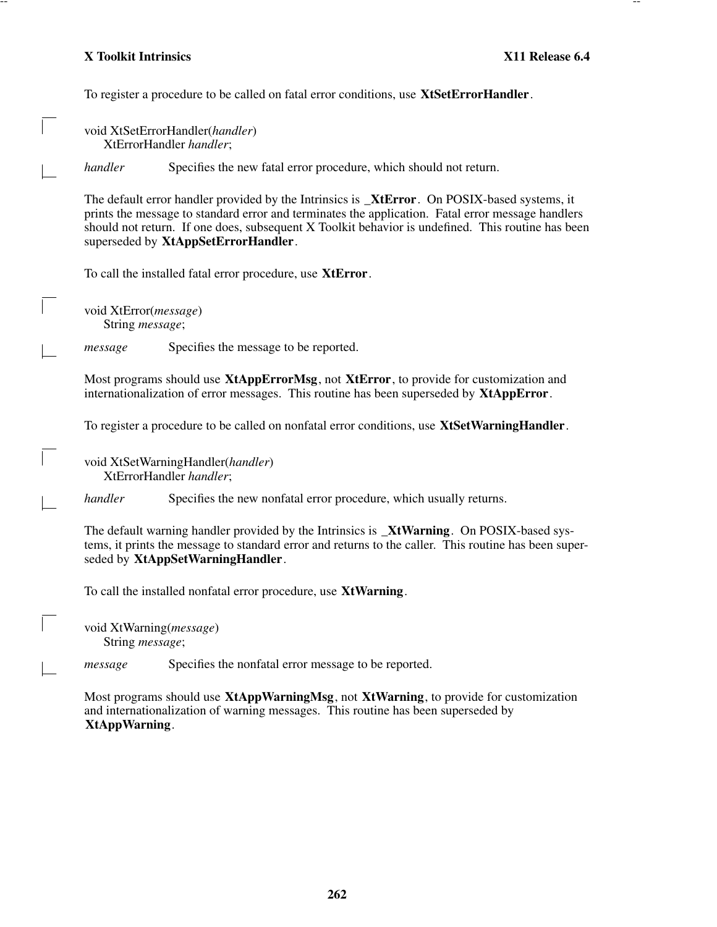To register a procedure to be called on fatal error conditions, use **XtSetErrorHandler**.

-- --

void XtSetErrorHandler(*handler*) XtErrorHandler *handler*;

*handler* Specifies the new fatal error procedure, which should not return.

The default error handler provided by the Intrinsics is **\_XtError**. On POSIX-based systems, it prints the message to standard error and terminates the application. Fatal error message handlers should not return. If one does, subsequent X Toolkit behavior is undefined. This routine has been superseded by **XtAppSetErrorHandler**.

To call the installed fatal error procedure, use **XtError**.

void XtError(*message*) String *message*;

*message* Specifies the message to be reported.

Most programs should use **XtAppErrorMsg**, not **XtError**, to provide for customization and internationalization of error messages. This routine has been superseded by **XtAppError**.

To register a procedure to be called on nonfatal error conditions, use **XtSetWarningHandler**.

void XtSetWarningHandler(*handler*) XtErrorHandler *handler*;

*handler* Specifies the new nonfatal error procedure, which usually returns.

The default warning handler provided by the Intrinsics is **\_XtWarning**. On POSIX-based systems, it prints the message to standard error and returns to the caller. This routine has been superseded by **XtAppSetWarningHandler**.

To call the installed nonfatal error procedure, use **XtWarning**.

void XtWarning(*message*) String *message*;

*message* Specifies the nonfatal error message to be reported.

Most programs should use **XtAppWarningMsg**, not **XtWarning**, to provide for customization and internationalization of warning messages. This routine has been superseded by **XtAppWarning**.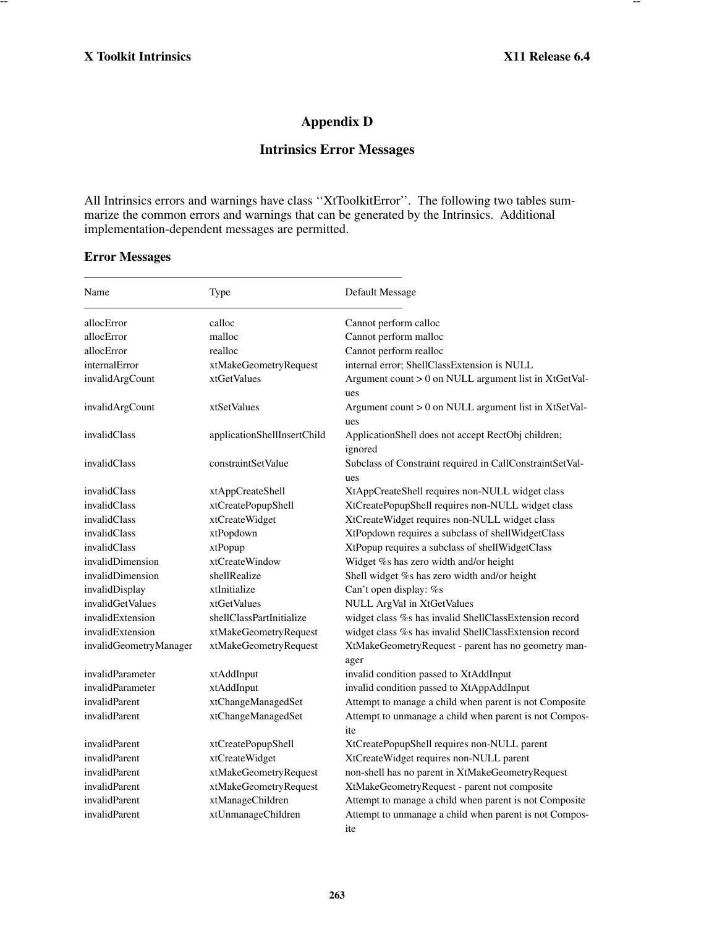## **Appendix D**

-- --

# **Intrinsics Error Messages**

All Intrinsics errors and warnings have class ''XtToolkitError''. The following two tables summarize the common errors and warnings that can be generated by the Intrinsics. Additional implementation-dependent messages are permitted.

## **Error Messages**

| Name                   | Type                        | Default Message                                                 |
|------------------------|-----------------------------|-----------------------------------------------------------------|
| allocError             | calloc                      | Cannot perform calloc                                           |
| allocError             | malloc                      | Cannot perform malloc                                           |
| allocError             | realloc                     | Cannot perform realloc                                          |
| internalError          | xtMakeGeometryRequest       | internal error; ShellClassExtension is NULL                     |
| invalidArgCount        | xtGetValues                 | Argument count > 0 on NULL argument list in XtGetVal-<br>ues    |
| invalidArgCount        | xtSetValues                 | Argument count > 0 on NULL argument list in XtSetVal-<br>ues    |
| invalidClass           | applicationShellInsertChild | ApplicationShell does not accept RectObj children;<br>ignored   |
| invalidClass           | constraintSetValue          | Subclass of Constraint required in CallConstraintSetVal-<br>ues |
| invalidClass           | xtAppCreateShell            | XtAppCreateShell requires non-NULL widget class                 |
| invalidClass           | xtCreatePopupShell          | XtCreatePopupShell requires non-NULL widget class               |
| invalidClass           | xtCreateWidget              | XtCreateWidget requires non-NULL widget class                   |
| invalidClass           | xtPopdown                   | XtPopdown requires a subclass of shellWidgetClass               |
| invalidClass           | xtPopup                     | XtPopup requires a subclass of shellWidgetClass                 |
| invalidDimension       | xtCreateWindow              | Widget %s has zero width and/or height                          |
| invalidDimension       | shellRealize                | Shell widget %s has zero width and/or height                    |
| invalidDisplay         | xtInitialize                | Can't open display: %s                                          |
| invalidGetValues       | xtGetValues                 | NULL ArgVal in XtGetValues                                      |
| invalidExtension       | shellClassPartInitialize    | widget class %s has invalid ShellClassExtension record          |
| invalidExtension       | xtMakeGeometryRequest       | widget class %s has invalid ShellClassExtension record          |
| invalidGeometryManager | xtMakeGeometryRequest       | XtMakeGeometryRequest - parent has no geometry man-<br>ager     |
| invalidParameter       | xtAddInput                  | invalid condition passed to XtAddInput                          |
| invalidParameter       | xtAddInput                  | invalid condition passed to XtAppAddInput                       |
| invalidParent          | xtChangeManagedSet          | Attempt to manage a child when parent is not Composite          |
| invalidParent          | xtChangeManagedSet          | Attempt to unmanage a child when parent is not Compos-<br>ite   |
| invalidParent          | xtCreatePopupShell          | XtCreatePopupShell requires non-NULL parent                     |
| invalidParent          | xtCreateWidget              | XtCreateWidget requires non-NULL parent                         |
| invalidParent          | xtMakeGeometryRequest       | non-shell has no parent in XtMakeGeometryRequest                |
| invalidParent          | xtMakeGeometryRequest       | XtMakeGeometryRequest - parent not composite                    |
| invalidParent          | xtManageChildren            | Attempt to manage a child when parent is not Composite          |
| invalidParent          | xtUnmanageChildren          | Attempt to unmanage a child when parent is not Compos-<br>ite   |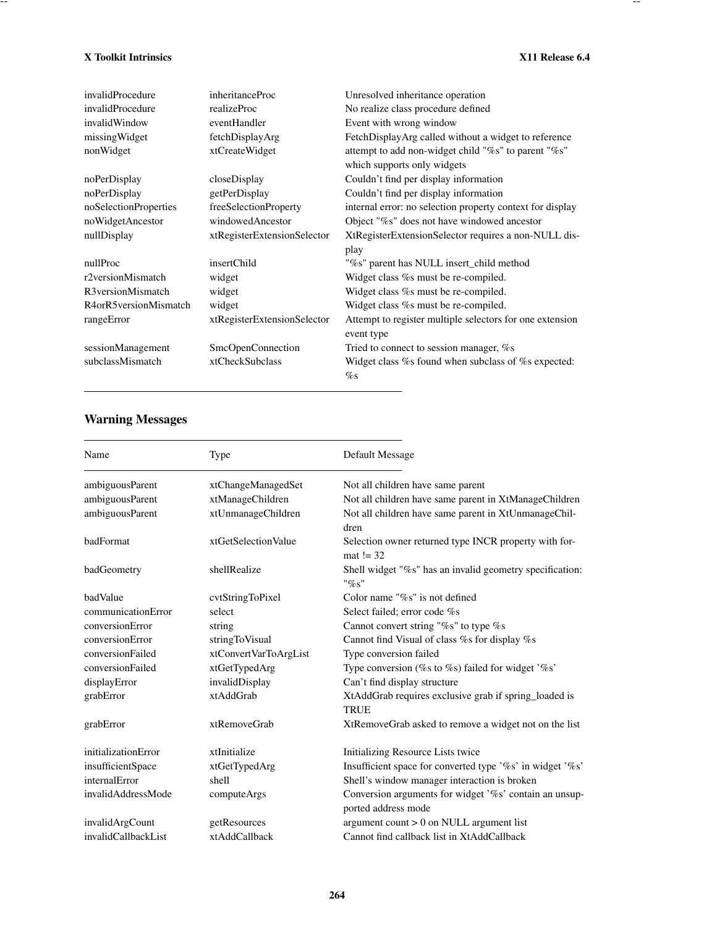| invalidProcedure        | <i>inheritanceProc</i>      | Unresolved inheritance operation                          |
|-------------------------|-----------------------------|-----------------------------------------------------------|
| invalidProcedure        | realizeProc                 | No realize class procedure defined                        |
| invalidWindow           | eventHandler                | Event with wrong window                                   |
| missing Widget          | fetchDisplayArg             | FetchDisplayArg called without a widget to reference      |
| nonWidget               | xtCreateWidget              | attempt to add non-widget child "%s" to parent "%s"       |
|                         |                             | which supports only widgets                               |
| noPerDisplay            | closeDisplay                | Couldn't find per display information                     |
| noPerDisplay            | getPerDisplay               | Couldn't find per display information                     |
| noSelectionProperties   | freeSelectionProperty       | internal error: no selection property context for display |
| noWidgetAncestor        | windowedAncestor            | Object "%s" does not have windowed ancestor               |
| nullDisplay             | xtRegisterExtensionSelector | XtRegisterExtensionSelector requires a non-NULL dis-      |
|                         |                             | play                                                      |
| nullProc                | insertChild                 | "%s" parent has NULL insert_child method                  |
| r2versionMismatch       | widget                      | Widget class % must be re-compiled.                       |
| R3 version Mismatch     | widget                      | Widget class % must be re-compiled.                       |
| R4orR5 version Mismatch | widget                      | Widget class % must be re-compiled.                       |
| rangeError              | xtRegisterExtensionSelector | Attempt to register multiple selectors for one extension  |
|                         |                             | event type                                                |
| sessionManagement       | <b>SmcOpenConnection</b>    | Tried to connect to session manager, %s                   |
| subclassMismatch        | xtCheckSubclass             | Widget class % found when subclass of % expected:         |
|                         |                             | $\%$ s                                                    |

-- --

# **Warning Messages**

| Name                | Type                  | Default Message                                                               |
|---------------------|-----------------------|-------------------------------------------------------------------------------|
| ambiguousParent     | xtChangeManagedSet    | Not all children have same parent                                             |
| ambiguousParent     | xtManageChildren      | Not all children have same parent in XtManageChildren                         |
| ambiguousParent     | xtUnmanageChildren    | Not all children have same parent in XtUnmanageChil-<br>dren                  |
| badFormat           | xtGetSelectionValue   | Selection owner returned type INCR property with for-<br>mat $!= 32$          |
| badGeometry         | shellRealize          | Shell widget "%s" has an invalid geometry specification:<br>"%s"              |
| badValue            | cvtStringToPixel      | Color name "%s" is not defined                                                |
| communicationError  | select                | Select failed; error code %s                                                  |
| conversionError     | string                | Cannot convert string "%s" to type %s                                         |
| conversionError     | stringToVisual        | Cannot find Visual of class % for display % of                                |
| conversionFailed    | xtConvertVarToArgList | Type conversion failed                                                        |
| conversionFailed    | xtGetTypedArg         | Type conversion (%s to %s) failed for widget '%s'                             |
| displayError        | invalidDisplay        | Can't find display structure                                                  |
| grabError           | xtAddGrab             | XtAddGrab requires exclusive grab if spring_loaded is<br><b>TRUE</b>          |
| grabError           | xtRemoveGrab          | XtRemoveGrab asked to remove a widget not on the list                         |
| initializationError | xtInitialize          | Initializing Resource Lists twice                                             |
| insufficientSpace   | xtGetTypedArg         | Insufficient space for converted type '%s' in widget '%s'                     |
| internalError       | shell                 | Shell's window manager interaction is broken                                  |
| invalidAddressMode  | computeArgs           | Conversion arguments for widget '%s' contain an unsup-<br>ported address mode |
| invalidArgCount     | getResources          | argument count > 0 on NULL argument list                                      |
| invalidCallbackList | xtAddCallback         | Cannot find callback list in XtAddCallback                                    |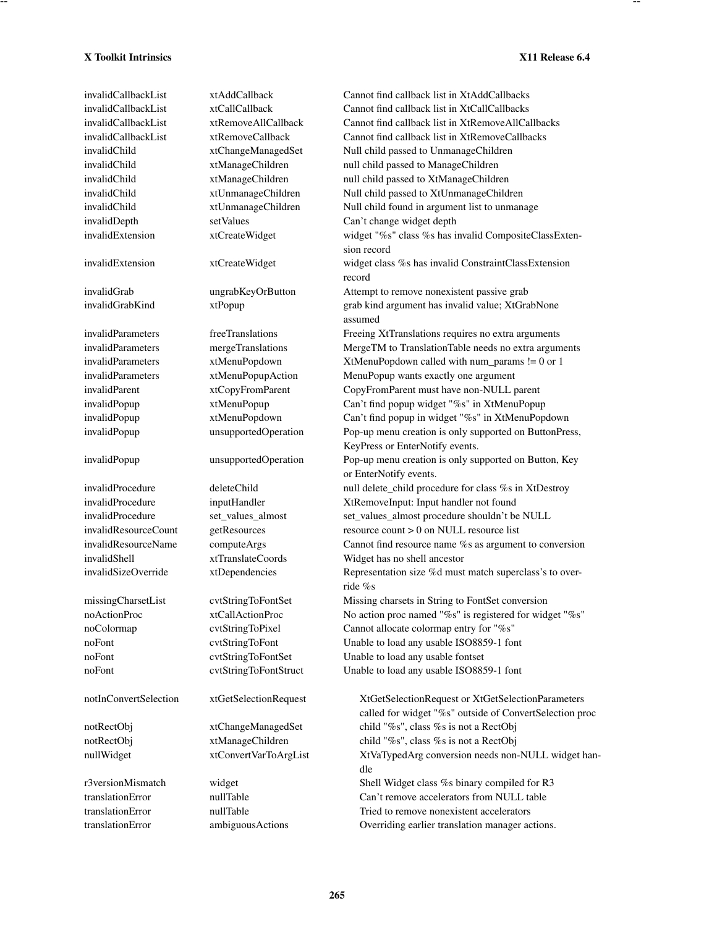| invalidCallbackList   | xtAddCallback         | Cannot find callback list in XtAddCallbacks                                                                  |
|-----------------------|-----------------------|--------------------------------------------------------------------------------------------------------------|
| invalidCallbackList   | xtCallCallback        | Cannot find callback list in XtCallCallbacks                                                                 |
| invalidCallbackList   | xtRemoveAllCallback   | Cannot find callback list in XtRemoveAllCallbacks                                                            |
| invalidCallbackList   | xtRemoveCallback      | Cannot find callback list in XtRemoveCallbacks                                                               |
| invalidChild          | xtChangeManagedSet    | Null child passed to UnmanageChildren                                                                        |
| invalidChild          | xtManageChildren      | null child passed to ManageChildren                                                                          |
| invalidChild          | xtManageChildren      | null child passed to XtManageChildren                                                                        |
| invalidChild          | xtUnmanageChildren    | Null child passed to XtUnmanageChildren                                                                      |
| invalidChild          | xtUnmanageChildren    | Null child found in argument list to unmanage                                                                |
| invalidDepth          | setValues             | Can't change widget depth                                                                                    |
| invalidExtension      | xtCreateWidget        | widget "%s" class %s has invalid CompositeClassExten-<br>sion record                                         |
| invalidExtension      | xtCreateWidget        | widget class %s has invalid ConstraintClassExtension<br>record                                               |
| invalidGrab           | ungrabKeyOrButton     | Attempt to remove nonexistent passive grab                                                                   |
| invalidGrabKind       | xtPopup               | grab kind argument has invalid value; XtGrabNone<br>assumed                                                  |
| invalidParameters     | freeTranslations      | Freeing XtTranslations requires no extra arguments                                                           |
| invalidParameters     | mergeTranslations     | MergeTM to TranslationTable needs no extra arguments                                                         |
| invalidParameters     | xtMenuPopdown         | XtMenuPopdown called with num_params $!= 0$ or 1                                                             |
| invalidParameters     | xtMenuPopupAction     | MenuPopup wants exactly one argument                                                                         |
| invalidParent         | xtCopyFromParent      | CopyFromParent must have non-NULL parent                                                                     |
| invalidPopup          | xtMenuPopup           | Can't find popup widget "%s" in XtMenuPopup                                                                  |
| invalidPopup          | xtMenuPopdown         | Can't find popup in widget "%s" in XtMenuPopdown                                                             |
| invalidPopup          | unsupportedOperation  | Pop-up menu creation is only supported on ButtonPress,<br>KeyPress or EnterNotify events.                    |
| invalidPopup          | unsupportedOperation  | Pop-up menu creation is only supported on Button, Key<br>or EnterNotify events.                              |
| invalidProcedure      | deleteChild           | null delete_child procedure for class %s in XtDestroy                                                        |
| invalidProcedure      | inputHandler          | XtRemoveInput: Input handler not found                                                                       |
| invalidProcedure      | set_values_almost     | set_values_almost procedure shouldn't be NULL                                                                |
| invalidResourceCount  | getResources          | resource count > 0 on NULL resource list                                                                     |
| invalidResourceName   | computeArgs           | Cannot find resource name % as argument to conversion                                                        |
| invalidShell          | xtTranslateCoords     | Widget has no shell ancestor                                                                                 |
| invalidSizeOverride   | xtDependencies        | Representation size %d must match superclass's to over-<br>ride %s                                           |
| missingCharsetList    | cvtStringToFontSet    | Missing charsets in String to FontSet conversion                                                             |
| noActionProc          | xtCallActionProc      | No action proc named "%s" is registered for widget "%s"                                                      |
| noColormap            | cvtStringToPixel      | Cannot allocate colormap entry for "%s"                                                                      |
| noFont                | cvtStringToFont       | Unable to load any usable ISO8859-1 font                                                                     |
| noFont                | cvtStringToFontSet    | Unable to load any usable fontset                                                                            |
| noFont                | cvtStringToFontStruct | Unable to load any usable ISO8859-1 font                                                                     |
| notInConvertSelection | xtGetSelectionRequest | XtGetSelectionRequest or XtGetSelectionParameters<br>called for widget "%s" outside of ConvertSelection proc |
| notRectObj            | xtChangeManagedSet    | child "%s", class %s is not a RectObj                                                                        |
| notRectObj            | xtManageChildren      | child "%s", class %s is not a RectObj                                                                        |
| nullWidget            | xtConvertVarToArgList | XtVaTypedArg conversion needs non-NULL widget han-<br>dle                                                    |
| r3versionMismatch     | widget                | Shell Widget class %s binary compiled for R3                                                                 |
| translationError      | nullTable             | Can't remove accelerators from NULL table                                                                    |
| translationError      | nullTable             | Tried to remove nonexistent accelerators                                                                     |
| translationError      | ambiguousActions      | Overriding earlier translation manager actions.                                                              |
|                       |                       |                                                                                                              |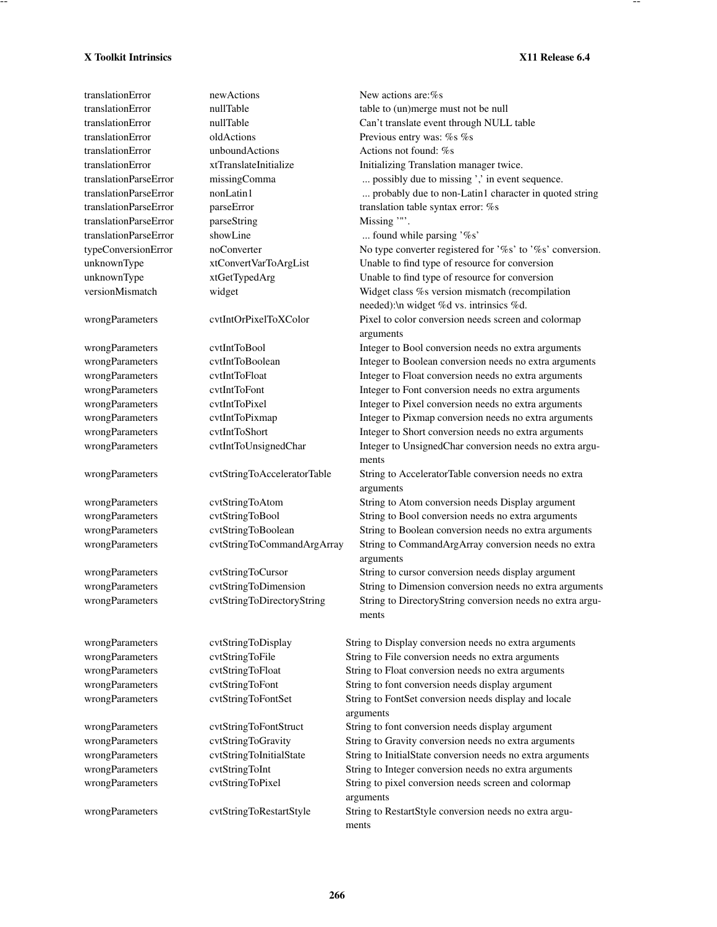translationError newActions New actions are:%s translationError **nullTable** table to (un)merge must not be null translationError nullTable Can't translate event through NULL table translationError **oldActions** Previous entry was: %s %s translationError unboundActions Actions not found: %s translationError xtTranslateInitialize Initializing Translation manager twice. translationParseError missingComma ... possibly due to missing ',' in event sequence. translationParseError nonLatin1 ... probably due to non-Latin1 character in quoted string translationParseError parseError translation table syntax error: %s translationParseError parseString Missing '"'. translationParseError showLine ... found while parsing '%s' typeConversionError noConverter noConverter noConverter Registered for '%s' to '%s' conversion. unknownType xtConvertVarToArgList Unable to find type of resource for conversion unknownType xtGetTypedArg Unable to find type of resource for conversion versionMismatch widget Widget class %s version mismatch (recompilation needed):\n widget %d vs. intrinsics %d. wrongParameters cvtIntOrPixelToXColor Pixel to color conversion needs screen and colormap arguments wrongParameters cvtIntToBool Integer to Bool conversion needs no extra arguments wrongParameters cvtIntToBoolean Integer to Boolean conversion needs no extra arguments wrongParameters cvtIntToFloat Integer to Float conversion needs no extra arguments wrongParameters cvtIntToFont Integer to Font conversion needs no extra arguments wrongParameters cvtIntToPixel Integer to Pixel conversion needs no extra arguments wrongParameters cvtIntToPixmap Integer to Pixmap conversion needs no extra arguments wrongParameters cvtIntToShort Integer to Short conversion needs no extra arguments wrongParameters cvtIntToUnsignedChar Integer to UnsignedChar conversion needs no extra arguments wrongParameters cvtStringToAcceleratorTable String to AcceleratorTable conversion needs no extra arguments wrongParameters cvtStringToAtom String to Atom conversion needs Display argument wrongParameters cvtStringToBool String to Bool conversion needs no extra arguments wrongParameters cvtStringToBoolean String to Boolean conversion needs no extra arguments wrongParameters cvtStringToCommandArgArray String to CommandArgArray conversion needs no extra arguments wrongParameters cvtStringToCursor String to cursor conversion needs display argument wrongParameters cvtStringToDimension String to Dimension conversion needs no extra arguments wrongParameters cvtStringToDirectoryString String to DirectoryString conversion needs no extra arguments wrongParameters cvtStringToDisplay String to Display conversion needs no extra arguments wrongParameters cvtStringToFile String to File conversion needs no extra arguments wrongParameters cvtStringToFloat String to Float conversion needs no extra arguments wrongParameters cvtStringToFont String to font conversion needs display argument wrongParameters cvtStringToFontSet String to FontSet conversion needs display and locale arguments wrongParameters cvtStringToFontStruct String to font conversion needs display argument wrongParameters cvtStringToGravity String to Gravity conversion needs no extra arguments wrongParameters cvtStringToInitialState String to InitialState conversion needs no extra arguments wrongParameters cvtStringToInt String to Integer conversion needs no extra arguments wrongParameters cvtStringToPixel String to pixel conversion needs screen and colormap arguments wrongParameters cvtStringToRestartStyle String to RestartStyle conversion needs no extra arguments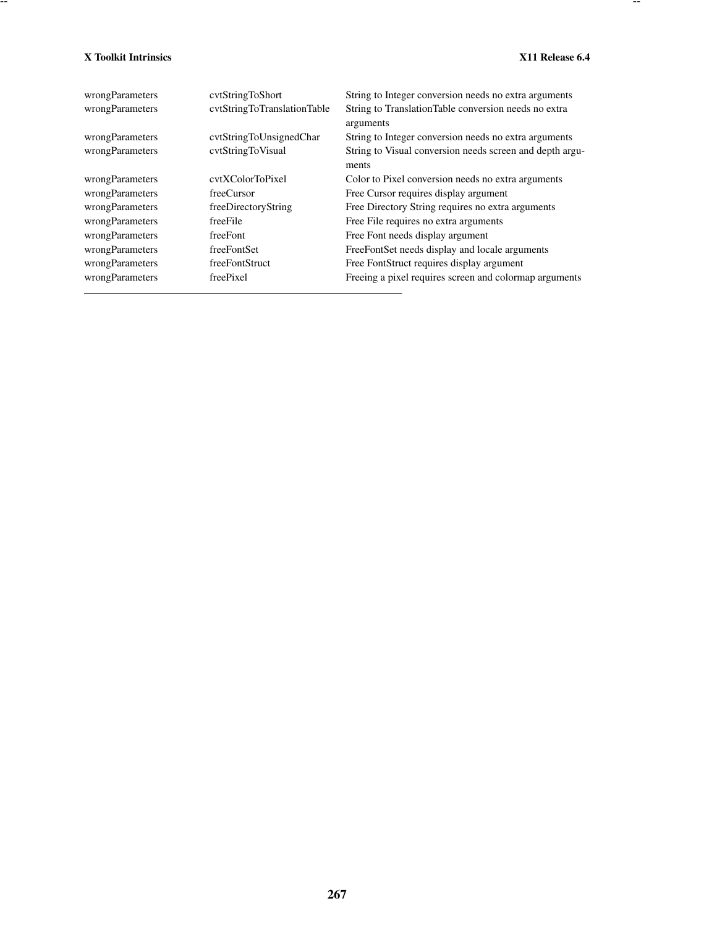| wrongParameters | cvtStringToShort            | String to Integer conversion needs no extra arguments             |
|-----------------|-----------------------------|-------------------------------------------------------------------|
| wrongParameters | cytStringToTranslationTable | String to TranslationTable conversion needs no extra              |
|                 |                             | arguments                                                         |
| wrongParameters | cytStringToUnsignedChar     | String to Integer conversion needs no extra arguments             |
| wrongParameters | cvtStringToVisual           | String to Visual conversion needs screen and depth argu-<br>ments |
| wrongParameters | cytXColorToPixel            | Color to Pixel conversion needs no extra arguments                |
| wrongParameters | freeCursor                  | Free Cursor requires display argument                             |
| wrongParameters | freeDirectoryString         | Free Directory String requires no extra arguments                 |
| wrongParameters | freeFile                    | Free File requires no extra arguments                             |
| wrongParameters | freeFont                    | Free Font needs display argument                                  |
| wrongParameters | freeFontSet                 | FreeFontSet needs display and locale arguments                    |
| wrongParameters | freeFontStruct              | Free FontStruct requires display argument                         |
| wrongParameters | freePixel                   | Freeing a pixel requires screen and colormap arguments            |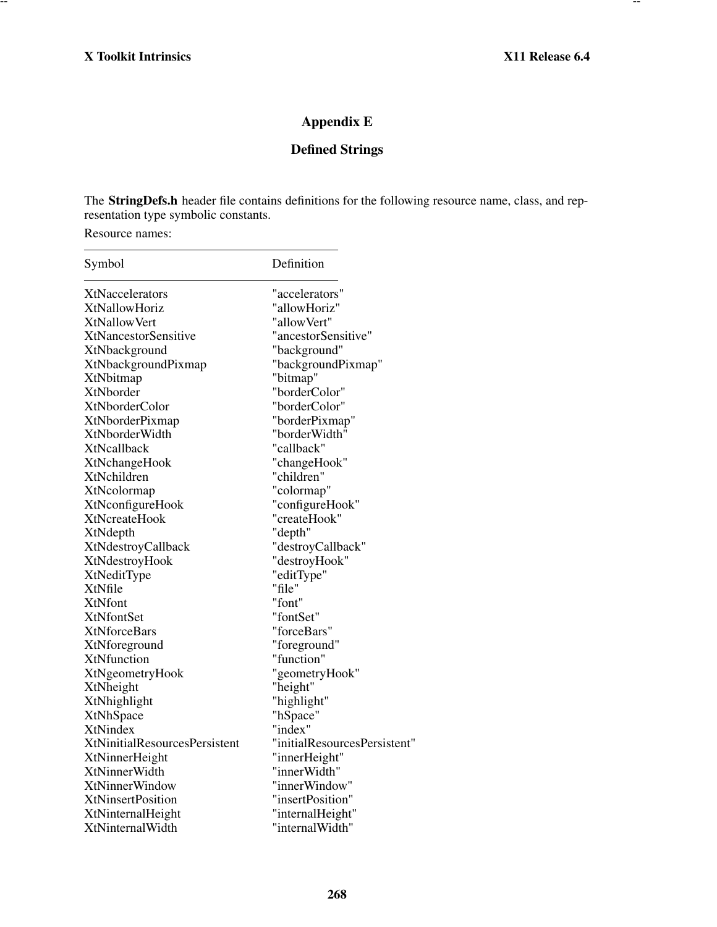# **Appendix E**

-- --

# **Defined Strings**

The **StringDefs.h** header file contains definitions for the following resource name, class, and representation type symbolic constants.

Resource names:

| Symbol                        | Definition                   |  |
|-------------------------------|------------------------------|--|
| XtNaccelerators               | "accelerators"               |  |
| XtNallowHoriz                 | "allowHoriz"                 |  |
| XtNallowVert                  | "allowVert"                  |  |
| <b>XtNancestorSensitive</b>   | "ancestorSensitive"          |  |
| XtNbackground                 | "background"                 |  |
| XtNbackgroundPixmap           | "backgroundPixmap"           |  |
| XtNbitmap                     | "bitmap"                     |  |
| XtNborder                     | "borderColor"                |  |
| <b>XtNborderColor</b>         | "borderColor"                |  |
| XtNborderPixmap               | "borderPixmap"               |  |
| XtNborderWidth                | "borderWidth"                |  |
| XtNcallback                   | "callback"                   |  |
| XtNchangeHook                 | "changeHook"                 |  |
| XtNchildren                   | "children"                   |  |
| XtNcolormap                   | "colormap"                   |  |
| XtNconfigureHook              | "configureHook"              |  |
| <b>XtNcreateHook</b>          | "createHook"                 |  |
| XtNdepth                      | "depth"                      |  |
| XtNdestroyCallback            | "destroyCallback"            |  |
| XtNdestroyHook                | "destroyHook"                |  |
| XtNeditType                   | "editType"                   |  |
| XtNfile                       | "file"                       |  |
| XtNfont                       | "font"                       |  |
| <b>XtNfontSet</b>             | "fontSet"                    |  |
| <b>XtNforceBars</b>           | "forceBars"                  |  |
| XtNforeground                 | "foreground"                 |  |
| XtNfunction                   | "function"                   |  |
| XtNgeometryHook               | "geometryHook"               |  |
| XtNheight                     | "height"                     |  |
| XtNhighlight                  | "highlight"                  |  |
| XtNhSpace                     | "hSpace"                     |  |
| XtNindex                      | "index"                      |  |
| XtNinitialResourcesPersistent | "initialResourcesPersistent" |  |
| XtNinnerHeight                | "innerHeight"                |  |
| <b>XtNinnerWidth</b>          | "innerWidth"                 |  |
| <b>XtNinnerWindow</b>         | "innerWindow"                |  |
| XtNinsertPosition             | "insertPosition"             |  |
| XtNinternalHeight             | "internalHeight"             |  |
| <b>XtNinternalWidth</b>       | "internalWidth"              |  |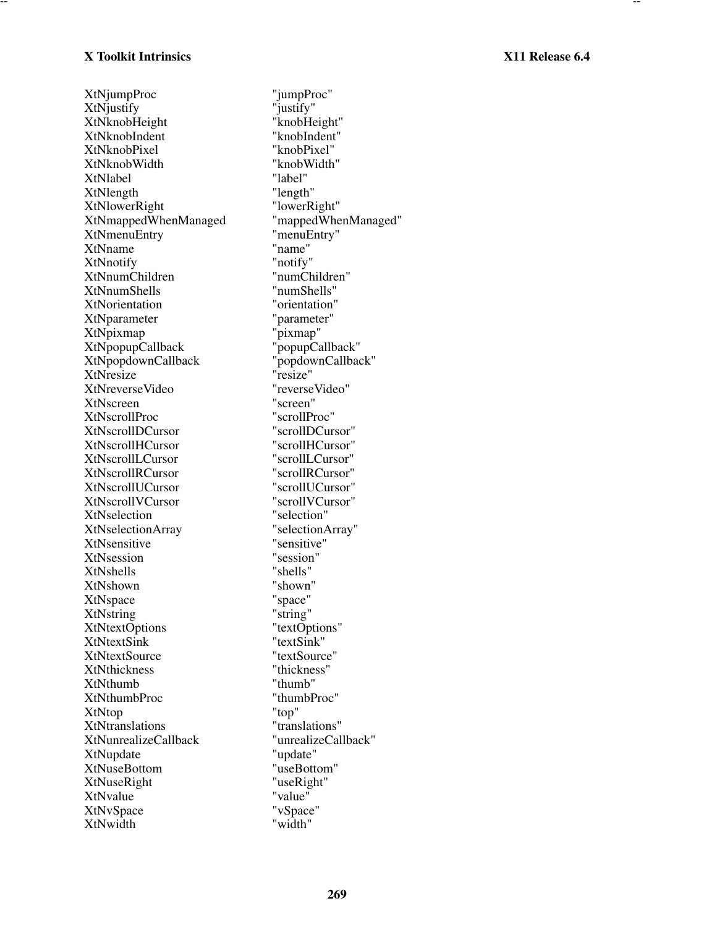XtNjumpProc "jumpProc" XtNjustify "justify"<br>XtNknobHeight "knobHeight" XtNknobHeight XtNknobIndent "knobIndent"<br>XtNknobPixel "knobPixel" XtNknobPixel XtNknobWidth "knobWidth" XtNlabel "label" XtNlength "length" XtNlowerRight "lowerRight"<br>XtNmappedWhenManaged "mappedWhenManaged" XtNmappedWhenManaged "mappedWhen<br>XtNmenuEntry "menuEntry" XtNmenuEntry XtNname "name" XtNnotify "notify"<br>XtNnumChildren "numChildren" XtNnumChildren XtNnumShells "numShells"<br>XtNorientation "orientation" XtNorientation XtNparameter "parameter" XtNpixmap "pixmap"<br>XtNpopupCallback "popupCallback" XtNpopupCallback XtNpopdownCallback "popdownCallback"<br>XtNresize "resize" XtNresize XtNreverseVideo "reverseVideo" XtNscreen "screen" XtNscrollProc "scrollProc"<br>XtNscrollDCursor "scrollDCursor" XtNscrollDCursor XtNscrollHCursor "scrollHCursor" XtNscrollLCursor "scrollLCursor" XtNscrollRCursor "scrollRCursor" XtNscrollUCursor "scrollUCursor" XtNscrollVCursor XtNselection "selection"<br>XtNselectionArray "selectionArray" XtNselectionArray XtNsensitive "sensitive" XtNsession "session" XtNshells "shells"<br>XtNshown "shown" XtNshown XtNspace "space" XtNstring "string" XtNtextOptions "textOptions" XtNtextSink "textSink" XtNtextSource "textSource" XtNthickness "thickness" XtNthumb "thumb" XtNthumbProc "thumbProc"<br>XtNtop "top" XtNtop XtNtranslations "translations"<br>XtNunrealizeCallback "unrealizeCallback" XtNunrealizeCallback "unrealizeCallback"<br>XtNupdate "update" XtNupdate XtNuseBottom "useBottom" XtNuseRight "useRight" XtNvalue "value"<br>XtNvSpace "vSpace" XtNvSpace "vSpace"<br>XtNwidth "width" XtNwidth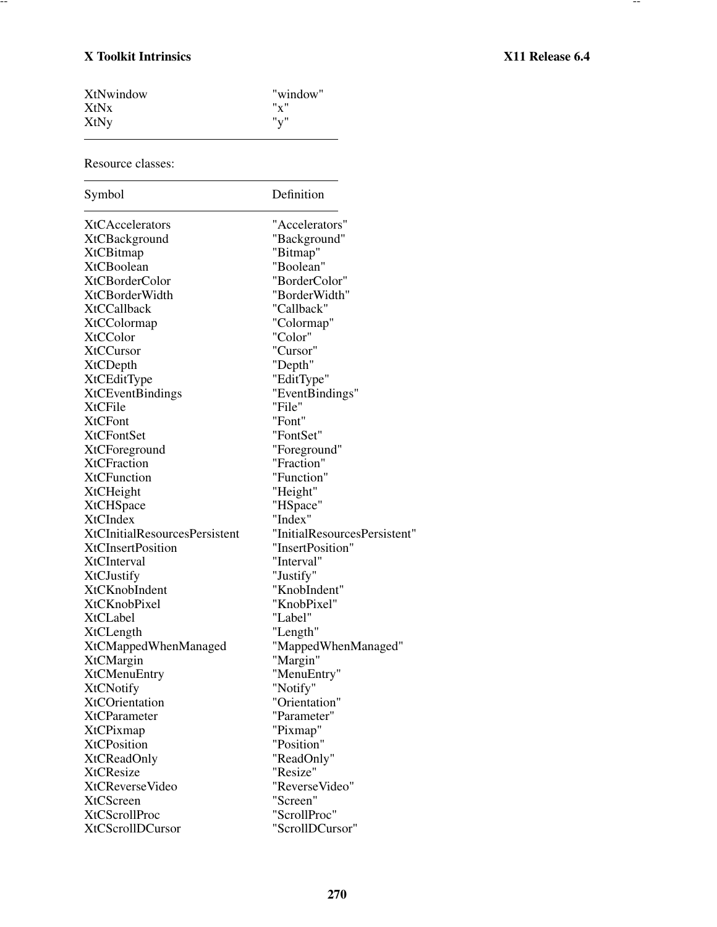## X11 Release 6.4

 $\sim$ 

## X Toolkit Intrinsics

−−.

| XtNwindow | "window" |
|-----------|----------|
| XtNx      | "x"      |
| XtNy      | "v"      |
|           |          |

 $\overline{\phantom{0}}$ 

Resource classes:

| Symbol                        | Definition                   |
|-------------------------------|------------------------------|
| <b>XtCAccelerators</b>        | "Accelerators"               |
| XtCBackground                 | "Background"                 |
| XtCBitmap                     | "Bitmap"                     |
| <b>XtCBoolean</b>             | "Boolean"                    |
| <b>XtCBorderColor</b>         | "BorderColor"                |
| <b>XtCBorderWidth</b>         | "BorderWidth"                |
| <b>XtCCallback</b>            | "Callback"                   |
| XtCColormap                   | "Colormap"                   |
| <b>XtCColor</b>               | "Color"                      |
| <b>XtCCursor</b>              | "Cursor"                     |
| <b>XtCDepth</b>               | "Depth"                      |
| XtCEditType                   | "EditType"                   |
| <b>XtCEventBindings</b>       | "EventBindings"              |
| <b>XtCFile</b>                | "File"                       |
| <b>XtCFont</b>                | "Font"                       |
| <b>XtCFontSet</b>             | "FontSet"                    |
| XtCForeground                 | "Foreground"                 |
| XtCFraction                   | "Fraction"                   |
| XtCFunction                   | "Function"                   |
| XtCHeight                     | "Height"                     |
| XtCHSpace                     | "HSpace"                     |
| <b>XtCIndex</b>               | "Index"                      |
| XtCInitialResourcesPersistent | "InitialResourcesPersistent" |
| <b>XtCInsertPosition</b>      | "InsertPosition"             |
| XtCInterval                   | "Interval"                   |
| XtCJustify                    | "Justify"                    |
| XtCKnobIndent                 | "KnobIndent"                 |
| <b>XtCKnobPixel</b>           | "KnobPixel"                  |
| XtCLabel                      | "Label"                      |
| XtCLength                     | "Length"                     |
| XtCMappedWhenManaged          | "MappedWhenManaged"          |
| XtCMargin                     | "Margin"                     |
| <b>XtCMenuEntry</b>           | "MenuEntry"                  |
| XtCNotify                     | "Notify"                     |
| XtCOrientation                | "Orientation"                |
| XtCParameter                  | "Parameter"                  |
| XtCPixmap                     | "Pixmap"                     |
| XtCPosition                   | "Position"                   |
| <b>XtCReadOnly</b>            | "ReadOnly"                   |
| XtCResize                     | "Resize"                     |
| <b>XtCReverseVideo</b>        | "ReverseVideo"               |
| XtCScreen                     | "Screen"                     |
| <b>XtCScrollProc</b>          | "ScrollProc"                 |
| XtCScrollDCursor              | "ScrollDCursor"              |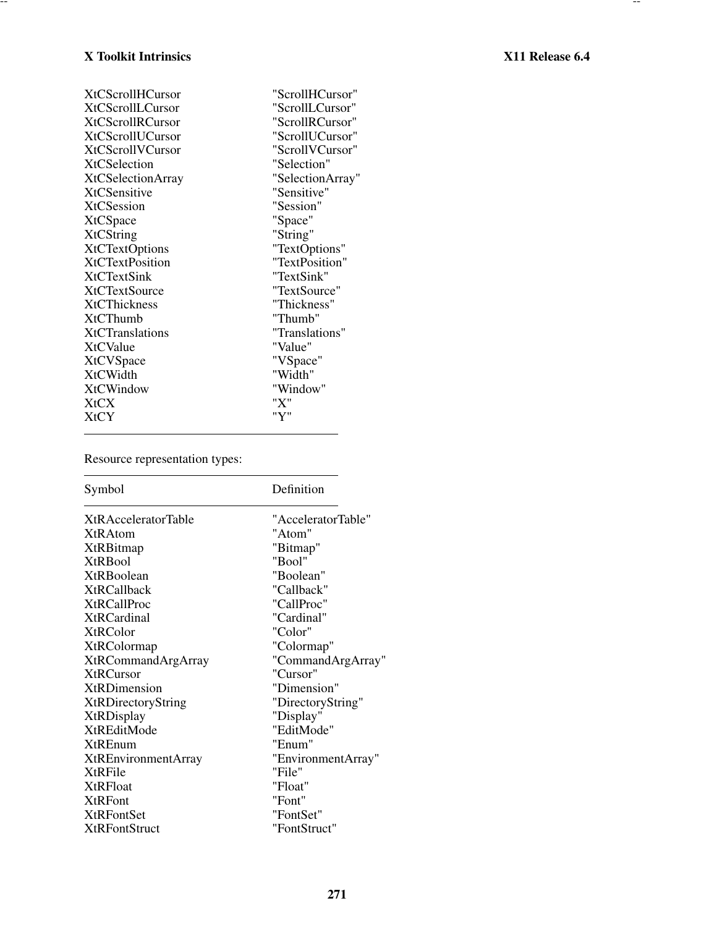| <b>XtCScrollHCursor</b>  | "ScrollHCursor"  |
|--------------------------|------------------|
| <b>XtCScrollLCursor</b>  | "ScrollLCursor"  |
| <b>XtCScrollRCursor</b>  | "ScrollRCursor"  |
| <b>XtCScrollUCursor</b>  | "ScrollUCursor"  |
| <b>XtCScrollVCursor</b>  | "ScrollVCursor"  |
| XtCSelection             | "Selection"      |
| <b>XtCSelectionArray</b> | "SelectionArray" |
| XtCSensitive             | "Sensitive"      |
| XtCSession               | "Session"        |
| XtCSpace                 | "Space"          |
| XtCString                | "String"         |
| <b>XtCTextOptions</b>    | "TextOptions"    |
| <b>XtCTextPosition</b>   | "TextPosition"   |
| <b>XtCTextSink</b>       | "TextSink"       |
| <b>XtCTextSource</b>     | "TextSource"     |
| XtCThickness             | "Thickness"      |
| <b>XtCThumb</b>          | "Thumb"          |
| <b>XtCTranslations</b>   | "Translations"   |
| <b>XtCValue</b>          | "Value"          |
| XtCVSpace                | "VSpace"         |
| XtCWidth                 | "Width"          |
| XtCWindow                | "Window"         |
| <b>XtCX</b>              | "X"              |
| XtCY                     | "Y"              |
|                          |                  |

-- --

Resource representation types:

| Symbol                     | Definition         |
|----------------------------|--------------------|
| XtRAcceleratorTable        | "AcceleratorTable" |
| <b>XtRAtom</b>             | "Atom"             |
| XtRBitmap                  | "Bitmap"           |
| <b>XtRBool</b>             | "Bool"             |
| XtRBoolean                 | "Boolean"          |
| <b>XtRCallback</b>         | "Callback"         |
| <b>XtRCallProc</b>         | "CallProc"         |
| <b>XtRCardinal</b>         | "Cardinal"         |
| <b>XtRColor</b>            | "Color"            |
| XtRColormap                | "Colormap"         |
| XtRCommandArgArray         | "CommandArgArray"  |
| <b>XtRCursor</b>           | "Cursor"           |
| <b>XtRDimension</b>        | "Dimension"        |
| XtRDirectoryString         | "DirectoryString"  |
| XtRDisplay                 | "Display"          |
| XtREditMode                | "EditMode"         |
| <b>XtREnum</b>             | "Enum"             |
| <b>XtREnvironmentArray</b> | "EnvironmentArray" |
| <b>XtRFile</b>             | "File"             |
| <b>XtRFloat</b>            | "Float"            |
| <b>XtRFont</b>             | "Font"             |
| <b>XtRFontSet</b>          | "FontSet"          |
| <b>XtRFontStruct</b>       | "FontStruct"       |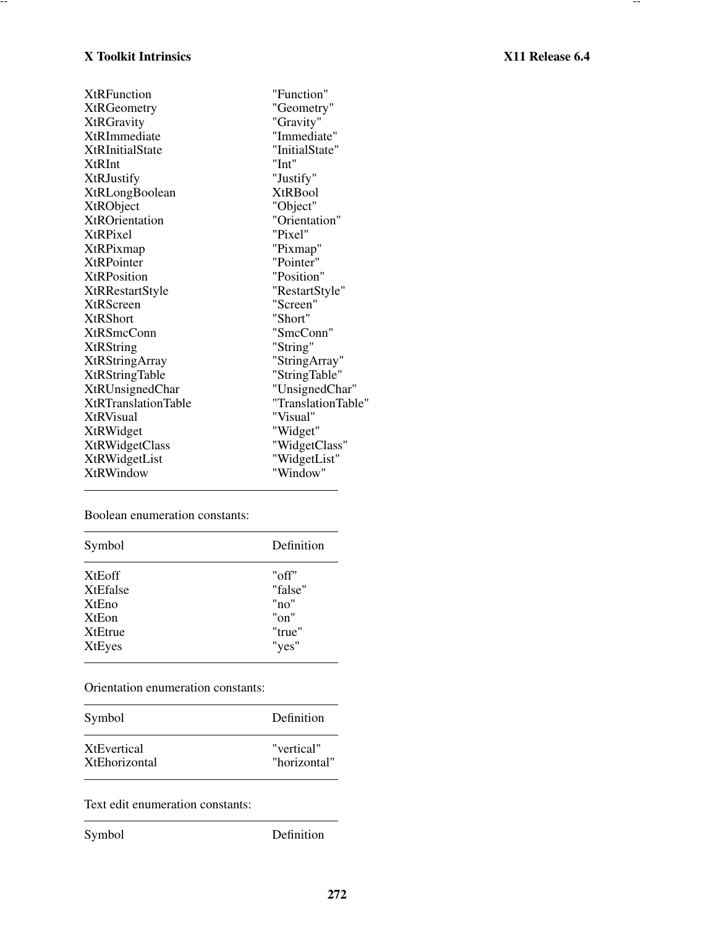## X Toolkit Intrinsics

-−

| <b>XtRFunction</b>         | "Function"         |
|----------------------------|--------------------|
| <b>XtRGeometry</b>         | "Geometry"         |
| XtRGravity                 | "Gravity"          |
| XtRImmediate               | "Immediate"        |
| <b>XtRInitialState</b>     | "InitialState"     |
| <b>XtRInt</b>              | "Int"              |
| XtRJustify                 | "Justify"          |
| XtRLongBoolean             | <b>XtRBool</b>     |
| XtRObject                  | "Object"           |
| XtROrientation             | "Orientation"      |
| <b>XtRPixel</b>            | "Pixel"            |
| XtRPixmap                  | "Pixmap"           |
| <b>XtRPointer</b>          | "Pointer"          |
| XtRPosition                | "Position"         |
| <b>XtRRestartStyle</b>     | "RestartStyle"     |
| <b>XtRScreen</b>           | "Screen"           |
| XtRShort                   | "Short"            |
| <b>XtRSmcConn</b>          | "SmcConn"          |
| XtRString                  | "String"           |
| <b>XtRStringArray</b>      | "StringArray"      |
| XtRStringTable             | "StringTable"      |
| XtRUnsignedChar            | "UnsignedChar"     |
| <b>XtRTranslationTable</b> | "TranslationTable" |
| <b>XtRVisual</b>           | "Visual"           |
| XtRWidget                  | "Widget"           |
| <b>XtRWidgetClass</b>      | "WidgetClass"      |
| XtRWidgetList              | "WidgetList"       |
| <b>XtRWindow</b>           | "Window"           |
|                            |                    |

Boolean enumeration constants:

| Symbol          | Definition |
|-----------------|------------|
| <b>XtEoff</b>   | "off"      |
| <b>XtEfalse</b> | "false"    |
| XtEno           | "no"       |
| <b>XtEon</b>    | "on"       |
| <b>XtEtrue</b>  | "true"     |
| XtEyes          | "yes"      |

Orientation enumeration constants:

| Symbol        | Definition   |
|---------------|--------------|
| XtEvertical   | "vertical"   |
| XtEhorizontal | "horizontal" |

Text edit enumeration constants:

Symbol

Definition

## X11 Release 6.4

 $- -$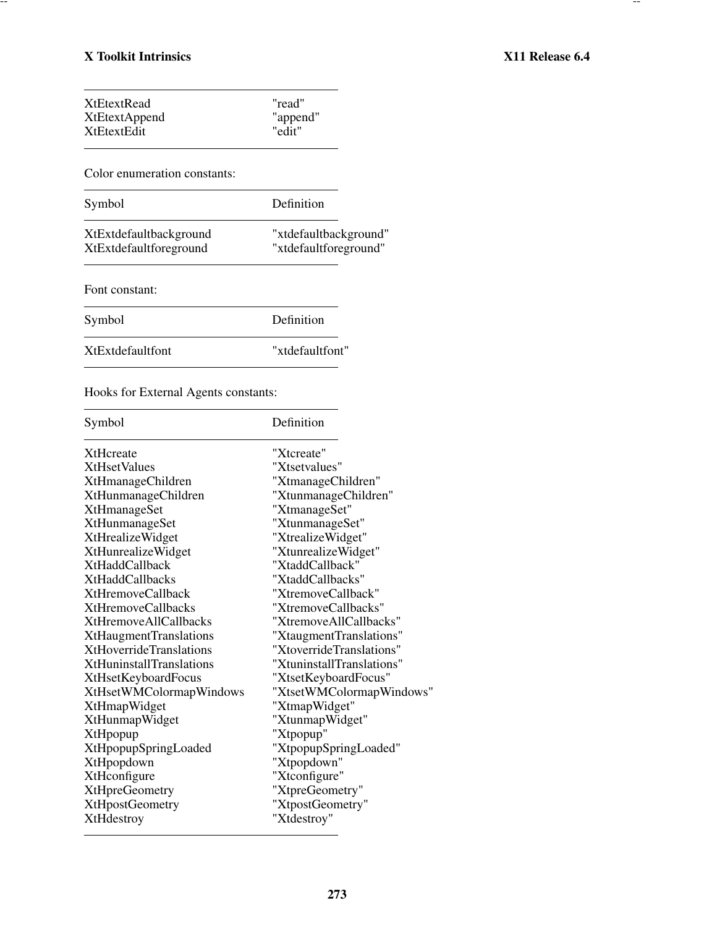| "read"   |
|----------|
| "append" |
| "edit"   |
|          |

Color enumeration constants:

| Symbol                                           | Definition                                     |
|--------------------------------------------------|------------------------------------------------|
| XtExtdefaultbackground<br>XtExtdefaultforeground | "xtdefaultbackground"<br>"xtdefaultforeground" |
|                                                  |                                                |

-- --

Font constant:

| Symbol                  | Definition      |
|-------------------------|-----------------|
| <b>XtExtdefaultfont</b> | "xtdefaultfont" |

Hooks for External Agents constants:

| Definition                |
|---------------------------|
| "Xtcreate"                |
| "Xtsetvalues"             |
| "XtmanageChildren"        |
| "XtunmanageChildren"      |
| "XtmanageSet"             |
| "XtunmanageSet"           |
| "XtrealizeWidget"         |
| "XtunrealizeWidget"       |
| "XtaddCallback"           |
| "XtaddCallbacks"          |
| "XtremoveCallback"        |
| "XtremoveCallbacks"       |
| "XtremoveAllCallbacks"    |
| "XtaugmentTranslations"   |
| "XtoverrideTranslations"  |
| "XtuninstallTranslations" |
| "XtsetKeyboardFocus"      |
| "XtsetWMColormapWindows"  |
| "XtmapWidget"             |
| "XtunmapWidget"           |
| "Xtpopup"                 |
| "XtpopupSpringLoaded"     |
| "Xtpopdown"               |
| "Xtconfigure"             |
| "XtpreGeometry"           |
| "XtpostGeometry"          |
| "Xtdestroy"               |
|                           |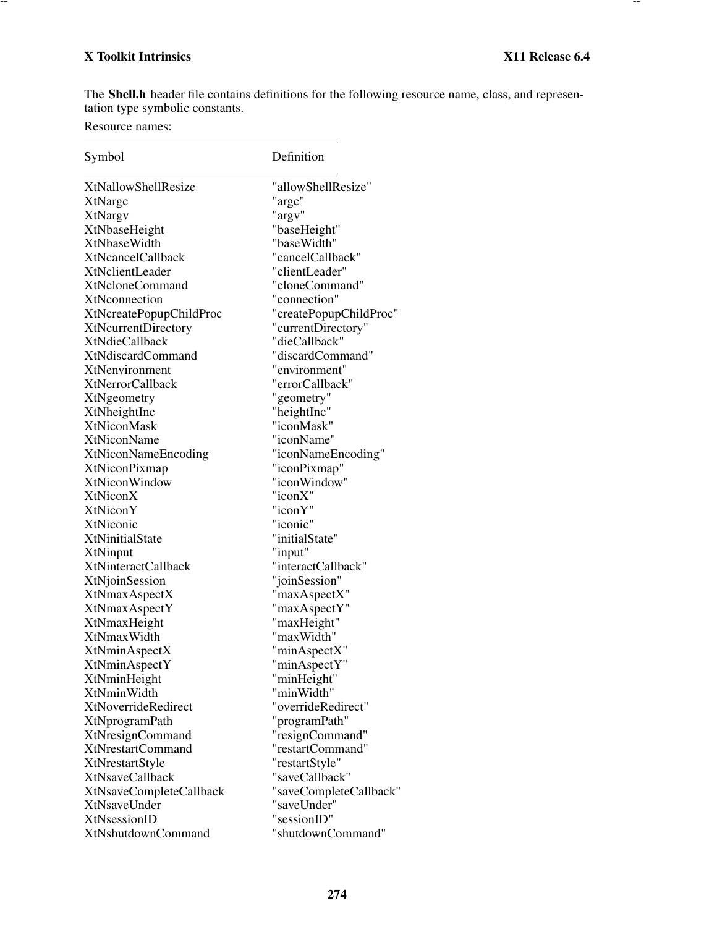The **Shell.h** header file contains definitions for the following resource name, class, and representation type symbolic constants.

-- --

Resource names:

| Symbol                     | Definition                  |
|----------------------------|-----------------------------|
| <b>XtNallowShellResize</b> | "allowShellResize"          |
| XtNarge                    | "argc"                      |
| XtNargy                    | "argv"                      |
| XtNbaseHeight              | "baseHeight"                |
| <b>XtNbaseWidth</b>        | "baseWidth"                 |
| <b>XtNcancelCallback</b>   | "cancelCallback"            |
| <b>XtNclientLeader</b>     | "clientLeader"              |
| <b>XtNcloneCommand</b>     | "cloneCommand"              |
| XtNconnection              | "connection"                |
| XtNcreatePopupChildProc    | "createPopupChildProc"      |
| <b>XtNcurrentDirectory</b> | "currentDirectory"          |
| <b>XtNdieCallback</b>      | "dieCallback"               |
| <b>XtNdiscardCommand</b>   | "discardCommand"            |
| XtNenvironment             | "environment"               |
| <b>XtNerrorCallback</b>    | "errorCallback"             |
| XtNgeometry                | "geometry"                  |
| XtNheightInc               | "heightInc"                 |
| <b>XtNiconMask</b>         | "iconMask"                  |
| <b>XtNiconName</b>         | "iconName"                  |
| XtNiconNameEncoding        | "iconNameEncoding"          |
| <b>XtNiconPixmap</b>       | "iconPixmap"                |
| <b>XtNiconWindow</b>       | "iconWindow"                |
| <b>XtNiconX</b>            | "iconX"                     |
| <b>XtNiconY</b>            | "iconY"                     |
| XtNiconic                  | "iconic"                    |
| XtNinitialState            | "initialState"              |
| XtNinput                   | "input"                     |
| XtNinteractCallback        | "interactCallback"          |
| XtNjoinSession             | "joinSession"               |
| XtNmaxAspectX              | "maxAspectX"                |
| <b>XtNmaxAspectY</b>       | "maxAspectY"                |
| XtNmaxHeight               | "maxHeight"                 |
| <b>XtNmaxWidth</b>         | "maxWidth"                  |
| XtNminAspectX              | "minAspectX"                |
| XtNminAspectY              |                             |
| XtNminHeight               | "minAspectY"<br>"minHeight" |
| XtNminWidth                | "minWidth"                  |
| XtNoverrideRedirect        | "overrideRedirect"          |
|                            |                             |
| <b>XtNprogramPath</b>      | "programPath"               |
| <b>XtNresignCommand</b>    | "resignCommand"             |
| XtNrestartCommand          | "restartCommand"            |
| <b>XtNrestartStyle</b>     | "restartStyle"              |
| XtNsaveCallback            | "saveCallback"              |
| XtNsaveCompleteCallback    | "saveCompleteCallback"      |
| XtNsaveUnder               | "saveUnder"                 |
| XtNsessionID               | "sessionID"                 |
| XtNshutdownCommand         | "shutdownCommand"           |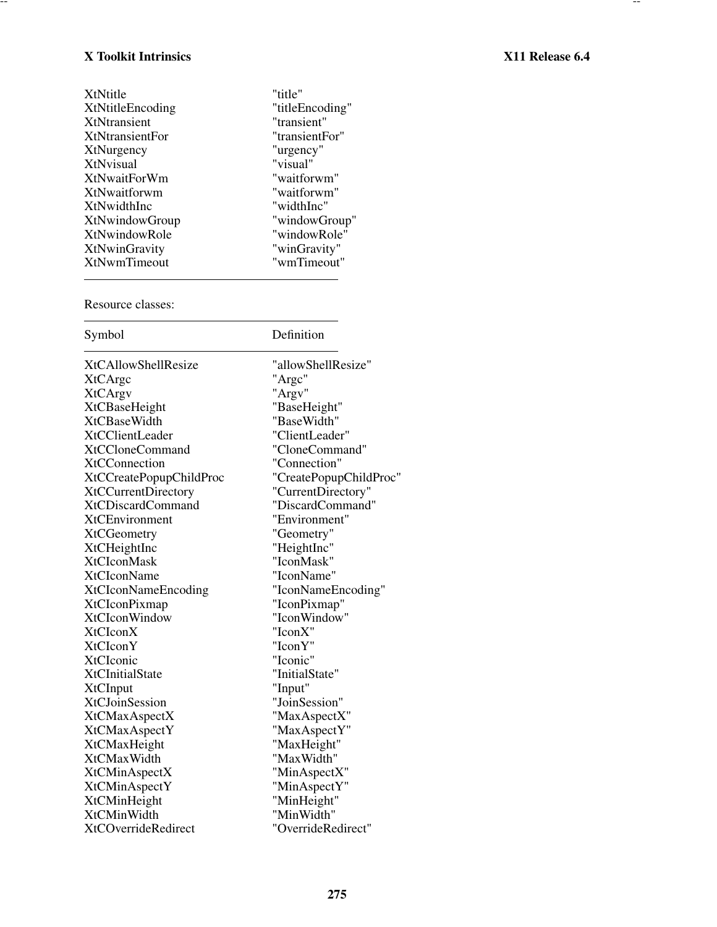| XtNtitle               | "title"         |
|------------------------|-----------------|
| XtNtitleEncoding       | "titleEncoding" |
| XtNtransient           | "transient"     |
| <b>XtNtransientFor</b> | "transientFor"  |
| XtNurgency             | "urgency"       |
| XtNvisual              | "visual"        |
| <b>XtNwaitForWm</b>    | "waitforwm"     |
| XtNwaitforwm           | "waitforwm"     |
| XtNwidthInc            | "widthInc"      |
| XtNwindowGroup         | "windowGroup"   |
| XtNwindowRole          | "windowRole"    |
| XtNwinGravity          | "winGravity"    |
| XtNwmTimeout           | "wmTimeout"     |
|                        |                 |

Resource classes:

Symbol Definition

| "allowShellResize"     |
|------------------------|
| "Argc"                 |
| "Argv"                 |
| "BaseHeight"           |
| "BaseWidth"            |
| "ClientLeader"         |
| "CloneCommand"         |
| "Connection"           |
| "CreatePopupChildProc" |
| "CurrentDirectory"     |
| "DiscardCommand"       |
| "Environment"          |
| "Geometry"             |
| "HeightInc"            |
| "IconMask"             |
| "IconName"             |
| "IconNameEncoding"     |
| "IconPixmap"           |
| "IconWindow"           |
| "IconX"                |
| "IconY"                |
| "Iconic"               |
| "InitialState"         |
| "Input"                |
| "JoinSession"          |
| "MaxAspectX"           |
| "MaxAspectY"           |
| "MaxHeight"            |
| "MaxWidth"             |
| "MinAspectX"           |
| "MinAspectY"           |
| "MinHeight"            |
| "MinWidth"             |
| "OverrideRedirect"     |
|                        |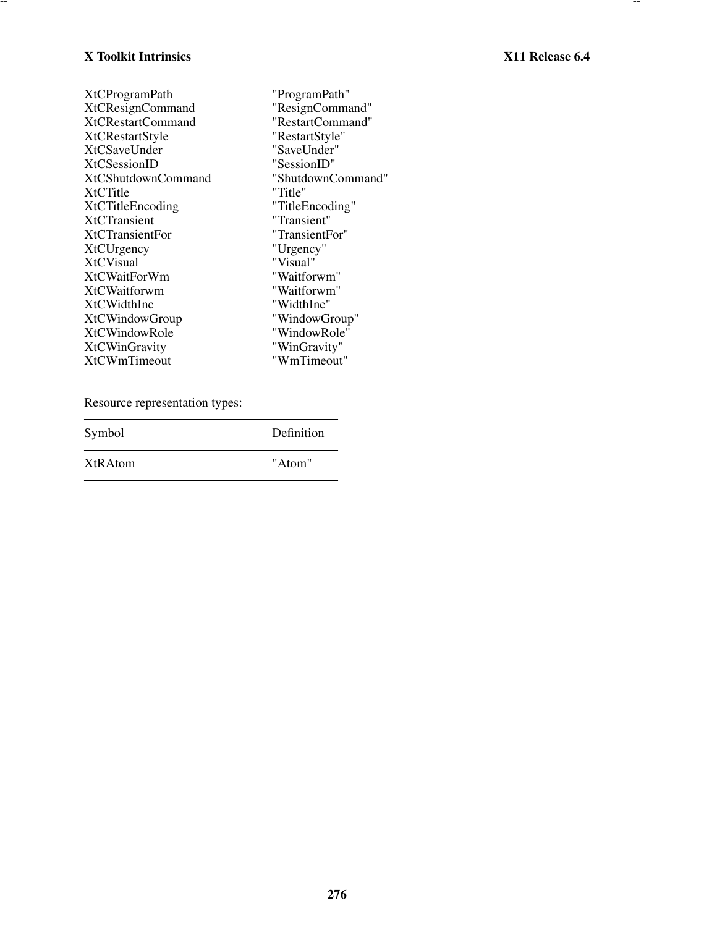| <b>XtCProgramPath</b>     | "ProgramPath"     |
|---------------------------|-------------------|
| <b>XtCResignCommand</b>   | "ResignCommand"   |
| XtCRestartCommand         | "RestartCommand"  |
| <b>XtCRestartStyle</b>    | "RestartStyle"    |
| XtCSaveUnder              | "SaveUnder"       |
| XtCSessionID              | "SessionID"       |
| <b>XtCShutdownCommand</b> | "ShutdownCommand" |
| XtCTitle                  | "Title"           |
| XtCTitleEncoding          | "TitleEncoding"   |
| XtCTransient              | "Transient"       |
| <b>XtCTransientFor</b>    | "TransientFor"    |
| XtCUrgency                | "Urgency"         |
| <b>XtCVisual</b>          | "Visual"          |
| XtCWaitForWm              | "Waitforwm"       |
| <b>XtCWaitforwm</b>       | "Waitforwm"       |
| XtCWidthInc               | "WidthInc"        |
| <b>XtCWindowGroup</b>     | "WindowGroup"     |
| XtCWindowRole             | "WindowRole"      |
| <b>XtCWinGravity</b>      | "WinGravity"      |
| XtCWmTimeout              | "WmTimeout"       |
|                           |                   |

-- --

Resource representation types:

| Symbol         | Definition |
|----------------|------------|
| <b>XtRAtom</b> | "Atom"     |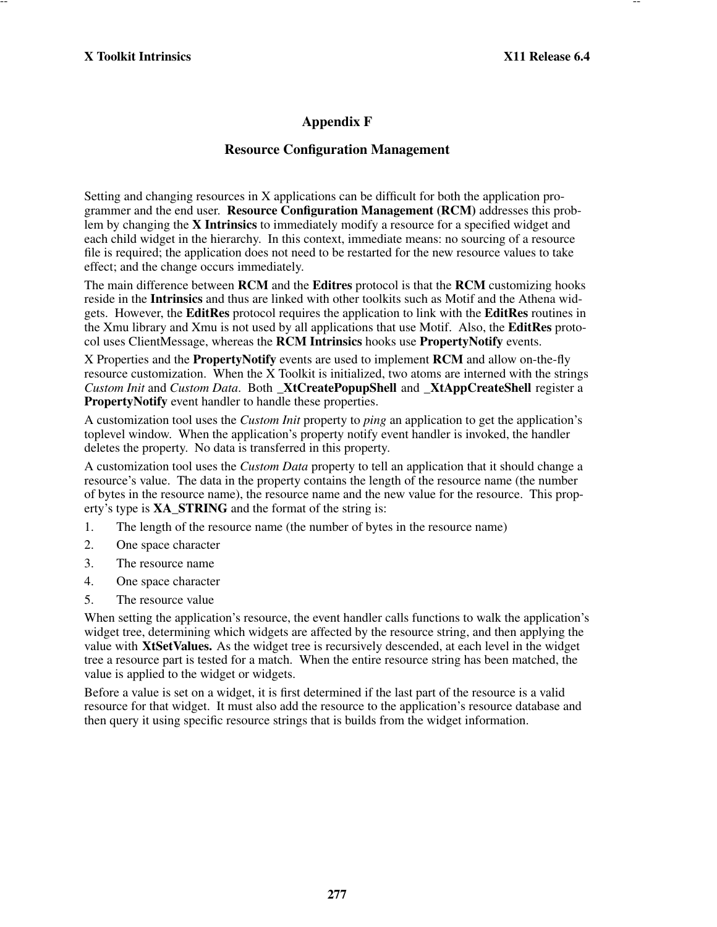## **Appendix F**

-- --

### **Resource Configuration Management**

Setting and changing resources in X applications can be difficult for both the application programmer and the end user. **Resource Configuration Management (RCM)** addresses this problem by changing the **X Intrinsics** to immediately modify a resource for a specified widget and each child widget in the hierarchy. In this context, immediate means: no sourcing of a resource file is required; the application does not need to be restarted for the new resource values to take effect; and the change occurs immediately.

The main difference between **RCM** and the **Editres** protocol is that the **RCM** customizing hooks reside in the **Intrinsics** and thus are linked with other toolkits such as Motif and the Athena widgets. However, the **EditRes** protocol requires the application to link with the **EditRes** routines in the Xmu library and Xmu is not used by all applications that use Motif. Also, the **EditRes** protocol uses ClientMessage, whereas the RCM Intrinsics hooks use PropertyNotify events.

X Properties and the **PropertyNotify** events are used to implement **RCM** and allow on-the-fly resource customization. When the X Toolkit is initialized, two atoms are interned with the strings *Custom Init* and *Custom Data*. Both **\_XtCreatePopupShell** and **\_XtAppCreateShell** register a **PropertyNotify** event handler to handle these properties.

A customization tool uses the *Custom Init* property to *ping* an application to get the application's toplevel window. When the application's property notify event handler is invoked, the handler deletes the property. No data is transferred in this property.

A customization tool uses the *Custom Data* property to tell an application that it should change a resource's value. The data in the property contains the length of the resource name (the number of bytes in the resource name), the resource name and the new value for the resource. This property's type is **XA\_STRING** and the format of the string is:

- 1. The length of the resource name (the number of bytes in the resource name)
- 2. One space character
- 3. The resource name
- 4. One space character
- 5. The resource value

When setting the application's resource, the event handler calls functions to walk the application's widget tree, determining which widgets are affected by the resource string, and then applying the value with **XtSetValues.** As the widget tree is recursively descended, at each level in the widget tree a resource part is tested for a match. When the entire resource string has been matched, the value is applied to the widget or widgets.

Before a value is set on a widget, it is first determined if the last part of the resource is a valid resource for that widget. It must also add the resource to the application's resource database and then query it using specific resource strings that is builds from the widget information.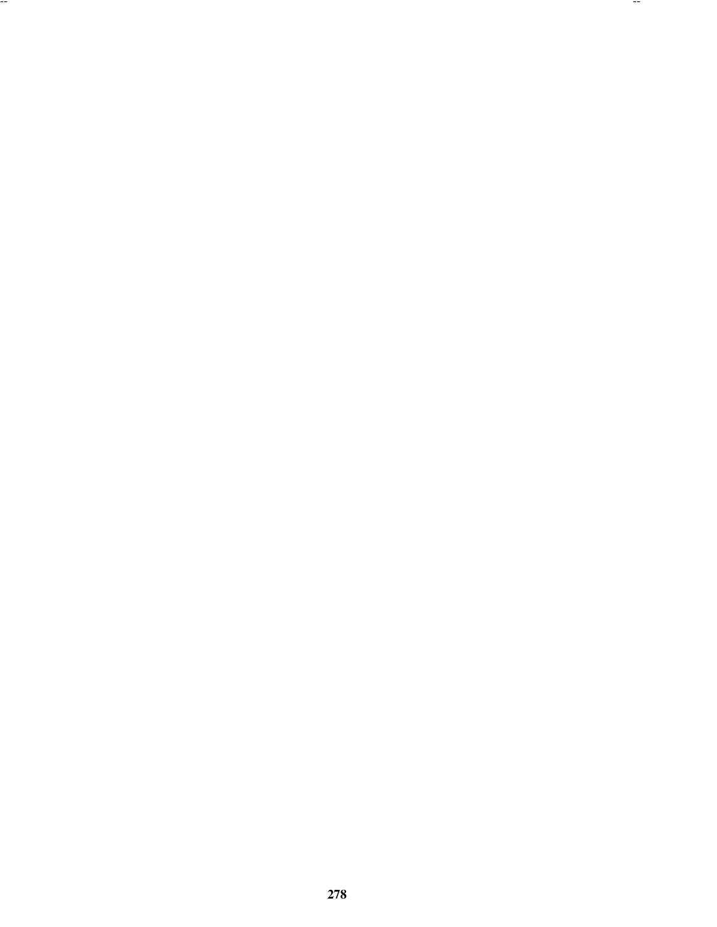−−.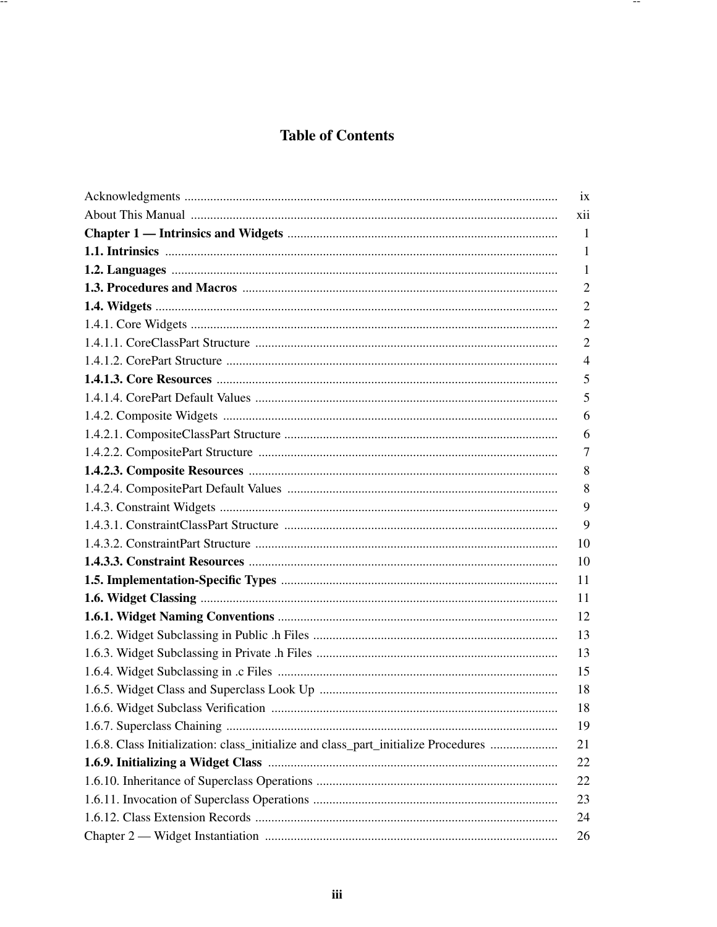# **Table of Contents**

 $--$ 

₩.

|                                                                                    | ix             |
|------------------------------------------------------------------------------------|----------------|
|                                                                                    | xii            |
|                                                                                    | -1             |
|                                                                                    | 1              |
|                                                                                    | 1              |
|                                                                                    | 2              |
|                                                                                    | $\overline{2}$ |
|                                                                                    | 2              |
|                                                                                    | 2              |
|                                                                                    | 4              |
|                                                                                    | 5              |
|                                                                                    | 5              |
|                                                                                    | 6              |
|                                                                                    | 6              |
|                                                                                    | 7              |
|                                                                                    | 8              |
|                                                                                    | 8              |
|                                                                                    | 9              |
|                                                                                    | 9              |
|                                                                                    | 10             |
|                                                                                    | 10             |
|                                                                                    | 11             |
|                                                                                    | 11             |
|                                                                                    | 12             |
|                                                                                    | 13             |
|                                                                                    | 13             |
|                                                                                    | 15             |
|                                                                                    | 18             |
|                                                                                    | 18             |
|                                                                                    | 19             |
| 1.6.8. Class Initialization: class_initialize and class_part_initialize Procedures | 21             |
|                                                                                    | 22             |
|                                                                                    | 22             |
|                                                                                    | 23             |
|                                                                                    | 24             |
|                                                                                    | 26             |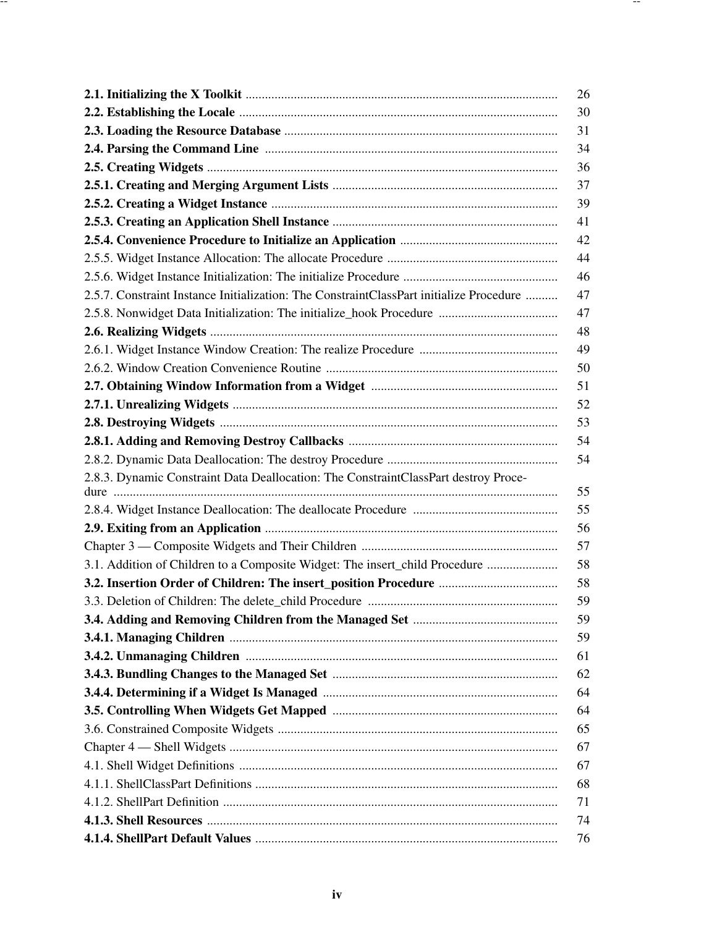|                                                                                         | 26 |
|-----------------------------------------------------------------------------------------|----|
|                                                                                         | 30 |
|                                                                                         | 31 |
|                                                                                         | 34 |
|                                                                                         | 36 |
|                                                                                         | 37 |
|                                                                                         | 39 |
|                                                                                         | 41 |
|                                                                                         | 42 |
|                                                                                         | 44 |
|                                                                                         | 46 |
| 2.5.7. Constraint Instance Initialization: The ConstraintClassPart initialize Procedure | 47 |
|                                                                                         | 47 |
|                                                                                         | 48 |
|                                                                                         | 49 |
|                                                                                         | 50 |
|                                                                                         | 51 |
|                                                                                         | 52 |
|                                                                                         | 53 |
|                                                                                         | 54 |
|                                                                                         | 54 |
| 2.8.3. Dynamic Constraint Data Deallocation: The ConstraintClassPart destroy Proce-     |    |
|                                                                                         | 55 |
|                                                                                         | 55 |
|                                                                                         | 56 |
|                                                                                         | 57 |
| 3.1. Addition of Children to a Composite Widget: The insert_child Procedure             | 58 |
|                                                                                         | 58 |
|                                                                                         | 59 |
|                                                                                         | 59 |
|                                                                                         | 59 |
|                                                                                         | 61 |
|                                                                                         | 62 |
|                                                                                         | 64 |
|                                                                                         | 64 |
|                                                                                         | 65 |
|                                                                                         | 67 |
|                                                                                         | 67 |
|                                                                                         | 68 |
|                                                                                         | 71 |
|                                                                                         | 74 |
|                                                                                         | 76 |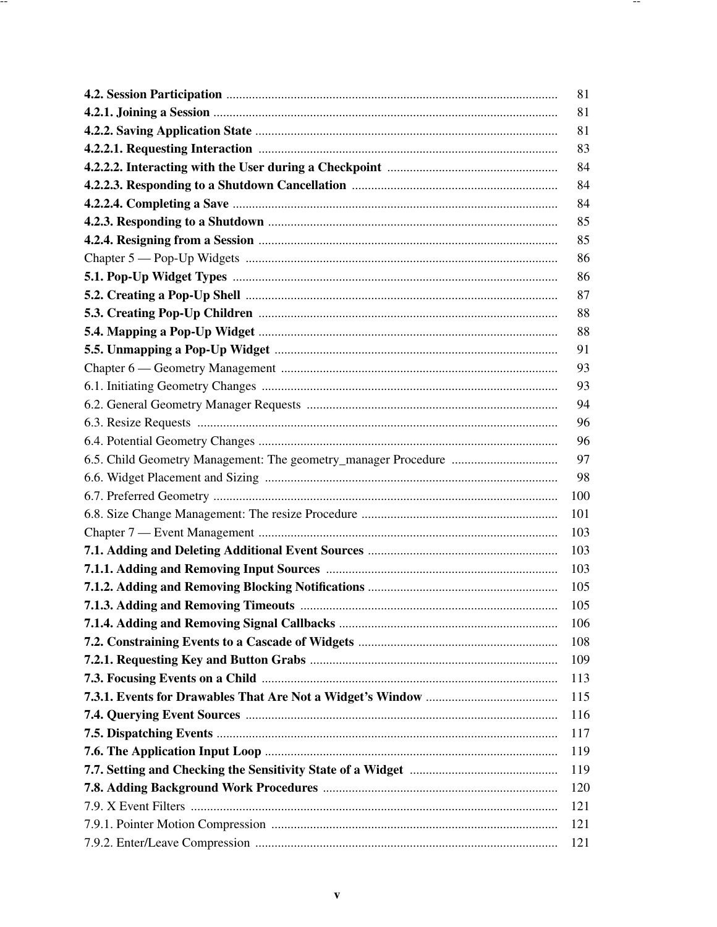| 81  |
|-----|
| 81  |
| 81  |
| 83  |
| 84  |
| 84  |
| 84  |
| 85  |
| 85  |
| 86  |
| 86  |
| 87  |
| 88  |
| 88  |
| 91  |
| 93  |
| 93  |
| 94  |
| 96  |
| 96  |
| 97  |
| 98  |
| 100 |
| 101 |
| 103 |
| 103 |
| 103 |
| 105 |
| 105 |
| 106 |
| 108 |
| 109 |
| 113 |
| 115 |
| 116 |
| 117 |
| 119 |
| 119 |
| 120 |
| 121 |
| 121 |
| 121 |
|     |

 $- -$ 

−−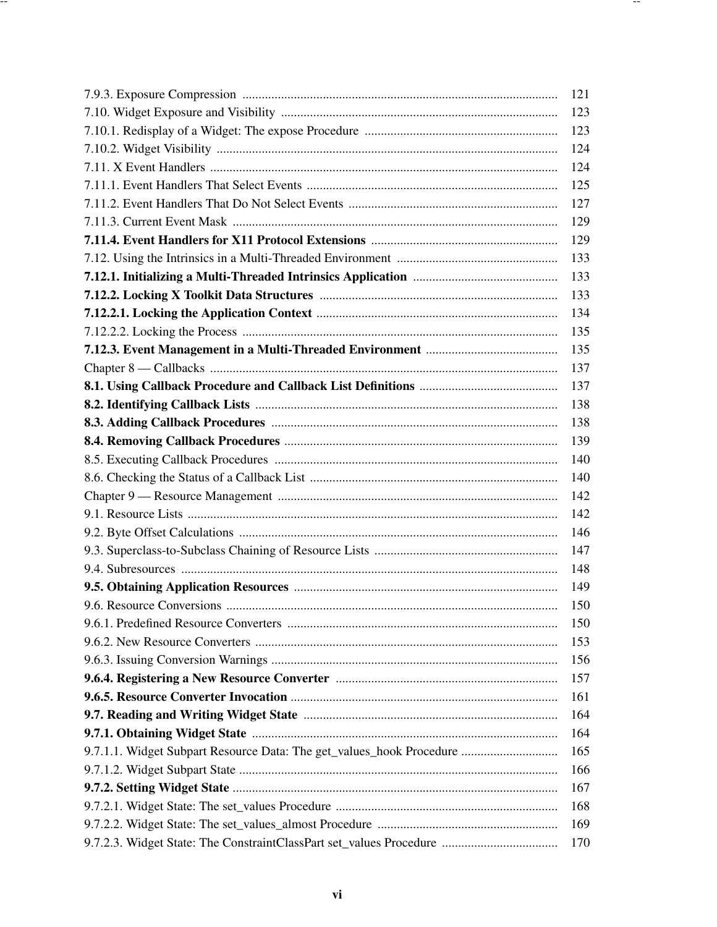|                                                                      | 121 |
|----------------------------------------------------------------------|-----|
|                                                                      | 123 |
|                                                                      | 123 |
|                                                                      | 124 |
|                                                                      | 124 |
|                                                                      | 125 |
|                                                                      | 127 |
|                                                                      | 129 |
|                                                                      | 129 |
|                                                                      | 133 |
|                                                                      | 133 |
|                                                                      | 133 |
|                                                                      | 134 |
|                                                                      | 135 |
|                                                                      | 135 |
|                                                                      | 137 |
|                                                                      | 137 |
|                                                                      | 138 |
|                                                                      | 138 |
|                                                                      | 139 |
|                                                                      | 140 |
|                                                                      | 140 |
|                                                                      | 142 |
|                                                                      | 142 |
|                                                                      | 146 |
|                                                                      | 147 |
|                                                                      | 148 |
|                                                                      | 149 |
|                                                                      | 150 |
|                                                                      | 150 |
|                                                                      | 153 |
|                                                                      | 156 |
|                                                                      | 157 |
|                                                                      | 161 |
|                                                                      | 164 |
|                                                                      | 164 |
| 9.7.1.1. Widget Subpart Resource Data: The get_values_hook Procedure | 165 |
|                                                                      | 166 |
|                                                                      | 167 |
|                                                                      | 168 |
|                                                                      | 169 |
|                                                                      | 170 |

 $-$ 

−−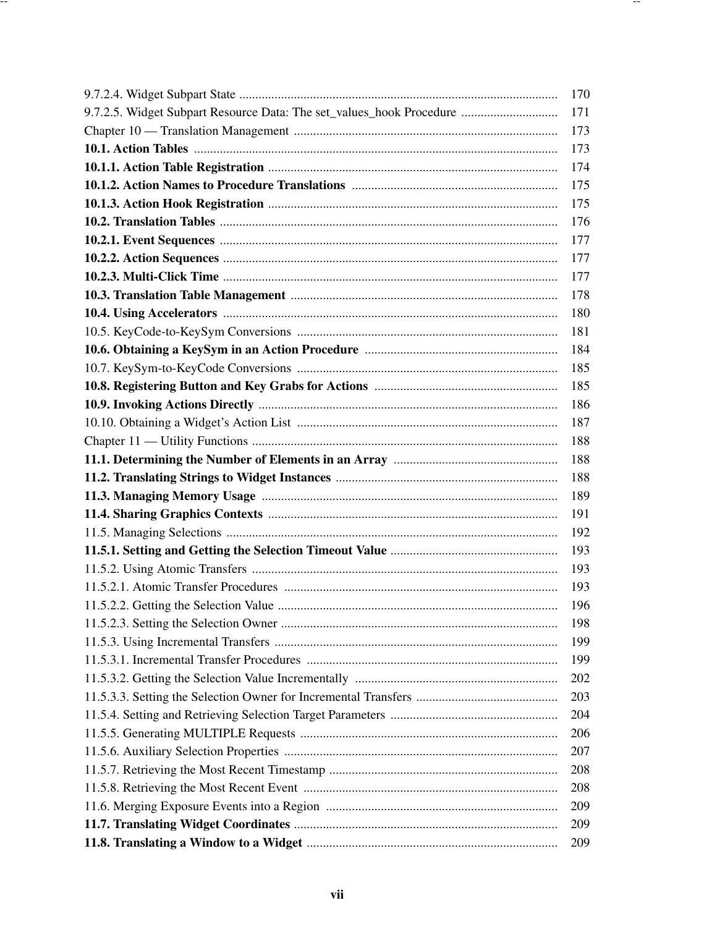|                                                                      | 170 |
|----------------------------------------------------------------------|-----|
| 9.7.2.5. Widget Subpart Resource Data: The set_values_hook Procedure | 171 |
|                                                                      | 173 |
|                                                                      | 173 |
|                                                                      | 174 |
|                                                                      | 175 |
|                                                                      | 175 |
|                                                                      | 176 |
|                                                                      | 177 |
|                                                                      | 177 |
|                                                                      | 177 |
|                                                                      | 178 |
|                                                                      | 180 |
|                                                                      | 181 |
|                                                                      | 184 |
|                                                                      | 185 |
|                                                                      | 185 |
|                                                                      | 186 |
|                                                                      | 187 |
|                                                                      | 188 |
|                                                                      | 188 |
|                                                                      | 188 |
|                                                                      | 189 |
|                                                                      | 191 |
|                                                                      | 192 |
|                                                                      | 193 |
|                                                                      | 193 |
|                                                                      | 193 |
|                                                                      | 196 |
|                                                                      | 198 |
|                                                                      | 199 |
|                                                                      | 199 |
|                                                                      | 202 |
|                                                                      | 203 |
|                                                                      | 204 |
|                                                                      | 206 |
|                                                                      | 207 |
|                                                                      | 208 |
|                                                                      | 208 |
|                                                                      |     |
|                                                                      | 209 |
|                                                                      | 209 |

 $- -$ 

−−.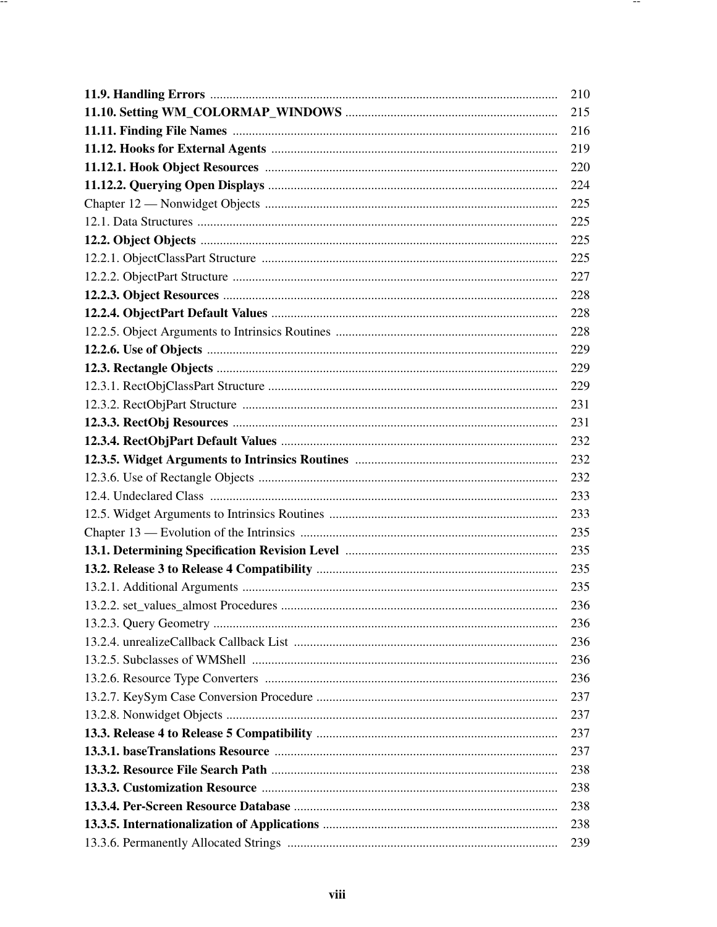| 210 |
|-----|
| 215 |
| 216 |
| 219 |
| 220 |
| 224 |
| 225 |
| 225 |
| 225 |
| 225 |
| 227 |
| 228 |
| 228 |
| 228 |
| 229 |
| 229 |
| 229 |
| 231 |
| 231 |
| 232 |
| 232 |
| 232 |
| 233 |
| 233 |
| 235 |
| 235 |
| 235 |
| 235 |
|     |
| 236 |
| 236 |
| 236 |
| 236 |
| 237 |
| 237 |
| 237 |
| 237 |
| 238 |
| 238 |
| 238 |
| 238 |
| 239 |

 $\hspace{0.1mm}-\hspace{0.1mm}-\hspace{0.1mm}$ 

−−.